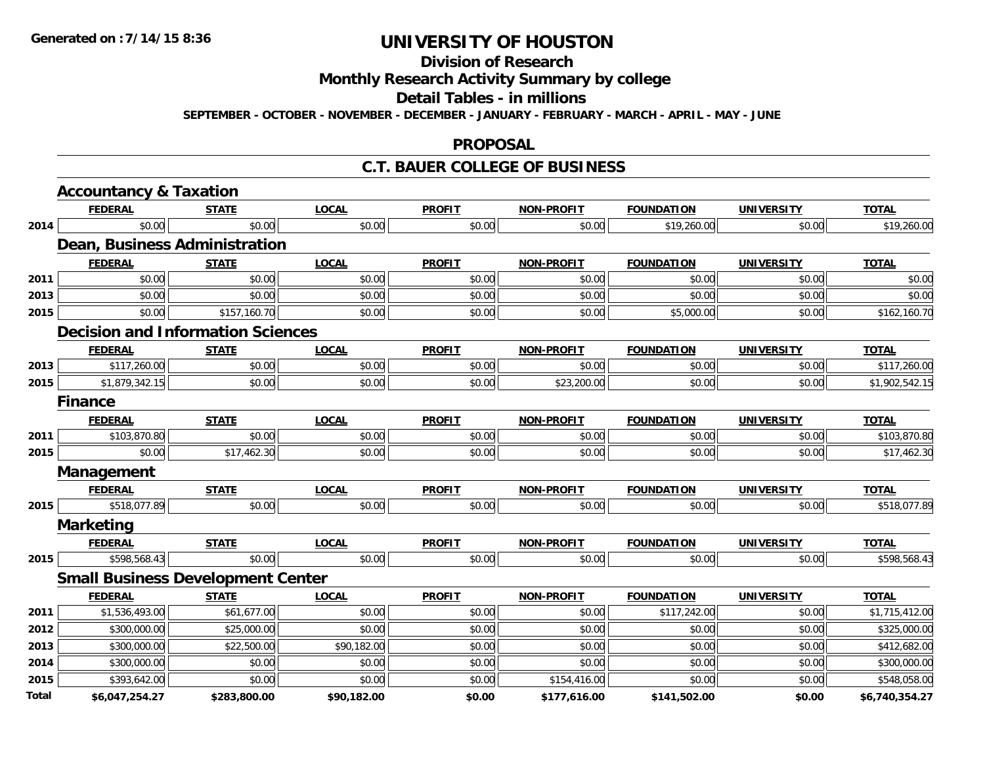## **Division of Research**

## **Monthly Research Activity Summary by college**

#### **Detail Tables - in millions**

**SEPTEMBER - OCTOBER - NOVEMBER - DECEMBER - JANUARY - FEBRUARY - MARCH - APRIL - MAY - JUNE**

#### **PROPOSAL**

### **C.T. BAUER COLLEGE OF BUSINESS**

|       | <b>Accountancy &amp; Taxation</b>        |              |              |               |                   |                   |                   |                |
|-------|------------------------------------------|--------------|--------------|---------------|-------------------|-------------------|-------------------|----------------|
|       | <b>FEDERAL</b>                           | <b>STATE</b> | <b>LOCAL</b> | <b>PROFIT</b> | <b>NON-PROFIT</b> | <b>FOUNDATION</b> | <b>UNIVERSITY</b> | <b>TOTAL</b>   |
| 2014  | \$0.00                                   | \$0.00       | \$0.00       | \$0.00        | \$0.00            | \$19,260.00       | \$0.00            | \$19,260.00    |
|       | Dean, Business Administration            |              |              |               |                   |                   |                   |                |
|       | <b>FEDERAL</b>                           | <b>STATE</b> | <b>LOCAL</b> | <b>PROFIT</b> | <b>NON-PROFIT</b> | <b>FOUNDATION</b> | <b>UNIVERSITY</b> | <b>TOTAL</b>   |
| 2011  | \$0.00                                   | \$0.00       | \$0.00       | \$0.00        | \$0.00            | \$0.00            | \$0.00            | \$0.00         |
| 2013  | \$0.00                                   | \$0.00       | \$0.00       | \$0.00        | \$0.00            | \$0.00            | \$0.00            | \$0.00         |
| 2015  | \$0.00                                   | \$157,160.70 | \$0.00       | \$0.00        | \$0.00            | \$5,000.00        | \$0.00            | \$162,160.70   |
|       | <b>Decision and Information Sciences</b> |              |              |               |                   |                   |                   |                |
|       | <b>FEDERAL</b>                           | <b>STATE</b> | <b>LOCAL</b> | <b>PROFIT</b> | <b>NON-PROFIT</b> | <b>FOUNDATION</b> | <b>UNIVERSITY</b> | <b>TOTAL</b>   |
| 2013  | \$117,260.00                             | \$0.00       | \$0.00       | \$0.00        | \$0.00            | \$0.00            | \$0.00            | \$117,260.00   |
| 2015  | \$1,879,342.15                           | \$0.00       | \$0.00       | \$0.00        | \$23,200.00       | \$0.00            | \$0.00            | \$1,902,542.15 |
|       | <b>Finance</b>                           |              |              |               |                   |                   |                   |                |
|       | <b>FEDERAL</b>                           | <b>STATE</b> | <b>LOCAL</b> | <b>PROFIT</b> | <b>NON-PROFIT</b> | <b>FOUNDATION</b> | <b>UNIVERSITY</b> | <b>TOTAL</b>   |
| 2011  | \$103,870.80                             | \$0.00       | \$0.00       | \$0.00        | \$0.00            | \$0.00            | \$0.00            | \$103,870.80   |
| 2015  | \$0.00                                   | \$17,462.30  | \$0.00       | \$0.00        | \$0.00            | \$0.00            | \$0.00            | \$17,462.30    |
|       | <b>Management</b>                        |              |              |               |                   |                   |                   |                |
|       | <b>FEDERAL</b>                           | <b>STATE</b> | <b>LOCAL</b> | <b>PROFIT</b> | <b>NON-PROFIT</b> | <b>FOUNDATION</b> | <b>UNIVERSITY</b> | <b>TOTAL</b>   |
| 2015  | \$518,077.89                             | \$0.00       | \$0.00       | \$0.00        | \$0.00            | \$0.00            | \$0.00            | \$518,077.89   |
|       | <b>Marketing</b>                         |              |              |               |                   |                   |                   |                |
|       | <b>FEDERAL</b>                           | <b>STATE</b> | <b>LOCAL</b> | <b>PROFIT</b> | <b>NON-PROFIT</b> | <b>FOUNDATION</b> | <b>UNIVERSITY</b> | <b>TOTAL</b>   |
| 2015  | \$598,568.43                             | \$0.00       | \$0.00       | \$0.00        | \$0.00            | \$0.00            | \$0.00            | \$598,568.43   |
|       | <b>Small Business Development Center</b> |              |              |               |                   |                   |                   |                |
|       | <b>FEDERAL</b>                           | <b>STATE</b> | <b>LOCAL</b> | <b>PROFIT</b> | <b>NON-PROFIT</b> | <b>FOUNDATION</b> | <b>UNIVERSITY</b> | <b>TOTAL</b>   |
| 2011  | \$1,536,493.00                           | \$61,677.00  | \$0.00       | \$0.00        | \$0.00            | \$117,242.00      | \$0.00            | \$1,715,412.00 |
| 2012  | \$300,000.00                             | \$25,000.00  | \$0.00       | \$0.00        | \$0.00            | \$0.00            | \$0.00            | \$325,000.00   |
| 2013  | \$300,000.00                             | \$22,500.00  | \$90,182.00  | \$0.00        | \$0.00            | \$0.00            | \$0.00            | \$412,682.00   |
| 2014  | \$300,000.00                             | \$0.00       | \$0.00       | \$0.00        | \$0.00            | \$0.00            | \$0.00            | \$300,000.00   |
| 2015  | \$393,642.00                             | \$0.00       | \$0.00       | \$0.00        | \$154,416.00      | \$0.00            | \$0.00            | \$548,058.00   |
| Total | \$6,047,254.27                           | \$283,800.00 | \$90,182.00  | \$0.00        | \$177,616.00      | \$141,502.00      | \$0.00            | \$6,740,354.27 |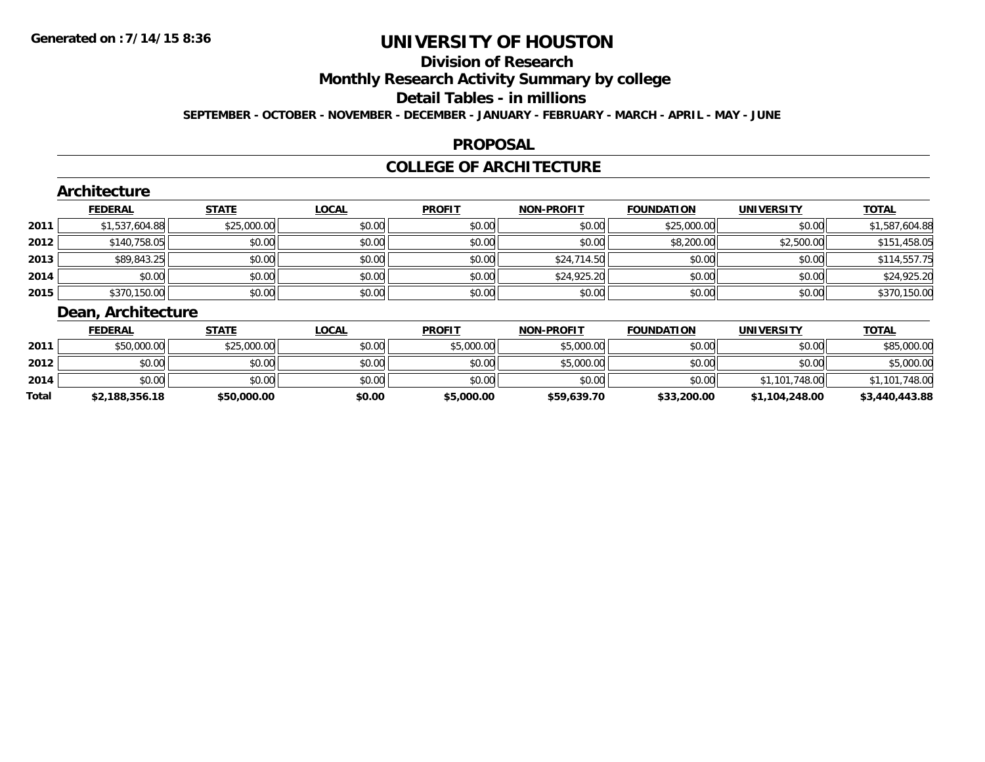## **Division of Research**

**Monthly Research Activity Summary by college**

#### **Detail Tables - in millions**

**SEPTEMBER - OCTOBER - NOVEMBER - DECEMBER - JANUARY - FEBRUARY - MARCH - APRIL - MAY - JUNE**

### **PROPOSAL**

### **COLLEGE OF ARCHITECTURE**

|      | Architecture      |              |              |               |                   |                   |                   |                |
|------|-------------------|--------------|--------------|---------------|-------------------|-------------------|-------------------|----------------|
|      | <b>FEDERAL</b>    | <b>STATE</b> | <b>LOCAL</b> | <b>PROFIT</b> | <b>NON-PROFIT</b> | <b>FOUNDATION</b> | <b>UNIVERSITY</b> | <b>TOTAL</b>   |
| 2011 | \$1,537,604.88    | \$25,000.00  | \$0.00       | \$0.00        | \$0.00            | \$25,000.00       | \$0.00            | \$1,587,604.88 |
| 2012 | \$140,758.05      | \$0.00       | \$0.00       | \$0.00        | \$0.00            | \$8,200.00        | \$2,500.00        | \$151,458.05   |
| 2013 | \$89,843.25       | \$0.00       | \$0.00       | \$0.00        | \$24,714.50       | \$0.00            | \$0.00            | \$114,557.75   |
| 2014 | \$0.00            | \$0.00       | \$0.00       | \$0.00        | \$24,925.20       | \$0.00            | \$0.00            | \$24,925.20    |
| 2015 | \$370,150.00      | \$0.00       | \$0.00       | \$0.00        | \$0.00            | \$0.00            | \$0.00            | \$370,150.00   |
|      | Doop Arakitootura |              |              |               |                   |                   |                   |                |

#### **Dean, Architecture**

|       | <b>FEDERAL</b> | <b>STATE</b> | <b>LOCAL</b> | <b>PROFIT</b> | <b>NON-PROFIT</b> | <b>FOUNDATION</b> | <b>UNIVERSITY</b> | <b>TOTAL</b>   |
|-------|----------------|--------------|--------------|---------------|-------------------|-------------------|-------------------|----------------|
| 2011  | \$50,000.00    | \$25,000.00  | \$0.00       | \$5,000.00    | \$5,000.00        | \$0.00            | \$0.00            | \$85,000.00    |
| 2012  | \$0.00         | \$0.00       | \$0.00       | \$0.00        | \$5,000.00        | \$0.00            | \$0.00            | \$5,000.00     |
| 2014  | \$0.00         | \$0.00       | \$0.00       | \$0.00        | \$0.00            | \$0.00            | \$1,101,748.00    | \$1,101,748.00 |
| Total | \$2,188,356.18 | \$50,000.00  | \$0.00       | \$5,000.00    | \$59,639.70       | \$33,200.00       | \$1,104,248.00    | \$3,440,443.88 |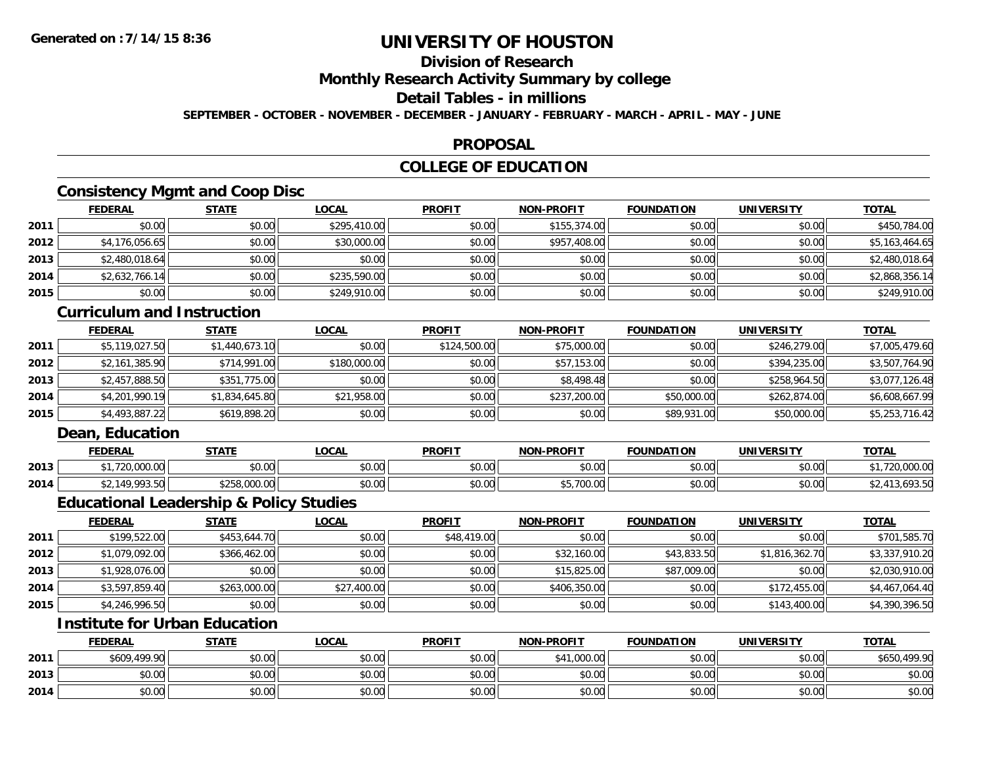## **Division of Research**

**Monthly Research Activity Summary by college**

### **Detail Tables - in millions**

**SEPTEMBER - OCTOBER - NOVEMBER - DECEMBER - JANUARY - FEBRUARY - MARCH - APRIL - MAY - JUNE**

### **PROPOSAL**

## **COLLEGE OF EDUCATION**

## **Consistency Mgmt and Coop Disc**

|      | <b>FEDERAL</b> | <b>STATE</b> | <b>LOCAL</b> | <b>PROFIT</b> | <b>NON-PROFIT</b> | <b>FOUNDATION</b> | <b>UNIVERSITY</b> | <b>TOTAL</b>   |
|------|----------------|--------------|--------------|---------------|-------------------|-------------------|-------------------|----------------|
| 2011 | \$0.00         | \$0.00       | \$295,410.00 | \$0.00        | \$155,374.00      | \$0.00            | \$0.00            | \$450,784.00   |
| 2012 | \$4,176,056.65 | \$0.00       | \$30,000.00  | \$0.00        | \$957,408.00      | \$0.00            | \$0.00            | \$5,163,464.65 |
| 2013 | \$2,480,018.64 | \$0.00       | \$0.00       | \$0.00        | \$0.00            | \$0.00            | \$0.00            | \$2,480,018.64 |
| 2014 | \$2,632,766.14 | \$0.00       | \$235,590.00 | \$0.00        | \$0.00            | \$0.00            | \$0.00            | \$2,868,356.14 |
| 2015 | \$0.00         | \$0.00       | \$249,910.00 | \$0.00        | \$0.00            | \$0.00            | \$0.00            | \$249,910.00   |

### **Curriculum and Instruction**

|      | <b>FEDERAL</b> | <u>STATE</u>   | <u>LOCAL</u> | <b>PROFIT</b> | <b>NON-PROFIT</b> | <b>FOUNDATION</b> | <b>UNIVERSITY</b> | <b>TOTAL</b>   |
|------|----------------|----------------|--------------|---------------|-------------------|-------------------|-------------------|----------------|
| 2011 | \$5,119,027.50 | \$1,440,673.10 | \$0.00       | \$124,500.00  | \$75,000.00       | \$0.00            | \$246,279.00      | \$7,005,479.60 |
| 2012 | \$2,161,385.90 | \$714,991.00   | \$180,000.00 | \$0.00        | \$57,153.00       | \$0.00            | \$394,235.00      | \$3,507,764.90 |
| 2013 | \$2,457,888.50 | \$351,775.00   | \$0.00       | \$0.00        | \$8,498.48        | \$0.00            | \$258,964.50      | \$3,077,126.48 |
| 2014 | \$4,201,990.19 | \$1,834,645.80 | \$21,958.00  | \$0.00        | \$237,200.00      | \$50,000.00       | \$262.874.00      | \$6,608,667.99 |
| 2015 | \$4,493,887.22 | \$619,898.20   | \$0.00       | \$0.00        | \$0.00            | \$89,931.00       | \$50,000.00       | \$5,253,716.42 |

## **Dean, Education**

|      | <b>FEDERAL</b>                 | CTATE                                                                  | .OCAI          | <b>PROFIT</b> | <b>DDAFIT</b>               | <b>FOUNDATION</b> | UNIVERSITY     | <b>TOT</b>                   |
|------|--------------------------------|------------------------------------------------------------------------|----------------|---------------|-----------------------------|-------------------|----------------|------------------------------|
| 2013 | <b>230.000.00</b><br>zu.uuu.uu | ሶስ ሰሰ<br>ט. טע                                                         | ሐሴ ሰሰ<br>JU.UU | 0000<br>JU.UU | ტი იი<br>JU.U               | 0000<br>JU.UU     | mn n¢<br>JU.UU | 0.0000<br>,,,<br>ZU.UUU.UU   |
| 2014 | 10.002.5<br>,,,,u              | $\cdots$ 0.000 $\sim$<br>$\uparrow$ $\uparrow$ $\uparrow$<br>10.UUU.UU | ሶስ ሰሰ<br>JU.UU | \$0.00        | $AT$ $700.00$<br>, ,,,,,,,, | 0000<br>JU.UU     | \$0.00         | $\sim$ $\sim$ $\sim$<br>. 7. |

### **Educational Leadership & Policy Studies**

|      | <b>FEDERAL</b> | <u>STATE</u> | <u>LOCAL</u> | <b>PROFIT</b> | <b>NON-PROFIT</b> | <b>FOUNDATION</b> | <b>UNIVERSITY</b> | <b>TOTAL</b>   |
|------|----------------|--------------|--------------|---------------|-------------------|-------------------|-------------------|----------------|
| 2011 | \$199,522.00   | \$453,644.70 | \$0.00       | \$48,419.00   | \$0.00            | \$0.00            | \$0.00            | \$701,585.70   |
| 2012 | \$1,079,092.00 | \$366,462.00 | \$0.00       | \$0.00        | \$32,160.00       | \$43,833.50       | \$1,816,362.70    | \$3,337,910.20 |
| 2013 | \$1,928,076.00 | \$0.00       | \$0.00       | \$0.00        | \$15,825.00       | \$87,009.00       | \$0.00            | \$2,030,910.00 |
| 2014 | \$3,597,859.40 | \$263,000.00 | \$27,400.00  | \$0.00        | \$406,350.00      | \$0.00            | \$172,455.00      | \$4,467,064.40 |
| 2015 | \$4,246,996.50 | \$0.00       | \$0.00       | \$0.00        | \$0.00            | \$0.00            | \$143,400.00      | \$4,390,396.50 |

## **Institute for Urban Education**

|      | <b>FEDERAL</b> | <b>STATE</b> | <u>LOCAL</u> | <b>PROFIT</b> | <b>NON-PROFIT</b> | <b>FOUNDATION</b> | <b>UNIVERSITY</b> | <b>TOTAL</b>           |
|------|----------------|--------------|--------------|---------------|-------------------|-------------------|-------------------|------------------------|
| 2011 | \$609,499.90   | \$0.00       | \$0.00       | \$0.00        | .000.00<br>.      | \$0.00            | \$0.00            | .499.90<br><b>CA50</b> |
| 2013 | \$0.00         | \$0.00       | \$0.00       | \$0.00        | \$0.00            | \$0.00            | \$0.00            | \$0.00                 |
| 2014 | \$0.00         | \$0.00       | \$0.00       | \$0.00        | \$0.00            | \$0.00            | \$0.00            | \$0.00                 |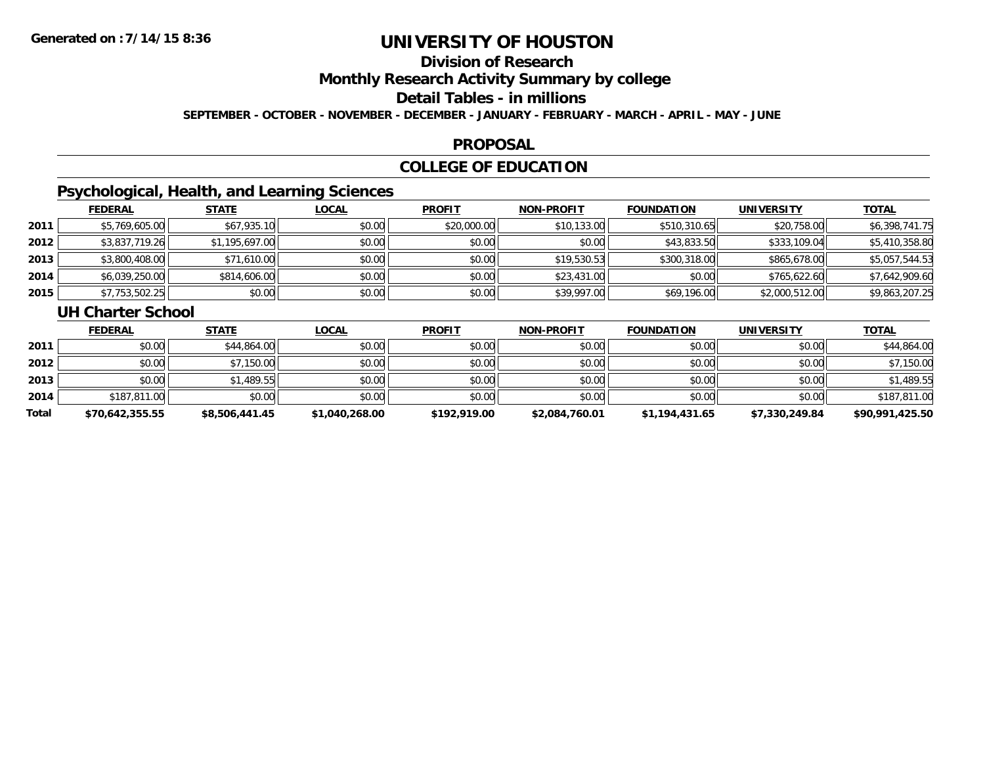## **Division of Research**

**Monthly Research Activity Summary by college**

#### **Detail Tables - in millions**

**SEPTEMBER - OCTOBER - NOVEMBER - DECEMBER - JANUARY - FEBRUARY - MARCH - APRIL - MAY - JUNE**

### **PROPOSAL**

## **COLLEGE OF EDUCATION**

## **Psychological, Health, and Learning Sciences**

|      | <b>FEDERAL</b> | <b>STATE</b>   | <u>LOCAL</u> | <b>PROFIT</b> | <b>NON-PROFIT</b> | <b>FOUNDATION</b> | <b>UNIVERSITY</b> | <b>TOTAL</b>   |
|------|----------------|----------------|--------------|---------------|-------------------|-------------------|-------------------|----------------|
| 2011 | \$5,769,605.00 | \$67,935.10    | \$0.00       | \$20,000.00   | \$10,133.00       | \$510,310.65      | \$20,758.00       | \$6,398,741.75 |
| 2012 | \$3,837,719.26 | \$1,195,697.00 | \$0.00       | \$0.00        | \$0.00            | \$43,833.50       | \$333,109.04      | \$5,410,358.80 |
| 2013 | \$3,800,408.00 | \$71,610.00    | \$0.00       | \$0.00        | \$19,530.53       | \$300,318.00      | \$865,678.00      | \$5,057,544.53 |
| 2014 | \$6,039,250.00 | \$814,606.00   | \$0.00       | \$0.00        | \$23,431.00       | \$0.00            | \$765,622.60      | \$7,642,909.60 |
| 2015 | \$7,753,502.25 | \$0.00         | \$0.00       | \$0.00        | \$39,997.00       | \$69,196.00       | \$2,000,512.00    | \$9,863,207.25 |

### **UH Charter School**

|       | <b>FEDERAL</b>  | <b>STATE</b>   | <u>LOCAL</u>   | <b>PROFIT</b> | <b>NON-PROFIT</b> | <b>FOUNDATION</b> | <b>UNIVERSITY</b> | <b>TOTAL</b>    |
|-------|-----------------|----------------|----------------|---------------|-------------------|-------------------|-------------------|-----------------|
| 2011  | \$0.00          | \$44,864.00    | \$0.00         | \$0.00        | \$0.00            | \$0.00            | \$0.00            | \$44,864.00     |
| 2012  | \$0.00          | \$7,150.00     | \$0.00         | \$0.00        | \$0.00            | \$0.00            | \$0.00            | \$7,150.00      |
| 2013  | \$0.00          | \$1,489.55     | \$0.00         | \$0.00        | \$0.00            | \$0.00            | \$0.00            | \$1,489.55      |
| 2014  | \$187,811.00    | \$0.00         | \$0.00         | \$0.00        | \$0.00            | \$0.00            | \$0.00            | \$187,811.00    |
| Total | \$70,642,355.55 | \$8,506,441.45 | \$1,040,268.00 | \$192,919.00  | \$2,084,760.01    | \$1,194,431.65    | \$7,330,249.84    | \$90,991,425.50 |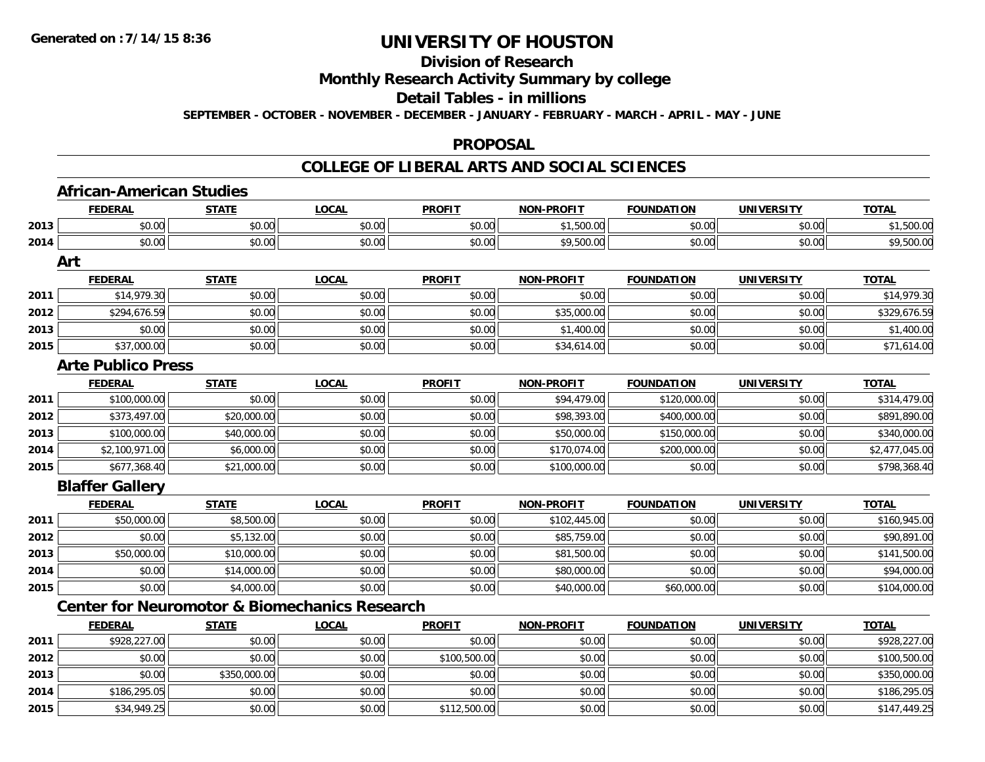#### **Division of Research**

### **Monthly Research Activity Summary by college**

#### **Detail Tables - in millions**

**SEPTEMBER - OCTOBER - NOVEMBER - DECEMBER - JANUARY - FEBRUARY - MARCH - APRIL - MAY - JUNE**

#### **PROPOSAL**

### **COLLEGE OF LIBERAL ARTS AND SOCIAL SCIENCES**

|      | <b>FEDERAL</b>                                           | <b>STATE</b> | <b>LOCAL</b> | <b>PROFIT</b> | <b>NON-PROFIT</b> | <b>FOUNDATION</b> | <b>UNIVERSITY</b> | <b>TOTAL</b>   |
|------|----------------------------------------------------------|--------------|--------------|---------------|-------------------|-------------------|-------------------|----------------|
| 2013 | \$0.00                                                   | \$0.00       | \$0.00       | \$0.00        | \$1,500.00        | \$0.00            | \$0.00            | \$1,500.00     |
| 2014 | \$0.00                                                   | \$0.00       | \$0.00       | \$0.00        | \$9,500.00        | \$0.00            | \$0.00            | \$9,500.00     |
|      | Art                                                      |              |              |               |                   |                   |                   |                |
|      | <b>FEDERAL</b>                                           | <b>STATE</b> | <b>LOCAL</b> | <b>PROFIT</b> | <b>NON-PROFIT</b> | <b>FOUNDATION</b> | <b>UNIVERSITY</b> | <b>TOTAL</b>   |
| 2011 | \$14,979.30                                              | \$0.00       | \$0.00       | \$0.00        | \$0.00            | \$0.00            | \$0.00            | \$14,979.30    |
| 2012 | \$294,676.59                                             | \$0.00       | \$0.00       | \$0.00        | \$35,000.00       | \$0.00            | \$0.00            | \$329,676.59   |
| 2013 | \$0.00                                                   | \$0.00       | \$0.00       | \$0.00        | \$1,400.00        | \$0.00            | \$0.00            | \$1,400.00     |
| 2015 | \$37,000.00                                              | \$0.00       | \$0.00       | \$0.00        | \$34,614.00       | \$0.00            | \$0.00            | \$71,614.00    |
|      | <b>Arte Publico Press</b>                                |              |              |               |                   |                   |                   |                |
|      | <b>FEDERAL</b>                                           | <b>STATE</b> | <b>LOCAL</b> | <b>PROFIT</b> | <b>NON-PROFIT</b> | <b>FOUNDATION</b> | <b>UNIVERSITY</b> | <b>TOTAL</b>   |
| 2011 | \$100,000.00                                             | \$0.00       | \$0.00       | \$0.00        | \$94,479.00       | \$120,000.00      | \$0.00            | \$314,479.00   |
| 2012 | \$373,497.00                                             | \$20,000.00  | \$0.00       | \$0.00        | \$98,393.00       | \$400,000.00      | \$0.00            | \$891,890.00   |
| 2013 | \$100,000.00                                             | \$40,000.00  | \$0.00       | \$0.00        | \$50,000.00       | \$150,000.00      | \$0.00            | \$340,000.00   |
| 2014 | \$2,100,971.00                                           | \$6,000.00   | \$0.00       | \$0.00        | \$170,074.00      | \$200,000.00      | \$0.00            | \$2,477,045.00 |
| 2015 | \$677,368.40                                             | \$21,000.00  | \$0.00       | \$0.00        | \$100,000.00      | \$0.00            | \$0.00            | \$798,368.40   |
|      | <b>Blaffer Gallery</b>                                   |              |              |               |                   |                   |                   |                |
|      | <b>FEDERAL</b>                                           | <b>STATE</b> | <b>LOCAL</b> | <b>PROFIT</b> | <b>NON-PROFIT</b> | <b>FOUNDATION</b> | <b>UNIVERSITY</b> | <b>TOTAL</b>   |
| 2011 | \$50,000.00                                              | \$8,500.00   | \$0.00       | \$0.00        | \$102,445.00      | \$0.00            | \$0.00            | \$160,945.00   |
| 2012 | \$0.00                                                   | \$5,132.00   | \$0.00       | \$0.00        | \$85,759.00       | \$0.00            | \$0.00            | \$90,891.00    |
| 2013 | \$50,000.00                                              | \$10,000.00  | \$0.00       | \$0.00        | \$81,500.00       | \$0.00            | \$0.00            | \$141,500.00   |
| 2014 | \$0.00                                                   | \$14,000.00  | \$0.00       | \$0.00        | \$80,000.00       | \$0.00            | \$0.00            | \$94,000.00    |
| 2015 | \$0.00                                                   | \$4,000.00   | \$0.00       | \$0.00        | \$40,000.00       | \$60,000.00       | \$0.00            | \$104,000.00   |
|      | <b>Center for Neuromotor &amp; Biomechanics Research</b> |              |              |               |                   |                   |                   |                |
|      | <b>FEDERAL</b>                                           | <b>STATE</b> | <b>LOCAL</b> | <b>PROFIT</b> | <b>NON-PROFIT</b> | <b>FOUNDATION</b> | <b>UNIVERSITY</b> | <b>TOTAL</b>   |
| 2011 | \$928,227.00                                             | \$0.00       | \$0.00       | \$0.00        | \$0.00            | \$0.00            | \$0.00            | \$928,227.00   |
| 2012 | \$0.00                                                   | \$0.00       | \$0.00       | \$100,500.00  | \$0.00            | \$0.00            | \$0.00            | \$100,500.00   |
| 2013 | \$0.00                                                   | \$350,000.00 | \$0.00       | \$0.00        | \$0.00            | \$0.00            | \$0.00            | \$350,000.00   |
| 2014 | \$186,295.05                                             | \$0.00       | \$0.00       | \$0.00        | \$0.00            | \$0.00            | \$0.00            | \$186,295.05   |
| 2015 | \$34,949.25                                              | \$0.00       | \$0.00       | \$112,500.00  | \$0.00            | \$0.00            | \$0.00            | \$147,449.25   |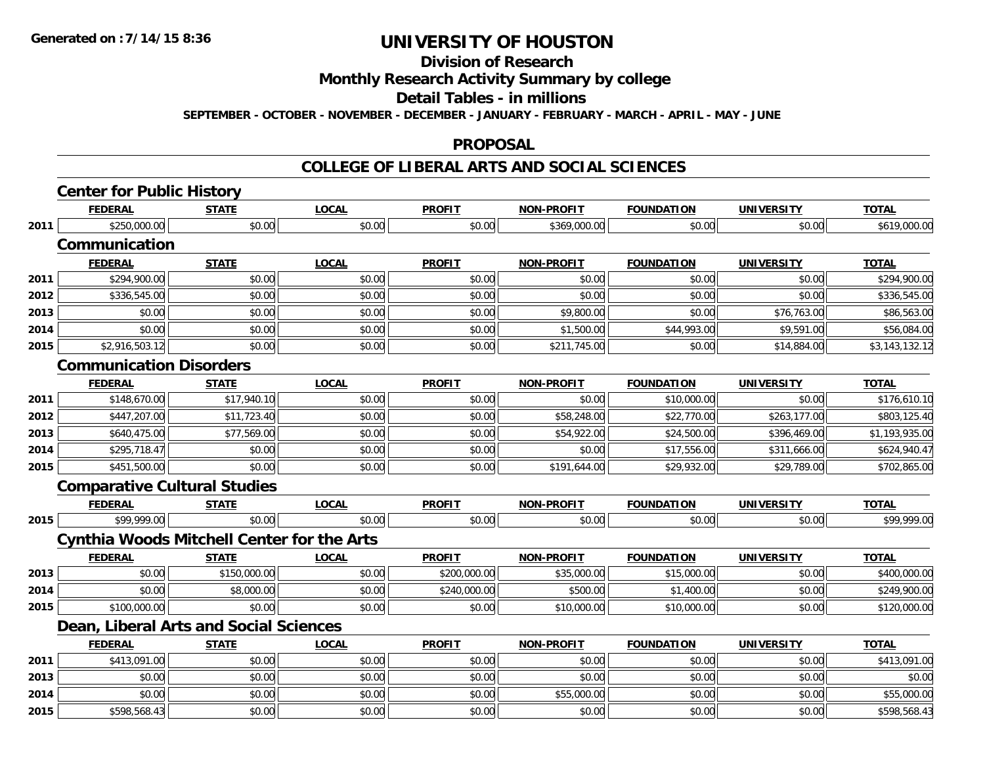## **Division of Research**

### **Monthly Research Activity Summary by college**

#### **Detail Tables - in millions**

**SEPTEMBER - OCTOBER - NOVEMBER - DECEMBER - JANUARY - FEBRUARY - MARCH - APRIL - MAY - JUNE**

#### **PROPOSAL**

### **COLLEGE OF LIBERAL ARTS AND SOCIAL SCIENCES**

|      | <b>Center for Public History</b>                  |              |              |               |                   |                   |                   |                |
|------|---------------------------------------------------|--------------|--------------|---------------|-------------------|-------------------|-------------------|----------------|
|      | <b>FEDERAL</b>                                    | <b>STATE</b> | <b>LOCAL</b> | <b>PROFIT</b> | <b>NON-PROFIT</b> | <b>FOUNDATION</b> | <b>UNIVERSITY</b> | <b>TOTAL</b>   |
| 2011 | \$250,000.00                                      | \$0.00       | \$0.00       | \$0.00        | \$369,000.00      | \$0.00            | \$0.00            | \$619,000.00   |
|      | Communication                                     |              |              |               |                   |                   |                   |                |
|      | <b>FEDERAL</b>                                    | <b>STATE</b> | <b>LOCAL</b> | <b>PROFIT</b> | <b>NON-PROFIT</b> | <b>FOUNDATION</b> | <b>UNIVERSITY</b> | <b>TOTAL</b>   |
| 2011 | \$294,900.00                                      | \$0.00       | \$0.00       | \$0.00        | \$0.00            | \$0.00            | \$0.00            | \$294,900.00   |
| 2012 | \$336,545.00                                      | \$0.00       | \$0.00       | \$0.00        | \$0.00            | \$0.00            | \$0.00            | \$336,545.00   |
| 2013 | \$0.00                                            | \$0.00       | \$0.00       | \$0.00        | \$9,800.00        | \$0.00            | \$76,763.00       | \$86,563.00    |
| 2014 | \$0.00                                            | \$0.00       | \$0.00       | \$0.00        | \$1,500.00        | \$44,993.00       | \$9,591.00        | \$56,084.00    |
| 2015 | \$2,916,503.12                                    | \$0.00       | \$0.00       | \$0.00        | \$211,745.00      | \$0.00            | \$14,884.00       | \$3,143,132.12 |
|      | <b>Communication Disorders</b>                    |              |              |               |                   |                   |                   |                |
|      | <b>FEDERAL</b>                                    | <b>STATE</b> | <b>LOCAL</b> | <b>PROFIT</b> | <b>NON-PROFIT</b> | <b>FOUNDATION</b> | <b>UNIVERSITY</b> | <b>TOTAL</b>   |
| 2011 | \$148,670.00                                      | \$17,940.10  | \$0.00       | \$0.00        | \$0.00            | \$10,000.00       | \$0.00            | \$176,610.10   |
| 2012 | \$447,207.00                                      | \$11,723.40  | \$0.00       | \$0.00        | \$58,248.00       | \$22,770.00       | \$263,177.00      | \$803,125.40   |
| 2013 | \$640,475.00                                      | \$77,569.00  | \$0.00       | \$0.00        | \$54,922.00       | \$24,500.00       | \$396,469.00      | \$1,193,935.00 |
| 2014 | \$295,718.47                                      | \$0.00       | \$0.00       | \$0.00        | \$0.00            | \$17,556.00       | \$311,666.00      | \$624,940.47   |
| 2015 | \$451,500.00                                      | \$0.00       | \$0.00       | \$0.00        | \$191,644.00      | \$29,932.00       | \$29,789.00       | \$702,865.00   |
|      | <b>Comparative Cultural Studies</b>               |              |              |               |                   |                   |                   |                |
|      | <b>FEDERAL</b>                                    | <b>STATE</b> | <b>LOCAL</b> | <b>PROFIT</b> | <b>NON-PROFIT</b> | <b>FOUNDATION</b> | UNIVERSITY        | <b>TOTAL</b>   |
| 2015 | \$99,999.00                                       | \$0.00       | \$0.00       | \$0.00        | \$0.00            | \$0.00            | \$0.00            | \$99,999.00    |
|      | <b>Cynthia Woods Mitchell Center for the Arts</b> |              |              |               |                   |                   |                   |                |
|      | <b>FEDERAL</b>                                    | <b>STATE</b> | <b>LOCAL</b> | <b>PROFIT</b> | <b>NON-PROFIT</b> | <b>FOUNDATION</b> | <b>UNIVERSITY</b> | <b>TOTAL</b>   |
| 2013 | \$0.00                                            | \$150,000.00 | \$0.00       | \$200,000.00  | \$35,000.00       | \$15,000.00       | \$0.00            | \$400,000.00   |
| 2014 | \$0.00                                            | \$8,000.00   | \$0.00       | \$240,000.00  | \$500.00          | \$1,400.00        | \$0.00            | \$249,900.00   |
| 2015 | \$100,000.00                                      | \$0.00       | \$0.00       | \$0.00        | \$10,000.00       | \$10,000.00       | \$0.00            | \$120,000.00   |
|      | Dean, Liberal Arts and Social Sciences            |              |              |               |                   |                   |                   |                |
|      | <b>FEDERAL</b>                                    | <b>STATE</b> | <b>LOCAL</b> | <b>PROFIT</b> | <b>NON-PROFIT</b> | <b>FOUNDATION</b> | <b>UNIVERSITY</b> | <b>TOTAL</b>   |
| 2011 | \$413,091.00                                      | \$0.00       | \$0.00       | \$0.00        | \$0.00            | \$0.00            | \$0.00            | \$413,091.00   |
| 2013 | \$0.00                                            | \$0.00       | \$0.00       | \$0.00        | \$0.00            | \$0.00            | \$0.00            | \$0.00         |
| 2014 | \$0.00                                            | \$0.00       | \$0.00       | \$0.00        | \$55,000.00       | \$0.00            | \$0.00            | \$55,000.00    |
| 2015 | \$598,568.43                                      | \$0.00       | \$0.00       | \$0.00        | \$0.00            | \$0.00            | \$0.00            | \$598,568.43   |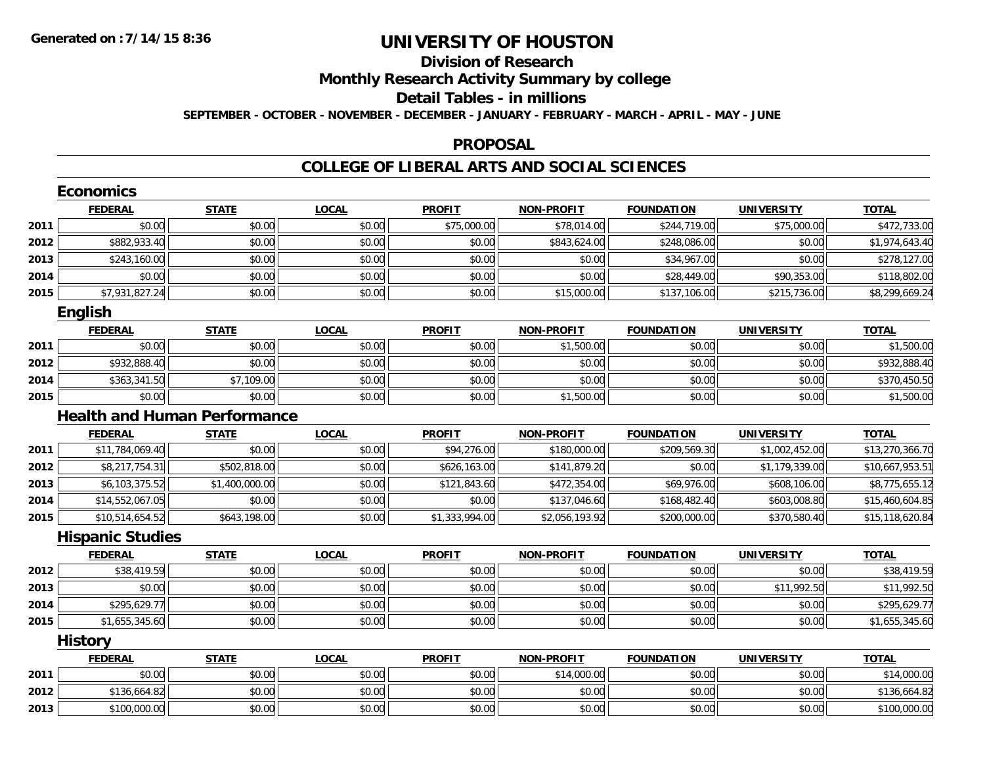## **Division of Research**

**Monthly Research Activity Summary by college**

#### **Detail Tables - in millions**

**SEPTEMBER - OCTOBER - NOVEMBER - DECEMBER - JANUARY - FEBRUARY - MARCH - APRIL - MAY - JUNE**

#### **PROPOSAL**

### **COLLEGE OF LIBERAL ARTS AND SOCIAL SCIENCES**

|      | <b>Economics</b>                    |                |              |                |                   |                   |                   |                 |
|------|-------------------------------------|----------------|--------------|----------------|-------------------|-------------------|-------------------|-----------------|
|      | <b>FEDERAL</b>                      | <b>STATE</b>   | <b>LOCAL</b> | <b>PROFIT</b>  | <b>NON-PROFIT</b> | <b>FOUNDATION</b> | <b>UNIVERSITY</b> | <b>TOTAL</b>    |
| 2011 | \$0.00                              | \$0.00         | \$0.00       | \$75,000.00    | \$78,014.00       | \$244,719.00      | \$75,000.00       | \$472,733.00    |
| 2012 | \$882,933.40                        | \$0.00         | \$0.00       | \$0.00         | \$843,624.00      | \$248,086.00      | \$0.00            | \$1,974,643.40  |
| 2013 | \$243,160.00                        | \$0.00         | \$0.00       | \$0.00         | \$0.00            | \$34,967.00       | \$0.00            | \$278,127.00    |
| 2014 | \$0.00                              | \$0.00         | \$0.00       | \$0.00         | \$0.00            | \$28,449.00       | \$90,353.00       | \$118,802.00    |
| 2015 | \$7,931,827.24                      | \$0.00         | \$0.00       | \$0.00         | \$15,000.00       | \$137,106.00      | \$215,736.00      | \$8,299,669.24  |
|      | <b>English</b>                      |                |              |                |                   |                   |                   |                 |
|      | <b>FEDERAL</b>                      | <b>STATE</b>   | <b>LOCAL</b> | <b>PROFIT</b>  | <b>NON-PROFIT</b> | <b>FOUNDATION</b> | <b>UNIVERSITY</b> | <b>TOTAL</b>    |
| 2011 | \$0.00                              | \$0.00         | \$0.00       | \$0.00         | \$1,500.00        | \$0.00            | \$0.00            | \$1,500.00      |
| 2012 | \$932,888.40                        | \$0.00         | \$0.00       | \$0.00         | \$0.00            | \$0.00            | \$0.00            | \$932,888.40    |
| 2014 | \$363,341.50                        | \$7,109.00     | \$0.00       | \$0.00         | \$0.00            | \$0.00            | \$0.00            | \$370,450.50    |
| 2015 | \$0.00                              | \$0.00         | \$0.00       | \$0.00         | \$1,500.00        | \$0.00            | \$0.00            | \$1,500.00      |
|      | <b>Health and Human Performance</b> |                |              |                |                   |                   |                   |                 |
|      | <b>FEDERAL</b>                      | <b>STATE</b>   | <b>LOCAL</b> | <b>PROFIT</b>  | <b>NON-PROFIT</b> | <b>FOUNDATION</b> | <b>UNIVERSITY</b> | <b>TOTAL</b>    |
| 2011 | \$11,784,069.40                     | \$0.00         | \$0.00       | \$94,276.00    | \$180,000.00      | \$209,569.30      | \$1,002,452.00    | \$13,270,366.70 |
| 2012 | \$8,217,754.31                      | \$502,818.00   | \$0.00       | \$626,163.00   | \$141,879.20      | \$0.00            | \$1,179,339.00    | \$10,667,953.51 |
| 2013 | \$6,103,375.52                      | \$1,400,000.00 | \$0.00       | \$121,843.60   | \$472,354.00      | \$69,976.00       | \$608,106.00      | \$8,775,655.12  |
| 2014 | \$14,552,067.05                     | \$0.00         | \$0.00       | \$0.00         | \$137,046.60      | \$168,482.40      | \$603,008.80      | \$15,460,604.85 |
| 2015 | \$10,514,654.52                     | \$643,198.00   | \$0.00       | \$1,333,994.00 | \$2,056,193.92    | \$200,000.00      | \$370,580.40      | \$15,118,620.84 |
|      | <b>Hispanic Studies</b>             |                |              |                |                   |                   |                   |                 |
|      | <b>FEDERAL</b>                      | <b>STATE</b>   | <b>LOCAL</b> | <b>PROFIT</b>  | <b>NON-PROFIT</b> | <b>FOUNDATION</b> | <b>UNIVERSITY</b> | <b>TOTAL</b>    |
| 2012 | \$38,419.59                         | \$0.00         | \$0.00       | \$0.00         | \$0.00            | \$0.00            | \$0.00            | \$38,419.59     |
| 2013 | \$0.00                              | \$0.00         | \$0.00       | \$0.00         | \$0.00            | \$0.00            | \$11,992.50       | \$11,992.50     |
| 2014 | \$295,629.77                        | \$0.00         | \$0.00       | \$0.00         | \$0.00            | \$0.00            | \$0.00            | \$295,629.77    |
| 2015 | \$1,655,345.60                      | \$0.00         | \$0.00       | \$0.00         | \$0.00            | \$0.00            | \$0.00            | \$1,655,345.60  |
|      | <b>History</b>                      |                |              |                |                   |                   |                   |                 |
|      | <b>FEDERAL</b>                      | <b>STATE</b>   | <b>LOCAL</b> | <b>PROFIT</b>  | <b>NON-PROFIT</b> | <b>FOUNDATION</b> | <b>UNIVERSITY</b> | <b>TOTAL</b>    |
| 2011 | \$0.00                              | \$0.00         | \$0.00       | \$0.00         | \$14,000.00       | \$0.00            | \$0.00            | \$14,000.00     |
| 2012 | \$136,664.82                        | \$0.00         | \$0.00       | \$0.00         | \$0.00            | \$0.00            | \$0.00            | \$136,664.82    |
| 2013 | \$100,000.00                        | \$0.00         | \$0.00       | \$0.00         | \$0.00            | \$0.00            | \$0.00            | \$100,000.00    |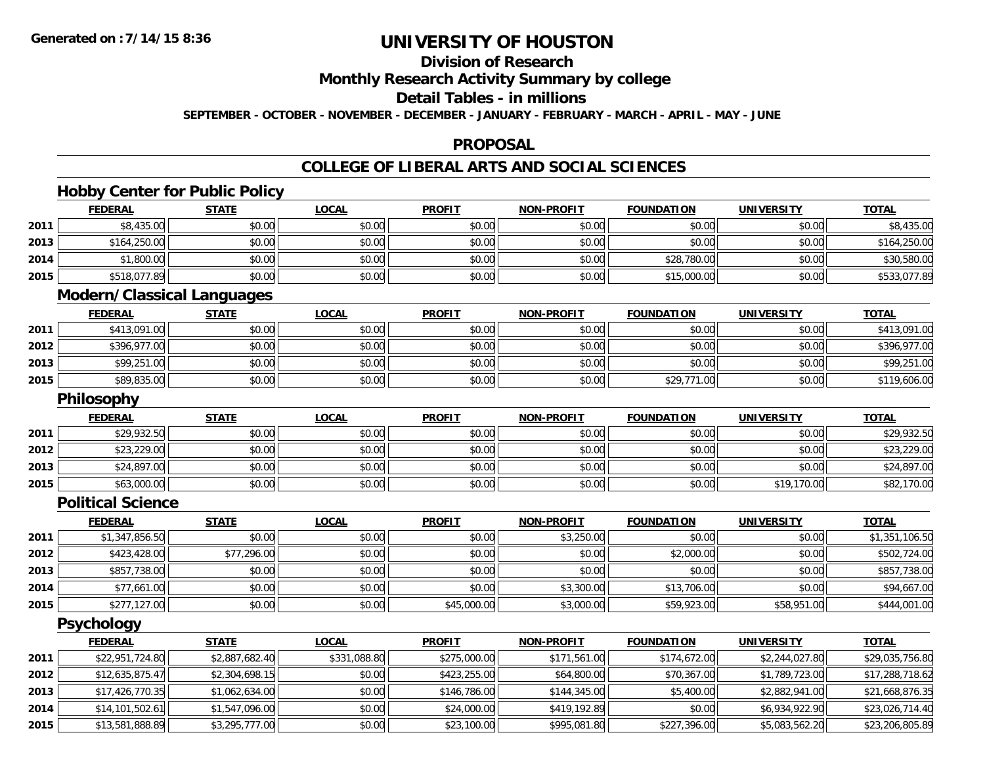## **Division of Research**

**Monthly Research Activity Summary by college**

## **Detail Tables - in millions**

**SEPTEMBER - OCTOBER - NOVEMBER - DECEMBER - JANUARY - FEBRUARY - MARCH - APRIL - MAY - JUNE**

### **PROPOSAL**

## **COLLEGE OF LIBERAL ARTS AND SOCIAL SCIENCES**

## **Hobby Center for Public Policy**

|      | <b>FEDERAL</b>                    | <b>STATE</b> | <b>LOCAL</b> | <b>PROFIT</b> | <b>NON-PROFIT</b> | <b>FOUNDATION</b> | <b>UNIVERSITY</b> | <b>TOTAL</b> |
|------|-----------------------------------|--------------|--------------|---------------|-------------------|-------------------|-------------------|--------------|
| 2011 | \$8,435.00                        | \$0.00       | \$0.00       | \$0.00        | \$0.00            | \$0.00            | \$0.00            | \$8,435.00   |
| 2013 | \$164,250.00                      | \$0.00       | \$0.00       | \$0.00        | \$0.00            | \$0.00            | \$0.00            | \$164,250.00 |
| 2014 | \$1,800.00                        | \$0.00       | \$0.00       | \$0.00        | \$0.00            | \$28,780.00       | \$0.00            | \$30,580.00  |
| 2015 | \$518,077.89                      | \$0.00       | \$0.00       | \$0.00        | \$0.00            | \$15,000.00       | \$0.00            | \$533,077.89 |
|      | <b>Modern/Classical Languages</b> |              |              |               |                   |                   |                   |              |
|      | <b>FEDERAL</b>                    | <b>STATE</b> | <b>LOCAL</b> | <b>PROFIT</b> | <b>NON-PROFIT</b> | <b>FOUNDATION</b> | <b>UNIVERSITY</b> | <b>TOTAL</b> |
| 2011 | \$413,091.00                      | \$0.00       | \$0.00       | \$0.00        | \$0.00            | \$0.00            | \$0.00            | \$413,091.00 |
| 2012 | \$396,977.00                      | \$0.00       | \$0.00       | \$0.00        | \$0.00            | \$0.00            | \$0.00            | \$396,977.00 |

## **Philosophy**

**2013**

**2015**

|      | <b>FEDERAL</b> | <b>STATE</b> | <b>LOCAL</b> | <b>PROFIT</b> | <b>NON-PROFIT</b> | <b>FOUNDATION</b> | <b>UNIVERSITY</b> | <b>TOTAL</b> |
|------|----------------|--------------|--------------|---------------|-------------------|-------------------|-------------------|--------------|
| 2011 | \$29,932.50    | \$0.00       | \$0.00       | \$0.00        | \$0.00            | \$0.00            | \$0.00            | \$29,932.50  |
| 2012 | \$23,229.00    | \$0.00       | \$0.00       | \$0.00        | \$0.00            | \$0.00            | \$0.00            | \$23,229.00  |
| 2013 | \$24,897.00    | \$0.00       | \$0.00       | \$0.00        | \$0.00            | \$0.00            | \$0.00            | \$24,897.00  |
| 2015 | \$63,000.00    | \$0.00       | \$0.00       | \$0.00        | \$0.00            | \$0.00            | \$19,170.00       | \$82,170.00  |

3 | \$99,251.00|| \$0.00|| \$0.00|| \$0.00|| \$0.00|| \$0.00|| \$0.00|| \$0.00|| \$9,000|| \$9,251.00 \$99,251.00

\$89,835.00 \$0.00 \$0.00 \$0.00 \$0.00 \$29,771.00 \$0.00 \$119,606.00

#### **Political Science**

|      | <b>FEDERAL</b> | <b>STATE</b> | <u>LOCAL</u> | <b>PROFIT</b> | <b>NON-PROFIT</b> | <b>FOUNDATION</b> | <b>UNIVERSITY</b> | <b>TOTAL</b>   |
|------|----------------|--------------|--------------|---------------|-------------------|-------------------|-------------------|----------------|
| 2011 | \$1,347,856.50 | \$0.00       | \$0.00       | \$0.00        | \$3,250.00        | \$0.00            | \$0.00            | \$1,351,106.50 |
| 2012 | \$423,428.00   | \$77,296.00  | \$0.00       | \$0.00        | \$0.00            | \$2,000.00        | \$0.00            | \$502,724.00   |
| 2013 | \$857,738.00   | \$0.00       | \$0.00       | \$0.00        | \$0.00            | \$0.00            | \$0.00            | \$857,738.00   |
| 2014 | \$77,661.00    | \$0.00       | \$0.00       | \$0.00        | \$3,300.00        | \$13,706.00       | \$0.00            | \$94,667.00    |
| 2015 | \$277,127.00   | \$0.00       | \$0.00       | \$45,000.00   | \$3,000.00        | \$59,923.00       | \$58,951.00       | \$444,001.00   |

**Psychology**

|      | <b>FEDERAL</b>  | <b>STATE</b>   | <u>LOCAL</u> | <b>PROFIT</b> | <b>NON-PROFIT</b> | <b>FOUNDATION</b> | <b>UNIVERSITY</b> | <b>TOTAL</b>    |
|------|-----------------|----------------|--------------|---------------|-------------------|-------------------|-------------------|-----------------|
| 2011 | \$22,951,724.80 | \$2,887,682.40 | \$331,088.80 | \$275,000.00  | \$171,561.00      | \$174,672.00      | \$2,244,027.80    | \$29,035,756.80 |
| 2012 | \$12,635,875.47 | \$2,304,698.15 | \$0.00       | \$423,255.00  | \$64,800.00       | \$70,367.00       | \$1,789,723.00    | \$17,288,718.62 |
| 2013 | \$17,426,770.35 | \$1,062,634.00 | \$0.00       | \$146,786.00  | \$144,345.00      | \$5,400.00        | \$2,882,941.00    | \$21,668,876.35 |
| 2014 | \$14,101,502.61 | \$1,547,096.00 | \$0.00       | \$24,000.00   | \$419,192.89      | \$0.00            | \$6,934,922.90    | \$23,026,714.40 |
| 2015 | \$13,581,888.89 | \$3,295,777.00 | \$0.00       | \$23,100.00   | \$995,081.80      | \$227,396.00      | \$5,083,562.20    | \$23,206,805.89 |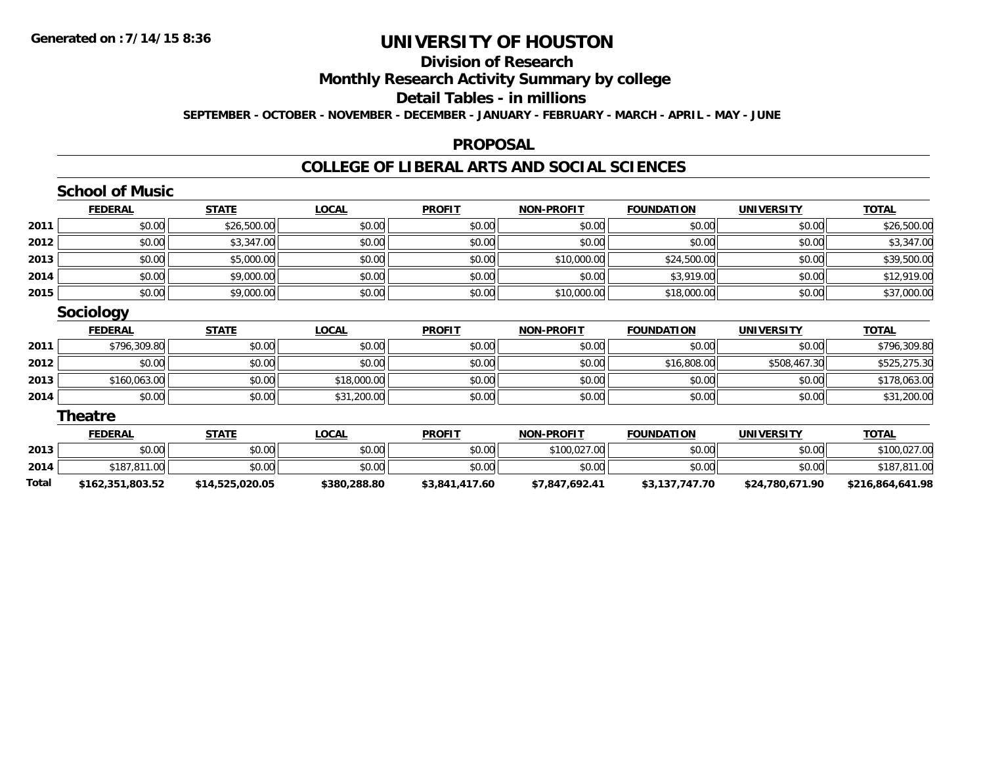### **Division of Research**

**Monthly Research Activity Summary by college**

#### **Detail Tables - in millions**

**SEPTEMBER - OCTOBER - NOVEMBER - DECEMBER - JANUARY - FEBRUARY - MARCH - APRIL - MAY - JUNE**

### **PROPOSAL**

### **COLLEGE OF LIBERAL ARTS AND SOCIAL SCIENCES**

|       | <b>School of Music</b> |                 |              |                |                   |                   |                   |                  |
|-------|------------------------|-----------------|--------------|----------------|-------------------|-------------------|-------------------|------------------|
|       | <b>FEDERAL</b>         | <b>STATE</b>    | <b>LOCAL</b> | <b>PROFIT</b>  | <b>NON-PROFIT</b> | <b>FOUNDATION</b> | <b>UNIVERSITY</b> | <b>TOTAL</b>     |
| 2011  | \$0.00                 | \$26,500.00     | \$0.00       | \$0.00         | \$0.00            | \$0.00            | \$0.00            | \$26,500.00      |
| 2012  | \$0.00                 | \$3,347.00      | \$0.00       | \$0.00         | \$0.00            | \$0.00            | \$0.00            | \$3,347.00       |
| 2013  | \$0.00                 | \$5,000.00      | \$0.00       | \$0.00         | \$10,000.00       | \$24,500.00       | \$0.00            | \$39,500.00      |
| 2014  | \$0.00                 | \$9,000.00      | \$0.00       | \$0.00         | \$0.00            | \$3,919.00        | \$0.00            | \$12,919.00      |
| 2015  | \$0.00                 | \$9,000.00      | \$0.00       | \$0.00         | \$10,000.00       | \$18,000.00       | \$0.00            | \$37,000.00      |
|       | <b>Sociology</b>       |                 |              |                |                   |                   |                   |                  |
|       | <b>FEDERAL</b>         | <b>STATE</b>    | <b>LOCAL</b> | <b>PROFIT</b>  | <b>NON-PROFIT</b> | <b>FOUNDATION</b> | <b>UNIVERSITY</b> | <b>TOTAL</b>     |
| 2011  | \$796,309.80           | \$0.00          | \$0.00       | \$0.00         | \$0.00            | \$0.00            | \$0.00            | \$796,309.80     |
| 2012  | \$0.00                 | \$0.00          | \$0.00       | \$0.00         | \$0.00            | \$16,808.00       | \$508,467.30      | \$525,275.30     |
| 2013  | \$160,063.00           | \$0.00          | \$18,000.00  | \$0.00         | \$0.00            | \$0.00            | \$0.00            | \$178,063.00     |
| 2014  | \$0.00                 | \$0.00          | \$31,200.00  | \$0.00         | \$0.00            | \$0.00            | \$0.00            | \$31,200.00      |
|       | <b>Theatre</b>         |                 |              |                |                   |                   |                   |                  |
|       | <b>FEDERAL</b>         | <b>STATE</b>    | <b>LOCAL</b> | <b>PROFIT</b>  | <b>NON-PROFIT</b> | <b>FOUNDATION</b> | <b>UNIVERSITY</b> | <b>TOTAL</b>     |
| 2013  | \$0.00                 | \$0.00          | \$0.00       | \$0.00         | \$100,027.00      | \$0.00            | \$0.00            | \$100,027.00     |
| 2014  | \$187,811.00           | \$0.00          | \$0.00       | \$0.00         | \$0.00            | \$0.00            | \$0.00            | \$187,811.00     |
| Total | \$162,351,803.52       | \$14,525,020.05 | \$380,288.80 | \$3,841,417.60 | \$7,847,692.41    | \$3,137,747.70    | \$24,780,671.90   | \$216,864,641.98 |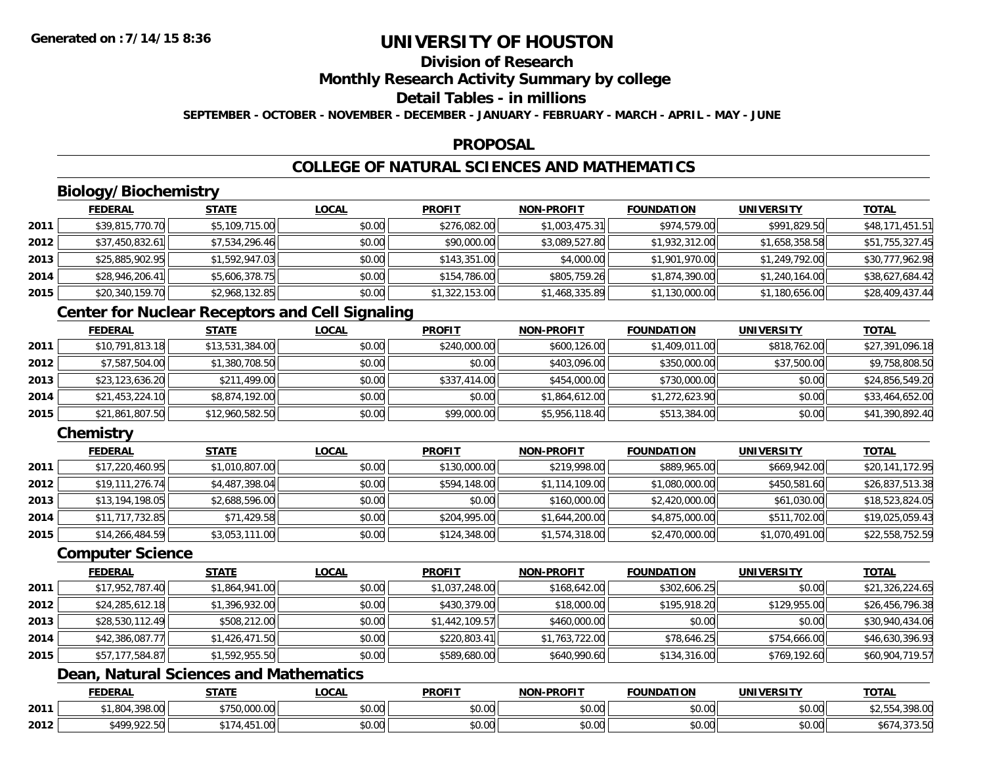## **Division of Research**

**Monthly Research Activity Summary by college**

#### **Detail Tables - in millions**

**SEPTEMBER - OCTOBER - NOVEMBER - DECEMBER - JANUARY - FEBRUARY - MARCH - APRIL - MAY - JUNE**

### **PROPOSAL**

## **COLLEGE OF NATURAL SCIENCES AND MATHEMATICS**

## **Biology/Biochemistry**

|      | <b>FEDERAL</b>  | <u>STATE</u>   | <u>LOCAL</u> | <b>PROFIT</b>  | <b>NON-PROFIT</b> | <b>FOUNDATION</b> | <b>UNIVERSITY</b> | <b>TOTAL</b>    |
|------|-----------------|----------------|--------------|----------------|-------------------|-------------------|-------------------|-----------------|
| 2011 | \$39,815,770.70 | \$5,109,715.00 | \$0.00       | \$276,082.00   | \$1,003,475.31    | \$974,579.00      | \$991,829.50      | \$48,171,451.51 |
| 2012 | \$37,450,832.61 | \$7,534,296.46 | \$0.00       | \$90,000.00    | \$3,089,527.80    | \$1,932,312.00    | \$1,658,358.58    | \$51,755,327.45 |
| 2013 | \$25,885,902.95 | \$1,592,947.03 | \$0.00       | \$143,351.00   | \$4,000.00        | \$1,901,970.00    | \$1,249,792.00    | \$30,777,962.98 |
| 2014 | \$28,946,206.41 | \$5,606,378.75 | \$0.00       | \$154,786.00   | \$805,759.26      | \$1,874,390.00    | \$1,240,164.00    | \$38,627,684.42 |
| 2015 | \$20,340,159.70 | \$2,968,132.85 | \$0.00       | \$1,322,153.00 | \$1,468,335.89    | \$1,130,000.00    | \$1,180,656.00    | \$28,409,437.44 |

## **Center for Nuclear Receptors and Cell Signaling**

|      | <b>FEDERAL</b>  | <b>STATE</b>    | <b>LOCAL</b> | <b>PROFIT</b> | <b>NON-PROFIT</b> | <b>FOUNDATION</b> | <b>UNIVERSITY</b> | <b>TOTAL</b>    |
|------|-----------------|-----------------|--------------|---------------|-------------------|-------------------|-------------------|-----------------|
| 2011 | \$10,791,813.18 | \$13,531,384.00 | \$0.00       | \$240,000.00  | \$600,126.00      | \$1,409,011.00    | \$818,762.00      | \$27,391,096.18 |
| 2012 | \$7,587,504.00  | \$1,380,708.50  | \$0.00       | \$0.00        | \$403,096.00      | \$350,000.00      | \$37,500.00       | \$9,758,808.50  |
| 2013 | \$23,123,636.20 | \$211,499.00    | \$0.00       | \$337,414.00  | \$454,000.00      | \$730,000.00      | \$0.00            | \$24,856,549.20 |
| 2014 | \$21,453,224.10 | \$8,874,192.00  | \$0.00       | \$0.00        | \$1,864,612.00    | \$1,272,623.90    | \$0.00            | \$33,464,652.00 |
| 2015 | \$21,861,807.50 | \$12,960,582.50 | \$0.00       | \$99,000.00   | \$5,956,118.40    | \$513,384.00      | \$0.00            | \$41,390,892.40 |

## **Chemistry**

|      | <b>FEDERAL</b>  | <u>STATE</u>   | <b>LOCAL</b> | <b>PROFIT</b> | <b>NON-PROFIT</b> | <b>FOUNDATION</b> | UNIVERSITY     | <b>TOTAL</b>    |
|------|-----------------|----------------|--------------|---------------|-------------------|-------------------|----------------|-----------------|
| 2011 | \$17,220,460.95 | \$1,010,807.00 | \$0.00       | \$130,000.00  | \$219,998.00      | \$889,965.00      | \$669,942.00   | \$20,141,172.95 |
| 2012 | \$19,111,276.74 | \$4,487,398.04 | \$0.00       | \$594,148.00  | \$1,114,109.00    | \$1,080,000.00    | \$450,581.60   | \$26,837,513.38 |
| 2013 | \$13,194,198.05 | \$2,688,596.00 | \$0.00       | \$0.00        | \$160,000.00      | \$2,420,000.00    | \$61,030.00    | \$18,523,824.05 |
| 2014 | \$11,717,732.85 | \$71,429.58    | \$0.00       | \$204,995.00  | \$1,644,200.00    | \$4,875,000.00    | \$511,702.00   | \$19,025,059.43 |
| 2015 | \$14,266,484.59 | \$3,053,111.00 | \$0.00       | \$124,348.00  | \$1,574,318.00    | \$2,470,000.00    | \$1,070,491.00 | \$22,558,752.59 |

### **Computer Science**

|      | <b>FEDERAL</b>  | <b>STATE</b>   | <b>LOCAL</b> | <b>PROFIT</b>  | <b>NON-PROFIT</b> | <b>FOUNDATION</b> | <b>UNIVERSITY</b> | <b>TOTAL</b>    |
|------|-----------------|----------------|--------------|----------------|-------------------|-------------------|-------------------|-----------------|
| 2011 | \$17,952,787.40 | \$1,864,941.00 | \$0.00       | \$1,037,248.00 | \$168,642.00      | \$302,606.25      | \$0.00            | \$21,326,224.65 |
| 2012 | \$24,285,612.18 | \$1,396,932.00 | \$0.00       | \$430,379.00   | \$18,000.00       | \$195,918.20      | \$129,955.00      | \$26,456,796.38 |
| 2013 | \$28,530,112.49 | \$508,212.00   | \$0.00       | \$1,442,109.57 | \$460,000.00      | \$0.00            | \$0.00            | \$30,940,434.06 |
| 2014 | \$42,386,087.77 | \$1,426,471.50 | \$0.00       | \$220,803.41   | \$1,763,722.00    | \$78,646.25       | \$754,666.00      | \$46,630,396.93 |
| 2015 | \$57,177,584.87 | \$1,592,955.50 | \$0.00       | \$589,680.00   | \$640,990.60      | \$134,316.00      | \$769,192.60      | \$60,904,719.57 |

## **Dean, Natural Sciences and Mathematics**

|      | <b>FEDERAL</b>           | $- - - -$        | .OCAI                 | <b>PROFIT</b>             | <b>LPROFIT</b><br>ימות | <b>FOUNDATION</b> | EDCITY<br>UNIVE    | <b>TOTAL</b>        |
|------|--------------------------|------------------|-----------------------|---------------------------|------------------------|-------------------|--------------------|---------------------|
| 2011 | 20000<br>70.VV           | $\sim$<br>$\sim$ | $\sim$ $\sim$<br>וטט. | ტი იი<br>JU.UU            | $\sim$ $\sim$<br>vu.uu | \$0.00            | $\sim$ 00<br>vu.ou | 20000<br>70.UU      |
| 2012 | $*$ 400 022 50<br>722.JU |                  | $\sim$ 00<br>vv.vv    | $\sim$<br>$\sim$<br>JU.UU | ስ ለሰ<br>PO.OO          | \$0.00            | 0000<br>\$0.00     | $\sim$ $-$<br>73.JU |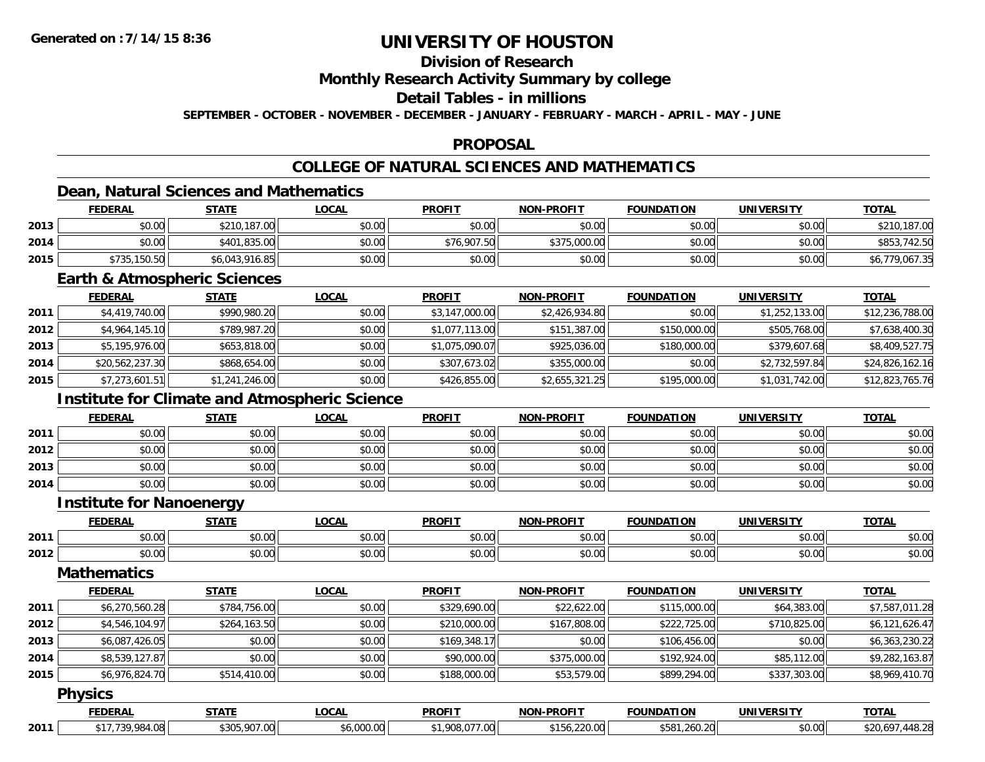## **Division of Research**

**Monthly Research Activity Summary by college**

### **Detail Tables - in millions**

**SEPTEMBER - OCTOBER - NOVEMBER - DECEMBER - JANUARY - FEBRUARY - MARCH - APRIL - MAY - JUNE**

### **PROPOSAL**

## **COLLEGE OF NATURAL SCIENCES AND MATHEMATICS**

### **Dean, Natural Sciences and Mathematics**

|      | <b>FEDERAL</b> | <b>STATE</b>   | <u>_OCAL</u> | <b>PROFIT</b> | <b>NON-PROFIT</b> | <b>FOUNDATION</b> | <b>UNIVERSITY</b> | <b>TOTAL</b>   |
|------|----------------|----------------|--------------|---------------|-------------------|-------------------|-------------------|----------------|
| 2013 | \$0.00         | \$210,187.00   | \$0.00       | \$0.00        | \$0.00            | \$0.00            | \$0.00            | \$210,187.00   |
| 2014 | \$0.00         | \$401,835.00   | \$0.00       | \$76,907.50   | \$375,000.00      | \$0.00            | \$0.00            | \$853,742.50   |
| 2015 | \$735,150.50   | \$6,043,916.85 | \$0.00       | \$0.00        | \$0.00            | \$0.00            | \$0.00            | \$6,779,067.35 |

### **Earth & Atmospheric Sciences**

|      | <b>FEDERAL</b>  | <u>STATE</u>   | <b>LOCAL</b> | <b>PROFIT</b>  | <b>NON-PROFIT</b> | <b>FOUNDATION</b> | <b>UNIVERSITY</b> | <u>TOTAL</u>    |
|------|-----------------|----------------|--------------|----------------|-------------------|-------------------|-------------------|-----------------|
| 2011 | \$4,419,740.00  | \$990,980.20   | \$0.00       | \$3,147,000.00 | \$2,426,934.80    | \$0.00            | \$1,252,133.00    | \$12,236,788.00 |
| 2012 | \$4,964,145,10  | \$789,987.20   | \$0.00       | \$1,077,113.00 | \$151,387.00      | \$150,000.00      | \$505,768.00      | \$7,638,400.30  |
| 2013 | \$5,195,976.00  | \$653,818.00   | \$0.00       | \$1,075,090.07 | \$925,036.00      | \$180,000.00      | \$379,607.68      | \$8,409,527.75  |
| 2014 | \$20,562,237.30 | \$868,654.00   | \$0.00       | \$307,673.02   | \$355,000.00      | \$0.00            | \$2,732,597.84    | \$24,826,162.16 |
| 2015 | \$7,273,601.51  | \$1,241,246.00 | \$0.00       | \$426,855.00   | \$2,655,321.25    | \$195,000.00      | \$1,031,742.00    | \$12,823,765.76 |

## **Institute for Climate and Atmospheric Science**

|      | <b>FEDERAL</b> | <b>STATE</b> | <u>LOCAL</u> | <b>PROFIT</b> | <b>NON-PROFIT</b> | <b>FOUNDATION</b> | <b>UNIVERSITY</b> | <b>TOTAL</b> |
|------|----------------|--------------|--------------|---------------|-------------------|-------------------|-------------------|--------------|
| 2011 | \$0.00         | \$0.00       | \$0.00       | \$0.00        | \$0.00            | \$0.00            | \$0.00            | \$0.00       |
| 2012 | \$0.00         | \$0.00       | \$0.00       | \$0.00        | \$0.00            | \$0.00            | \$0.00            | \$0.00       |
| 2013 | \$0.00         | \$0.00       | \$0.00       | \$0.00        | \$0.00            | \$0.00            | \$0.00            | \$0.00       |
| 2014 | \$0.00         | \$0.00       | \$0.00       | \$0.00        | \$0.00            | \$0.00            | \$0.00            | \$0.00       |

#### **Institute for Nanoenergy**

|      | <b>FEDERAI</b> | 27.77              | <b>OCAL</b>        | <b>PROFIT</b> | -PROFIT<br>NON     | <b>FOUNDATION</b>      | <b>IINIVEDSITV</b> | <b>TOTA</b>            |
|------|----------------|--------------------|--------------------|---------------|--------------------|------------------------|--------------------|------------------------|
| 2011 | \$0.00         | $\sim$ 00<br>טט.טע | $\sim$ 00<br>vv.vv | 0000<br>JU.UL | $\sim$ 00<br>pu.uu | $\sim$ $\sim$<br>JU.UU | $\sim$ 00<br>vv.vv | $\sim$ $\sim$<br>DU.UG |
| 2012 | \$0.00         | ሶስ ሰሰ<br>JU.UU     | 0000<br>JU.UU      | 0000<br>JU.UU | $\sim$ 00<br>J∪.∪u | $\sim$ 00<br>JU.UU     | ሰሰ ሰሰ<br>JU.UU     | $\sim$<br>ง∪.∪บ        |

### **Mathematics**

|      | <b>FEDERAL</b> | <b>STATE</b> | LOCAL  | <b>PROFIT</b> | <b>NON-PROFIT</b> | <b>FOUNDATION</b> | <b>UNIVERSITY</b> | <b>TOTAL</b>   |
|------|----------------|--------------|--------|---------------|-------------------|-------------------|-------------------|----------------|
| 2011 | \$6,270,560.28 | \$784,756.00 | \$0.00 | \$329,690.00  | \$22,622.00       | \$115,000.00      | \$64,383.00       | \$7,587,011.28 |
| 2012 | \$4,546,104.97 | \$264,163.50 | \$0.00 | \$210,000.00  | \$167,808.00      | \$222,725.00      | \$710,825,00      | \$6,121,626.47 |
| 2013 | \$6,087,426.05 | \$0.00       | \$0.00 | \$169,348.17  | \$0.00            | \$106,456.00      | \$0.00            | \$6,363,230.22 |
| 2014 | \$8,539,127.87 | \$0.00       | \$0.00 | \$90,000.00   | \$375,000.00      | \$192,924.00      | \$85,112.00       | \$9,282,163.87 |
| 2015 | \$6,976,824.70 | \$514,410.00 | \$0.00 | \$188,000.00  | \$53,579.00       | \$899,294.00      | \$337,303.00      | \$8,969,410.70 |

#### **Physics**

|      | <b>EDERAI</b>      | ------                                             | ne Ni<br>.                | <b>PROFIT</b>     | <b>PROFIT</b><br>NON       | <b>FOUNDATION</b>                  | <b>UNIVERSITY</b> | <b>TOTAL</b>                             |
|------|--------------------|----------------------------------------------------|---------------------------|-------------------|----------------------------|------------------------------------|-------------------|------------------------------------------|
| 2011 | $\sim$<br>4 ሰጸ<br> | $\sim 00^{-7}$<br>$\sim$ $\sim$<br>$\cdot$ uu<br>. | 0.00<br>$\sim$<br>.www.ww | $- - -$<br>$\sim$ | $\sim$<br>A1<br>. <i>.</i> | \$58'<br>20 <sub>1</sub><br>260.ZU | \$0.00            | . 110 <sup>o</sup><br>520.6°<br>: 448.∠. |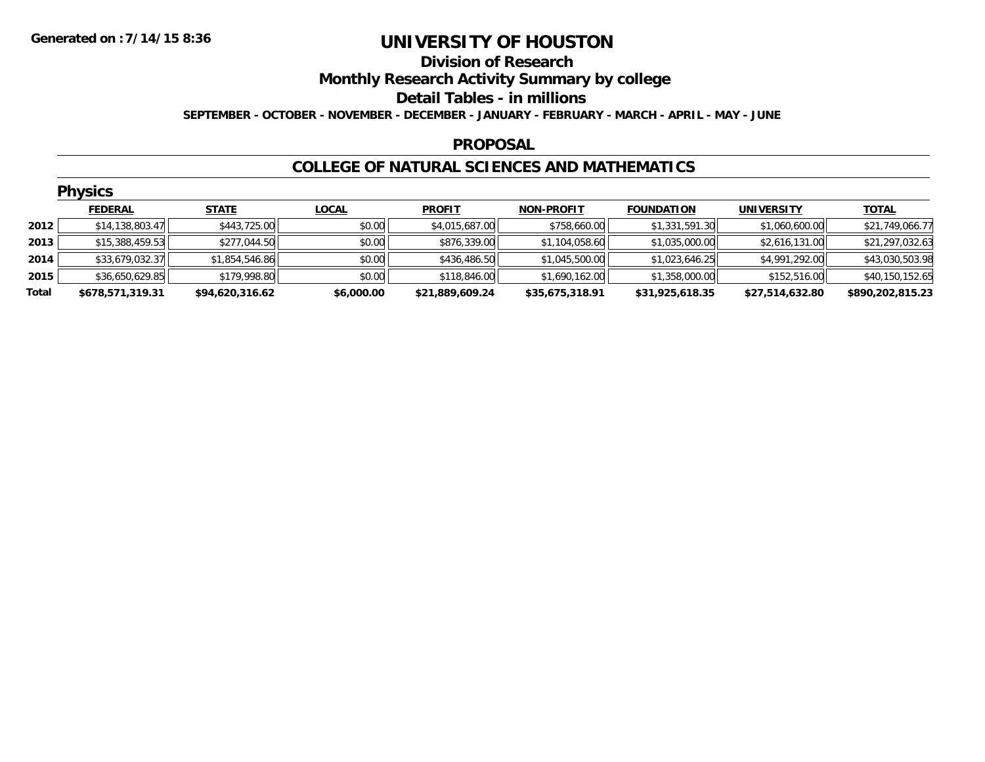### **Division of Research Monthly Research Activity Summary by college Detail Tables - in millions**

**SEPTEMBER - OCTOBER - NOVEMBER - DECEMBER - JANUARY - FEBRUARY - MARCH - APRIL - MAY - JUNE**

### **PROPOSAL**

### **COLLEGE OF NATURAL SCIENCES AND MATHEMATICS**

|       | <b>Physics</b>   |                 |              |                 |                   |                   |                   |                  |  |  |  |  |  |
|-------|------------------|-----------------|--------------|-----------------|-------------------|-------------------|-------------------|------------------|--|--|--|--|--|
|       | <b>FEDERAL</b>   | <b>STATE</b>    | <b>LOCAL</b> | <b>PROFIT</b>   | <b>NON-PROFIT</b> | <b>FOUNDATION</b> | <b>UNIVERSITY</b> | <b>TOTAL</b>     |  |  |  |  |  |
| 2012  | \$14,138,803.47  | \$443,725.00    | \$0.00       | \$4,015,687.00  | \$758,660.00      | \$1,331,591.30    | \$1,060,600.00    | \$21,749,066.77  |  |  |  |  |  |
| 2013  | \$15,388,459.53  | \$277,044.50    | \$0.00       | \$876,339.00    | \$1,104,058.60    | \$1,035,000.00    | \$2,616,131.00    | \$21,297,032.63  |  |  |  |  |  |
| 2014  | \$33,679,032.37  | \$1,854,546.86  | \$0.00       | \$436,486.50    | \$1,045,500.00    | \$1,023,646.25    | \$4,991,292.00    | \$43,030,503.98  |  |  |  |  |  |
| 2015  | \$36,650,629.85  | \$179,998.80    | \$0.00       | \$118,846.00    | \$1,690,162.00    | \$1,358,000.00    | \$152,516.00      | \$40,150,152.65  |  |  |  |  |  |
| Total | \$678,571,319.31 | \$94,620,316.62 | \$6,000.00   | \$21,889,609.24 | \$35,675,318.91   | \$31,925,618.35   | \$27,514,632.80   | \$890,202,815.23 |  |  |  |  |  |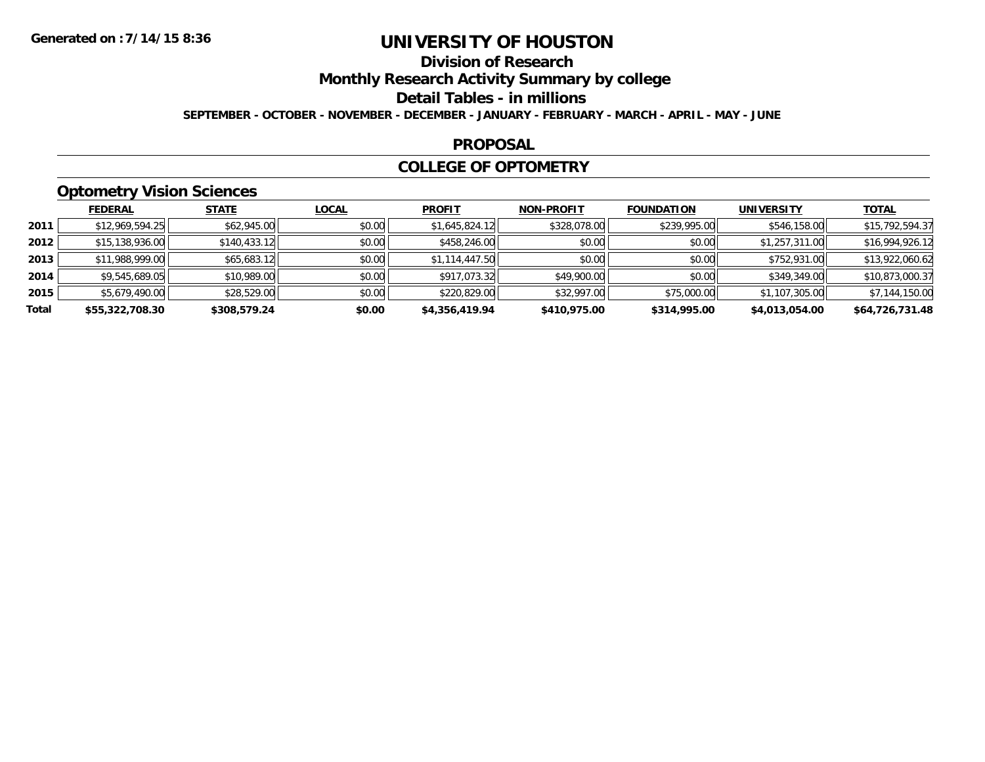## **Division of Research**

**Monthly Research Activity Summary by college**

#### **Detail Tables - in millions**

**SEPTEMBER - OCTOBER - NOVEMBER - DECEMBER - JANUARY - FEBRUARY - MARCH - APRIL - MAY - JUNE**

### **PROPOSAL**

### **COLLEGE OF OPTOMETRY**

## **Optometry Vision Sciences**

|       | <b>FEDERAL</b>  | <b>STATE</b> | <u>LOCAL</u> | <b>PROFIT</b>  | <b>NON-PROFIT</b> | <b>FOUNDATION</b> | <b>UNIVERSITY</b> | <u>TOTAL</u>    |
|-------|-----------------|--------------|--------------|----------------|-------------------|-------------------|-------------------|-----------------|
| 2011  | \$12,969,594.25 | \$62,945.00  | \$0.00       | \$1,645,824.12 | \$328,078.00      | \$239,995.00      | \$546,158.00      | \$15,792,594.37 |
| 2012  | \$15,138,936.00 | \$140,433.12 | \$0.00       | \$458,246.00   | \$0.00            | \$0.00            | \$1,257,311.00    | \$16,994,926.12 |
| 2013  | \$11,988,999.00 | \$65,683.12  | \$0.00       | \$1,114,447.50 | \$0.00            | \$0.00            | \$752,931.00      | \$13,922,060.62 |
| 2014  | \$9,545,689.05  | \$10,989.00  | \$0.00       | \$917,073.32   | \$49,900.00       | \$0.00            | \$349,349.00      | \$10,873,000.37 |
| 2015  | \$5,679,490.00  | \$28,529.00  | \$0.00       | \$220,829.00   | \$32,997.00       | \$75,000.00       | \$1,107,305.00    | \$7,144,150.00  |
| Total | \$55,322,708.30 | \$308,579.24 | \$0.00       | \$4,356,419.94 | \$410,975.00      | \$314,995.00      | \$4,013,054.00    | \$64,726,731.48 |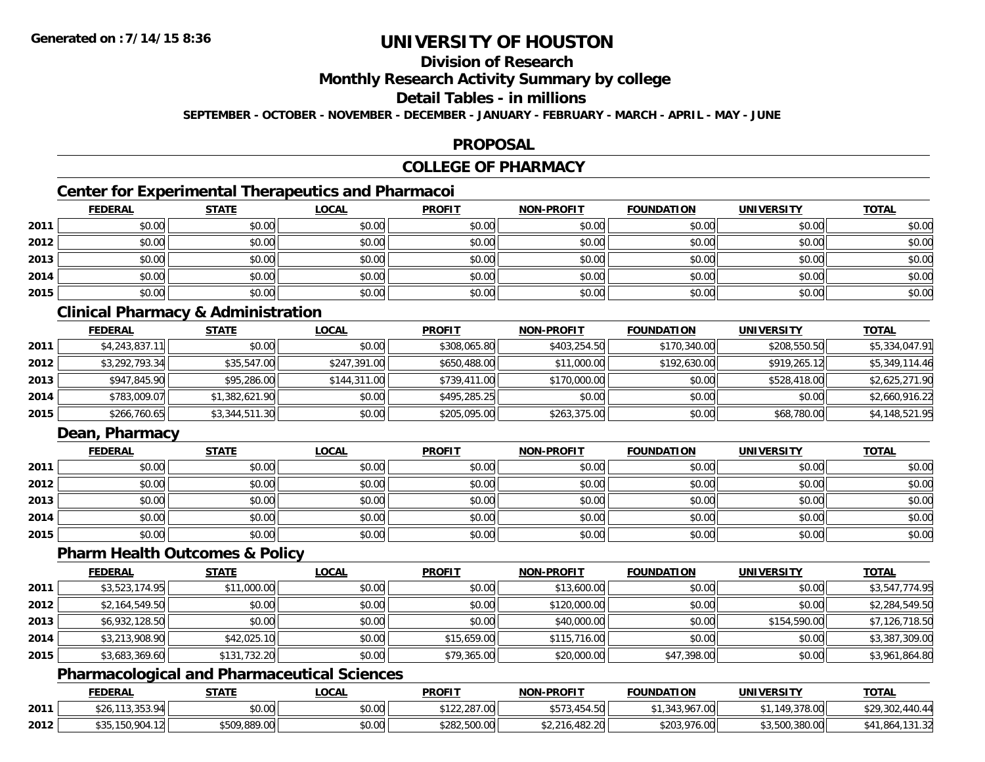## **Division of Research**

### **Monthly Research Activity Summary by college**

#### **Detail Tables - in millions**

**SEPTEMBER - OCTOBER - NOVEMBER - DECEMBER - JANUARY - FEBRUARY - MARCH - APRIL - MAY - JUNE**

### **PROPOSAL**

## **COLLEGE OF PHARMACY**

## **Center for Experimental Therapeutics and Pharmacoi**

|      | <b>FEDERAL</b> | <b>STATE</b> | <b>LOCAL</b> | <b>PROFIT</b> | <b>NON-PROFIT</b> | <b>FOUNDATION</b> | <b>UNIVERSITY</b> | <b>TOTAL</b> |
|------|----------------|--------------|--------------|---------------|-------------------|-------------------|-------------------|--------------|
| 2011 | \$0.00         | \$0.00       | \$0.00       | \$0.00        | \$0.00            | \$0.00            | \$0.00            | \$0.00       |
| 2012 | \$0.00         | \$0.00       | \$0.00       | \$0.00        | \$0.00            | \$0.00            | \$0.00            | \$0.00       |
| 2013 | \$0.00         | \$0.00       | \$0.00       | \$0.00        | \$0.00            | \$0.00            | \$0.00            | \$0.00       |
| 2014 | \$0.00         | \$0.00       | \$0.00       | \$0.00        | \$0.00            | \$0.00            | \$0.00            | \$0.00       |
| 2015 | \$0.00         | \$0.00       | \$0.00       | \$0.00        | \$0.00            | \$0.00            | \$0.00            | \$0.00       |

## **Clinical Pharmacy & Administration**

|      | <b>FEDERAL</b> | <b>STATE</b>   | <b>LOCAL</b> | <b>PROFIT</b> | <b>NON-PROFIT</b> | <b>FOUNDATION</b> | <b>UNIVERSITY</b> | <b>TOTAL</b>   |
|------|----------------|----------------|--------------|---------------|-------------------|-------------------|-------------------|----------------|
| 2011 | \$4,243,837.11 | \$0.00         | \$0.00       | \$308,065.80  | \$403,254.50      | \$170,340.00      | \$208,550.50      | \$5,334,047.91 |
| 2012 | \$3,292,793.34 | \$35,547.00    | \$247,391,00 | \$650,488.00  | \$11,000.00       | \$192,630.00      | \$919,265.12      | \$5,349,114.46 |
| 2013 | \$947,845.90   | \$95,286.00    | \$144,311.00 | \$739,411.00  | \$170,000.00      | \$0.00            | \$528,418.00      | \$2,625,271.90 |
| 2014 | \$783,009.07   | \$1,382,621.90 | \$0.00       | \$495,285.25  | \$0.00            | \$0.00            | \$0.00            | \$2,660,916.22 |
| 2015 | \$266,760.65   | \$3,344,511.30 | \$0.00       | \$205,095.00  | \$263,375.00      | \$0.00            | \$68,780.00       | \$4,148,521.95 |

## **Dean, Pharmacy**

|      | <b>FEDERAL</b> | <b>STATE</b> | <u>LOCAL</u> | <b>PROFIT</b> | <b>NON-PROFIT</b> | <b>FOUNDATION</b> | <b>UNIVERSITY</b> | <b>TOTAL</b> |
|------|----------------|--------------|--------------|---------------|-------------------|-------------------|-------------------|--------------|
| 2011 | \$0.00         | \$0.00       | \$0.00       | \$0.00        | \$0.00            | \$0.00            | \$0.00            | \$0.00       |
| 2012 | \$0.00         | \$0.00       | \$0.00       | \$0.00        | \$0.00            | \$0.00            | \$0.00            | \$0.00       |
| 2013 | \$0.00         | \$0.00       | \$0.00       | \$0.00        | \$0.00            | \$0.00            | \$0.00            | \$0.00       |
| 2014 | \$0.00         | \$0.00       | \$0.00       | \$0.00        | \$0.00            | \$0.00            | \$0.00            | \$0.00       |
| 2015 | \$0.00         | \$0.00       | \$0.00       | \$0.00        | \$0.00            | \$0.00            | \$0.00            | \$0.00       |

### **Pharm Health Outcomes & Policy**

|      | <b>FEDERAL</b> | <b>STATE</b> | <b>LOCAL</b> | <b>PROFIT</b> | <b>NON-PROFIT</b> | <b>FOUNDATION</b> | UNIVERSITY   | <b>TOTAL</b>   |
|------|----------------|--------------|--------------|---------------|-------------------|-------------------|--------------|----------------|
| 2011 | \$3,523,174.95 | \$11,000.00  | \$0.00       | \$0.00        | \$13,600.00       | \$0.00            | \$0.00       | \$3,547,774.95 |
| 2012 | \$2,164,549.50 | \$0.00       | \$0.00       | \$0.00        | \$120,000.00      | \$0.00            | \$0.00       | \$2,284,549.50 |
| 2013 | \$6,932,128.50 | \$0.00       | \$0.00       | \$0.00        | \$40,000.00       | \$0.00            | \$154,590.00 | \$7,126,718.50 |
| 2014 | \$3,213,908.90 | \$42,025.10  | \$0.00       | \$15,659.00   | \$115,716.00      | \$0.00            | \$0.00       | \$3,387,309.00 |
| 2015 | \$3,683,369.60 | \$131,732.20 | \$0.00       | \$79,365.00   | \$20,000.00       | \$47,398.00       | \$0.00       | \$3,961,864.80 |

## **Pharmacological and Pharmaceutical Sciences**

|      | <b>FEDERAL</b>  | STATE                      | _OCAL          | <b>PROFIT</b>                | <b>NON-PROFIT</b>                       | <b>FOUNDATION</b> | UNIVERSITY             | <b>TOTAL</b>                       |
|------|-----------------|----------------------------|----------------|------------------------------|-----------------------------------------|-------------------|------------------------|------------------------------------|
| 2011 | 1 J.JJJ         | \$0.00                     | mn n¢<br>pu.uu | $+400$<br>0220<br>122,207.00 | $+ - - -$<br>l.50<br>$\sim$<br>DJ / J.4 | .967.001          | 149.378.00<br>Y,378.UU | \$29,302,<br>$\overline{AB}$<br>44 |
| 2012 | r. . <i>z</i> . | <b>CENO 000 NO</b><br>`00. | \$0.00         | \$282,500.00                 | .482.20<br>52.216.                      | \$203,976.00      | \$3,500,380.00         | \$41.864<br>2د. ۱ د ۱              |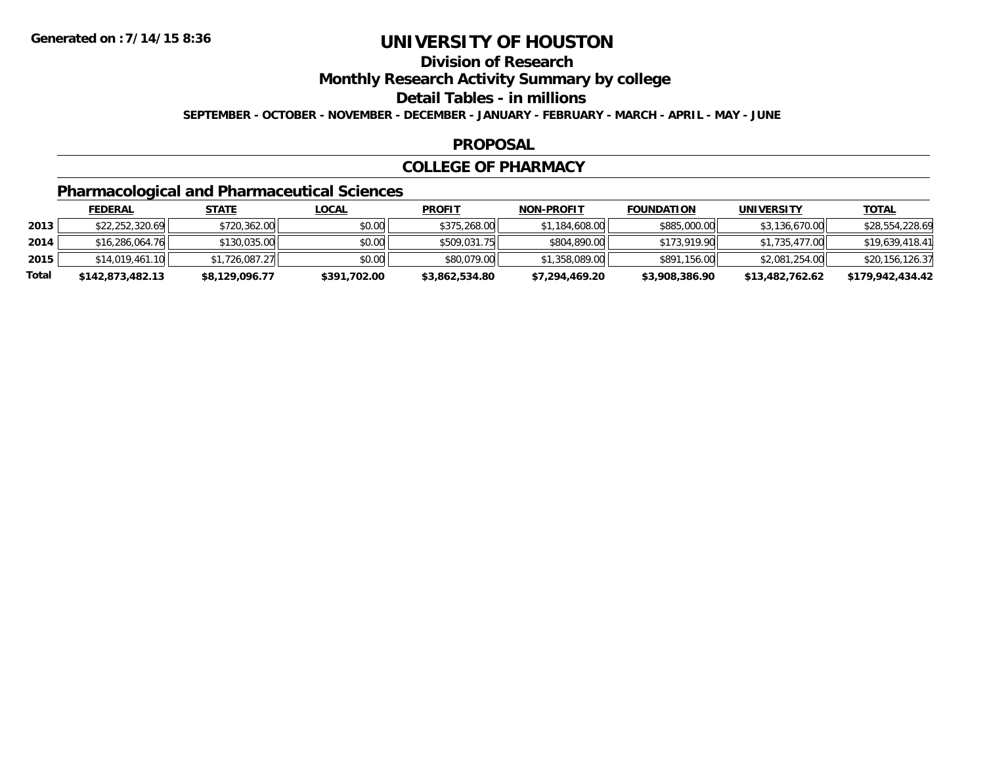## **Division of Research**

**Monthly Research Activity Summary by college**

#### **Detail Tables - in millions**

**SEPTEMBER - OCTOBER - NOVEMBER - DECEMBER - JANUARY - FEBRUARY - MARCH - APRIL - MAY - JUNE**

### **PROPOSAL**

### **COLLEGE OF PHARMACY**

## **Pharmacological and Pharmaceutical Sciences**

|       | <b>FEDERAL</b>   | <u>STATE</u>   | <u>LOCAL</u> | <b>PROFIT</b>  | <b>NON-PROFIT</b> | <b>FOUNDATION</b> | UNIVERSITY      | <b>TOTAL</b>     |
|-------|------------------|----------------|--------------|----------------|-------------------|-------------------|-----------------|------------------|
| 2013  | \$22,252,320.69  | \$720,362.00   | \$0.00       | \$375,268.00   | \$1,184,608.00    | \$885,000.00      | \$3,136,670.00  | \$28,554,228.69  |
| 2014  | \$16,286,064.76  | \$130,035.00   | \$0.00       | \$509,031.75   | \$804,890.00      | \$173,919.90      | \$1,735,477.00  | \$19,639,418.41  |
| 2015  | \$14,019,461.10  | \$1,726,087.27 | \$0.00       | \$80,079.00    | \$1,358,089.00    | \$891,156.00      | \$2,081,254.00  | \$20,156,126.37  |
| Total | \$142,873,482.13 | \$8,129,096.77 | \$391,702.00 | \$3,862,534.80 | \$7,294,469.20    | \$3,908,386.90    | \$13,482,762.62 | \$179,942,434.42 |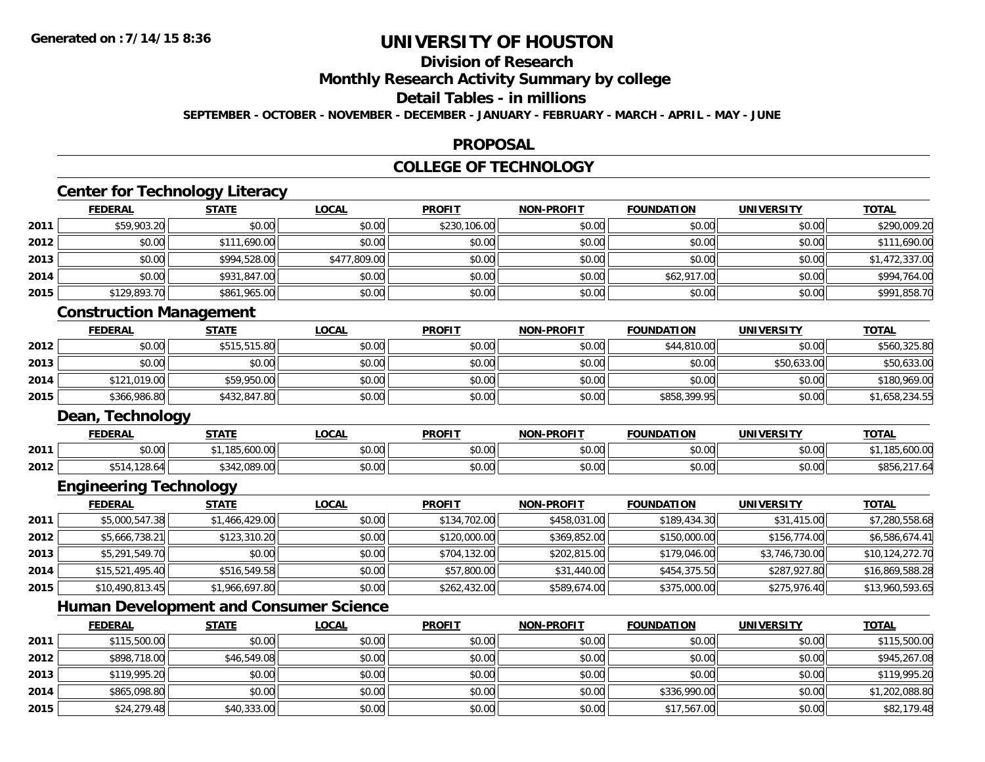**2014**

**2015**

# **UNIVERSITY OF HOUSTON**

# **Division of Research**

**Monthly Research Activity Summary by college**

#### **Detail Tables - in millions**

**SEPTEMBER - OCTOBER - NOVEMBER - DECEMBER - JANUARY - FEBRUARY - MARCH - APRIL - MAY - JUNE**

### **PROPOSAL**

## **COLLEGE OF TECHNOLOGY**

|                                                      | <b>FEDERAL</b>                                | <b>STATE</b>   | <b>LOCAL</b> | <b>PROFIT</b> | <b>NON-PROFIT</b> | <b>FOUNDATION</b> | <b>UNIVERSITY</b> | <b>TOTAL</b>                                                                                                              |
|------------------------------------------------------|-----------------------------------------------|----------------|--------------|---------------|-------------------|-------------------|-------------------|---------------------------------------------------------------------------------------------------------------------------|
| 2011                                                 | \$59,903.20                                   | \$0.00         | \$0.00       | \$230,106.00  | \$0.00            | \$0.00            | \$0.00            | \$290,009.20                                                                                                              |
| 2012                                                 | \$0.00                                        | \$111,690.00   | \$0.00       | \$0.00        | \$0.00            | \$0.00            | \$0.00            | \$111,690.00                                                                                                              |
| 2013                                                 | \$0.00                                        | \$994,528.00   | \$477,809.00 | \$0.00        | \$0.00            | \$0.00            | \$0.00            | \$1,472,337.00                                                                                                            |
| 2014                                                 | \$0.00                                        | \$931,847.00   | \$0.00       | \$0.00        | \$0.00            | \$62,917.00       | \$0.00            | \$994,764.00                                                                                                              |
| 2015                                                 | \$129,893.70                                  | \$861,965.00   | \$0.00       | \$0.00        | \$0.00            | \$0.00            | \$0.00            | \$991,858.70                                                                                                              |
|                                                      | <b>Construction Management</b>                |                |              |               |                   |                   |                   |                                                                                                                           |
|                                                      | <b>FEDERAL</b>                                | <b>STATE</b>   | <b>LOCAL</b> | <b>PROFIT</b> | <b>NON-PROFIT</b> | <b>FOUNDATION</b> | <b>UNIVERSITY</b> | <b>TOTAL</b>                                                                                                              |
| 2012                                                 | \$0.00                                        | \$515,515.80   | \$0.00       | \$0.00        | \$0.00            | \$44,810.00       | \$0.00            | \$560,325.80                                                                                                              |
| 2013                                                 | \$0.00                                        | \$0.00         | \$0.00       | \$0.00        | \$0.00            | \$0.00            | \$50,633.00       | \$50,633.00                                                                                                               |
| 2014                                                 | \$121,019.00                                  | \$59,950.00    | \$0.00       | \$0.00        | \$0.00            | \$0.00            | \$0.00            | \$180,969.00                                                                                                              |
| 2015                                                 | \$366,986.80                                  | \$432,847.80   | \$0.00       | \$0.00        | \$0.00            | \$858,399.95      | \$0.00            | \$1,658,234.55                                                                                                            |
|                                                      | Dean, Technology                              |                |              |               |                   |                   |                   |                                                                                                                           |
|                                                      | <b>FEDERAL</b>                                | <b>STATE</b>   | <b>LOCAL</b> | <b>PROFIT</b> | <b>NON-PROFIT</b> | <b>FOUNDATION</b> | <b>UNIVERSITY</b> | <b>TOTAL</b>                                                                                                              |
| 2011                                                 | \$0.00                                        | \$1,185,600.00 | \$0.00       | \$0.00        | \$0.00            | \$0.00            | \$0.00            | \$1,185,600.00                                                                                                            |
| 2012                                                 | \$514,128.64                                  | \$342,089.00   | \$0.00       | \$0.00        | \$0.00            | \$0.00            | \$0.00            | \$856,217.64                                                                                                              |
|                                                      | <b>Engineering Technology</b>                 |                |              |               |                   |                   |                   |                                                                                                                           |
|                                                      |                                               |                |              |               |                   |                   |                   |                                                                                                                           |
|                                                      | <b>FEDERAL</b>                                | <b>STATE</b>   | <b>LOCAL</b> | <b>PROFIT</b> | <b>NON-PROFIT</b> | <b>FOUNDATION</b> | <b>UNIVERSITY</b> | <b>TOTAL</b>                                                                                                              |
|                                                      | \$5,000,547.38                                | \$1,466,429.00 | \$0.00       | \$134,702.00  | \$458,031.00      | \$189,434.30      | \$31,415.00       |                                                                                                                           |
|                                                      | \$5,666,738.21                                | \$123,310.20   | \$0.00       | \$120,000.00  | \$369,852.00      | \$150,000.00      | \$156,774.00      |                                                                                                                           |
|                                                      | \$5,291,549.70                                | \$0.00         | \$0.00       | \$704,132.00  | \$202,815.00      | \$179,046.00      | \$3,746,730.00    |                                                                                                                           |
|                                                      | \$15,521,495.40                               | \$516,549.58   | \$0.00       | \$57,800.00   | \$31,440.00       | \$454,375.50      | \$287,927.80      |                                                                                                                           |
|                                                      | \$10,490,813.45                               | \$1,966,697.80 | \$0.00       | \$262,432.00  | \$589,674.00      | \$375,000.00      | \$275,976.40      |                                                                                                                           |
|                                                      | <b>Human Development and Consumer Science</b> |                |              |               |                   |                   |                   |                                                                                                                           |
|                                                      | <b>FEDERAL</b>                                | <b>STATE</b>   | <b>LOCAL</b> | <b>PROFIT</b> | <b>NON-PROFIT</b> | <b>FOUNDATION</b> | <b>UNIVERSITY</b> | <b>TOTAL</b>                                                                                                              |
|                                                      | \$115,500.00                                  | \$0.00         | \$0.00       | \$0.00        | \$0.00            | \$0.00            | \$0.00            |                                                                                                                           |
| 2011<br>2012<br>2013<br>2014<br>2015<br>2011<br>2012 | \$898,718.00                                  | \$46,549.08    | \$0.00       | \$0.00        | \$0.00            | \$0.00            | \$0.00            | \$7,280,558.68<br>\$6,586,674.41<br>\$10,124,272.70<br>\$16,869,588.28<br>\$13,960,593.65<br>\$115,500.00<br>\$945,267.08 |
| 2013                                                 | \$119,995.20                                  | \$0.00         | \$0.00       | \$0.00        | \$0.00            | \$0.00            | \$0.00            | \$119,995.20                                                                                                              |

4 \$865,098.80 \$0.00 \$0.00 \$0.00 \$0.00 \$0.00 \$0.00 \$0.00 \$0.00 \$0.00 \$336,990.00 \$336,990.00 \$1,202,088.80

\$24,279.48 \$40,333.00 \$0.00 \$0.00 \$0.00 \$17,567.00 \$0.00 \$82,179.48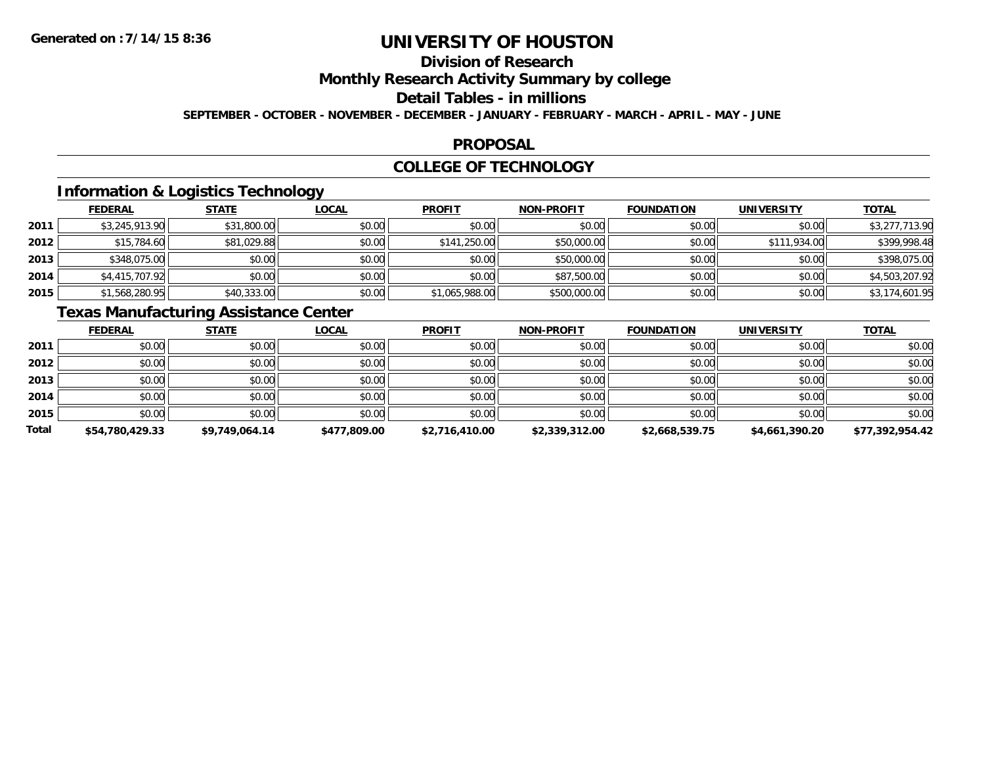# **Division of Research**

**Monthly Research Activity Summary by college**

#### **Detail Tables - in millions**

**SEPTEMBER - OCTOBER - NOVEMBER - DECEMBER - JANUARY - FEBRUARY - MARCH - APRIL - MAY - JUNE**

### **PROPOSAL**

### **COLLEGE OF TECHNOLOGY**

## **Information & Logistics Technology**

|      | <b>FEDERAL</b> | <b>STATE</b> | <u>LOCAL</u> | <b>PROFIT</b>  | <b>NON-PROFIT</b> | <b>FOUNDATION</b> | <b>UNIVERSITY</b> | <b>TOTAL</b>   |
|------|----------------|--------------|--------------|----------------|-------------------|-------------------|-------------------|----------------|
| 2011 | \$3,245,913.90 | \$31,800.00  | \$0.00       | \$0.00         | \$0.00            | \$0.00            | \$0.00            | \$3,277,713.90 |
| 2012 | \$15,784.60    | \$81,029.88  | \$0.00       | \$141,250.00   | \$50,000.00       | \$0.00            | \$111,934.00      | \$399,998.48   |
| 2013 | \$348,075.00   | \$0.00       | \$0.00       | \$0.00         | \$50,000.00       | \$0.00            | \$0.00            | \$398,075.00   |
| 2014 | \$4,415,707.92 | \$0.00       | \$0.00       | \$0.00         | \$87,500.00       | \$0.00            | \$0.00            | \$4,503,207.92 |
| 2015 | \$1,568,280.95 | \$40,333.00  | \$0.00       | \$1,065,988.00 | \$500,000.00      | \$0.00            | \$0.00            | \$3,174,601.95 |

## **Texas Manufacturing Assistance Center**

|       | <b>FEDERAL</b>  | <b>STATE</b>   | <b>LOCAL</b> | <b>PROFIT</b>  | <b>NON-PROFIT</b> | <b>FOUNDATION</b> | <b>UNIVERSITY</b> | <b>TOTAL</b>    |
|-------|-----------------|----------------|--------------|----------------|-------------------|-------------------|-------------------|-----------------|
| 2011  | \$0.00          | \$0.00         | \$0.00       | \$0.00         | \$0.00            | \$0.00            | \$0.00            | \$0.00          |
| 2012  | \$0.00          | \$0.00         | \$0.00       | \$0.00         | \$0.00            | \$0.00            | \$0.00            | \$0.00          |
| 2013  | \$0.00          | \$0.00         | \$0.00       | \$0.00         | \$0.00            | \$0.00            | \$0.00            | \$0.00          |
| 2014  | \$0.00          | \$0.00         | \$0.00       | \$0.00         | \$0.00            | \$0.00            | \$0.00            | \$0.00          |
| 2015  | \$0.00          | \$0.00         | \$0.00       | \$0.00         | \$0.00            | \$0.00            | \$0.00            | \$0.00          |
| Total | \$54,780,429.33 | \$9,749,064.14 | \$477,809.00 | \$2,716,410.00 | \$2,339,312.00    | \$2,668,539.75    | \$4,661,390.20    | \$77,392,954.42 |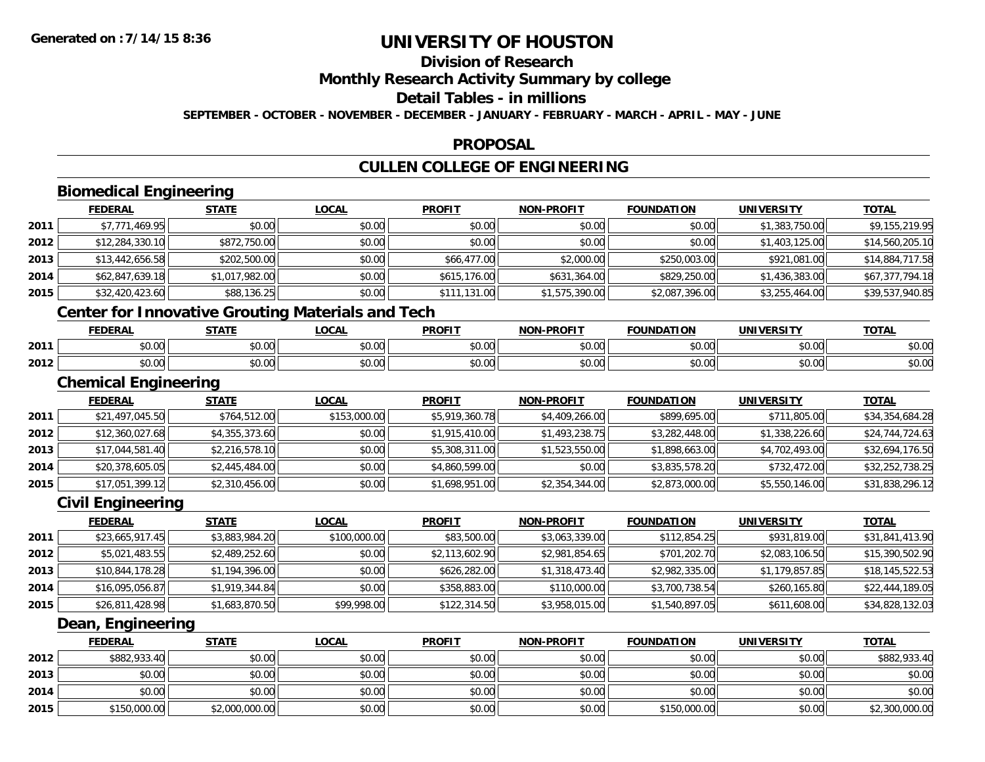**2014**

**2015**

# **UNIVERSITY OF HOUSTON**

# **Division of Research**

## **Monthly Research Activity Summary by college**

#### **Detail Tables - in millions**

**SEPTEMBER - OCTOBER - NOVEMBER - DECEMBER - JANUARY - FEBRUARY - MARCH - APRIL - MAY - JUNE**

### **PROPOSAL**

## **CULLEN COLLEGE OF ENGINEERING**

|      | <b>Biomedical Engineering</b>                            |                |              |                |                   |                   |                   |                 |
|------|----------------------------------------------------------|----------------|--------------|----------------|-------------------|-------------------|-------------------|-----------------|
|      | <b>FEDERAL</b>                                           | <b>STATE</b>   | <b>LOCAL</b> | <b>PROFIT</b>  | <b>NON-PROFIT</b> | <b>FOUNDATION</b> | <b>UNIVERSITY</b> | <b>TOTAL</b>    |
| 2011 | \$7,771,469.95                                           | \$0.00         | \$0.00       | \$0.00         | \$0.00            | \$0.00            | \$1,383,750.00    | \$9,155,219.95  |
| 2012 | \$12,284,330.10                                          | \$872,750.00   | \$0.00       | \$0.00         | \$0.00            | \$0.00            | \$1,403,125.00    | \$14,560,205.10 |
| 2013 | \$13,442,656.58                                          | \$202,500.00   | \$0.00       | \$66,477.00    | \$2,000.00        | \$250,003.00      | \$921,081.00      | \$14,884,717.58 |
| 2014 | \$62,847,639.18                                          | \$1,017,982.00 | \$0.00       | \$615,176.00   | \$631,364.00      | \$829,250.00      | \$1,436,383.00    | \$67,377,794.18 |
| 2015 | \$32,420,423.60                                          | \$88,136.25    | \$0.00       | \$111,131.00   | \$1,575,390.00    | \$2,087,396.00    | \$3,255,464.00    | \$39,537,940.85 |
|      | <b>Center for Innovative Grouting Materials and Tech</b> |                |              |                |                   |                   |                   |                 |
|      | <b>FEDERAL</b>                                           | <b>STATE</b>   | <b>LOCAL</b> | <b>PROFIT</b>  | <b>NON-PROFIT</b> | <b>FOUNDATION</b> | <b>UNIVERSITY</b> | <b>TOTAL</b>    |
| 2011 | \$0.00                                                   | \$0.00         | \$0.00       | \$0.00         | \$0.00            | \$0.00            | \$0.00            | \$0.00          |
| 2012 | \$0.00                                                   | \$0.00         | \$0.00       | \$0.00         | \$0.00            | \$0.00            | \$0.00            | \$0.00          |
|      | <b>Chemical Engineering</b>                              |                |              |                |                   |                   |                   |                 |
|      | <b>FEDERAL</b>                                           | <b>STATE</b>   | <b>LOCAL</b> | <b>PROFIT</b>  | <b>NON-PROFIT</b> | <b>FOUNDATION</b> | <b>UNIVERSITY</b> | <b>TOTAL</b>    |
| 2011 | \$21,497,045.50                                          | \$764,512.00   | \$153,000.00 | \$5,919,360.78 | \$4,409,266.00    | \$899,695.00      | \$711,805.00      | \$34,354,684.28 |
| 2012 | \$12,360,027.68                                          | \$4,355,373.60 | \$0.00       | \$1,915,410.00 | \$1,493,238.75    | \$3,282,448.00    | \$1,338,226.60    | \$24,744,724.63 |
| 2013 | \$17,044,581.40                                          | \$2,216,578.10 | \$0.00       | \$5,308,311.00 | \$1,523,550.00    | \$1,898,663.00    | \$4,702,493.00    | \$32,694,176.50 |
| 2014 | \$20,378,605.05                                          | \$2,445,484.00 | \$0.00       | \$4,860,599.00 | \$0.00            | \$3,835,578.20    | \$732,472.00      | \$32,252,738.25 |
| 2015 | \$17,051,399.12                                          | \$2,310,456.00 | \$0.00       | \$1,698,951.00 | \$2,354,344.00    | \$2,873,000.00    | \$5,550,146.00    | \$31,838,296.12 |
|      | <b>Civil Engineering</b>                                 |                |              |                |                   |                   |                   |                 |
|      | <b>FEDERAL</b>                                           | <b>STATE</b>   | <b>LOCAL</b> | <b>PROFIT</b>  | <b>NON-PROFIT</b> | <b>FOUNDATION</b> | <b>UNIVERSITY</b> | <b>TOTAL</b>    |
| 2011 | \$23,665,917.45                                          | \$3,883,984.20 | \$100,000.00 | \$83,500.00    | \$3,063,339.00    | \$112,854.25      | \$931,819.00      | \$31,841,413.90 |
| 2012 | \$5,021,483.55                                           | \$2,489,252.60 | \$0.00       | \$2,113,602.90 | \$2,981,854.65    | \$701,202.70      | \$2,083,106.50    | \$15,390,502.90 |
| 2013 | \$10,844,178.28                                          | \$1,194,396.00 | \$0.00       | \$626,282.00   | \$1,318,473.40    | \$2,982,335.00    | \$1,179,857.85    | \$18,145,522.53 |
| 2014 | \$16,095,056.87                                          | \$1,919,344.84 | \$0.00       | \$358,883.00   | \$110,000.00      | \$3,700,738.54    | \$260,165.80      | \$22,444,189.05 |
| 2015 | \$26,811,428.98                                          | \$1,683,870.50 | \$99,998.00  | \$122,314.50   | \$3,958,015.00    | \$1,540,897.05    | \$611,608.00      | \$34,828,132.03 |
|      | Dean, Engineering                                        |                |              |                |                   |                   |                   |                 |
|      | <b>FEDERAL</b>                                           | <b>STATE</b>   | <b>LOCAL</b> | <b>PROFIT</b>  | NON-PROFIT        | <b>FOUNDATION</b> | <b>UNIVERSITY</b> | <b>TOTAL</b>    |
| 2012 | \$882,933.40                                             | \$0.00         | \$0.00       | \$0.00         | \$0.00            | \$0.00            | \$0.00            | \$882,933.40    |
| 2013 | \$0.00                                                   | \$0.00         | \$0.00       | \$0.00         | \$0.00            | \$0.00            | \$0.00            | \$0.00          |

4 \$0.00 \$0.00 \$0.00 \$0.00 \$0.00 \$0.00 \$0.00 \$0.00 \$0.00 \$0.00 \$0.00 \$0.00 \$0.00 \$0.00 \$0.00 \$0.00 \$0.00 \$0.00

\$150,000.00 \$2,000,000.00 \$0.00 \$0.00 \$0.00 \$150,000.00 \$0.00 \$2,300,000.00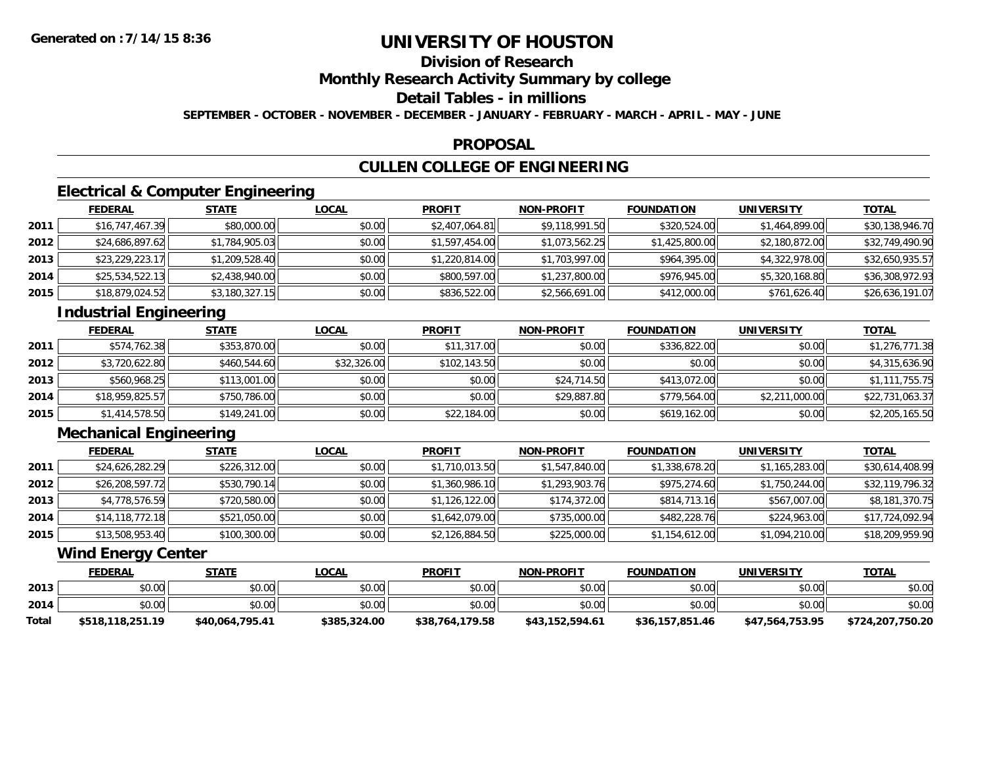## **Division of Research**

### **Monthly Research Activity Summary by college**

## **Detail Tables - in millions**

**SEPTEMBER - OCTOBER - NOVEMBER - DECEMBER - JANUARY - FEBRUARY - MARCH - APRIL - MAY - JUNE**

### **PROPOSAL**

## **CULLEN COLLEGE OF ENGINEERING**

## **Electrical & Computer Engineering**

|      | <b>FEDERAL</b>  | <u>STATE</u>   | <u>LOCAL</u> | <b>PROFIT</b>  | <b>NON-PROFIT</b> | <b>FOUNDATION</b> | <b>UNIVERSITY</b> | <u>TOTAL</u>    |
|------|-----------------|----------------|--------------|----------------|-------------------|-------------------|-------------------|-----------------|
| 2011 | \$16,747,467.39 | \$80,000.00    | \$0.00       | \$2,407,064.81 | \$9,118,991.50    | \$320,524.00      | \$1,464,899.00    | \$30,138,946.70 |
| 2012 | \$24,686,897.62 | \$1,784,905.03 | \$0.00       | \$1,597,454.00 | \$1,073,562.25    | \$1,425,800.00    | \$2,180,872.00    | \$32,749,490.90 |
| 2013 | \$23,229,223.17 | \$1,209,528.40 | \$0.00       | \$1,220,814.00 | \$1,703,997.00    | \$964,395.00      | \$4,322,978.00    | \$32,650,935.57 |
| 2014 | \$25,534,522.13 | \$2,438,940.00 | \$0.00       | \$800,597.00   | \$1,237,800.00    | \$976,945.00      | \$5,320,168.80    | \$36,308,972.93 |
| 2015 | \$18,879,024.52 | \$3,180,327.15 | \$0.00       | \$836,522.00   | \$2,566,691.00    | \$412,000.00      | \$761,626.40      | \$26,636,191.07 |

## **Industrial Engineering**

|      | <b>FEDERAL</b>  | <u>STATE</u> | <b>LOCAL</b> | <b>PROFIT</b> | <b>NON-PROFIT</b> | <b>FOUNDATION</b> | <b>UNIVERSITY</b> | <b>TOTAL</b>    |
|------|-----------------|--------------|--------------|---------------|-------------------|-------------------|-------------------|-----------------|
| 2011 | \$574,762.38    | \$353,870.00 | \$0.00       | \$11,317.00   | \$0.00            | \$336,822.00      | \$0.00            | \$1,276,771.38  |
| 2012 | \$3,720,622.80  | \$460,544.60 | \$32,326.00  | \$102,143.50  | \$0.00            | \$0.00            | \$0.00            | \$4,315,636.90  |
| 2013 | \$560,968.25    | \$113,001.00 | \$0.00       | \$0.00        | \$24,714.50       | \$413,072.00      | \$0.00            | \$1,111,755.75  |
| 2014 | \$18,959,825.57 | \$750,786.00 | \$0.00       | \$0.00        | \$29,887.80       | \$779,564.00      | \$2,211,000.00    | \$22,731,063.37 |
| 2015 | \$1,414,578.50  | \$149,241.00 | \$0.00       | \$22,184.00   | \$0.00            | \$619,162.00      | \$0.00            | \$2,205,165.50  |

## **Mechanical Engineering**

|      | <b>FEDERAL</b>  | <u>STATE</u> | <b>LOCAL</b> | <b>PROFIT</b>  | <b>NON-PROFIT</b> | <b>FOUNDATION</b> | <b>UNIVERSITY</b> | <u>TOTAL</u>    |
|------|-----------------|--------------|--------------|----------------|-------------------|-------------------|-------------------|-----------------|
| 2011 | \$24,626,282.29 | \$226,312.00 | \$0.00       | \$1,710,013.50 | \$1,547,840.00    | \$1,338,678.20    | \$1,165,283.00    | \$30,614,408.99 |
| 2012 | \$26,208,597.72 | \$530,790.14 | \$0.00       | \$1,360,986.10 | \$1,293,903.76    | \$975,274.60      | \$1,750,244.00    | \$32,119,796.32 |
| 2013 | \$4,778,576.59  | \$720,580.00 | \$0.00       | \$1,126,122.00 | \$174,372.00      | \$814,713.16      | \$567,007.00      | \$8,181,370.75  |
| 2014 | \$14,118,772.18 | \$521,050.00 | \$0.00       | \$1,642,079.00 | \$735,000.00      | \$482,228.76      | \$224,963.00      | \$17,724,092.94 |
| 2015 | \$13,508,953.40 | \$100,300.00 | \$0.00       | \$2,126,884.50 | \$225,000.00      | \$1,154,612.00    | \$1,094,210.00    | \$18,209,959.90 |

### **Wind Energy Center**

|              | <u>FEDERAL</u>   | STATE           | <u>LOCAL</u> | <b>PROFIT</b>   | <b>NON-PROFIT</b> | <b>FOUNDATION</b> | UNIVERSITY      | <b>TOTAL</b>     |
|--------------|------------------|-----------------|--------------|-----------------|-------------------|-------------------|-----------------|------------------|
| 2013         | \$0.00           | \$0.00          | \$0.00       | \$0.00          | \$0.00            | \$0.00            | \$0.00          | \$0.00           |
| 2014         | \$0.00           | \$0.00          | \$0.00       | \$0.00          | \$0.00            | \$0.00            | \$0.00          | \$0.00           |
| <b>Total</b> | \$518,118,251.19 | \$40,064,795.41 | \$385,324.00 | \$38,764,179.58 | \$43.152.594.61   | \$36.157.851.46   | \$47,564,753.95 | \$724,207,750.20 |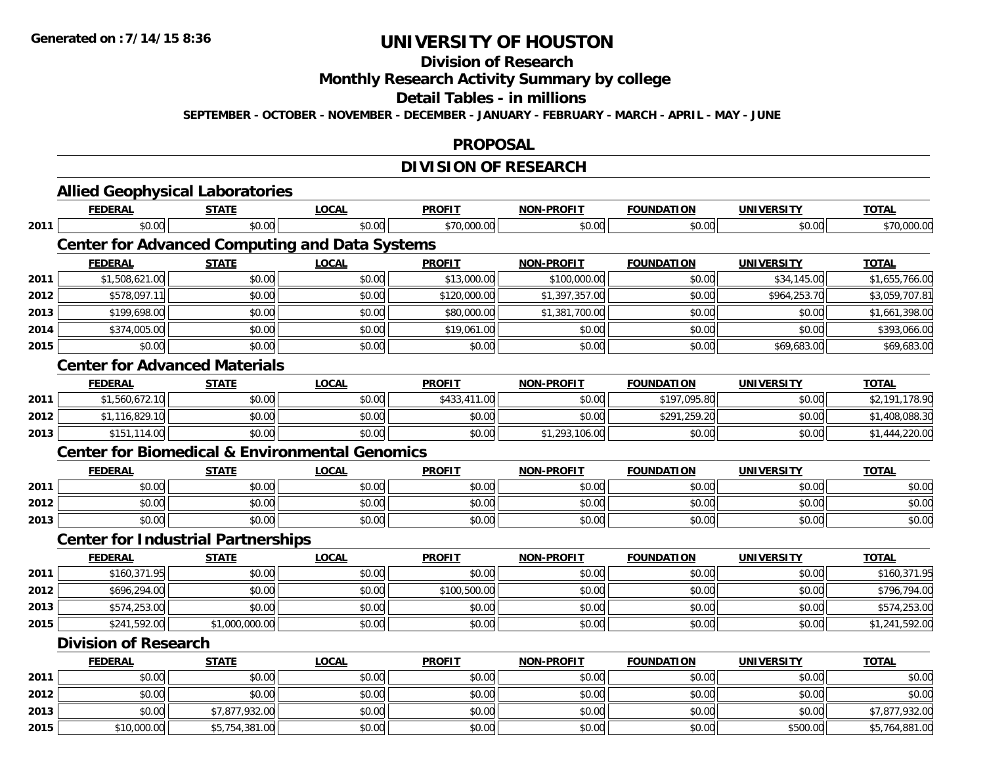## **Division of Research**

**Monthly Research Activity Summary by college**

#### **Detail Tables - in millions**

**SEPTEMBER - OCTOBER - NOVEMBER - DECEMBER - JANUARY - FEBRUARY - MARCH - APRIL - MAY - JUNE**

#### **PROPOSAL**

## **DIVISION OF RESEARCH**

|      | <b>Allied Geophysical Laboratories</b>                    |                |              |               |                   |                   |                   |                |
|------|-----------------------------------------------------------|----------------|--------------|---------------|-------------------|-------------------|-------------------|----------------|
|      | <b>FEDERAL</b>                                            | <b>STATE</b>   | <b>LOCAL</b> | <b>PROFIT</b> | NON-PROFIT        | <b>FOUNDATION</b> | <b>UNIVERSITY</b> | <b>TOTAL</b>   |
| 2011 | \$0.00                                                    | \$0.00         | \$0.00       | \$70,000.00   | \$0.00            | \$0.00            | \$0.00            | \$70,000.00    |
|      | <b>Center for Advanced Computing and Data Systems</b>     |                |              |               |                   |                   |                   |                |
|      | <b>FEDERAL</b>                                            | <b>STATE</b>   | <b>LOCAL</b> | <b>PROFIT</b> | <b>NON-PROFIT</b> | <b>FOUNDATION</b> | <b>UNIVERSITY</b> | <b>TOTAL</b>   |
| 2011 | \$1,508,621.00                                            | \$0.00         | \$0.00       | \$13,000.00   | \$100,000.00      | \$0.00            | \$34,145.00       | \$1,655,766.00 |
| 2012 | \$578,097.11                                              | \$0.00         | \$0.00       | \$120,000.00  | \$1,397,357.00    | \$0.00            | \$964,253.70      | \$3,059,707.81 |
| 2013 | \$199,698.00                                              | \$0.00         | \$0.00       | \$80,000.00   | \$1,381,700.00    | \$0.00            | \$0.00            | \$1,661,398.00 |
| 2014 | \$374,005.00                                              | \$0.00         | \$0.00       | \$19,061.00   | \$0.00            | \$0.00            | \$0.00            | \$393,066.00   |
| 2015 | \$0.00                                                    | \$0.00         | \$0.00       | \$0.00        | \$0.00            | \$0.00            | \$69,683.00       | \$69,683.00    |
|      | <b>Center for Advanced Materials</b>                      |                |              |               |                   |                   |                   |                |
|      | <b>FEDERAL</b>                                            | <b>STATE</b>   | <b>LOCAL</b> | <b>PROFIT</b> | <b>NON-PROFIT</b> | <b>FOUNDATION</b> | <b>UNIVERSITY</b> | <b>TOTAL</b>   |
| 2011 | \$1,560,672.10                                            | \$0.00         | \$0.00       | \$433,411.00  | \$0.00            | \$197,095.80      | \$0.00            | \$2,191,178.90 |
| 2012 | \$1,116,829.10                                            | \$0.00         | \$0.00       | \$0.00        | \$0.00            | \$291,259.20      | \$0.00            | \$1,408,088.30 |
| 2013 | \$151,114.00                                              | \$0.00         | \$0.00       | \$0.00        | \$1,293,106.00    | \$0.00            | \$0.00            | \$1,444,220.00 |
|      | <b>Center for Biomedical &amp; Environmental Genomics</b> |                |              |               |                   |                   |                   |                |
|      | <b>FEDERAL</b>                                            | <b>STATE</b>   | <b>LOCAL</b> | <b>PROFIT</b> | <b>NON-PROFIT</b> | <b>FOUNDATION</b> | <b>UNIVERSITY</b> | <b>TOTAL</b>   |
| 2011 | \$0.00                                                    | \$0.00         | \$0.00       | \$0.00        | \$0.00            | \$0.00            | \$0.00            | \$0.00         |
| 2012 | \$0.00                                                    | \$0.00         | \$0.00       | \$0.00        | \$0.00            | \$0.00            | \$0.00            | \$0.00         |
| 2013 | \$0.00                                                    | \$0.00         | \$0.00       | \$0.00        | \$0.00            | \$0.00            | \$0.00            | \$0.00         |
|      | <b>Center for Industrial Partnerships</b>                 |                |              |               |                   |                   |                   |                |
|      | <b>FEDERAL</b>                                            | <b>STATE</b>   | <b>LOCAL</b> | <b>PROFIT</b> | <b>NON-PROFIT</b> | <b>FOUNDATION</b> | <b>UNIVERSITY</b> | <b>TOTAL</b>   |
| 2011 | \$160,371.95                                              | \$0.00         | \$0.00       | \$0.00        | \$0.00            | \$0.00            | \$0.00            | \$160,371.95   |
| 2012 | \$696,294.00                                              | \$0.00         | \$0.00       | \$100,500.00  | \$0.00            | \$0.00            | \$0.00            | \$796,794.00   |
| 2013 | \$574,253.00                                              | \$0.00         | \$0.00       | \$0.00        | \$0.00            | \$0.00            | \$0.00            | \$574,253.00   |
| 2015 | \$241,592.00                                              | \$1,000,000.00 | \$0.00       | \$0.00        | \$0.00            | \$0.00            | \$0.00            | \$1,241,592.00 |
|      | <b>Division of Research</b>                               |                |              |               |                   |                   |                   |                |
|      | <b>FEDERAL</b>                                            | <b>STATE</b>   | <b>LOCAL</b> | <b>PROFIT</b> | <b>NON-PROFIT</b> | <b>FOUNDATION</b> | <b>UNIVERSITY</b> | <b>TOTAL</b>   |
| 2011 | \$0.00                                                    | \$0.00         | \$0.00       | \$0.00        | \$0.00            | \$0.00            | \$0.00            | \$0.00         |
| 2012 | \$0.00                                                    | \$0.00         | \$0.00       | \$0.00        | \$0.00            | \$0.00            | \$0.00            | \$0.00         |
| 2013 | \$0.00                                                    | \$7,877,932.00 | \$0.00       | \$0.00        | \$0.00            | \$0.00            | \$0.00            | \$7,877,932.00 |
| 2015 | \$10,000.00                                               | \$5,754,381.00 | \$0.00       | \$0.00        | \$0.00            | \$0.00            | \$500.00          | \$5,764,881.00 |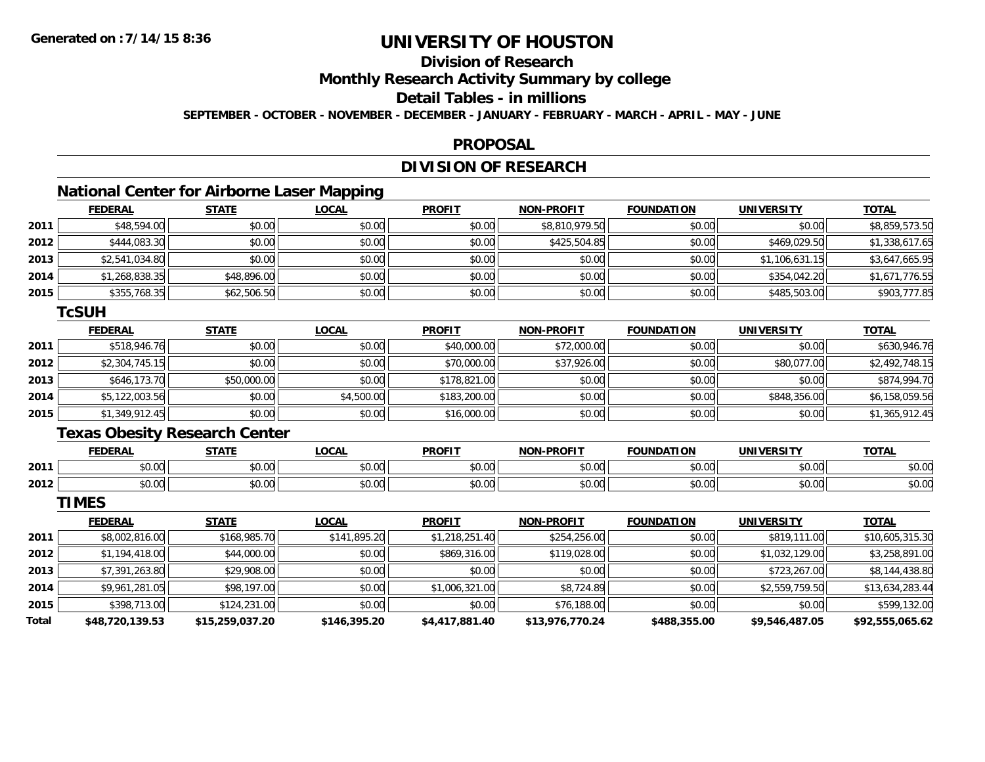## **Division of Research**

**Monthly Research Activity Summary by college**

## **Detail Tables - in millions**

**SEPTEMBER - OCTOBER - NOVEMBER - DECEMBER - JANUARY - FEBRUARY - MARCH - APRIL - MAY - JUNE**

#### **PROPOSAL**

## **DIVISION OF RESEARCH**

## **National Center for Airborne Laser Mapping**

|      | <b>FEDERAL</b> | <b>STATE</b> | <b>LOCAL</b> | <b>PROFIT</b> | <b>NON-PROFIT</b> | <b>FOUNDATION</b> | <b>UNIVERSITY</b> | <b>TOTAL</b>   |
|------|----------------|--------------|--------------|---------------|-------------------|-------------------|-------------------|----------------|
| 2011 | \$48,594.00    | \$0.00       | \$0.00       | \$0.00        | \$8,810,979.50    | \$0.00            | \$0.00            | \$8,859,573.50 |
| 2012 | \$444,083.30   | \$0.00       | \$0.00       | \$0.00        | \$425,504.85      | \$0.00            | \$469,029.50      | \$1,338,617.65 |
| 2013 | \$2,541,034.80 | \$0.00       | \$0.00       | \$0.00        | \$0.00            | \$0.00            | \$1,106,631.15    | \$3,647,665.95 |
| 2014 | \$1,268,838.35 | \$48,896.00  | \$0.00       | \$0.00        | \$0.00            | \$0.00            | \$354,042.20      | \$1,671,776.55 |
| 2015 | \$355,768.35   | \$62,506.50  | \$0.00       | \$0.00        | \$0.00            | \$0.00            | \$485,503.00      | \$903,777.85   |

#### **TcSUH**

|      | <b>FEDERAL</b> | <b>STATE</b> | <u>LOCAL</u> | <b>PROFIT</b> | <b>NON-PROFIT</b> | <b>FOUNDATION</b> | <b>UNIVERSITY</b> | <b>TOTAL</b>   |
|------|----------------|--------------|--------------|---------------|-------------------|-------------------|-------------------|----------------|
| 2011 | \$518,946.76   | \$0.00       | \$0.00       | \$40,000.00   | \$72,000.00       | \$0.00            | \$0.00            | \$630,946.76   |
| 2012 | \$2,304,745.15 | \$0.00       | \$0.00       | \$70,000.00   | \$37,926.00       | \$0.00            | \$80,077.00       | \$2,492,748.15 |
| 2013 | \$646,173.70   | \$50,000.00  | \$0.00       | \$178,821.00  | \$0.00            | \$0.00            | \$0.00            | \$874,994.70   |
| 2014 | \$5,122,003.56 | \$0.00       | \$4,500.00   | \$183,200.00  | \$0.00            | \$0.00            | \$848,356.00      | \$6,158,059.56 |
| 2015 | \$1,349,912.45 | \$0.00       | \$0.00       | \$16,000.00   | \$0.00            | \$0.00            | \$0.00            | \$1,365,912.45 |

## **Texas Obesity Research Center**

|      | <b>FEDERAL</b> | <b>CTATE</b>        | .OCAI              | <b>PROFIT</b>                   | <b>PROFIT</b><br><b>NION</b> | FOLINDAT<br>ΓΙΟΝ | UNIVERSITY                      | <b>TOTAL</b>  |
|------|----------------|---------------------|--------------------|---------------------------------|------------------------------|------------------|---------------------------------|---------------|
| 2011 | 0000<br>טט.טע  | $\uparrow$<br>טט.טע | ሶስ ሰሰ<br>vu.vu     | $\sim$ $\sim$<br>$\cap$<br>ט.טע | 0000<br>งบ.บเ                | 0000<br>,u.uu    | 0.00<br>JU.UU                   | \$0.00        |
| 2012 | 0000<br>DU.UU  | $\sim$<br>JU.UU     | $\sim$ 00<br>JU.UU | \$0.00                          | \$0.00                       | \$0.00           | $n \cap \Omega$<br><b>DU.UU</b> | 0000<br>JU.UU |

**TIMES**

|       | <b>FEDERAL</b>  | <b>STATE</b>    | <u>LOCAL</u> | <b>PROFIT</b>  | <b>NON-PROFIT</b> | <b>FOUNDATION</b> | <b>UNIVERSITY</b> | <b>TOTAL</b>    |
|-------|-----------------|-----------------|--------------|----------------|-------------------|-------------------|-------------------|-----------------|
| 2011  | \$8,002,816.00  | \$168,985.70    | \$141,895.20 | \$1,218,251.40 | \$254,256.00      | \$0.00            | \$819,111.00      | \$10,605,315.30 |
| 2012  | \$1,194,418.00  | \$44,000.00     | \$0.00       | \$869,316.00   | \$119,028.00      | \$0.00            | \$1,032,129.00    | \$3,258,891.00  |
| 2013  | \$7,391,263.80  | \$29,908.00     | \$0.00       | \$0.00         | \$0.00            | \$0.00            | \$723,267.00      | \$8,144,438.80  |
| 2014  | \$9,961,281.05  | \$98,197.00     | \$0.00       | \$1,006,321.00 | \$8,724.89        | \$0.00            | \$2,559,759.50    | \$13,634,283.44 |
| 2015  | \$398,713.00    | \$124,231.00    | \$0.00       | \$0.00         | \$76,188.00       | \$0.00            | \$0.00            | \$599,132.00    |
| Total | \$48,720,139.53 | \$15,259,037.20 | \$146,395.20 | \$4,417,881.40 | \$13,976,770.24   | \$488,355.00      | \$9,546,487.05    | \$92,555,065.62 |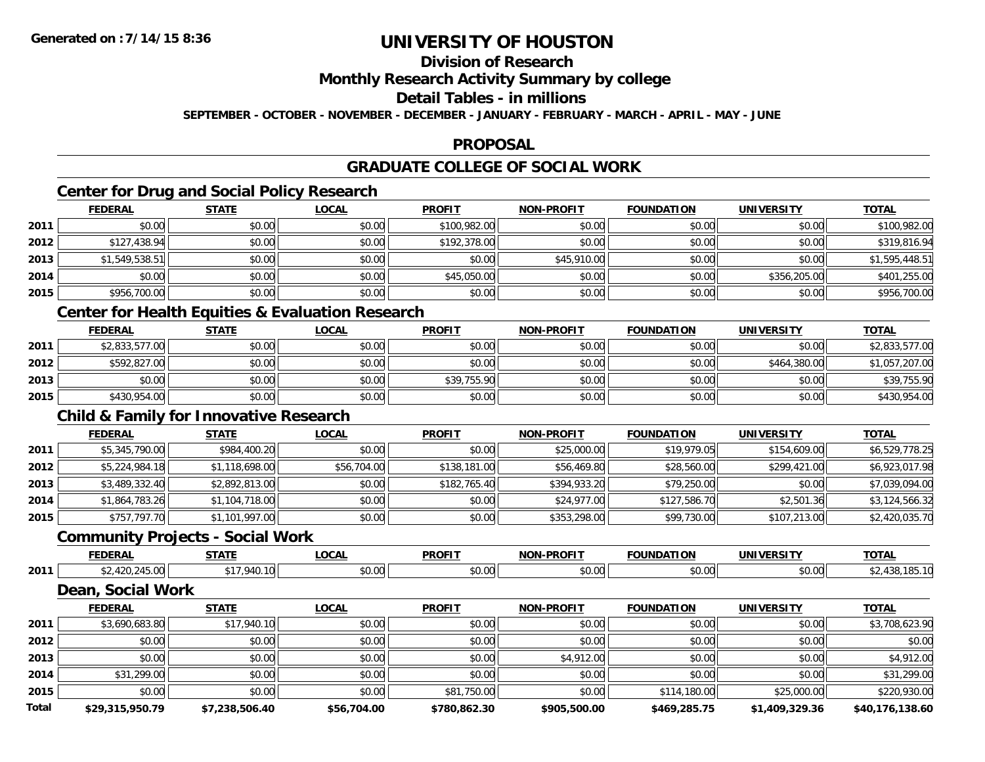## **Division of Research**

### **Monthly Research Activity Summary by college**

### **Detail Tables - in millions**

**SEPTEMBER - OCTOBER - NOVEMBER - DECEMBER - JANUARY - FEBRUARY - MARCH - APRIL - MAY - JUNE**

### **PROPOSAL**

## **GRADUATE COLLEGE OF SOCIAL WORK**

## **Center for Drug and Social Policy Research**

|      | <b>FEDERAL</b> | <b>STATE</b> | <u>LOCAL</u> | <b>PROFIT</b> | <b>NON-PROFIT</b> | <b>FOUNDATION</b> | <b>UNIVERSITY</b> | <b>TOTAL</b>   |
|------|----------------|--------------|--------------|---------------|-------------------|-------------------|-------------------|----------------|
| 2011 | \$0.00         | \$0.00       | \$0.00       | \$100,982.00  | \$0.00            | \$0.00            | \$0.00            | \$100,982.00   |
| 2012 | \$127,438.94   | \$0.00       | \$0.00       | \$192,378.00  | \$0.00            | \$0.00            | \$0.00            | \$319,816.94   |
| 2013 | \$1,549,538.51 | \$0.00       | \$0.00       | \$0.00        | \$45,910.00       | \$0.00            | \$0.00            | \$1,595,448.51 |
| 2014 | \$0.00         | \$0.00       | \$0.00       | \$45,050.00   | \$0.00            | \$0.00            | \$356,205.00      | \$401,255.00   |
| 2015 | \$956,700.00   | \$0.00       | \$0.00       | \$0.00        | \$0.00            | \$0.00            | \$0.00            | \$956,700.00   |
|      |                |              |              |               |                   |                   |                   |                |

### **Center for Health Equities & Evaluation Research**

|      | <b>FEDERAL</b> | <b>STATE</b> | <u>LOCAL</u> | <b>PROFIT</b> | NON-PROFIT | <b>FOUNDATION</b> | UNIVERSITY   | <b>TOTAL</b>   |
|------|----------------|--------------|--------------|---------------|------------|-------------------|--------------|----------------|
| 2011 | \$2,833,577.00 | \$0.00       | \$0.00       | \$0.00        | \$0.00     | \$0.00            | \$0.00       | \$2,833,577.00 |
| 2012 | \$592.827.00   | \$0.00       | \$0.00       | \$0.00        | \$0.00     | \$0.00            | \$464,380.00 | \$1,057,207.00 |
| 2013 | \$0.00         | \$0.00       | \$0.00       | \$39,755.90   | \$0.00     | \$0.00            | \$0.00       | \$39,755.90    |
| 2015 | \$430,954.00   | \$0.00       | \$0.00       | \$0.00        | \$0.00     | \$0.00            | \$0.00       | \$430,954.00   |

### **Child & Family for Innovative Research**

|      | <b>FEDERAL</b> | <b>STATE</b>   | <u>LOCAL</u> | <b>PROFIT</b> | <b>NON-PROFIT</b> | <b>FOUNDATION</b> | <b>UNIVERSITY</b> | <b>TOTAL</b>   |
|------|----------------|----------------|--------------|---------------|-------------------|-------------------|-------------------|----------------|
| 2011 | \$5,345,790.00 | \$984,400.20   | \$0.00       | \$0.00        | \$25,000.00       | \$19,979.05       | \$154,609.00      | \$6,529,778.25 |
| 2012 | \$5,224,984.18 | \$1,118,698.00 | \$56,704.00  | \$138,181.00  | \$56,469.80       | \$28,560.00       | \$299,421.00      | \$6,923,017.98 |
| 2013 | \$3,489,332.40 | \$2,892,813.00 | \$0.00       | \$182,765.40  | \$394,933.20      | \$79,250.00       | \$0.00            | \$7,039,094.00 |
| 2014 | \$1,864,783.26 | \$1,104,718.00 | \$0.00       | \$0.00        | \$24,977.00       | \$127,586.70      | \$2,501.36        | \$3,124,566.32 |
| 2015 | \$757,797.70   | \$1,101,997.00 | \$0.00       | \$0.00        | \$353,298.00      | \$99,730.00       | \$107,213.00      | \$2,420,035.70 |

## **Community Projects - Social Work**

|      | <b>FEDERAL</b> | ----- | $\sim$<br>.UUML             | <b>PROFIT</b>      | דוממח<br><b>MAR</b> | ארוחו | `INITVE               | <b>TOTAL</b> |
|------|----------------|-------|-----------------------------|--------------------|---------------------|-------|-----------------------|--------------|
| 2011 |                |       | $\sim$ $\sim$<br>``<br>70.U | $\sim$ 00<br>vv.vv | 0.00<br>JU.UU       | ູນບ.⊾ | 50.00<br><b>DU.UG</b> | <b>IOL</b>   |

### **Dean, Social Work**

|              | <b>FEDERAL</b>  | <b>STATE</b>   | <u>LOCAL</u> | <b>PROFIT</b> | <b>NON-PROFIT</b> | <b>FOUNDATION</b> | <b>UNIVERSITY</b> | <b>TOTAL</b>    |
|--------------|-----------------|----------------|--------------|---------------|-------------------|-------------------|-------------------|-----------------|
| 2011         | \$3,690,683.80  | \$17,940.10    | \$0.00       | \$0.00        | \$0.00            | \$0.00            | \$0.00            | \$3,708,623.90  |
| 2012         | \$0.00          | \$0.00         | \$0.00       | \$0.00        | \$0.00            | \$0.00            | \$0.00            | \$0.00          |
| 2013         | \$0.00          | \$0.00         | \$0.00       | \$0.00        | \$4,912.00        | \$0.00            | \$0.00            | \$4,912.00      |
| 2014         | \$31,299.00     | \$0.00         | \$0.00       | \$0.00        | \$0.00            | \$0.00            | \$0.00            | \$31,299.00     |
| 2015         | \$0.00          | \$0.00         | \$0.00       | \$81,750.00   | \$0.00            | \$114,180.00      | \$25,000.00       | \$220,930.00    |
| <b>Total</b> | \$29,315,950.79 | \$7,238,506.40 | \$56,704.00  | \$780.862.30  | \$905,500.00      | \$469,285.75      | \$1,409,329.36    | \$40,176,138.60 |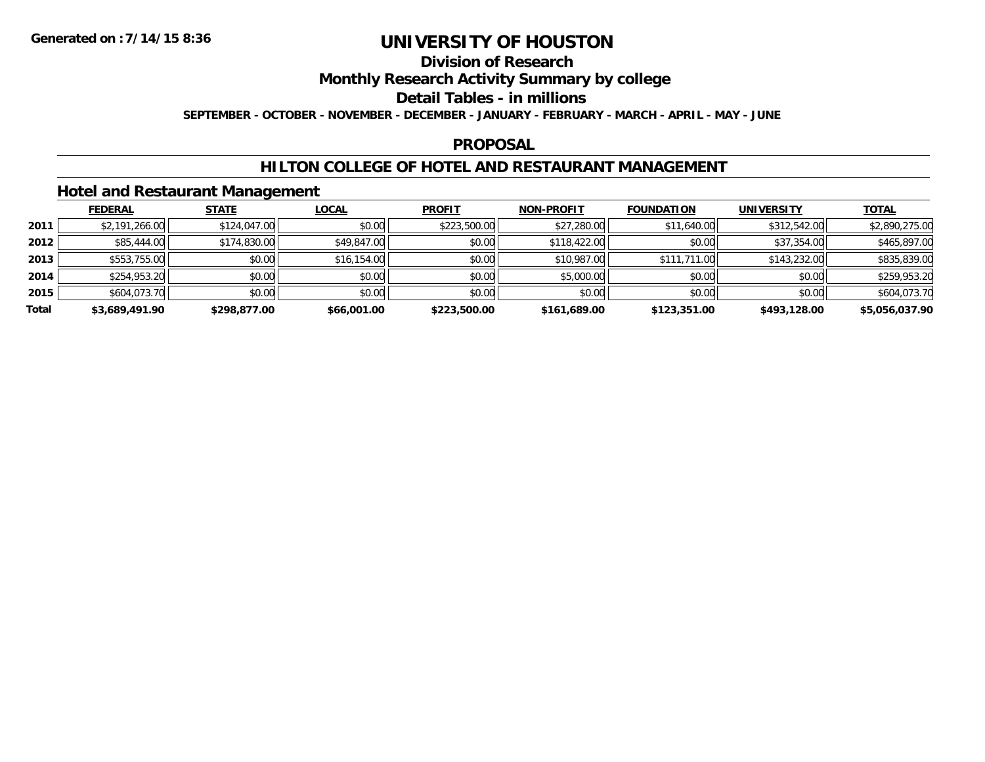## **Division of Research**

### **Monthly Research Activity Summary by college**

#### **Detail Tables - in millions**

**SEPTEMBER - OCTOBER - NOVEMBER - DECEMBER - JANUARY - FEBRUARY - MARCH - APRIL - MAY - JUNE**

### **PROPOSAL**

### **HILTON COLLEGE OF HOTEL AND RESTAURANT MANAGEMENT**

### **Hotel and Restaurant Management**

|       | <b>FEDERAL</b> | <b>STATE</b> | <u>LOCAL</u> | <b>PROFIT</b> | <b>NON-PROFIT</b> | <b>FOUNDATION</b> | <b>UNIVERSITY</b> | <b>TOTAL</b>   |
|-------|----------------|--------------|--------------|---------------|-------------------|-------------------|-------------------|----------------|
| 2011  | \$2,191,266.00 | \$124,047.00 | \$0.00       | \$223,500.00  | \$27,280.00       | \$11,640.00       | \$312,542.00      | \$2,890,275.00 |
| 2012  | \$85,444.00    | \$174,830.00 | \$49,847.00  | \$0.00        | \$118,422.00      | \$0.00            | \$37,354.00       | \$465,897.00   |
| 2013  | \$553,755,00   | \$0.00       | \$16,154.00  | \$0.00        | \$10,987.00       | \$111,711.00      | \$143,232.00      | \$835,839.00   |
| 2014  | \$254,953.20   | \$0.00       | \$0.00       | \$0.00        | \$5,000.00        | \$0.00            | \$0.00            | \$259,953.20   |
| 2015  | \$604,073.70   | \$0.00       | \$0.00       | \$0.00        | \$0.00            | \$0.00            | \$0.00            | \$604,073.70   |
| Total | \$3,689,491.90 | \$298,877.00 | \$66,001.00  | \$223,500.00  | \$161,689.00      | \$123,351.00      | \$493,128.00      | \$5,056,037.90 |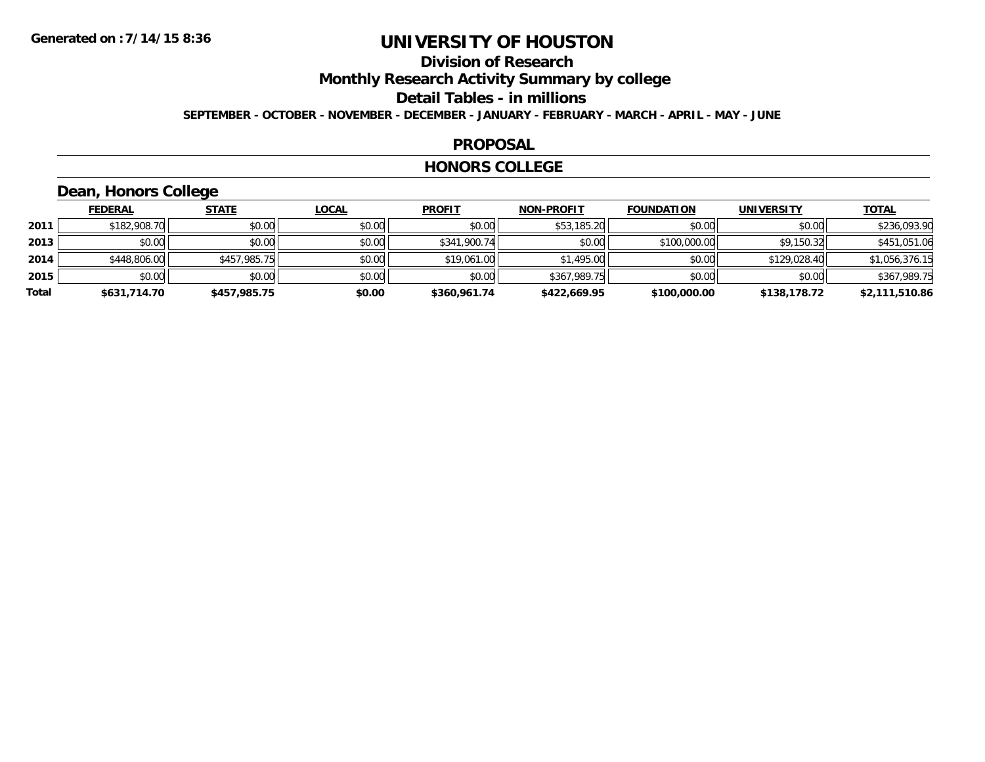# **Division of Research**

**Monthly Research Activity Summary by college**

#### **Detail Tables - in millions**

**SEPTEMBER - OCTOBER - NOVEMBER - DECEMBER - JANUARY - FEBRUARY - MARCH - APRIL - MAY - JUNE**

#### **PROPOSAL**

#### **HONORS COLLEGE**

## **Dean, Honors College**

|       | <b>FEDERAL</b> | <b>STATE</b> | <b>LOCAL</b> | <b>PROFIT</b> | <b>NON-PROFIT</b> | <b>FOUNDATION</b> | <b>UNIVERSITY</b> | <b>TOTAL</b>   |
|-------|----------------|--------------|--------------|---------------|-------------------|-------------------|-------------------|----------------|
| 2011  | \$182,908.70   | \$0.00       | \$0.00       | \$0.00        | \$53,185.20       | \$0.00            | \$0.00            | \$236,093.90   |
| 2013  | \$0.00         | \$0.00       | \$0.00       | \$341,900.74  | \$0.00            | \$100,000.00      | \$9,150.32        | \$451,051.06   |
| 2014  | \$448,806.00   | \$457,985.75 | \$0.00       | \$19,061.00   | \$1,495.00        | \$0.00            | \$129,028.40      | \$1,056,376.15 |
| 2015  | \$0.00         | \$0.00       | \$0.00       | \$0.00        | \$367,989.75      | \$0.00            | \$0.00            | \$367,989.75   |
| Total | \$631,714.70   | \$457,985.75 | \$0.00       | \$360,961.74  | \$422,669.95      | \$100,000.00      | \$138,178.72      | \$2,111,510.86 |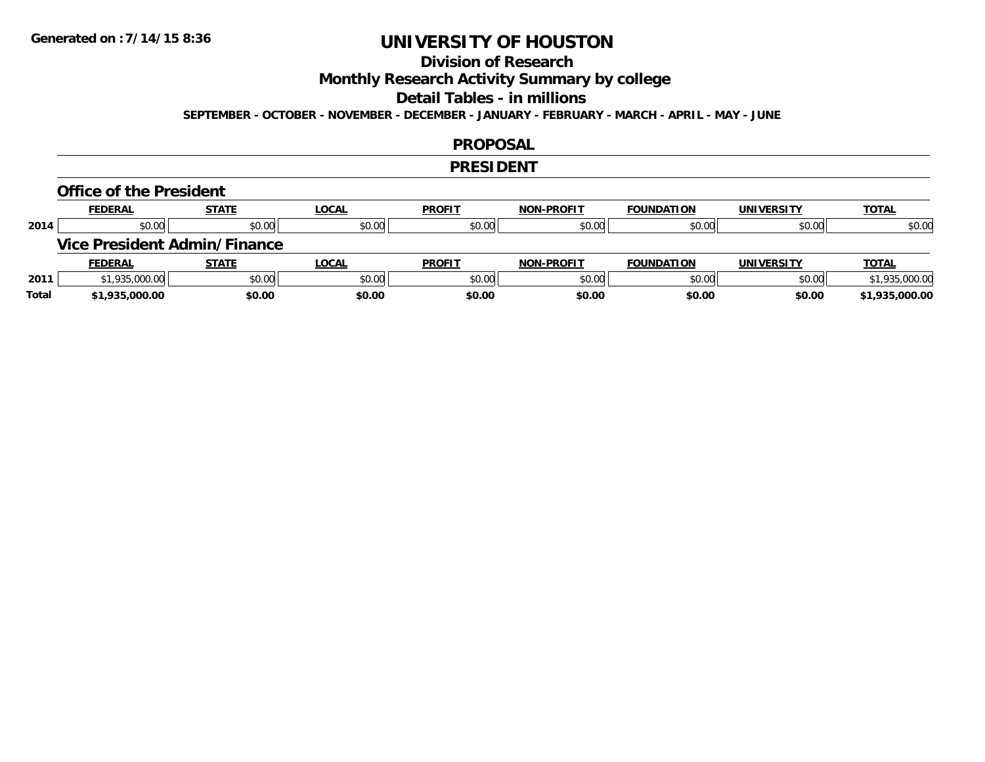## **Division of Research**

**Monthly Research Activity Summary by college**

#### **Detail Tables - in millions**

**SEPTEMBER - OCTOBER - NOVEMBER - DECEMBER - JANUARY - FEBRUARY - MARCH - APRIL - MAY - JUNE**

#### **PROPOSAL**

#### **PRESIDENT**

#### **Office of the President**

|      | <b>FEDERAL</b> | <b>STATE</b>                        | <u>LOCAL</u> | <b>PROFIT</b> | <b>NON-PROFIT</b> | <b>FOUNDATION</b> | <b>UNIVERSITY</b> | <b>TOTAL</b>   |
|------|----------------|-------------------------------------|--------------|---------------|-------------------|-------------------|-------------------|----------------|
| 2014 | \$0.00         | \$0.00                              | \$0.00       | \$0.00        | \$0.00            | \$0.00            | \$0.00            | \$0.00         |
|      |                | <b>Vice President Admin/Finance</b> |              |               |                   |                   |                   |                |
|      |                |                                     |              |               |                   |                   |                   |                |
|      | <b>FEDERAL</b> | <b>STATE</b>                        | <u>LOCAL</u> | <b>PROFIT</b> | <b>NON-PROFIT</b> | <b>FOUNDATION</b> | <b>UNIVERSITY</b> | <b>TOTAL</b>   |
| 2011 | \$1,935,000.00 | \$0.00                              | \$0.00       | \$0.00        | \$0.00            | \$0.00            | \$0.00            | \$1,935,000.00 |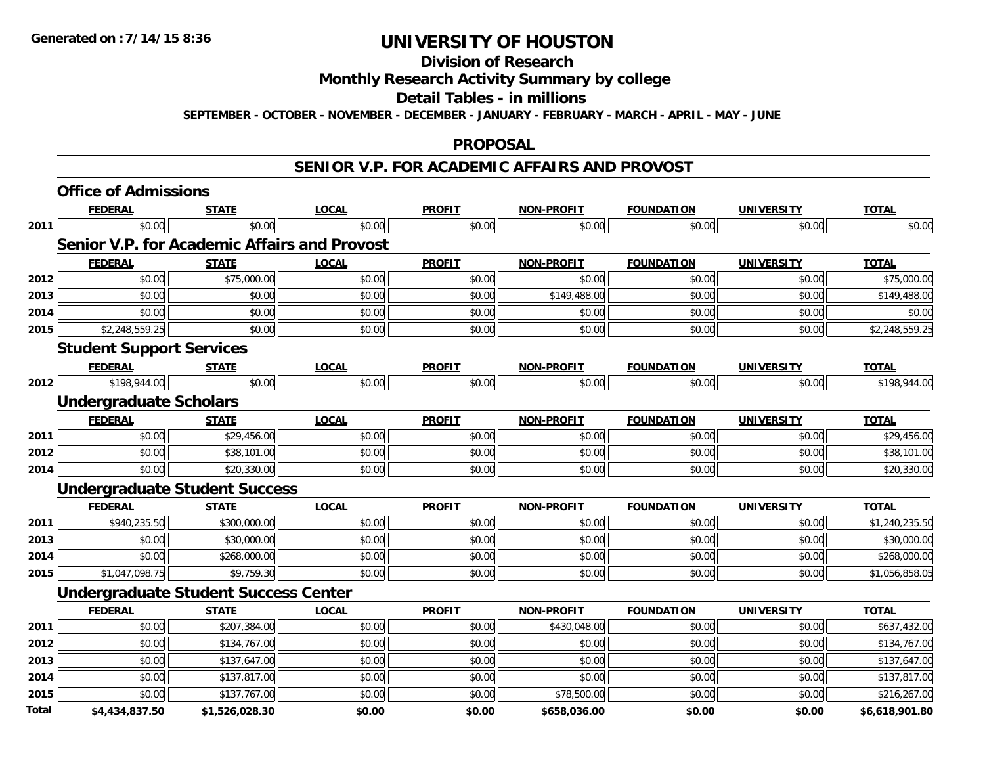#### **Division of Research**

### **Monthly Research Activity Summary by college**

#### **Detail Tables - in millions**

**SEPTEMBER - OCTOBER - NOVEMBER - DECEMBER - JANUARY - FEBRUARY - MARCH - APRIL - MAY - JUNE**

#### **PROPOSAL**

### **SENIOR V.P. FOR ACADEMIC AFFAIRS AND PROVOST**

|       | <b>Office of Admissions</b>                         |                |              |               |                   |                   |                   |                |
|-------|-----------------------------------------------------|----------------|--------------|---------------|-------------------|-------------------|-------------------|----------------|
|       | <b>FEDERAL</b>                                      | <b>STATE</b>   | <b>LOCAL</b> | <b>PROFIT</b> | <b>NON-PROFIT</b> | <b>FOUNDATION</b> | <b>UNIVERSITY</b> | <b>TOTAL</b>   |
| 2011  | \$0.00                                              | \$0.00         | \$0.00       | \$0.00        | \$0.00            | \$0.00            | \$0.00            | \$0.00         |
|       | <b>Senior V.P. for Academic Affairs and Provost</b> |                |              |               |                   |                   |                   |                |
|       | <b>FEDERAL</b>                                      | <b>STATE</b>   | <b>LOCAL</b> | <b>PROFIT</b> | <b>NON-PROFIT</b> | <b>FOUNDATION</b> | <b>UNIVERSITY</b> | <b>TOTAL</b>   |
| 2012  | \$0.00                                              | \$75,000.00    | \$0.00       | \$0.00        | \$0.00            | \$0.00            | \$0.00            | \$75,000.00    |
| 2013  | \$0.00                                              | \$0.00         | \$0.00       | \$0.00        | \$149,488.00      | \$0.00            | \$0.00            | \$149,488.00   |
| 2014  | \$0.00                                              | \$0.00         | \$0.00       | \$0.00        | \$0.00            | \$0.00            | \$0.00            | \$0.00         |
| 2015  | \$2,248,559.25                                      | \$0.00         | \$0.00       | \$0.00        | \$0.00            | \$0.00            | \$0.00            | \$2,248,559.25 |
|       | <b>Student Support Services</b>                     |                |              |               |                   |                   |                   |                |
|       | <b>FEDERAL</b>                                      | <b>STATE</b>   | <b>LOCAL</b> | <b>PROFIT</b> | <b>NON-PROFIT</b> | <b>FOUNDATION</b> | <b>UNIVERSITY</b> | <b>TOTAL</b>   |
| 2012  | \$198,944.00                                        | \$0.00         | \$0.00       | \$0.00        | \$0.00            | \$0.00            | \$0.00            | \$198,944.00   |
|       | <b>Undergraduate Scholars</b>                       |                |              |               |                   |                   |                   |                |
|       | <b>FEDERAL</b>                                      | <b>STATE</b>   | <b>LOCAL</b> | <b>PROFIT</b> | <b>NON-PROFIT</b> | <b>FOUNDATION</b> | <b>UNIVERSITY</b> | <b>TOTAL</b>   |
| 2011  | \$0.00                                              | \$29,456.00    | \$0.00       | \$0.00        | \$0.00            | \$0.00            | \$0.00            | \$29,456.00    |
| 2012  | \$0.00                                              | \$38,101.00    | \$0.00       | \$0.00        | \$0.00            | \$0.00            | \$0.00            | \$38,101.00    |
| 2014  | \$0.00                                              | \$20,330.00    | \$0.00       | \$0.00        | \$0.00            | \$0.00            | \$0.00            | \$20,330.00    |
|       | <b>Undergraduate Student Success</b>                |                |              |               |                   |                   |                   |                |
|       | <b>FEDERAL</b>                                      | <b>STATE</b>   | <b>LOCAL</b> | <b>PROFIT</b> | <b>NON-PROFIT</b> | <b>FOUNDATION</b> | <b>UNIVERSITY</b> | <b>TOTAL</b>   |
| 2011  | \$940,235.50                                        | \$300,000.00   | \$0.00       | \$0.00        | \$0.00            | \$0.00            | \$0.00            | \$1,240,235.50 |
| 2013  | \$0.00                                              | \$30,000.00    | \$0.00       | \$0.00        | \$0.00            | \$0.00            | \$0.00            | \$30,000.00    |
| 2014  | \$0.00                                              | \$268,000.00   | \$0.00       | \$0.00        | \$0.00            | \$0.00            | \$0.00            | \$268,000.00   |
| 2015  | \$1,047,098.75                                      | \$9,759.30     | \$0.00       | \$0.00        | \$0.00            | \$0.00            | \$0.00            | \$1,056,858.05 |
|       | <b>Undergraduate Student Success Center</b>         |                |              |               |                   |                   |                   |                |
|       | <b>FEDERAL</b>                                      | <b>STATE</b>   | <b>LOCAL</b> | <b>PROFIT</b> | <b>NON-PROFIT</b> | <b>FOUNDATION</b> | <b>UNIVERSITY</b> | <b>TOTAL</b>   |
| 2011  | \$0.00                                              | \$207,384.00   | \$0.00       | \$0.00        | \$430,048.00      | \$0.00            | \$0.00            | \$637,432.00   |
| 2012  | \$0.00                                              | \$134,767.00   | \$0.00       | \$0.00        | \$0.00            | \$0.00            | \$0.00            | \$134,767.00   |
| 2013  | \$0.00                                              | \$137,647.00   | \$0.00       | \$0.00        | \$0.00            | \$0.00            | \$0.00            | \$137,647.00   |
| 2014  | \$0.00                                              | \$137,817.00   | \$0.00       | \$0.00        | \$0.00            | \$0.00            | \$0.00            | \$137,817.00   |
| 2015  | \$0.00                                              | \$137,767.00   | \$0.00       | \$0.00        | \$78,500.00       | \$0.00            | \$0.00            | \$216,267.00   |
| Total | \$4,434,837.50                                      | \$1,526,028.30 | \$0.00       | \$0.00        | \$658,036.00      | \$0.00            | \$0.00            | \$6,618,901.80 |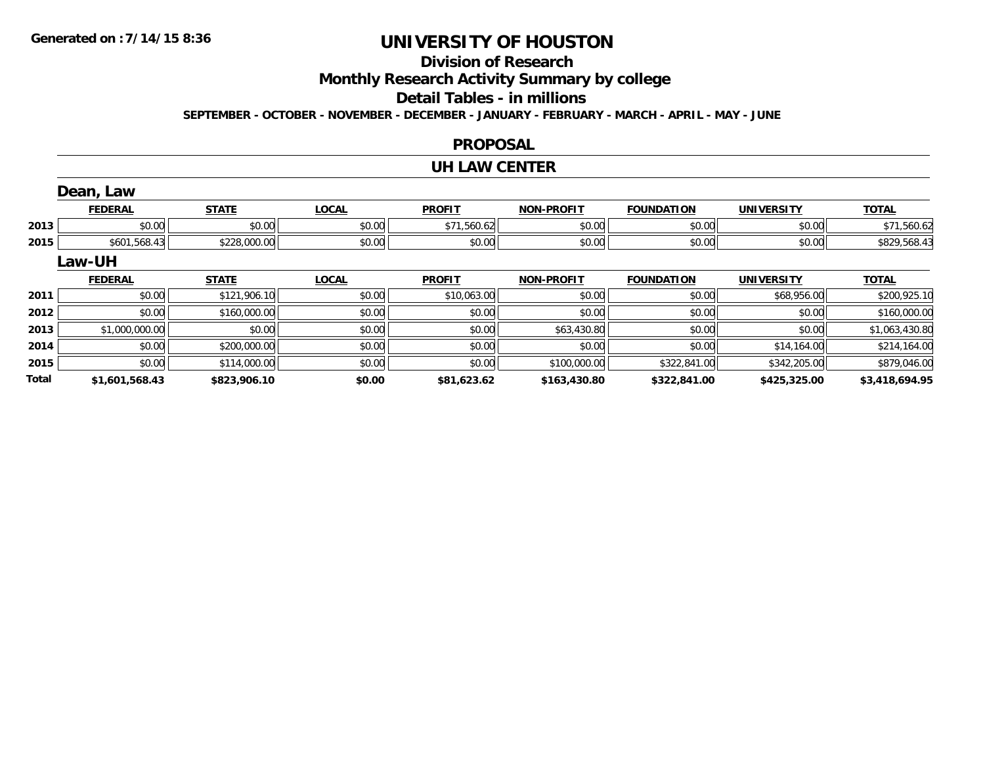**Total**

# **UNIVERSITY OF HOUSTON**

## **Division of Research**

**Monthly Research Activity Summary by college**

#### **Detail Tables - in millions**

**SEPTEMBER - OCTOBER - NOVEMBER - DECEMBER - JANUARY - FEBRUARY - MARCH - APRIL - MAY - JUNE**

### **PROPOSAL**

#### **UH LAW CENTER**

|      | Dean, Law      |              |              |               |                   |                   |                   |                |
|------|----------------|--------------|--------------|---------------|-------------------|-------------------|-------------------|----------------|
|      | <b>FEDERAL</b> | <b>STATE</b> | <b>LOCAL</b> | <b>PROFIT</b> | <b>NON-PROFIT</b> | <b>FOUNDATION</b> | <b>UNIVERSITY</b> | <b>TOTAL</b>   |
| 2013 | \$0.00         | \$0.00       | \$0.00       | \$71,560.62   | \$0.00            | \$0.00            | \$0.00            | \$71,560.62    |
| 2015 | \$601,568.43   | \$228,000.00 | \$0.00       | \$0.00        | \$0.00            | \$0.00            | \$0.00            | \$829,568.43   |
|      | <b>Law-UH</b>  |              |              |               |                   |                   |                   |                |
|      | <b>FEDERAL</b> | <b>STATE</b> | <b>LOCAL</b> | <b>PROFIT</b> | <b>NON-PROFIT</b> | <b>FOUNDATION</b> | <b>UNIVERSITY</b> | <b>TOTAL</b>   |
| 2011 | \$0.00         | \$121,906.10 | \$0.00       | \$10,063.00   | \$0.00            | \$0.00            | \$68,956.00       | \$200,925.10   |
| 2012 | \$0.00         | \$160,000.00 | \$0.00       | \$0.00        | \$0.00            | \$0.00            | \$0.00            | \$160,000.00   |
| 2013 | \$1,000,000.00 | \$0.00       | \$0.00       | \$0.00        | \$63,430.80       | \$0.00            | \$0.00            | \$1,063,430.80 |
| 2014 | \$0.00         | \$200,000.00 | \$0.00       | \$0.00        | \$0.00            | \$0.00            | \$14,164.00       | \$214,164.00   |
| 2015 | \$0.00         | \$114,000.00 | \$0.00       | \$0.00        | \$100,000.00      | \$322,841.00      | \$342,205.00      | \$879,046.00   |

**\$1,601,568.43 \$823,906.10 \$0.00 \$81,623.62 \$163,430.80 \$322,841.00 \$425,325.00 \$3,418,694.95**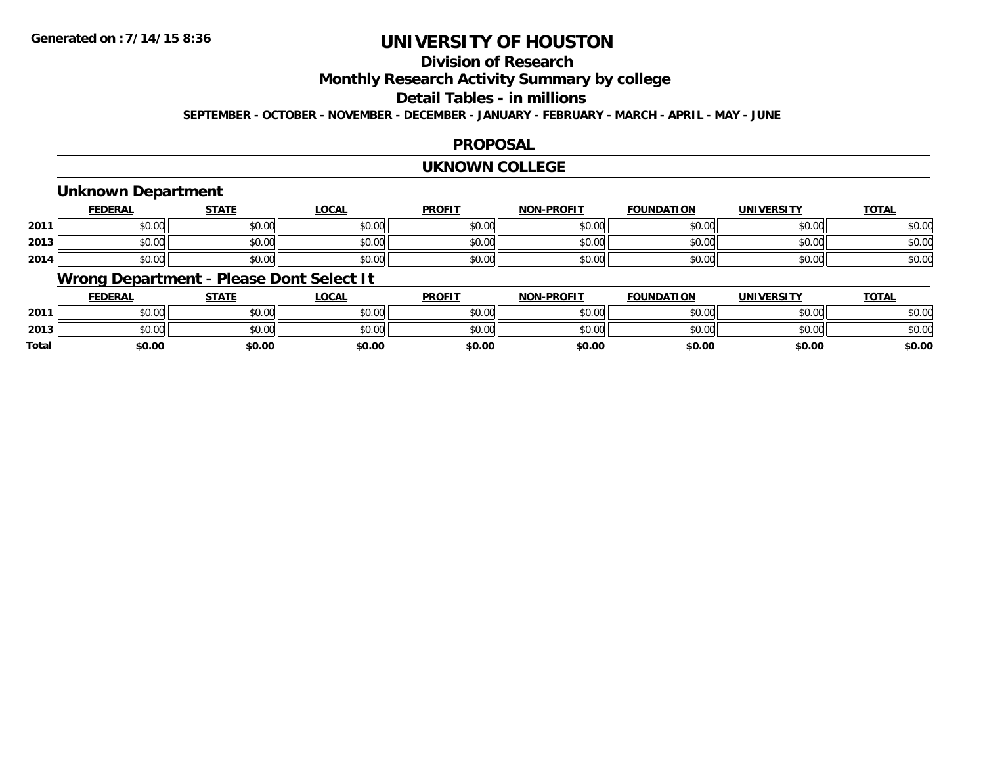## **Division of Research**

**Monthly Research Activity Summary by college**

#### **Detail Tables - in millions**

**SEPTEMBER - OCTOBER - NOVEMBER - DECEMBER - JANUARY - FEBRUARY - MARCH - APRIL - MAY - JUNE**

### **PROPOSAL**

#### **UKNOWN COLLEGE**

### **Unknown Department**

|      | FEDERAL | <b>STATE</b> | <u>LOCAI</u> | <b>PROFIT</b> | <b>NON-PROFIT</b> | <b>FOUNDATION</b> | <b>UNIVERSITY</b> | <b>TOTAL</b> |
|------|---------|--------------|--------------|---------------|-------------------|-------------------|-------------------|--------------|
| 2011 | \$0.00  | \$0.00       | \$0.00       | \$0.00        | ደሰ ሰሰ<br>JU.UU    | \$0.00            | \$0.00            | \$0.00       |
| 2013 | \$0.00  | \$0.00       | \$0.00       | \$0.00        | ku uy<br>ง∪.∪บ    | \$0.00            | \$0.00            | \$0.00       |
| 2014 | \$0.00  | \$0.00       | \$0.00       | \$0.00        | \$0.00            | \$0.00            | \$0.00            | \$0.00       |

### **Wrong Department - Please Dont Select It**

|              | <b>FEDERAL</b> | <b>STATE</b> | <u>LOCAL</u> | <b>PROFIT</b> | <b>NON-PROFIT</b> | <b>FOUNDATION</b> | <b>UNIVERSITY</b> | <b>TOTAL</b> |
|--------------|----------------|--------------|--------------|---------------|-------------------|-------------------|-------------------|--------------|
| 2011         | \$0.00         | \$0.00       | \$0.00       | \$0.00        | \$0.00            | \$0.00            | \$0.00            | \$0.00       |
| 2013         | \$0.00         | \$0.00       | \$0.00       | \$0.00        | \$0.00            | \$0.00            | \$0.00            | \$0.00       |
| <b>Total</b> | \$0.00         | \$0.00       | \$0.00       | \$0.00        | \$0.00            | \$0.00            | \$0.00            | \$0.00       |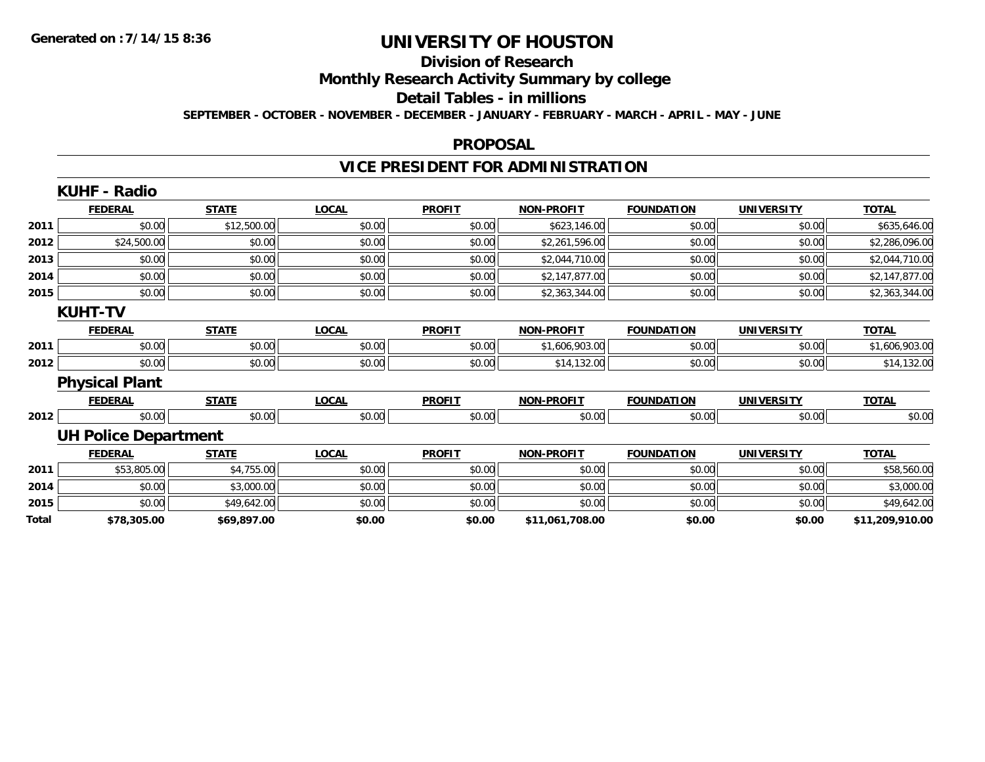## **Division of Research**

**Monthly Research Activity Summary by college**

#### **Detail Tables - in millions**

**SEPTEMBER - OCTOBER - NOVEMBER - DECEMBER - JANUARY - FEBRUARY - MARCH - APRIL - MAY - JUNE**

#### **PROPOSAL**

## **VICE PRESIDENT FOR ADMINISTRATION**

|       | <b>KUHF - Radio</b>         |              |              |               |                   |                   |                   |                 |
|-------|-----------------------------|--------------|--------------|---------------|-------------------|-------------------|-------------------|-----------------|
|       | <b>FEDERAL</b>              | <b>STATE</b> | <b>LOCAL</b> | <b>PROFIT</b> | <b>NON-PROFIT</b> | <b>FOUNDATION</b> | <b>UNIVERSITY</b> | <b>TOTAL</b>    |
| 2011  | \$0.00                      | \$12,500.00  | \$0.00       | \$0.00        | \$623,146.00      | \$0.00            | \$0.00            | \$635,646.00    |
| 2012  | \$24,500.00                 | \$0.00       | \$0.00       | \$0.00        | \$2,261,596.00    | \$0.00            | \$0.00            | \$2,286,096.00  |
| 2013  | \$0.00                      | \$0.00       | \$0.00       | \$0.00        | \$2,044,710.00    | \$0.00            | \$0.00            | \$2,044,710.00  |
| 2014  | \$0.00                      | \$0.00       | \$0.00       | \$0.00        | \$2,147,877.00    | \$0.00            | \$0.00            | \$2,147,877.00  |
| 2015  | \$0.00                      | \$0.00       | \$0.00       | \$0.00        | \$2,363,344.00    | \$0.00            | \$0.00            | \$2,363,344.00  |
|       | <b>KUHT-TV</b>              |              |              |               |                   |                   |                   |                 |
|       | <b>FEDERAL</b>              | <b>STATE</b> | <b>LOCAL</b> | <b>PROFIT</b> | <b>NON-PROFIT</b> | <b>FOUNDATION</b> | <b>UNIVERSITY</b> | <b>TOTAL</b>    |
| 2011  | \$0.00                      | \$0.00       | \$0.00       | \$0.00        | \$1,606,903.00    | \$0.00            | \$0.00            | \$1,606,903.00  |
| 2012  | \$0.00                      | \$0.00       | \$0.00       | \$0.00        | \$14,132.00       | \$0.00            | \$0.00            | \$14,132.00     |
|       | <b>Physical Plant</b>       |              |              |               |                   |                   |                   |                 |
|       | <b>FEDERAL</b>              | <b>STATE</b> | <b>LOCAL</b> | <b>PROFIT</b> | <b>NON-PROFIT</b> | <b>FOUNDATION</b> | <b>UNIVERSITY</b> | <b>TOTAL</b>    |
| 2012  | \$0.00                      | \$0.00       | \$0.00       | \$0.00        | \$0.00            | \$0.00            | \$0.00            | \$0.00          |
|       | <b>UH Police Department</b> |              |              |               |                   |                   |                   |                 |
|       | <b>FEDERAL</b>              | <b>STATE</b> | <b>LOCAL</b> | <b>PROFIT</b> | <b>NON-PROFIT</b> | <b>FOUNDATION</b> | <b>UNIVERSITY</b> | <b>TOTAL</b>    |
| 2011  | \$53,805.00                 | \$4,755.00   | \$0.00       | \$0.00        | \$0.00            | \$0.00            | \$0.00            | \$58,560.00     |
| 2014  | \$0.00                      | \$3,000.00   | \$0.00       | \$0.00        | \$0.00            | \$0.00            | \$0.00            | \$3,000.00      |
| 2015  | \$0.00                      | \$49,642.00  | \$0.00       | \$0.00        | \$0.00            | \$0.00            | \$0.00            | \$49,642.00     |
| Total | \$78,305.00                 | \$69,897.00  | \$0.00       | \$0.00        | \$11,061,708.00   | \$0.00            | \$0.00            | \$11,209,910.00 |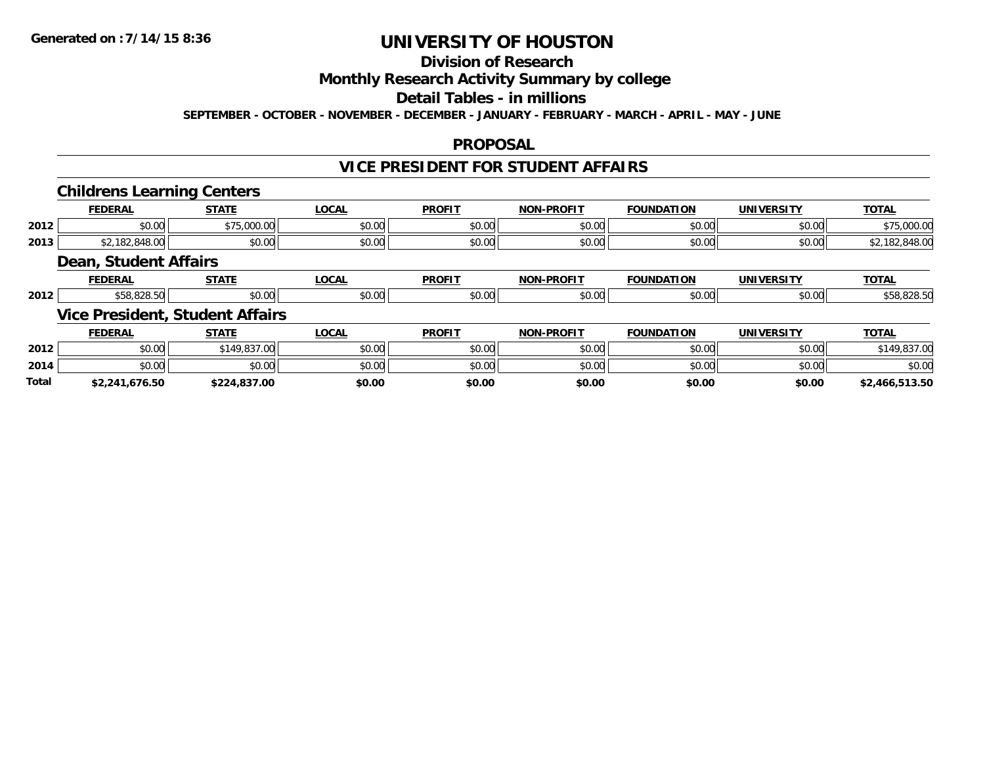## **Division of Research**

### **Monthly Research Activity Summary by college**

## **Detail Tables - in millions**

**SEPTEMBER - OCTOBER - NOVEMBER - DECEMBER - JANUARY - FEBRUARY - MARCH - APRIL - MAY - JUNE**

### **PROPOSAL**

## **VICE PRESIDENT FOR STUDENT AFFAIRS**

### **Childrens Learning Centers**

|      | <b>FEDERA</b>       | $- - - - -$                           | $\sim$ | <b>PROFIT</b>  | <b>DRAFIT</b><br><b>NIONI</b> | <b>FOUNDATION</b> | <b>UNIVERSITY</b> | <b>TOTA.</b>       |
|------|---------------------|---------------------------------------|--------|----------------|-------------------------------|-------------------|-------------------|--------------------|
| 2012 | $\sim$ 00<br>JU.UU. | $\sim$ $\sim$ $\sim$<br>∩∩<br><i></i> | JU.UU  | 0000<br>JU.UU  | $\sim$ 00<br>JU.UU            | \$0.00            | \$0.00            | nn nr<br>79,000.00 |
| 2013 | 0.10                | \$0.00                                | vv.v   | ሐሴ ሰሰ<br>JU.UU | $\sim$ 00<br>DU.UU            | \$0.00            | \$0.00            | $\sim$             |

#### **Dean, Student Affairs**

|      | ______<br>к, | ----- | 00n<br>ww            | <b>PROFIT</b>     | <b>DDOFIT</b><br>ימות |               | JN    | $T^{\sim}$ |
|------|--------------|-------|----------------------|-------------------|-----------------------|---------------|-------|------------|
| 2012 |              | 0.001 | $\sim$ 0.00<br>DU.UC | $\sim$ 00<br>. UU | ∖∩ ∩י                 | 20.00<br>ט.טי | 50.00 | .          |

### **Vice President, Student Affairs**

|              | <b>FEDERAL</b> | <b>STATE</b> | <b>LOCAL</b> | <b>PROFIT</b> | <b>NON-PROFIT</b> | <b>FOUNDATION</b> | UNIVERSITY | <b>TOTAL</b>   |
|--------------|----------------|--------------|--------------|---------------|-------------------|-------------------|------------|----------------|
| 2012         | \$0.00         | \$149,837,00 | \$0.00       | \$0.00        | \$0.00            | \$0.00            | \$0.00     | ດາສຸດ <i>ເ</i> |
| 2014         | \$0.00         | \$0.00       | \$0.00       | \$0.00        | \$0.00            | \$0.00            | \$0.00     | \$0.00         |
| <b>Total</b> | \$2,241,676.50 | \$224,837.00 | \$0.00       | \$0.00        | \$0.00            | \$0.00            | \$0.00     | \$2,466,513.50 |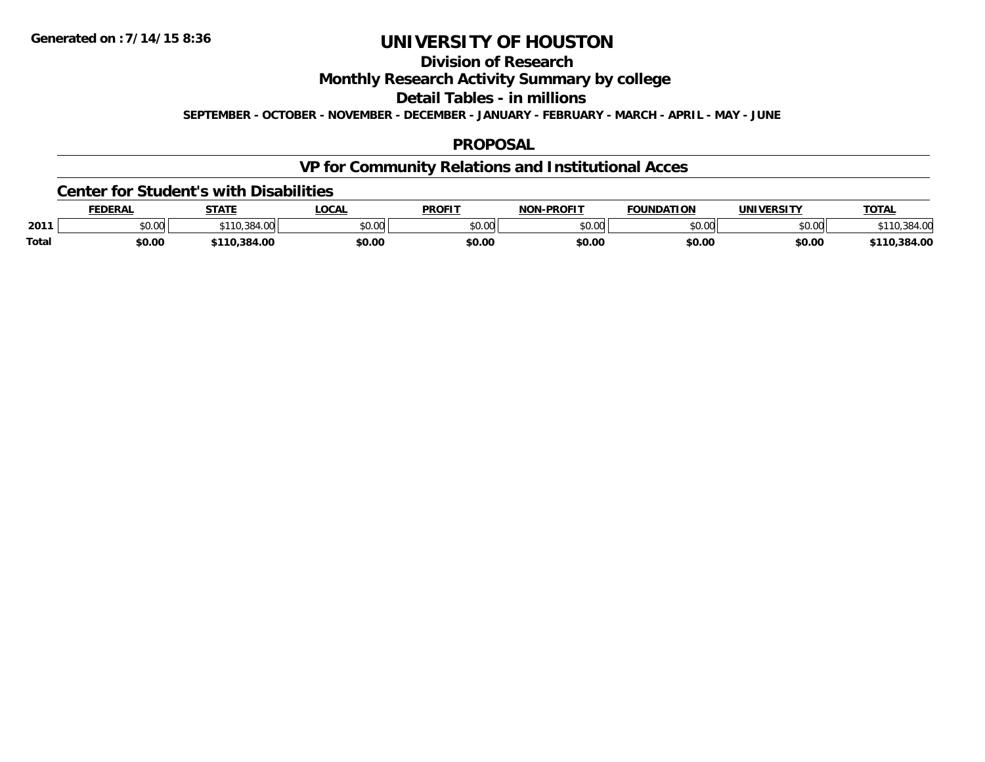## **Division of Research**

**Monthly Research Activity Summary by college**

**Detail Tables - in millions**

**SEPTEMBER - OCTOBER - NOVEMBER - DECEMBER - JANUARY - FEBRUARY - MARCH - APRIL - MAY - JUNE**

### **PROPOSAL**

## **VP for Community Relations and Institutional Acces**

#### **Center for Student's with Disabilities**

|              | <b>FEDERAL</b>     | <b>STATE</b> | LOCAI                      | <b>PROFIT</b> | -PROFIT<br><b>NON</b> | <b>FOUNDATION</b>  | <b><i>'INIVERSITY</i></b> | <b>TOTAL</b>     |
|--------------|--------------------|--------------|----------------------------|---------------|-----------------------|--------------------|---------------------------|------------------|
| 2011         | $\sim$ 00<br>vv.vv | າດ           | $*$ $\cap$ $\cap$<br>vv.vv | \$0.00        | \$0.00                | $\sim$ 00<br>טט.טע | \$0.00                    |                  |
| <b>Total</b> | \$0.00             | .384.00      | \$0.00                     | \$0.00        | \$0.00                | \$0.00             | \$0.00                    | ,384.00<br>\$110 |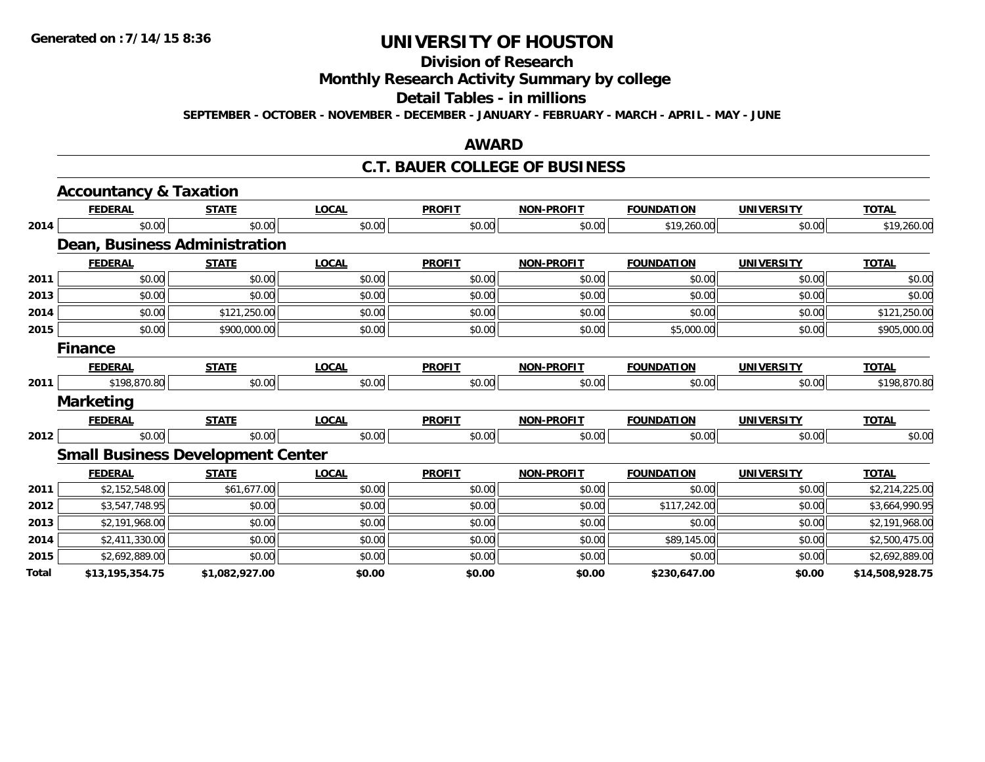## **Division of Research**

## **Monthly Research Activity Summary by college**

#### **Detail Tables - in millions**

**SEPTEMBER - OCTOBER - NOVEMBER - DECEMBER - JANUARY - FEBRUARY - MARCH - APRIL - MAY - JUNE**

### **AWARD**

### **C.T. BAUER COLLEGE OF BUSINESS**

|       | <b>Accountancy &amp; Taxation</b>        |                |              |               |                   |                   |                   |                 |
|-------|------------------------------------------|----------------|--------------|---------------|-------------------|-------------------|-------------------|-----------------|
|       | <b>FEDERAL</b>                           | <b>STATE</b>   | <b>LOCAL</b> | <b>PROFIT</b> | <b>NON-PROFIT</b> | <b>FOUNDATION</b> | <b>UNIVERSITY</b> | <b>TOTAL</b>    |
| 2014  | \$0.00                                   | \$0.00         | \$0.00       | \$0.00        | \$0.00            | \$19,260.00       | \$0.00            | \$19,260.00     |
|       | Dean, Business Administration            |                |              |               |                   |                   |                   |                 |
|       | <b>FEDERAL</b>                           | <b>STATE</b>   | <b>LOCAL</b> | <b>PROFIT</b> | <b>NON-PROFIT</b> | <b>FOUNDATION</b> | <b>UNIVERSITY</b> | <b>TOTAL</b>    |
| 2011  | \$0.00                                   | \$0.00         | \$0.00       | \$0.00        | \$0.00            | \$0.00            | \$0.00            | \$0.00          |
| 2013  | \$0.00                                   | \$0.00         | \$0.00       | \$0.00        | \$0.00            | \$0.00            | \$0.00            | \$0.00          |
| 2014  | \$0.00                                   | \$121,250.00   | \$0.00       | \$0.00        | \$0.00            | \$0.00            | \$0.00            | \$121,250.00    |
| 2015  | \$0.00                                   | \$900,000.00   | \$0.00       | \$0.00        | \$0.00            | \$5,000.00        | \$0.00            | \$905,000.00    |
|       | <b>Finance</b>                           |                |              |               |                   |                   |                   |                 |
|       | <b>FEDERAL</b>                           | <b>STATE</b>   | <b>LOCAL</b> | <b>PROFIT</b> | <b>NON-PROFIT</b> | <b>FOUNDATION</b> | <b>UNIVERSITY</b> | <b>TOTAL</b>    |
| 2011  | \$198,870.80                             | \$0.00         | \$0.00       | \$0.00        | \$0.00            | \$0.00            | \$0.00            | \$198,870.80    |
|       | <b>Marketing</b>                         |                |              |               |                   |                   |                   |                 |
|       | <b>FEDERAL</b>                           | <b>STATE</b>   | <b>LOCAL</b> | <b>PROFIT</b> | <b>NON-PROFIT</b> | <b>FOUNDATION</b> | <b>UNIVERSITY</b> | <b>TOTAL</b>    |
| 2012  | \$0.00                                   | \$0.00         | \$0.00       | \$0.00        | \$0.00            | \$0.00            | \$0.00            | \$0.00          |
|       | <b>Small Business Development Center</b> |                |              |               |                   |                   |                   |                 |
|       | <b>FEDERAL</b>                           | <b>STATE</b>   | <b>LOCAL</b> | <b>PROFIT</b> | <b>NON-PROFIT</b> | <b>FOUNDATION</b> | <b>UNIVERSITY</b> | <b>TOTAL</b>    |
| 2011  | \$2,152,548.00                           | \$61,677.00    | \$0.00       | \$0.00        | \$0.00            | \$0.00            | \$0.00            | \$2,214,225.00  |
| 2012  | \$3,547,748.95                           | \$0.00         | \$0.00       | \$0.00        | \$0.00            | \$117,242.00      | \$0.00            | \$3,664,990.95  |
| 2013  | \$2,191,968.00                           | \$0.00         | \$0.00       | \$0.00        | \$0.00            | \$0.00            | \$0.00            | \$2,191,968.00  |
| 2014  | \$2,411,330.00                           | \$0.00         | \$0.00       | \$0.00        | \$0.00            | \$89,145.00       | \$0.00            | \$2,500,475.00  |
| 2015  | \$2,692,889.00                           | \$0.00         | \$0.00       | \$0.00        | \$0.00            | \$0.00            | \$0.00            | \$2,692,889.00  |
| Total | \$13,195,354.75                          | \$1,082,927.00 | \$0.00       | \$0.00        | \$0.00            | \$230,647.00      | \$0.00            | \$14,508,928.75 |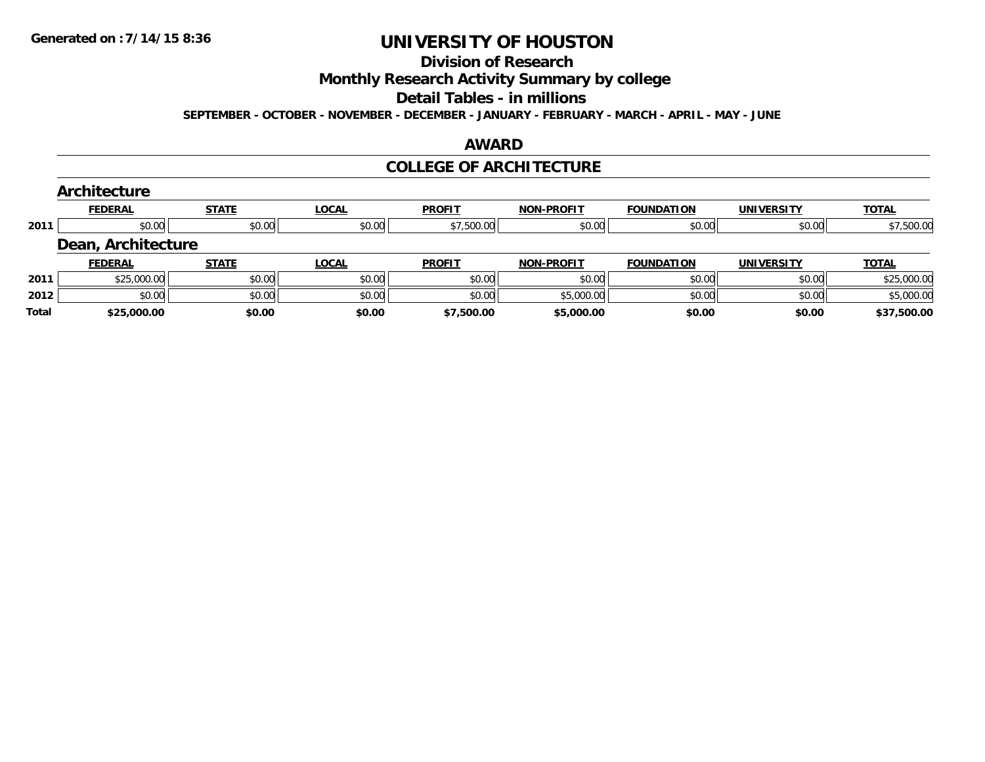#### **Division of Research**

**Monthly Research Activity Summary by college**

#### **Detail Tables - in millions**

**SEPTEMBER - OCTOBER - NOVEMBER - DECEMBER - JANUARY - FEBRUARY - MARCH - APRIL - MAY - JUNE**

#### **AWARD**

### **COLLEGE OF ARCHITECTURE**

|      | Architecture       |              |              |               |                   |                   |                   |              |
|------|--------------------|--------------|--------------|---------------|-------------------|-------------------|-------------------|--------------|
|      | <b>FEDERAL</b>     | <b>STATE</b> | <b>LOCAL</b> | <b>PROFIT</b> | <b>NON-PROFIT</b> | <b>FOUNDATION</b> | <b>UNIVERSITY</b> | <b>TOTAL</b> |
| 2011 | \$0.00             | \$0.00       | \$0.00       | \$7,500.00    | \$0.00            | \$0.00            | \$0.00            | \$7,500.00   |
|      | Dean, Architecture |              |              |               |                   |                   |                   |              |
|      | <b>FEDERAL</b>     | <b>STATE</b> | <b>LOCAL</b> | <b>PROFIT</b> | <b>NON-PROFIT</b> | <b>FOUNDATION</b> | <b>UNIVERSITY</b> | <b>TOTAL</b> |
| 2011 | \$25,000.00        | \$0.00       | \$0.00       | \$0.00        | \$0.00            | \$0.00            | \$0.00            | \$25,000.00  |
| 2012 | \$0.00             | \$0.00       | \$0.00       | \$0.00        | \$5,000.00        | \$0.00            | \$0.00            | \$5,000.00   |
|      |                    |              |              |               |                   |                   |                   |              |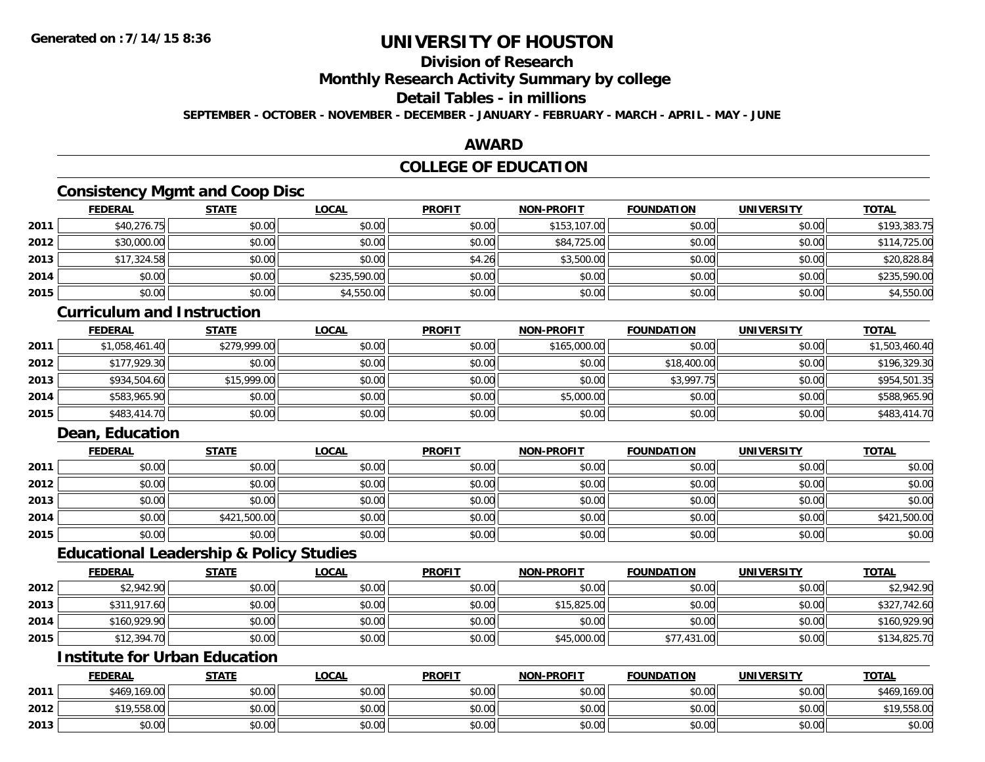## **Division of Research**

**Monthly Research Activity Summary by college**

## **Detail Tables - in millions**

**SEPTEMBER - OCTOBER - NOVEMBER - DECEMBER - JANUARY - FEBRUARY - MARCH - APRIL - MAY - JUNE**

### **AWARD**

## **COLLEGE OF EDUCATION**

## **Consistency Mgmt and Coop Disc**

|      | <b>FEDERAL</b> | <b>STATE</b> | <u>LOCAL</u> | <b>PROFIT</b> | <b>NON-PROFIT</b> | <b>FOUNDATION</b> | <b>UNIVERSITY</b> | <b>TOTAL</b> |
|------|----------------|--------------|--------------|---------------|-------------------|-------------------|-------------------|--------------|
| 2011 | \$40,276.75    | \$0.00       | \$0.00       | \$0.00        | \$153,107.00      | \$0.00            | \$0.00            | \$193,383.75 |
| 2012 | \$30,000.00    | \$0.00       | \$0.00       | \$0.00        | \$84,725.00       | \$0.00            | \$0.00            | \$114,725.00 |
| 2013 | \$17,324.58    | \$0.00       | \$0.00       | \$4.26        | \$3,500.00        | \$0.00            | \$0.00            | \$20,828.84  |
| 2014 | \$0.00         | \$0.00       | \$235,590.00 | \$0.00        | \$0.00            | \$0.00            | \$0.00            | \$235,590.00 |
| 2015 | \$0.00         | \$0.00       | \$4,550.00   | \$0.00        | \$0.00            | \$0.00            | \$0.00            | \$4,550.00   |

#### **Curriculum and Instruction**

|      | <b>FEDERAL</b> | <b>STATE</b> | <b>LOCAL</b> | <b>PROFIT</b> | <b>NON-PROFIT</b> | <b>FOUNDATION</b> | <b>UNIVERSITY</b> | <b>TOTAL</b>   |
|------|----------------|--------------|--------------|---------------|-------------------|-------------------|-------------------|----------------|
| 2011 | \$1,058,461.40 | \$279,999.00 | \$0.00       | \$0.00        | \$165,000.00      | \$0.00            | \$0.00            | \$1,503,460.40 |
| 2012 | \$177,929.30   | \$0.00       | \$0.00       | \$0.00        | \$0.00            | \$18,400.00       | \$0.00            | \$196,329.30   |
| 2013 | \$934,504.60   | \$15,999.00  | \$0.00       | \$0.00        | \$0.00            | \$3,997.75        | \$0.00            | \$954,501.35   |
| 2014 | \$583,965.90   | \$0.00       | \$0.00       | \$0.00        | \$5,000.00        | \$0.00            | \$0.00            | \$588,965.90   |
| 2015 | \$483,414.70   | \$0.00       | \$0.00       | \$0.00        | \$0.00            | \$0.00            | \$0.00            | \$483,414.70   |

## **Dean, Education**

|      | <b>FEDERAL</b> | <b>STATE</b> | <b>LOCAL</b> | <b>PROFIT</b> | <b>NON-PROFIT</b> | <b>FOUNDATION</b> | <b>UNIVERSITY</b> | <b>TOTAL</b> |
|------|----------------|--------------|--------------|---------------|-------------------|-------------------|-------------------|--------------|
| 2011 | \$0.00         | \$0.00       | \$0.00       | \$0.00        | \$0.00            | \$0.00            | \$0.00            | \$0.00       |
| 2012 | \$0.00         | \$0.00       | \$0.00       | \$0.00        | \$0.00            | \$0.00            | \$0.00            | \$0.00       |
| 2013 | \$0.00         | \$0.00       | \$0.00       | \$0.00        | \$0.00            | \$0.00            | \$0.00            | \$0.00       |
| 2014 | \$0.00         | \$421,500.00 | \$0.00       | \$0.00        | \$0.00            | \$0.00            | \$0.00            | \$421,500.00 |
| 2015 | \$0.00         | \$0.00       | \$0.00       | \$0.00        | \$0.00            | \$0.00            | \$0.00            | \$0.00       |

### **Educational Leadership & Policy Studies**

|      | <b>FEDERAL</b> | STATE  | <u>LOCAL</u> | <b>PROFIT</b> | <b>NON-PROFIT</b> | <b>FOUNDATION</b> | <b>UNIVERSITY</b> | <b>TOTAL</b> |
|------|----------------|--------|--------------|---------------|-------------------|-------------------|-------------------|--------------|
| 2012 | \$2,942.90     | \$0.00 | \$0.00       | \$0.00        | \$0.00            | \$0.00            | \$0.00            | \$2,942.90   |
| 2013 | \$311,917.60   | \$0.00 | \$0.00       | \$0.00        | \$15,825.00       | \$0.00            | \$0.00            | \$327,742.60 |
| 2014 | \$160,929.90   | \$0.00 | \$0.00       | \$0.00        | \$0.00            | \$0.00            | \$0.00            | \$160,929.90 |
| 2015 | \$12,394.70    | \$0.00 | \$0.00       | \$0.00        | \$45,000.00       | \$77,431.00       | \$0.00            | \$134,825.70 |

### **Institute for Urban Education**

|      | <b>FEDERAL</b>  | <b>STATE</b> | <u>LOCAL</u> | <b>PROFIT</b> | <b>NON-PROFIT</b> | <b>FOUNDATION</b> | <b>UNIVERSITY</b> | <b>TOTAL</b> |
|------|-----------------|--------------|--------------|---------------|-------------------|-------------------|-------------------|--------------|
| 2011 | \$469,169.00    | \$0.00       | \$0.00       | \$0.00        | \$0.00            | \$0.00            | \$0.00            | \$469,169.00 |
| 2012 | 9.558.00<br>*10 | \$0.00       | \$0.00       | \$0.00        | \$0.00            | \$0.00            | \$0.00            | \$19,558.00  |
| 2013 | \$0.00          | \$0.00       | \$0.00       | \$0.00        | \$0.00            | \$0.00            | \$0.00            | \$0.00       |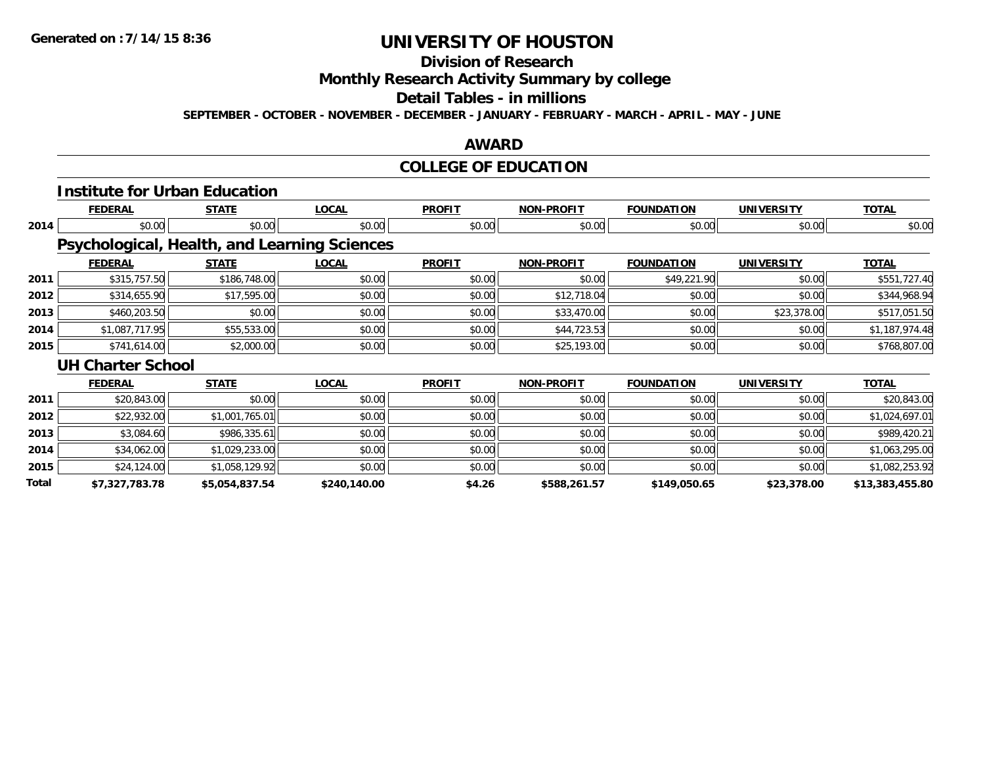## **Division of Research**

**Monthly Research Activity Summary by college**

#### **Detail Tables - in millions**

**SEPTEMBER - OCTOBER - NOVEMBER - DECEMBER - JANUARY - FEBRUARY - MARCH - APRIL - MAY - JUNE**

### **AWARD**

## **COLLEGE OF EDUCATION**

|              | <b>Institute for Urban Education</b> |                |                                              |               |                   |                   |                   |                 |
|--------------|--------------------------------------|----------------|----------------------------------------------|---------------|-------------------|-------------------|-------------------|-----------------|
|              | <b>FEDERAL</b>                       | <b>STATE</b>   | <b>LOCAL</b>                                 | <b>PROFIT</b> | <b>NON-PROFIT</b> | <b>FOUNDATION</b> | <b>UNIVERSITY</b> | <b>TOTAL</b>    |
| 2014         | \$0.00                               | \$0.00         | \$0.00                                       | \$0.00        | \$0.00            | \$0.00            | \$0.00            | \$0.00          |
|              |                                      |                | Psychological, Health, and Learning Sciences |               |                   |                   |                   |                 |
|              | <b>FEDERAL</b>                       | <b>STATE</b>   | <b>LOCAL</b>                                 | <b>PROFIT</b> | <b>NON-PROFIT</b> | <b>FOUNDATION</b> | <b>UNIVERSITY</b> | <b>TOTAL</b>    |
| 2011         | \$315,757.50                         | \$186,748.00   | \$0.00                                       | \$0.00        | \$0.00            | \$49,221.90       | \$0.00            | \$551,727.40    |
| 2012         | \$314,655.90                         | \$17,595.00    | \$0.00                                       | \$0.00        | \$12,718.04       | \$0.00            | \$0.00            | \$344,968.94    |
| 2013         | \$460,203.50                         | \$0.00         | \$0.00                                       | \$0.00        | \$33,470.00       | \$0.00            | \$23,378.00       | \$517,051.50    |
| 2014         | \$1,087,717.95                       | \$55,533.00    | \$0.00                                       | \$0.00        | \$44,723.53       | \$0.00            | \$0.00            | \$1,187,974.48  |
| 2015         | \$741,614.00                         | \$2,000.00     | \$0.00                                       | \$0.00        | \$25,193.00       | \$0.00            | \$0.00            | \$768,807.00    |
|              | <b>UH Charter School</b>             |                |                                              |               |                   |                   |                   |                 |
|              | <b>FEDERAL</b>                       | <b>STATE</b>   | <b>LOCAL</b>                                 | <b>PROFIT</b> | <b>NON-PROFIT</b> | <b>FOUNDATION</b> | <b>UNIVERSITY</b> | <b>TOTAL</b>    |
| 2011         | \$20,843.00                          | \$0.00         | \$0.00                                       | \$0.00        | \$0.00            | \$0.00            | \$0.00            | \$20,843.00     |
| 2012         | \$22,932.00                          | \$1,001,765.01 | \$0.00                                       | \$0.00        | \$0.00            | \$0.00            | \$0.00            | \$1,024,697.01  |
| 2013         | \$3,084.60                           | \$986,335.61   | \$0.00                                       | \$0.00        | \$0.00            | \$0.00            | \$0.00            | \$989,420.21    |
| 2014         | \$34,062.00                          | \$1,029,233.00 | \$0.00                                       | \$0.00        | \$0.00            | \$0.00            | \$0.00            | \$1,063,295.00  |
| 2015         | \$24,124.00                          | \$1,058,129.92 | \$0.00                                       | \$0.00        | \$0.00            | \$0.00            | \$0.00            | \$1,082,253.92  |
| <b>Total</b> | \$7,327,783.78                       | \$5,054,837.54 | \$240,140.00                                 | \$4.26        | \$588,261.57      | \$149,050.65      | \$23,378.00       | \$13,383,455.80 |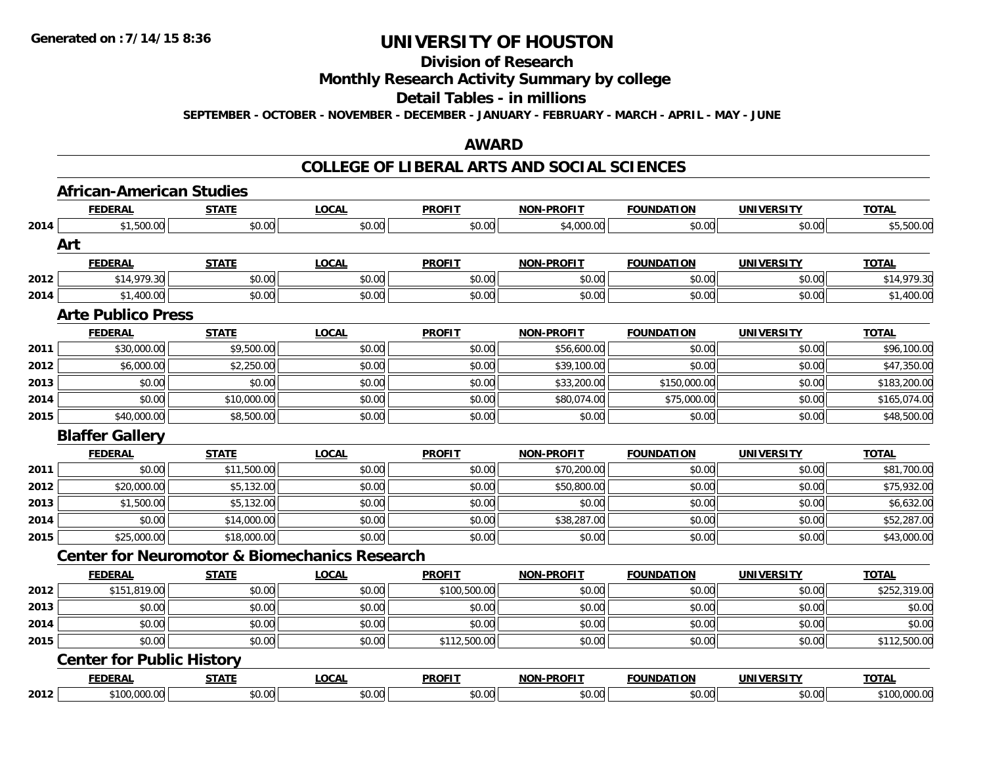#### **Division of Research**

## **Monthly Research Activity Summary by college**

#### **Detail Tables - in millions**

**SEPTEMBER - OCTOBER - NOVEMBER - DECEMBER - JANUARY - FEBRUARY - MARCH - APRIL - MAY - JUNE**

### **AWARD**

### **COLLEGE OF LIBERAL ARTS AND SOCIAL SCIENCES**

|      | <b>African-American Studies</b>                          |              |              |               |                   |                   |                   |              |
|------|----------------------------------------------------------|--------------|--------------|---------------|-------------------|-------------------|-------------------|--------------|
|      | <b>FEDERAL</b>                                           | <b>STATE</b> | <b>LOCAL</b> | <b>PROFIT</b> | <b>NON-PROFIT</b> | <b>FOUNDATION</b> | <b>UNIVERSITY</b> | <b>TOTAL</b> |
| 2014 | \$1,500.00                                               | \$0.00       | \$0.00       | \$0.00        | \$4,000.00        | \$0.00            | \$0.00            | \$5,500.00   |
|      | Art                                                      |              |              |               |                   |                   |                   |              |
|      | <b>FEDERAL</b>                                           | <b>STATE</b> | <b>LOCAL</b> | <b>PROFIT</b> | <b>NON-PROFIT</b> | <b>FOUNDATION</b> | <b>UNIVERSITY</b> | <b>TOTAL</b> |
| 2012 | \$14,979.30                                              | \$0.00       | \$0.00       | \$0.00        | \$0.00            | \$0.00            | \$0.00            | \$14,979.30  |
| 2014 | \$1,400.00                                               | \$0.00       | \$0.00       | \$0.00        | \$0.00            | \$0.00            | \$0.00            | \$1,400.00   |
|      | <b>Arte Publico Press</b>                                |              |              |               |                   |                   |                   |              |
|      | <b>FEDERAL</b>                                           | <b>STATE</b> | <b>LOCAL</b> | <b>PROFIT</b> | <b>NON-PROFIT</b> | <b>FOUNDATION</b> | <b>UNIVERSITY</b> | <b>TOTAL</b> |
| 2011 | \$30,000.00                                              | \$9,500.00   | \$0.00       | \$0.00        | \$56,600.00       | \$0.00            | \$0.00            | \$96,100.00  |
| 2012 | \$6,000.00                                               | \$2,250.00   | \$0.00       | \$0.00        | \$39,100.00       | \$0.00            | \$0.00            | \$47,350.00  |
| 2013 | \$0.00                                                   | \$0.00       | \$0.00       | \$0.00        | \$33,200.00       | \$150,000.00      | \$0.00            | \$183,200.00 |
| 2014 | \$0.00                                                   | \$10,000.00  | \$0.00       | \$0.00        | \$80,074.00       | \$75,000.00       | \$0.00            | \$165,074.00 |
| 2015 | \$40,000.00                                              | \$8,500.00   | \$0.00       | \$0.00        | \$0.00            | \$0.00            | \$0.00            | \$48,500.00  |
|      | <b>Blaffer Gallery</b>                                   |              |              |               |                   |                   |                   |              |
|      |                                                          |              |              |               |                   |                   |                   |              |
|      | <b>FEDERAL</b>                                           | <b>STATE</b> | <b>LOCAL</b> | <b>PROFIT</b> | <b>NON-PROFIT</b> | <b>FOUNDATION</b> | <b>UNIVERSITY</b> | <b>TOTAL</b> |
| 2011 | \$0.00                                                   | \$11,500.00  | \$0.00       | \$0.00        | \$70,200.00       | \$0.00            | \$0.00            | \$81,700.00  |
| 2012 | \$20,000.00                                              | \$5,132.00   | \$0.00       | \$0.00        | \$50,800.00       | \$0.00            | \$0.00            | \$75,932.00  |
| 2013 | \$1,500.00                                               | \$5,132.00   | \$0.00       | \$0.00        | \$0.00            | \$0.00            | \$0.00            | \$6,632.00   |
| 2014 | \$0.00                                                   | \$14,000.00  | \$0.00       | \$0.00        | \$38,287.00       | \$0.00            | \$0.00            | \$52,287.00  |
| 2015 | \$25,000.00                                              | \$18,000.00  | \$0.00       | \$0.00        | \$0.00            | \$0.00            | \$0.00            | \$43,000.00  |
|      | <b>Center for Neuromotor &amp; Biomechanics Research</b> |              |              |               |                   |                   |                   |              |
|      | <b>FEDERAL</b>                                           | <b>STATE</b> | <b>LOCAL</b> | <b>PROFIT</b> | <b>NON-PROFIT</b> | <b>FOUNDATION</b> | <b>UNIVERSITY</b> | <b>TOTAL</b> |
| 2012 | \$151,819.00                                             | \$0.00       | \$0.00       | \$100,500.00  | \$0.00            | \$0.00            | \$0.00            | \$252,319.00 |
| 2013 | \$0.00                                                   | \$0.00       | \$0.00       | \$0.00        | \$0.00            | \$0.00            | \$0.00            | \$0.00       |
| 2014 | \$0.00                                                   | \$0.00       | \$0.00       | \$0.00        | \$0.00            | \$0.00            | \$0.00            | \$0.00       |
| 2015 | \$0.00                                                   | \$0.00       | \$0.00       | \$112,500.00  | \$0.00            | \$0.00            | \$0.00            | \$112,500.00 |
|      | <b>Center for Public History</b>                         |              |              |               |                   |                   |                   |              |
|      | <b>FEDERAL</b>                                           | <b>STATE</b> | <b>LOCAL</b> | <b>PROFIT</b> | <b>NON-PROFIT</b> | <b>FOUNDATION</b> | <b>UNIVERSITY</b> | <b>TOTAL</b> |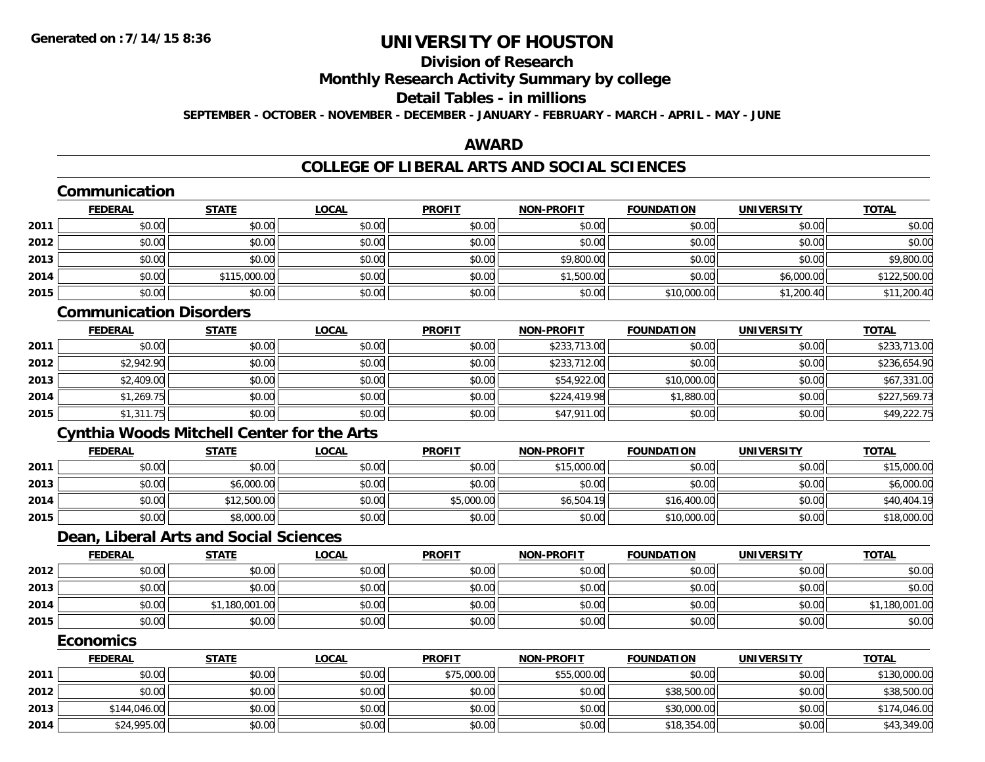# **Division of Research**

**Monthly Research Activity Summary by college**

#### **Detail Tables - in millions**

**SEPTEMBER - OCTOBER - NOVEMBER - DECEMBER - JANUARY - FEBRUARY - MARCH - APRIL - MAY - JUNE**

## **AWARD**

|      | Communication                  |                                                   |              |               |                   |                   |                   |                |
|------|--------------------------------|---------------------------------------------------|--------------|---------------|-------------------|-------------------|-------------------|----------------|
|      | <b>FEDERAL</b>                 | <b>STATE</b>                                      | <b>LOCAL</b> | <b>PROFIT</b> | <b>NON-PROFIT</b> | <b>FOUNDATION</b> | <b>UNIVERSITY</b> | <b>TOTAL</b>   |
| 2011 | \$0.00                         | \$0.00                                            | \$0.00       | \$0.00        | \$0.00            | \$0.00            | \$0.00            | \$0.00         |
| 2012 | \$0.00                         | \$0.00                                            | \$0.00       | \$0.00        | \$0.00            | \$0.00            | \$0.00            | \$0.00         |
| 2013 | \$0.00                         | \$0.00                                            | \$0.00       | \$0.00        | \$9,800.00        | \$0.00            | \$0.00            | \$9,800.00     |
| 2014 | \$0.00                         | \$115,000.00                                      | \$0.00       | \$0.00        | \$1,500.00        | \$0.00            | \$6,000.00        | \$122,500.00   |
| 2015 | \$0.00                         | \$0.00                                            | \$0.00       | \$0.00        | \$0.00            | \$10,000.00       | \$1,200.40        | \$11,200.40    |
|      | <b>Communication Disorders</b> |                                                   |              |               |                   |                   |                   |                |
|      | <b>FEDERAL</b>                 | <b>STATE</b>                                      | <b>LOCAL</b> | <b>PROFIT</b> | <b>NON-PROFIT</b> | <b>FOUNDATION</b> | <b>UNIVERSITY</b> | <b>TOTAL</b>   |
| 2011 | \$0.00                         | \$0.00                                            | \$0.00       | \$0.00        | \$233,713.00      | \$0.00            | \$0.00            | \$233,713.00   |
| 2012 | \$2,942.90                     | \$0.00                                            | \$0.00       | \$0.00        | \$233,712.00      | \$0.00            | \$0.00            | \$236,654.90   |
| 2013 | \$2,409.00                     | \$0.00                                            | \$0.00       | \$0.00        | \$54,922.00       | \$10,000.00       | \$0.00            | \$67,331.00    |
| 2014 | \$1,269.75                     | \$0.00                                            | \$0.00       | \$0.00        | \$224,419.98      | \$1,880.00        | \$0.00            | \$227,569.73   |
| 2015 | \$1,311.75                     | \$0.00                                            | \$0.00       | \$0.00        | \$47,911.00       | \$0.00            | \$0.00            | \$49,222.75    |
|      |                                | <b>Cynthia Woods Mitchell Center for the Arts</b> |              |               |                   |                   |                   |                |
|      | <b>FEDERAL</b>                 | <b>STATE</b>                                      | <b>LOCAL</b> | <b>PROFIT</b> | <b>NON-PROFIT</b> | <b>FOUNDATION</b> | <b>UNIVERSITY</b> | <b>TOTAL</b>   |
| 2011 | \$0.00                         | \$0.00                                            | \$0.00       | \$0.00        | \$15,000.00       | \$0.00            | \$0.00            | \$15,000.00    |
| 2013 | \$0.00                         | \$6,000.00                                        | \$0.00       | \$0.00        | \$0.00            | \$0.00            | \$0.00            | \$6,000.00     |
| 2014 | \$0.00                         | \$12,500.00                                       | \$0.00       | \$5,000.00    | \$6,504.19        | \$16,400.00       | \$0.00            | \$40,404.19    |
| 2015 | \$0.00                         | \$8,000.00                                        | \$0.00       | \$0.00        | \$0.00            | \$10,000.00       | \$0.00            | \$18,000.00    |
|      |                                | Dean, Liberal Arts and Social Sciences            |              |               |                   |                   |                   |                |
|      | <b>FEDERAL</b>                 | <b>STATE</b>                                      | <b>LOCAL</b> | <b>PROFIT</b> | <b>NON-PROFIT</b> | <b>FOUNDATION</b> | <b>UNIVERSITY</b> | <b>TOTAL</b>   |
| 2012 | \$0.00                         | \$0.00                                            | \$0.00       | \$0.00        | \$0.00            | \$0.00            | \$0.00            | \$0.00         |
| 2013 | \$0.00                         | \$0.00                                            | \$0.00       | \$0.00        | \$0.00            | \$0.00            | \$0.00            | \$0.00         |
| 2014 | \$0.00                         | \$1,180,001.00                                    | \$0.00       | \$0.00        | \$0.00            | \$0.00            | \$0.00            | \$1,180,001.00 |
| 2015 | \$0.00                         | \$0.00                                            | \$0.00       | \$0.00        | \$0.00            | \$0.00            | \$0.00            | \$0.00         |
|      | <b>Economics</b>               |                                                   |              |               |                   |                   |                   |                |
|      | <b>FEDERAL</b>                 | <b>STATE</b>                                      | <b>LOCAL</b> | <b>PROFIT</b> | <b>NON-PROFIT</b> | <b>FOUNDATION</b> | <b>UNIVERSITY</b> | <b>TOTAL</b>   |
| 2011 | \$0.00                         | \$0.00                                            | \$0.00       | \$75,000.00   | \$55,000.00       | \$0.00            | \$0.00            | \$130,000.00   |
| 2012 | \$0.00                         | \$0.00                                            | \$0.00       | \$0.00        | \$0.00            | \$38,500.00       | \$0.00            | \$38,500.00    |
| 2013 | \$144,046.00                   | \$0.00                                            | \$0.00       | \$0.00        | \$0.00            | \$30,000.00       | \$0.00            | \$174,046.00   |
| 2014 | \$24,995.00                    | \$0.00                                            | \$0.00       | \$0.00        | \$0.00            | \$18,354.00       | \$0.00            | \$43,349.00    |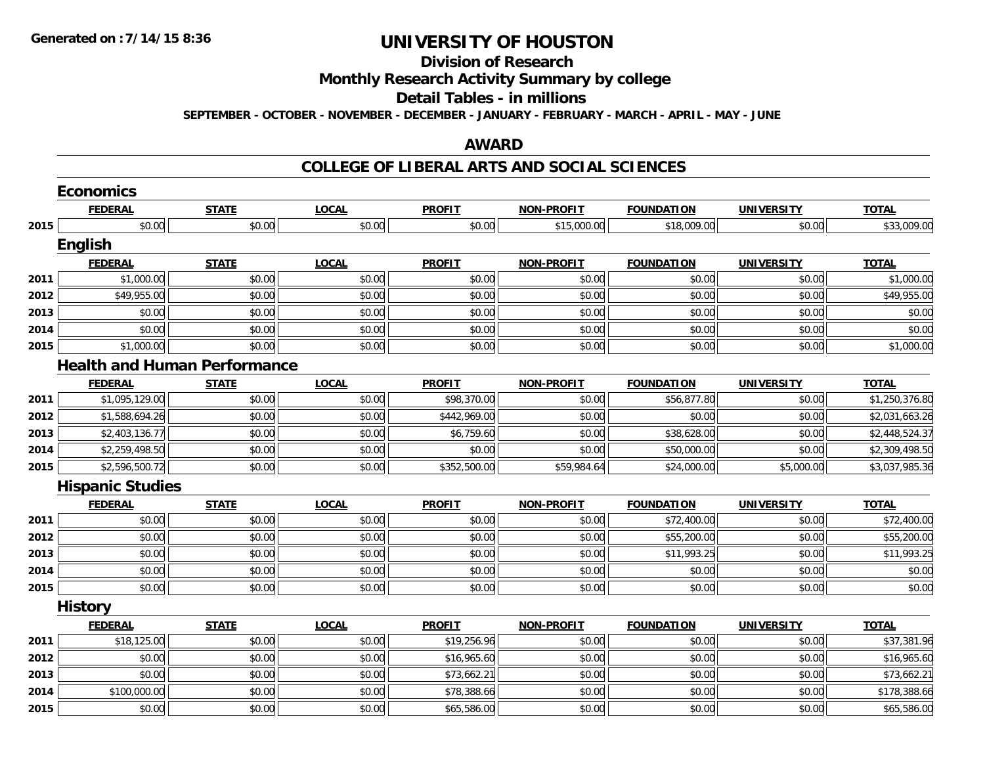## **Division of Research**

**Monthly Research Activity Summary by college**

#### **Detail Tables - in millions**

**SEPTEMBER - OCTOBER - NOVEMBER - DECEMBER - JANUARY - FEBRUARY - MARCH - APRIL - MAY - JUNE**

### **AWARD**

|      | <b>Economics</b>        |                                     |              |               |                   |                   |                   |                |
|------|-------------------------|-------------------------------------|--------------|---------------|-------------------|-------------------|-------------------|----------------|
|      | <b>FEDERAL</b>          | <b>STATE</b>                        | <b>LOCAL</b> | <b>PROFIT</b> | <b>NON-PROFIT</b> | <b>FOUNDATION</b> | <b>UNIVERSITY</b> | <b>TOTAL</b>   |
| 2015 | \$0.00                  | \$0.00                              | \$0.00       | \$0.00        | \$15,000.00       | \$18,009.00       | \$0.00            | \$33,009.00    |
|      | English                 |                                     |              |               |                   |                   |                   |                |
|      | <b>FEDERAL</b>          | <b>STATE</b>                        | <b>LOCAL</b> | <b>PROFIT</b> | <b>NON-PROFIT</b> | <b>FOUNDATION</b> | <b>UNIVERSITY</b> | <b>TOTAL</b>   |
| 2011 | \$1,000.00              | \$0.00                              | \$0.00       | \$0.00        | \$0.00            | \$0.00            | \$0.00            | \$1,000.00     |
| 2012 | \$49,955.00             | \$0.00                              | \$0.00       | \$0.00        | \$0.00            | \$0.00            | \$0.00            | \$49,955.00    |
| 2013 | \$0.00                  | \$0.00                              | \$0.00       | \$0.00        | \$0.00            | \$0.00            | \$0.00            | \$0.00         |
| 2014 | \$0.00                  | \$0.00                              | \$0.00       | \$0.00        | \$0.00            | \$0.00            | \$0.00            | \$0.00         |
| 2015 | \$1,000.00              | \$0.00                              | \$0.00       | \$0.00        | \$0.00            | \$0.00            | \$0.00            | \$1,000.00     |
|      |                         | <b>Health and Human Performance</b> |              |               |                   |                   |                   |                |
|      | <b>FEDERAL</b>          | <b>STATE</b>                        | <b>LOCAL</b> | <b>PROFIT</b> | <b>NON-PROFIT</b> | <b>FOUNDATION</b> | <b>UNIVERSITY</b> | <b>TOTAL</b>   |
| 2011 | \$1,095,129.00          | \$0.00                              | \$0.00       | \$98,370.00   | \$0.00            | \$56,877.80       | \$0.00            | \$1,250,376.80 |
| 2012 | \$1,588,694.26          | \$0.00                              | \$0.00       | \$442,969.00  | \$0.00            | \$0.00            | \$0.00            | \$2,031,663.26 |
| 2013 | \$2,403,136.77          | \$0.00                              | \$0.00       | \$6,759.60    | \$0.00            | \$38,628.00       | \$0.00            | \$2,448,524.37 |
| 2014 | \$2,259,498.50          | \$0.00                              | \$0.00       | \$0.00        | \$0.00            | \$50,000.00       | \$0.00            | \$2,309,498.50 |
| 2015 | \$2,596,500.72          | \$0.00                              | \$0.00       | \$352,500.00  | \$59,984.64       | \$24,000.00       | \$5,000.00        | \$3,037,985.36 |
|      | <b>Hispanic Studies</b> |                                     |              |               |                   |                   |                   |                |
|      | <b>FEDERAL</b>          | <b>STATE</b>                        | <b>LOCAL</b> | <b>PROFIT</b> | <b>NON-PROFIT</b> | <b>FOUNDATION</b> | <b>UNIVERSITY</b> | <b>TOTAL</b>   |
| 2011 | \$0.00                  | \$0.00                              | \$0.00       | \$0.00        | \$0.00            | \$72,400.00       | \$0.00            | \$72,400.00    |
| 2012 | \$0.00                  | \$0.00                              | \$0.00       | \$0.00        | \$0.00            | \$55,200.00       | \$0.00            | \$55,200.00    |
| 2013 | \$0.00                  | \$0.00                              | \$0.00       | \$0.00        | \$0.00            | \$11,993.25       | \$0.00            | \$11,993.25    |
| 2014 | \$0.00                  | \$0.00                              | \$0.00       | \$0.00        | \$0.00            | \$0.00            | \$0.00            | \$0.00         |
| 2015 | \$0.00                  | \$0.00                              | \$0.00       | \$0.00        | \$0.00            | \$0.00            | \$0.00            | \$0.00         |
|      | <b>History</b>          |                                     |              |               |                   |                   |                   |                |
|      | <b>FEDERAL</b>          | <b>STATE</b>                        | <b>LOCAL</b> | <b>PROFIT</b> | <b>NON-PROFIT</b> | <b>FOUNDATION</b> | <b>UNIVERSITY</b> | <b>TOTAL</b>   |
| 2011 | \$18,125.00             | \$0.00                              | \$0.00       | \$19,256.96   | \$0.00            | \$0.00            | \$0.00            | \$37,381.96    |
| 2012 | \$0.00                  | \$0.00                              | \$0.00       | \$16,965.60   | \$0.00            | \$0.00            | \$0.00            | \$16,965.60    |
| 2013 | \$0.00                  | \$0.00                              | \$0.00       | \$73,662.21   | \$0.00            | \$0.00            | \$0.00            | \$73,662.21    |
| 2014 | \$100,000.00            | \$0.00                              | \$0.00       | \$78,388.66   | \$0.00            | \$0.00            | \$0.00            | \$178,388.66   |
| 2015 | \$0.00                  | \$0.00                              | \$0.00       | \$65,586.00   | \$0.00            | \$0.00            | \$0.00            | \$65,586.00    |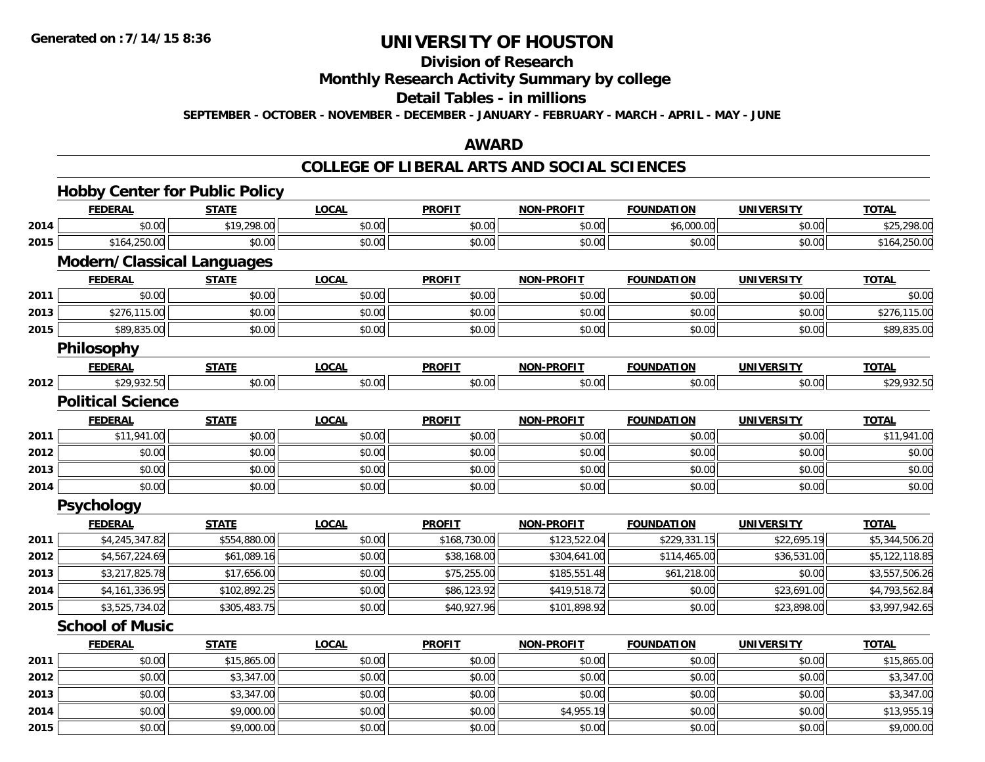## **Division of Research**

**Monthly Research Activity Summary by college**

#### **Detail Tables - in millions**

**SEPTEMBER - OCTOBER - NOVEMBER - DECEMBER - JANUARY - FEBRUARY - MARCH - APRIL - MAY - JUNE**

### **AWARD**

|      | <b>Hobby Center for Public Policy</b><br><b>FEDERAL</b> |              |                        | <b>PROFIT</b> |                   |                   |                   |                             |
|------|---------------------------------------------------------|--------------|------------------------|---------------|-------------------|-------------------|-------------------|-----------------------------|
|      | \$0.00                                                  | <b>STATE</b> | <b>LOCAL</b><br>\$0.00 | \$0.00        | <b>NON-PROFIT</b> | <b>FOUNDATION</b> | <b>UNIVERSITY</b> | <b>TOTAL</b><br>\$25,298.00 |
| 2014 |                                                         | \$19,298.00  |                        |               | \$0.00            | \$6,000.00        | \$0.00            |                             |
| 2015 | \$164,250.00                                            | \$0.00       | \$0.00                 | \$0.00        | \$0.00            | \$0.00            | \$0.00            | \$164,250.00                |
|      | <b>Modern/Classical Languages</b><br><b>FEDERAL</b>     | <b>STATE</b> | <b>LOCAL</b>           | <b>PROFIT</b> | <b>NON-PROFIT</b> | <b>FOUNDATION</b> | <b>UNIVERSITY</b> | <b>TOTAL</b>                |
| 2011 | \$0.00                                                  | \$0.00       | \$0.00                 | \$0.00        | \$0.00            | \$0.00            | \$0.00            | \$0.00                      |
| 2013 | \$276,115.00                                            | \$0.00       | \$0.00                 | \$0.00        | \$0.00            | \$0.00            | \$0.00            | \$276,115.00                |
| 2015 | \$89,835.00                                             | \$0.00       | \$0.00                 | \$0.00        | \$0.00            | \$0.00            | \$0.00            | \$89,835.00                 |
|      | Philosophy                                              |              |                        |               |                   |                   |                   |                             |
|      | <b>FEDERAL</b>                                          | <b>STATE</b> | <b>LOCAL</b>           | <b>PROFIT</b> | NON-PROFIT        | <b>FOUNDATION</b> | <b>UNIVERSITY</b> | <b>TOTAL</b>                |
| 2012 | \$29,932.50                                             | \$0.00       | \$0.00                 | \$0.00        | \$0.00            | \$0.00            | \$0.00            | \$29,932.50                 |
|      | <b>Political Science</b>                                |              |                        |               |                   |                   |                   |                             |
|      | <b>FEDERAL</b>                                          | <b>STATE</b> | <b>LOCAL</b>           | <b>PROFIT</b> | <b>NON-PROFIT</b> | <b>FOUNDATION</b> | <b>UNIVERSITY</b> | <b>TOTAL</b>                |
| 2011 | \$11,941.00                                             | \$0.00       | \$0.00                 | \$0.00        | \$0.00            | \$0.00            | \$0.00            | \$11,941.00                 |
| 2012 | \$0.00                                                  | \$0.00       | \$0.00                 | \$0.00        | \$0.00            | \$0.00            | \$0.00            | \$0.00                      |
| 2013 | \$0.00                                                  | \$0.00       | \$0.00                 | \$0.00        | \$0.00            | \$0.00            | \$0.00            | \$0.00                      |
| 2014 | \$0.00                                                  | \$0.00       | \$0.00                 | \$0.00        | \$0.00            | \$0.00            | \$0.00            | \$0.00                      |
|      | Psychology                                              |              |                        |               |                   |                   |                   |                             |
|      | <b>FEDERAL</b>                                          | <b>STATE</b> | <b>LOCAL</b>           | <b>PROFIT</b> | <b>NON-PROFIT</b> | <b>FOUNDATION</b> | <b>UNIVERSITY</b> | <b>TOTAL</b>                |
| 2011 | \$4,245,347.82                                          | \$554,880.00 | \$0.00                 | \$168,730.00  | \$123,522.04      | \$229,331.15      | \$22,695.19       | \$5,344,506.20              |
| 2012 | \$4,567,224.69                                          | \$61,089.16  | \$0.00                 | \$38,168.00   | \$304,641.00      | \$114,465.00      | \$36,531.00       | \$5,122,118.85              |
| 2013 | \$3,217,825.78                                          | \$17,656.00  | \$0.00                 | \$75,255.00   | \$185,551.48      | \$61,218.00       | \$0.00            | \$3,557,506.26              |
| 2014 | \$4,161,336.95                                          | \$102,892.25 | \$0.00                 | \$86,123.92   | \$419,518.72      | \$0.00            | \$23,691.00       | \$4,793,562.84              |
| 2015 | \$3,525,734.02                                          | \$305,483.75 | \$0.00                 | \$40,927.96   | \$101,898.92      | \$0.00            | \$23,898.00       | \$3,997,942.65              |
|      | <b>School of Music</b>                                  |              |                        |               |                   |                   |                   |                             |
|      | <b>FEDERAL</b>                                          | <b>STATE</b> | <b>LOCAL</b>           | <b>PROFIT</b> | <b>NON-PROFIT</b> | <b>FOUNDATION</b> | <b>UNIVERSITY</b> | <b>TOTAL</b>                |
| 2011 | \$0.00                                                  | \$15,865.00  | \$0.00                 | \$0.00        | \$0.00            | \$0.00            | \$0.00            | \$15,865.00                 |
| 2012 | \$0.00                                                  | \$3,347.00   | \$0.00                 | \$0.00        | \$0.00            | \$0.00            | \$0.00            | \$3,347.00                  |
| 2013 | \$0.00                                                  | \$3,347.00   | \$0.00                 | \$0.00        | \$0.00            | \$0.00            | \$0.00            | \$3,347.00                  |
| 2014 | \$0.00                                                  | \$9,000.00   | \$0.00                 | \$0.00        | \$4,955.19        | \$0.00            | \$0.00            | \$13,955.19                 |
| 2015 | \$0.00                                                  | \$9,000.00   | \$0.00                 | \$0.00        | \$0.00            | \$0.00            | \$0.00            | \$9,000.00                  |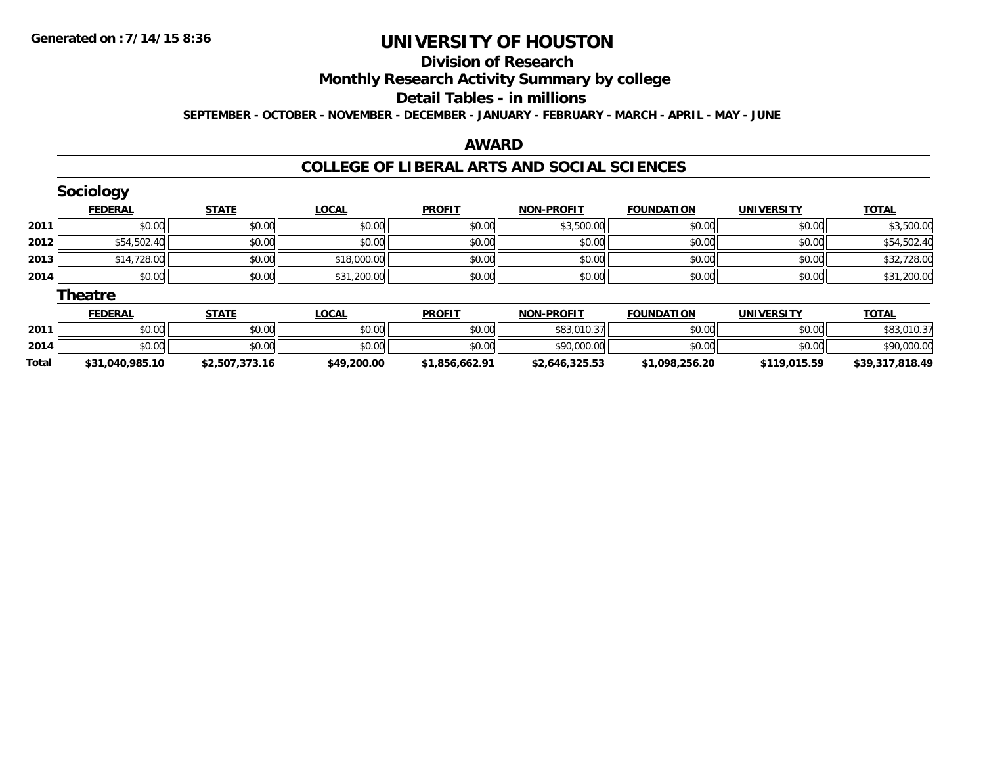#### **Division of Research**

**Monthly Research Activity Summary by college**

#### **Detail Tables - in millions**

**SEPTEMBER - OCTOBER - NOVEMBER - DECEMBER - JANUARY - FEBRUARY - MARCH - APRIL - MAY - JUNE**

### **AWARD**

|       | <b>Sociology</b> |                |              |                |                   |                   |                   |                 |
|-------|------------------|----------------|--------------|----------------|-------------------|-------------------|-------------------|-----------------|
|       | <b>FEDERAL</b>   | <b>STATE</b>   | <b>LOCAL</b> | <b>PROFIT</b>  | <b>NON-PROFIT</b> | <b>FOUNDATION</b> | <b>UNIVERSITY</b> | <b>TOTAL</b>    |
| 2011  | \$0.00           | \$0.00         | \$0.00       | \$0.00         | \$3,500.00        | \$0.00            | \$0.00            | \$3,500.00      |
| 2012  | \$54,502.40      | \$0.00         | \$0.00       | \$0.00         | \$0.00            | \$0.00            | \$0.00            | \$54,502.40     |
| 2013  | \$14,728.00      | \$0.00         | \$18,000.00  | \$0.00         | \$0.00            | \$0.00            | \$0.00            | \$32,728.00     |
| 2014  | \$0.00           | \$0.00         | \$31,200.00  | \$0.00         | \$0.00            | \$0.00            | \$0.00            | \$31,200.00     |
|       | <b>Theatre</b>   |                |              |                |                   |                   |                   |                 |
|       | <b>FEDERAL</b>   | <b>STATE</b>   | <b>LOCAL</b> | <b>PROFIT</b>  | <b>NON-PROFIT</b> | <b>FOUNDATION</b> | <b>UNIVERSITY</b> | <b>TOTAL</b>    |
| 2011  | \$0.00           | \$0.00         | \$0.00       | \$0.00         | \$83,010.37       | \$0.00            | \$0.00            | \$83,010.37     |
| 2014  | \$0.00           | \$0.00         | \$0.00       | \$0.00         | \$90,000.00       | \$0.00            | \$0.00            | \$90,000.00     |
| Total | \$31,040,985.10  | \$2,507,373.16 | \$49,200.00  | \$1,856,662.91 | \$2,646,325.53    | \$1,098,256.20    | \$119,015.59      | \$39,317,818.49 |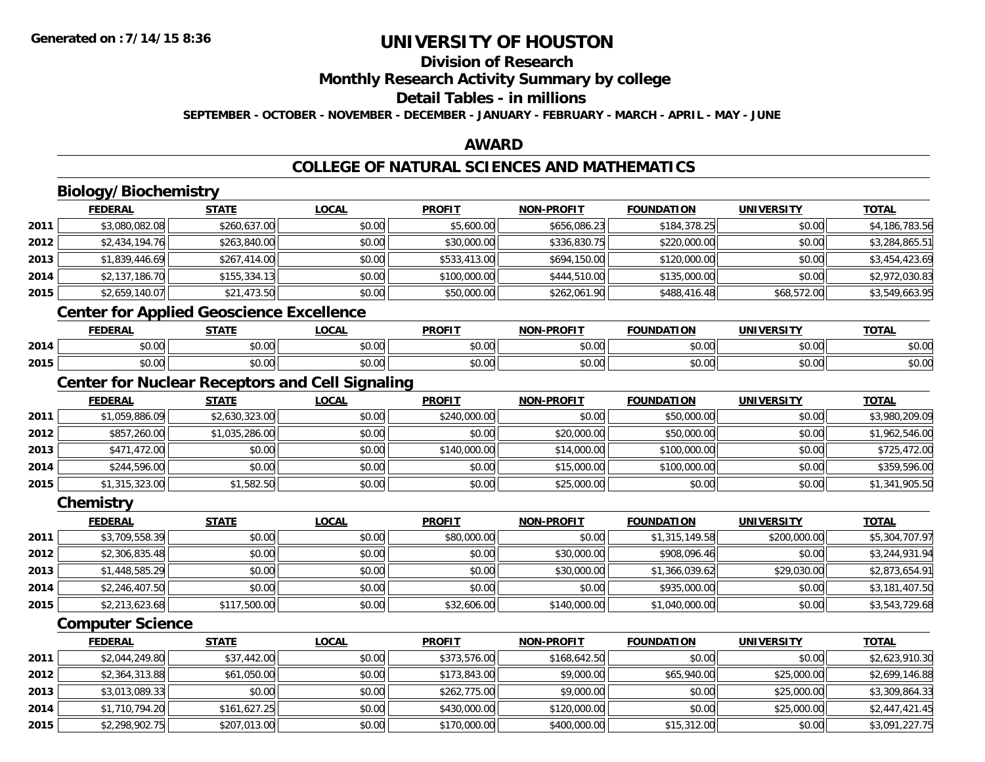**2015**

## **UNIVERSITY OF HOUSTON**

## **Division of Research**

**Monthly Research Activity Summary by college**

#### **Detail Tables - in millions**

**SEPTEMBER - OCTOBER - NOVEMBER - DECEMBER - JANUARY - FEBRUARY - MARCH - APRIL - MAY - JUNE**

### **AWARD**

### **COLLEGE OF NATURAL SCIENCES AND MATHEMATICS**

|      | <b>Biology/Biochemistry</b>                     |                |                                                        |               |                   |                   |                   |                |
|------|-------------------------------------------------|----------------|--------------------------------------------------------|---------------|-------------------|-------------------|-------------------|----------------|
|      | <b>FEDERAL</b>                                  | <b>STATE</b>   | <b>LOCAL</b>                                           | <b>PROFIT</b> | <b>NON-PROFIT</b> | <b>FOUNDATION</b> | <b>UNIVERSITY</b> | <b>TOTAL</b>   |
| 2011 | \$3,080,082.08                                  | \$260,637.00   | \$0.00                                                 | \$5,600.00    | \$656,086.23      | \$184,378.25      | \$0.00            | \$4,186,783.56 |
| 2012 | \$2,434,194.76                                  | \$263,840.00   | \$0.00                                                 | \$30,000.00   | \$336,830.75      | \$220,000.00      | \$0.00            | \$3,284,865.51 |
| 2013 | \$1,839,446.69                                  | \$267,414.00   | \$0.00                                                 | \$533,413.00  | \$694,150.00      | \$120,000.00      | \$0.00            | \$3,454,423.69 |
| 2014 | \$2,137,186.70                                  | \$155,334.13   | \$0.00                                                 | \$100,000.00  | \$444,510.00      | \$135,000.00      | \$0.00            | \$2,972,030.83 |
| 2015 | \$2,659,140.07                                  | \$21,473.50    | \$0.00                                                 | \$50,000.00   | \$262,061.90      | \$488,416.48      | \$68,572.00       | \$3,549,663.95 |
|      | <b>Center for Applied Geoscience Excellence</b> |                |                                                        |               |                   |                   |                   |                |
|      | <b>FEDERAL</b>                                  | <b>STATE</b>   | <b>LOCAL</b>                                           | <b>PROFIT</b> | <b>NON-PROFIT</b> | <b>FOUNDATION</b> | <b>UNIVERSITY</b> | <b>TOTAL</b>   |
| 2014 | \$0.00                                          | \$0.00         | \$0.00                                                 | \$0.00        | \$0.00            | \$0.00            | \$0.00            | \$0.00         |
| 2015 | \$0.00                                          | \$0.00         | \$0.00                                                 | \$0.00        | \$0.00            | \$0.00            | \$0.00            | \$0.00         |
|      |                                                 |                | <b>Center for Nuclear Receptors and Cell Signaling</b> |               |                   |                   |                   |                |
|      | <b>FEDERAL</b>                                  | <b>STATE</b>   | <b>LOCAL</b>                                           | <b>PROFIT</b> | <b>NON-PROFIT</b> | <b>FOUNDATION</b> | <b>UNIVERSITY</b> | <b>TOTAL</b>   |
| 2011 | \$1,059,886.09                                  | \$2,630,323.00 | \$0.00                                                 | \$240,000.00  | \$0.00            | \$50,000.00       | \$0.00            | \$3,980,209.09 |
| 2012 | \$857,260.00                                    | \$1,035,286.00 | \$0.00                                                 | \$0.00        | \$20,000.00       | \$50,000.00       | \$0.00            | \$1,962,546.00 |
| 2013 | \$471,472.00                                    | \$0.00         | \$0.00                                                 | \$140,000.00  | \$14,000.00       | \$100,000.00      | \$0.00            | \$725,472.00   |
| 2014 | \$244,596.00                                    | \$0.00         | \$0.00                                                 | \$0.00        | \$15,000.00       | \$100,000.00      | \$0.00            | \$359,596.00   |
| 2015 | \$1,315,323.00                                  | \$1,582.50     | \$0.00                                                 | \$0.00        | \$25,000.00       | \$0.00            | \$0.00            | \$1,341,905.50 |
|      | Chemistry                                       |                |                                                        |               |                   |                   |                   |                |
|      | <b>FEDERAL</b>                                  | <b>STATE</b>   | <b>LOCAL</b>                                           | <b>PROFIT</b> | <b>NON-PROFIT</b> | <b>FOUNDATION</b> | <b>UNIVERSITY</b> | <b>TOTAL</b>   |
| 2011 | \$3,709,558.39                                  | \$0.00         | \$0.00                                                 | \$80,000.00   | \$0.00            | \$1,315,149.58    | \$200,000.00      | \$5,304,707.97 |
| 2012 | \$2,306,835.48                                  | \$0.00         | \$0.00                                                 | \$0.00        | \$30,000.00       | \$908,096.46      | \$0.00            | \$3,244,931.94 |
| 2013 | \$1,448,585.29                                  | \$0.00         | \$0.00                                                 | \$0.00        | \$30,000.00       | \$1,366,039.62    | \$29,030.00       | \$2,873,654.91 |
| 2014 | \$2,246,407.50                                  | \$0.00         | \$0.00                                                 | \$0.00        | \$0.00            | \$935,000.00      | \$0.00            | \$3,181,407.50 |
| 2015 | \$2,213,623.68                                  | \$117,500.00   | \$0.00                                                 | \$32,606.00   | \$140,000.00      | \$1,040,000.00    | \$0.00            | \$3,543,729.68 |
|      | <b>Computer Science</b>                         |                |                                                        |               |                   |                   |                   |                |
|      | <b>FEDERAL</b>                                  | <b>STATE</b>   | <b>LOCAL</b>                                           | <b>PROFIT</b> | <b>NON-PROFIT</b> | <b>FOUNDATION</b> | <b>UNIVERSITY</b> | <b>TOTAL</b>   |
| 2011 | \$2,044,249.80                                  | \$37,442.00    | \$0.00                                                 | \$373,576.00  | \$168,642.50      | \$0.00            | \$0.00            | \$2,623,910.30 |
| 2012 | \$2,364,313.88                                  | \$61,050.00    | \$0.00                                                 | \$173,843.00  | \$9,000.00        | \$65,940.00       | \$25,000.00       | \$2,699,146.88 |
| 2013 | \$3,013,089.33                                  | \$0.00         | \$0.00                                                 | \$262,775.00  | \$9,000.00        | \$0.00            | \$25,000.00       | \$3,309,864.33 |
| 2014 | \$1,710,794.20                                  | \$161,627.25   | \$0.00                                                 | \$430,000.00  | \$120,000.00      | \$0.00            | \$25,000.00       | \$2,447,421.45 |

\$2,298,902.75 \$207,013.00 \$0.00 \$170,000.00 \$400,000.00 \$15,312.00 \$0.00 \$3,091,227.75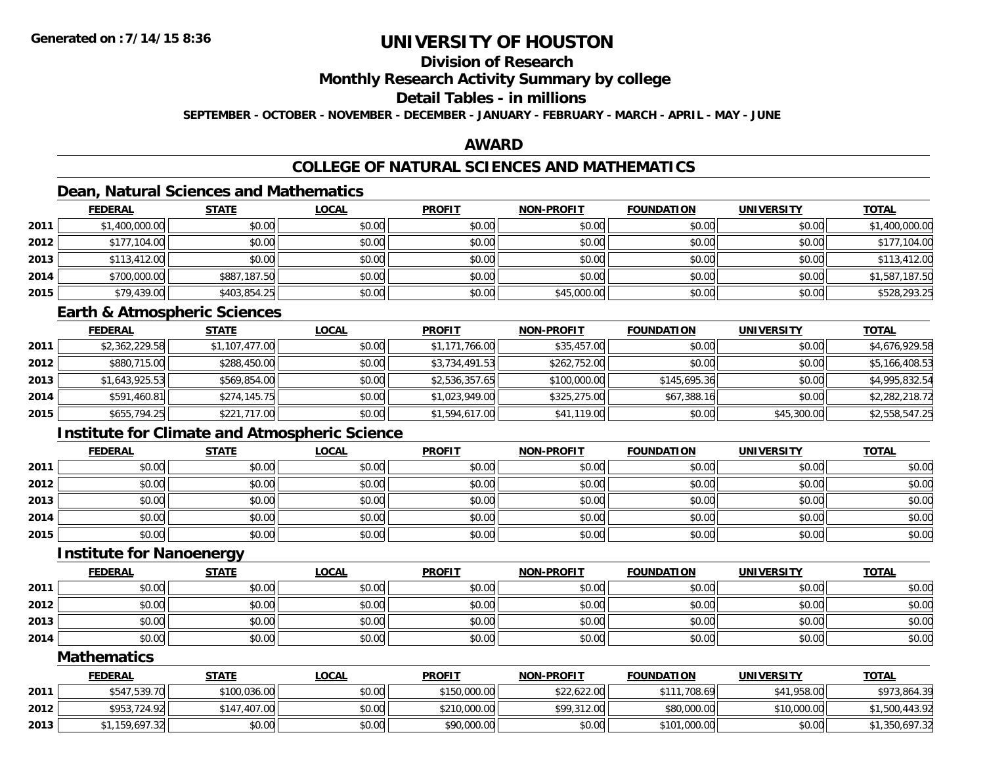## **Division of Research**

### **Monthly Research Activity Summary by college**

## **Detail Tables - in millions**

**SEPTEMBER - OCTOBER - NOVEMBER - DECEMBER - JANUARY - FEBRUARY - MARCH - APRIL - MAY - JUNE**

### **AWARD**

## **COLLEGE OF NATURAL SCIENCES AND MATHEMATICS**

## **Dean, Natural Sciences and Mathematics**

|      | <b>FEDERAL</b> | <u>STATE</u> | <u>LOCAL</u> | <b>PROFIT</b> | <b>NON-PROFIT</b> | <b>FOUNDATION</b> | <b>UNIVERSITY</b> | <b>TOTAL</b>   |
|------|----------------|--------------|--------------|---------------|-------------------|-------------------|-------------------|----------------|
| 2011 | \$1,400,000.00 | \$0.00       | \$0.00       | \$0.00        | \$0.00            | \$0.00            | \$0.00            | \$1,400,000.00 |
| 2012 | \$177,104.00   | \$0.00       | \$0.00       | \$0.00        | \$0.00            | \$0.00            | \$0.00            | \$177,104.00   |
| 2013 | \$113,412.00   | \$0.00       | \$0.00       | \$0.00        | \$0.00            | \$0.00            | \$0.00            | \$113,412.00   |
| 2014 | \$700,000.00   | \$887,187.50 | \$0.00       | \$0.00        | \$0.00            | \$0.00            | \$0.00            | \$1,587,187.50 |
| 2015 | \$79,439.00    | \$403,854.25 | \$0.00       | \$0.00        | \$45,000.00       | \$0.00            | \$0.00            | \$528,293.25   |

#### **Earth & Atmospheric Sciences**

|      | <b>FEDERAL</b> | <b>STATE</b>   | <b>LOCAL</b> | <b>PROFIT</b>  | <b>NON-PROFIT</b> | <b>FOUNDATION</b> | <b>UNIVERSITY</b> | <b>TOTAL</b>   |
|------|----------------|----------------|--------------|----------------|-------------------|-------------------|-------------------|----------------|
| 2011 | \$2,362,229.58 | \$1,107,477.00 | \$0.00       | \$1,171,766.00 | \$35,457.00       | \$0.00            | \$0.00            | \$4,676,929.58 |
| 2012 | \$880,715.00   | \$288,450.00   | \$0.00       | \$3,734,491.53 | \$262,752.00      | \$0.00            | \$0.00            | \$5,166,408.53 |
| 2013 | \$1,643,925.53 | \$569,854.00   | \$0.00       | \$2,536,357.65 | \$100,000.00      | \$145,695.36      | \$0.00            | \$4,995,832.54 |
| 2014 | \$591,460.81   | \$274,145.75   | \$0.00       | \$1,023,949.00 | \$325,275.00      | \$67,388.16       | \$0.00            | \$2,282,218.72 |
| 2015 | \$655,794.25   | \$221,717.00   | \$0.00       | \$1,594,617.00 | \$41,119.00       | \$0.00            | \$45,300.00       | \$2,558,547.25 |

## **Institute for Climate and Atmospheric Science**

|      | <b>FEDERAL</b> | <b>STATE</b> | <b>LOCAL</b> | <b>PROFIT</b> | <b>NON-PROFIT</b> | <b>FOUNDATION</b> | <b>UNIVERSITY</b> | <b>TOTAL</b> |
|------|----------------|--------------|--------------|---------------|-------------------|-------------------|-------------------|--------------|
| 2011 | \$0.00         | \$0.00       | \$0.00       | \$0.00        | \$0.00            | \$0.00            | \$0.00            | \$0.00       |
| 2012 | \$0.00         | \$0.00       | \$0.00       | \$0.00        | \$0.00            | \$0.00            | \$0.00            | \$0.00       |
| 2013 | \$0.00         | \$0.00       | \$0.00       | \$0.00        | \$0.00            | \$0.00            | \$0.00            | \$0.00       |
| 2014 | \$0.00         | \$0.00       | \$0.00       | \$0.00        | \$0.00            | \$0.00            | \$0.00            | \$0.00       |
| 2015 | \$0.00         | \$0.00       | \$0.00       | \$0.00        | \$0.00            | \$0.00            | \$0.00            | \$0.00       |

#### **Institute for Nanoenergy**

|      | <b>FEDERAL</b> | <u>STATE</u> | <b>LOCAL</b> | <b>PROFIT</b> | <b>NON-PROFIT</b> | <b>FOUNDATION</b> | <b>UNIVERSITY</b> | <b>TOTAL</b> |
|------|----------------|--------------|--------------|---------------|-------------------|-------------------|-------------------|--------------|
| 2011 | \$0.00         | \$0.00       | \$0.00       | \$0.00        | \$0.00            | \$0.00            | \$0.00            | \$0.00       |
| 2012 | \$0.00         | \$0.00       | \$0.00       | \$0.00        | \$0.00            | \$0.00            | \$0.00            | \$0.00       |
| 2013 | \$0.00         | \$0.00       | \$0.00       | \$0.00        | \$0.00            | \$0.00            | \$0.00            | \$0.00       |
| 2014 | \$0.00         | \$0.00       | \$0.00       | \$0.00        | \$0.00            | \$0.00            | \$0.00            | \$0.00       |

#### **Mathematics**

|      | <u>FEDERAL</u> | <u>STATE</u> | <u>LOCAL</u> | <b>PROFIT</b> | <b>NON-PROFIT</b> | <b>FOUNDATION</b> | <b>UNIVERSITY</b> | <b>TOTAL</b>   |
|------|----------------|--------------|--------------|---------------|-------------------|-------------------|-------------------|----------------|
| 2011 | \$547,539.70   | \$100,036.00 | \$0.00       | \$150,000.00  | \$22,622.00       | \$111,708.69      | \$41,958.00       | \$973,864.39   |
| 2012 | \$953,724.92   | \$147,407.00 | \$0.00       | \$210,000.00  | \$99,312.00       | \$80,000.00       | \$10,000.00       | \$1,500,443.92 |
| 2013 | 159,697.32     | \$0.00       | \$0.00       | \$90,000.00   | \$0.00            | \$101,000.00      | \$0.00            | \$1,350,697.32 |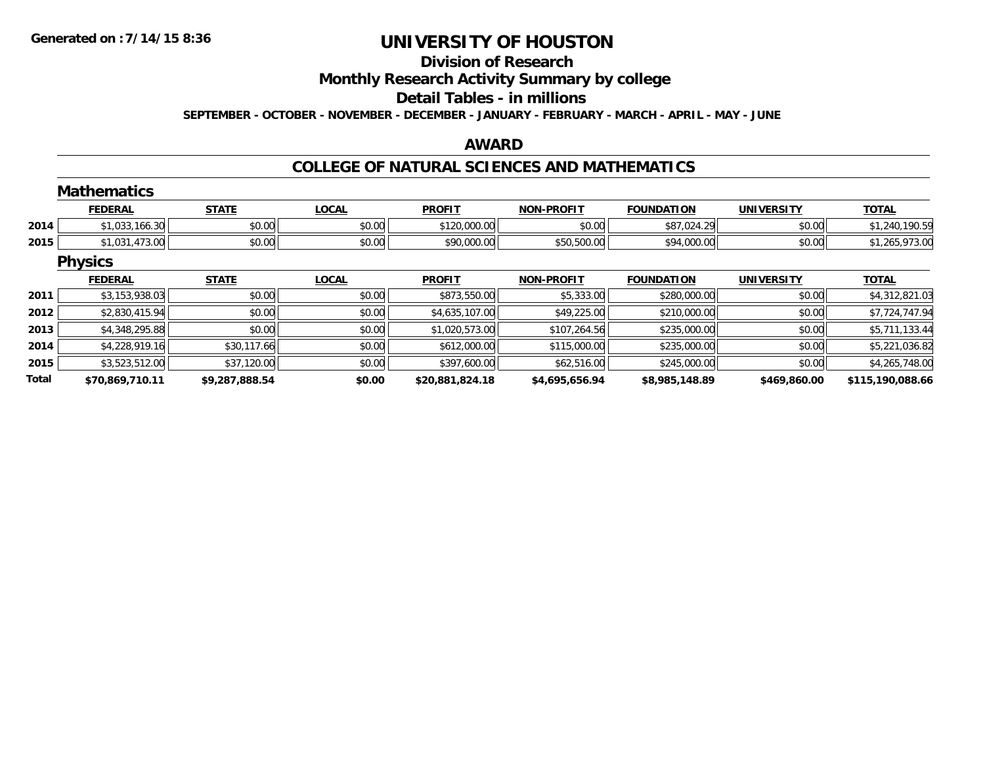## **Division of Research**

**Monthly Research Activity Summary by college**

#### **Detail Tables - in millions**

**SEPTEMBER - OCTOBER - NOVEMBER - DECEMBER - JANUARY - FEBRUARY - MARCH - APRIL - MAY - JUNE**

### **AWARD**

### **COLLEGE OF NATURAL SCIENCES AND MATHEMATICS**

|              | <b>Mathematics</b> |                |              |                 |                   |                   |                   |                  |
|--------------|--------------------|----------------|--------------|-----------------|-------------------|-------------------|-------------------|------------------|
|              | <b>FEDERAL</b>     | <b>STATE</b>   | <b>LOCAL</b> | <b>PROFIT</b>   | <b>NON-PROFIT</b> | <b>FOUNDATION</b> | <b>UNIVERSITY</b> | <b>TOTAL</b>     |
| 2014         | \$1,033,166.30     | \$0.00         | \$0.00       | \$120,000.00    | \$0.00            | \$87,024.29       | \$0.00            | \$1,240,190.59   |
| 2015         | \$1,031,473.00     | \$0.00         | \$0.00       | \$90,000.00     | \$50,500.00       | \$94,000.00       | \$0.00            | \$1,265,973.00   |
|              | <b>Physics</b>     |                |              |                 |                   |                   |                   |                  |
|              | <b>FEDERAL</b>     | <b>STATE</b>   | <b>LOCAL</b> | <b>PROFIT</b>   | <b>NON-PROFIT</b> | <b>FOUNDATION</b> | <b>UNIVERSITY</b> | <b>TOTAL</b>     |
| 2011         | \$3,153,938.03     | \$0.00         | \$0.00       | \$873,550.00    | \$5,333.00        | \$280,000.00      | \$0.00            | \$4,312,821.03   |
| 2012         | \$2,830,415.94     | \$0.00         | \$0.00       | \$4,635,107.00  | \$49,225.00       | \$210,000.00      | \$0.00            | \$7,724,747.94   |
| 2013         | \$4,348,295.88     | \$0.00         | \$0.00       | \$1,020,573.00  | \$107,264.56      | \$235,000.00      | \$0.00            | \$5,711,133.44   |
| 2014         | \$4,228,919.16     | \$30,117.66    | \$0.00       | \$612,000.00    | \$115,000.00      | \$235,000.00      | \$0.00            | \$5,221,036.82   |
| 2015         | \$3,523,512.00     | \$37,120.00    | \$0.00       | \$397,600.00    | \$62,516.00       | \$245,000.00      | \$0.00            | \$4,265,748.00   |
| <b>Total</b> | \$70.869.710.11    | \$9.287.888.54 | \$0.00       | \$20,881,824.18 | \$4,695,656,94    | \$8.985.148.89    | \$469,860.00      | \$115.190.088.66 |

**\$70,869,710.11 \$9,287,888.54 \$0.00 \$20,881,824.18 \$4,695,656.94 \$8,985,148.89 \$469,860.00 \$115,190,088.66**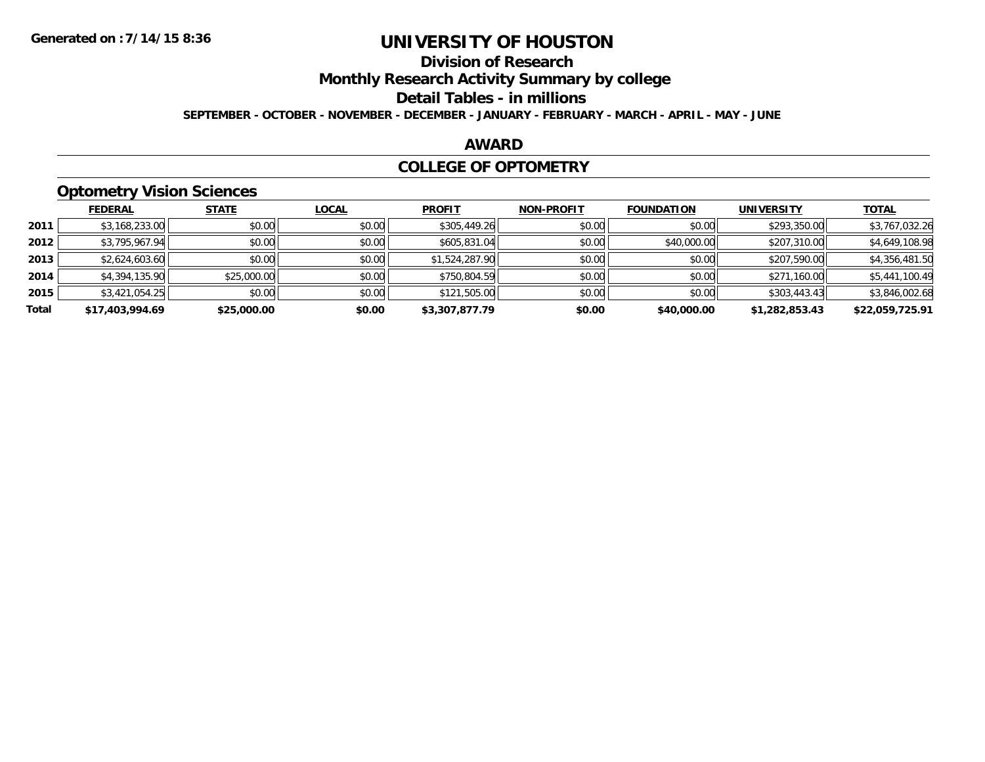## **Division of Research**

**Monthly Research Activity Summary by college**

#### **Detail Tables - in millions**

**SEPTEMBER - OCTOBER - NOVEMBER - DECEMBER - JANUARY - FEBRUARY - MARCH - APRIL - MAY - JUNE**

### **AWARD**

#### **COLLEGE OF OPTOMETRY**

## **Optometry Vision Sciences**

|       | <b>FEDERAL</b>  | <b>STATE</b> | <b>LOCAL</b> | <b>PROFIT</b>  | <b>NON-PROFIT</b> | <b>FOUNDATION</b> | <b>UNIVERSITY</b> | <u>TOTAL</u>    |
|-------|-----------------|--------------|--------------|----------------|-------------------|-------------------|-------------------|-----------------|
|       |                 |              |              |                |                   |                   |                   |                 |
| 2011  | \$3,168,233.00  | \$0.00       | \$0.00       | \$305,449.26   | \$0.00            | \$0.00            | \$293,350.00      | \$3,767,032.26  |
| 2012  | \$3,795,967.94  | \$0.00       | \$0.00       | \$605,831.04   | \$0.00            | \$40,000.00       | \$207,310.00      | \$4,649,108.98  |
| 2013  | \$2,624,603.60  | \$0.00       | \$0.00       | \$1,524,287.90 | \$0.00            | \$0.00            | \$207,590.00      | \$4,356,481.50  |
| 2014  | \$4,394,135.90  | \$25,000.00  | \$0.00       | \$750,804.59   | \$0.00            | \$0.00            | \$271,160.00      | \$5,441,100.49  |
| 2015  | \$3,421,054.25  | \$0.00       | \$0.00       | \$121,505.00   | \$0.00            | \$0.00            | \$303,443.43      | \$3,846,002.68  |
| Total | \$17,403,994.69 | \$25,000.00  | \$0.00       | \$3,307,877.79 | \$0.00            | \$40,000.00       | \$1,282,853.43    | \$22,059,725.91 |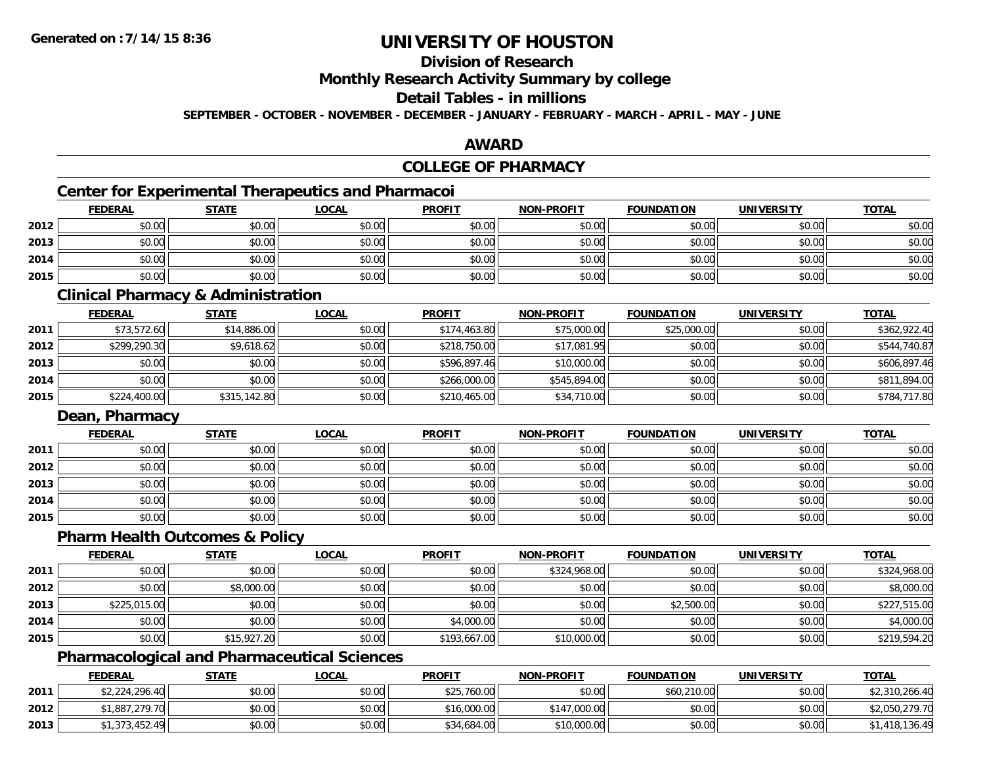## **Division of Research**

**Monthly Research Activity Summary by college**

#### **Detail Tables - in millions**

**SEPTEMBER - OCTOBER - NOVEMBER - DECEMBER - JANUARY - FEBRUARY - MARCH - APRIL - MAY - JUNE**

## **AWARD**

## **COLLEGE OF PHARMACY**

## **Center for Experimental Therapeutics and Pharmacoi**

|      | <b>FEDERAL</b> | <b>STATE</b> | <u>LOCAL</u> | <b>PROFIT</b> | NON-PROFIT | <b>FOUNDATION</b> | <b>UNIVERSITY</b> | <b>TOTAL</b> |
|------|----------------|--------------|--------------|---------------|------------|-------------------|-------------------|--------------|
| 2012 | \$0.00         | \$0.00       | \$0.00       | \$0.00        | \$0.00     | \$0.00            | \$0.00            | \$0.00       |
| 2013 | \$0.00         | \$0.00       | \$0.00       | \$0.00        | \$0.00     | \$0.00            | \$0.00            | \$0.00       |
| 2014 | \$0.00         | \$0.00       | \$0.00       | \$0.00        | \$0.00     | \$0.00            | \$0.00            | \$0.00       |
| 2015 | \$0.00         | \$0.00       | \$0.00       | \$0.00        | \$0.00     | \$0.00            | \$0.00            | \$0.00       |

#### **Clinical Pharmacy & Administration**

|      | <b>FEDERAL</b> | <u>STATE</u> | <b>LOCAL</b> | <b>PROFIT</b> | <b>NON-PROFIT</b> | <b>FOUNDATION</b> | <b>UNIVERSITY</b> | <b>TOTAL</b> |
|------|----------------|--------------|--------------|---------------|-------------------|-------------------|-------------------|--------------|
| 2011 | \$73,572.60    | \$14,886.00  | \$0.00       | \$174,463.80  | \$75,000.00       | \$25,000.00       | \$0.00            | \$362,922.40 |
| 2012 | \$299,290.30   | \$9,618.62   | \$0.00       | \$218,750.00  | \$17,081.95       | \$0.00            | \$0.00            | \$544,740.87 |
| 2013 | \$0.00         | \$0.00       | \$0.00       | \$596,897.46  | \$10,000.00       | \$0.00            | \$0.00            | \$606,897.46 |
| 2014 | \$0.00         | \$0.00       | \$0.00       | \$266,000.00  | \$545,894.00      | \$0.00            | \$0.00            | \$811,894.00 |
| 2015 | \$224,400.00   | \$315,142.80 | \$0.00       | \$210,465.00  | \$34,710.00       | \$0.00            | \$0.00            | \$784,717.80 |

### **Dean, Pharmacy**

|      | <b>FEDERAL</b> | <b>STATE</b> | <u>LOCAL</u> | <b>PROFIT</b> | <b>NON-PROFIT</b> | <b>FOUNDATION</b> | <b>UNIVERSITY</b> | <b>TOTAL</b> |
|------|----------------|--------------|--------------|---------------|-------------------|-------------------|-------------------|--------------|
| 2011 | \$0.00         | \$0.00       | \$0.00       | \$0.00        | \$0.00            | \$0.00            | \$0.00            | \$0.00       |
| 2012 | \$0.00         | \$0.00       | \$0.00       | \$0.00        | \$0.00            | \$0.00            | \$0.00            | \$0.00       |
| 2013 | \$0.00         | \$0.00       | \$0.00       | \$0.00        | \$0.00            | \$0.00            | \$0.00            | \$0.00       |
| 2014 | \$0.00         | \$0.00       | \$0.00       | \$0.00        | \$0.00            | \$0.00            | \$0.00            | \$0.00       |
| 2015 | \$0.00         | \$0.00       | \$0.00       | \$0.00        | \$0.00            | \$0.00            | \$0.00            | \$0.00       |

## **Pharm Health Outcomes & Policy**

|      | <b>FEDERAL</b> | <b>STATE</b> | <u>LOCAL</u> | <b>PROFIT</b> | <b>NON-PROFIT</b> | <b>FOUNDATION</b> | <b>UNIVERSITY</b> | <b>TOTAL</b> |
|------|----------------|--------------|--------------|---------------|-------------------|-------------------|-------------------|--------------|
| 2011 | \$0.00         | \$0.00       | \$0.00       | \$0.00        | \$324,968.00      | \$0.00            | \$0.00            | \$324,968.00 |
| 2012 | \$0.00         | \$8,000.00   | \$0.00       | \$0.00        | \$0.00            | \$0.00            | \$0.00            | \$8,000.00   |
| 2013 | \$225,015.00   | \$0.00       | \$0.00       | \$0.00        | \$0.00            | \$2,500.00        | \$0.00            | \$227,515.00 |
| 2014 | \$0.00         | \$0.00       | \$0.00       | \$4,000.00    | \$0.00            | \$0.00            | \$0.00            | \$4,000.00   |
| 2015 | \$0.00         | \$15,927.20  | \$0.00       | \$193,667.00  | \$10,000.00       | \$0.00            | \$0.00            | \$219,594.20 |

## **Pharmacological and Pharmaceutical Sciences**

|      | <b>FEDERAL</b> | <b>STATE</b> | <u>LOCAL</u> | <b>PROFIT</b> | <b>NON-PROFIT</b> | <b>FOUNDATION</b> | <b>UNIVERSITY</b> | <b>TOTAL</b>   |
|------|----------------|--------------|--------------|---------------|-------------------|-------------------|-------------------|----------------|
| 2011 | \$2,224,296.40 | \$0.00       | \$0.00       | \$25,760.00   | \$0.00            | \$60,210.00       | \$0.00            | \$2,310,266.40 |
| 2012 | 1,887,279.70∥  | \$0.00       | \$0.00       | \$16,000.00   | \$147,000.00      | \$0.00            | \$0.00            | \$2,050,279.70 |
| 2013 | \$1,373,452.49 | \$0.00       | \$0.00       | \$34,684.00   | \$10,000.00       | \$0.00            | \$0.00            | 1,418,136.49   |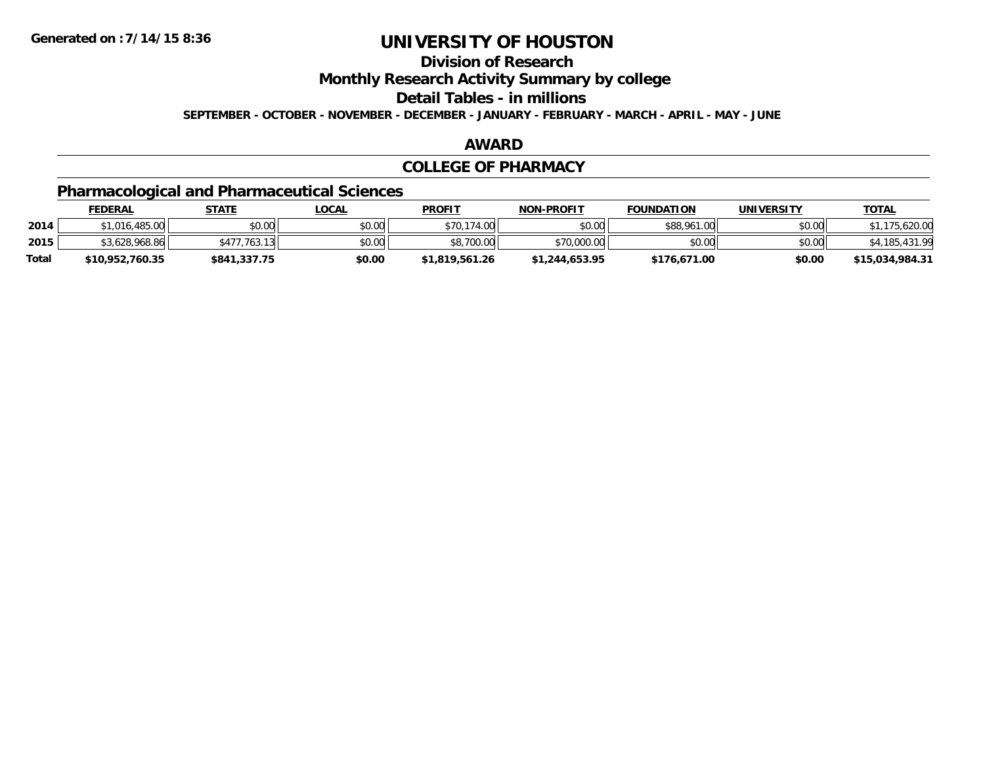## **Division of Research**

**Monthly Research Activity Summary by college**

**Detail Tables - in millions**

**SEPTEMBER - OCTOBER - NOVEMBER - DECEMBER - JANUARY - FEBRUARY - MARCH - APRIL - MAY - JUNE**

#### **AWARD**

#### **COLLEGE OF PHARMACY**

## **Pharmacological and Pharmaceutical Sciences**

|       | <b>FEDERAL</b>  | STATE                    | <u>LOCAL</u> | <b>PROFIT</b>  | <b>NON-PROFIT</b> | <b>FOUNDATION</b> | UNIVERSITY | <b>TOTAL</b>    |
|-------|-----------------|--------------------------|--------------|----------------|-------------------|-------------------|------------|-----------------|
| 2014  | 1.016.485.00    | \$0.00                   | \$0.00       | \$70,174.00    | \$0.00            | \$88,961.00       | \$0.00     | 620.0۲.ږ        |
| 2015  | \$3,628,968.86  | 763.13<br>\$477.<br>ୀ ସା | \$0.00       | \$8,700.00     | \$70,000.00       | \$0.00            | \$0.00     |                 |
| Total | \$10,952,760.35 | \$841,337.75             | \$0.00       | \$1,819,561.26 | \$1,244,653.95    | \$176,671.00      | \$0.00     | \$15,034,984.31 |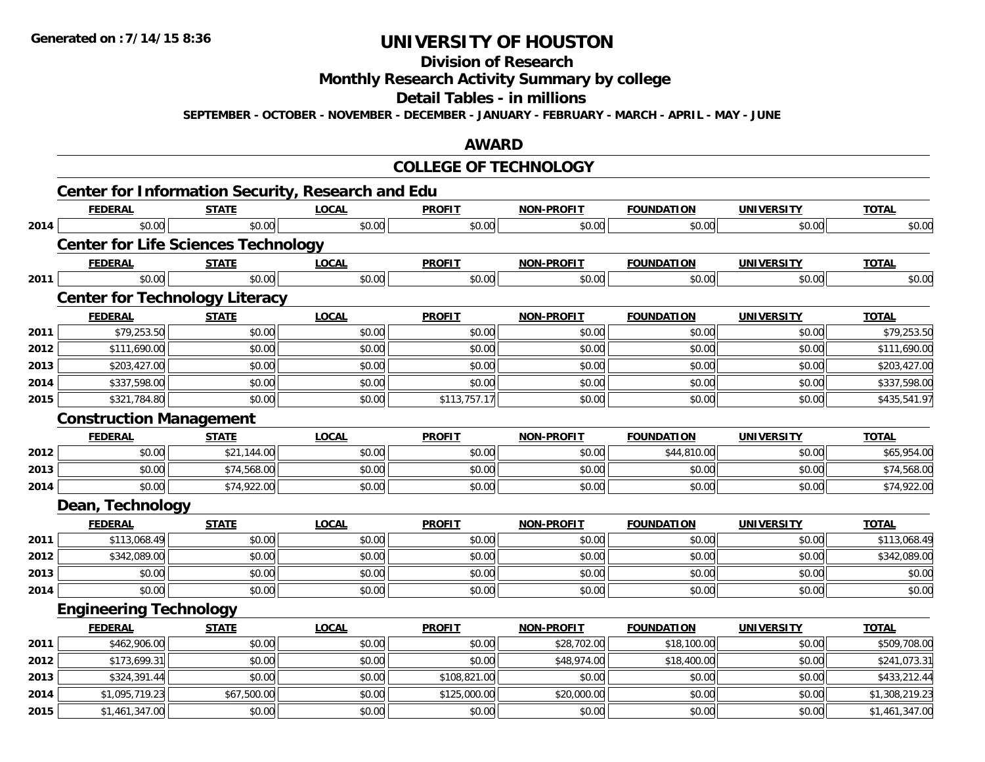**Division of Research**

**Monthly Research Activity Summary by college**

**Detail Tables - in millions**

**SEPTEMBER - OCTOBER - NOVEMBER - DECEMBER - JANUARY - FEBRUARY - MARCH - APRIL - MAY - JUNE**

## **AWARD**

### **COLLEGE OF TECHNOLOGY**

|      | <b>Center for Information Security, Research and Edu</b> |              |              |               |                   |                   |                   |                |
|------|----------------------------------------------------------|--------------|--------------|---------------|-------------------|-------------------|-------------------|----------------|
|      | <b>FEDERAL</b>                                           | <b>STATE</b> | <b>LOCAL</b> | <b>PROFIT</b> | <b>NON-PROFIT</b> | <b>FOUNDATION</b> | <b>UNIVERSITY</b> | <b>TOTAL</b>   |
| 2014 | \$0.00                                                   | \$0.00       | \$0.00       | \$0.00        | \$0.00            | \$0.00            | \$0.00            | \$0.00         |
|      | <b>Center for Life Sciences Technology</b>               |              |              |               |                   |                   |                   |                |
|      | <b>FEDERAL</b>                                           | <b>STATE</b> | <b>LOCAL</b> | <b>PROFIT</b> | <b>NON-PROFIT</b> | <b>FOUNDATION</b> | <b>UNIVERSITY</b> | <b>TOTAL</b>   |
| 2011 | \$0.00                                                   | \$0.00       | \$0.00       | \$0.00        | \$0.00            | \$0.00            | \$0.00            | \$0.00         |
|      | <b>Center for Technology Literacy</b>                    |              |              |               |                   |                   |                   |                |
|      | <b>FEDERAL</b>                                           | <b>STATE</b> | <b>LOCAL</b> | <b>PROFIT</b> | <b>NON-PROFIT</b> | <b>FOUNDATION</b> | <b>UNIVERSITY</b> | <b>TOTAL</b>   |
| 2011 | \$79,253.50                                              | \$0.00       | \$0.00       | \$0.00        | \$0.00            | \$0.00            | \$0.00            | \$79,253.50    |
| 2012 | \$111,690.00                                             | \$0.00       | \$0.00       | \$0.00        | \$0.00            | \$0.00            | \$0.00            | \$111,690.00   |
| 2013 | \$203,427.00                                             | \$0.00       | \$0.00       | \$0.00        | \$0.00            | \$0.00            | \$0.00            | \$203,427.00   |
| 2014 | \$337,598.00                                             | \$0.00       | \$0.00       | \$0.00        | \$0.00            | \$0.00            | \$0.00            | \$337,598.00   |
| 2015 | \$321,784.80                                             | \$0.00       | \$0.00       | \$113,757.17  | \$0.00            | \$0.00            | \$0.00            | \$435,541.97   |
|      | <b>Construction Management</b>                           |              |              |               |                   |                   |                   |                |
|      | <b>FEDERAL</b>                                           | <b>STATE</b> | <b>LOCAL</b> | <b>PROFIT</b> | <b>NON-PROFIT</b> | <b>FOUNDATION</b> | <b>UNIVERSITY</b> | <b>TOTAL</b>   |
| 2012 | \$0.00                                                   | \$21,144.00  | \$0.00       | \$0.00        | \$0.00            | \$44,810.00       | \$0.00            | \$65,954.00    |
| 2013 | \$0.00                                                   | \$74,568.00  | \$0.00       | \$0.00        | \$0.00            | \$0.00            | \$0.00            | \$74,568.00    |
| 2014 | \$0.00                                                   | \$74,922.00  | \$0.00       | \$0.00        | \$0.00            | \$0.00            | \$0.00            | \$74,922.00    |
|      | Dean, Technology                                         |              |              |               |                   |                   |                   |                |
|      | <b>FEDERAL</b>                                           | <b>STATE</b> | <b>LOCAL</b> | <b>PROFIT</b> | <b>NON-PROFIT</b> | <b>FOUNDATION</b> | <b>UNIVERSITY</b> | <b>TOTAL</b>   |
| 2011 | \$113,068.49                                             | \$0.00       | \$0.00       | \$0.00        | \$0.00            | \$0.00            | \$0.00            | \$113,068.49   |
| 2012 | \$342,089.00                                             | \$0.00       | \$0.00       | \$0.00        | \$0.00            | \$0.00            | \$0.00            | \$342,089.00   |
| 2013 | \$0.00                                                   | \$0.00       | \$0.00       | \$0.00        | \$0.00            | \$0.00            | \$0.00            | \$0.00         |
| 2014 | \$0.00                                                   | \$0.00       | \$0.00       | \$0.00        | \$0.00            | \$0.00            | \$0.00            | \$0.00         |
|      | <b>Engineering Technology</b>                            |              |              |               |                   |                   |                   |                |
|      | <b>FEDERAL</b>                                           | <b>STATE</b> | <b>LOCAL</b> | <b>PROFIT</b> | <b>NON-PROFIT</b> | <b>FOUNDATION</b> | <b>UNIVERSITY</b> | <b>TOTAL</b>   |
| 2011 | \$462,906.00                                             | \$0.00       | \$0.00       | \$0.00        | \$28,702.00       | \$18,100.00       | \$0.00            | \$509,708.00   |
| 2012 | \$173,699.31                                             | \$0.00       | \$0.00       | \$0.00        | \$48,974.00       | \$18,400.00       | \$0.00            | \$241,073.31   |
| 2013 | \$324,391.44                                             | \$0.00       | \$0.00       | \$108,821.00  | \$0.00            | \$0.00            | \$0.00            | \$433,212.44   |
| 2014 | \$1,095,719.23                                           | \$67,500.00  | \$0.00       | \$125,000.00  | \$20,000.00       | \$0.00            | \$0.00            | \$1,308,219.23 |
| 2015 | \$1,461,347.00                                           | \$0.00       | \$0.00       | \$0.00        | \$0.00            | \$0.00            | \$0.00            | \$1,461,347.00 |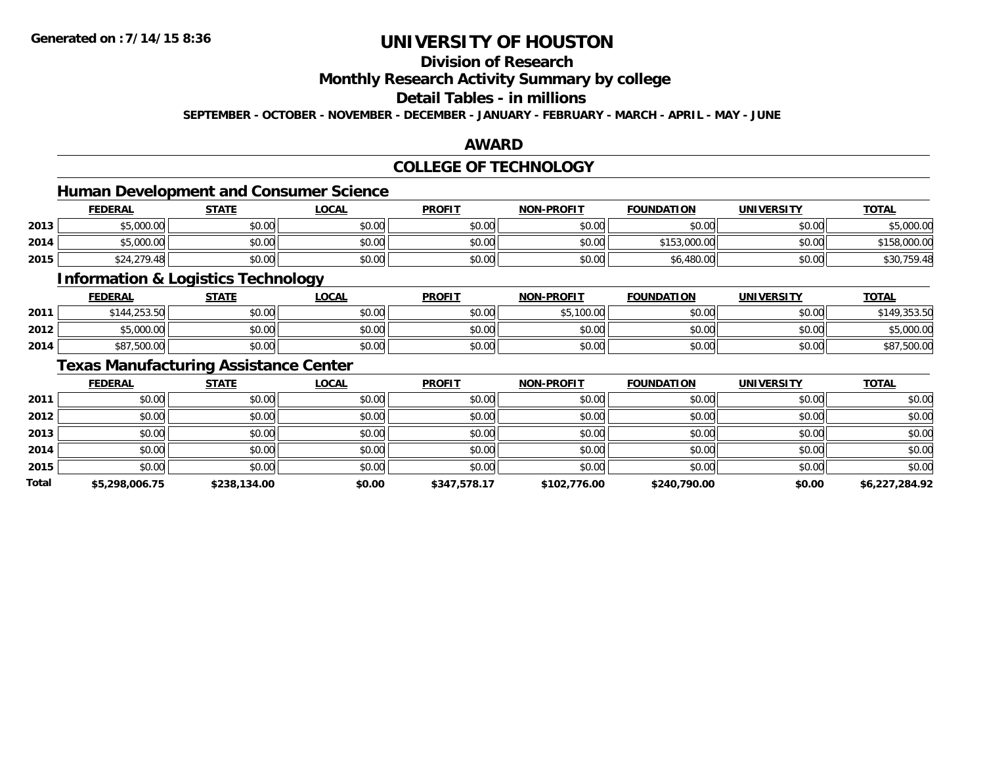## **Division of Research**

**Monthly Research Activity Summary by college**

## **Detail Tables - in millions**

**SEPTEMBER - OCTOBER - NOVEMBER - DECEMBER - JANUARY - FEBRUARY - MARCH - APRIL - MAY - JUNE**

### **AWARD**

## **COLLEGE OF TECHNOLOGY**

## **Human Development and Consumer Science**

|      | <b>FEDERAL</b>             | <b>STATE</b>   | LOCAL                      | <b>PROFIT</b>           | <b>NON-PROFIT</b> | <b>FOUNDATION</b> | <b>UNIVERSITY</b> | <b>TOTAL</b>     |
|------|----------------------------|----------------|----------------------------|-------------------------|-------------------|-------------------|-------------------|------------------|
| 2013 | $E_{000}$ or<br>JU.UUU, UU | ልስ ስስ<br>JU.UU | ሶስ ሰስ<br>JU.UU             | JU.UU                   | ደስ ሰሰ<br>JU.UU    | \$0.00            | \$0.00            | 000<br>.UUU.UU   |
| 2014 | $E_{C}$ 000.00<br>JUUU.UU  | ≮N UU<br>DU.UU | $\sigma$ $\Omega$<br>JU.UU | 0 <sub>0</sub><br>JU.UU | \$0.00            | 00.000            | \$0.00            | .000.00          |
| 2015 | \$24,279.48                | \$0.00         | \$0.00                     | 40.00<br><b>SU.UU</b>   | \$0.00            | \$6,480.00        | \$0.00            | $\Delta$<br>1750 |

### **Information & Logistics Technology**

|      | <u>FEDERAL</u> | <b>STATE</b> | <u>LOCAL</u> | <b>PROFIT</b> | <b>NON-PROFIT</b> | <b>FOUNDATION</b> | UNIVERSITY | <b>TOTAL</b> |
|------|----------------|--------------|--------------|---------------|-------------------|-------------------|------------|--------------|
| 2011 | \$144,253.50   | \$0.00       | \$0.00       | \$0.00        | \$5,100.00        | \$0.00            | \$0.00     | \$149,353.50 |
| 2012 | \$5,000.00     | \$0.00       | \$0.00       | \$0.00        | \$0.00            | \$0.00            | \$0.00     | \$5,000.00   |
| 2014 | \$87,500.00    | \$0.00       | \$0.00       | \$0.00        | \$0.00            | \$0.00            | \$0.00     | \$87,500.00  |

<u> 1989 - Johann Stoff, deutscher Stoffen und der Stoffen und der Stoffen und der Stoffen und der Stoffen und de</u>

## **Texas Manufacturing Assistance Center**

|       | <b>FEDERAL</b> | <b>STATE</b> | <b>LOCAL</b> | <b>PROFIT</b> | <b>NON-PROFIT</b> | <b>FOUNDATION</b> | <b>UNIVERSITY</b> | <b>TOTAL</b>   |
|-------|----------------|--------------|--------------|---------------|-------------------|-------------------|-------------------|----------------|
| 2011  | \$0.00         | \$0.00       | \$0.00       | \$0.00        | \$0.00            | \$0.00            | \$0.00            | \$0.00         |
| 2012  | \$0.00         | \$0.00       | \$0.00       | \$0.00        | \$0.00            | \$0.00            | \$0.00            | \$0.00         |
| 2013  | \$0.00         | \$0.00       | \$0.00       | \$0.00        | \$0.00            | \$0.00            | \$0.00            | \$0.00         |
| 2014  | \$0.00         | \$0.00       | \$0.00       | \$0.00        | \$0.00            | \$0.00            | \$0.00            | \$0.00         |
| 2015  | \$0.00         | \$0.00       | \$0.00       | \$0.00        | \$0.00            | \$0.00            | \$0.00            | \$0.00         |
| Total | \$5,298,006.75 | \$238,134.00 | \$0.00       | \$347,578.17  | \$102,776.00      | \$240,790.00      | \$0.00            | \$6,227,284.92 |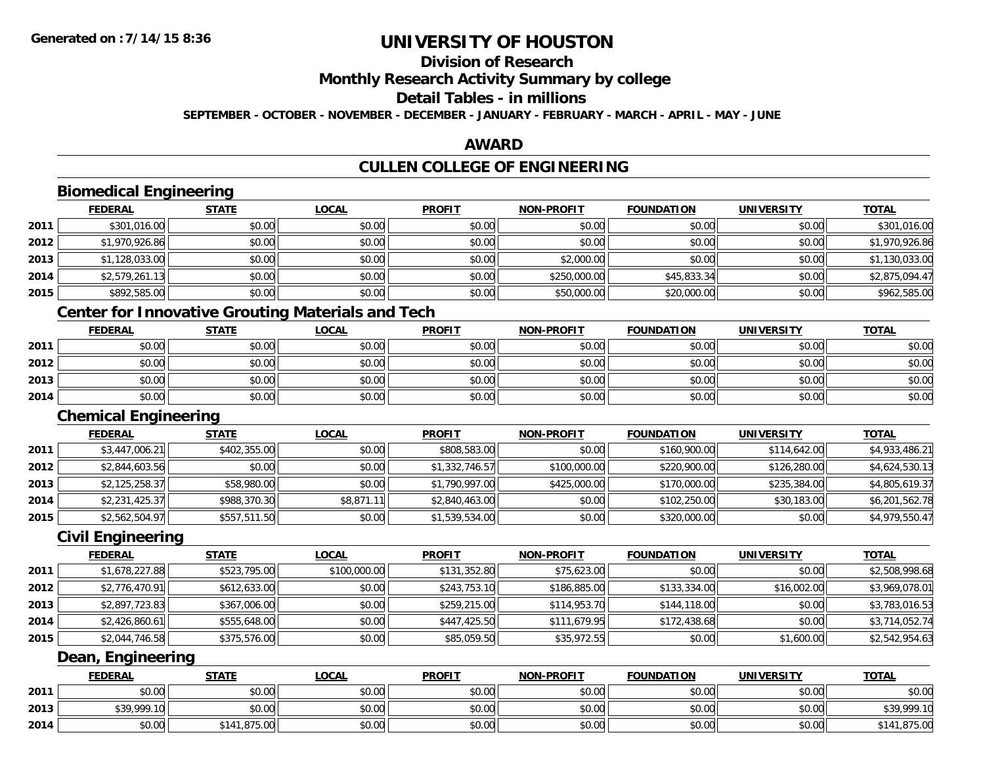**2014**

## **UNIVERSITY OF HOUSTON**

## **Division of Research**

**Monthly Research Activity Summary by college**

#### **Detail Tables - in millions**

**SEPTEMBER - OCTOBER - NOVEMBER - DECEMBER - JANUARY - FEBRUARY - MARCH - APRIL - MAY - JUNE**

### **AWARD**

## **CULLEN COLLEGE OF ENGINEERING**

|      | <b>Biomedical Engineering</b> |                                                          |              |                |                   |                   |                   |                |
|------|-------------------------------|----------------------------------------------------------|--------------|----------------|-------------------|-------------------|-------------------|----------------|
|      | <b>FEDERAL</b>                | <b>STATE</b>                                             | <b>LOCAL</b> | <b>PROFIT</b>  | <b>NON-PROFIT</b> | <b>FOUNDATION</b> | <b>UNIVERSITY</b> | <b>TOTAL</b>   |
| 2011 | \$301,016.00                  | \$0.00                                                   | \$0.00       | \$0.00         | \$0.00            | \$0.00            | \$0.00            | \$301,016.00   |
| 2012 | \$1,970,926.86                | \$0.00                                                   | \$0.00       | \$0.00         | \$0.00            | \$0.00            | \$0.00            | \$1,970,926.86 |
| 2013 | \$1,128,033.00                | \$0.00                                                   | \$0.00       | \$0.00         | \$2,000.00        | \$0.00            | \$0.00            | \$1,130,033.00 |
| 2014 | \$2,579,261.13                | \$0.00                                                   | \$0.00       | \$0.00         | \$250,000.00      | \$45,833.34       | \$0.00            | \$2,875,094.47 |
| 2015 | \$892,585.00                  | \$0.00                                                   | \$0.00       | \$0.00         | \$50,000.00       | \$20,000.00       | \$0.00            | \$962,585.00   |
|      |                               | <b>Center for Innovative Grouting Materials and Tech</b> |              |                |                   |                   |                   |                |
|      | <b>FEDERAL</b>                | <b>STATE</b>                                             | <b>LOCAL</b> | <b>PROFIT</b>  | <b>NON-PROFIT</b> | <b>FOUNDATION</b> | <b>UNIVERSITY</b> | <b>TOTAL</b>   |
| 2011 | \$0.00                        | \$0.00                                                   | \$0.00       | \$0.00         | \$0.00            | \$0.00            | \$0.00            | \$0.00         |
| 2012 | \$0.00                        | \$0.00                                                   | \$0.00       | \$0.00         | \$0.00            | \$0.00            | \$0.00            | \$0.00         |
| 2013 | \$0.00                        | \$0.00                                                   | \$0.00       | \$0.00         | \$0.00            | \$0.00            | \$0.00            | \$0.00         |
| 2014 | \$0.00                        | \$0.00                                                   | \$0.00       | \$0.00         | \$0.00            | \$0.00            | \$0.00            | \$0.00         |
|      | <b>Chemical Engineering</b>   |                                                          |              |                |                   |                   |                   |                |
|      | <b>FEDERAL</b>                | STATE                                                    | <b>LOCAL</b> | <b>PROFIT</b>  | <b>NON-PROFIT</b> | <b>FOUNDATION</b> | <b>UNIVERSITY</b> | <b>TOTAL</b>   |
| 2011 | \$3,447,006.21                | \$402,355.00                                             | \$0.00       | \$808,583.00   | \$0.00            | \$160,900.00      | \$114,642.00      | \$4,933,486.21 |
| 2012 | \$2,844,603.56                | \$0.00                                                   | \$0.00       | \$1,332,746.57 | \$100,000.00      | \$220,900.00      | \$126,280.00      | \$4,624,530.13 |
| 2013 | \$2,125,258.37                | \$58,980.00                                              | \$0.00       | \$1,790,997.00 | \$425,000.00      | \$170,000.00      | \$235,384.00      | \$4,805,619.37 |
| 2014 | \$2,231,425.37                | \$988,370.30                                             | \$8,871.11   | \$2,840,463.00 | \$0.00            | \$102,250.00      | \$30,183.00       | \$6,201,562.78 |
| 2015 | \$2,562,504.97                | \$557,511.50                                             | \$0.00       | \$1,539,534.00 | \$0.00            | \$320,000.00      | \$0.00            | \$4,979,550.47 |
|      | <b>Civil Engineering</b>      |                                                          |              |                |                   |                   |                   |                |
|      | <b>FEDERAL</b>                | <b>STATE</b>                                             | <b>LOCAL</b> | <b>PROFIT</b>  | <b>NON-PROFIT</b> | <b>FOUNDATION</b> | <b>UNIVERSITY</b> | <b>TOTAL</b>   |
| 2011 | \$1,678,227.88                | \$523,795.00                                             | \$100,000.00 | \$131,352.80   | \$75,623.00       | \$0.00            | \$0.00            | \$2,508,998.68 |
| 2012 | \$2,776,470.91                | \$612,633.00                                             | \$0.00       | \$243,753.10   | \$186,885.00      | \$133,334.00      | \$16,002.00       | \$3,969,078.01 |
| 2013 | \$2,897,723.83                | \$367,006.00                                             | \$0.00       | \$259,215.00   | \$114,953.70      | \$144,118.00      | \$0.00            | \$3,783,016.53 |
| 2014 | \$2,426,860.61                | \$555,648.00                                             | \$0.00       | \$447,425.50   | \$111,679.95      | \$172,438.68      | \$0.00            | \$3,714,052.74 |
| 2015 | \$2,044,746.58                | \$375,576.00                                             | \$0.00       | \$85,059.50    | \$35,972.55       | \$0.00            | \$1,600.00        | \$2,542,954.63 |
|      | Dean, Engineering             |                                                          |              |                |                   |                   |                   |                |
|      | <b>FEDERAL</b>                | <b>STATE</b>                                             | <b>LOCAL</b> | <b>PROFIT</b>  | <b>NON-PROFIT</b> | <b>FOUNDATION</b> | <b>UNIVERSITY</b> | <b>TOTAL</b>   |
| 2011 | \$0.00                        | \$0.00                                                   | \$0.00       | \$0.00         | \$0.00            | \$0.00            | \$0.00            | \$0.00         |
| 2013 | \$39,999.10                   | \$0.00                                                   | \$0.00       | \$0.00         | \$0.00            | \$0.00            | \$0.00            | \$39,999.10    |

4 \$0.00 \$0.00 \$141,875.00 \$0.00 \$0.00 \$0.00 \$0.00 \$0.00 \$0.00 \$0.00 \$0.00 \$0.00 \$141,875.00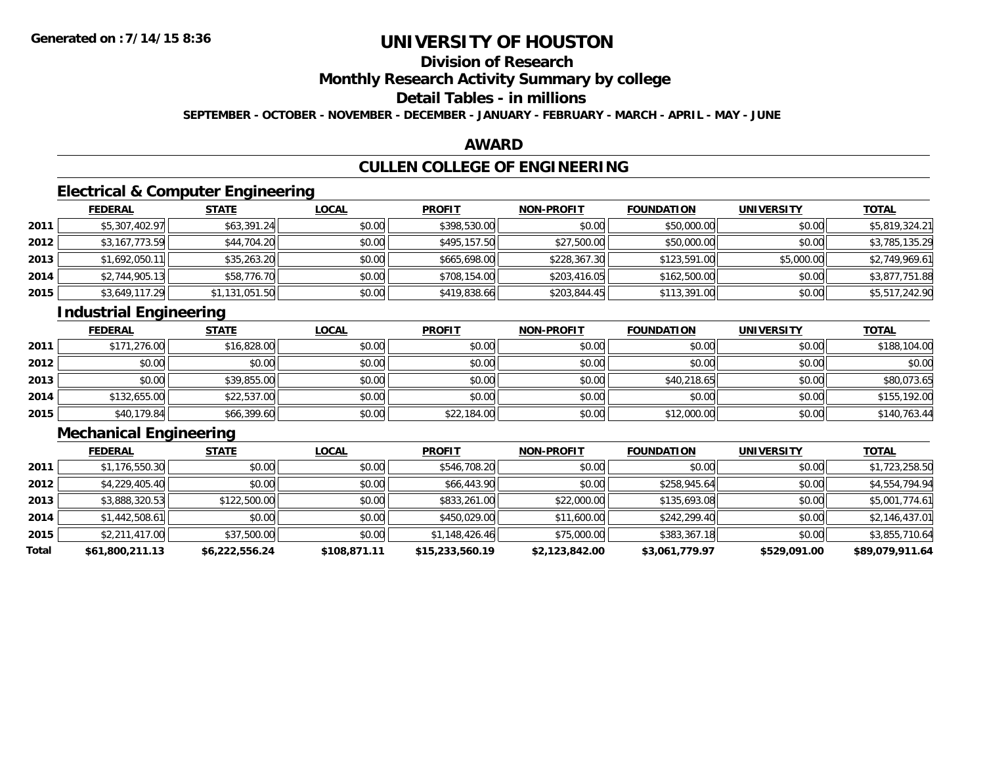## **Division of Research**

## **Monthly Research Activity Summary by college**

## **Detail Tables - in millions**

**SEPTEMBER - OCTOBER - NOVEMBER - DECEMBER - JANUARY - FEBRUARY - MARCH - APRIL - MAY - JUNE**

### **AWARD**

## **CULLEN COLLEGE OF ENGINEERING**

## **Electrical & Computer Engineering**

|      | <b>FEDERAL</b> | <b>STATE</b>   | <b>LOCAL</b> | <b>PROFIT</b> | <b>NON-PROFIT</b> | <b>FOUNDATION</b> | <b>UNIVERSITY</b> | <b>TOTAL</b>   |
|------|----------------|----------------|--------------|---------------|-------------------|-------------------|-------------------|----------------|
| 2011 | \$5,307,402.97 | \$63,391.24    | \$0.00       | \$398,530.00  | \$0.00            | \$50,000.00       | \$0.00            | \$5,819,324.21 |
| 2012 | \$3,167,773.59 | \$44,704.20    | \$0.00       | \$495,157.50  | \$27,500.00       | \$50,000.00       | \$0.00            | \$3,785,135.29 |
| 2013 | \$1,692,050.11 | \$35,263.20    | \$0.00       | \$665,698.00  | \$228,367.30      | \$123,591.00      | \$5,000.00        | \$2,749,969.61 |
| 2014 | \$2,744,905.13 | \$58,776.70    | \$0.00       | \$708,154.00  | \$203,416.05      | \$162,500.00      | \$0.00            | \$3,877,751.88 |
| 2015 | \$3,649,117.29 | \$1,131,051.50 | \$0.00       | \$419,838.66  | \$203,844.45      | \$113,391.00      | \$0.00            | \$5,517,242.90 |

## **Industrial Engineering**

|      | <b>FEDERAL</b> | <b>STATE</b> | <b>LOCAL</b> | <b>PROFIT</b> | <b>NON-PROFIT</b> | <b>FOUNDATION</b> | <b>UNIVERSITY</b> | <b>TOTAL</b> |
|------|----------------|--------------|--------------|---------------|-------------------|-------------------|-------------------|--------------|
| 2011 | \$171,276.00   | \$16,828.00  | \$0.00       | \$0.00        | \$0.00            | \$0.00            | \$0.00            | \$188,104.00 |
| 2012 | \$0.00         | \$0.00       | \$0.00       | \$0.00        | \$0.00            | \$0.00            | \$0.00            | \$0.00       |
| 2013 | \$0.00         | \$39,855.00  | \$0.00       | \$0.00        | \$0.00            | \$40,218.65       | \$0.00            | \$80,073.65  |
| 2014 | \$132,655.00   | \$22,537.00  | \$0.00       | \$0.00        | \$0.00            | \$0.00            | \$0.00            | \$155,192.00 |
| 2015 | \$40,179.84    | \$66,399.60  | \$0.00       | \$22,184.00   | \$0.00            | \$12,000.00       | \$0.00            | \$140,763.44 |

## **Mechanical Engineering**

|       | <b>FEDERAL</b>  | <b>STATE</b>   | <b>LOCAL</b> | <b>PROFIT</b>   | <b>NON-PROFIT</b> | <b>FOUNDATION</b> | <b>UNIVERSITY</b> | <b>TOTAL</b>    |
|-------|-----------------|----------------|--------------|-----------------|-------------------|-------------------|-------------------|-----------------|
| 2011  | \$1,176,550.30  | \$0.00         | \$0.00       | \$546,708.20    | \$0.00            | \$0.00            | \$0.00            | \$1,723,258.50  |
| 2012  | \$4,229,405.40  | \$0.00         | \$0.00       | \$66,443.90     | \$0.00            | \$258,945.64      | \$0.00            | \$4,554,794.94  |
| 2013  | \$3,888,320.53  | \$122,500.00   | \$0.00       | \$833,261.00    | \$22,000.00       | \$135,693.08      | \$0.00            | \$5,001,774.61  |
| 2014  | \$1,442,508.61  | \$0.00         | \$0.00       | \$450,029.00    | \$11,600.00       | \$242,299.40      | \$0.00            | \$2,146,437.01  |
| 2015  | \$2,211,417.00  | \$37,500.00    | \$0.00       | \$1,148,426.46  | \$75,000.00       | \$383,367.18      | \$0.00            | \$3,855,710.64  |
| Total | \$61,800,211.13 | \$6,222,556.24 | \$108,871.11 | \$15,233,560.19 | \$2,123,842.00    | \$3,061,779.97    | \$529,091.00      | \$89,079,911.64 |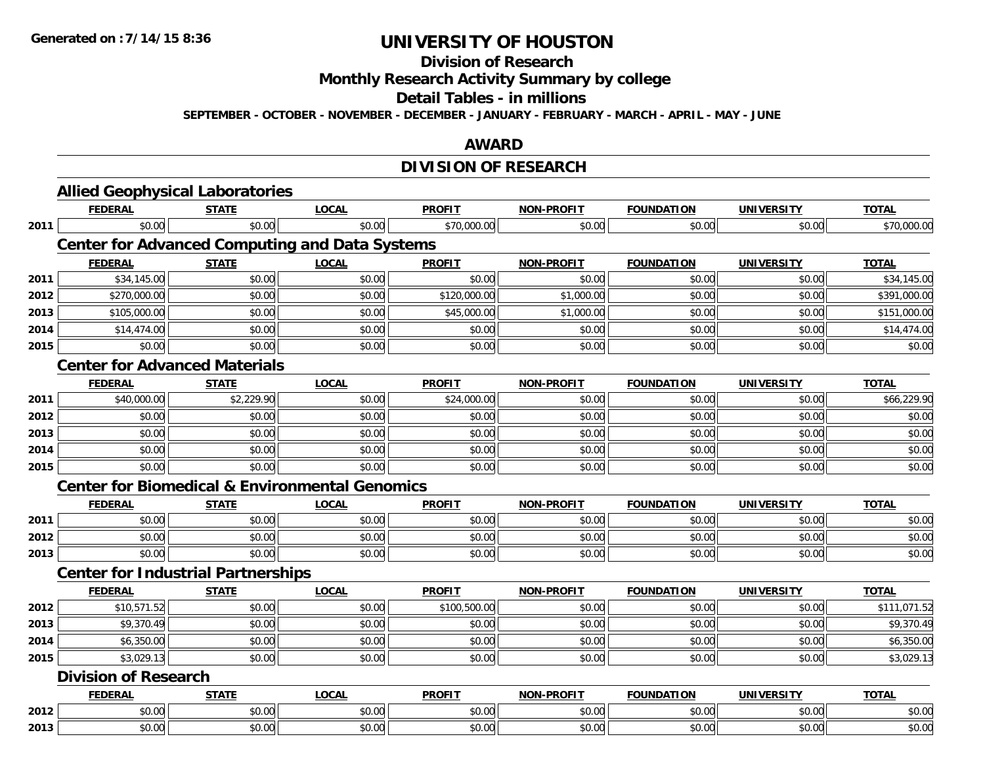#### **Division of Research**

**Monthly Research Activity Summary by college**

#### **Detail Tables - in millions**

**SEPTEMBER - OCTOBER - NOVEMBER - DECEMBER - JANUARY - FEBRUARY - MARCH - APRIL - MAY - JUNE**

### **AWARD**

## **DIVISION OF RESEARCH**

|      | <b>Allied Geophysical Laboratories</b>    |              |                                                           |               |                   |                   |                   |                           |
|------|-------------------------------------------|--------------|-----------------------------------------------------------|---------------|-------------------|-------------------|-------------------|---------------------------|
|      | <b>FEDERAL</b>                            | <b>STATE</b> | <b>LOCAL</b>                                              | <b>PROFIT</b> | <b>NON-PROFIT</b> | <b>FOUNDATION</b> | <b>UNIVERSITY</b> | <b>TOTAL</b>              |
| 2011 | \$0.00                                    | \$0.00       | \$0.00                                                    | \$70,000.00   | \$0.00            | \$0.00            | \$0.00            | \$70,000.00               |
|      |                                           |              | <b>Center for Advanced Computing and Data Systems</b>     |               |                   |                   |                   |                           |
|      | <b>FEDERAL</b>                            | <b>STATE</b> | <b>LOCAL</b>                                              | <b>PROFIT</b> | <b>NON-PROFIT</b> | <b>FOUNDATION</b> | <b>UNIVERSITY</b> | <b>TOTAL</b>              |
| 2011 | \$34,145.00                               | \$0.00       | \$0.00                                                    | \$0.00        | \$0.00            | \$0.00            | \$0.00            | \$34,145.00               |
| 2012 | \$270,000.00                              | \$0.00       | \$0.00                                                    | \$120,000.00  | \$1,000.00        | \$0.00            | \$0.00            | \$391,000.00              |
| 2013 | \$105,000.00                              | \$0.00       | \$0.00                                                    | \$45,000.00   | \$1,000.00        | \$0.00            | \$0.00            | \$151,000.00              |
| 2014 | \$14,474.00                               | \$0.00       | \$0.00                                                    | \$0.00        | \$0.00            | \$0.00            | \$0.00            | \$14,474.00               |
| 2015 | \$0.00                                    | \$0.00       | \$0.00                                                    | \$0.00        | \$0.00            | \$0.00            | \$0.00            | \$0.00                    |
|      | <b>Center for Advanced Materials</b>      |              |                                                           |               |                   |                   |                   |                           |
|      | <b>FEDERAL</b>                            | <b>STATE</b> | <b>LOCAL</b>                                              | <b>PROFIT</b> | <b>NON-PROFIT</b> | <b>FOUNDATION</b> | <b>UNIVERSITY</b> | <b>TOTAL</b>              |
| 2011 | \$40,000.00                               | \$2,229.90   | \$0.00                                                    | \$24,000.00   | \$0.00            | \$0.00            | \$0.00            | \$66,229.90               |
| 2012 | \$0.00                                    | \$0.00       | \$0.00                                                    | \$0.00        | \$0.00            | \$0.00            | \$0.00            | \$0.00                    |
| 2013 | \$0.00                                    | \$0.00       | \$0.00                                                    | \$0.00        | \$0.00            | \$0.00            | \$0.00            | \$0.00                    |
| 2014 | \$0.00                                    | \$0.00       | \$0.00                                                    | \$0.00        | \$0.00            | \$0.00            | \$0.00            | \$0.00                    |
| 2015 | \$0.00                                    | \$0.00       | \$0.00                                                    | \$0.00        | \$0.00            | \$0.00            | \$0.00            | \$0.00                    |
|      |                                           |              | <b>Center for Biomedical &amp; Environmental Genomics</b> |               |                   |                   |                   |                           |
|      | <b>FEDERAL</b>                            | <b>STATE</b> | <b>LOCAL</b>                                              | <b>PROFIT</b> | <b>NON-PROFIT</b> | <b>FOUNDATION</b> | <b>UNIVERSITY</b> | <b>TOTAL</b>              |
| 2011 | \$0.00                                    | \$0.00       | \$0.00                                                    | \$0.00        | \$0.00            | \$0.00            | \$0.00            | \$0.00                    |
| 2012 | \$0.00                                    | \$0.00       | \$0.00                                                    | \$0.00        | \$0.00            | \$0.00            | \$0.00            | \$0.00                    |
| 2013 | \$0.00                                    | \$0.00       | \$0.00                                                    | \$0.00        | \$0.00            | \$0.00            | \$0.00            | \$0.00                    |
|      | <b>Center for Industrial Partnerships</b> |              |                                                           |               |                   |                   |                   |                           |
|      | <b>FEDERAL</b>                            | <b>STATE</b> | <b>LOCAL</b>                                              | <b>PROFIT</b> | <b>NON-PROFIT</b> | <b>FOUNDATION</b> | <b>UNIVERSITY</b> | <b>TOTAL</b>              |
| 2012 | \$10,571.52                               | \$0.00       | \$0.00                                                    | \$100,500.00  | \$0.00            | \$0.00            | \$0.00            | $\overline{\$111,071.52}$ |
| 2013 | \$9,370.49                                | \$0.00       | \$0.00                                                    | \$0.00        | \$0.00            | \$0.00            | \$0.00            | \$9,370.49                |
| 2014 | \$6,350.00                                | \$0.00       | \$0.00                                                    | \$0.00        | \$0.00            | \$0.00            | \$0.00            | \$6,350.00                |
| 2015 | \$3,029.13                                | \$0.00       | \$0.00                                                    | \$0.00        | \$0.00            | \$0.00            | \$0.00            | \$3,029.13                |
|      | <b>Division of Research</b>               |              |                                                           |               |                   |                   |                   |                           |
|      | <b>FEDERAL</b>                            | <b>STATE</b> | <b>LOCAL</b>                                              | <b>PROFIT</b> | <b>NON-PROFIT</b> | <b>FOUNDATION</b> | <b>UNIVERSITY</b> | <b>TOTAL</b>              |
| 2012 | \$0.00                                    | \$0.00       | \$0.00                                                    | \$0.00        | \$0.00            | \$0.00            | \$0.00            | \$0.00                    |
| 2013 | \$0.00                                    | \$0.00       | \$0.00                                                    | \$0.00        | \$0.00            | \$0.00            | \$0.00            | \$0.00                    |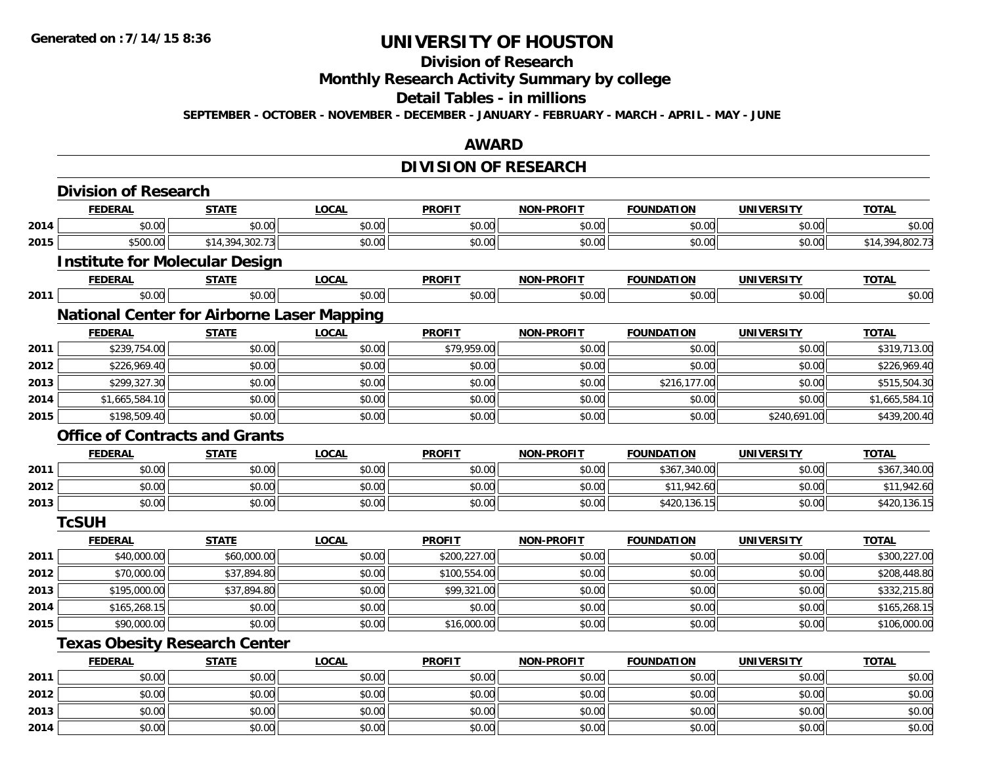## **Division of Research**

**Monthly Research Activity Summary by college**

#### **Detail Tables - in millions**

**SEPTEMBER - OCTOBER - NOVEMBER - DECEMBER - JANUARY - FEBRUARY - MARCH - APRIL - MAY - JUNE**

## **AWARD**

## **DIVISION OF RESEARCH**

|      | <b>Division of Research</b>                       |                 |              |               |                   |                   |                   |                 |
|------|---------------------------------------------------|-----------------|--------------|---------------|-------------------|-------------------|-------------------|-----------------|
|      | <b>FEDERAL</b>                                    | <b>STATE</b>    | <b>LOCAL</b> | <b>PROFIT</b> | <b>NON-PROFIT</b> | <b>FOUNDATION</b> | <b>UNIVERSITY</b> | <b>TOTAL</b>    |
| 2014 | \$0.00                                            | \$0.00          | \$0.00       | \$0.00        | \$0.00            | \$0.00            | \$0.00            | \$0.00          |
| 2015 | \$500.00                                          | \$14,394,302.73 | \$0.00       | \$0.00        | \$0.00            | \$0.00            | \$0.00            | \$14,394,802.73 |
|      | <b>Institute for Molecular Design</b>             |                 |              |               |                   |                   |                   |                 |
|      | <b>FEDERAL</b>                                    | <b>STATE</b>    | <b>LOCAL</b> | <b>PROFIT</b> | <b>NON-PROFIT</b> | <b>FOUNDATION</b> | <b>UNIVERSITY</b> | <b>TOTAL</b>    |
| 2011 | \$0.00                                            | \$0.00          | \$0.00       | \$0.00        | \$0.00            | \$0.00            | \$0.00            | \$0.00          |
|      | <b>National Center for Airborne Laser Mapping</b> |                 |              |               |                   |                   |                   |                 |
|      | <b>FEDERAL</b>                                    | <b>STATE</b>    | <b>LOCAL</b> | <b>PROFIT</b> | <b>NON-PROFIT</b> | <b>FOUNDATION</b> | <b>UNIVERSITY</b> | <b>TOTAL</b>    |
| 2011 | \$239,754.00                                      | \$0.00          | \$0.00       | \$79,959.00   | \$0.00            | \$0.00            | \$0.00            | \$319,713.00    |
| 2012 | \$226,969.40                                      | \$0.00          | \$0.00       | \$0.00        | \$0.00            | \$0.00            | \$0.00            | \$226,969.40    |
| 2013 | \$299,327.30                                      | \$0.00          | \$0.00       | \$0.00        | \$0.00            | \$216,177.00      | \$0.00            | \$515,504.30    |
| 2014 | \$1,665,584.10                                    | \$0.00          | \$0.00       | \$0.00        | \$0.00            | \$0.00            | \$0.00            | \$1,665,584.10  |
| 2015 | \$198,509.40                                      | \$0.00          | \$0.00       | \$0.00        | \$0.00            | \$0.00            | \$240,691.00      | \$439,200.40    |
|      | <b>Office of Contracts and Grants</b>             |                 |              |               |                   |                   |                   |                 |
|      | <b>FEDERAL</b>                                    | <b>STATE</b>    | <b>LOCAL</b> | <b>PROFIT</b> | <b>NON-PROFIT</b> | <b>FOUNDATION</b> | <b>UNIVERSITY</b> | <b>TOTAL</b>    |
| 2011 | \$0.00                                            | \$0.00          | \$0.00       | \$0.00        | \$0.00            | \$367,340.00      | \$0.00            | \$367,340.00    |
| 2012 | \$0.00                                            | \$0.00          | \$0.00       | \$0.00        | \$0.00            | \$11,942.60       | \$0.00            | \$11,942.60     |
| 2013 | \$0.00                                            | \$0.00          | \$0.00       | \$0.00        | \$0.00            | \$420,136.15      | \$0.00            | \$420,136.15    |
|      | <b>TcSUH</b>                                      |                 |              |               |                   |                   |                   |                 |
|      | <b>FEDERAL</b>                                    | <b>STATE</b>    | <b>LOCAL</b> | <b>PROFIT</b> | <b>NON-PROFIT</b> | <b>FOUNDATION</b> | <b>UNIVERSITY</b> | <b>TOTAL</b>    |
| 2011 | \$40,000.00                                       | \$60,000.00     | \$0.00       | \$200,227.00  | \$0.00            | \$0.00            | \$0.00            | \$300,227.00    |
| 2012 | \$70,000.00                                       | \$37,894.80     | \$0.00       | \$100,554.00  | \$0.00            | \$0.00            | \$0.00            | \$208,448.80    |
| 2013 | \$195,000.00                                      | \$37,894.80     | \$0.00       | \$99,321.00   | \$0.00            | \$0.00            | \$0.00            | \$332,215.80    |
| 2014 | \$165,268.15                                      | \$0.00          | \$0.00       | \$0.00        | \$0.00            | \$0.00            | \$0.00            | \$165,268.15    |
| 2015 | \$90,000.00                                       | \$0.00          | \$0.00       | \$16,000.00   | \$0.00            | \$0.00            | \$0.00            | \$106,000.00    |
|      | <b>Texas Obesity Research Center</b>              |                 |              |               |                   |                   |                   |                 |
|      | <b>FEDERAL</b>                                    | <b>STATE</b>    | <b>LOCAL</b> | <b>PROFIT</b> | <b>NON-PROFIT</b> | <b>FOUNDATION</b> | <b>UNIVERSITY</b> | <b>TOTAL</b>    |
| 2011 | \$0.00                                            | \$0.00          | \$0.00       | \$0.00        | \$0.00            | \$0.00            | \$0.00            | \$0.00          |
| 2012 | \$0.00                                            | \$0.00          | \$0.00       | \$0.00        | \$0.00            | \$0.00            | \$0.00            | \$0.00          |
| 2013 | \$0.00                                            | \$0.00          | \$0.00       | \$0.00        | \$0.00            | \$0.00            | \$0.00            | \$0.00          |
| 2014 | \$0.00                                            | \$0.00          | \$0.00       | \$0.00        | \$0.00            | \$0.00            | \$0.00            | \$0.00          |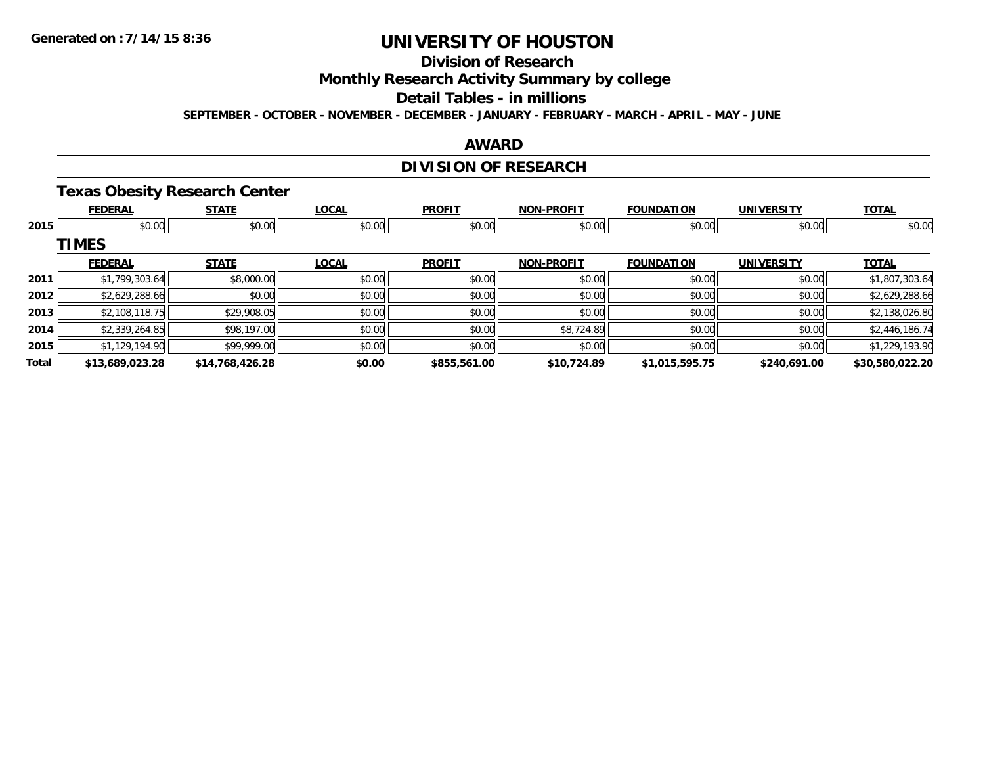## **Division of Research**

**Monthly Research Activity Summary by college**

#### **Detail Tables - in millions**

**SEPTEMBER - OCTOBER - NOVEMBER - DECEMBER - JANUARY - FEBRUARY - MARCH - APRIL - MAY - JUNE**

### **AWARD**

## **DIVISION OF RESEARCH**

#### **Texas Obesity Research Center**

|       | <b>FEDERAL</b>  | <b>STATE</b>    | <b>LOCAL</b> | <b>PROFIT</b> | <b>NON-PROFIT</b> | <b>FOUNDATION</b> | <b>UNIVERSITY</b> | <b>TOTAL</b>    |
|-------|-----------------|-----------------|--------------|---------------|-------------------|-------------------|-------------------|-----------------|
| 2015  | \$0.00          | \$0.00          | \$0.00       | \$0.00        | \$0.00            | \$0.00            | \$0.00            | \$0.00          |
|       | <b>TIMES</b>    |                 |              |               |                   |                   |                   |                 |
|       | <b>FEDERAL</b>  | <b>STATE</b>    | <b>LOCAL</b> | <b>PROFIT</b> | <b>NON-PROFIT</b> | <b>FOUNDATION</b> | <b>UNIVERSITY</b> | <b>TOTAL</b>    |
| 2011  | \$1,799,303.64  | \$8,000.00      | \$0.00       | \$0.00        | \$0.00            | \$0.00            | \$0.00            | \$1,807,303.64  |
| 2012  | \$2,629,288.66  | \$0.00          | \$0.00       | \$0.00        | \$0.00            | \$0.00            | \$0.00            | \$2,629,288.66  |
| 2013  | \$2,108,118.75  | \$29,908.05     | \$0.00       | \$0.00        | \$0.00            | \$0.00            | \$0.00            | \$2,138,026.80  |
| 2014  | \$2,339,264.85  | \$98,197.00     | \$0.00       | \$0.00        | \$8,724.89        | \$0.00            | \$0.00            | \$2,446,186.74  |
| 2015  | \$1,129,194.90  | \$99,999.00     | \$0.00       | \$0.00        | \$0.00            | \$0.00            | \$0.00            | \$1,229,193.90  |
| Total | \$13,689,023.28 | \$14,768,426.28 | \$0.00       | \$855,561.00  | \$10,724.89       | \$1,015,595.75    | \$240,691.00      | \$30,580,022.20 |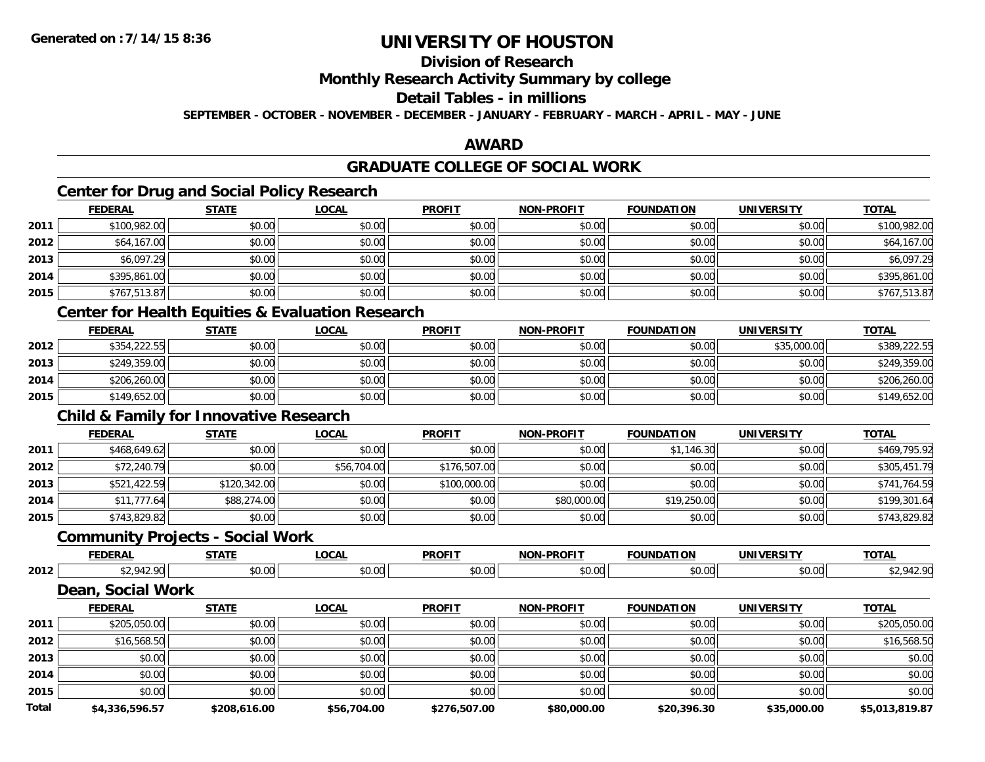## **Division of Research**

## **Monthly Research Activity Summary by college**

### **Detail Tables - in millions**

**SEPTEMBER - OCTOBER - NOVEMBER - DECEMBER - JANUARY - FEBRUARY - MARCH - APRIL - MAY - JUNE**

### **AWARD**

## **GRADUATE COLLEGE OF SOCIAL WORK**

## **Center for Drug and Social Policy Research**

|      | <b>FEDERAL</b>   | <b>STATE</b> | <b>LOCAL</b> | <b>PROFIT</b> | <b>NON-PROFIT</b> | <b>FOUNDATION</b> | <b>UNIVERSITY</b> | <b>TOTAL</b> |
|------|------------------|--------------|--------------|---------------|-------------------|-------------------|-------------------|--------------|
| 2011 | \$100,982.00     | \$0.00       | \$0.00       | \$0.00        | \$0.00            | \$0.00            | \$0.00            | \$100,982.00 |
| 2012 | \$64,167.00      | \$0.00       | \$0.00       | \$0.00        | \$0.00            | \$0.00            | \$0.00            | \$64,167.00  |
| 2013 | \$6,097.29       | \$0.00       | \$0.00       | \$0.00        | \$0.00            | \$0.00            | \$0.00            | \$6,097.29   |
| 2014 | \$395,861.00     | \$0.00       | \$0.00       | \$0.00        | \$0.00            | \$0.00            | \$0.00            | \$395,861.00 |
| 2015 | \$767,513.87     | \$0.00       | \$0.00       | \$0.00        | \$0.00            | \$0.00            | \$0.00            | \$767,513.87 |
|      | ________________ |              |              |               |                   |                   |                   |              |

#### **Center for Health Equities & Evaluation Research**

|      | <u>FEDERAL</u> | <u>STATE</u> | <u>LOCAL</u> | <b>PROFIT</b> | <b>NON-PROFIT</b> | <b>FOUNDATION</b> | <b>UNIVERSITY</b> | <b>TOTAL</b> |
|------|----------------|--------------|--------------|---------------|-------------------|-------------------|-------------------|--------------|
| 2012 | \$354,222.55   | \$0.00       | \$0.00       | \$0.00        | \$0.00            | \$0.00            | \$35,000.00       | \$389,222.55 |
| 2013 | \$249,359.00   | \$0.00       | \$0.00       | \$0.00        | \$0.00            | \$0.00            | \$0.00            | \$249,359.00 |
| 2014 | \$206,260.00   | \$0.00       | \$0.00       | \$0.00        | \$0.00            | \$0.00            | \$0.00            | \$206,260.00 |
| 2015 | \$149,652.00   | \$0.00       | \$0.00       | \$0.00        | \$0.00            | \$0.00            | \$0.00            | \$149,652.00 |

## **Child & Family for Innovative Research**

|      | <b>FEDERAL</b> | <u>STATE</u> | <u>LOCAL</u> | <b>PROFIT</b> | <b>NON-PROFIT</b> | <b>FOUNDATION</b> | <b>UNIVERSITY</b> | <b>TOTAL</b> |
|------|----------------|--------------|--------------|---------------|-------------------|-------------------|-------------------|--------------|
| 2011 | \$468,649.62   | \$0.00       | \$0.00       | \$0.00        | \$0.00            | \$1,146.30        | \$0.00            | \$469.795.92 |
| 2012 | \$72,240.79    | \$0.00       | \$56,704.00  | \$176,507.00  | \$0.00            | \$0.00            | \$0.00            | \$305,451.79 |
| 2013 | \$521,422.59   | \$120,342.00 | \$0.00       | \$100,000.00  | \$0.00            | \$0.00            | \$0.00            | \$741,764.59 |
| 2014 | \$11,777.64    | \$88,274.00  | \$0.00       | \$0.00        | \$80,000.00       | \$19,250.00       | \$0.00            | \$199,301.64 |
| 2015 | \$743,829.82   | \$0.00       | \$0.00       | \$0.00        | \$0.00            | \$0.00            | \$0.00            | \$743,829.82 |

### **Community Projects - Social Work**

|      | <b>FEDERAL</b> | $- - - - -$ | $\sim$<br>.vurl        | <b>PROFIT</b>  | <b>DDAEIT</b><br><b>MAR</b> | INDA                         | <b>INIVE</b><br>---- | <b>TOTAL</b>            |
|------|----------------|-------------|------------------------|----------------|-----------------------------|------------------------------|----------------------|-------------------------|
| 2012 |                | $\sim$      | - -<br>$\sim$<br>יש.טי | ሶስ ሰሰ<br>vv.vv | $\sim$ 0.0<br>,u.uu         | $\uparrow$ $\wedge$<br>טט.טע | $\sim$ 00<br>JU.UU   | .01 <sup>o</sup><br>. . |

## **Dean, Social Work**

|              | <b>FEDERAL</b> | <b>STATE</b> | <u>LOCAL</u> | <b>PROFIT</b> | <b>NON-PROFIT</b> | <b>FOUNDATION</b> | <b>UNIVERSITY</b> | <b>TOTAL</b>   |
|--------------|----------------|--------------|--------------|---------------|-------------------|-------------------|-------------------|----------------|
| 2011         | \$205,050.00   | \$0.00       | \$0.00       | \$0.00        | \$0.00            | \$0.00            | \$0.00            | \$205,050.00   |
| 2012         | \$16,568.50    | \$0.00       | \$0.00       | \$0.00        | \$0.00            | \$0.00            | \$0.00            | \$16,568.50    |
| 2013         | \$0.00         | \$0.00       | \$0.00       | \$0.00        | \$0.00            | \$0.00            | \$0.00            | \$0.00         |
| 2014         | \$0.00         | \$0.00       | \$0.00       | \$0.00        | \$0.00            | \$0.00            | \$0.00            | \$0.00         |
| 2015         | \$0.00         | \$0.00       | \$0.00       | \$0.00        | \$0.00            | \$0.00            | \$0.00            | \$0.00         |
| <b>Total</b> | \$4,336,596.57 | \$208,616.00 | \$56,704.00  | \$276,507.00  | \$80,000.00       | \$20,396.30       | \$35,000.00       | \$5,013,819.87 |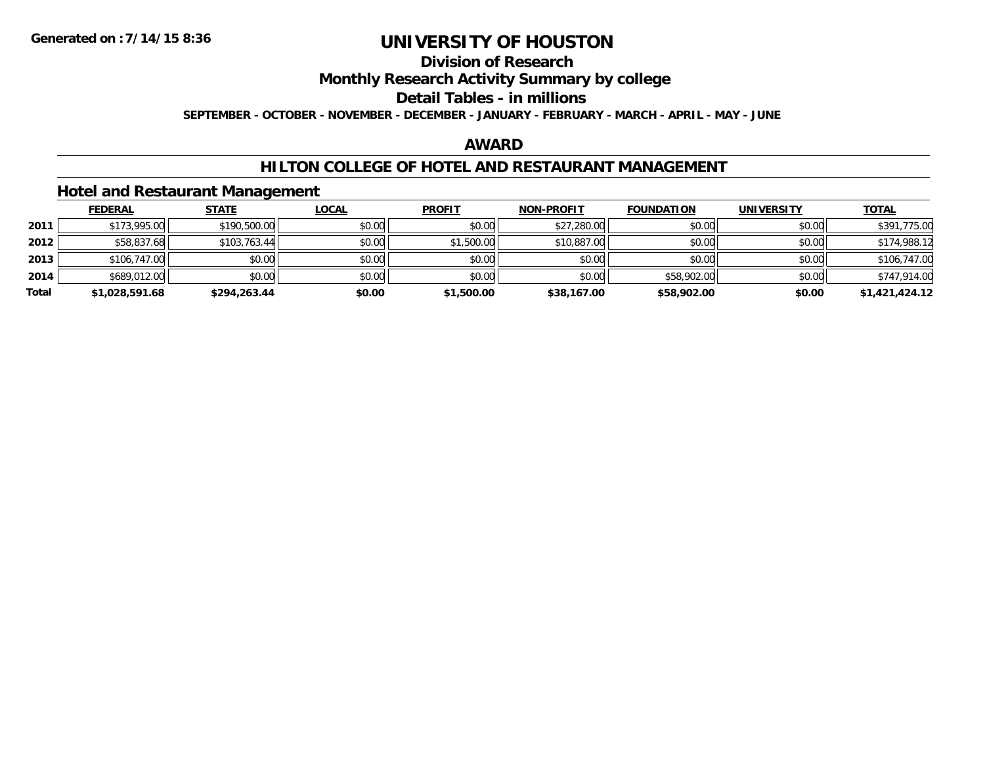## **Division of Research**

## **Monthly Research Activity Summary by college**

#### **Detail Tables - in millions**

**SEPTEMBER - OCTOBER - NOVEMBER - DECEMBER - JANUARY - FEBRUARY - MARCH - APRIL - MAY - JUNE**

## **AWARD**

### **HILTON COLLEGE OF HOTEL AND RESTAURANT MANAGEMENT**

### **Hotel and Restaurant Management**

|       | <b>FEDERAL</b> | <u>STATE</u> | <u>LOCAL</u> | <b>PROFIT</b> | <b>NON-PROFIT</b> | <b>FOUNDATION</b> | <b>UNIVERSITY</b> | <b>TOTAL</b>   |
|-------|----------------|--------------|--------------|---------------|-------------------|-------------------|-------------------|----------------|
| 2011  | \$173,995.00   | \$190,500.00 | \$0.00       | \$0.00        | \$27,280.00       | \$0.00            | \$0.00            | \$391,775.00   |
| 2012  | \$58,837.68    | \$103,763.44 | \$0.00       | \$1,500.00    | \$10,887.00       | \$0.00            | \$0.00            | \$174,988.12   |
| 2013  | \$106,747.00   | \$0.00       | \$0.00       | \$0.00        | \$0.00            | \$0.00            | \$0.00            | \$106,747.00   |
| 2014  | \$689,012.00   | \$0.00       | \$0.00       | \$0.00        | \$0.00            | \$58,902.00       | \$0.00            | \$747,914.00   |
| Total | \$1,028,591.68 | \$294,263.44 | \$0.00       | \$1,500.00    | \$38,167.00       | \$58,902.00       | \$0.00            | \$1,421,424.12 |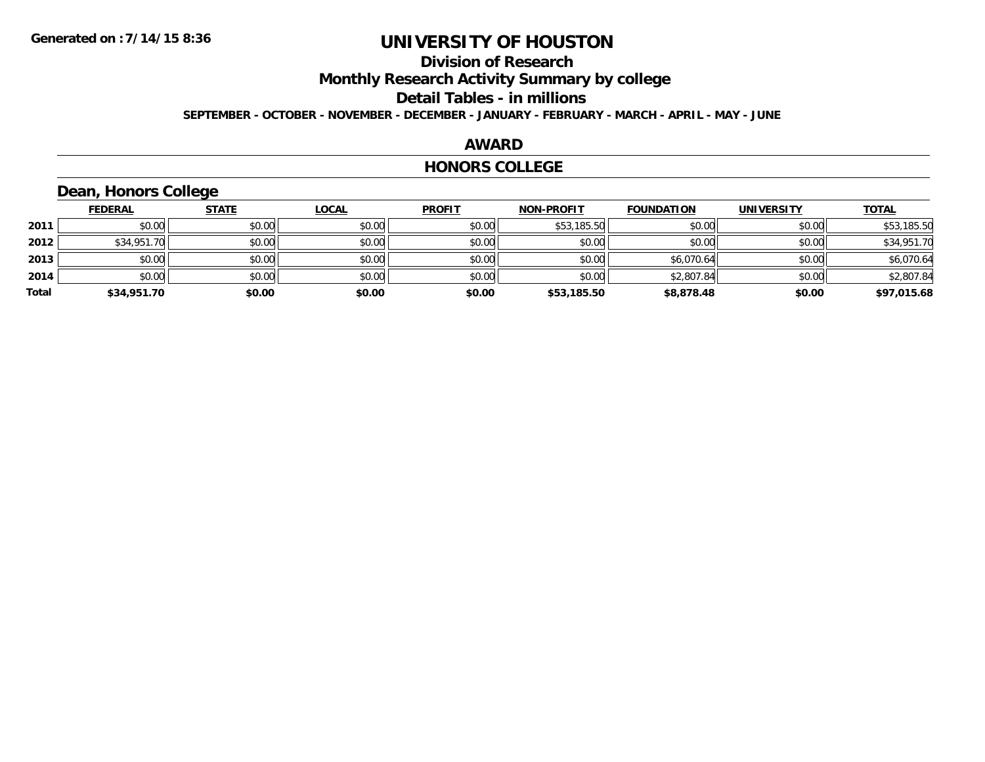## **Division of Research**

**Monthly Research Activity Summary by college**

#### **Detail Tables - in millions**

**SEPTEMBER - OCTOBER - NOVEMBER - DECEMBER - JANUARY - FEBRUARY - MARCH - APRIL - MAY - JUNE**

#### **AWARD**

#### **HONORS COLLEGE**

## **Dean, Honors College**

|       | <b>FEDERAL</b> | <b>STATE</b> | <b>LOCAL</b> | <b>PROFIT</b> | <b>NON-PROFIT</b> | <b>FOUNDATION</b> | <b>UNIVERSITY</b> | <b>TOTAL</b> |
|-------|----------------|--------------|--------------|---------------|-------------------|-------------------|-------------------|--------------|
| 2011  | \$0.00         | \$0.00       | \$0.00       | \$0.00        | \$53,185.50       | \$0.00            | \$0.00            | \$53,185.50  |
| 2012  | \$34,951.70    | \$0.00       | \$0.00       | \$0.00        | \$0.00            | \$0.00            | \$0.00            | \$34,951.70  |
| 2013  | \$0.00         | \$0.00       | \$0.00       | \$0.00        | \$0.00            | \$6,070.64        | \$0.00            | \$6,070.64   |
| 2014  | \$0.00         | \$0.00       | \$0.00       | \$0.00        | \$0.00            | \$2,807.84        | \$0.00            | \$2,807.84   |
| Total | \$34,951.70    | \$0.00       | \$0.00       | \$0.00        | \$53,185.50       | \$8,878.48        | \$0.00            | \$97,015.68  |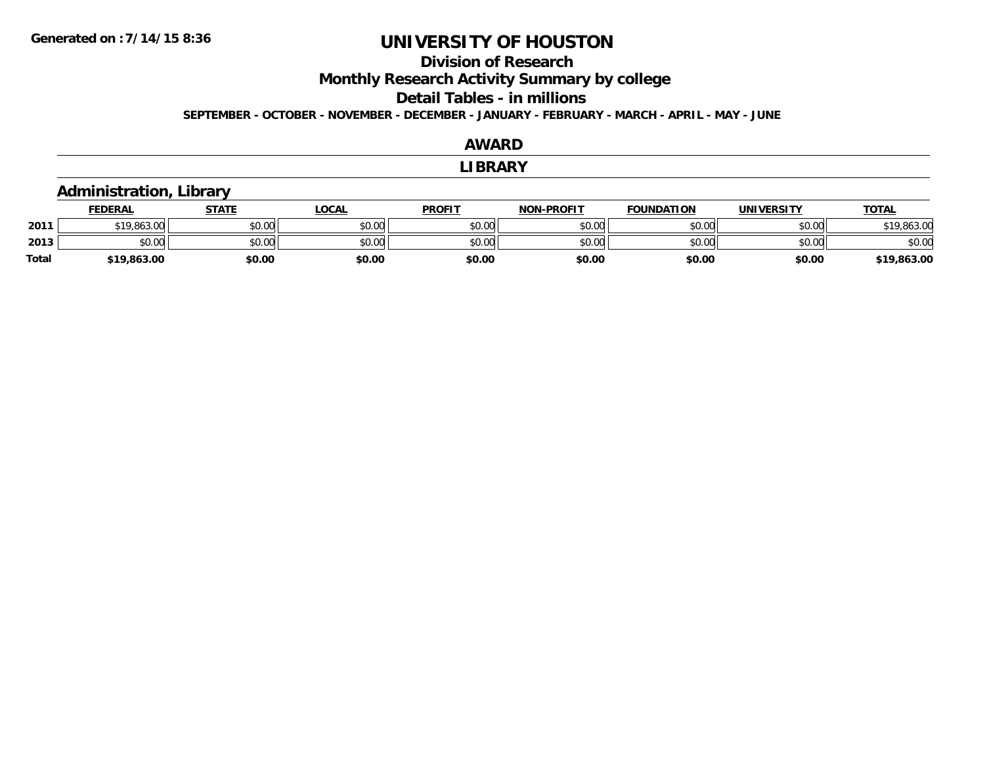## **Division of Research**

**Monthly Research Activity Summary by college**

#### **Detail Tables - in millions**

**SEPTEMBER - OCTOBER - NOVEMBER - DECEMBER - JANUARY - FEBRUARY - MARCH - APRIL - MAY - JUNE**

#### **AWARDLIBRARY Administration, Library FEDERAL STATE LOCAL PROFIT NON-PROFIT FOUNDATION UNIVERSITY TOTALTOTAL 2011**1 \$19,863.00 \$0.00 \$0.00 \$0.00 \$0.00 \$0.00 \$0.00 \$0.00 \$0.00 \$0.00 \$0.00 \$0.00 \$0.00 \$19,863.00 **2013** $\textbf{3} \quad \textbf{\textcolor{blue}{\textbf{50.00}}} \quad \textbf{\textcolor{blue}{\textbf{50.00}}} \quad \textbf{\textcolor{blue}{\textbf{50.00}}} \quad \textbf{\textcolor{blue}{\textbf{50.00}}} \quad \textbf{\textcolor{blue}{\textbf{50.00}}} \quad \textbf{\textcolor{blue}{\textbf{50.00}}} \quad \textbf{\textcolor{blue}{\textbf{50.00}}} \quad \textbf{\textcolor{blue}{\textbf{50.00}}} \quad \textbf{\textcolor{blue}{\textbf{50.00}}} \quad \textbf{\textcolor{blue}{\textbf{50.00}}} \quad \text$ **Total\$19,863.00 \$0.00 \$0.00 \$0.00 \$0.00 \$0.00 \$0.00 \$19,863.00**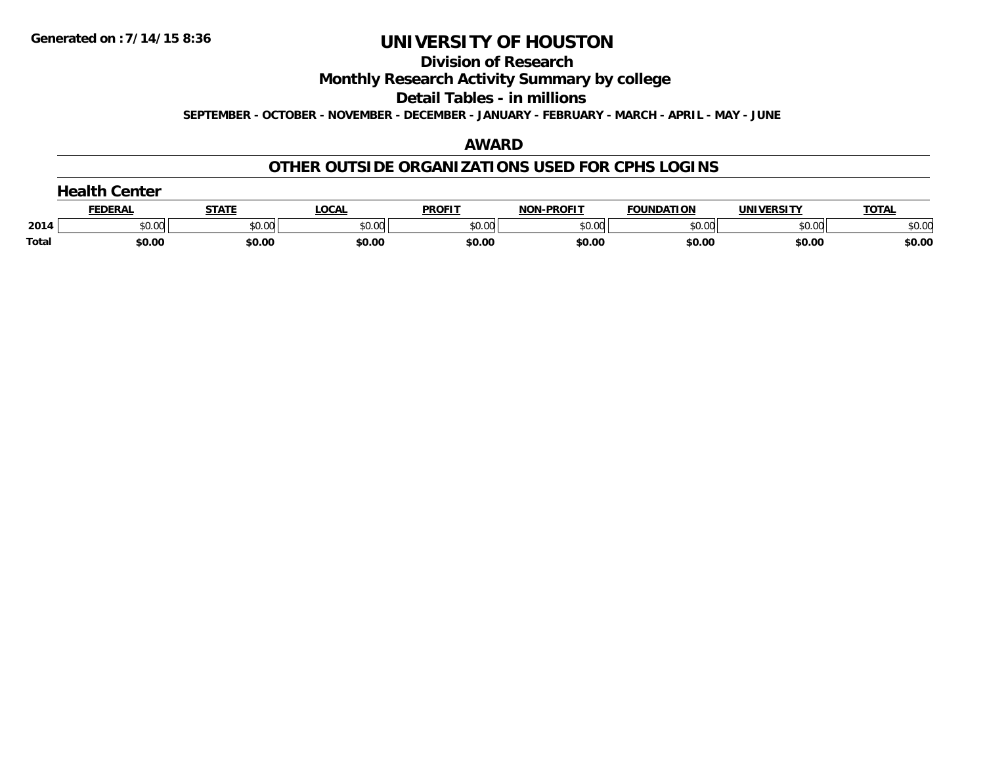#### **Division of Research**

**Monthly Research Activity Summary by college**

**Detail Tables - in millions**

**SEPTEMBER - OCTOBER - NOVEMBER - DECEMBER - JANUARY - FEBRUARY - MARCH - APRIL - MAY - JUNE**

## **AWARD**

### **OTHER OUTSIDE ORGANIZATIONS USED FOR CPHS LOGINS**

| Center       |         |              |        |               |                   |                   |                   |              |  |
|--------------|---------|--------------|--------|---------------|-------------------|-------------------|-------------------|--------------|--|
|              | FEDERAI | <b>STATE</b> | LOCAI  | <b>PROFIT</b> | <b>NON-PROFIT</b> | <b>FOUNDATION</b> | <b>UNIVERSITY</b> | <b>TOTAL</b> |  |
| 2014         | \$0.00  | \$0.00       | \$0.00 | \$0.00        | \$0.00            | \$0.00            | \$0.00            | \$0.00       |  |
| <b>Total</b> | \$0.00  | \$0.00       | \$0.00 | \$0.00        | \$0.00            | \$0.00            | \$0.00            | \$0.00       |  |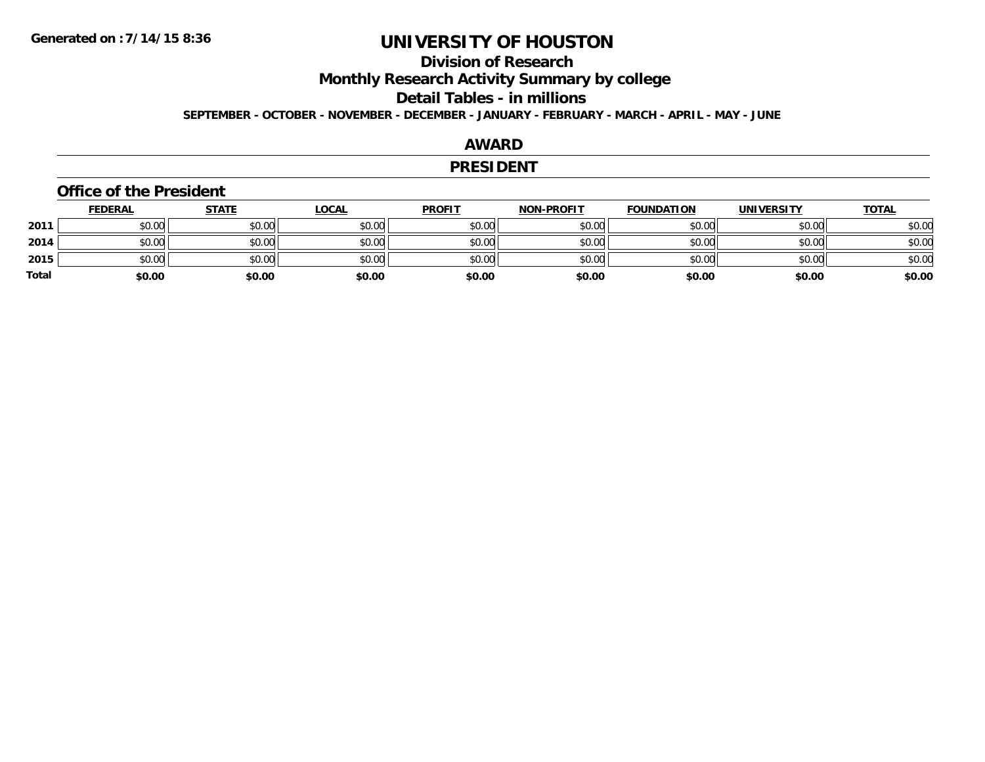## **Division of Research**

**Monthly Research Activity Summary by college**

#### **Detail Tables - in millions**

**SEPTEMBER - OCTOBER - NOVEMBER - DECEMBER - JANUARY - FEBRUARY - MARCH - APRIL - MAY - JUNE**

### **AWARD**

#### **PRESIDENT**

#### **Office of the President**

|              | <b>FEDERAL</b> | <b>STATE</b> | <b>LOCAL</b> | <b>PROFIT</b> | <b>NON-PROFIT</b> | <b>FOUNDATION</b> | <b>UNIVERSITY</b> | <b>TOTAL</b> |
|--------------|----------------|--------------|--------------|---------------|-------------------|-------------------|-------------------|--------------|
| 2011         | \$0.00         | \$0.00       | \$0.00       | \$0.00        | \$0.00            | \$0.00            | \$0.00            | \$0.00       |
| 2014         | \$0.00         | \$0.00       | \$0.00       | \$0.00        | \$0.00            | \$0.00            | \$0.00            | \$0.00       |
| 2015         | \$0.00         | \$0.00       | \$0.00       | \$0.00        | \$0.00            | \$0.00            | \$0.00            | \$0.00       |
| <b>Total</b> | \$0.00         | \$0.00       | \$0.00       | \$0.00        | \$0.00            | \$0.00            | \$0.00            | \$0.00       |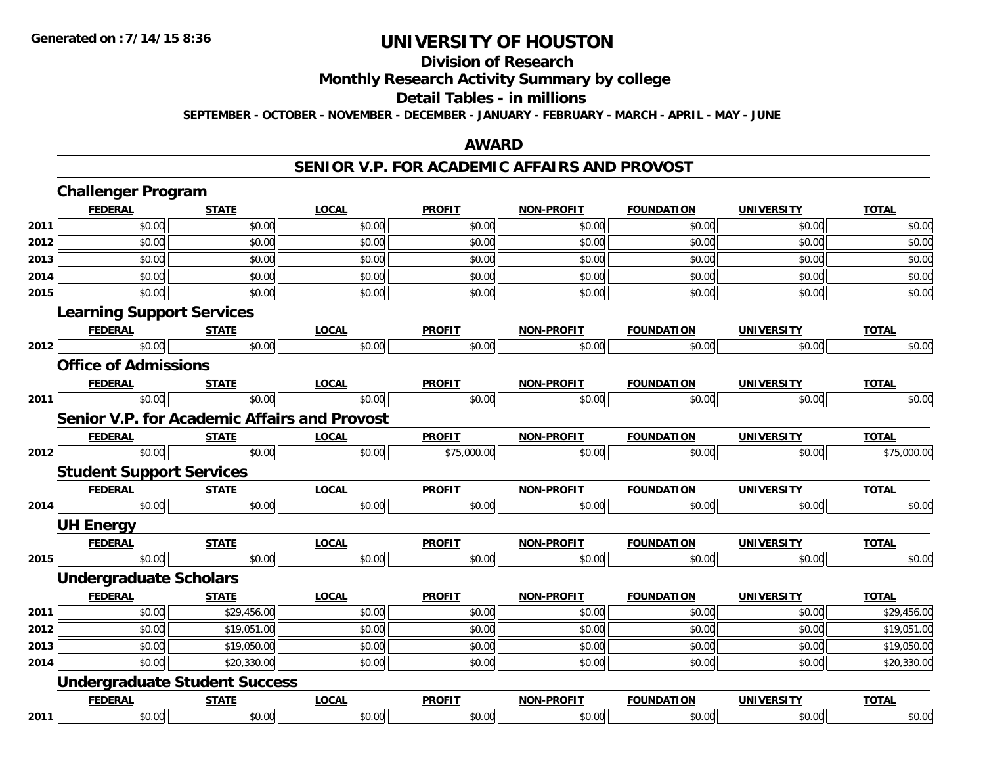#### **Division of Research**

**Monthly Research Activity Summary by college**

#### **Detail Tables - in millions**

**SEPTEMBER - OCTOBER - NOVEMBER - DECEMBER - JANUARY - FEBRUARY - MARCH - APRIL - MAY - JUNE**

### **AWARD**

### **SENIOR V.P. FOR ACADEMIC AFFAIRS AND PROVOST**

|      | <b>Challenger Program</b>                           |              |              |               |                   |                   |                   |              |
|------|-----------------------------------------------------|--------------|--------------|---------------|-------------------|-------------------|-------------------|--------------|
|      | <b>FEDERAL</b>                                      | <b>STATE</b> | <b>LOCAL</b> | <b>PROFIT</b> | <b>NON-PROFIT</b> | <b>FOUNDATION</b> | <b>UNIVERSITY</b> | <b>TOTAL</b> |
| 2011 | \$0.00                                              | \$0.00       | \$0.00       | \$0.00        | \$0.00            | \$0.00            | \$0.00            | \$0.00       |
| 2012 | \$0.00                                              | \$0.00       | \$0.00       | \$0.00        | \$0.00            | \$0.00            | \$0.00            | \$0.00       |
| 2013 | \$0.00                                              | \$0.00       | \$0.00       | \$0.00        | \$0.00            | \$0.00            | \$0.00            | \$0.00       |
| 2014 | \$0.00                                              | \$0.00       | \$0.00       | \$0.00        | \$0.00            | \$0.00            | \$0.00            | \$0.00       |
| 2015 | \$0.00                                              | \$0.00       | \$0.00       | \$0.00        | \$0.00            | \$0.00            | \$0.00            | \$0.00       |
|      | <b>Learning Support Services</b>                    |              |              |               |                   |                   |                   |              |
|      | <b>FEDERAL</b>                                      | <b>STATE</b> | <b>LOCAL</b> | <b>PROFIT</b> | <b>NON-PROFIT</b> | <b>FOUNDATION</b> | <b>UNIVERSITY</b> | <b>TOTAL</b> |
| 2012 | \$0.00                                              | \$0.00       | \$0.00       | \$0.00        | \$0.00            | \$0.00            | \$0.00            | \$0.00       |
|      | <b>Office of Admissions</b>                         |              |              |               |                   |                   |                   |              |
|      | <b>FEDERAL</b>                                      | <b>STATE</b> | <b>LOCAL</b> | <b>PROFIT</b> | <b>NON-PROFIT</b> | <b>FOUNDATION</b> | <b>UNIVERSITY</b> | <b>TOTAL</b> |
| 2011 | \$0.00                                              | \$0.00       | \$0.00       | \$0.00        | \$0.00            | \$0.00            | \$0.00            | \$0.00       |
|      | <b>Senior V.P. for Academic Affairs and Provost</b> |              |              |               |                   |                   |                   |              |
|      | <b>FEDERAL</b>                                      | <b>STATE</b> | <b>LOCAL</b> | <b>PROFIT</b> | <b>NON-PROFIT</b> | <b>FOUNDATION</b> | <b>UNIVERSITY</b> | <b>TOTAL</b> |
| 2012 | \$0.00                                              | \$0.00       | \$0.00       | \$75,000.00   | \$0.00            | \$0.00            | \$0.00            | \$75,000.00  |
|      | <b>Student Support Services</b>                     |              |              |               |                   |                   |                   |              |
|      | <b>FEDERAL</b>                                      | <b>STATE</b> | <b>LOCAL</b> | <b>PROFIT</b> | <b>NON-PROFIT</b> | <b>FOUNDATION</b> | <b>UNIVERSITY</b> | <b>TOTAL</b> |
| 2014 | \$0.00                                              | \$0.00       | \$0.00       | \$0.00        | \$0.00            | \$0.00            | \$0.00            | \$0.00       |
|      | <b>UH Energy</b>                                    |              |              |               |                   |                   |                   |              |
|      | <b>FEDERAL</b>                                      | <b>STATE</b> | <b>LOCAL</b> | <b>PROFIT</b> | <b>NON-PROFIT</b> | <b>FOUNDATION</b> | <b>UNIVERSITY</b> | <b>TOTAL</b> |
| 2015 | \$0.00                                              | \$0.00       | \$0.00       | \$0.00        | \$0.00            | \$0.00            | \$0.00            | \$0.00       |
|      | <b>Undergraduate Scholars</b>                       |              |              |               |                   |                   |                   |              |
|      | <b>FEDERAL</b>                                      | <b>STATE</b> | <b>LOCAL</b> | <b>PROFIT</b> | <b>NON-PROFIT</b> | <b>FOUNDATION</b> | <b>UNIVERSITY</b> | <b>TOTAL</b> |
| 2011 | \$0.00                                              | \$29,456.00  | \$0.00       | \$0.00        | \$0.00            | \$0.00            | \$0.00            | \$29,456.00  |
| 2012 | \$0.00                                              | \$19,051.00  | \$0.00       | \$0.00        | \$0.00            | \$0.00            | \$0.00            | \$19,051.00  |
| 2013 | \$0.00                                              | \$19,050.00  | \$0.00       | \$0.00        | \$0.00            | \$0.00            | \$0.00            | \$19,050.00  |
| 2014 | \$0.00                                              | \$20,330.00  | \$0.00       | \$0.00        | \$0.00            | \$0.00            | \$0.00            | \$20,330.00  |
|      | <b>Undergraduate Student Success</b>                |              |              |               |                   |                   |                   |              |
|      | <b>FEDERAL</b>                                      | <b>STATE</b> | <b>LOCAL</b> | <b>PROFIT</b> | <b>NON-PROFIT</b> | <b>FOUNDATION</b> | <b>UNIVERSITY</b> | <b>TOTAL</b> |
| 2011 | \$0.00                                              | \$0.00       | \$0.00       | \$0.00        | \$0.00            | \$0.00            | \$0.00            | \$0.00       |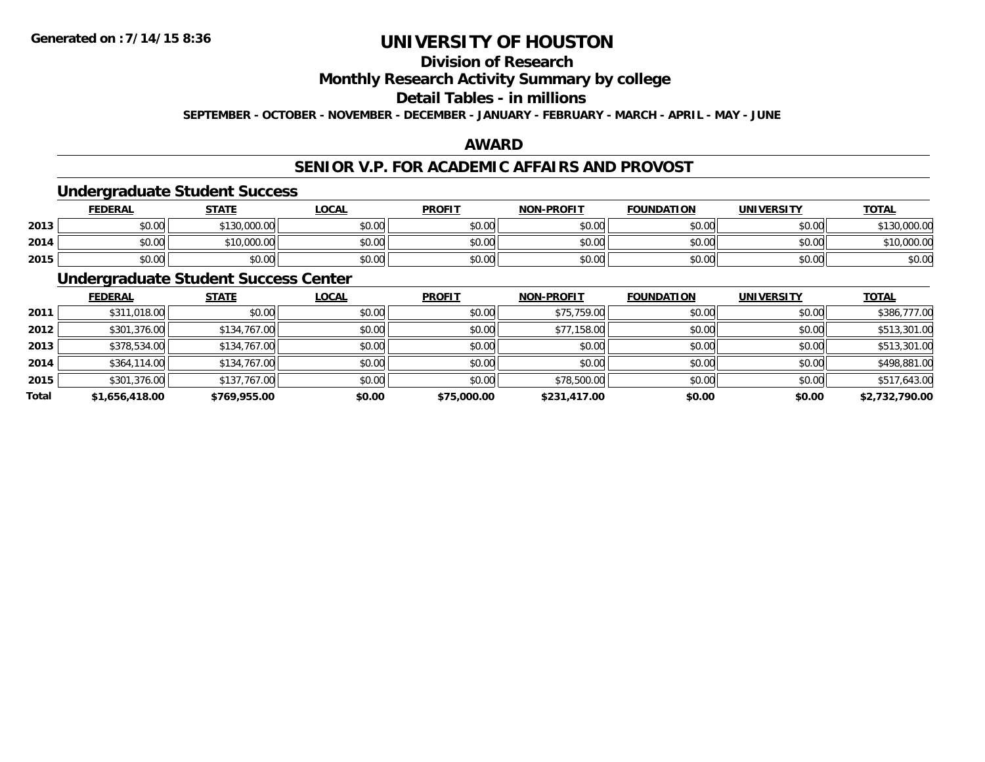## **Division of Research**

**Monthly Research Activity Summary by college**

## **Detail Tables - in millions**

**SEPTEMBER - OCTOBER - NOVEMBER - DECEMBER - JANUARY - FEBRUARY - MARCH - APRIL - MAY - JUNE**

### **AWARD**

### **SENIOR V.P. FOR ACADEMIC AFFAIRS AND PROVOST**

#### **Undergraduate Student Success**

|      | <u>FEDERAL</u> | <b>STATE</b>            | <b>_OCAL</b>  | <b>PROFIT</b> | <b>NON-PROFIT</b> | <b>FOUNDATION</b> | <b>UNIVERSITY</b> | <b>TOTAL</b> |
|------|----------------|-------------------------|---------------|---------------|-------------------|-------------------|-------------------|--------------|
| 2013 | \$0.00         | 0.000.00<br><b>¢120</b> | 0000<br>DU.UU | \$0.00        | \$0.00            | \$0.00            | \$0.00            | 0.000.00     |
| 2014 | \$0.00         | ,000.00<br>*16.         | \$0.00        | \$0.00        | \$0.00            | \$0.00            | \$0.00            | \$10,000.00  |
| 2015 | \$0.00         | \$0.00                  | \$0.00        | \$0.00        | \$0.00            | \$0.00            | \$0.00            | \$0.00       |

## **Undergraduate Student Success Center**

|       | <b>FEDERAL</b> | <b>STATE</b> | <b>LOCAL</b> | <b>PROFIT</b> | <b>NON-PROFIT</b> | <b>FOUNDATION</b> | <b>UNIVERSITY</b> | <b>TOTAL</b>   |
|-------|----------------|--------------|--------------|---------------|-------------------|-------------------|-------------------|----------------|
| 2011  | \$311,018.00   | \$0.00       | \$0.00       | \$0.00        | \$75,759.00       | \$0.00            | \$0.00            | \$386,777.00   |
| 2012  | \$301,376.00   | \$134,767.00 | \$0.00       | \$0.00        | \$77,158.00       | \$0.00            | \$0.00            | \$513,301.00   |
| 2013  | \$378,534.00   | \$134,767.00 | \$0.00       | \$0.00        | \$0.00            | \$0.00            | \$0.00            | \$513,301.00   |
| 2014  | \$364,114.00   | \$134,767.00 | \$0.00       | \$0.00        | \$0.00            | \$0.00            | \$0.00            | \$498,881.00   |
| 2015  | \$301,376.00   | \$137,767.00 | \$0.00       | \$0.00        | \$78,500.00       | \$0.00            | \$0.00            | \$517,643.00   |
| Total | \$1,656,418.00 | \$769,955.00 | \$0.00       | \$75,000.00   | \$231,417.00      | \$0.00            | \$0.00            | \$2,732,790.00 |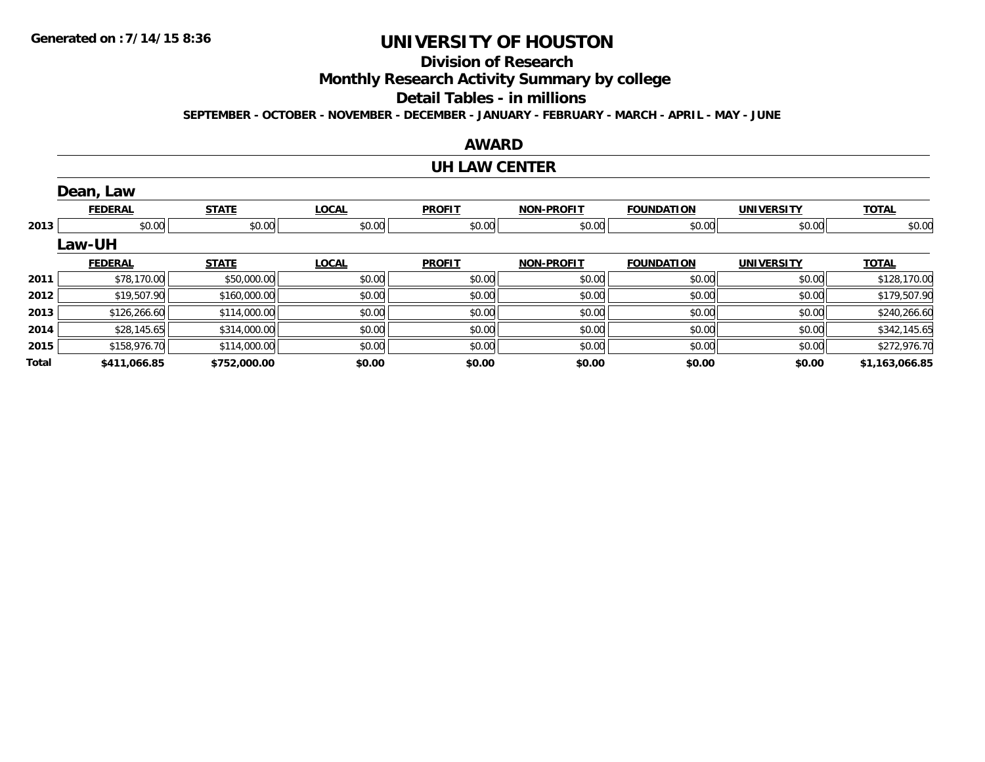## **Division of Research**

**Monthly Research Activity Summary by college**

#### **Detail Tables - in millions**

**SEPTEMBER - OCTOBER - NOVEMBER - DECEMBER - JANUARY - FEBRUARY - MARCH - APRIL - MAY - JUNE**

### **AWARD**

#### **UH LAW CENTER**

|       | Dean, Law      |              |              |               |                   |                   |                   |                |
|-------|----------------|--------------|--------------|---------------|-------------------|-------------------|-------------------|----------------|
|       | <b>FEDERAL</b> | <b>STATE</b> | <b>LOCAL</b> | <b>PROFIT</b> | <b>NON-PROFIT</b> | <b>FOUNDATION</b> | <b>UNIVERSITY</b> | <b>TOTAL</b>   |
| 2013  | \$0.00         | \$0.00       | \$0.00       | \$0.00        | \$0.00            | \$0.00            | \$0.00            | \$0.00         |
|       | Law-UH         |              |              |               |                   |                   |                   |                |
|       | <b>FEDERAL</b> | <b>STATE</b> | <b>LOCAL</b> | <b>PROFIT</b> | <b>NON-PROFIT</b> | <b>FOUNDATION</b> | <b>UNIVERSITY</b> | <b>TOTAL</b>   |
| 2011  | \$78,170.00    | \$50,000.00  | \$0.00       | \$0.00        | \$0.00            | \$0.00            | \$0.00            | \$128,170.00   |
| 2012  | \$19,507.90    | \$160,000.00 | \$0.00       | \$0.00        | \$0.00            | \$0.00            | \$0.00            | \$179,507.90   |
| 2013  | \$126,266.60   | \$114,000.00 | \$0.00       | \$0.00        | \$0.00            | \$0.00            | \$0.00            | \$240,266.60   |
| 2014  | \$28,145.65    | \$314,000.00 | \$0.00       | \$0.00        | \$0.00            | \$0.00            | \$0.00            | \$342,145.65   |
| 2015  | \$158,976.70   | \$114,000.00 | \$0.00       | \$0.00        | \$0.00            | \$0.00            | \$0.00            | \$272,976.70   |
| Total | \$411,066.85   | \$752,000.00 | \$0.00       | \$0.00        | \$0.00            | \$0.00            | \$0.00            | \$1,163,066.85 |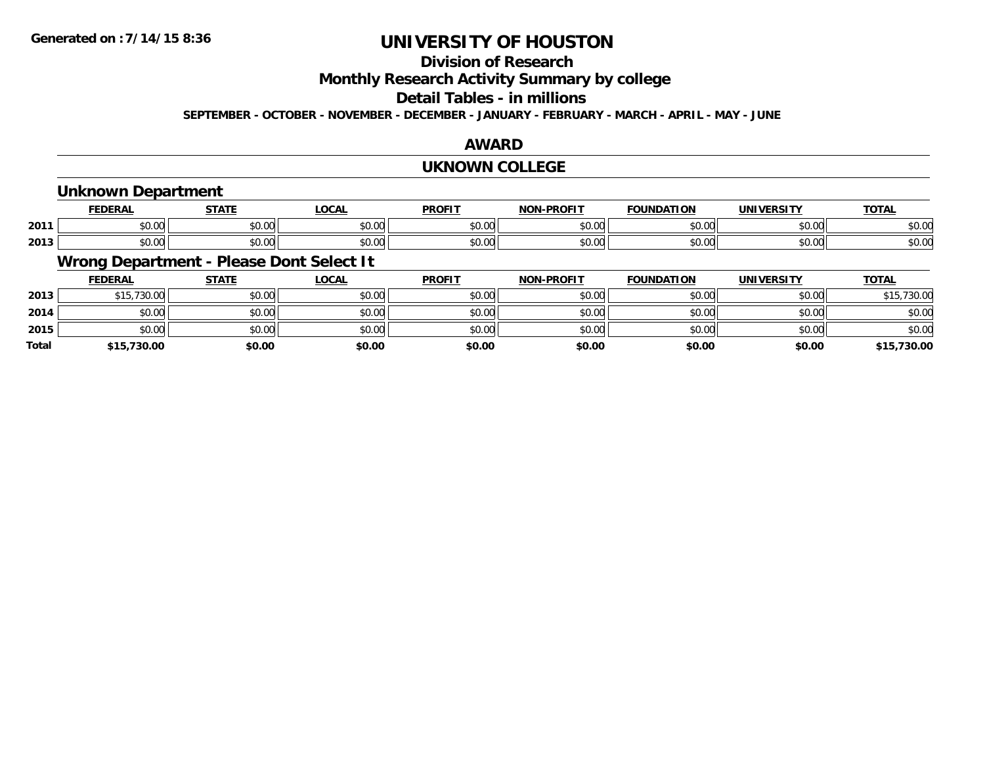## **Division of Research**

**Monthly Research Activity Summary by college**

#### **Detail Tables - in millions**

**SEPTEMBER - OCTOBER - NOVEMBER - DECEMBER - JANUARY - FEBRUARY - MARCH - APRIL - MAY - JUNE**

### **AWARD**

#### **UKNOWN COLLEGE**

## **Unknown Department**

|      |                            | -----                  | 00N<br>- Juh-                 | <b>DDOEIT</b><br>ำ⊫                        | <b>BBAFIT</b><br><b>NICH</b> | TON<br>IDА             | .                  | $-2$<br>. UIN         |
|------|----------------------------|------------------------|-------------------------------|--------------------------------------------|------------------------------|------------------------|--------------------|-----------------------|
| 2011 | $\sim$ $\sim$<br>טע.טע     | $\sim$ $\sim$<br>טט.טי | $\sim$ $\sim$ $\sim$<br>vv.vv | $\sim$ $\sim$<br>וש.טע                     | $\sim$ $\sim$<br>,v.vv       | $\sim$ $\sim$<br>טט.טע | $\sim$ 00<br>vv.vv | $\sim$ $\sim$<br>DU.U |
| 2013 | $\sim$ 00 $\cdot$<br>vu.uu | $\sim$ 00<br>טט.טע     | $\sim$ $\sim$ $\sim$<br>vu.vu | $\mathsf{A} \cap \mathsf{A} \cap$<br>JU.UL | $\sim$ $\sim$<br>טט.טע       | $\sim$ $\sim$<br>JU.U  | $\sim$ 00<br>PU.UU | DU.UC                 |

## **Wrong Department - Please Dont Select It**

|              | <b>FEDERAL</b> | <b>STATE</b> | <b>LOCAL</b> | <b>PROFIT</b> | <b>NON-PROFIT</b> | <b>FOUNDATION</b> | <b>UNIVERSITY</b> | <b>TOTAL</b> |
|--------------|----------------|--------------|--------------|---------------|-------------------|-------------------|-------------------|--------------|
| 2013         | \$15,730.00    | \$0.00       | \$0.00       | \$0.00        | \$0.00            | \$0.00            | \$0.00            | \$15,730.00  |
| 2014         | \$0.00         | \$0.00       | \$0.00       | \$0.00        | \$0.00            | \$0.00            | \$0.00            | \$0.00       |
| 2015         | \$0.00         | \$0.00       | \$0.00       | \$0.00        | \$0.00            | \$0.00            | \$0.00            | \$0.00       |
| <b>Total</b> | \$15,730.00    | \$0.00       | \$0.00       | \$0.00        | \$0.00            | \$0.00            | \$0.00            | \$15,730.00  |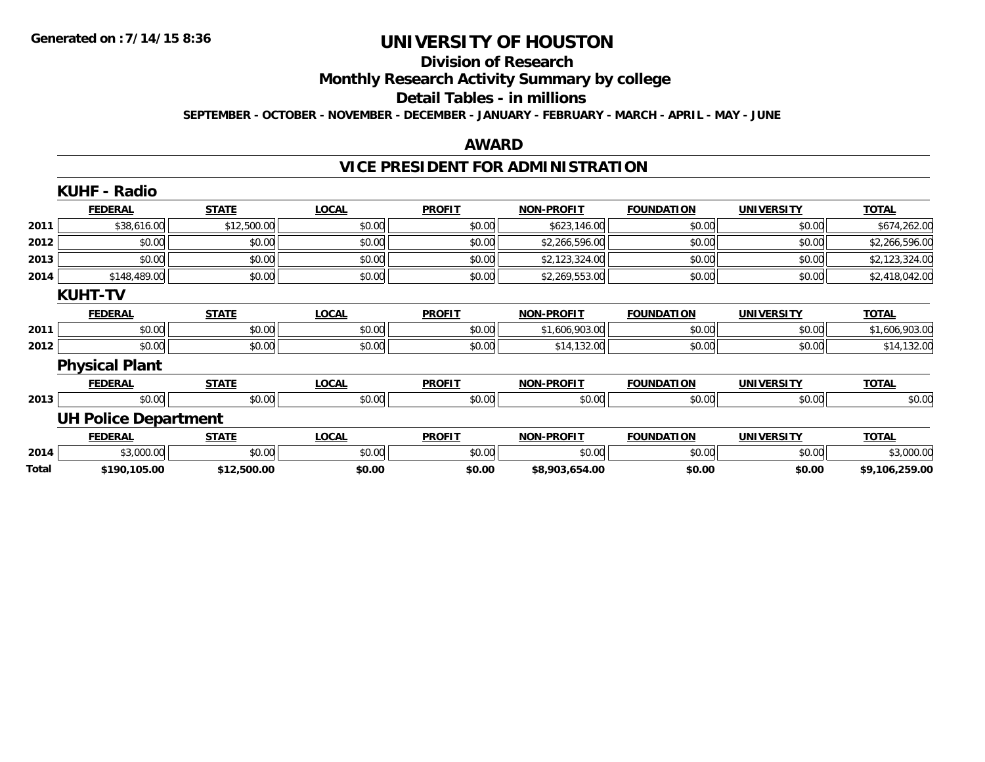#### **Division of Research**

**Monthly Research Activity Summary by college**

#### **Detail Tables - in millions**

**SEPTEMBER - OCTOBER - NOVEMBER - DECEMBER - JANUARY - FEBRUARY - MARCH - APRIL - MAY - JUNE**

### **AWARD**

## **VICE PRESIDENT FOR ADMINISTRATION**

|       | <b>KUHF - Radio</b>         |              |              |               |                   |                   |                   |                |
|-------|-----------------------------|--------------|--------------|---------------|-------------------|-------------------|-------------------|----------------|
|       | <b>FEDERAL</b>              | <b>STATE</b> | <b>LOCAL</b> | <b>PROFIT</b> | <b>NON-PROFIT</b> | <b>FOUNDATION</b> | <b>UNIVERSITY</b> | <b>TOTAL</b>   |
| 2011  | \$38,616.00                 | \$12,500.00  | \$0.00       | \$0.00        | \$623,146.00      | \$0.00            | \$0.00            | \$674,262.00   |
| 2012  | \$0.00                      | \$0.00       | \$0.00       | \$0.00        | \$2,266,596.00    | \$0.00            | \$0.00            | \$2,266,596.00 |
| 2013  | \$0.00                      | \$0.00       | \$0.00       | \$0.00        | \$2,123,324.00    | \$0.00            | \$0.00            | \$2,123,324.00 |
| 2014  | \$148,489.00                | \$0.00       | \$0.00       | \$0.00        | \$2,269,553.00    | \$0.00            | \$0.00            | \$2,418,042.00 |
|       | <b>KUHT-TV</b>              |              |              |               |                   |                   |                   |                |
|       | <b>FEDERAL</b>              | <b>STATE</b> | <b>LOCAL</b> | <b>PROFIT</b> | <b>NON-PROFIT</b> | <b>FOUNDATION</b> | <b>UNIVERSITY</b> | <b>TOTAL</b>   |
| 2011  | \$0.00                      | \$0.00       | \$0.00       | \$0.00        | \$1,606,903.00    | \$0.00            | \$0.00            | \$1,606,903.00 |
| 2012  | \$0.00                      | \$0.00       | \$0.00       | \$0.00        | \$14,132.00       | \$0.00            | \$0.00            | \$14,132.00    |
|       | <b>Physical Plant</b>       |              |              |               |                   |                   |                   |                |
|       | <b>FEDERAL</b>              | <b>STATE</b> | <b>LOCAL</b> | <b>PROFIT</b> | <b>NON-PROFIT</b> | <b>FOUNDATION</b> | <b>UNIVERSITY</b> | <b>TOTAL</b>   |
| 2013  | \$0.00                      | \$0.00       | \$0.00       | \$0.00        | \$0.00            | \$0.00            | \$0.00            | \$0.00         |
|       | <b>UH Police Department</b> |              |              |               |                   |                   |                   |                |
|       | <b>FEDERAL</b>              | <b>STATE</b> | <b>LOCAL</b> | <b>PROFIT</b> | <b>NON-PROFIT</b> | <b>FOUNDATION</b> | <b>UNIVERSITY</b> | <b>TOTAL</b>   |
| 2014  | \$3,000.00                  | \$0.00       | \$0.00       | \$0.00        | \$0.00            | \$0.00            | \$0.00            | \$3,000.00     |
| Total | \$190,105.00                | \$12,500.00  | \$0.00       | \$0.00        | \$8,903,654.00    | \$0.00            | \$0.00            | \$9,106,259.00 |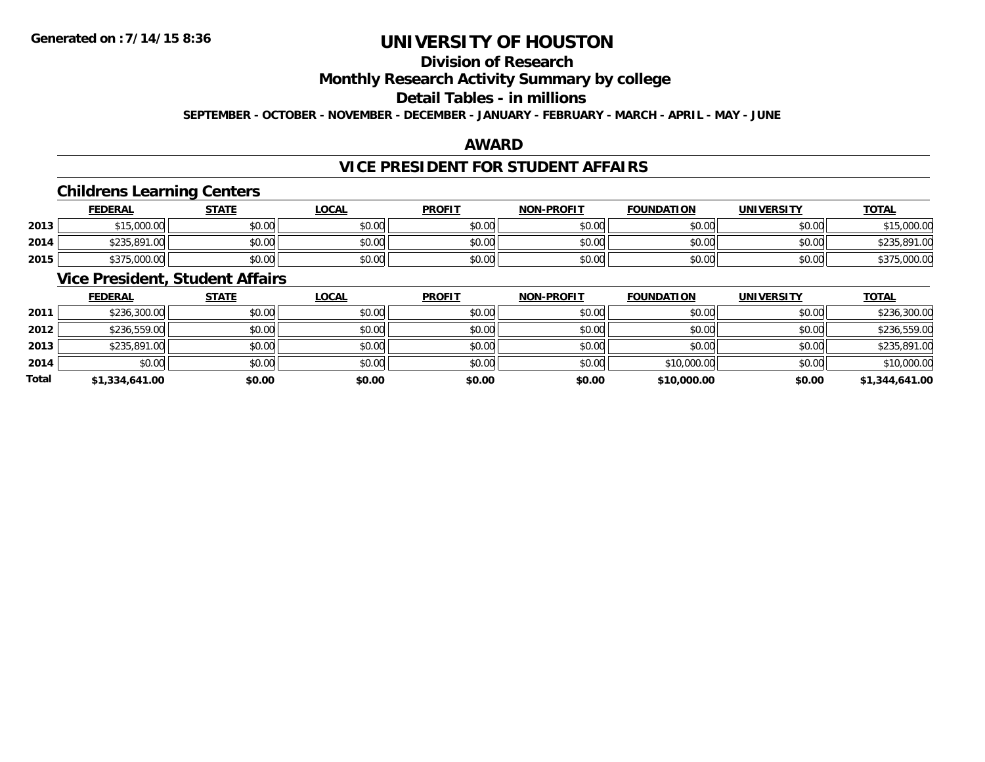## **Division of Research**

## **Monthly Research Activity Summary by college**

#### **Detail Tables - in millions**

**SEPTEMBER - OCTOBER - NOVEMBER - DECEMBER - JANUARY - FEBRUARY - MARCH - APRIL - MAY - JUNE**

### **AWARD**

## **VICE PRESIDENT FOR STUDENT AFFAIRS**

## **Childrens Learning Centers**

|      | <u>FEDERAL</u> | <b>STATE</b> | <u>_OCAL</u> | <b>PROFIT</b> | <b>NON-PROFIT</b> | <b>FOUNDATION</b> | UNIVERSITY | <b>TOTAL</b>                 |
|------|----------------|--------------|--------------|---------------|-------------------|-------------------|------------|------------------------------|
| 2013 | \$15,000.00    | \$0.00       | \$0.00       | \$0.00        | \$0.00            | \$0.00            | \$0.00     | ぐっに<br>\$15,000.00           |
| 2014 | \$235,891.00   | \$0.00       | \$0.00       | \$0.00        | \$0.00            | \$0.00            | \$0.00     | \$235.891.<br>$\cap$<br>1.UU |
| 2015 | \$375,000.00   | \$0.00       | \$0.00       | \$0.00        | \$0.00            | \$0.00            | \$0.00     | \$375,000.00                 |

## **Vice President, Student Affairs**

|       | <b>FEDERAL</b> | <b>STATE</b> | <b>LOCAL</b> | <b>PROFIT</b> | <b>NON-PROFIT</b> | <b>FOUNDATION</b> | <b>UNIVERSITY</b> | <b>TOTAL</b>   |
|-------|----------------|--------------|--------------|---------------|-------------------|-------------------|-------------------|----------------|
| 2011  | \$236,300.00   | \$0.00       | \$0.00       | \$0.00        | \$0.00            | \$0.00            | \$0.00            | \$236,300.00   |
| 2012  | \$236,559.00   | \$0.00       | \$0.00       | \$0.00        | \$0.00            | \$0.00            | \$0.00            | \$236,559.00   |
| 2013  | \$235,891.00   | \$0.00       | \$0.00       | \$0.00        | \$0.00            | \$0.00            | \$0.00            | \$235,891.00   |
| 2014  | \$0.00         | \$0.00       | \$0.00       | \$0.00        | \$0.00            | \$10,000.00       | \$0.00            | \$10,000.00    |
| Total | \$1,334,641.00 | \$0.00       | \$0.00       | \$0.00        | \$0.00            | \$10,000.00       | \$0.00            | \$1,344,641.00 |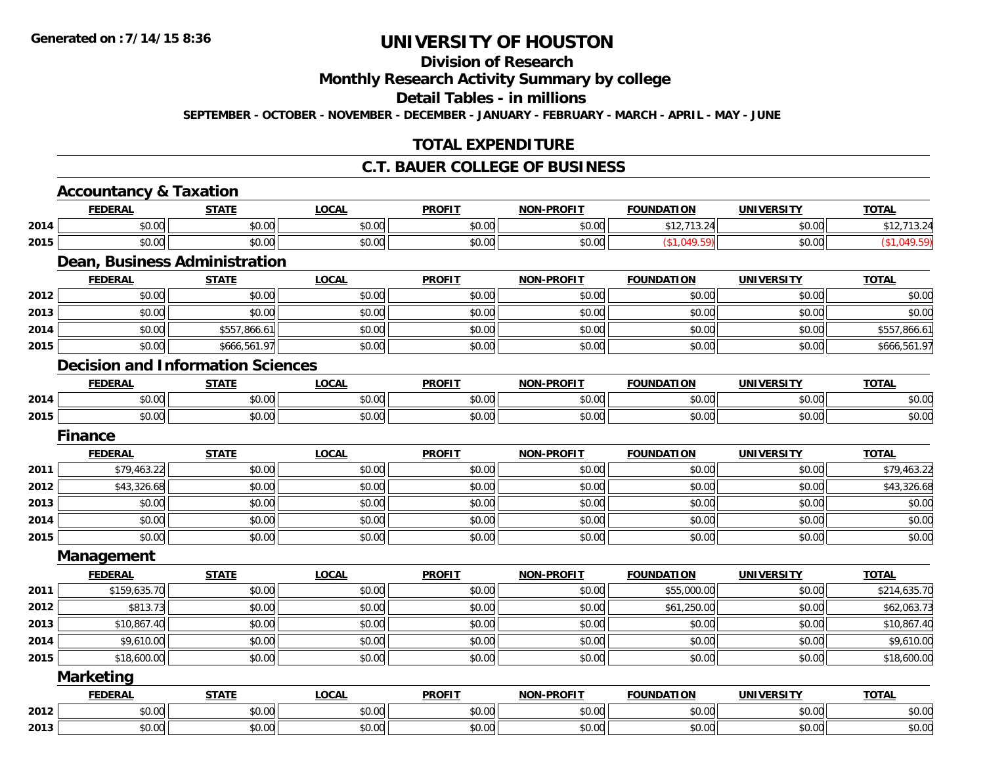## **Division of Research**

## **Monthly Research Activity Summary by college**

#### **Detail Tables - in millions**

**SEPTEMBER - OCTOBER - NOVEMBER - DECEMBER - JANUARY - FEBRUARY - MARCH - APRIL - MAY - JUNE**

## **TOTAL EXPENDITURE**

### **C.T. BAUER COLLEGE OF BUSINESS**

|      | <b>Accountancy &amp; Taxation</b>        |              |              |               |                   |                   |                   |              |
|------|------------------------------------------|--------------|--------------|---------------|-------------------|-------------------|-------------------|--------------|
|      | <b>FEDERAL</b>                           | <b>STATE</b> | <b>LOCAL</b> | <b>PROFIT</b> | <b>NON-PROFIT</b> | <b>FOUNDATION</b> | <b>UNIVERSITY</b> | <b>TOTAL</b> |
| 2014 | \$0.00                                   | \$0.00       | \$0.00       | \$0.00        | \$0.00            | \$12,713.24       | \$0.00            | \$12,713.24  |
| 2015 | \$0.00                                   | \$0.00       | \$0.00       | \$0.00        | \$0.00            | (\$1,049.59)      | \$0.00            | (\$1,049.59) |
|      | Dean, Business Administration            |              |              |               |                   |                   |                   |              |
|      | <b>FEDERAL</b>                           | <b>STATE</b> | <b>LOCAL</b> | <b>PROFIT</b> | <b>NON-PROFIT</b> | <b>FOUNDATION</b> | <b>UNIVERSITY</b> | <b>TOTAL</b> |
| 2012 | \$0.00                                   | \$0.00       | \$0.00       | \$0.00        | \$0.00            | \$0.00            | \$0.00            | \$0.00       |
| 2013 | \$0.00                                   | \$0.00       | \$0.00       | \$0.00        | \$0.00            | \$0.00            | \$0.00            | \$0.00       |
| 2014 | \$0.00                                   | \$557,866.61 | \$0.00       | \$0.00        | \$0.00            | \$0.00            | \$0.00            | \$557,866.61 |
| 2015 | \$0.00                                   | \$666,561.97 | \$0.00       | \$0.00        | \$0.00            | \$0.00            | \$0.00            | \$666,561.97 |
|      | <b>Decision and Information Sciences</b> |              |              |               |                   |                   |                   |              |
|      | <b>FEDERAL</b>                           | <b>STATE</b> | <b>LOCAL</b> | <b>PROFIT</b> | <b>NON-PROFIT</b> | <b>FOUNDATION</b> | <b>UNIVERSITY</b> | <b>TOTAL</b> |
| 2014 | \$0.00                                   | \$0.00       | \$0.00       | \$0.00        | \$0.00            | \$0.00            | \$0.00            | \$0.00       |
| 2015 | \$0.00                                   | \$0.00       | \$0.00       | \$0.00        | \$0.00            | \$0.00            | \$0.00            | \$0.00       |
|      | <b>Finance</b>                           |              |              |               |                   |                   |                   |              |
|      | <b>FEDERAL</b>                           | <b>STATE</b> | <b>LOCAL</b> | <b>PROFIT</b> | <b>NON-PROFIT</b> | <b>FOUNDATION</b> | <b>UNIVERSITY</b> | <b>TOTAL</b> |
| 2011 | \$79,463.22                              | \$0.00       | \$0.00       | \$0.00        | \$0.00            | \$0.00            | \$0.00            | \$79,463.22  |
| 2012 | \$43,326.68                              | \$0.00       | \$0.00       | \$0.00        | \$0.00            | \$0.00            | \$0.00            | \$43,326.68  |
| 2013 | \$0.00                                   | \$0.00       | \$0.00       | \$0.00        | \$0.00            | \$0.00            | \$0.00            | \$0.00       |
| 2014 | \$0.00                                   | \$0.00       | \$0.00       | \$0.00        | \$0.00            | \$0.00            | \$0.00            | \$0.00       |
| 2015 | \$0.00                                   | \$0.00       | \$0.00       | \$0.00        | \$0.00            | \$0.00            | \$0.00            | \$0.00       |
|      | Management                               |              |              |               |                   |                   |                   |              |
|      | <b>FEDERAL</b>                           | <b>STATE</b> | <b>LOCAL</b> | <b>PROFIT</b> | <b>NON-PROFIT</b> | <b>FOUNDATION</b> | <b>UNIVERSITY</b> | <b>TOTAL</b> |
| 2011 | \$159,635.70                             | \$0.00       | \$0.00       | \$0.00        | \$0.00            | \$55,000.00       | \$0.00            | \$214,635.70 |
| 2012 | \$813.73                                 | \$0.00       | \$0.00       | \$0.00        | \$0.00            | \$61,250.00       | \$0.00            | \$62,063.73  |
| 2013 | \$10,867.40                              | \$0.00       | \$0.00       | \$0.00        | \$0.00            | \$0.00            | \$0.00            | \$10,867.40  |
| 2014 | \$9,610.00                               | \$0.00       | \$0.00       | \$0.00        | \$0.00            | \$0.00            | \$0.00            | \$9,610.00   |
| 2015 | \$18,600.00                              | \$0.00       | \$0.00       | \$0.00        | \$0.00            | \$0.00            | \$0.00            | \$18,600.00  |
|      | <b>Marketing</b>                         |              |              |               |                   |                   |                   |              |
|      | <b>FEDERAL</b>                           | <b>STATE</b> | <b>LOCAL</b> | <b>PROFIT</b> | <b>NON-PROFIT</b> | <b>FOUNDATION</b> | <b>UNIVERSITY</b> | <b>TOTAL</b> |
| 2012 | \$0.00                                   | \$0.00       | \$0.00       | \$0.00        | \$0.00            | \$0.00            | \$0.00            | \$0.00       |
| 2013 | \$0.00                                   | \$0.00       | \$0.00       | \$0.00        | \$0.00            | \$0.00            | \$0.00            | \$0.00       |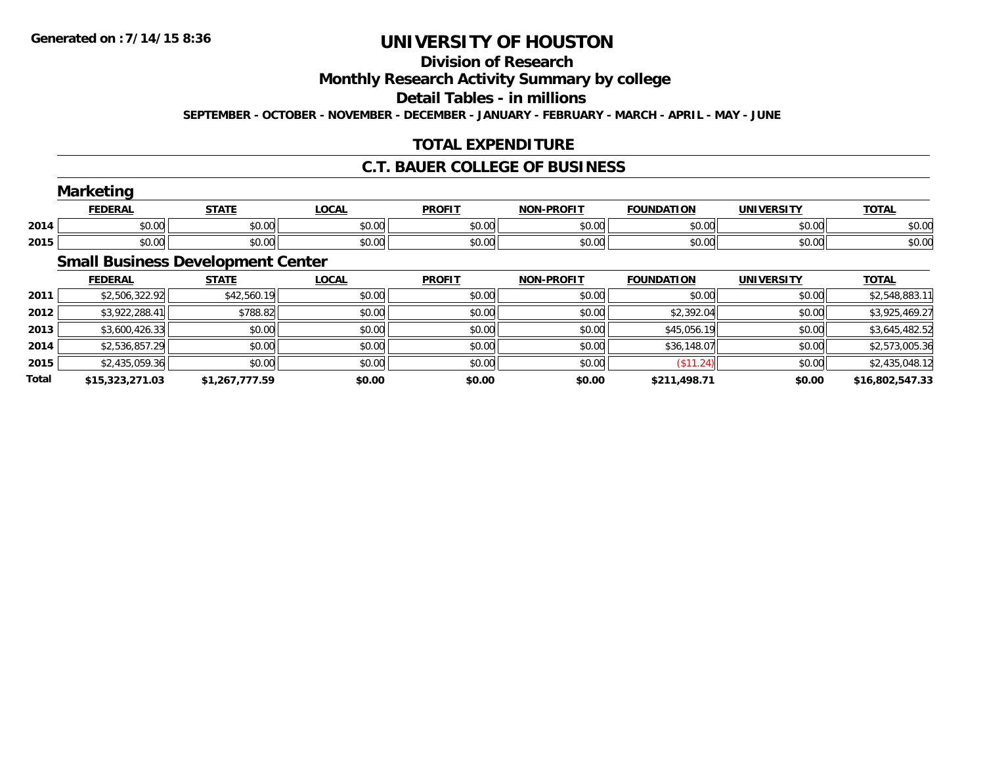## **Division of Research**

**Monthly Research Activity Summary by college**

**Detail Tables - in millions**

**SEPTEMBER - OCTOBER - NOVEMBER - DECEMBER - JANUARY - FEBRUARY - MARCH - APRIL - MAY - JUNE**

## **TOTAL EXPENDITURE**

### **C.T. BAUER COLLEGE OF BUSINESS**

|      | <b>Marketing</b> |              |              |               |                   |                   |                   |              |  |
|------|------------------|--------------|--------------|---------------|-------------------|-------------------|-------------------|--------------|--|
|      | <b>FEDERAL</b>   | <b>STATE</b> | <b>LOCAL</b> | <b>PROFIT</b> | <b>NON-PROFIT</b> | <b>FOUNDATION</b> | <b>UNIVERSITY</b> | <b>TOTAL</b> |  |
| 2014 | \$0.00           | \$0.00       | \$0.00       | \$0.00        | \$0.00            | \$0.00            | \$0.00            | \$0.00       |  |
| 2015 | \$0.00           | \$0.00       | \$0.00       | \$0.00        | \$0.00            | \$0.00            | \$0.00            | \$0.00       |  |

## **Small Business Development Center**

|              | <b>FEDERAL</b>  | <b>STATE</b>   | <u>LOCAL</u> | <b>PROFIT</b> | <b>NON-PROFIT</b> | <b>FOUNDATION</b> | <b>UNIVERSITY</b> | <b>TOTAL</b>    |
|--------------|-----------------|----------------|--------------|---------------|-------------------|-------------------|-------------------|-----------------|
| 2011         | \$2,506,322.92  | \$42,560.19    | \$0.00       | \$0.00        | \$0.00            | \$0.00            | \$0.00            | \$2,548,883.11  |
| 2012         | \$3,922,288.41  | \$788.82       | \$0.00       | \$0.00        | \$0.00            | \$2,392.04        | \$0.00            | \$3,925,469.27  |
| 2013         | \$3,600,426.33  | \$0.00         | \$0.00       | \$0.00        | \$0.00            | \$45,056.19       | \$0.00            | \$3,645,482.52  |
| 2014         | \$2,536,857.29  | \$0.00         | \$0.00       | \$0.00        | \$0.00            | \$36,148.07       | \$0.00            | \$2,573,005.36  |
| 2015         | \$2,435,059.36  | \$0.00         | \$0.00       | \$0.00        | \$0.00            | (\$11.24)         | \$0.00            | \$2,435,048.12  |
| <b>Total</b> | \$15,323,271.03 | \$1,267,777.59 | \$0.00       | \$0.00        | \$0.00            | \$211,498.71      | \$0.00            | \$16,802,547.33 |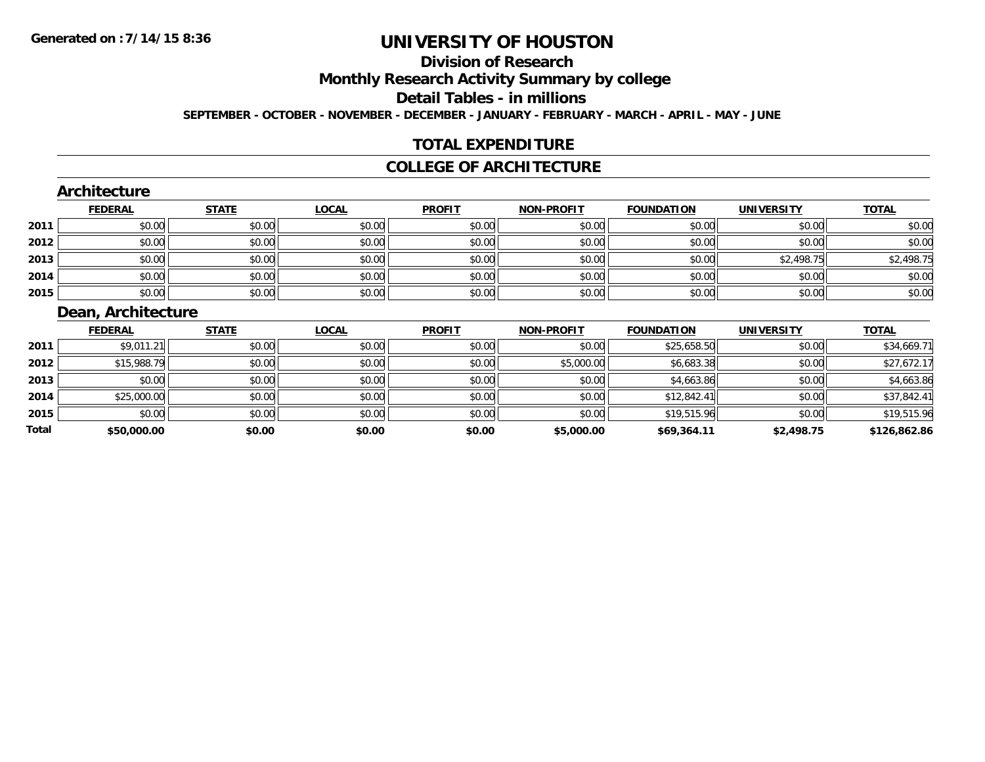**Total**

# **UNIVERSITY OF HOUSTON**

## **Division of Research**

**Monthly Research Activity Summary by college**

**Detail Tables - in millions**

**SEPTEMBER - OCTOBER - NOVEMBER - DECEMBER - JANUARY - FEBRUARY - MARCH - APRIL - MAY - JUNE**

## **TOTAL EXPENDITURE**

#### **COLLEGE OF ARCHITECTURE**

|      | Architecture       |              |              |               |                   |                   |                   |              |
|------|--------------------|--------------|--------------|---------------|-------------------|-------------------|-------------------|--------------|
|      | <b>FEDERAL</b>     | <b>STATE</b> | <b>LOCAL</b> | <b>PROFIT</b> | <b>NON-PROFIT</b> | <b>FOUNDATION</b> | <b>UNIVERSITY</b> | <b>TOTAL</b> |
| 2011 | \$0.00             | \$0.00       | \$0.00       | \$0.00        | \$0.00            | \$0.00            | \$0.00            | \$0.00       |
| 2012 | \$0.00             | \$0.00       | \$0.00       | \$0.00        | \$0.00            | \$0.00            | \$0.00            | \$0.00       |
| 2013 | \$0.00             | \$0.00       | \$0.00       | \$0.00        | \$0.00            | \$0.00            | \$2,498.75        | \$2,498.75   |
| 2014 | \$0.00             | \$0.00       | \$0.00       | \$0.00        | \$0.00            | \$0.00            | \$0.00            | \$0.00       |
| 2015 | \$0.00             | \$0.00       | \$0.00       | \$0.00        | \$0.00            | \$0.00            | \$0.00            | \$0.00       |
|      | Dean, Architecture |              |              |               |                   |                   |                   |              |
|      | <b>FEDERAL</b>     | <b>STATE</b> | <b>LOCAL</b> | <b>PROFIT</b> | <b>NON-PROFIT</b> | <b>FOUNDATION</b> | <b>UNIVERSITY</b> | <b>TOTAL</b> |
| 2011 | \$9,011.21         | \$0.00       | \$0.00       | \$0.00        | \$0.00            | \$25,658.50       | \$0.00            | \$34,669.71  |
| 2012 | \$15,988.79        | \$0.00       | \$0.00       | \$0.00        | \$5,000.00        | \$6,683.38        | \$0.00            | \$27,672.17  |
| 2013 | \$0.00             | \$0.00       | \$0.00       | \$0.00        | \$0.00            | \$4,663.86        | \$0.00            | \$4,663.86   |
| 2014 | \$25,000.00        | \$0.00       | \$0.00       | \$0.00        | \$0.00            | \$12,842.41       | \$0.00            | \$37,842.41  |
| 2015 | \$0.00             | \$0.00       | \$0.00       | \$0.00        | \$0.00            | \$19,515.96       | \$0.00            | \$19,515.96  |

**\$50,000.00 \$0.00 \$0.00 \$0.00 \$5,000.00 \$69,364.11 \$2,498.75 \$126,862.86**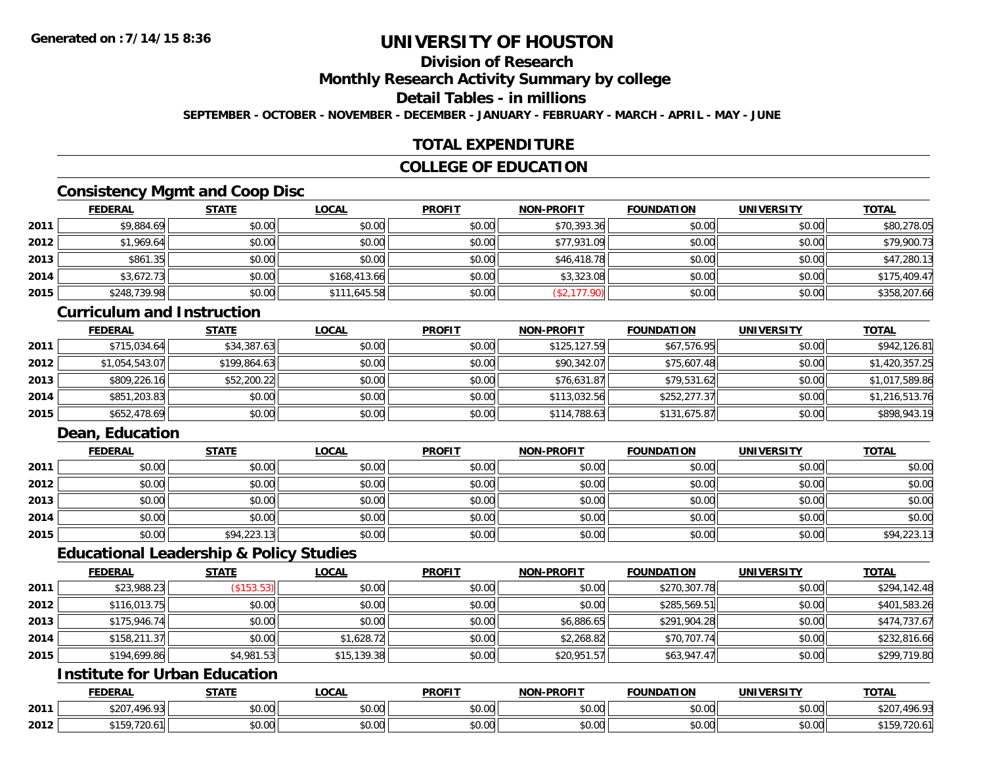## **Division of Research**

**Monthly Research Activity Summary by college**

#### **Detail Tables - in millions**

**SEPTEMBER - OCTOBER - NOVEMBER - DECEMBER - JANUARY - FEBRUARY - MARCH - APRIL - MAY - JUNE**

## **TOTAL EXPENDITURE**

## **COLLEGE OF EDUCATION**

## **Consistency Mgmt and Coop Disc**

|      | <b>FEDERAL</b> | <b>STATE</b> | <u>LOCAL</u> | <b>PROFIT</b> | <b>NON-PROFIT</b> | <b>FOUNDATION</b> | <b>UNIVERSITY</b> | <b>TOTAL</b> |
|------|----------------|--------------|--------------|---------------|-------------------|-------------------|-------------------|--------------|
| 2011 | \$9,884.69     | \$0.00       | \$0.00       | \$0.00        | \$70,393.36       | \$0.00            | \$0.00            | \$80,278.05  |
| 2012 | \$1,969.64     | \$0.00       | \$0.00       | \$0.00        | \$77,931.09       | \$0.00            | \$0.00            | \$79,900.73  |
| 2013 | \$861.35       | \$0.00       | \$0.00       | \$0.00        | \$46,418.78       | \$0.00            | \$0.00            | \$47,280.13  |
| 2014 | \$3,672.73     | \$0.00       | \$168,413.66 | \$0.00        | \$3,323.08        | \$0.00            | \$0.00            | \$175,409.47 |
| 2015 | \$248,739.98   | \$0.00       | \$111,645.58 | \$0.00        | \$2,177.90        | \$0.00            | \$0.00            | \$358,207.66 |

#### **Curriculum and Instruction**

|      | <b>FEDERAL</b> | <u>STATE</u> | <u>LOCAL</u> | <b>PROFIT</b> | <b>NON-PROFIT</b> | <b>FOUNDATION</b> | <b>UNIVERSITY</b> | <b>TOTAL</b>   |
|------|----------------|--------------|--------------|---------------|-------------------|-------------------|-------------------|----------------|
| 2011 | \$715,034.64   | \$34,387.63  | \$0.00       | \$0.00        | \$125,127.59      | \$67,576.95       | \$0.00            | \$942,126.81   |
| 2012 | \$1,054,543.07 | \$199,864.63 | \$0.00       | \$0.00        | \$90,342.07       | \$75,607.48       | \$0.00            | \$1,420,357.25 |
| 2013 | \$809,226.16   | \$52,200.22  | \$0.00       | \$0.00        | \$76,631.87       | \$79,531.62       | \$0.00            | \$1,017,589.86 |
| 2014 | \$851,203.83   | \$0.00       | \$0.00       | \$0.00        | \$113,032.56      | \$252,277.37      | \$0.00            | \$1,216,513.76 |
| 2015 | \$652,478.69   | \$0.00       | \$0.00       | \$0.00        | \$114,788.63      | \$131,675.87      | \$0.00            | \$898,943.19   |

## **Dean, Education**

|      | <b>FEDERAL</b> | <b>STATE</b> | <u>LOCAL</u> | <b>PROFIT</b> | <b>NON-PROFIT</b> | <b>FOUNDATION</b> | <b>UNIVERSITY</b> | <b>TOTAL</b> |
|------|----------------|--------------|--------------|---------------|-------------------|-------------------|-------------------|--------------|
| 2011 | \$0.00         | \$0.00       | \$0.00       | \$0.00        | \$0.00            | \$0.00            | \$0.00            | \$0.00       |
| 2012 | \$0.00         | \$0.00       | \$0.00       | \$0.00        | \$0.00            | \$0.00            | \$0.00            | \$0.00       |
| 2013 | \$0.00         | \$0.00       | \$0.00       | \$0.00        | \$0.00            | \$0.00            | \$0.00            | \$0.00       |
| 2014 | \$0.00         | \$0.00       | \$0.00       | \$0.00        | \$0.00            | \$0.00            | \$0.00            | \$0.00       |
| 2015 | \$0.00         | \$94,223.13  | \$0.00       | \$0.00        | \$0.00            | \$0.00            | \$0.00            | \$94,223.13  |

### **Educational Leadership & Policy Studies**

|      | <b>FEDERAL</b> | <u>STATE</u>       | <u>LOCAL</u> | <b>PROFIT</b> | <b>NON-PROFIT</b> | <b>FOUNDATION</b> | <b>UNIVERSITY</b> | <b>TOTAL</b> |
|------|----------------|--------------------|--------------|---------------|-------------------|-------------------|-------------------|--------------|
| 2011 | \$23,988.23    | $($ \$153.53) $  $ | \$0.00       | \$0.00        | \$0.00            | \$270,307.78      | \$0.00            | \$294,142.48 |
| 2012 | \$116,013.75   | \$0.00             | \$0.00       | \$0.00        | \$0.00            | \$285,569.51      | \$0.00            | \$401,583.26 |
| 2013 | \$175,946.74   | \$0.00             | \$0.00       | \$0.00        | \$6,886.65        | \$291,904.28      | \$0.00            | \$474,737.67 |
| 2014 | \$158,211.37   | \$0.00             | \$1.628.72   | \$0.00        | \$2,268.82        | \$70,707.74       | \$0.00            | \$232,816.66 |
| 2015 | \$194,699.86   | \$4,981.53         | \$15,139.38  | \$0.00        | \$20,951.57       | \$63,947.47       | \$0.00            | \$299,719.80 |

## **Institute for Urban Education**

|      | <b>FEDERAL</b>               | <b>STATE</b> | <b>LOCAL</b>              | <b>PROFIT</b>  | <b>NON-PROFIT</b>    | <b>FOUNDATION</b> | UNIVERSITY                    | <b>TOTAL</b>                |
|------|------------------------------|--------------|---------------------------|----------------|----------------------|-------------------|-------------------------------|-----------------------------|
| 2011 | 101.02<br>\$207.<br>. 70. 70 | \$0.00       | $\sim$<br>$\sim$<br>vv.vv | ልስ ስስ<br>DU.UU | 0.00<br>DU.UU        | \$0.00            | 0000<br><b>DU.UU</b>          | <b>ሰገበ</b><br>∪∠פ<br>.490.5 |
| 2012 | 0.150<br>$-0$<br>ZU.U        | \$0.00       | ሐ ሴ<br>$\sim$<br>vu.uu    | 0.00<br>DU.UG  | 0.00<br><b>DU.UU</b> | \$0.00            | $\sim$ $\sim$<br><b>JU.UU</b> | ZU.U<br>ιJ                  |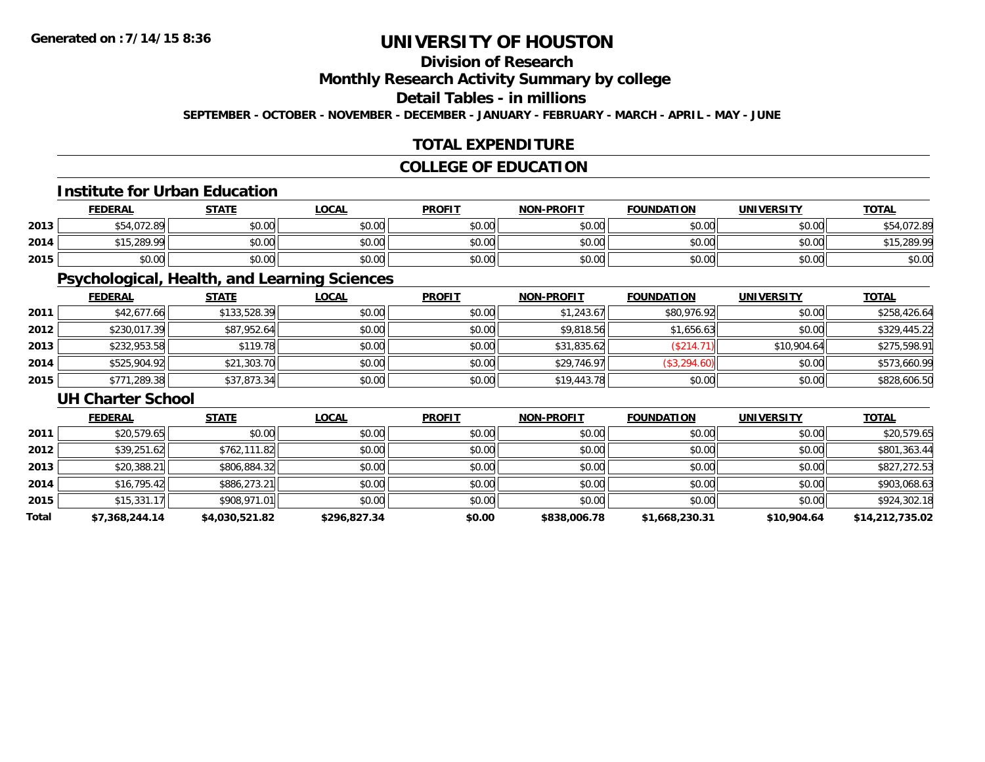## **Division of Research**

**Monthly Research Activity Summary by college**

## **Detail Tables - in millions**

**SEPTEMBER - OCTOBER - NOVEMBER - DECEMBER - JANUARY - FEBRUARY - MARCH - APRIL - MAY - JUNE**

## **TOTAL EXPENDITURE**

## **COLLEGE OF EDUCATION**

#### **Institute for Urban Education**

|      | <b>FEDERAL</b>          | <b>STATE</b> | <u>LOCAL</u>              | <b>PROFIT</b> | <b>NON-PROFIT</b> | <b>FOUNDATION</b> | <b>UNIVERSITY</b> | <b>TOTAL</b> |
|------|-------------------------|--------------|---------------------------|---------------|-------------------|-------------------|-------------------|--------------|
| 2013 | \$54,072.89             | \$0.00       | 0000<br>JU.UU             | \$0.00        | \$0.00            | \$0.00            | \$0.00            | \$54,072.89  |
| 2014 | ا90.99∡نہ<br><b>¢15</b> | \$0.00       | $\sim$ 00<br><b>DU.UU</b> | \$0.00        | \$0.00            | \$0.00            | \$0.00            | \$15,289.99  |
| 2015 | \$0.00                  | \$0.00       | 0000<br>ง∪.∪บ             | \$0.00        | \$0.00            | \$0.00            | \$0.00            | \$0.00       |

## **Psychological, Health, and Learning Sciences**

|      | <b>FEDERAL</b> | <b>STATE</b> | <b>LOCAL</b> | <b>PROFIT</b> | <b>NON-PROFIT</b> | <b>FOUNDATION</b> | <b>UNIVERSITY</b> | <b>TOTAL</b> |
|------|----------------|--------------|--------------|---------------|-------------------|-------------------|-------------------|--------------|
| 2011 | \$42,677.66    | \$133,528.39 | \$0.00       | \$0.00        | \$1.243.67        | \$80,976.92       | \$0.00            | \$258,426.64 |
| 2012 | \$230,017.39   | \$87,952.64  | \$0.00       | \$0.00        | \$9,818.56        | \$1,656.63        | \$0.00            | \$329,445.22 |
| 2013 | \$232,953.58   | \$119.78     | \$0.00       | \$0.00        | \$31,835.62       | (\$214.71)        | \$10,904.64       | \$275,598.91 |
| 2014 | \$525,904.92   | \$21,303.70  | \$0.00       | \$0.00        | \$29,746.97       | \$3,294.60        | \$0.00            | \$573,660.99 |
| 2015 | \$771,289.38   | \$37,873.34  | \$0.00       | \$0.00        | \$19,443.78       | \$0.00            | \$0.00            | \$828,606.50 |

#### **UH Charter School**

|       | <b>FEDERAL</b> | <u>STATE</u>   | <b>LOCAL</b> | <b>PROFIT</b> | <b>NON-PROFIT</b> | <b>FOUNDATION</b> | <b>UNIVERSITY</b> | <b>TOTAL</b>    |
|-------|----------------|----------------|--------------|---------------|-------------------|-------------------|-------------------|-----------------|
| 2011  | \$20,579.65    | \$0.00         | \$0.00       | \$0.00        | \$0.00            | \$0.00            | \$0.00            | \$20,579.65     |
| 2012  | \$39,251.62    | \$762,111.82   | \$0.00       | \$0.00        | \$0.00            | \$0.00            | \$0.00            | \$801,363.44    |
| 2013  | \$20,388.21    | \$806,884.32   | \$0.00       | \$0.00        | \$0.00            | \$0.00            | \$0.00            | \$827,272.53    |
| 2014  | \$16,795.42    | \$886,273.21   | \$0.00       | \$0.00        | \$0.00            | \$0.00            | \$0.00            | \$903,068.63    |
| 2015  | \$15,331.17    | \$908,971.01   | \$0.00       | \$0.00        | \$0.00            | \$0.00            | \$0.00            | \$924,302.18    |
| Total | \$7,368,244.14 | \$4,030,521.82 | \$296,827.34 | \$0.00        | \$838,006.78      | \$1,668,230.31    | \$10,904.64       | \$14,212,735.02 |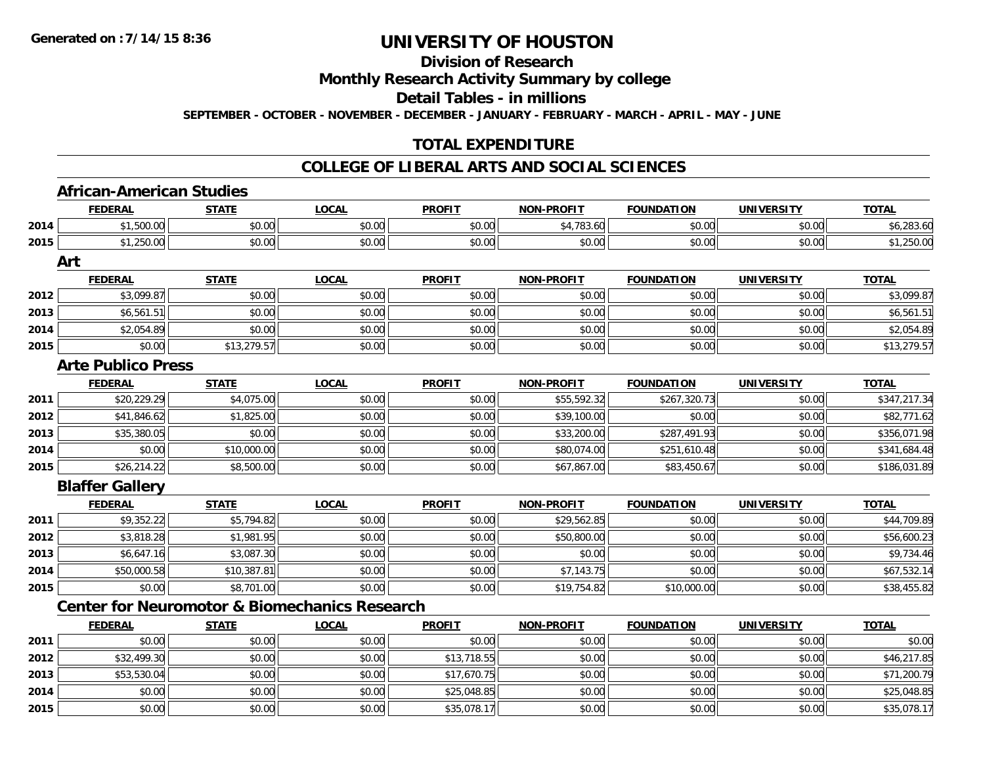**2013**

**2014**

**2015**

## **UNIVERSITY OF HOUSTON**

## **Division of Research**

## **Monthly Research Activity Summary by college**

#### **Detail Tables - in millions**

**SEPTEMBER - OCTOBER - NOVEMBER - DECEMBER - JANUARY - FEBRUARY - MARCH - APRIL - MAY - JUNE**

## **TOTAL EXPENDITURE**

#### **COLLEGE OF LIBERAL ARTS AND SOCIAL SCIENCES**

|      | <b>African-American Studies</b> |              |                                                          |               |                   |                   |                   |              |
|------|---------------------------------|--------------|----------------------------------------------------------|---------------|-------------------|-------------------|-------------------|--------------|
|      | <b>FEDERAL</b>                  | <b>STATE</b> | <b>LOCAL</b>                                             | <b>PROFIT</b> | <b>NON-PROFIT</b> | <b>FOUNDATION</b> | <b>UNIVERSITY</b> | <b>TOTAL</b> |
| 2014 | \$1,500.00                      | \$0.00       | \$0.00                                                   | \$0.00        | \$4,783.60        | \$0.00            | \$0.00            | \$6,283.60   |
| 2015 | \$1,250.00                      | \$0.00       | \$0.00                                                   | \$0.00        | \$0.00            | \$0.00            | \$0.00            | \$1,250.00   |
|      | Art                             |              |                                                          |               |                   |                   |                   |              |
|      | <b>FEDERAL</b>                  | <b>STATE</b> | <b>LOCAL</b>                                             | <b>PROFIT</b> | <b>NON-PROFIT</b> | <b>FOUNDATION</b> | <b>UNIVERSITY</b> | <b>TOTAL</b> |
| 2012 | \$3,099.87                      | \$0.00       | \$0.00                                                   | \$0.00        | \$0.00            | \$0.00            | \$0.00            | \$3,099.87   |
| 2013 | \$6,561.51                      | \$0.00       | \$0.00                                                   | \$0.00        | \$0.00            | \$0.00            | \$0.00            | \$6,561.51   |
| 2014 | \$2,054.89                      | \$0.00       | \$0.00                                                   | \$0.00        | \$0.00            | \$0.00            | \$0.00            | \$2,054.89   |
| 2015 | \$0.00                          | \$13,279.57  | \$0.00                                                   | \$0.00        | \$0.00            | \$0.00            | \$0.00            | \$13,279.57  |
|      | <b>Arte Publico Press</b>       |              |                                                          |               |                   |                   |                   |              |
|      | <b>FEDERAL</b>                  | <b>STATE</b> | <b>LOCAL</b>                                             | <b>PROFIT</b> | <b>NON-PROFIT</b> | <b>FOUNDATION</b> | <b>UNIVERSITY</b> | <b>TOTAL</b> |
| 2011 | \$20,229.29                     | \$4,075.00   | \$0.00                                                   | \$0.00        | \$55,592.32       | \$267,320.73      | \$0.00            | \$347,217.34 |
| 2012 | \$41,846.62                     | \$1,825.00   | \$0.00                                                   | \$0.00        | \$39,100.00       | \$0.00            | \$0.00            | \$82,771.62  |
| 2013 | \$35,380.05                     | \$0.00       | \$0.00                                                   | \$0.00        | \$33,200.00       | \$287,491.93      | \$0.00            | \$356,071.98 |
| 2014 | \$0.00                          | \$10,000.00  | \$0.00                                                   | \$0.00        | \$80,074.00       | \$251,610.48      | \$0.00            | \$341,684.48 |
| 2015 | \$26,214.22                     | \$8,500.00   | \$0.00                                                   | \$0.00        | \$67,867.00       | \$83,450.67       | \$0.00            | \$186,031.89 |
|      | <b>Blaffer Gallery</b>          |              |                                                          |               |                   |                   |                   |              |
|      | <b>FEDERAL</b>                  | <b>STATE</b> | <b>LOCAL</b>                                             | <b>PROFIT</b> | <b>NON-PROFIT</b> | <b>FOUNDATION</b> | <b>UNIVERSITY</b> | <b>TOTAL</b> |
| 2011 | \$9,352.22                      | \$5,794.82   | \$0.00                                                   | \$0.00        | \$29,562.85       | \$0.00            | \$0.00            | \$44,709.89  |
| 2012 | \$3,818.28                      | \$1,981.95   | \$0.00                                                   | \$0.00        | \$50,800.00       | \$0.00            | \$0.00            | \$56,600.23  |
| 2013 | \$6,647.16                      | \$3,087.30   | \$0.00                                                   | \$0.00        | \$0.00            | \$0.00            | \$0.00            | \$9,734.46   |
| 2014 | \$50,000.58                     | \$10,387.81  | \$0.00                                                   | \$0.00        | \$7,143.75        | \$0.00            | \$0.00            | \$67,532.14  |
| 2015 | \$0.00                          | \$8,701.00   | \$0.00                                                   | \$0.00        | \$19,754.82       | \$10,000.00       | \$0.00            | \$38,455.82  |
|      |                                 |              | <b>Center for Neuromotor &amp; Biomechanics Research</b> |               |                   |                   |                   |              |
|      | <b>FEDERAL</b>                  | <b>STATE</b> | <b>LOCAL</b>                                             | <b>PROFIT</b> | <b>NON-PROFIT</b> | <b>FOUNDATION</b> | <b>UNIVERSITY</b> | <b>TOTAL</b> |
| 2011 | \$0.00                          | \$0.00       | \$0.00                                                   | \$0.00        | \$0.00            | \$0.00            | \$0.00            | \$0.00       |
| 2012 | \$32,499.30                     | \$0.00       | \$0.00                                                   | \$13,718.55   | \$0.00            | \$0.00            | \$0.00            | \$46,217.85  |

\$53,530.04 \$0.00 \$0.00 \$17,670.75 \$0.00 \$0.00 \$0.00 \$71,200.79

4 \$0.00 \$0.00 \$0.00 \$0.00 \$0.00 \$0.00 \$25,048.85 \$0.00 \$25,048.85 \$0.00 \$0.00 \$0.00 \$0.00 \$25,048.85

\$0.00 \$0.00 \$0.00 \$35,078.17 \$0.00 \$0.00 \$0.00 \$35,078.17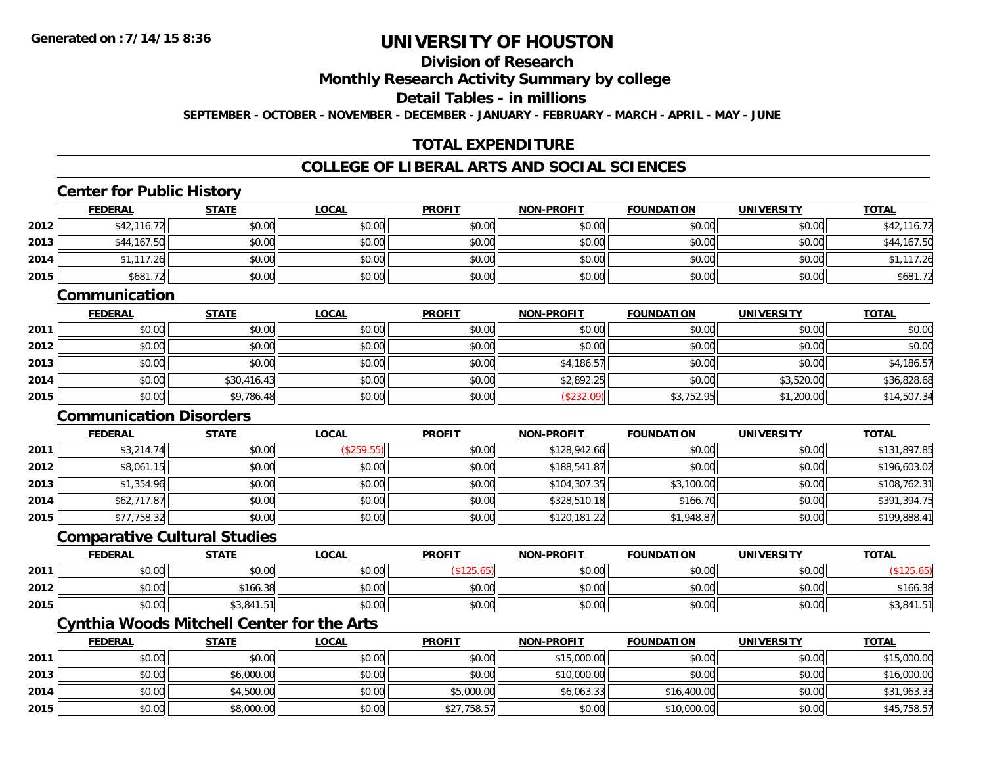**2014**

**2015**

# **UNIVERSITY OF HOUSTON**

### **Division of Research**

**Monthly Research Activity Summary by college**

**Detail Tables - in millions**

**SEPTEMBER - OCTOBER - NOVEMBER - DECEMBER - JANUARY - FEBRUARY - MARCH - APRIL - MAY - JUNE**

## **TOTAL EXPENDITURE**

#### **COLLEGE OF LIBERAL ARTS AND SOCIAL SCIENCES**

#### **Center for Public History FEDERAL STATE LOCAL PROFIT NON-PROFIT FOUNDATION UNIVERSITY TOTALTOTAL 2012**2 \$42,116.72 \$50.00 \$0.00 \$0.00 \$0.00 \$0.00 \$0.00 \$0.00 \$0.00 \$0.00 \$0.00 \$0.00 \$0.00 \$42,116.72 **2013** \$44,167.50 \$0.00 \$0.00 \$0.00 \$0.00 \$0.00 \$0.00 \$44,167.50 **2014** \$1,117.26 \$0.00 \$0.00 \$0.00 \$0.00 \$0.00 \$0.00 \$1,117.26 **2015** \$681.72 \$0.00 \$0.00 \$0.00 \$0.00 \$0.00 \$0.00 \$681.72 **CommunicationFEDERAL STATE LOCAL PROFIT NON-PROFIT FOUNDATION UNIVERSITY TOTAL2011** \$0.00 \$0.00 \$0.00 \$0.00 \$0.00 \$0.00 \$0.00 \$0.00 **2012**2 | \$0.00 \$0.00 \$0.00 \$0.00 \$0.00 \$0.00 \$0.00 \$0.00 \$0.00 \$0.00 \$0.00 \$0.00 \$0.00 \$0.00 \$0.00 \$0.00 \$0.00 \$0.0 **2013** \$0.00 \$0.00 \$0.00 \$0.00 \$4,186.57 \$0.00 \$0.00 \$4,186.57 **2014**4 \$0.00 \$0.00 \$30,416.43 \$0.00 \$0.00 \$0.00 \$0.00 \$2,892.25 \$0.00 \$3,520.00 \$3,520.00 \$36,828.68 **2015** \$0.00 \$9,786.48 \$0.00 \$0.00 (\$232.09) \$3,752.95 \$1,200.00 \$14,507.34 **Communication Disorders FEDERAL STATE LOCAL PROFIT NON-PROFIT FOUNDATION UNIVERSITY TOTAL2011** \$3,214.74 \$0.00 (\$259.55) \$0.00 \$128,942.66 \$0.00 \$0.00 \$131,897.85 **2012** \$8,061.15 \$0.00 \$0.00 \$0.00 \$188,541.87 \$0.00 \$0.00 \$196,603.02 **2013** $\textbf{3} \mid \textbf{3} \mid \textbf{3} \mid \textbf{4} \mid \textbf{5} \mid \textbf{5} \mid \textbf{6} \mid \textbf{7} \mid \textbf{8} \mid \textbf{7} \mid \textbf{8} \mid \textbf{9} \mid \textbf{1} \mid \textbf{1} \mid \textbf{1} \mid \textbf{1} \mid \textbf{1} \mid \textbf{1} \mid \textbf{1} \mid \textbf{1} \mid \textbf{1} \mid \textbf{1} \mid \textbf{1} \mid \textbf{1} \mid \textbf{1} \mid \textbf{1} \mid \textbf{1} \mid \textbf{$ **2014** \$62,717.87 \$0.00 \$0.00 \$0.00 \$328,510.18 \$166.70 \$0.00 \$391,394.75 **2015** \$77,758.32 \$0.00 \$0.00 \$0.00 \$120,181.22 \$1,948.87 \$0.00 \$199,888.41 **Comparative Cultural Studies FEDERAL STATE LOCAL PROFIT NON-PROFIT FOUNDATION UNIVERSITY TOTAL2011** $\texttt{[1]} \quad \texttt{[1]} \quad \texttt{[1]} \quad \texttt{[1]} \quad \texttt{[1]} \quad \texttt{[1]} \quad \texttt{[1]} \quad \texttt{[1]} \quad \texttt{[1]} \quad \texttt{[1]} \quad \texttt{[1]} \quad \texttt{[1]} \quad \texttt{[1]} \quad \texttt{[1]} \quad \texttt{[1]} \quad \texttt{[1]} \quad \texttt{[1]} \quad \texttt{[1]} \quad \texttt{[1]} \quad \texttt{[1]} \quad \texttt{[1]} \quad \texttt{[1]} \quad \texttt{[1]} \quad \texttt{[1]} \quad \texttt{$ **2012** $\textbf{2} \hspace{12mm} |\hspace{12mm} \text{$0.00]} \hspace{12mm} \text{$166.38]} \hspace{12mm} \text{$166.38]} \hspace{12mm} \text{$0.00]} \hspace{12mm} \text{$166.38]} \hspace{12mm} \text{$166.38]}$ **2015** \$0.00 \$3,841.51 \$0.00 \$0.00 \$0.00 \$0.00 \$0.00 \$3,841.51 **Cynthia Woods Mitchell Center for the Arts FEDERAL STATE LOCAL PROFIT NON-PROFIT FOUNDATION UNIVERSITY TOTAL2011**1 \$0.00 \$0.00 \$0.00 \$0.00 \$15,000.00 \$0.00 \$0.00 \$15,000.00 **2013**3 | \$0.00| \$0.00| \$6,000.00| \$0.00| \$0.00| \$0.00| \$10,000.00| \$10,000.00| \$0.00| \$0.00| \$0.00| \$16,000.00

4 \$0.00 \$0.00 \$0.00 \$4,500.00 \$4,500.00 \$0.00 \$0.00 \$5,000.00 \$5,000.00 \$6,063.33 \$16,400.00 \$16,400.00 \$0.00 \$31,963.33

\$0.00 \$8,000.00 \$0.00 \$27,758.57 \$0.00 \$10,000.00 \$0.00 \$45,758.57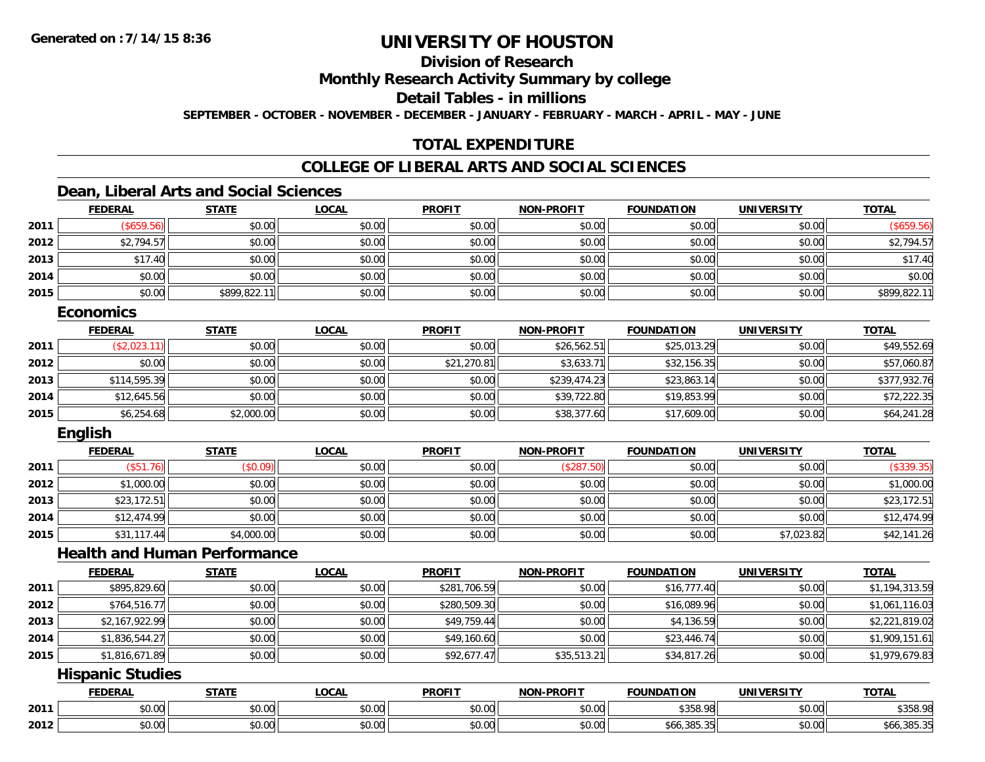# **Division of Research**

**Monthly Research Activity Summary by college**

**Detail Tables - in millions**

**SEPTEMBER - OCTOBER - NOVEMBER - DECEMBER - JANUARY - FEBRUARY - MARCH - APRIL - MAY - JUNE**

## **TOTAL EXPENDITURE**

## **COLLEGE OF LIBERAL ARTS AND SOCIAL SCIENCES**

### **Dean, Liberal Arts and Social Sciences**

|      | <b>FEDERAL</b> | <b>STATE</b> | <u>LOCAL</u> | <b>PROFIT</b> | <b>NON-PROFIT</b> | <b>FOUNDATION</b> | <b>UNIVERSITY</b> | <b>TOTAL</b> |
|------|----------------|--------------|--------------|---------------|-------------------|-------------------|-------------------|--------------|
| 2011 | \$659.56       | \$0.00       | \$0.00       | \$0.00        | \$0.00            | \$0.00            | \$0.00            | (\$659.56)   |
| 2012 | \$2,794.57     | \$0.00       | \$0.00       | \$0.00        | \$0.00            | \$0.00            | \$0.00            | \$2,794.57   |
| 2013 | \$17.40        | \$0.00       | \$0.00       | \$0.00        | \$0.00            | \$0.00            | \$0.00            | \$17.40      |
| 2014 | \$0.00         | \$0.00       | \$0.00       | \$0.00        | \$0.00            | \$0.00            | \$0.00            | \$0.00       |
| 2015 | \$0.00         | \$899,822.11 | \$0.00       | \$0.00        | \$0.00            | \$0.00            | \$0.00            | \$899,822.11 |

#### **Economics**

|      | <b>FEDERAL</b> | <u>STATE</u> | <b>LOCAL</b> | <b>PROFIT</b> | <b>NON-PROFIT</b> | <b>FOUNDATION</b> | UNIVERSITY | <b>TOTAL</b> |
|------|----------------|--------------|--------------|---------------|-------------------|-------------------|------------|--------------|
| 2011 | (\$2,023.11)   | \$0.00       | \$0.00       | \$0.00        | \$26,562.51       | \$25,013.29       | \$0.00     | \$49,552.69  |
| 2012 | \$0.00         | \$0.00       | \$0.00       | \$21,270.81   | \$3,633.71        | \$32,156.35       | \$0.00     | \$57,060.87  |
| 2013 | \$114,595.39   | \$0.00       | \$0.00       | \$0.00        | \$239,474.23      | \$23,863.14       | \$0.00     | \$377,932.76 |
| 2014 | \$12,645.56    | \$0.00       | \$0.00       | \$0.00        | \$39,722.80       | \$19,853.99       | \$0.00     | \$72,222.35  |
| 2015 | \$6,254.68     | \$2,000.00   | \$0.00       | \$0.00        | \$38,377.60       | \$17,609.00       | \$0.00     | \$64,241.28  |

### **English**

|      | <b>FEDERAL</b> | <b>STATE</b> | <u>LOCAL</u> | <b>PROFIT</b> | <b>NON-PROFIT</b> | <b>FOUNDATION</b> | <b>UNIVERSITY</b> | <b>TOTAL</b> |
|------|----------------|--------------|--------------|---------------|-------------------|-------------------|-------------------|--------------|
| 2011 | (\$51.76)      | (\$0.09)     | \$0.00       | \$0.00        | (\$287.50)        | \$0.00            | \$0.00            | (\$339.35)   |
| 2012 | \$1,000.00     | \$0.00       | \$0.00       | \$0.00        | \$0.00            | \$0.00            | \$0.00            | \$1,000.00   |
| 2013 | \$23,172.51    | \$0.00       | \$0.00       | \$0.00        | \$0.00            | \$0.00            | \$0.00            | \$23,172.51  |
| 2014 | \$12,474.99    | \$0.00       | \$0.00       | \$0.00        | \$0.00            | \$0.00            | \$0.00            | \$12,474.99  |
| 2015 | \$31,117.44    | \$4,000.00   | \$0.00       | \$0.00        | \$0.00            | \$0.00            | \$7,023.82        | \$42,141.26  |

### **Health and Human Performance**

|      | <b>FEDERAL</b> | <b>STATE</b> | <b>LOCAL</b> | <b>PROFIT</b> | <b>NON-PROFIT</b> | <b>FOUNDATION</b> | UNIVERSITY | <b>TOTAL</b>   |
|------|----------------|--------------|--------------|---------------|-------------------|-------------------|------------|----------------|
| 2011 | \$895,829.60   | \$0.00       | \$0.00       | \$281,706.59  | \$0.00            | \$16,777.40       | \$0.00     | \$1,194,313.59 |
| 2012 | \$764,516.77   | \$0.00       | \$0.00       | \$280,509.30  | \$0.00            | \$16,089.96       | \$0.00     | \$1,061,116.03 |
| 2013 | \$2,167,922.99 | \$0.00       | \$0.00       | \$49,759.44   | \$0.00            | \$4,136.59        | \$0.00     | \$2,221,819.02 |
| 2014 | \$1,836,544.27 | \$0.00       | \$0.00       | \$49,160.60   | \$0.00            | \$23,446.74       | \$0.00     | \$1,909,151.61 |
| 2015 | \$1,816,671.89 | \$0.00       | \$0.00       | \$92,677.47   | \$35,513.21       | \$34,817.26       | \$0.00     | \$1,979,679.83 |

### **Hispanic Studies**

|      | <b>FEDERAI</b> | <b>STATE</b>                     | .OCAI          | <b>PROFIT</b>          | <b>PROFIT</b><br><b>NON</b> | .<br><b>FOUNDA</b>     | IINIVEI<br>ne i 1      | <b>TOTAL</b> |
|------|----------------|----------------------------------|----------------|------------------------|-----------------------------|------------------------|------------------------|--------------|
| 2011 | \$0.00         | ტი იი<br>10.U                    | ሶስ ሰሰ<br>DU.UU | $n \cap \neg$<br>DU.UU | \$0.00                      | 0.2500<br>JJU.         | $\sim$ $\sim$<br>vv.vv | \$358.98     |
| 2012 | \$0.00         | $\sim$<br>$\sim$ $\sim$<br>JU.UU | ሶስ ስስ<br>JU.UU | ልስ ባሁ<br><b>DU.UU</b>  | \$0.00                      | $\Omega$<br>აიი,კშ5.აა | $\sim$ 00<br>\$U.UU    | \$66,385,35  |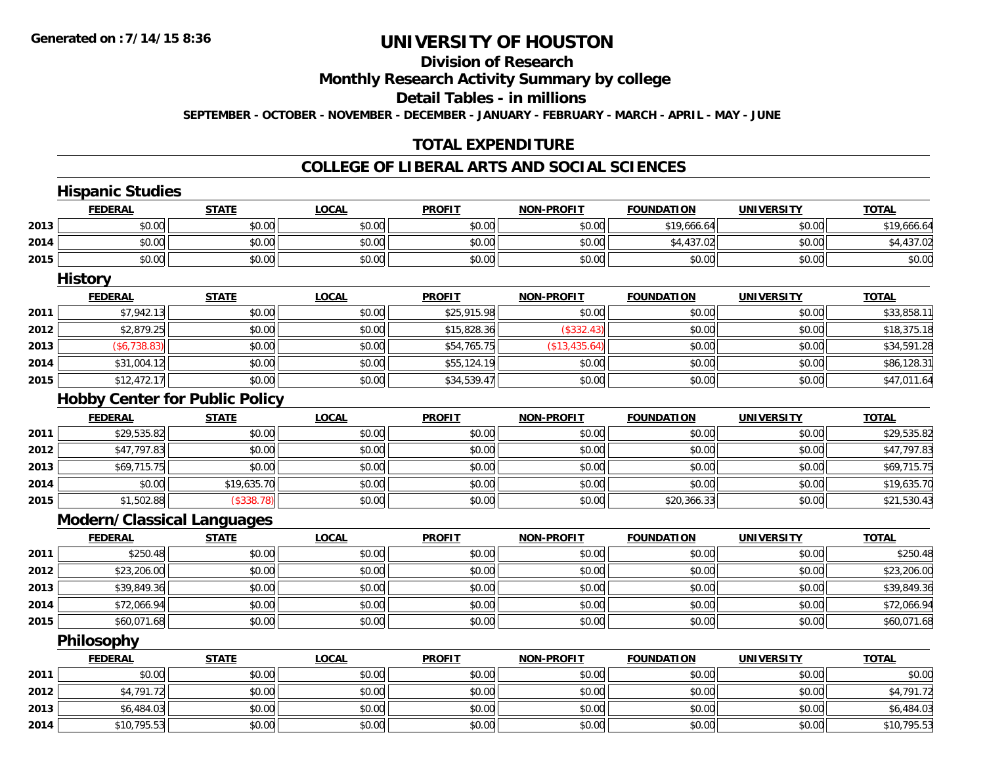**2013**

**2014**

# **UNIVERSITY OF HOUSTON**

# **Division of Research**

**Monthly Research Activity Summary by college**

**Detail Tables - in millions**

**SEPTEMBER - OCTOBER - NOVEMBER - DECEMBER - JANUARY - FEBRUARY - MARCH - APRIL - MAY - JUNE**

### **TOTAL EXPENDITURE**

#### **COLLEGE OF LIBERAL ARTS AND SOCIAL SCIENCES**

|      | <b>FEDERAL</b>                        | <b>STATE</b> | <b>LOCAL</b> | <b>PROFIT</b> | NON-PROFIT        | <b>FOUNDATION</b> | <b>UNIVERSITY</b> | <b>TOTAL</b> |
|------|---------------------------------------|--------------|--------------|---------------|-------------------|-------------------|-------------------|--------------|
| 2013 | \$0.00                                | \$0.00       | \$0.00       | \$0.00        | \$0.00            | \$19,666.64       | \$0.00            | \$19,666.64  |
| 2014 | \$0.00                                | \$0.00       | \$0.00       | \$0.00        | \$0.00            | \$4,437.02        | \$0.00            | \$4,437.02   |
| 2015 | \$0.00                                | \$0.00       | \$0.00       | \$0.00        | \$0.00            | \$0.00            | \$0.00            | \$0.00       |
|      | <b>History</b>                        |              |              |               |                   |                   |                   |              |
|      | <b>FEDERAL</b>                        | <b>STATE</b> | <b>LOCAL</b> | <b>PROFIT</b> | <b>NON-PROFIT</b> | <b>FOUNDATION</b> | <b>UNIVERSITY</b> | <b>TOTAL</b> |
| 2011 | \$7,942.13                            | \$0.00       | \$0.00       | \$25,915.98   | \$0.00            | \$0.00            | \$0.00            | \$33,858.11  |
| 2012 | \$2,879.25                            | \$0.00       | \$0.00       | \$15,828.36   | (\$332.43)        | \$0.00            | \$0.00            | \$18,375.18  |
| 2013 | (\$6,738.83)                          | \$0.00       | \$0.00       | \$54,765.75   | (\$13,435.64)     | \$0.00            | \$0.00            | \$34,591.28  |
| 2014 | \$31,004.12                           | \$0.00       | \$0.00       | \$55,124.19   | \$0.00            | \$0.00            | \$0.00            | \$86,128.31  |
| 2015 | \$12,472.17                           | \$0.00       | \$0.00       | \$34,539.47   | \$0.00            | \$0.00            | \$0.00            | \$47,011.64  |
|      | <b>Hobby Center for Public Policy</b> |              |              |               |                   |                   |                   |              |
|      | <b>FEDERAL</b>                        | <b>STATE</b> | <b>LOCAL</b> | <b>PROFIT</b> | <b>NON-PROFIT</b> | <b>FOUNDATION</b> | <b>UNIVERSITY</b> | <b>TOTAL</b> |
| 2011 | \$29,535.82                           | \$0.00       | \$0.00       | \$0.00        | \$0.00            | \$0.00            | \$0.00            | \$29,535.82  |
| 2012 | \$47,797.83                           | \$0.00       | \$0.00       | \$0.00        | \$0.00            | \$0.00            | \$0.00            | \$47,797.83  |
| 2013 | \$69,715.75                           | \$0.00       | \$0.00       | \$0.00        | \$0.00            | \$0.00            | \$0.00            | \$69,715.75  |
| 2014 | \$0.00                                | \$19,635.70  | \$0.00       | \$0.00        | \$0.00            | \$0.00            | \$0.00            | \$19,635.70  |
| 2015 | \$1,502.88                            | (\$338.78)   | \$0.00       | \$0.00        | \$0.00            | \$20,366.33       | \$0.00            | \$21,530.43  |
|      | <b>Modern/Classical Languages</b>     |              |              |               |                   |                   |                   |              |
|      | <b>FEDERAL</b>                        | <b>STATE</b> | <b>LOCAL</b> | <b>PROFIT</b> | <b>NON-PROFIT</b> | <b>FOUNDATION</b> | <b>UNIVERSITY</b> | <b>TOTAL</b> |
| 2011 | \$250.48                              | \$0.00       | \$0.00       | \$0.00        | \$0.00            | \$0.00            | \$0.00            | \$250.48     |
| 2012 | \$23,206.00                           | \$0.00       | \$0.00       | \$0.00        | \$0.00            | \$0.00            | \$0.00            | \$23,206.00  |
| 2013 | \$39,849.36                           | \$0.00       | \$0.00       | \$0.00        | \$0.00            | \$0.00            | \$0.00            | \$39,849.36  |
| 2014 | \$72,066.94                           | \$0.00       | \$0.00       | \$0.00        | \$0.00            | \$0.00            | \$0.00            | \$72,066.94  |
| 2015 | \$60,071.68                           | \$0.00       | \$0.00       | \$0.00        | \$0.00            | \$0.00            | \$0.00            | \$60,071.68  |
|      | Philosophy                            |              |              |               |                   |                   |                   |              |
|      | <b>FEDERAL</b>                        | <b>STATE</b> | <b>LOCAL</b> | <b>PROFIT</b> | NON-PROFIT        | <b>FOUNDATION</b> | <b>UNIVERSITY</b> | <b>TOTAL</b> |
| 2011 | \$0.00                                | \$0.00       | \$0.00       | \$0.00        | \$0.00            | \$0.00            | \$0.00            | \$0.00       |
| 2012 | \$4,791.72                            | \$0.00       | \$0.00       | \$0.00        | \$0.00            | \$0.00            | \$0.00            | \$4,791.72   |

\$6,484.03 \$0.00 \$0.00 \$0.00 \$0.00 \$0.00 \$0.00 \$6,484.03

4 \$10,795.53 \$0.00 \$0.00 \$0.00 \$0.00 \$0.00 \$0.00 \$0.00 \$0.00 \$0.00 \$0.00 \$0.00 \$0.00 \$10,795.53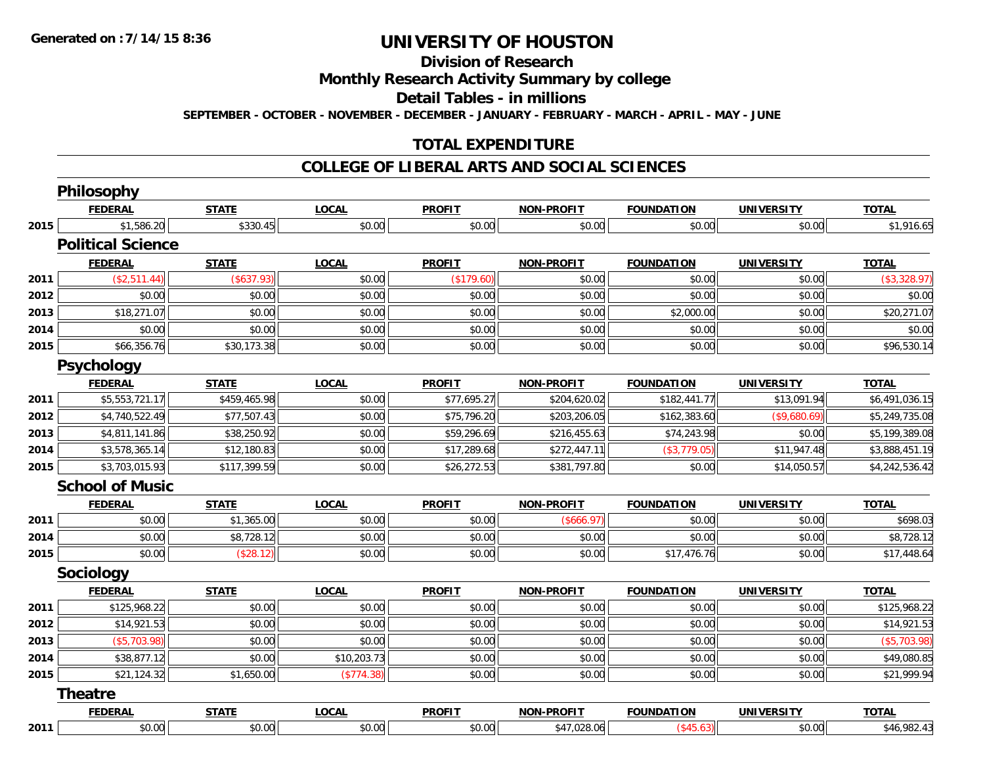#### **Division of Research**

**Monthly Research Activity Summary by college**

**Detail Tables - in millions**

**SEPTEMBER - OCTOBER - NOVEMBER - DECEMBER - JANUARY - FEBRUARY - MARCH - APRIL - MAY - JUNE**

# **TOTAL EXPENDITURE**

#### **COLLEGE OF LIBERAL ARTS AND SOCIAL SCIENCES**

|      | Philosophy               |              |              |               |                   |                   |                   |                |
|------|--------------------------|--------------|--------------|---------------|-------------------|-------------------|-------------------|----------------|
|      | <b>FEDERAL</b>           | <b>STATE</b> | <b>LOCAL</b> | <b>PROFIT</b> | <b>NON-PROFIT</b> | <b>FOUNDATION</b> | <b>UNIVERSITY</b> | <b>TOTAL</b>   |
| 2015 | \$1,586.20               | \$330.45     | \$0.00       | \$0.00        | \$0.00            | \$0.00            | \$0.00            | \$1,916.65     |
|      | <b>Political Science</b> |              |              |               |                   |                   |                   |                |
|      | <b>FEDERAL</b>           | <b>STATE</b> | <b>LOCAL</b> | <b>PROFIT</b> | <b>NON-PROFIT</b> | <b>FOUNDATION</b> | <b>UNIVERSITY</b> | <b>TOTAL</b>   |
| 2011 | (\$2,511.44)             | (\$637.93)   | \$0.00       | (\$179.60)    | \$0.00            | \$0.00            | \$0.00            | (\$3,328.97)   |
| 2012 | \$0.00                   | \$0.00       | \$0.00       | \$0.00        | \$0.00            | \$0.00            | \$0.00            | \$0.00         |
| 2013 | \$18,271.07              | \$0.00       | \$0.00       | \$0.00        | \$0.00            | \$2,000.00        | \$0.00            | \$20,271.07    |
| 2014 | \$0.00                   | \$0.00       | \$0.00       | \$0.00        | \$0.00            | \$0.00            | \$0.00            | \$0.00         |
| 2015 | \$66,356.76              | \$30,173.38  | \$0.00       | \$0.00        | \$0.00            | \$0.00            | \$0.00            | \$96,530.14    |
|      | <b>Psychology</b>        |              |              |               |                   |                   |                   |                |
|      | <b>FEDERAL</b>           | <b>STATE</b> | <b>LOCAL</b> | <b>PROFIT</b> | <b>NON-PROFIT</b> | <b>FOUNDATION</b> | <b>UNIVERSITY</b> | <b>TOTAL</b>   |
| 2011 | \$5,553,721.17           | \$459,465.98 | \$0.00       | \$77,695.27   | \$204,620.02      | \$182,441.77      | \$13,091.94       | \$6,491,036.15 |
| 2012 | \$4,740,522.49           | \$77,507.43  | \$0.00       | \$75,796.20   | \$203,206.05      | \$162,383.60      | (\$9,680.69)      | \$5,249,735.08 |
| 2013 | \$4,811,141.86           | \$38,250.92  | \$0.00       | \$59,296.69   | \$216,455.63      | \$74,243.98       | \$0.00            | \$5,199,389.08 |
| 2014 | \$3,578,365.14           | \$12,180.83  | \$0.00       | \$17,289.68   | \$272,447.11      | (\$3,779.05)      | \$11,947.48       | \$3,888,451.19 |
| 2015 | \$3,703,015.93           | \$117,399.59 | \$0.00       | \$26,272.53   | \$381,797.80      | \$0.00            | \$14,050.57       | \$4,242,536.42 |
|      | <b>School of Music</b>   |              |              |               |                   |                   |                   |                |
|      | <b>FEDERAL</b>           | <b>STATE</b> | <b>LOCAL</b> | <b>PROFIT</b> | NON-PROFIT        | <b>FOUNDATION</b> | <b>UNIVERSITY</b> | <b>TOTAL</b>   |
| 2011 | \$0.00                   | \$1,365.00   | \$0.00       | \$0.00        | (\$666.97)        | \$0.00            | \$0.00            | \$698.03       |
| 2014 | \$0.00                   | \$8,728.12   | \$0.00       | \$0.00        | \$0.00            | \$0.00            | \$0.00            | \$8,728.12     |
| 2015 | \$0.00                   | (\$28.12)    | \$0.00       | \$0.00        | \$0.00            | \$17,476.76       | \$0.00            | \$17,448.64    |
|      | Sociology                |              |              |               |                   |                   |                   |                |
|      | <b>FEDERAL</b>           | <b>STATE</b> | <b>LOCAL</b> | <b>PROFIT</b> | <b>NON-PROFIT</b> | <b>FOUNDATION</b> | <b>UNIVERSITY</b> | <b>TOTAL</b>   |
| 2011 | \$125,968.22             | \$0.00       | \$0.00       | \$0.00        | \$0.00            | \$0.00            | \$0.00            | \$125,968.22   |
| 2012 | \$14,921.53              | \$0.00       | \$0.00       | \$0.00        | \$0.00            | \$0.00            | \$0.00            | \$14,921.53    |
| 2013 | (\$5,703.98)             | \$0.00       | \$0.00       | \$0.00        | \$0.00            | \$0.00            | \$0.00            | (\$5,703.98)   |
| 2014 | \$38,877.12              | \$0.00       | \$10,203.73  | \$0.00        | \$0.00            | \$0.00            | \$0.00            | \$49,080.85    |
| 2015 | \$21,124.32              | \$1,650.00   | (\$774.38)   | \$0.00        | \$0.00            | \$0.00            | \$0.00            | \$21,999.94    |
|      | <b>Theatre</b>           |              |              |               |                   |                   |                   |                |
|      | <b>FEDERAL</b>           | <b>STATE</b> | <b>LOCAL</b> | <b>PROFIT</b> | <b>NON-PROFIT</b> | <b>FOUNDATION</b> | <b>UNIVERSITY</b> | <b>TOTAL</b>   |
| 2011 | \$0.00                   | \$0.00       | \$0.00       | \$0.00        | \$47,028.06       | $(*45.63)$        | \$0.00            | \$46,982.43    |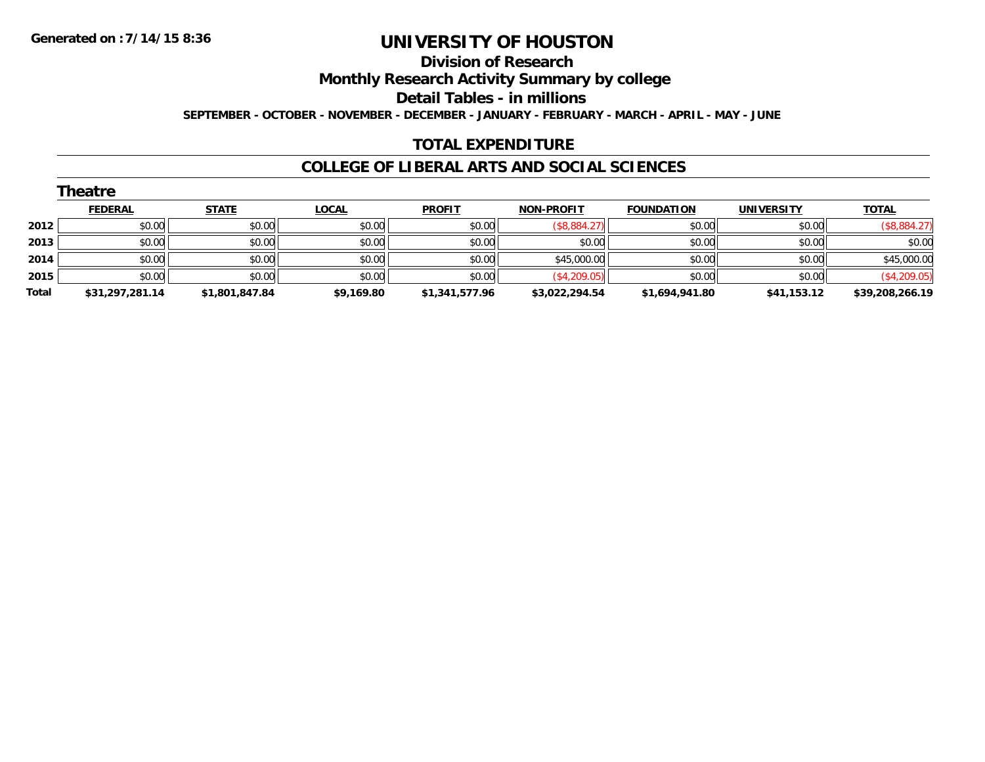#### **Division of Research**

**Monthly Research Activity Summary by college**

**Detail Tables - in millions**

**SEPTEMBER - OCTOBER - NOVEMBER - DECEMBER - JANUARY - FEBRUARY - MARCH - APRIL - MAY - JUNE**

### **TOTAL EXPENDITURE**

#### **COLLEGE OF LIBERAL ARTS AND SOCIAL SCIENCES**

|       | <b>Theatre</b>  |                |              |                |                   |                   |                   |                 |
|-------|-----------------|----------------|--------------|----------------|-------------------|-------------------|-------------------|-----------------|
|       | <b>FEDERAL</b>  | <b>STATE</b>   | <u>LOCAL</u> | <b>PROFIT</b>  | <b>NON-PROFIT</b> | <b>FOUNDATION</b> | <b>UNIVERSITY</b> | <b>TOTAL</b>    |
| 2012  | \$0.00          | \$0.00         | \$0.00       | \$0.00         | (\$8,884.27)      | \$0.00            | \$0.00            | (\$8,884.27)    |
| 2013  | \$0.00          | \$0.00         | \$0.00       | \$0.00         | \$0.00            | \$0.00            | \$0.00            | \$0.00          |
| 2014  | \$0.00          | \$0.00         | \$0.00       | \$0.00         | \$45,000.00       | \$0.00            | \$0.00            | \$45,000.00     |
| 2015  | \$0.00          | \$0.00         | \$0.00       | \$0.00         | (\$4,209.05)      | \$0.00            | \$0.00            | (\$4,209.05)    |
| Total | \$31,297,281.14 | \$1,801,847.84 | \$9,169.80   | \$1,341,577.96 | \$3,022,294.54    | \$1,694,941.80    | \$41,153.12       | \$39,208,266.19 |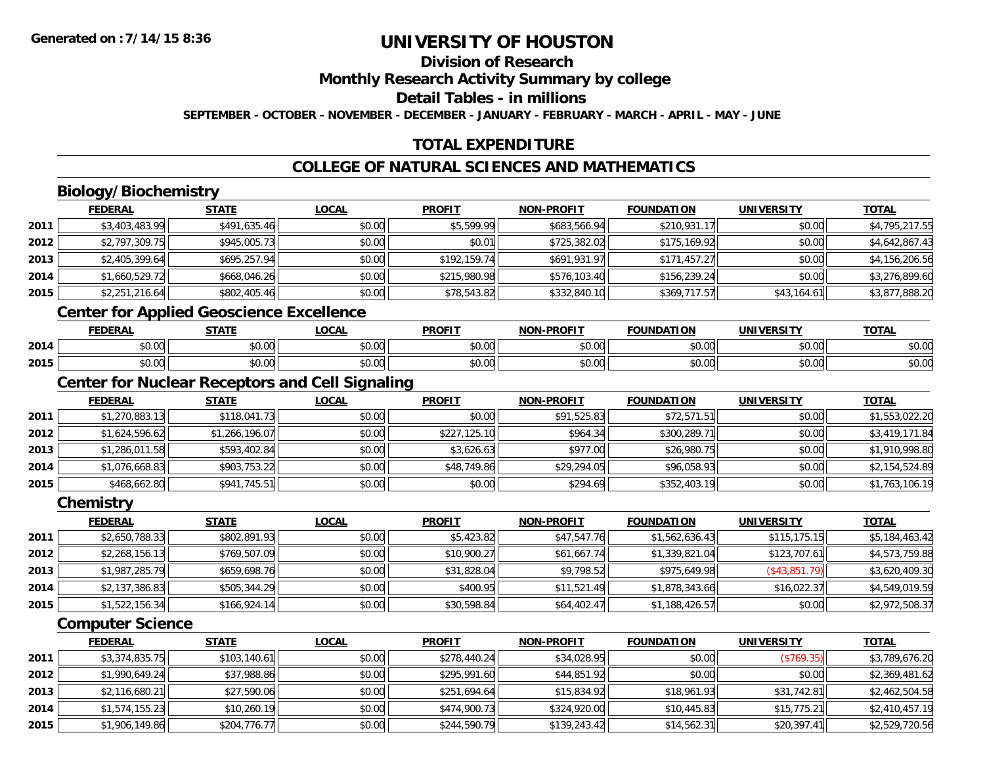# **Division of Research**

**Monthly Research Activity Summary by college**

**Detail Tables - in millions**

**SEPTEMBER - OCTOBER - NOVEMBER - DECEMBER - JANUARY - FEBRUARY - MARCH - APRIL - MAY - JUNE**

## **TOTAL EXPENDITURE**

## **COLLEGE OF NATURAL SCIENCES AND MATHEMATICS**

# **Biology/Biochemistry**

|      | <b>FEDERAL</b> | <b>STATE</b>                                                                | <b>LOCAL</b> | <b>PROFIT</b> | <b>NON-PROFIT</b> | <b>FOUNDATION</b> | <b>UNIVERSITY</b> | <b>TOTAL</b>   |
|------|----------------|-----------------------------------------------------------------------------|--------------|---------------|-------------------|-------------------|-------------------|----------------|
| 2011 | \$3,403,483.99 | \$491,635.46                                                                | \$0.00       | \$5,599.99    | \$683,566.94      | \$210,931.17      | \$0.00            | \$4,795,217.55 |
| 2012 | \$2,797,309.75 | \$945,005.73                                                                | \$0.00       | \$0.01        | \$725,382.02      | \$175,169.92      | \$0.00            | \$4,642,867.43 |
| 2013 | \$2,405,399.64 | \$695,257.94                                                                | \$0.00       | \$192,159.74  | \$691,931.97      | \$171,457.27      | \$0.00            | \$4,156,206.56 |
| 2014 | \$1,660,529.72 | \$668,046.26                                                                | \$0.00       | \$215,980.98  | \$576,103.40      | \$156,239.24      | \$0.00            | \$3,276,899.60 |
| 2015 | \$2,251,216.64 | \$802,405.46                                                                | \$0.00       | \$78,543.82   | \$332,840.10      | \$369,717.57      | \$43,164.61       | \$3,877,888.20 |
|      |                | $\mathbf{A}$ . The contract of the contract of the contract of $\mathbf{A}$ |              |               |                   |                   |                   |                |

#### **Center for Applied Geoscience Excellence**

|      | <b>FEDERAL</b> | <b>CTATE</b>  | <b>OCAL</b>   | <b>PROFIT</b> | <b>DDOEL1</b><br>NON | <b>HON</b><br>nΔ   | IININEDSITV   | $T^{\prime}$<br>הוטי |
|------|----------------|---------------|---------------|---------------|----------------------|--------------------|---------------|----------------------|
| 2014 | $\sim$<br>70.U | 0.00<br>vv.vv | 0.00<br>DU.UU | \$0.00        | 0000<br>pu.uu        | $\sim$ 00<br>vv.vv | 0.00<br>JU.UU | DU.UG                |
| 2015 | ት ヘ<br>טט.טע   | 0.00<br>JU.UU | \$0.00        | \$0.00        | $\sim$ 00<br>pu.uu   | $\sim$ 00<br>JU.UU | 0.00<br>ง∪.∪บ | DU.UG                |

## **Center for Nuclear Receptors and Cell Signaling**

|      | <b>FEDERAL</b> | <b>STATE</b>   | <b>LOCAL</b> | <b>PROFIT</b> | <b>NON-PROFIT</b> | <b>FOUNDATION</b> | <b>UNIVERSITY</b> | <b>TOTAL</b>   |
|------|----------------|----------------|--------------|---------------|-------------------|-------------------|-------------------|----------------|
| 2011 | \$1,270,883.13 | \$118,041.73   | \$0.00       | \$0.00        | \$91,525.83       | \$72,571.51       | \$0.00            | \$1,553,022.20 |
| 2012 | \$1,624,596.62 | \$1,266,196.07 | \$0.00       | \$227,125.10  | \$964.34          | \$300,289.71      | \$0.00            | \$3,419,171.84 |
| 2013 | \$1,286,011.58 | \$593,402.84   | \$0.00       | \$3,626.63    | \$977.00          | \$26,980.75       | \$0.00            | \$1,910,998.80 |
| 2014 | \$1,076,668.83 | \$903,753.22   | \$0.00       | \$48,749.86   | \$29,294.05       | \$96,058.93       | \$0.00            | \$2,154,524.89 |
| 2015 | \$468,662.80   | \$941,745.51   | \$0.00       | \$0.00        | \$294.69          | \$352,403.19      | \$0.00            | \$1,763,106.19 |

#### **Chemistry**

|      | <b>FEDERAL</b> | <u>STATE</u> | <b>LOCAL</b> | <b>PROFIT</b> | <b>NON-PROFIT</b> | <b>FOUNDATION</b> | <b>UNIVERSITY</b> | <u>TOTAL</u>   |
|------|----------------|--------------|--------------|---------------|-------------------|-------------------|-------------------|----------------|
| 2011 | \$2,650,788.33 | \$802,891.93 | \$0.00       | \$5,423.82    | \$47,547.76       | \$1,562,636.43    | \$115, 175.15     | \$5,184,463.42 |
| 2012 | \$2,268,156.13 | \$769,507.09 | \$0.00       | \$10,900.27   | \$61,667.74       | \$1,339,821.04    | \$123,707.61      | \$4,573,759.88 |
| 2013 | \$1,987,285.79 | \$659,698.76 | \$0.00       | \$31,828.04   | \$9,798.52        | \$975,649.98      | (S43, 851.79)     | \$3,620,409.30 |
| 2014 | \$2,137,386.83 | \$505,344.29 | \$0.00       | \$400.95      | \$11,521.49       | \$1,878,343.66    | \$16,022.37       | \$4,549,019.59 |
| 2015 | \$1,522,156.34 | \$166,924.14 | \$0.00       | \$30,598.84   | \$64,402.47       | \$1,188,426.57    | \$0.00            | \$2,972,508.37 |

### **Computer Science**

|      | <b>FEDERAL</b> | <b>STATE</b> | <b>LOCAL</b> | <b>PROFIT</b> | <b>NON-PROFIT</b> | <b>FOUNDATION</b> | <b>UNIVERSITY</b> | <b>TOTAL</b>   |
|------|----------------|--------------|--------------|---------------|-------------------|-------------------|-------------------|----------------|
| 2011 | \$3,374,835.75 | \$103,140.61 | \$0.00       | \$278,440.24  | \$34,028.95       | \$0.00            | (S769.35)         | \$3,789,676.20 |
| 2012 | \$1,990,649.24 | \$37,988.86  | \$0.00       | \$295,991.60  | \$44,851.92       | \$0.00            | \$0.00            | \$2,369,481.62 |
| 2013 | \$2,116,680.21 | \$27,590.06  | \$0.00       | \$251,694.64  | \$15,834.92       | \$18,961.93       | \$31,742.81       | \$2,462,504.58 |
| 2014 | \$1,574,155.23 | \$10,260.19  | \$0.00       | \$474,900.73  | \$324,920.00      | \$10,445.83       | \$15,775.21       | \$2,410,457.19 |
| 2015 | \$1,906,149.86 | \$204,776.77 | \$0.00       | \$244,590.79  | \$139,243.42      | \$14,562.31       | \$20,397.41       | \$2,529,720.56 |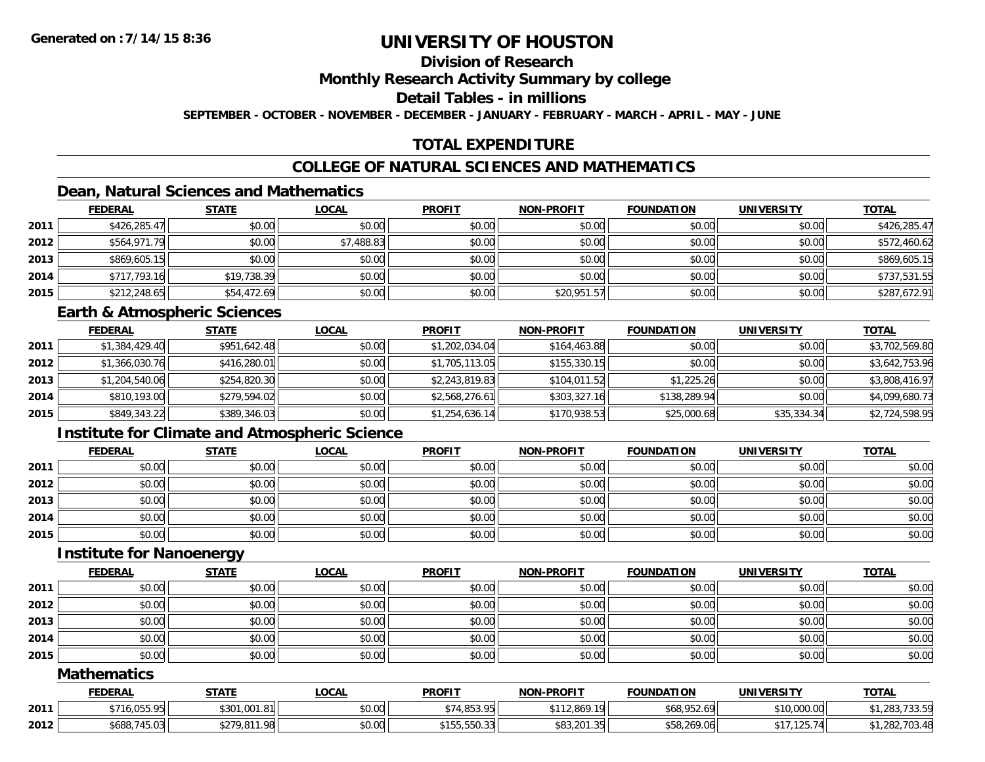# **Division of Research**

**Monthly Research Activity Summary by college**

**Detail Tables - in millions**

**SEPTEMBER - OCTOBER - NOVEMBER - DECEMBER - JANUARY - FEBRUARY - MARCH - APRIL - MAY - JUNE**

# **TOTAL EXPENDITURE**

# **COLLEGE OF NATURAL SCIENCES AND MATHEMATICS**

## **Dean, Natural Sciences and Mathematics**

|      | <b>FEDERAL</b> | <b>STATE</b> | <u>LOCAL</u> | <b>PROFIT</b> | <b>NON-PROFIT</b> | <b>FOUNDATION</b> | <b>UNIVERSITY</b> | <b>TOTAL</b> |
|------|----------------|--------------|--------------|---------------|-------------------|-------------------|-------------------|--------------|
| 2011 | \$426,285.47   | \$0.00       | \$0.00       | \$0.00        | \$0.00            | \$0.00            | \$0.00            | \$426,285.47 |
| 2012 | \$564,971.79   | \$0.00       | \$7,488.83   | \$0.00        | \$0.00            | \$0.00            | \$0.00            | \$572,460.62 |
| 2013 | \$869,605.15   | \$0.00       | \$0.00       | \$0.00        | \$0.00            | \$0.00            | \$0.00            | \$869,605.15 |
| 2014 | \$717,793.16   | \$19,738.39  | \$0.00       | \$0.00        | \$0.00            | \$0.00            | \$0.00            | \$737,531.55 |
| 2015 | \$212,248.65   | \$54,472.69  | \$0.00       | \$0.00        | \$20,951.57       | \$0.00            | \$0.00            | \$287,672.91 |

#### **Earth & Atmospheric Sciences**

|      | <b>FEDERAL</b> | <b>STATE</b> | <b>LOCAL</b> | <b>PROFIT</b>  | <b>NON-PROFIT</b> | <b>FOUNDATION</b> | <b>UNIVERSITY</b> | <b>TOTAL</b>   |
|------|----------------|--------------|--------------|----------------|-------------------|-------------------|-------------------|----------------|
| 2011 | \$1,384,429.40 | \$951,642.48 | \$0.00       | \$1,202,034.04 | \$164,463.88      | \$0.00            | \$0.00            | \$3,702,569.80 |
| 2012 | \$1,366,030.76 | \$416,280.01 | \$0.00       | \$1,705,113.05 | \$155,330.15      | \$0.00            | \$0.00            | \$3,642,753.96 |
| 2013 | \$1,204,540.06 | \$254,820.30 | \$0.00       | \$2,243,819.83 | \$104,011.52      | \$1,225.26        | \$0.00            | \$3,808,416.97 |
| 2014 | \$810.193.00   | \$279,594.02 | \$0.00       | \$2,568,276.61 | \$303,327.16      | \$138,289.94      | \$0.00            | \$4,099,680.73 |
| 2015 | \$849,343.22   | \$389,346.03 | \$0.00       | \$1,254,636.14 | \$170,938.53      | \$25,000.68       | \$35,334.34       | \$2,724,598.95 |

# **Institute for Climate and Atmospheric Science**

|      | <b>FEDERAL</b> | <b>STATE</b> | <b>LOCAL</b> | <b>PROFIT</b> | <b>NON-PROFIT</b> | <b>FOUNDATION</b> | <b>UNIVERSITY</b> | <b>TOTAL</b> |
|------|----------------|--------------|--------------|---------------|-------------------|-------------------|-------------------|--------------|
| 2011 | \$0.00         | \$0.00       | \$0.00       | \$0.00        | \$0.00            | \$0.00            | \$0.00            | \$0.00       |
| 2012 | \$0.00         | \$0.00       | \$0.00       | \$0.00        | \$0.00            | \$0.00            | \$0.00            | \$0.00       |
| 2013 | \$0.00         | \$0.00       | \$0.00       | \$0.00        | \$0.00            | \$0.00            | \$0.00            | \$0.00       |
| 2014 | \$0.00         | \$0.00       | \$0.00       | \$0.00        | \$0.00            | \$0.00            | \$0.00            | \$0.00       |
| 2015 | \$0.00         | \$0.00       | \$0.00       | \$0.00        | \$0.00            | \$0.00            | \$0.00            | \$0.00       |

#### **Institute for Nanoenergy**

|      | <b>FEDERAL</b> | <b>STATE</b> | <b>LOCAL</b> | <b>PROFIT</b> | <b>NON-PROFIT</b> | <b>FOUNDATION</b> | <b>UNIVERSITY</b> | <b>TOTAL</b> |
|------|----------------|--------------|--------------|---------------|-------------------|-------------------|-------------------|--------------|
| 2011 | \$0.00         | \$0.00       | \$0.00       | \$0.00        | \$0.00            | \$0.00            | \$0.00            | \$0.00       |
| 2012 | \$0.00         | \$0.00       | \$0.00       | \$0.00        | \$0.00            | \$0.00            | \$0.00            | \$0.00       |
| 2013 | \$0.00         | \$0.00       | \$0.00       | \$0.00        | \$0.00            | \$0.00            | \$0.00            | \$0.00       |
| 2014 | \$0.00         | \$0.00       | \$0.00       | \$0.00        | \$0.00            | \$0.00            | \$0.00            | \$0.00       |
| 2015 | \$0.00         | \$0.00       | \$0.00       | \$0.00        | \$0.00            | \$0.00            | \$0.00            | \$0.00       |

#### **Mathematics**

|      | <b>FEDERAL</b>             | <b>STATE</b>               | .OCAL             | <b>PROFIT</b>       | -PROFIT<br>NON-               | <b>FOUNDATION</b>                                                | UNIVERSITY  | <b>TOTAL</b>                      |
|------|----------------------------|----------------------------|-------------------|---------------------|-------------------------------|------------------------------------------------------------------|-------------|-----------------------------------|
| 2011 | <b>OEE OE</b><br>,,,,,,,,, | 1.001.81ll<br>t 201<br>pou | $\cdots$<br>vu.uu | <b>A O E 2 O EL</b> | \$112,869.<br>19 <sub>1</sub> | $\sim$ $\sim$ $\sim$ $\sim$<br>LΩ<br>$\mathbf{u}$<br>400,732.071 | \$10,000.00 | $\overline{\phantom{a}}$<br>. ن ب |
| 2012 | \$688,745.03               | ¢770.911<br>ົດດພ           | \$0.00            | EEQ OOL<br>.        | \$83,201.35                   | $$58.269$ $06$                                                   | 1077<br>74  | .703.48                           |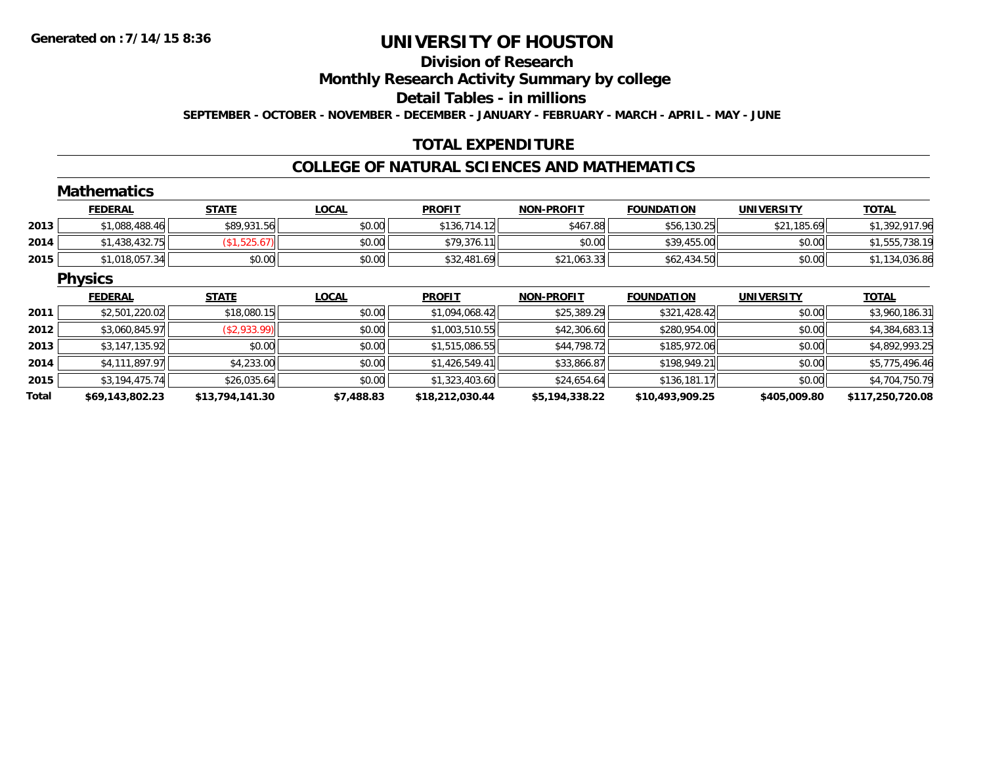#### **Division of Research**

**Monthly Research Activity Summary by college**

**Detail Tables - in millions**

**SEPTEMBER - OCTOBER - NOVEMBER - DECEMBER - JANUARY - FEBRUARY - MARCH - APRIL - MAY - JUNE**

## **TOTAL EXPENDITURE**

#### **COLLEGE OF NATURAL SCIENCES AND MATHEMATICS**

|       | <b>Mathematics</b> |                 |              |                 |                   |                   |                   |                  |
|-------|--------------------|-----------------|--------------|-----------------|-------------------|-------------------|-------------------|------------------|
|       | <b>FEDERAL</b>     | <b>STATE</b>    | <b>LOCAL</b> | <b>PROFIT</b>   | <b>NON-PROFIT</b> | <b>FOUNDATION</b> | <b>UNIVERSITY</b> | <b>TOTAL</b>     |
| 2013  | \$1,088,488.46     | \$89,931.56     | \$0.00       | \$136,714.12    | \$467.88          | \$56,130.25       | \$21,185.69       | \$1,392,917.96   |
| 2014  | \$1,438,432.75     | (\$1,525.67)    | \$0.00       | \$79,376.11     | \$0.00            | \$39,455.00       | \$0.00            | \$1,555,738.19   |
| 2015  | \$1,018,057.34     | \$0.00          | \$0.00       | \$32,481.69     | \$21,063.33       | \$62,434.50       | \$0.00            | \$1,134,036.86   |
|       | <b>Physics</b>     |                 |              |                 |                   |                   |                   |                  |
|       | <b>FEDERAL</b>     | <b>STATE</b>    | <b>LOCAL</b> | <b>PROFIT</b>   | <b>NON-PROFIT</b> | <b>FOUNDATION</b> | <b>UNIVERSITY</b> | <b>TOTAL</b>     |
| 2011  | \$2,501,220.02     | \$18,080.15     | \$0.00       | \$1,094,068.42  | \$25,389.29       | \$321,428.42      | \$0.00            | \$3,960,186.31   |
| 2012  | \$3,060,845.97     | (\$2,933.99)    | \$0.00       | \$1,003,510.55  | \$42,306.60       | \$280,954.00      | \$0.00            | \$4,384,683.13   |
| 2013  | \$3,147,135.92     | \$0.00          | \$0.00       | \$1,515,086.55  | \$44,798.72       | \$185,972.06      | \$0.00            | \$4,892,993.25   |
| 2014  | \$4,111,897.97     | \$4,233.00      | \$0.00       | \$1,426,549.41  | \$33,866.87       | \$198,949.21      | \$0.00            | \$5,775,496.46   |
| 2015  | \$3,194,475.74     | \$26,035.64     | \$0.00       | \$1,323,403.60  | \$24,654.64       | \$136,181.17      | \$0.00            | \$4,704,750.79   |
| Total | \$69,143,802.23    | \$13,794,141.30 | \$7,488.83   | \$18,212,030.44 | \$5,194,338.22    | \$10,493,909.25   | \$405,009.80      | \$117,250,720.08 |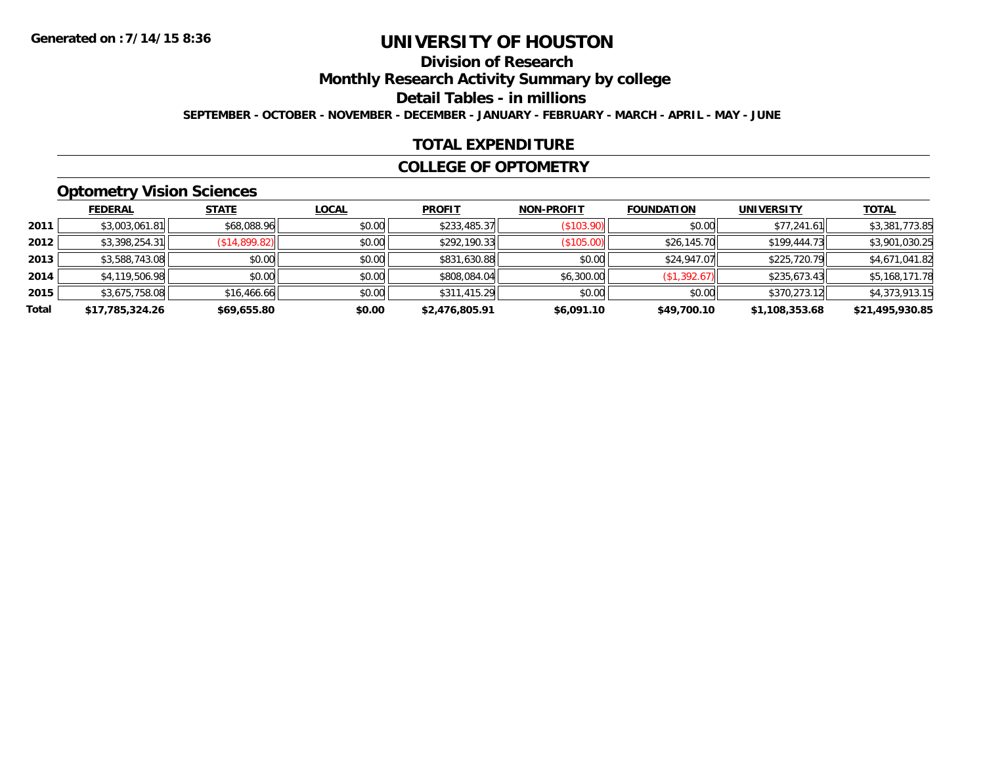# **Division of Research**

**Monthly Research Activity Summary by college**

**Detail Tables - in millions**

**SEPTEMBER - OCTOBER - NOVEMBER - DECEMBER - JANUARY - FEBRUARY - MARCH - APRIL - MAY - JUNE**

### **TOTAL EXPENDITURE**

#### **COLLEGE OF OPTOMETRY**

## **Optometry Vision Sciences**

|       | <b>FEDERAL</b>  | <b>STATE</b>  | <b>LOCAL</b> | <b>PROFIT</b>  | <b>NON-PROFIT</b> | <b>FOUNDATION</b> | <b>UNIVERSITY</b> | <b>TOTAL</b>    |
|-------|-----------------|---------------|--------------|----------------|-------------------|-------------------|-------------------|-----------------|
| 2011  | \$3,003,061.81  | \$68,088.96   | \$0.00       | \$233,485.37   | (S103.90)         | \$0.00            | \$77,241.61       | \$3,381,773.85  |
| 2012  | \$3,398,254.31  | (\$14,899.82) | \$0.00       | \$292,190.33   | (\$105.00)        | \$26,145.70       | \$199,444.73      | \$3,901,030.25  |
| 2013  | \$3,588,743.08  | \$0.00        | \$0.00       | \$831,630.88   | \$0.00            | \$24,947.07       | \$225,720.79      | \$4,671,041.82  |
| 2014  | \$4,119,506.98  | \$0.00        | \$0.00       | \$808,084.04   | \$6,300.00        | (\$1,392.67)      | \$235,673.43      | \$5,168,171.78  |
| 2015  | \$3,675,758.08  | \$16,466.66   | \$0.00       | \$311,415.29   | \$0.00            | \$0.00            | \$370,273.12      | \$4,373,913.15  |
| Total | \$17,785,324.26 | \$69,655.80   | \$0.00       | \$2,476,805.91 | \$6,091.10        | \$49,700.10       | \$1,108,353.68    | \$21,495,930.85 |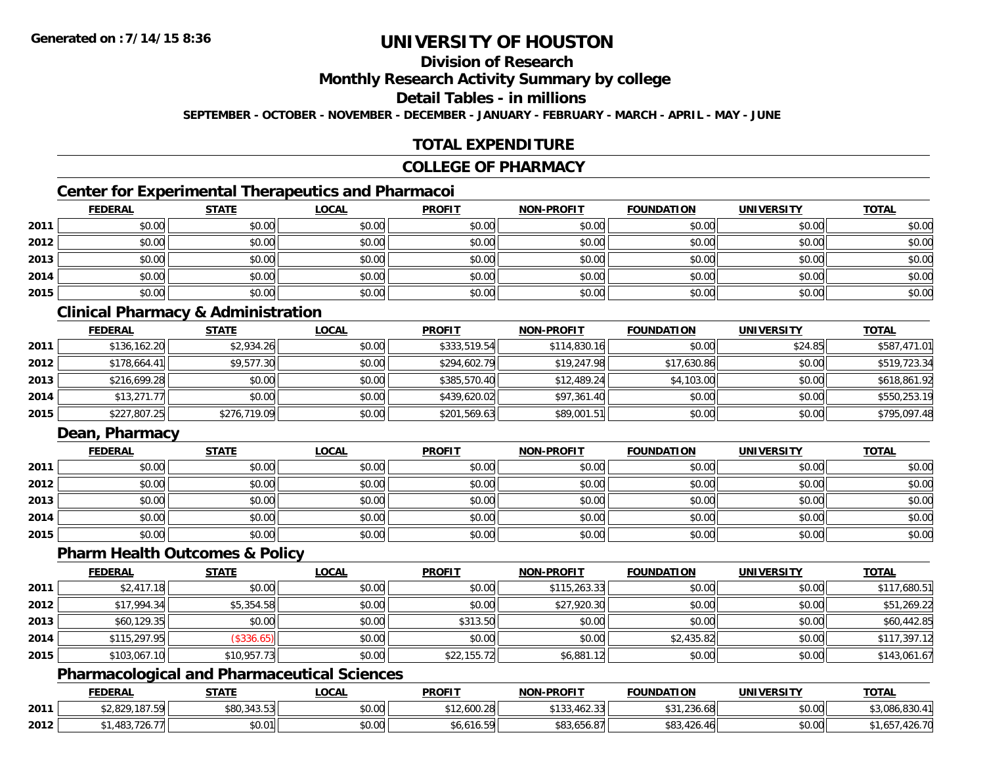# **Division of Research**

**Monthly Research Activity Summary by college**

#### **Detail Tables - in millions**

**SEPTEMBER - OCTOBER - NOVEMBER - DECEMBER - JANUARY - FEBRUARY - MARCH - APRIL - MAY - JUNE**

## **TOTAL EXPENDITURE**

#### **COLLEGE OF PHARMACY**

# **Center for Experimental Therapeutics and Pharmacoi**

|      | <b>FEDERAL</b> | <b>STATE</b> | <b>LOCAL</b> | <b>PROFIT</b> | <b>NON-PROFIT</b> | <b>FOUNDATION</b> | <b>UNIVERSITY</b> | <b>TOTAL</b> |
|------|----------------|--------------|--------------|---------------|-------------------|-------------------|-------------------|--------------|
| 2011 | \$0.00         | \$0.00       | \$0.00       | \$0.00        | \$0.00            | \$0.00            | \$0.00            | \$0.00       |
| 2012 | \$0.00         | \$0.00       | \$0.00       | \$0.00        | \$0.00            | \$0.00            | \$0.00            | \$0.00       |
| 2013 | \$0.00         | \$0.00       | \$0.00       | \$0.00        | \$0.00            | \$0.00            | \$0.00            | \$0.00       |
| 2014 | \$0.00         | \$0.00       | \$0.00       | \$0.00        | \$0.00            | \$0.00            | \$0.00            | \$0.00       |
| 2015 | \$0.00         | \$0.00       | \$0.00       | \$0.00        | \$0.00            | \$0.00            | \$0.00            | \$0.00       |

## **Clinical Pharmacy & Administration**

|      | <b>FEDERAL</b> | <b>STATE</b> | <u>LOCAL</u> | <b>PROFIT</b> | <b>NON-PROFIT</b> | <b>FOUNDATION</b> | <b>UNIVERSITY</b> | <b>TOTAL</b> |
|------|----------------|--------------|--------------|---------------|-------------------|-------------------|-------------------|--------------|
| 2011 | \$136,162.20   | \$2,934.26   | \$0.00       | \$333,519.54  | \$114,830.16      | \$0.00            | \$24.85           | \$587,471.01 |
| 2012 | \$178.664.41   | \$9,577.30   | \$0.00       | \$294,602.79  | \$19,247.98       | \$17,630.86       | \$0.00            | \$519,723.34 |
| 2013 | \$216,699.28   | \$0.00       | \$0.00       | \$385,570.40  | \$12,489.24       | \$4,103.00        | \$0.00            | \$618,861.92 |
| 2014 | \$13,271.77    | \$0.00       | \$0.00       | \$439,620.02  | \$97,361.40       | \$0.00            | \$0.00            | \$550,253.19 |
| 2015 | \$227,807.25   | \$276,719.09 | \$0.00       | \$201,569.63  | \$89,001.51       | \$0.00            | \$0.00            | \$795,097.48 |

# **Dean, Pharmacy**

|      | <u>FEDERAL</u> | <u>STATE</u> | <u>LOCAL</u> | <b>PROFIT</b> | <b>NON-PROFIT</b> | <b>FOUNDATION</b> | <b>UNIVERSITY</b> | <b>TOTAL</b> |
|------|----------------|--------------|--------------|---------------|-------------------|-------------------|-------------------|--------------|
| 2011 | \$0.00         | \$0.00       | \$0.00       | \$0.00        | \$0.00            | \$0.00            | \$0.00            | \$0.00       |
| 2012 | \$0.00         | \$0.00       | \$0.00       | \$0.00        | \$0.00            | \$0.00            | \$0.00            | \$0.00       |
| 2013 | \$0.00         | \$0.00       | \$0.00       | \$0.00        | \$0.00            | \$0.00            | \$0.00            | \$0.00       |
| 2014 | \$0.00         | \$0.00       | \$0.00       | \$0.00        | \$0.00            | \$0.00            | \$0.00            | \$0.00       |
| 2015 | \$0.00         | \$0.00       | \$0.00       | \$0.00        | \$0.00            | \$0.00            | \$0.00            | \$0.00       |

#### **Pharm Health Outcomes & Policy**

|      | <b>FEDERAL</b> | <b>STATE</b> | <u>LOCAL</u> | <b>PROFIT</b> | <b>NON-PROFIT</b> | <b>FOUNDATION</b> | <b>UNIVERSITY</b> | <b>TOTAL</b> |
|------|----------------|--------------|--------------|---------------|-------------------|-------------------|-------------------|--------------|
| 2011 | \$2,417.18     | \$0.00       | \$0.00       | \$0.00        | \$115,263.33      | \$0.00            | \$0.00            | \$117,680.51 |
| 2012 | \$17,994.34    | \$5,354.58   | \$0.00       | \$0.00        | \$27,920.30       | \$0.00            | \$0.00            | \$51,269.22  |
| 2013 | \$60,129.35    | \$0.00       | \$0.00       | \$313.50      | \$0.00            | \$0.00            | \$0.00            | \$60,442.85  |
| 2014 | \$115,297.95   | (\$336.65)   | \$0.00       | \$0.00        | \$0.00            | \$2,435.82        | \$0.00            | \$117,397.12 |
| 2015 | \$103,067.10   | \$10,957.73  | \$0.00       | \$22,155.72   | \$6,881.12        | \$0.00            | \$0.00            | \$143,061.67 |

## **Pharmacological and Pharmaceutical Sciences**

|      | <b>FEDERAL</b>       | <b>STATE</b>  | <u>LOCAL</u> | <b>PROFIT</b>    | <b>J-PROFIT</b><br><b>NIONI</b>             | <b>FOUNDATION</b>                                | UNIVERSITY | <b>TOTAL</b> |
|------|----------------------|---------------|--------------|------------------|---------------------------------------------|--------------------------------------------------|------------|--------------|
| 2011 | \$2,829,187.59       | \$80,343.53   | \$0.00       | 12,600.28<br>₼ ◀ | $\sim$ $\sim$ $\sim$<br>റി<br>1 JU, TUZ. JU | $\sim$<br>$\sim$<br>236.68,<br>.                 | \$0.00     | \$3,086,830  |
| 2012 | $10^{\circ}$<br>40.J | 00001<br>JU.U | \$0.00       | 6.616.59،        | $\overline{\phantom{0}}$<br>- ۵۵،۵۵،۵۱۱ ده  | $\sqrt{2}$<br>0 <sup>0</sup><br>$\left  \right $ | \$0.00     | .420.7U      |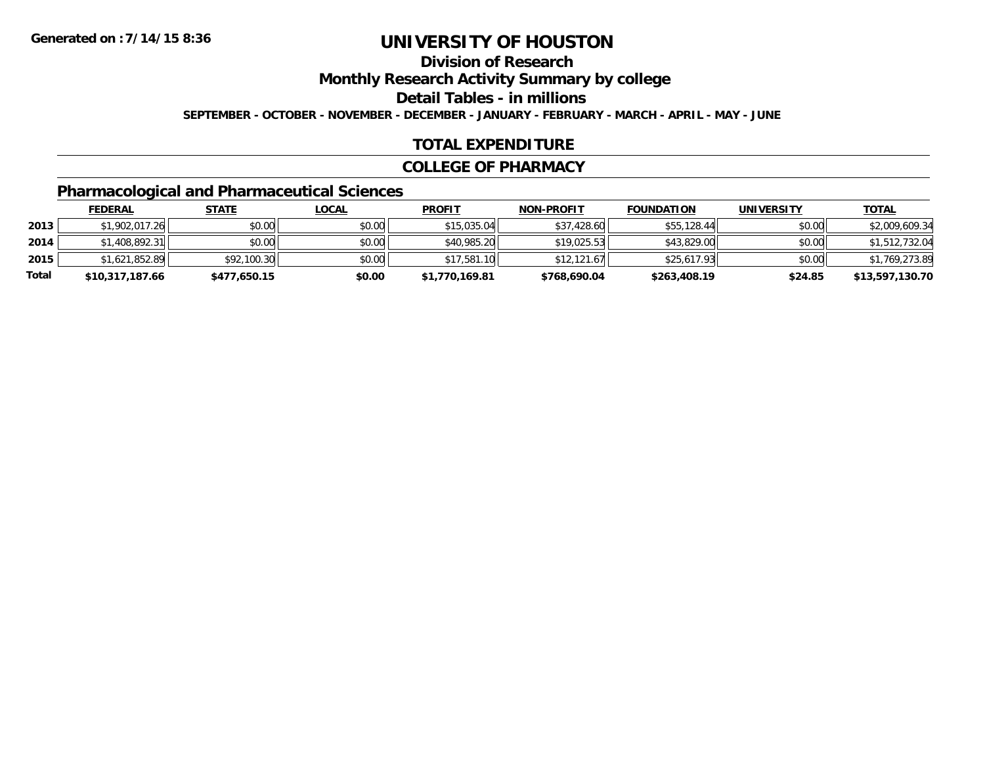# **Division of Research**

**Monthly Research Activity Summary by college**

**Detail Tables - in millions**

**SEPTEMBER - OCTOBER - NOVEMBER - DECEMBER - JANUARY - FEBRUARY - MARCH - APRIL - MAY - JUNE**

### **TOTAL EXPENDITURE**

#### **COLLEGE OF PHARMACY**

# **Pharmacological and Pharmaceutical Sciences**

|       | <b>FEDERAL</b>  | <u>STATE</u> | <u>LOCAL</u> | <b>PROFIT</b>  | <b>NON-PROFIT</b> | <b>FOUNDATION</b> | UNIVERSITY | <b>TOTAL</b>    |
|-------|-----------------|--------------|--------------|----------------|-------------------|-------------------|------------|-----------------|
| 2013  | \$1,902,017.26  | \$0.00       | \$0.00       | \$15,035.04    | \$37,428.60       | \$55,128.44       | \$0.00     | \$2,009,609.34  |
| 2014  | \$1,408,892.31  | \$0.00       | \$0.00       | \$40,985.20    | \$19.025.53       | \$43,829.00       | \$0.00     | \$1,512,732.04  |
| 2015  | \$1,621,852.89  | \$92,100.30  | \$0.00       | \$17,581.10    | \$12.121.67       | \$25,617.93       | \$0.00     | \$1,769,273.89  |
| Total | \$10,317,187.66 | \$477,650.15 | \$0.00       | \$1,770,169.81 | \$768,690.04      | \$263,408.19      | \$24.85    | \$13,597,130.70 |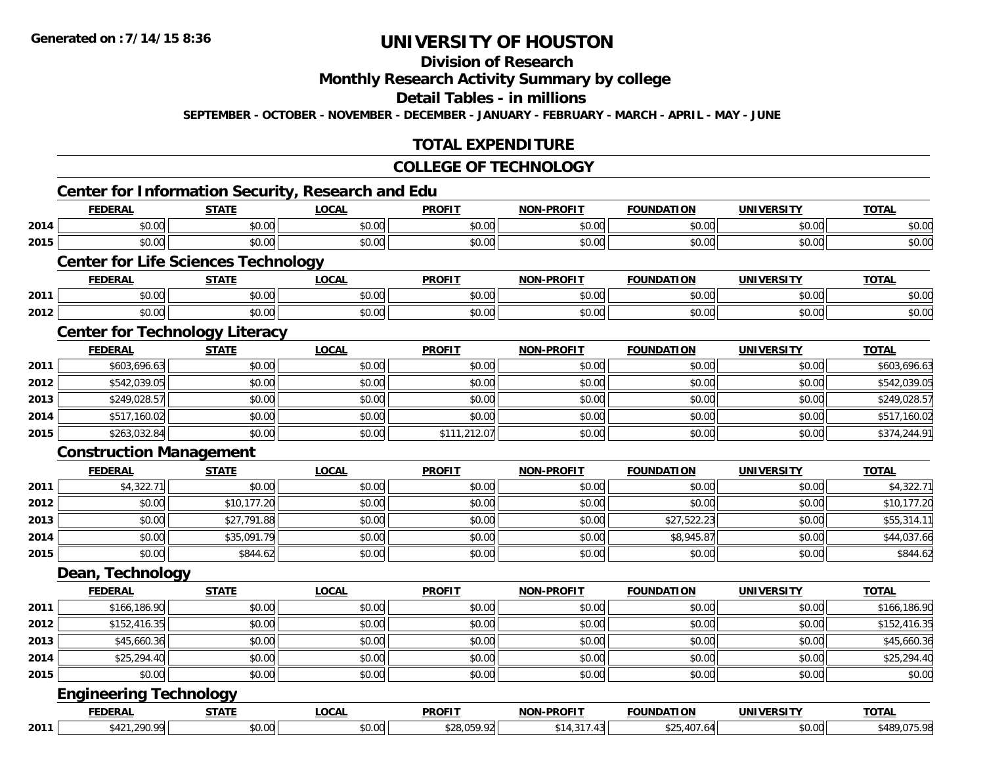# **Division of Research**

# **Monthly Research Activity Summary by college**

#### **Detail Tables - in millions**

**SEPTEMBER - OCTOBER - NOVEMBER - DECEMBER - JANUARY - FEBRUARY - MARCH - APRIL - MAY - JUNE**

## **TOTAL EXPENDITURE**

#### **COLLEGE OF TECHNOLOGY**

|      | <b>FEDERAL</b>                             | <b>STATE</b> | <b>LOCAL</b> | <b>PROFIT</b> | <b>NON-PROFIT</b> | <b>FOUNDATION</b> | <b>UNIVERSITY</b> | <b>TOTAL</b> |
|------|--------------------------------------------|--------------|--------------|---------------|-------------------|-------------------|-------------------|--------------|
| 2014 | \$0.00                                     | \$0.00       | \$0.00       | \$0.00        | \$0.00            | \$0.00            | \$0.00            | \$0.00       |
| 2015 | \$0.00                                     | \$0.00       | \$0.00       | \$0.00        | \$0.00            | \$0.00            | \$0.00            | \$0.00       |
|      | <b>Center for Life Sciences Technology</b> |              |              |               |                   |                   |                   |              |
|      | <b>FEDERAL</b>                             | <b>STATE</b> | <b>LOCAL</b> | <b>PROFIT</b> | <b>NON-PROFIT</b> | <b>FOUNDATION</b> | <b>UNIVERSITY</b> | <b>TOTAL</b> |
| 2011 | \$0.00                                     | \$0.00       | \$0.00       | \$0.00        | \$0.00            | \$0.00            | \$0.00            | \$0.00       |
| 2012 | \$0.00                                     | \$0.00       | \$0.00       | \$0.00        | \$0.00            | \$0.00            | \$0.00            | \$0.00       |
|      | <b>Center for Technology Literacy</b>      |              |              |               |                   |                   |                   |              |
|      | <b>FEDERAL</b>                             | <b>STATE</b> | <b>LOCAL</b> | <b>PROFIT</b> | <b>NON-PROFIT</b> | <b>FOUNDATION</b> | <b>UNIVERSITY</b> | <b>TOTAL</b> |
| 2011 | \$603,696.63                               | \$0.00       | \$0.00       | \$0.00        | \$0.00            | \$0.00            | \$0.00            | \$603,696.63 |
| 2012 | \$542,039.05                               | \$0.00       | \$0.00       | \$0.00        | \$0.00            | \$0.00            | \$0.00            | \$542,039.05 |
| 2013 | \$249,028.57                               | \$0.00       | \$0.00       | \$0.00        | \$0.00            | \$0.00            | \$0.00            | \$249,028.57 |
| 2014 | \$517,160.02                               | \$0.00       | \$0.00       | \$0.00        | \$0.00            | \$0.00            | \$0.00            | \$517,160.02 |
| 2015 | \$263,032.84                               | \$0.00       | \$0.00       | \$111,212.07  | \$0.00            | \$0.00            | \$0.00            | \$374,244.91 |
|      | <b>Construction Management</b>             |              |              |               |                   |                   |                   |              |
|      | <b>FEDERAL</b>                             | <b>STATE</b> | <b>LOCAL</b> | <b>PROFIT</b> | <b>NON-PROFIT</b> | <b>FOUNDATION</b> | <b>UNIVERSITY</b> | <b>TOTAL</b> |
| 2011 | \$4,322.71                                 | \$0.00       | \$0.00       | \$0.00        | \$0.00            | \$0.00            | \$0.00            | \$4,322.71   |
| 2012 | \$0.00                                     | \$10,177.20  | \$0.00       | \$0.00        | \$0.00            | \$0.00            | \$0.00            | \$10,177.20  |
| 2013 | \$0.00                                     | \$27,791.88  | \$0.00       | \$0.00        | \$0.00            | \$27,522.23       | \$0.00            | \$55,314.11  |
| 2014 | \$0.00                                     | \$35,091.79  | \$0.00       | \$0.00        | \$0.00            | \$8,945.87        | \$0.00            | \$44,037.66  |
| 2015 | \$0.00                                     | \$844.62     | \$0.00       | \$0.00        | \$0.00            | \$0.00            | \$0.00            | \$844.62     |
|      | Dean, Technology                           |              |              |               |                   |                   |                   |              |
|      | <b>FEDERAL</b>                             | <b>STATE</b> | <b>LOCAL</b> | <b>PROFIT</b> | <b>NON-PROELI</b> | <b>FOUNDATION</b> | <b>UNIVERSITY</b> | <b>TOTAL</b> |
| 2011 | \$166,186.90                               | \$0.00       | \$0.00       | \$0.00        | \$0.00            | \$0.00            | \$0.00            | \$166,186.90 |
| 2012 | \$152,416.35                               | \$0.00       | \$0.00       | \$0.00        | \$0.00            | \$0.00            | \$0.00            | \$152,416.35 |
| 2013 | \$45,660.36                                | \$0.00       | \$0.00       | \$0.00        | \$0.00            | \$0.00            | \$0.00            | \$45,660.36  |
| 2014 | \$25,294.40                                | \$0.00       | \$0.00       | \$0.00        | \$0.00            | \$0.00            | \$0.00            | \$25,294.40  |
| 2015 | \$0.00                                     | \$0.00       | \$0.00       | \$0.00        | \$0.00            | \$0.00            | \$0.00            | \$0.00       |
|      | <b>Engineering Technology</b>              |              |              |               |                   |                   |                   |              |
|      | <b>FEDERAL</b>                             | <b>STATE</b> | <b>LOCAL</b> | <b>PROFIT</b> | <b>NON-PROFIT</b> | <b>FOUNDATION</b> | <b>UNIVERSITY</b> | <b>TOTAL</b> |
|      |                                            |              |              |               |                   |                   |                   |              |

**2011**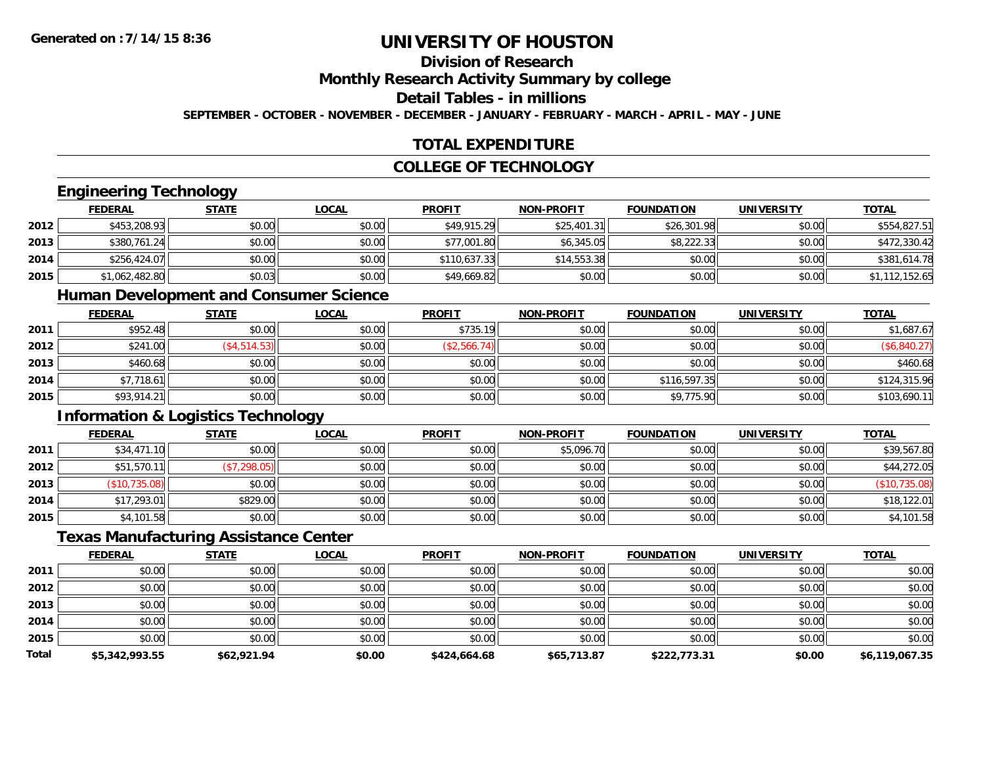# **Division of Research**

**Monthly Research Activity Summary by college**

#### **Detail Tables - in millions**

**SEPTEMBER - OCTOBER - NOVEMBER - DECEMBER - JANUARY - FEBRUARY - MARCH - APRIL - MAY - JUNE**

## **TOTAL EXPENDITURE**

## **COLLEGE OF TECHNOLOGY**

#### **Engineering Technology**

|      | <b>FEDERAL</b> | <u>STATE</u> | <b>LOCAL</b> | <b>PROFIT</b> | <b>NON-PROFIT</b> | <b>FOUNDATION</b> | <b>UNIVERSITY</b> | <b>TOTAL</b>   |
|------|----------------|--------------|--------------|---------------|-------------------|-------------------|-------------------|----------------|
| 2012 | \$453,208.93   | \$0.00       | \$0.00       | \$49,915.29   | \$25,401.31       | \$26,301.98       | \$0.00            | \$554,827.51   |
| 2013 | \$380,761.24   | \$0.00       | \$0.00       | \$77,001.80   | \$6,345.05        | \$8,222.33        | \$0.00            | \$472,330.42   |
| 2014 | \$256,424.07   | \$0.00       | \$0.00       | \$110.637.33  | \$14,553.38       | \$0.00            | \$0.00            | \$381,614.78   |
| 2015 | \$1,062,482.80 | \$0.03       | \$0.00       | \$49,669.82   | \$0.00            | \$0.00            | \$0.00            | \$1,112,152.65 |

#### **Human Development and Consumer Science**

|      | <b>FEDERAL</b> | <b>STATE</b> | <u>LOCAL</u> | <b>PROFIT</b> | <b>NON-PROFIT</b> | <b>FOUNDATION</b> | <b>UNIVERSITY</b> | <b>TOTAL</b> |
|------|----------------|--------------|--------------|---------------|-------------------|-------------------|-------------------|--------------|
| 2011 | \$952.48       | \$0.00       | \$0.00       | \$735.19      | \$0.00            | \$0.00            | \$0.00            | \$1,687.67   |
| 2012 | \$241.00       | \$4,514.53   | \$0.00       | \$2,566.74)   | \$0.00            | \$0.00            | \$0.00            | \$6,840.27)  |
| 2013 | \$460.68       | \$0.00       | \$0.00       | \$0.00        | \$0.00            | \$0.00            | \$0.00            | \$460.68     |
| 2014 | \$7,718.61     | \$0.00       | \$0.00       | \$0.00        | \$0.00            | \$116,597.35      | \$0.00            | \$124,315.96 |
| 2015 | \$93,914.21    | \$0.00       | \$0.00       | \$0.00        | \$0.00            | \$9,775.90        | \$0.00            | \$103,690.11 |

### **Information & Logistics Technology**

|      | <b>FEDERAL</b> | <b>STATE</b> | <u>LOCAL</u> | <b>PROFIT</b> | <b>NON-PROFIT</b> | <b>FOUNDATION</b> | <b>UNIVERSITY</b> | <b>TOTAL</b>  |
|------|----------------|--------------|--------------|---------------|-------------------|-------------------|-------------------|---------------|
| 2011 | \$34,471.10    | \$0.00       | \$0.00       | \$0.00        | \$5,096.70        | \$0.00            | \$0.00            | \$39,567.80   |
| 2012 | \$51,570.11    | (\$7,298.05) | \$0.00       | \$0.00        | \$0.00            | \$0.00            | \$0.00            | \$44,272.05   |
| 2013 | (\$10,735.08)  | \$0.00       | \$0.00       | \$0.00        | \$0.00            | \$0.00            | \$0.00            | (\$10,735.08) |
| 2014 | \$17,293.01    | \$829.00     | \$0.00       | \$0.00        | \$0.00            | \$0.00            | \$0.00            | \$18,122.01   |
| 2015 | \$4,101.58     | \$0.00       | \$0.00       | \$0.00        | \$0.00            | \$0.00            | \$0.00            | \$4,101.58    |

#### **Texas Manufacturing Assistance Center**

|              | <b>FEDERAL</b> | <b>STATE</b> | <b>LOCAL</b> | <b>PROFIT</b> | <b>NON-PROFIT</b> | <b>FOUNDATION</b> | <b>UNIVERSITY</b> | <b>TOTAL</b>   |
|--------------|----------------|--------------|--------------|---------------|-------------------|-------------------|-------------------|----------------|
| 2011         | \$0.00         | \$0.00       | \$0.00       | \$0.00        | \$0.00            | \$0.00            | \$0.00            | \$0.00         |
| 2012         | \$0.00         | \$0.00       | \$0.00       | \$0.00        | \$0.00            | \$0.00            | \$0.00            | \$0.00         |
| 2013         | \$0.00         | \$0.00       | \$0.00       | \$0.00        | \$0.00            | \$0.00            | \$0.00            | \$0.00         |
| 2014         | \$0.00         | \$0.00       | \$0.00       | \$0.00        | \$0.00            | \$0.00            | \$0.00            | \$0.00         |
| 2015         | \$0.00         | \$0.00       | \$0.00       | \$0.00        | \$0.00            | \$0.00            | \$0.00            | \$0.00         |
| <b>Total</b> | \$5,342,993.55 | \$62,921.94  | \$0.00       | \$424,664.68  | \$65,713.87       | \$222,773.31      | \$0.00            | \$6,119,067.35 |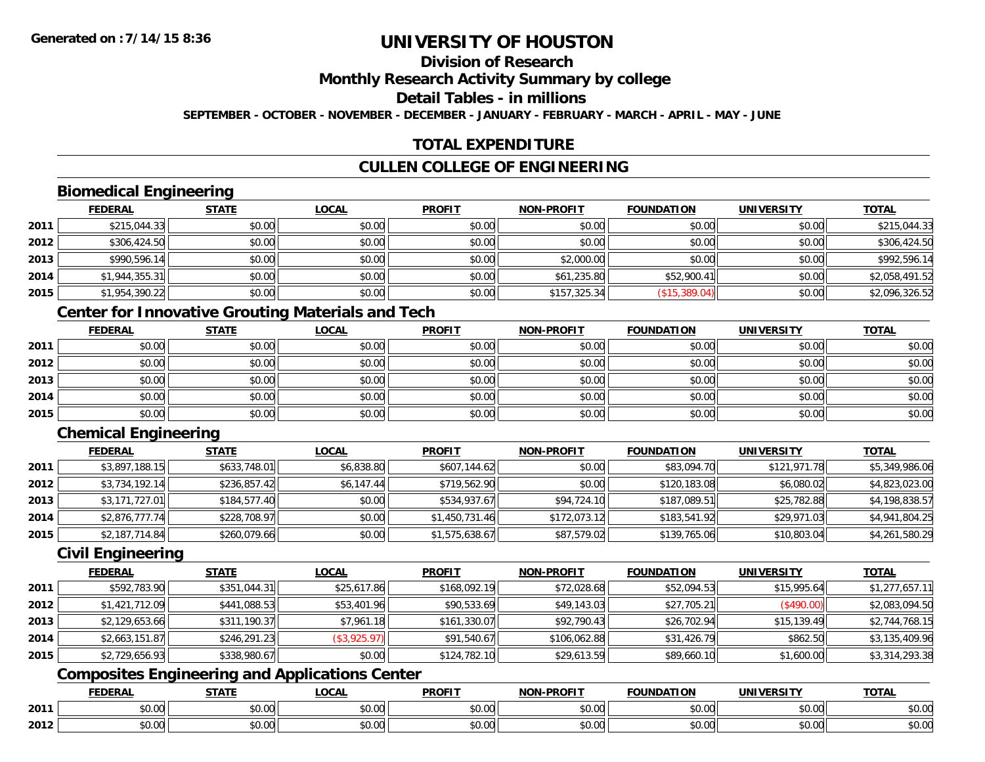# **Division of Research**

#### **Monthly Research Activity Summary by college**

## **Detail Tables - in millions**

**SEPTEMBER - OCTOBER - NOVEMBER - DECEMBER - JANUARY - FEBRUARY - MARCH - APRIL - MAY - JUNE**

## **TOTAL EXPENDITURE**

# **CULLEN COLLEGE OF ENGINEERING**

# **Biomedical Engineering**

|      | <b>FEDERAL</b> | <b>STATE</b> | <b>LOCAL</b> | <b>PROFIT</b> | <b>NON-PROFIT</b> | <b>FOUNDATION</b> | <b>UNIVERSITY</b> | <b>TOTAL</b>   |
|------|----------------|--------------|--------------|---------------|-------------------|-------------------|-------------------|----------------|
| 2011 | \$215,044.33   | \$0.00       | \$0.00       | \$0.00        | \$0.00            | \$0.00            | \$0.00            | \$215,044.33   |
| 2012 | \$306,424.50   | \$0.00       | \$0.00       | \$0.00        | \$0.00            | \$0.00            | \$0.00            | \$306,424.50   |
| 2013 | \$990,596.14   | \$0.00       | \$0.00       | \$0.00        | \$2,000.00        | \$0.00            | \$0.00            | \$992,596.14   |
| 2014 | \$1,944,355.31 | \$0.00       | \$0.00       | \$0.00        | \$61,235.80       | \$52,900.41       | \$0.00            | \$2,058,491.52 |
| 2015 | \$1,954,390.22 | \$0.00       | \$0.00       | \$0.00        | \$157,325.34      | (\$15,389.04)     | \$0.00            | \$2,096,326.52 |

# **Center for Innovative Grouting Materials and Tech**

|      | <b>FEDERAL</b> | <b>STATE</b> | <b>LOCAL</b> | <b>PROFIT</b> | <b>NON-PROFIT</b> | <b>FOUNDATION</b> | <b>UNIVERSITY</b> | <b>TOTAL</b> |
|------|----------------|--------------|--------------|---------------|-------------------|-------------------|-------------------|--------------|
| 2011 | \$0.00         | \$0.00       | \$0.00       | \$0.00        | \$0.00            | \$0.00            | \$0.00            | \$0.00       |
| 2012 | \$0.00         | \$0.00       | \$0.00       | \$0.00        | \$0.00            | \$0.00            | \$0.00            | \$0.00       |
| 2013 | \$0.00         | \$0.00       | \$0.00       | \$0.00        | \$0.00            | \$0.00            | \$0.00            | \$0.00       |
| 2014 | \$0.00         | \$0.00       | \$0.00       | \$0.00        | \$0.00            | \$0.00            | \$0.00            | \$0.00       |
| 2015 | \$0.00         | \$0.00       | \$0.00       | \$0.00        | \$0.00            | \$0.00            | \$0.00            | \$0.00       |

# **Chemical Engineering**

|      | <b>FEDERAL</b> | <b>STATE</b> | <b>LOCAL</b> | <b>PROFIT</b>  | <b>NON-PROFIT</b> | <b>FOUNDATION</b> | <b>UNIVERSITY</b> | <b>TOTAL</b>   |
|------|----------------|--------------|--------------|----------------|-------------------|-------------------|-------------------|----------------|
| 2011 | \$3,897,188.15 | \$633,748.01 | \$6,838.80   | \$607,144.62   | \$0.00            | \$83,094.70       | \$121,971.78      | \$5,349,986.06 |
| 2012 | \$3,734,192.14 | \$236,857.42 | \$6,147.44   | \$719,562.90   | \$0.00            | \$120,183.08      | \$6,080.02        | \$4,823,023.00 |
| 2013 | \$3,171,727.01 | \$184,577.40 | \$0.00       | \$534,937.67   | \$94,724.10       | \$187,089.51      | \$25,782.88       | \$4,198,838.57 |
| 2014 | \$2,876,777.74 | \$228,708.97 | \$0.00       | \$1,450,731.46 | \$172,073.12      | \$183,541.92      | \$29,971.03       | \$4,941,804.25 |
| 2015 | \$2,187,714.84 | \$260,079.66 | \$0.00       | \$1,575,638.67 | \$87,579.02       | \$139,765.06      | \$10,803.04       | \$4,261,580.29 |

#### **Civil Engineering**

|      | <b>FEDERAL</b> | <b>STATE</b> | <u>LOCAL</u> | <b>PROFIT</b> | <b>NON-PROFIT</b> | <b>FOUNDATION</b> | <b>UNIVERSITY</b> | <b>TOTAL</b>   |
|------|----------------|--------------|--------------|---------------|-------------------|-------------------|-------------------|----------------|
| 2011 | \$592,783.90   | \$351,044.31 | \$25,617.86  | \$168,092.19  | \$72,028.68       | \$52,094.53       | \$15,995.64       | \$1,277,657.11 |
| 2012 | \$1,421,712.09 | \$441,088.53 | \$53,401.96  | \$90,533.69   | \$49,143.03       | \$27,705.21       | (\$490.00)        | \$2,083,094.50 |
| 2013 | \$2,129,653.66 | \$311,190.37 | \$7,961.18   | \$161,330.07  | \$92,790.43       | \$26,702.94       | \$15,139.49       | \$2,744,768.15 |
| 2014 | \$2,663,151.87 | \$246,291.23 | (\$3,925.97) | \$91,540.67   | \$106,062.88      | \$31,426.79       | \$862.50          | \$3,135,409.96 |
| 2015 | \$2,729,656.93 | \$338,980.67 | \$0.00       | \$124,782.10  | \$29,613.59       | \$89,660.10       | \$1,600.00        | \$3,314,293.38 |

# **Composites Engineering and Applications Center**

|      | DERAI  | CTATI     | .OCAL     | <b>PROFIT</b> | <b>DDOCIT</b><br><b>ארות</b> | ΓΙΩΝ    | UNIVERSITY                                   | <b>TOTAL</b> |
|------|--------|-----------|-----------|---------------|------------------------------|---------|----------------------------------------------|--------------|
| 2011 | $\sim$ | $\sim$    | $\sim$    | $\cdots$      | 0000                         | 0.00    | $\mathsf{A} \cap \mathsf{A} \cap \mathsf{A}$ | 0000         |
|      | ∕∪.∪∪  | JU.UU     | vv.vv     | vu.vu         | vu.vu                        | - JU.UU | PO.OO                                        | <b>JU.UU</b> |
|      | 0.00   | $\sim$ 00 | $\sim$ 00 | $\cdots$      | 0.00                         | 0.00    | $\sim$ $\sim$                                | $\cdots$     |
| 2012 | וט.טי  | JU.L      | JU.UU     | vv.vv         | JU.UU                        | ww.uu   | PO.OO                                        | <b>JU.UU</b> |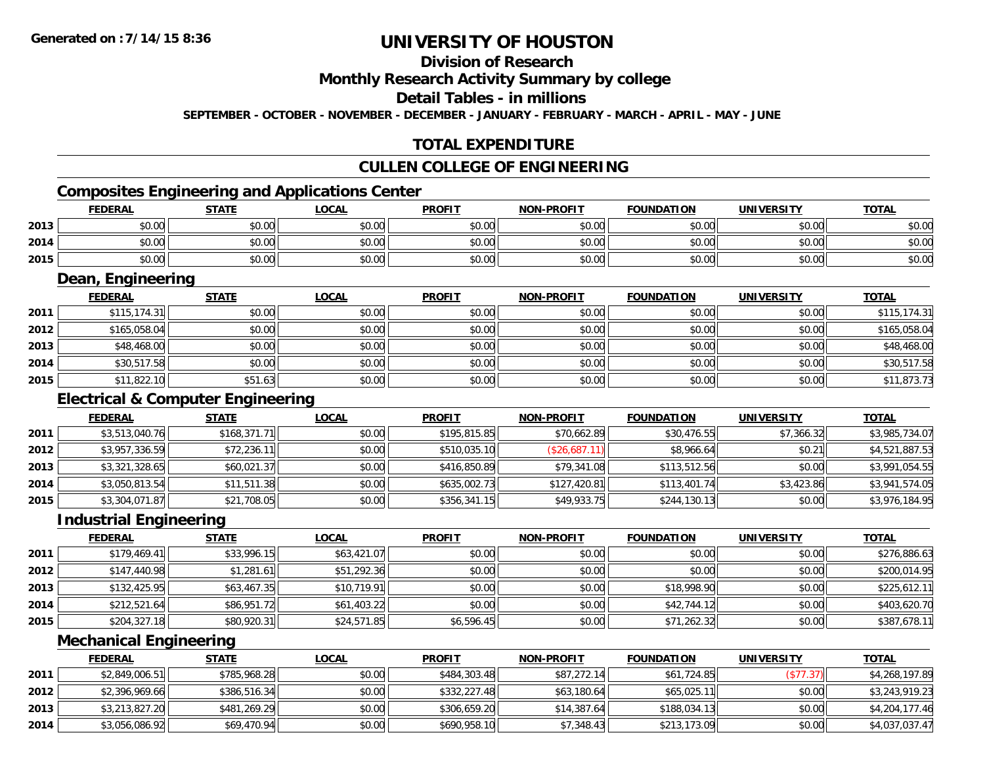# **Division of Research**

### **Monthly Research Activity Summary by college**

#### **Detail Tables - in millions**

**SEPTEMBER - OCTOBER - NOVEMBER - DECEMBER - JANUARY - FEBRUARY - MARCH - APRIL - MAY - JUNE**

## **TOTAL EXPENDITURE**

#### **CULLEN COLLEGE OF ENGINEERING**

# **Composites Engineering and Applications Center**

|      | Composites Engineering and Applications Center |        |        |               |                   |                   |            |              |  |  |
|------|------------------------------------------------|--------|--------|---------------|-------------------|-------------------|------------|--------------|--|--|
|      | <b>FEDERAL</b>                                 | STATE  | LOCAL  | <b>PROFIT</b> | <b>NON-PROFIT</b> | <b>FOUNDATION</b> | UNIVERSITY | <b>TOTAL</b> |  |  |
| 2013 | \$0.00                                         | \$0.00 | \$0.00 | \$0.00        | \$0.00            | \$0.00            | \$0.00     | \$0.00       |  |  |
| 2014 | \$0.00                                         | \$0.00 | \$0.00 | \$0.00        | \$0.00            | \$0.00            | \$0.00     | \$0.00       |  |  |
| 2015 | \$0.00                                         | \$0.00 | \$0.00 | \$0.00        | \$0.00            | \$0.00            | \$0.00     | \$0.00       |  |  |

<u> 1989 - Johann Stoff, deutscher Stoffen und der Stoffen und der Stoffen und der Stoffen und der Stoffen und der</u>

### **Dean, Engineering**

|      | <b>FEDERAL</b> | <b>STATE</b> | <b>LOCAL</b> | <b>PROFIT</b> | <b>NON-PROFIT</b> | <b>FOUNDATION</b> | <b>UNIVERSITY</b> | <b>TOTAL</b> |
|------|----------------|--------------|--------------|---------------|-------------------|-------------------|-------------------|--------------|
| 2011 | \$115, 174.31  | \$0.00       | \$0.00       | \$0.00        | \$0.00            | \$0.00            | \$0.00            | \$115,174.31 |
| 2012 | \$165,058.04   | \$0.00       | \$0.00       | \$0.00        | \$0.00            | \$0.00            | \$0.00            | \$165,058.04 |
| 2013 | \$48,468.00    | \$0.00       | \$0.00       | \$0.00        | \$0.00            | \$0.00            | \$0.00            | \$48,468.00  |
| 2014 | \$30,517.58    | \$0.00       | \$0.00       | \$0.00        | \$0.00            | \$0.00            | \$0.00            | \$30,517.58  |
| 2015 | \$11,822.10    | \$51.63      | \$0.00       | \$0.00        | \$0.00            | \$0.00            | \$0.00            | \$11,873.73  |

## **Electrical & Computer Engineering**

|      | <b>FEDERAL</b> | <b>STATE</b> | <b>LOCAL</b> | <b>PROFIT</b> | <b>NON-PROFIT</b> | <b>FOUNDATION</b> | <b>UNIVERSITY</b> | <b>TOTAL</b>   |
|------|----------------|--------------|--------------|---------------|-------------------|-------------------|-------------------|----------------|
| 2011 | \$3,513,040.76 | \$168,371.71 | \$0.00       | \$195,815.85  | \$70,662.89       | \$30,476.55       | \$7,366.32        | \$3,985,734.07 |
| 2012 | \$3,957,336.59 | \$72,236.11  | \$0.00       | \$510,035.10  | (\$26,687.11)     | \$8,966.64        | \$0.21            | \$4,521,887.53 |
| 2013 | \$3,321,328.65 | \$60,021.37  | \$0.00       | \$416,850.89  | \$79,341.08       | \$113,512.56      | \$0.00            | \$3,991,054.55 |
| 2014 | \$3,050,813.54 | \$11,511.38  | \$0.00       | \$635,002.73  | \$127,420.81      | \$113,401.74      | \$3,423.86        | \$3,941,574.05 |
| 2015 | \$3,304,071.87 | \$21,708.05  | \$0.00       | \$356,341.15  | \$49,933.75       | \$244,130.13      | \$0.00            | \$3,976,184.95 |

<u> 1980 - Johann Barn, mars ann an t-Amhain Aonaich an t-Aonaich an t-Aonaich an t-Aonaich an t-Aonaich an t-Aon</u>

#### **Industrial Engineering**

|      | <b>FEDERAL</b> | <b>STATE</b> | <u>LOCAL</u> | <b>PROFIT</b> | <b>NON-PROFIT</b> | <b>FOUNDATION</b> | <b>UNIVERSITY</b> | <b>TOTAL</b> |
|------|----------------|--------------|--------------|---------------|-------------------|-------------------|-------------------|--------------|
| 2011 | \$179,469.41   | \$33,996.15  | \$63,421.07  | \$0.00        | \$0.00            | \$0.00            | \$0.00            | \$276,886.63 |
| 2012 | \$147,440.98   | \$1,281.61   | \$51,292.36  | \$0.00        | \$0.00            | \$0.00            | \$0.00            | \$200,014.95 |
| 2013 | \$132,425.95   | \$63,467.35  | \$10,719.91  | \$0.00        | \$0.00            | \$18,998.90       | \$0.00            | \$225,612.11 |
| 2014 | \$212,521.64   | \$86,951.72  | \$61,403.22  | \$0.00        | \$0.00            | \$42,744.12       | \$0.00            | \$403,620.70 |
| 2015 | \$204,327.18   | \$80,920.31  | \$24,571.85  | \$6,596.45    | \$0.00            | \$71,262.32       | \$0.00            | \$387,678.11 |

<u> 1989 - Johann Stoff, deutscher Stoffen und der Stoffen und der Stoffen und der Stoffen und der Stoffen und der</u>

#### **Mechanical Engineering**

|      | <b>FEDERAL</b> | <b>STATE</b> | <u>LOCAL</u> | <b>PROFIT</b> | <b>NON-PROFIT</b> | <b>FOUNDATION</b> | UNIVERSITY | <b>TOTAL</b>   |
|------|----------------|--------------|--------------|---------------|-------------------|-------------------|------------|----------------|
| 2011 | \$2,849,006.51 | \$785,968.28 | \$0.00       | \$484,303.48  | \$87,272.14       | \$61,724.85       | (\$77.37)  | \$4,268,197.89 |
| 2012 | \$2,396,969.66 | \$386,516.34 | \$0.00       | \$332,227.48  | \$63,180.64       | \$65,025.11       | \$0.00     | \$3,243,919.23 |
| 2013 | \$3,213,827.20 | \$481,269.29 | \$0.00       | \$306,659.20  | \$14,387.64       | \$188,034.13      | \$0.00     | \$4,204,177.46 |
| 2014 | \$3,056,086.92 | \$69,470.94  | \$0.00       | \$690,958.10  | \$7,348.43        | \$213,173.09      | \$0.00     | \$4,037,037.47 |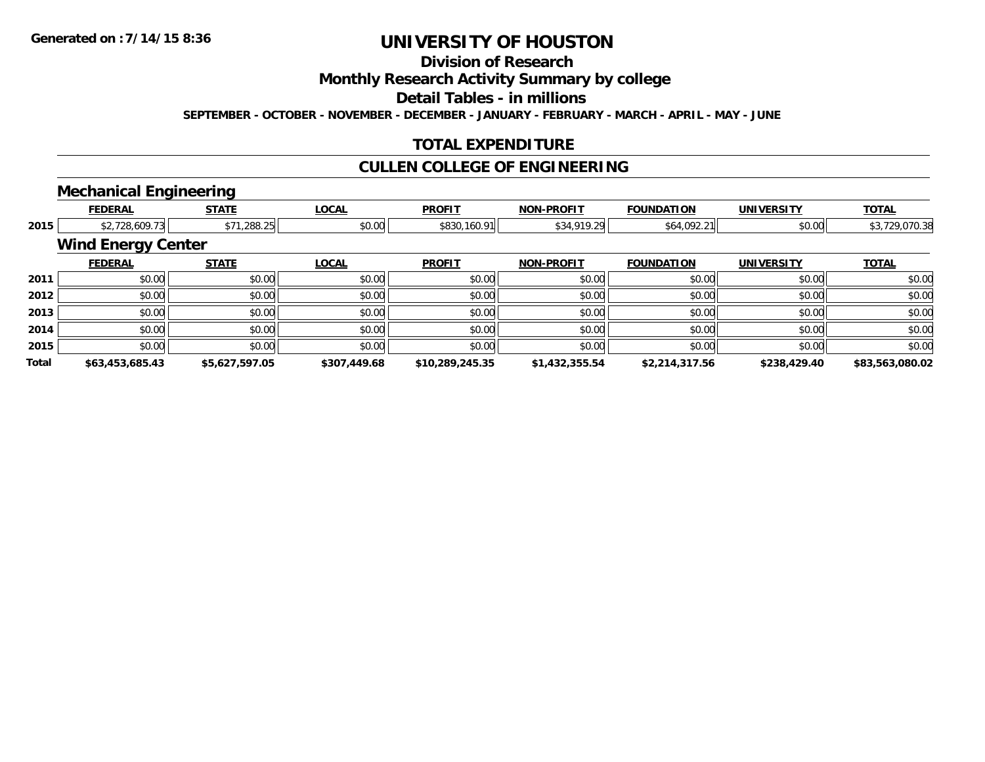# **Division of Research**

### **Monthly Research Activity Summary by college**

#### **Detail Tables - in millions**

**SEPTEMBER - OCTOBER - NOVEMBER - DECEMBER - JANUARY - FEBRUARY - MARCH - APRIL - MAY - JUNE**

### **TOTAL EXPENDITURE**

## **CULLEN COLLEGE OF ENGINEERING**

# **Mechanical Engineering**

|              | <b>FEDERAL</b>            | <b>STATE</b>   | <b>LOCAL</b> | <b>PROFIT</b>   | <b>NON-PROFIT</b> | <b>FOUNDATION</b> | <b>UNIVERSITY</b> | <b>TOTAL</b>    |
|--------------|---------------------------|----------------|--------------|-----------------|-------------------|-------------------|-------------------|-----------------|
| 2015         | \$2,728,609.73            | \$71,288.25    | \$0.00       | \$830,160.91    | \$34,919.29       | \$64,092.21       | \$0.00            | \$3,729,070.38  |
|              | <b>Wind Energy Center</b> |                |              |                 |                   |                   |                   |                 |
|              | <b>FEDERAL</b>            | <b>STATE</b>   | <b>LOCAL</b> | <b>PROFIT</b>   | <b>NON-PROFIT</b> | <b>FOUNDATION</b> | <b>UNIVERSITY</b> | <b>TOTAL</b>    |
| 2011         | \$0.00                    | \$0.00         | \$0.00       | \$0.00          | \$0.00            | \$0.00            | \$0.00            | \$0.00          |
| 2012         | \$0.00                    | \$0.00         | \$0.00       | \$0.00          | \$0.00            | \$0.00            | \$0.00            | \$0.00          |
| 2013         | \$0.00                    | \$0.00         | \$0.00       | \$0.00          | \$0.00            | \$0.00            | \$0.00            | \$0.00          |
| 2014         | \$0.00                    | \$0.00         | \$0.00       | \$0.00          | \$0.00            | \$0.00            | \$0.00            | \$0.00          |
| 2015         | \$0.00                    | \$0.00         | \$0.00       | \$0.00          | \$0.00            | \$0.00            | \$0.00            | \$0.00          |
| <b>Total</b> | \$63,453,685.43           | \$5,627,597.05 | \$307,449.68 | \$10,289,245.35 | \$1,432,355.54    | \$2,214,317.56    | \$238,429.40      | \$83,563,080.02 |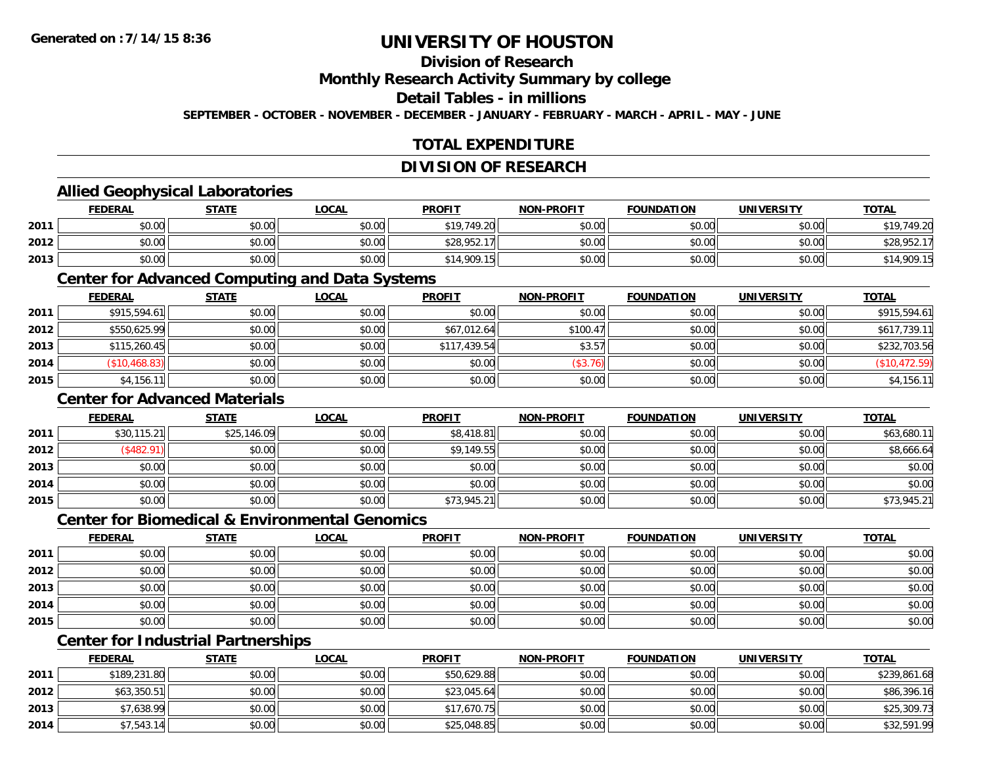# **Division of Research**

**Monthly Research Activity Summary by college**

#### **Detail Tables - in millions**

**SEPTEMBER - OCTOBER - NOVEMBER - DECEMBER - JANUARY - FEBRUARY - MARCH - APRIL - MAY - JUNE**

# **TOTAL EXPENDITURE**

#### **DIVISION OF RESEARCH**

### **Allied Geophysical Laboratories**

|      | <b>FEDERAL</b> | <b>STATE</b> | <u>LOCAL</u>                                                | <b>PROFIT</b> | <b>NON-PROFIT</b> | <b>FOUNDATION</b> | <b>UNIVERSITY</b> | <b>TOTAL</b>         |
|------|----------------|--------------|-------------------------------------------------------------|---------------|-------------------|-------------------|-------------------|----------------------|
| 2011 | \$0.00         | \$0.00       | \$0.00                                                      | \$19,749.20   | \$0.00            | \$0.00            | \$0.00            | \$19 749 20          |
| 2012 | \$0.00         | \$0.00       | $\mathfrak{g} \cap \mathfrak{g} \cap \mathfrak{g}$<br>DU.UG | \$28,952.17   | \$0.00            | \$0.00            | \$0.00            | \$28,95 <sup>^</sup> |
| 2013 | \$0.00         | \$0.00       | \$0.00                                                      | \$14,909.15   | \$0.00            | \$0.00            | \$0.00            | \$14,909.15          |

#### **Center for Advanced Computing and Data Systems**

|      | <u>FEDERAL</u> | <b>STATE</b> | <u>LOCAL</u> | <b>PROFIT</b> | <b>NON-PROFIT</b> | <b>FOUNDATION</b> | <b>UNIVERSITY</b> | <b>TOTAL</b>  |
|------|----------------|--------------|--------------|---------------|-------------------|-------------------|-------------------|---------------|
| 2011 | \$915,594.61   | \$0.00       | \$0.00       | \$0.00        | \$0.00            | \$0.00            | \$0.00            | \$915,594.61  |
| 2012 | \$550,625.99   | \$0.00       | \$0.00       | \$67,012.64   | \$100.47          | \$0.00            | \$0.00            | \$617,739.11  |
| 2013 | \$115,260.45   | \$0.00       | \$0.00       | \$117,439.54  | \$3.57            | \$0.00            | \$0.00            | \$232,703.56  |
| 2014 | \$10,468.83    | \$0.00       | \$0.00       | \$0.00        | (\$3.76)          | \$0.00            | \$0.00            | (\$10,472.59) |
| 2015 | \$4,156.       | \$0.00       | \$0.00       | \$0.00        | \$0.00            | \$0.00            | \$0.00            | \$4,156.11    |

### **Center for Advanced Materials**

|      | <b>FEDERAL</b> | <b>STATE</b> | <u>LOCAL</u> | <b>PROFIT</b> | <b>NON-PROFIT</b> | <b>FOUNDATION</b> | <b>UNIVERSITY</b> | <b>TOTAL</b> |
|------|----------------|--------------|--------------|---------------|-------------------|-------------------|-------------------|--------------|
| 2011 | \$30,115.21    | \$25,146.09  | \$0.00       | \$8,418.81    | \$0.00            | \$0.00            | \$0.00            | \$63,680.11  |
| 2012 | \$482.91       | \$0.00       | \$0.00       | \$9,149.55    | \$0.00            | \$0.00            | \$0.00            | \$8,666.64   |
| 2013 | \$0.00         | \$0.00       | \$0.00       | \$0.00        | \$0.00            | \$0.00            | \$0.00            | \$0.00       |
| 2014 | \$0.00         | \$0.00       | \$0.00       | \$0.00        | \$0.00            | \$0.00            | \$0.00            | \$0.00       |
| 2015 | \$0.00         | \$0.00       | \$0.00       | \$73,945.21   | \$0.00            | \$0.00            | \$0.00            | \$73,945.21  |

#### **Center for Biomedical & Environmental Genomics**

|      | <u>FEDERAL</u> | <b>STATE</b> | <b>LOCAL</b> | <b>PROFIT</b> | NON-PROFIT | <b>FOUNDATION</b> | <b>UNIVERSITY</b> | <b>TOTAL</b> |
|------|----------------|--------------|--------------|---------------|------------|-------------------|-------------------|--------------|
| 2011 | \$0.00         | \$0.00       | \$0.00       | \$0.00        | \$0.00     | \$0.00            | \$0.00            | \$0.00       |
| 2012 | \$0.00         | \$0.00       | \$0.00       | \$0.00        | \$0.00     | \$0.00            | \$0.00            | \$0.00       |
| 2013 | \$0.00         | \$0.00       | \$0.00       | \$0.00        | \$0.00     | \$0.00            | \$0.00            | \$0.00       |
| 2014 | \$0.00         | \$0.00       | \$0.00       | \$0.00        | \$0.00     | \$0.00            | \$0.00            | \$0.00       |
| 2015 | \$0.00         | \$0.00       | \$0.00       | \$0.00        | \$0.00     | \$0.00            | \$0.00            | \$0.00       |

# **Center for Industrial Partnerships**

|      | <b>FEDERAL</b> | <b>STATE</b> | <b>LOCAL</b> | <b>PROFIT</b> | <b>NON-PROFIT</b> | <b>FOUNDATION</b> | <b>UNIVERSITY</b> | <b>TOTAL</b> |
|------|----------------|--------------|--------------|---------------|-------------------|-------------------|-------------------|--------------|
| 2011 | \$189,231.80   | \$0.00       | \$0.00       | \$50,629.88   | \$0.00            | \$0.00            | \$0.00            | \$239,861.68 |
| 2012 | \$63,350.51    | \$0.00       | \$0.00       | \$23,045.64   | \$0.00            | \$0.00            | \$0.00            | \$86,396.16  |
| 2013 | \$7,638.99     | \$0.00       | \$0.00       | \$17,670.75   | \$0.00            | \$0.00            | \$0.00            | \$25,309.73  |
| 2014 | \$7,543.14     | \$0.00       | \$0.00       | \$25,048.85   | \$0.00            | \$0.00            | \$0.00            | \$32,591.99  |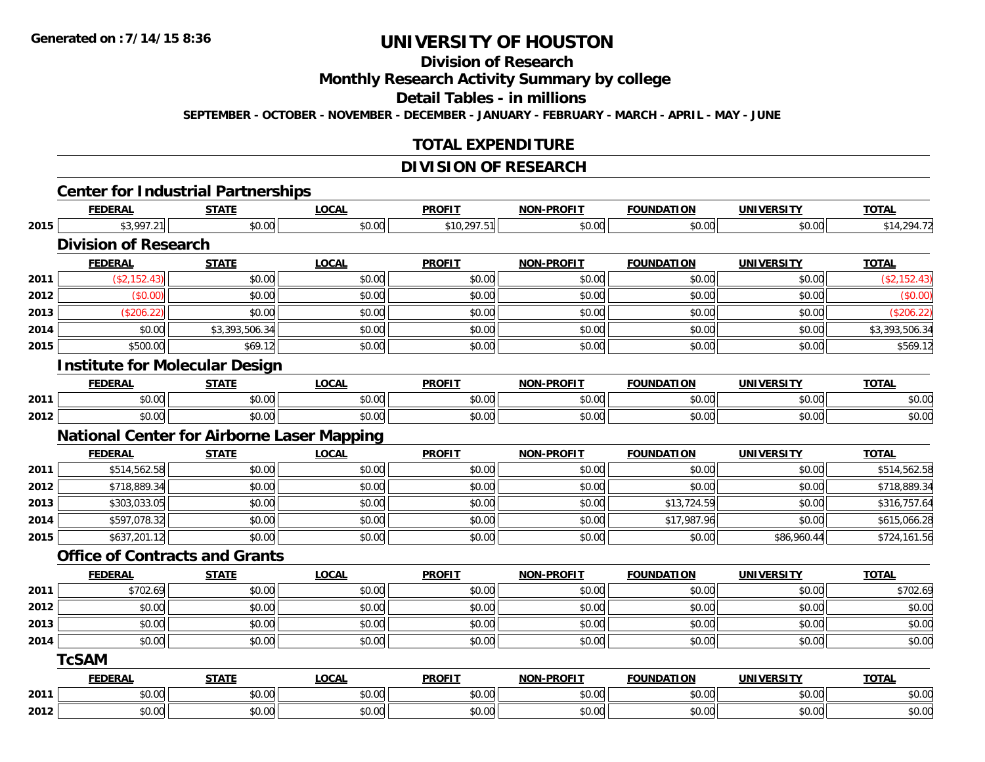# **Division of Research**

**Monthly Research Activity Summary by college**

**Detail Tables - in millions**

**SEPTEMBER - OCTOBER - NOVEMBER - DECEMBER - JANUARY - FEBRUARY - MARCH - APRIL - MAY - JUNE**

### **TOTAL EXPENDITURE**

# **DIVISION OF RESEARCH**

|      |                                       | <b>Center for Industrial Partnerships</b>         |              |               |                   |                   |                   |                |
|------|---------------------------------------|---------------------------------------------------|--------------|---------------|-------------------|-------------------|-------------------|----------------|
|      | <b>FEDERAL</b>                        | <b>STATE</b>                                      | <b>LOCAL</b> | <b>PROFIT</b> | <b>NON-PROFIT</b> | <b>FOUNDATION</b> | <b>UNIVERSITY</b> | <b>TOTAL</b>   |
| 2015 | \$3,997.21                            | \$0.00                                            | \$0.00       | \$10,297.51   | \$0.00            | \$0.00            | \$0.00            | \$14,294.72    |
|      | <b>Division of Research</b>           |                                                   |              |               |                   |                   |                   |                |
|      | <b>FEDERAL</b>                        | <b>STATE</b>                                      | <b>LOCAL</b> | <b>PROFIT</b> | <b>NON-PROFIT</b> | <b>FOUNDATION</b> | <b>UNIVERSITY</b> | <b>TOTAL</b>   |
| 2011 | (\$2,152.43)                          | \$0.00                                            | \$0.00       | \$0.00        | \$0.00            | \$0.00            | \$0.00            | (\$2,152.43)   |
| 2012 | (\$0.00)                              | \$0.00                                            | \$0.00       | \$0.00        | \$0.00            | \$0.00            | \$0.00            | (\$0.00)       |
| 2013 | (\$206.22)                            | \$0.00                                            | \$0.00       | \$0.00        | \$0.00            | \$0.00            | \$0.00            | (\$206.22)     |
| 2014 | \$0.00                                | \$3,393,506.34                                    | \$0.00       | \$0.00        | \$0.00            | \$0.00            | \$0.00            | \$3,393,506.34 |
| 2015 | \$500.00                              | \$69.12                                           | \$0.00       | \$0.00        | \$0.00            | \$0.00            | \$0.00            | \$569.12       |
|      | <b>Institute for Molecular Design</b> |                                                   |              |               |                   |                   |                   |                |
|      | <b>FEDERAL</b>                        | <b>STATE</b>                                      | <b>LOCAL</b> | <b>PROFIT</b> | <b>NON-PROFIT</b> | <b>FOUNDATION</b> | <b>UNIVERSITY</b> | <b>TOTAL</b>   |
| 2011 | \$0.00                                | \$0.00                                            | \$0.00       | \$0.00        | \$0.00            | \$0.00            | \$0.00            | \$0.00         |
| 2012 | \$0.00                                | \$0.00                                            | \$0.00       | \$0.00        | \$0.00            | \$0.00            | \$0.00            | \$0.00         |
|      |                                       | <b>National Center for Airborne Laser Mapping</b> |              |               |                   |                   |                   |                |
|      | <b>FEDERAL</b>                        | <b>STATE</b>                                      | <b>LOCAL</b> | <b>PROFIT</b> | NON-PROFIT        | <b>FOUNDATION</b> | <b>UNIVERSITY</b> | <b>TOTAL</b>   |
| 2011 | \$514,562.58                          | \$0.00                                            | \$0.00       | \$0.00        | \$0.00            | \$0.00            | \$0.00            | \$514,562.58   |
| 2012 | \$718,889.34                          | \$0.00                                            | \$0.00       | \$0.00        | \$0.00            | \$0.00            | \$0.00            | \$718,889.34   |
| 2013 | \$303,033.05                          | \$0.00                                            | \$0.00       | \$0.00        | \$0.00            | \$13,724.59       | \$0.00            | \$316,757.64   |
| 2014 | \$597,078.32                          | \$0.00                                            | \$0.00       | \$0.00        | \$0.00            | \$17,987.96       | \$0.00            | \$615,066.28   |
| 2015 | \$637,201.12                          | \$0.00                                            | \$0.00       | \$0.00        | \$0.00            | \$0.00            | \$86,960.44       | \$724,161.56   |
|      | <b>Office of Contracts and Grants</b> |                                                   |              |               |                   |                   |                   |                |
|      | <b>FEDERAL</b>                        | <b>STATE</b>                                      | <b>LOCAL</b> | <b>PROFIT</b> | NON-PROFIT        | <b>FOUNDATION</b> | <b>UNIVERSITY</b> | <b>TOTAL</b>   |
| 2011 | \$702.69                              | \$0.00                                            | \$0.00       | \$0.00        | \$0.00            | \$0.00            | \$0.00            | \$702.69       |
| 2012 | \$0.00                                | \$0.00                                            | \$0.00       | \$0.00        | \$0.00            | \$0.00            | \$0.00            | \$0.00         |
| 2013 | \$0.00                                | \$0.00                                            | \$0.00       | \$0.00        | \$0.00            | \$0.00            | \$0.00            | \$0.00         |
| 2014 | \$0.00                                | \$0.00                                            | \$0.00       | \$0.00        | \$0.00            | \$0.00            | \$0.00            | \$0.00         |
|      | <b>TcSAM</b>                          |                                                   |              |               |                   |                   |                   |                |
|      | <b>FEDERAL</b>                        | <b>STATE</b>                                      | <b>LOCAL</b> | <b>PROFIT</b> | <b>NON-PROFIT</b> | <b>FOUNDATION</b> | <b>UNIVERSITY</b> | <b>TOTAL</b>   |
| 2011 | \$0.00                                | \$0.00                                            | \$0.00       | \$0.00        | \$0.00            | \$0.00            | \$0.00            | \$0.00         |
| 2012 | \$0.00                                | \$0.00                                            | \$0.00       | \$0.00        | \$0.00            | \$0.00            | \$0.00            | \$0.00         |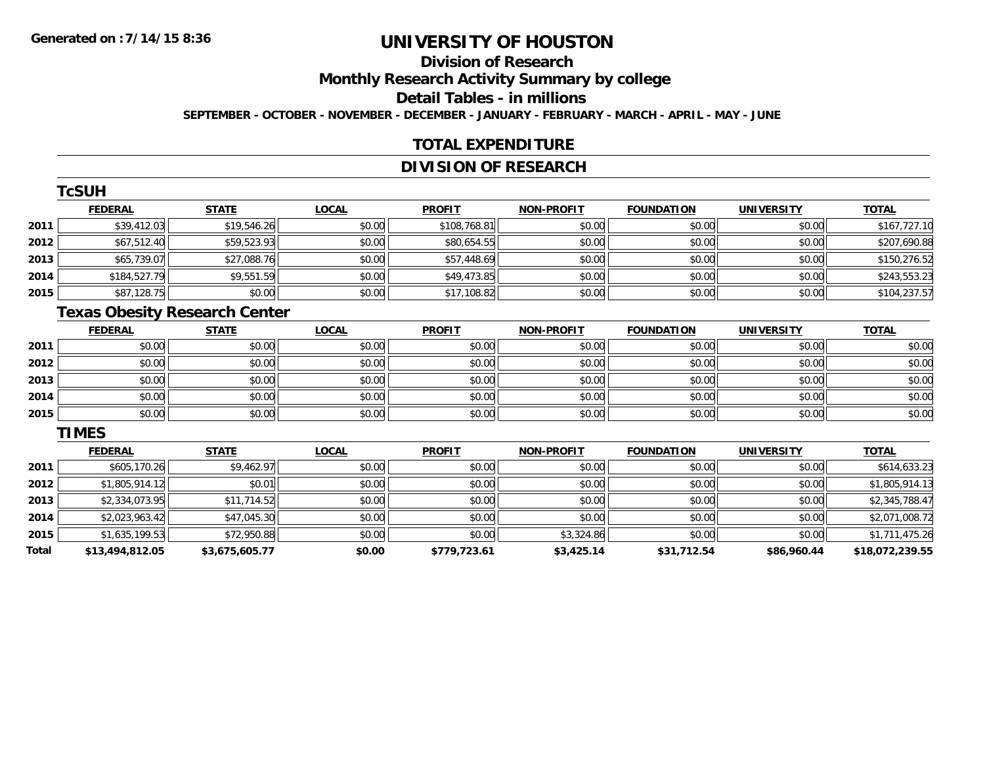# **Division of Research**

**Monthly Research Activity Summary by college**

**Detail Tables - in millions**

**SEPTEMBER - OCTOBER - NOVEMBER - DECEMBER - JANUARY - FEBRUARY - MARCH - APRIL - MAY - JUNE**

### **TOTAL EXPENDITURE**

## **DIVISION OF RESEARCH**

|      | <b>TcSUH</b>   |              |              |               |                   |                   |                   |              |
|------|----------------|--------------|--------------|---------------|-------------------|-------------------|-------------------|--------------|
|      | <b>FEDERAL</b> | <b>STATE</b> | <b>LOCAL</b> | <b>PROFIT</b> | <b>NON-PROFIT</b> | <b>FOUNDATION</b> | <b>UNIVERSITY</b> | <b>TOTAL</b> |
| 2011 | \$39,412.03    | \$19,546.26  | \$0.00       | \$108,768.81  | \$0.00            | \$0.00            | \$0.00            | \$167,727.10 |
| 2012 | \$67,512.40    | \$59,523.93  | \$0.00       | \$80,654.55   | \$0.00            | \$0.00            | \$0.00            | \$207,690.88 |
| 2013 | \$65,739.07    | \$27,088.76  | \$0.00       | \$57,448.69   | \$0.00            | \$0.00            | \$0.00            | \$150,276.52 |
| 2014 | \$184,527.79   | \$9,551.59   | \$0.00       | \$49,473.85   | \$0.00            | \$0.00            | \$0.00            | \$243,553.23 |
| 2015 | \$87,128.75    | \$0.00       | \$0.00       | \$17,108.82   | \$0.00            | \$0.00            | \$0.00            | \$104,237.57 |

### **Texas Obesity Research Center**

|      | <b>FEDERAL</b> | <b>STATE</b> | <u>LOCAL</u> | <b>PROFIT</b> | <b>NON-PROFIT</b> | <b>FOUNDATION</b> | <b>UNIVERSITY</b> | <b>TOTAL</b> |
|------|----------------|--------------|--------------|---------------|-------------------|-------------------|-------------------|--------------|
| 2011 | \$0.00         | \$0.00       | \$0.00       | \$0.00        | \$0.00            | \$0.00            | \$0.00            | \$0.00       |
| 2012 | \$0.00         | \$0.00       | \$0.00       | \$0.00        | \$0.00            | \$0.00            | \$0.00            | \$0.00       |
| 2013 | \$0.00         | \$0.00       | \$0.00       | \$0.00        | \$0.00            | \$0.00            | \$0.00            | \$0.00       |
| 2014 | \$0.00         | \$0.00       | \$0.00       | \$0.00        | \$0.00            | \$0.00            | \$0.00            | \$0.00       |
| 2015 | \$0.00         | \$0.00       | \$0.00       | \$0.00        | \$0.00            | \$0.00            | \$0.00            | \$0.00       |

#### **TIMES**

|       | <b>FEDERAL</b>  | <b>STATE</b>   | <b>LOCAL</b> | <b>PROFIT</b> | <b>NON-PROFIT</b> | <b>FOUNDATION</b> | <b>UNIVERSITY</b> | <b>TOTAL</b>    |
|-------|-----------------|----------------|--------------|---------------|-------------------|-------------------|-------------------|-----------------|
| 2011  | \$605,170.26    | \$9,462.97     | \$0.00       | \$0.00        | \$0.00            | \$0.00            | \$0.00            | \$614,633.23    |
| 2012  | \$1,805,914.12  | \$0.01         | \$0.00       | \$0.00        | \$0.00            | \$0.00            | \$0.00            | \$1,805,914.13  |
| 2013  | \$2,334,073.95  | \$11,714.52    | \$0.00       | \$0.00        | \$0.00            | \$0.00            | \$0.00            | \$2,345,788.47  |
| 2014  | \$2,023,963.42  | \$47,045.30    | \$0.00       | \$0.00        | \$0.00            | \$0.00            | \$0.00            | \$2,071,008.72  |
| 2015  | \$1,635,199.53  | \$72,950.88    | \$0.00       | \$0.00        | \$3,324.86        | \$0.00            | \$0.00            | \$1,711,475.26  |
| Total | \$13,494,812.05 | \$3,675,605.77 | \$0.00       | \$779,723.61  | \$3,425.14        | \$31,712.54       | \$86,960.44       | \$18,072,239.55 |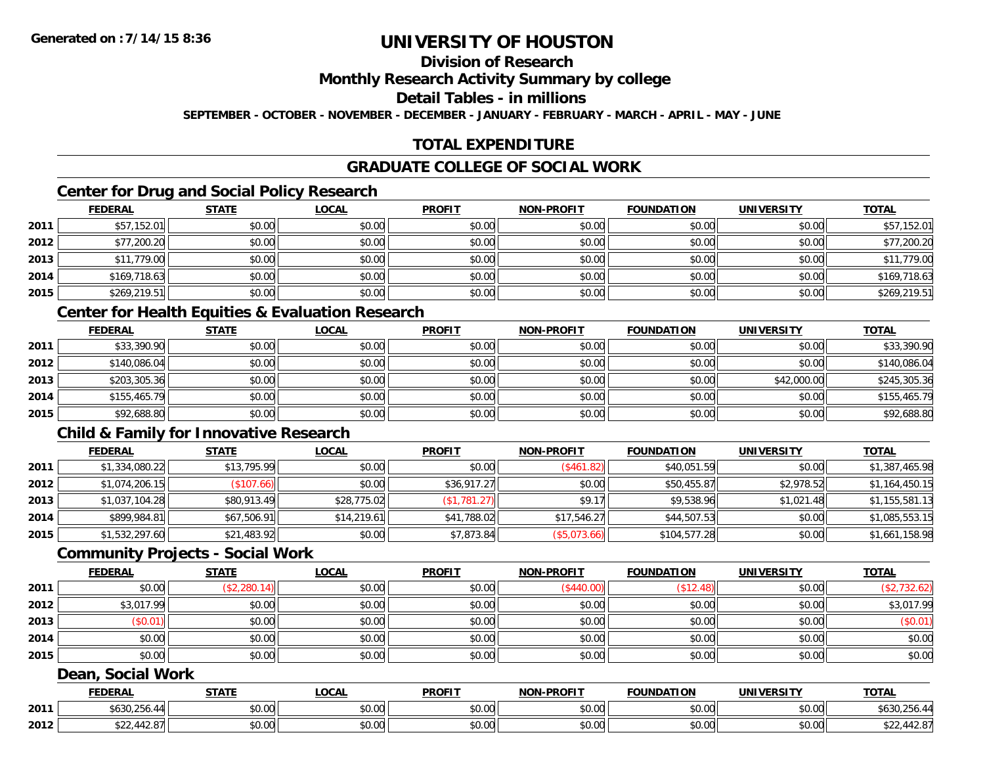# **Division of Research**

### **Monthly Research Activity Summary by college**

#### **Detail Tables - in millions**

**SEPTEMBER - OCTOBER - NOVEMBER - DECEMBER - JANUARY - FEBRUARY - MARCH - APRIL - MAY - JUNE**

# **TOTAL EXPENDITURE**

### **GRADUATE COLLEGE OF SOCIAL WORK**

# **Center for Drug and Social Policy Research**

|      | <b>FEDERAL</b> | <b>STATE</b> | <u>LOCAL</u> | <b>PROFIT</b> | <b>NON-PROFIT</b> | <b>FOUNDATION</b> | <b>UNIVERSITY</b> | <b>TOTAL</b> |
|------|----------------|--------------|--------------|---------------|-------------------|-------------------|-------------------|--------------|
| 2011 | \$57,152.01    | \$0.00       | \$0.00       | \$0.00        | \$0.00            | \$0.00            | \$0.00            | \$57,152.01  |
| 2012 | \$77,200.20    | \$0.00       | \$0.00       | \$0.00        | \$0.00            | \$0.00            | \$0.00            | \$77,200.20  |
| 2013 | \$11,779.00    | \$0.00       | \$0.00       | \$0.00        | \$0.00            | \$0.00            | \$0.00            | \$11,779.00  |
| 2014 | \$169,718.63   | \$0.00       | \$0.00       | \$0.00        | \$0.00            | \$0.00            | \$0.00            | \$169,718.63 |
| 2015 | \$269,219.51   | \$0.00       | \$0.00       | \$0.00        | \$0.00            | \$0.00            | \$0.00            | \$269,219.51 |

### **Center for Health Equities & Evaluation Research**

|      | <b>FEDERAL</b> | <b>STATE</b> | <b>LOCAL</b> | <b>PROFIT</b> | <b>NON-PROFIT</b> | <b>FOUNDATION</b> | <b>UNIVERSITY</b> | <b>TOTAL</b> |
|------|----------------|--------------|--------------|---------------|-------------------|-------------------|-------------------|--------------|
| 2011 | \$33,390.90    | \$0.00       | \$0.00       | \$0.00        | \$0.00            | \$0.00            | \$0.00            | \$33,390.90  |
| 2012 | \$140,086.04   | \$0.00       | \$0.00       | \$0.00        | \$0.00            | \$0.00            | \$0.00            | \$140,086.04 |
| 2013 | \$203,305.36   | \$0.00       | \$0.00       | \$0.00        | \$0.00            | \$0.00            | \$42,000.00       | \$245,305.36 |
| 2014 | \$155,465.79   | \$0.00       | \$0.00       | \$0.00        | \$0.00            | \$0.00            | \$0.00            | \$155,465.79 |
| 2015 | \$92,688.80    | \$0.00       | \$0.00       | \$0.00        | \$0.00            | \$0.00            | \$0.00            | \$92,688.80  |

# **Child & Family for Innovative Research**

|      | <b>FEDERAL</b> | <b>STATE</b>       | <b>LOCAL</b> | <b>PROFIT</b> | <b>NON-PROFIT</b> | <b>FOUNDATION</b> | <b>UNIVERSITY</b> | <b>TOTAL</b>   |
|------|----------------|--------------------|--------------|---------------|-------------------|-------------------|-------------------|----------------|
| 2011 | \$1,334,080.22 | \$13,795.99        | \$0.00       | \$0.00        | (S461.82)         | \$40,051.59       | \$0.00            | \$1,387,465.98 |
| 2012 | \$1,074,206.15 | $($ \$107.66) $  $ | \$0.00       | \$36,917.27   | \$0.00            | \$50,455.87       | \$2,978.52        | \$1,164,450.15 |
| 2013 | \$1,037,104.28 | \$80,913.49        | \$28,775.02  | (\$1,781.27)  | \$9.17            | \$9,538.96        | \$1,021.48        | \$1,155,581.13 |
| 2014 | \$899,984.81   | \$67,506.91        | \$14.219.61  | \$41,788.02   | \$17,546.27       | \$44,507.53       | \$0.00            | \$1,085,553.15 |
| 2015 | \$1,532,297.60 | \$21,483.92        | \$0.00       | \$7,873.84    | (\$5,073.66)      | \$104,577.28      | \$0.00            | \$1,661,158.98 |

#### **Community Projects - Social Work**

|      | <u>FEDERAL</u> | <b>STATE</b> | <b>LOCAL</b> | <b>PROFIT</b> | <b>NON-PROFIT</b> | <b>FOUNDATION</b> | <b>UNIVERSITY</b> | <b>TOTAL</b> |
|------|----------------|--------------|--------------|---------------|-------------------|-------------------|-------------------|--------------|
| 2011 | \$0.00         | (\$2,280.14) | \$0.00       | \$0.00        | (\$440.00)        | \$12.48           | \$0.00            | (\$2,732.62) |
| 2012 | \$3,017.99     | \$0.00       | \$0.00       | \$0.00        | \$0.00            | \$0.00            | \$0.00            | \$3,017.99   |
| 2013 | (\$0.01)       | \$0.00       | \$0.00       | \$0.00        | \$0.00            | \$0.00            | \$0.00            | (\$0.01)     |
| 2014 | \$0.00         | \$0.00       | \$0.00       | \$0.00        | \$0.00            | \$0.00            | \$0.00            | \$0.00       |
| 2015 | \$0.00         | \$0.00       | \$0.00       | \$0.00        | \$0.00            | \$0.00            | \$0.00            | \$0.00       |

#### **Dean, Social Work**

|      | <b>FEDERAI</b> | <b>STATI</b>                             | LOCAI                             | <b>PROFIT</b> | <b>.PROFIT</b><br><b>NON</b> | <b>FOUNDAT</b><br>. | IINIVE<br>DC IT           | <b>TOTAL</b>      |
|------|----------------|------------------------------------------|-----------------------------------|---------------|------------------------------|---------------------|---------------------------|-------------------|
| 2011 | A122           | ÷0.<br>$\sim$<br>₽∪.∪∪                   | $\sim$ 00<br>DU.UU                | \$0.00        | \$0.00                       | 0000<br>vv.vv       | t∩ ∩∩∥<br><b>PU.UU</b>    | .n.<br>U,Z50.4°   |
| 2012 | 44<br>+ ∠ . O  | $\uparrow$ $\uparrow$<br>$\sim$<br>₽U.UU | $*$ $\cap$ $\cap$ $\cap$<br>DU.UG | \$0.00        | \$0.00                       | 0000<br>vv.vv       | $\sim$ 00<br><b>DU.UG</b> | $-$ , $-1$ $   -$ |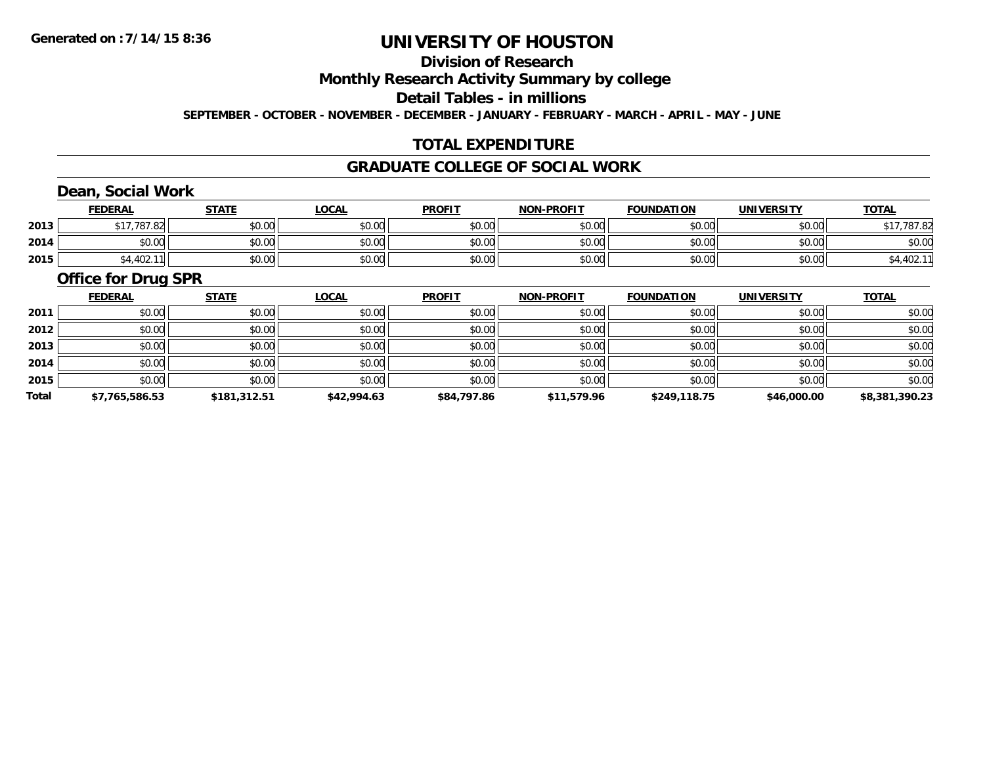# **Division of Research**

**Monthly Research Activity Summary by college**

**Detail Tables - in millions**

**SEPTEMBER - OCTOBER - NOVEMBER - DECEMBER - JANUARY - FEBRUARY - MARCH - APRIL - MAY - JUNE**

### **TOTAL EXPENDITURE**

#### **GRADUATE COLLEGE OF SOCIAL WORK**

# **Dean, Social Work**

|      | <b>FEDERAL</b>    | <b>STATE</b> | <u>LOCAL</u> | <b>PROFIT</b> | <b>NON-PROFIT</b> | <b>FOUNDATION</b> | <b>UNIVERSITY</b> | <b>TOTAL</b> |
|------|-------------------|--------------|--------------|---------------|-------------------|-------------------|-------------------|--------------|
| 2013 | .787.82<br>$AA =$ | \$0.00       | \$0.00       | \$0.00        | \$0.00            | \$0.00            | \$0.00            | .787.82      |
| 2014 | \$0.00            | \$0.00       | \$0.00       | \$0.00        | \$0.00            | \$0.00            | \$0.00            | \$0.00       |
| 2015 | \$4,402.          | \$0.00       | \$0.00       | \$0.00        | \$0.00            | \$0.00            | \$0.00            | 04,4UZ.      |

#### **Office for Drug SPR**

|       | <b>FEDERAL</b> | <b>STATE</b> | <b>LOCAL</b> | <b>PROFIT</b> | <b>NON-PROFIT</b> | <b>FOUNDATION</b> | <b>UNIVERSITY</b> | <b>TOTAL</b>   |
|-------|----------------|--------------|--------------|---------------|-------------------|-------------------|-------------------|----------------|
| 2011  | \$0.00         | \$0.00       | \$0.00       | \$0.00        | \$0.00            | \$0.00            | \$0.00            | \$0.00         |
| 2012  | \$0.00         | \$0.00       | \$0.00       | \$0.00        | \$0.00            | \$0.00            | \$0.00            | \$0.00         |
| 2013  | \$0.00         | \$0.00       | \$0.00       | \$0.00        | \$0.00            | \$0.00            | \$0.00            | \$0.00         |
| 2014  | \$0.00         | \$0.00       | \$0.00       | \$0.00        | \$0.00            | \$0.00            | \$0.00            | \$0.00         |
| 2015  | \$0.00         | \$0.00       | \$0.00       | \$0.00        | \$0.00            | \$0.00            | \$0.00            | \$0.00         |
| Total | \$7,765,586.53 | \$181,312.51 | \$42,994.63  | \$84,797.86   | \$11,579.96       | \$249,118.75      | \$46,000.00       | \$8,381,390.23 |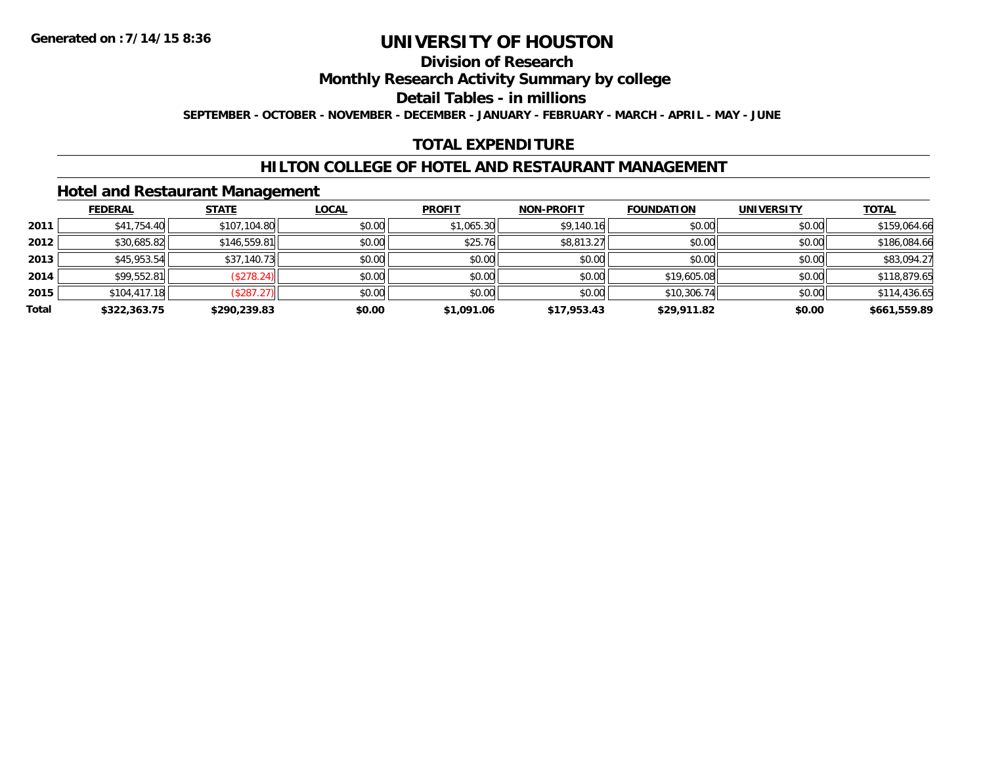### **Division of Research**

**Monthly Research Activity Summary by college**

**Detail Tables - in millions**

**SEPTEMBER - OCTOBER - NOVEMBER - DECEMBER - JANUARY - FEBRUARY - MARCH - APRIL - MAY - JUNE**

# **TOTAL EXPENDITURE**

### **HILTON COLLEGE OF HOTEL AND RESTAURANT MANAGEMENT**

### **Hotel and Restaurant Management**

|       | <b>FEDERAL</b> | <b>STATE</b>      | <u>LOCAL</u> | <b>PROFIT</b> | <b>NON-PROFIT</b> | <b>FOUNDATION</b> | <b>UNIVERSITY</b> | <b>TOTAL</b> |
|-------|----------------|-------------------|--------------|---------------|-------------------|-------------------|-------------------|--------------|
| 2011  | \$41,754.40    | \$107,104.80      | \$0.00       | \$1,065.30    | \$9,140.16        | \$0.00            | \$0.00            | \$159,064.66 |
| 2012  | \$30,685.82    | \$146,559.81      | \$0.00       | \$25.76       | \$8,813.27        | \$0.00            | \$0.00            | \$186,084.66 |
| 2013  | \$45,953.54    | \$37,140.73       | \$0.00       | \$0.00        | \$0.00            | \$0.00            | \$0.00            | \$83,094.27  |
| 2014  | \$99,552.81    | (\$278.24)        | \$0.00       | \$0.00        | \$0.00            | \$19,605.08       | \$0.00            | \$118,879.65 |
| 2015  | \$104,417.18   | $($ \$287.27) $ $ | \$0.00       | \$0.00        | \$0.00            | \$10,306.74       | \$0.00            | \$114,436.65 |
| Total | \$322,363.75   | \$290,239.83      | \$0.00       | \$1,091.06    | \$17,953.43       | \$29,911.82       | \$0.00            | \$661,559.89 |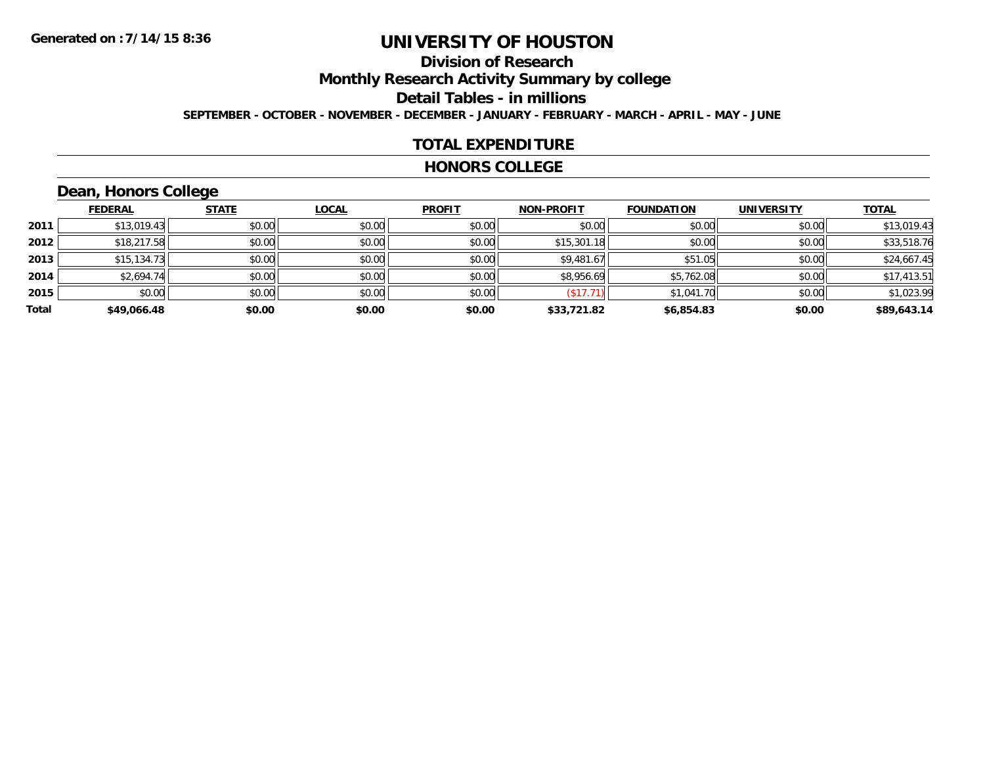# **Division of Research**

**Monthly Research Activity Summary by college**

**Detail Tables - in millions**

**SEPTEMBER - OCTOBER - NOVEMBER - DECEMBER - JANUARY - FEBRUARY - MARCH - APRIL - MAY - JUNE**

### **TOTAL EXPENDITURE**

#### **HONORS COLLEGE**

# **Dean, Honors College**

|       |                | __           |              |               |                   |                   |                   |              |
|-------|----------------|--------------|--------------|---------------|-------------------|-------------------|-------------------|--------------|
|       | <b>FEDERAL</b> | <b>STATE</b> | <b>LOCAL</b> | <b>PROFIT</b> | <b>NON-PROFIT</b> | <b>FOUNDATION</b> | <b>UNIVERSITY</b> | <b>TOTAL</b> |
| 2011  | \$13,019.43    | \$0.00       | \$0.00       | \$0.00        | \$0.00            | \$0.00            | \$0.00            | \$13,019.43  |
| 2012  | \$18,217.58    | \$0.00       | \$0.00       | \$0.00        | \$15,301.18       | \$0.00            | \$0.00            | \$33,518.76  |
| 2013  | \$15,134.73    | \$0.00       | \$0.00       | \$0.00        | \$9,481.67        | \$51.05           | \$0.00            | \$24,667.45  |
| 2014  | \$2,694.74     | \$0.00       | \$0.00       | \$0.00        | \$8,956.69        | \$5,762.08        | \$0.00            | \$17,413.51  |
| 2015  | \$0.00         | \$0.00       | \$0.00       | \$0.00        | $($ \$17.71)      | \$1,041.70        | \$0.00            | \$1,023.99   |
| Total | \$49,066.48    | \$0.00       | \$0.00       | \$0.00        | \$33,721.82       | \$6,854.83        | \$0.00            | \$89,643.14  |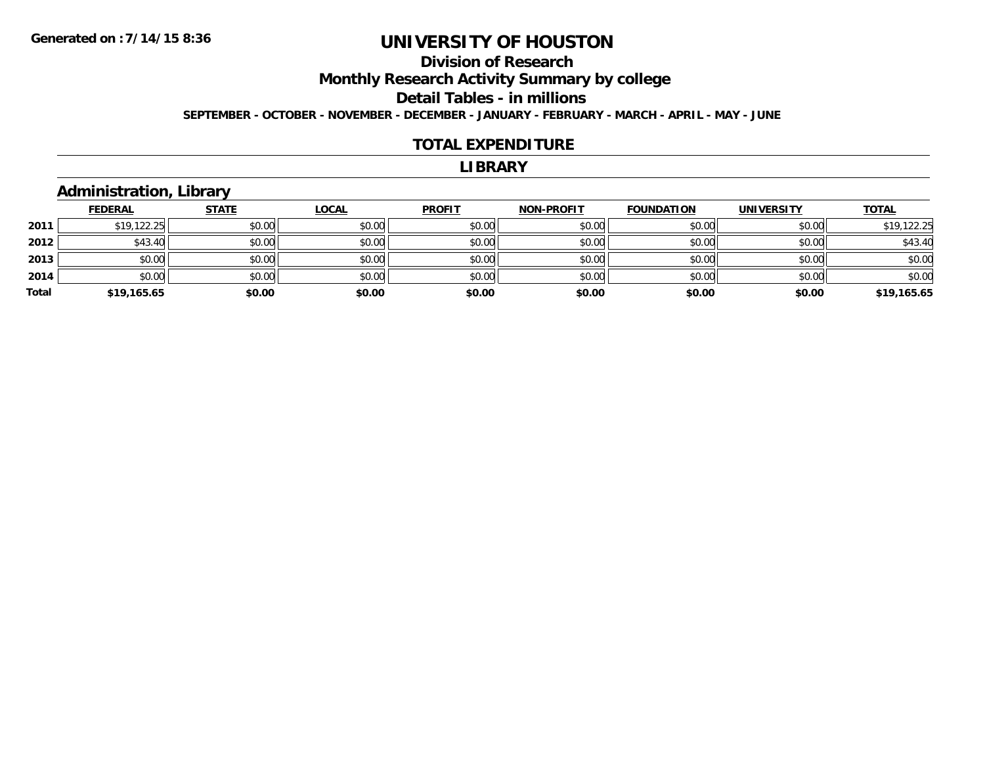# **Division of Research**

**Monthly Research Activity Summary by college**

#### **Detail Tables - in millions**

**SEPTEMBER - OCTOBER - NOVEMBER - DECEMBER - JANUARY - FEBRUARY - MARCH - APRIL - MAY - JUNE**

#### **TOTAL EXPENDITURE**

#### **LIBRARY**

### **Administration, Library**

|       | <b>FEDERAL</b> | <b>STATE</b> | <u>LOCAL</u> | <b>PROFIT</b> | <b>NON-PROFIT</b> | <b>FOUNDATION</b> | <b>UNIVERSITY</b> | <b>TOTAL</b> |
|-------|----------------|--------------|--------------|---------------|-------------------|-------------------|-------------------|--------------|
| 2011  | \$19,122.25    | \$0.00       | \$0.00       | \$0.00        | \$0.00            | \$0.00            | \$0.00            | \$19,122.25  |
| 2012  | \$43.40        | \$0.00       | \$0.00       | \$0.00        | \$0.00            | \$0.00            | \$0.00            | \$43.40      |
| 2013  | \$0.00         | \$0.00       | \$0.00       | \$0.00        | \$0.00            | \$0.00            | \$0.00            | \$0.00       |
| 2014  | \$0.00         | \$0.00       | \$0.00       | \$0.00        | \$0.00            | \$0.00            | \$0.00            | \$0.00       |
| Total | \$19,165.65    | \$0.00       | \$0.00       | \$0.00        | \$0.00            | \$0.00            | \$0.00            | \$19,165.65  |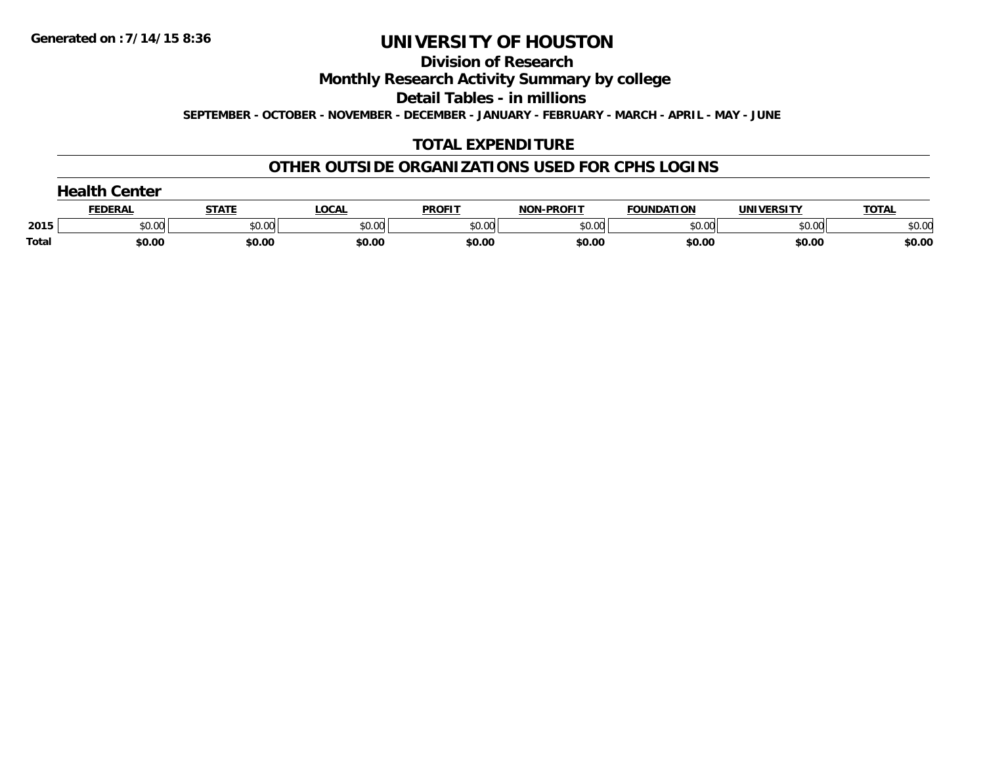**Division of Research**

**Monthly Research Activity Summary by college**

**Detail Tables - in millions**

**SEPTEMBER - OCTOBER - NOVEMBER - DECEMBER - JANUARY - FEBRUARY - MARCH - APRIL - MAY - JUNE**

# **TOTAL EXPENDITURE**

### **OTHER OUTSIDE ORGANIZATIONS USED FOR CPHS LOGINS**

|       | anglik C<br>Center |              |              |               |                   |                   |                   |              |  |
|-------|--------------------|--------------|--------------|---------------|-------------------|-------------------|-------------------|--------------|--|
|       | <b>FEDERAL</b>     | <b>STATE</b> | <b>LOCAL</b> | <b>PROFIT</b> | <b>NON-PROFIT</b> | <b>FOUNDATION</b> | <b>UNIVERSITY</b> | <b>TOTAL</b> |  |
| 2015  | \$0.00             | \$0.00       | \$0.00       | \$0.00        | \$0.00            | \$0.00            | \$0.00            | \$0.00       |  |
| Total | \$0.00             | \$0.00       | \$0.00       | \$0.00        | \$0.00            | \$0.00            | \$0.00            | \$0.00       |  |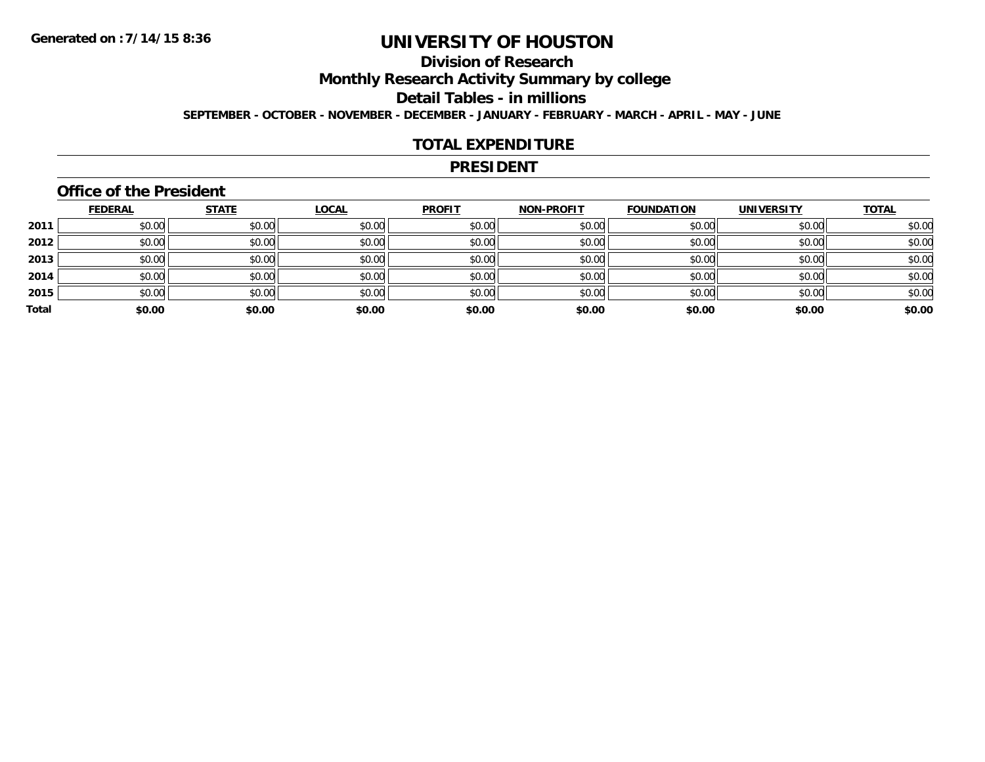# **Division of Research**

**Monthly Research Activity Summary by college**

**Detail Tables - in millions**

**SEPTEMBER - OCTOBER - NOVEMBER - DECEMBER - JANUARY - FEBRUARY - MARCH - APRIL - MAY - JUNE**

### **TOTAL EXPENDITURE**

#### **PRESIDENT**

### **Office of the President**

|       | <b>FEDERAL</b> | <b>STATE</b> | <b>LOCAL</b> | <b>PROFIT</b> | <b>NON-PROFIT</b> | <b>FOUNDATION</b> | <b>UNIVERSITY</b> | <b>TOTAL</b> |
|-------|----------------|--------------|--------------|---------------|-------------------|-------------------|-------------------|--------------|
| 2011  | \$0.00         | \$0.00       | \$0.00       | \$0.00        | \$0.00            | \$0.00            | \$0.00            | \$0.00       |
| 2012  | \$0.00         | \$0.00       | \$0.00       | \$0.00        | \$0.00            | \$0.00            | \$0.00            | \$0.00       |
| 2013  | \$0.00         | \$0.00       | \$0.00       | \$0.00        | \$0.00            | \$0.00            | \$0.00            | \$0.00       |
| 2014  | \$0.00         | \$0.00       | \$0.00       | \$0.00        | \$0.00            | \$0.00            | \$0.00            | \$0.00       |
| 2015  | \$0.00         | \$0.00       | \$0.00       | \$0.00        | \$0.00            | \$0.00            | \$0.00            | \$0.00       |
| Total | \$0.00         | \$0.00       | \$0.00       | \$0.00        | \$0.00            | \$0.00            | \$0.00            | \$0.00       |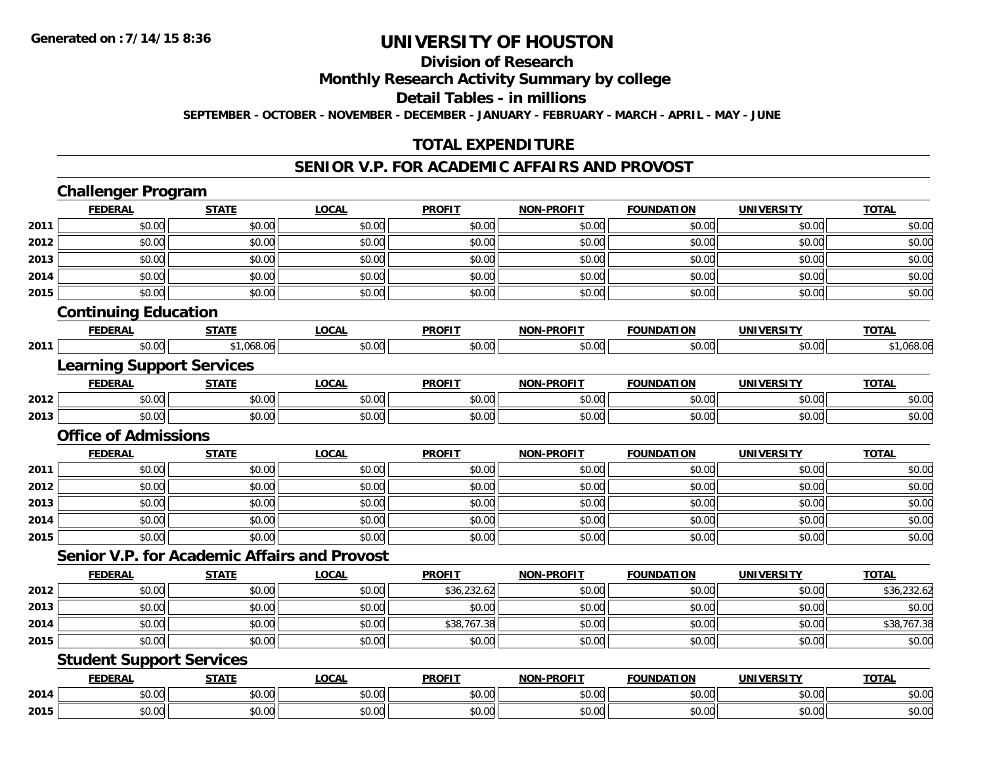#### **Division of Research**

**Monthly Research Activity Summary by college**

**Detail Tables - in millions**

**SEPTEMBER - OCTOBER - NOVEMBER - DECEMBER - JANUARY - FEBRUARY - MARCH - APRIL - MAY - JUNE**

### **TOTAL EXPENDITURE**

#### **SENIOR V.P. FOR ACADEMIC AFFAIRS AND PROVOST**

|      | <b>Challenger Program</b>                    |              |              |               |                   |                   |                   |              |
|------|----------------------------------------------|--------------|--------------|---------------|-------------------|-------------------|-------------------|--------------|
|      | <b>FEDERAL</b>                               | <b>STATE</b> | <b>LOCAL</b> | <b>PROFIT</b> | <b>NON-PROFIT</b> | <b>FOUNDATION</b> | <b>UNIVERSITY</b> | <b>TOTAL</b> |
| 2011 | \$0.00                                       | \$0.00       | \$0.00       | \$0.00        | \$0.00            | \$0.00            | \$0.00            | \$0.00       |
| 2012 | \$0.00                                       | \$0.00       | \$0.00       | \$0.00        | \$0.00            | \$0.00            | \$0.00            | \$0.00       |
| 2013 | \$0.00                                       | \$0.00       | \$0.00       | \$0.00        | \$0.00            | \$0.00            | \$0.00            | \$0.00       |
| 2014 | \$0.00                                       | \$0.00       | \$0.00       | \$0.00        | \$0.00            | \$0.00            | \$0.00            | \$0.00       |
| 2015 | \$0.00                                       | \$0.00       | \$0.00       | \$0.00        | \$0.00            | \$0.00            | \$0.00            | \$0.00       |
|      | <b>Continuing Education</b>                  |              |              |               |                   |                   |                   |              |
|      | <b>FEDERAL</b>                               | <b>STATE</b> | <b>LOCAL</b> | <b>PROFIT</b> | <b>NON-PROFIT</b> | <b>FOUNDATION</b> | <b>UNIVERSITY</b> | <b>TOTAL</b> |
| 2011 | \$0.00                                       | \$1,068.06   | \$0.00       | \$0.00        | \$0.00            | \$0.00            | \$0.00            | \$1,068.06   |
|      | <b>Learning Support Services</b>             |              |              |               |                   |                   |                   |              |
|      | <b>FEDERAL</b>                               | <b>STATE</b> | <b>LOCAL</b> | <b>PROFIT</b> | <b>NON-PROFIT</b> | <b>FOUNDATION</b> | <b>UNIVERSITY</b> | <b>TOTAL</b> |
| 2012 | \$0.00                                       | \$0.00       | \$0.00       | \$0.00        | \$0.00            | \$0.00            | \$0.00            | \$0.00       |
| 2013 | \$0.00                                       | \$0.00       | \$0.00       | \$0.00        | \$0.00            | \$0.00            | \$0.00            | \$0.00       |
|      | <b>Office of Admissions</b>                  |              |              |               |                   |                   |                   |              |
|      | <b>FEDERAL</b>                               | <b>STATE</b> | <b>LOCAL</b> | <b>PROFIT</b> | NON-PROFIT        | <b>FOUNDATION</b> | <b>UNIVERSITY</b> | <b>TOTAL</b> |
| 2011 | \$0.00                                       | \$0.00       | \$0.00       | \$0.00        | \$0.00            | \$0.00            | \$0.00            | \$0.00       |
| 2012 | \$0.00                                       | \$0.00       | \$0.00       | \$0.00        | \$0.00            | \$0.00            | \$0.00            | \$0.00       |
| 2013 | \$0.00                                       | \$0.00       | \$0.00       | \$0.00        | \$0.00            | \$0.00            | \$0.00            | \$0.00       |
| 2014 | \$0.00                                       | \$0.00       | \$0.00       | \$0.00        | \$0.00            | \$0.00            | \$0.00            | \$0.00       |
| 2015 | \$0.00                                       | \$0.00       | \$0.00       | \$0.00        | \$0.00            | \$0.00            | \$0.00            | \$0.00       |
|      | Senior V.P. for Academic Affairs and Provost |              |              |               |                   |                   |                   |              |
|      | <b>FEDERAL</b>                               | <b>STATE</b> | <b>LOCAL</b> | <b>PROFIT</b> | <b>NON-PROFIT</b> | <b>FOUNDATION</b> | <b>UNIVERSITY</b> | <b>TOTAL</b> |
| 2012 | \$0.00                                       | \$0.00       | \$0.00       | \$36,232.62   | \$0.00            | \$0.00            | \$0.00            | \$36,232.62  |
| 2013 | \$0.00                                       | \$0.00       | \$0.00       | \$0.00        | \$0.00            | \$0.00            | \$0.00            | \$0.00       |
| 2014 | \$0.00                                       | \$0.00       | \$0.00       | \$38,767.38   | \$0.00            | \$0.00            | \$0.00            | \$38,767.38  |
| 2015 | \$0.00                                       | \$0.00       | \$0.00       | \$0.00        | \$0.00            | \$0.00            | \$0.00            | \$0.00       |
|      | <b>Student Support Services</b>              |              |              |               |                   |                   |                   |              |
|      | <b>FEDERAL</b>                               | <b>STATE</b> | <b>LOCAL</b> | <b>PROFIT</b> | <b>NON-PROFIT</b> | <b>FOUNDATION</b> | <b>UNIVERSITY</b> | <b>TOTAL</b> |
| 2014 | \$0.00                                       | \$0.00       | \$0.00       | \$0.00        | \$0.00            | \$0.00            | \$0.00            | \$0.00       |
| 2015 | \$0.00                                       | \$0.00       | \$0.00       | \$0.00        | \$0.00            | \$0.00            | \$0.00            | \$0.00       |
|      |                                              |              |              |               |                   |                   |                   |              |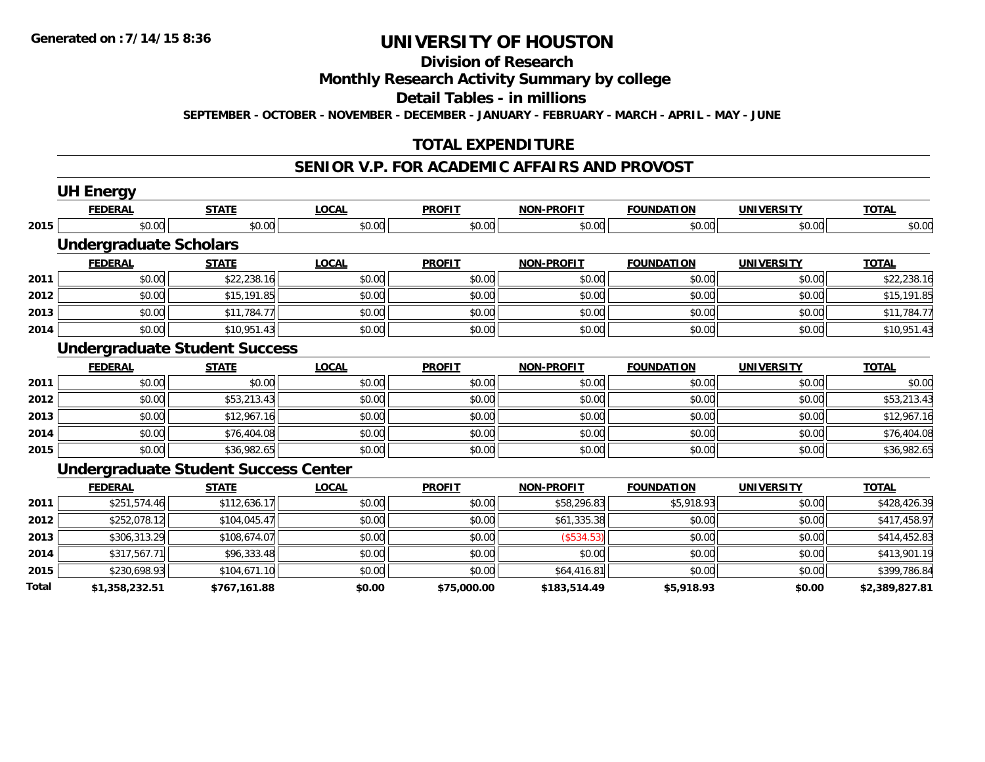# **Division of Research**

### **Monthly Research Activity Summary by college**

#### **Detail Tables - in millions**

**SEPTEMBER - OCTOBER - NOVEMBER - DECEMBER - JANUARY - FEBRUARY - MARCH - APRIL - MAY - JUNE**

### **TOTAL EXPENDITURE**

#### **SENIOR V.P. FOR ACADEMIC AFFAIRS AND PROVOST**

|       | <b>UH Energy</b>                            |              |              |               |                   |                   |                   |                |
|-------|---------------------------------------------|--------------|--------------|---------------|-------------------|-------------------|-------------------|----------------|
|       | <b>FEDERAL</b>                              | <b>STATE</b> | <b>LOCAL</b> | <b>PROFIT</b> | <b>NON-PROFIT</b> | <b>FOUNDATION</b> | <b>UNIVERSITY</b> | <b>TOTAL</b>   |
| 2015  | \$0.00                                      | \$0.00       | \$0.00       | \$0.00        | \$0.00            | \$0.00            | \$0.00            | \$0.00         |
|       | <b>Undergraduate Scholars</b>               |              |              |               |                   |                   |                   |                |
|       | <b>FEDERAL</b>                              | <b>STATE</b> | <b>LOCAL</b> | <b>PROFIT</b> | <b>NON-PROFIT</b> | <b>FOUNDATION</b> | <b>UNIVERSITY</b> | <b>TOTAL</b>   |
| 2011  | \$0.00                                      | \$22,238.16  | \$0.00       | \$0.00        | \$0.00            | \$0.00            | \$0.00            | \$22,238.16    |
| 2012  | \$0.00                                      | \$15,191.85  | \$0.00       | \$0.00        | \$0.00            | \$0.00            | \$0.00            | \$15,191.85    |
| 2013  | \$0.00                                      | \$11,784.77  | \$0.00       | \$0.00        | \$0.00            | \$0.00            | \$0.00            | \$11,784.77    |
| 2014  | \$0.00                                      | \$10,951.43  | \$0.00       | \$0.00        | \$0.00            | \$0.00            | \$0.00            | \$10,951.43    |
|       | <b>Undergraduate Student Success</b>        |              |              |               |                   |                   |                   |                |
|       | <b>FEDERAL</b>                              | <b>STATE</b> | <b>LOCAL</b> | <b>PROFIT</b> | <b>NON-PROFIT</b> | <b>FOUNDATION</b> | <b>UNIVERSITY</b> | <b>TOTAL</b>   |
| 2011  | \$0.00                                      | \$0.00       | \$0.00       | \$0.00        | \$0.00            | \$0.00            | \$0.00            | \$0.00         |
| 2012  | \$0.00                                      | \$53,213.43  | \$0.00       | \$0.00        | \$0.00            | \$0.00            | \$0.00            | \$53,213.43    |
| 2013  | \$0.00                                      | \$12,967.16  | \$0.00       | \$0.00        | \$0.00            | \$0.00            | \$0.00            | \$12,967.16    |
| 2014  | \$0.00                                      | \$76,404.08  | \$0.00       | \$0.00        | \$0.00            | \$0.00            | \$0.00            | \$76,404.08    |
| 2015  | \$0.00                                      | \$36,982.65  | \$0.00       | \$0.00        | \$0.00            | \$0.00            | \$0.00            | \$36,982.65    |
|       | <b>Undergraduate Student Success Center</b> |              |              |               |                   |                   |                   |                |
|       | <b>FEDERAL</b>                              | <b>STATE</b> | <b>LOCAL</b> | <b>PROFIT</b> | <b>NON-PROFIT</b> | <b>FOUNDATION</b> | <b>UNIVERSITY</b> | <b>TOTAL</b>   |
| 2011  | \$251,574.46                                | \$112,636.17 | \$0.00       | \$0.00        | \$58,296.83       | \$5,918.93        | \$0.00            | \$428,426.39   |
| 2012  | \$252,078.12                                | \$104,045.47 | \$0.00       | \$0.00        | \$61,335.38       | \$0.00            | \$0.00            | \$417,458.97   |
| 2013  | \$306,313.29                                | \$108,674.07 | \$0.00       | \$0.00        | (\$534.53)        | \$0.00            | \$0.00            | \$414,452.83   |
| 2014  | \$317,567.71                                | \$96,333.48  | \$0.00       | \$0.00        | \$0.00            | \$0.00            | \$0.00            | \$413,901.19   |
| 2015  | \$230,698.93                                | \$104,671.10 | \$0.00       | \$0.00        | \$64,416.81       | \$0.00            | \$0.00            | \$399,786.84   |
| Total | \$1,358,232.51                              | \$767,161.88 | \$0.00       | \$75,000.00   | \$183,514.49      | \$5,918.93        | \$0.00            | \$2,389,827.81 |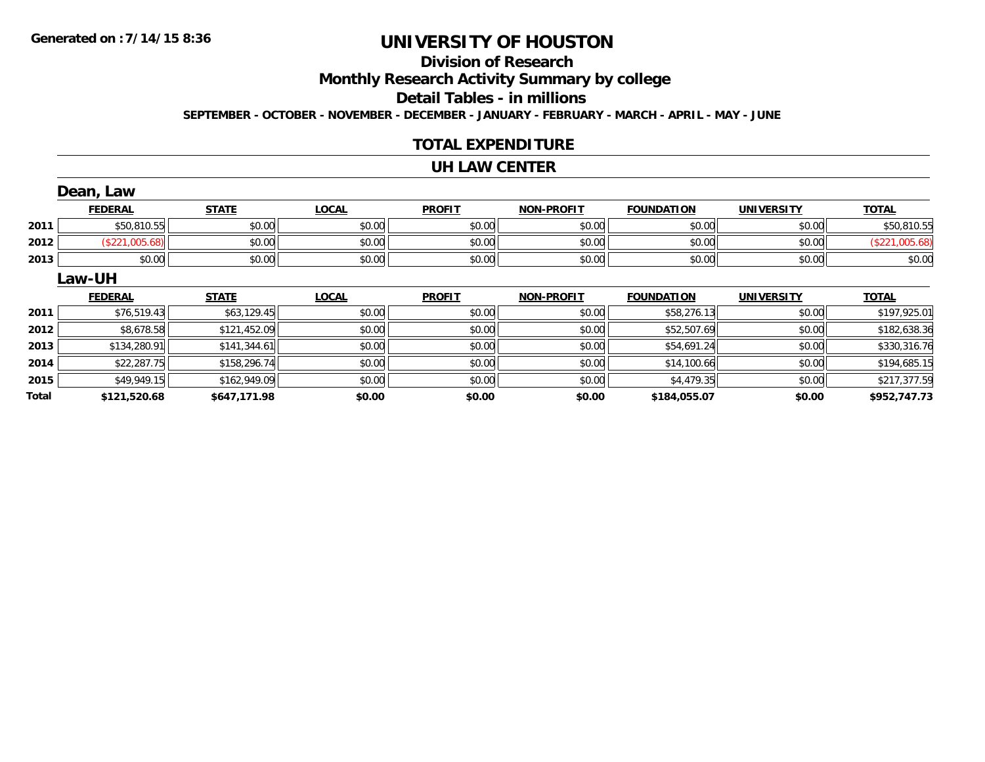# **Division of Research**

**Monthly Research Activity Summary by college**

#### **Detail Tables - in millions**

**SEPTEMBER - OCTOBER - NOVEMBER - DECEMBER - JANUARY - FEBRUARY - MARCH - APRIL - MAY - JUNE**

### **TOTAL EXPENDITURE**

#### **UH LAW CENTER**

|       | Dean, Law      |              |              |               |                   |                   |                   |                |
|-------|----------------|--------------|--------------|---------------|-------------------|-------------------|-------------------|----------------|
|       | <b>FEDERAL</b> | <b>STATE</b> | <b>LOCAL</b> | <b>PROFIT</b> | <b>NON-PROFIT</b> | <b>FOUNDATION</b> | <b>UNIVERSITY</b> | <b>TOTAL</b>   |
| 2011  | \$50,810.55    | \$0.00       | \$0.00       | \$0.00        | \$0.00            | \$0.00            | \$0.00            | \$50,810.55    |
| 2012  | (\$221,005.68) | \$0.00       | \$0.00       | \$0.00        | \$0.00            | \$0.00            | \$0.00            | (\$221,005.68) |
| 2013  | \$0.00         | \$0.00       | \$0.00       | \$0.00        | \$0.00            | \$0.00            | \$0.00            | \$0.00         |
|       | Law-UH         |              |              |               |                   |                   |                   |                |
|       | <b>FEDERAL</b> | <b>STATE</b> | <b>LOCAL</b> | <b>PROFIT</b> | <b>NON-PROFIT</b> | <b>FOUNDATION</b> | <b>UNIVERSITY</b> | <b>TOTAL</b>   |
| 2011  | \$76,519.43    | \$63,129.45  | \$0.00       | \$0.00        | \$0.00            | \$58,276.13       | \$0.00            | \$197,925.01   |
| 2012  | \$8,678.58     | \$121,452.09 | \$0.00       | \$0.00        | \$0.00            | \$52,507.69       | \$0.00            | \$182,638.36   |
| 2013  | \$134,280.91   | \$141,344.61 | \$0.00       | \$0.00        | \$0.00            | \$54,691.24       | \$0.00            | \$330,316.76   |
| 2014  | \$22,287.75    | \$158,296.74 | \$0.00       | \$0.00        | \$0.00            | \$14,100.66       | \$0.00            | \$194,685.15   |
| 2015  | \$49,949.15    | \$162,949.09 | \$0.00       | \$0.00        | \$0.00            | \$4,479.35        | \$0.00            | \$217,377.59   |
| Total | \$121,520.68   | \$647,171.98 | \$0.00       | \$0.00        | \$0.00            | \$184,055.07      | \$0.00            | \$952,747.73   |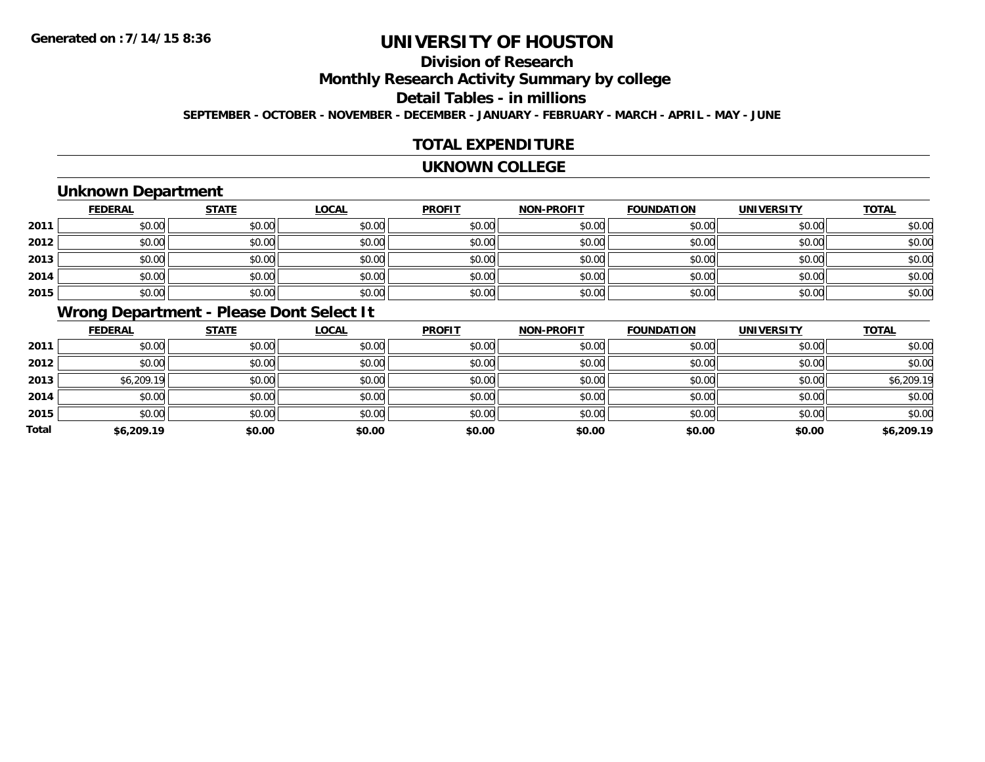# **Division of Research**

**Monthly Research Activity Summary by college**

#### **Detail Tables - in millions**

**SEPTEMBER - OCTOBER - NOVEMBER - DECEMBER - JANUARY - FEBRUARY - MARCH - APRIL - MAY - JUNE**

### **TOTAL EXPENDITURE**

#### **UKNOWN COLLEGE**

## **Unknown Department**

|      | <b>FEDERAL</b> | <b>STATE</b> | <b>LOCAL</b> | <b>PROFIT</b> | <b>NON-PROFIT</b> | <b>FOUNDATION</b> | <b>UNIVERSITY</b> | <b>TOTAL</b> |
|------|----------------|--------------|--------------|---------------|-------------------|-------------------|-------------------|--------------|
| 2011 | \$0.00         | \$0.00       | \$0.00       | \$0.00        | \$0.00            | \$0.00            | \$0.00            | \$0.00       |
| 2012 | \$0.00         | \$0.00       | \$0.00       | \$0.00        | \$0.00            | \$0.00            | \$0.00            | \$0.00       |
| 2013 | \$0.00         | \$0.00       | \$0.00       | \$0.00        | \$0.00            | \$0.00            | \$0.00            | \$0.00       |
| 2014 | \$0.00         | \$0.00       | \$0.00       | \$0.00        | \$0.00            | \$0.00            | \$0.00            | \$0.00       |
| 2015 | \$0.00         | \$0.00       | \$0.00       | \$0.00        | \$0.00            | \$0.00            | \$0.00            | \$0.00       |

# **Wrong Department - Please Dont Select It**

|              | <b>FEDERAL</b> | <b>STATE</b> | <b>LOCAL</b> | <b>PROFIT</b> | <b>NON-PROFIT</b> | <b>FOUNDATION</b> | <b>UNIVERSITY</b> | <b>TOTAL</b> |
|--------------|----------------|--------------|--------------|---------------|-------------------|-------------------|-------------------|--------------|
| 2011         | \$0.00         | \$0.00       | \$0.00       | \$0.00        | \$0.00            | \$0.00            | \$0.00            | \$0.00       |
| 2012         | \$0.00         | \$0.00       | \$0.00       | \$0.00        | \$0.00            | \$0.00            | \$0.00            | \$0.00       |
| 2013         | \$6,209.19     | \$0.00       | \$0.00       | \$0.00        | \$0.00            | \$0.00            | \$0.00            | \$6,209.19   |
| 2014         | \$0.00         | \$0.00       | \$0.00       | \$0.00        | \$0.00            | \$0.00            | \$0.00            | \$0.00       |
| 2015         | \$0.00         | \$0.00       | \$0.00       | \$0.00        | \$0.00            | \$0.00            | \$0.00            | \$0.00       |
| <b>Total</b> | \$6,209.19     | \$0.00       | \$0.00       | \$0.00        | \$0.00            | \$0.00            | \$0.00            | \$6,209.19   |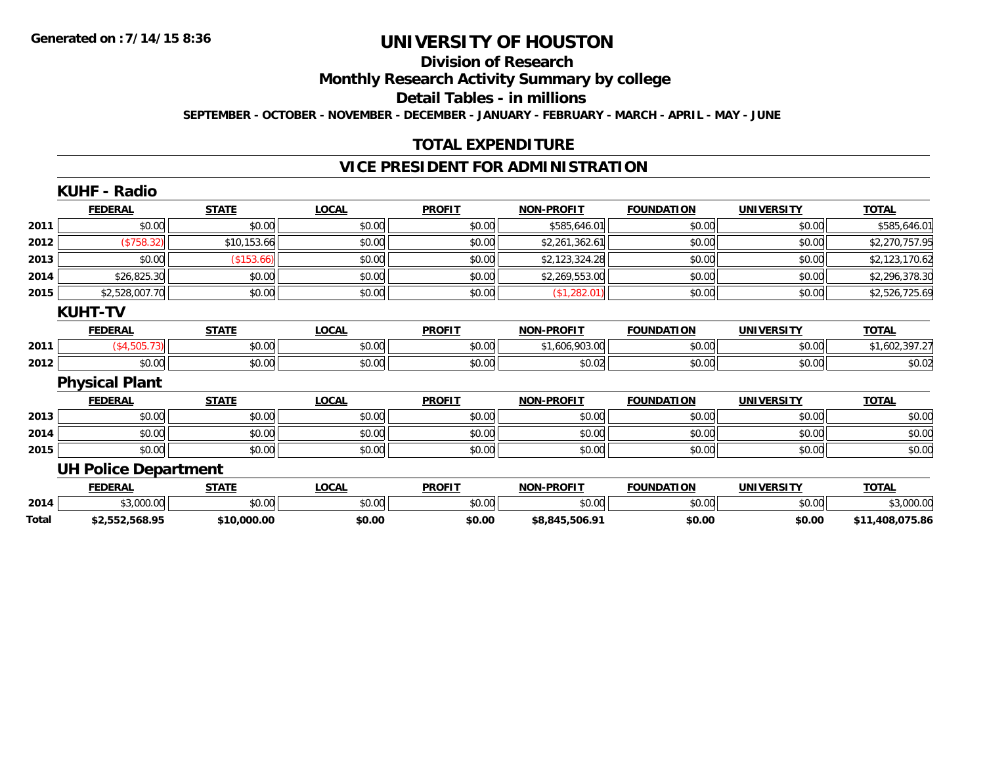# **Division of Research**

**Monthly Research Activity Summary by college**

**Detail Tables - in millions**

**SEPTEMBER - OCTOBER - NOVEMBER - DECEMBER - JANUARY - FEBRUARY - MARCH - APRIL - MAY - JUNE**

## **TOTAL EXPENDITURE**

### **VICE PRESIDENT FOR ADMINISTRATION**

|       | <b>KUHF - Radio</b>         |              |              |               |                   |                   |                   |                 |
|-------|-----------------------------|--------------|--------------|---------------|-------------------|-------------------|-------------------|-----------------|
|       | <b>FEDERAL</b>              | <b>STATE</b> | <b>LOCAL</b> | <b>PROFIT</b> | <b>NON-PROFIT</b> | <b>FOUNDATION</b> | <b>UNIVERSITY</b> | <b>TOTAL</b>    |
| 2011  | \$0.00                      | \$0.00       | \$0.00       | \$0.00        | \$585,646.01      | \$0.00            | \$0.00            | \$585,646.01    |
| 2012  | (\$758.32)                  | \$10,153.66  | \$0.00       | \$0.00        | \$2,261,362.61    | \$0.00            | \$0.00            | \$2,270,757.95  |
| 2013  | \$0.00                      | (\$153.66)   | \$0.00       | \$0.00        | \$2,123,324.28    | \$0.00            | \$0.00            | \$2,123,170.62  |
| 2014  | \$26,825.30                 | \$0.00       | \$0.00       | \$0.00        | \$2,269,553.00    | \$0.00            | \$0.00            | \$2,296,378.30  |
| 2015  | \$2,528,007.70              | \$0.00       | \$0.00       | \$0.00        | (\$1,282.01)      | \$0.00            | \$0.00            | \$2,526,725.69  |
|       | <b>KUHT-TV</b>              |              |              |               |                   |                   |                   |                 |
|       | <b>FEDERAL</b>              | <b>STATE</b> | <b>LOCAL</b> | <b>PROFIT</b> | <b>NON-PROFIT</b> | <b>FOUNDATION</b> | <b>UNIVERSITY</b> | <b>TOTAL</b>    |
| 2011  | (\$4,505.73)                | \$0.00       | \$0.00       | \$0.00        | \$1,606,903.00    | \$0.00            | \$0.00            | \$1,602,397.27  |
| 2012  | \$0.00                      | \$0.00       | \$0.00       | \$0.00        | \$0.02            | \$0.00            | \$0.00            | \$0.02          |
|       | <b>Physical Plant</b>       |              |              |               |                   |                   |                   |                 |
|       | <b>FEDERAL</b>              | <b>STATE</b> | <b>LOCAL</b> | <b>PROFIT</b> | <b>NON-PROFIT</b> | <b>FOUNDATION</b> | <b>UNIVERSITY</b> | <b>TOTAL</b>    |
| 2013  | \$0.00                      | \$0.00       | \$0.00       | \$0.00        | \$0.00            | \$0.00            | \$0.00            | \$0.00          |
| 2014  | \$0.00                      | \$0.00       | \$0.00       | \$0.00        | \$0.00            | \$0.00            | \$0.00            | \$0.00          |
| 2015  | \$0.00                      | \$0.00       | \$0.00       | \$0.00        | \$0.00            | \$0.00            | \$0.00            | \$0.00          |
|       | <b>UH Police Department</b> |              |              |               |                   |                   |                   |                 |
|       | <b>FEDERAL</b>              | <b>STATE</b> | <b>LOCAL</b> | <b>PROFIT</b> | <b>NON-PROFIT</b> | <b>FOUNDATION</b> | <b>UNIVERSITY</b> | <b>TOTAL</b>    |
| 2014  | \$3,000.00                  | \$0.00       | \$0.00       | \$0.00        | \$0.00            | \$0.00            | \$0.00            | \$3,000.00      |
| Total | \$2,552,568.95              | \$10,000.00  | \$0.00       | \$0.00        | \$8,845,506.91    | \$0.00            | \$0.00            | \$11,408,075.86 |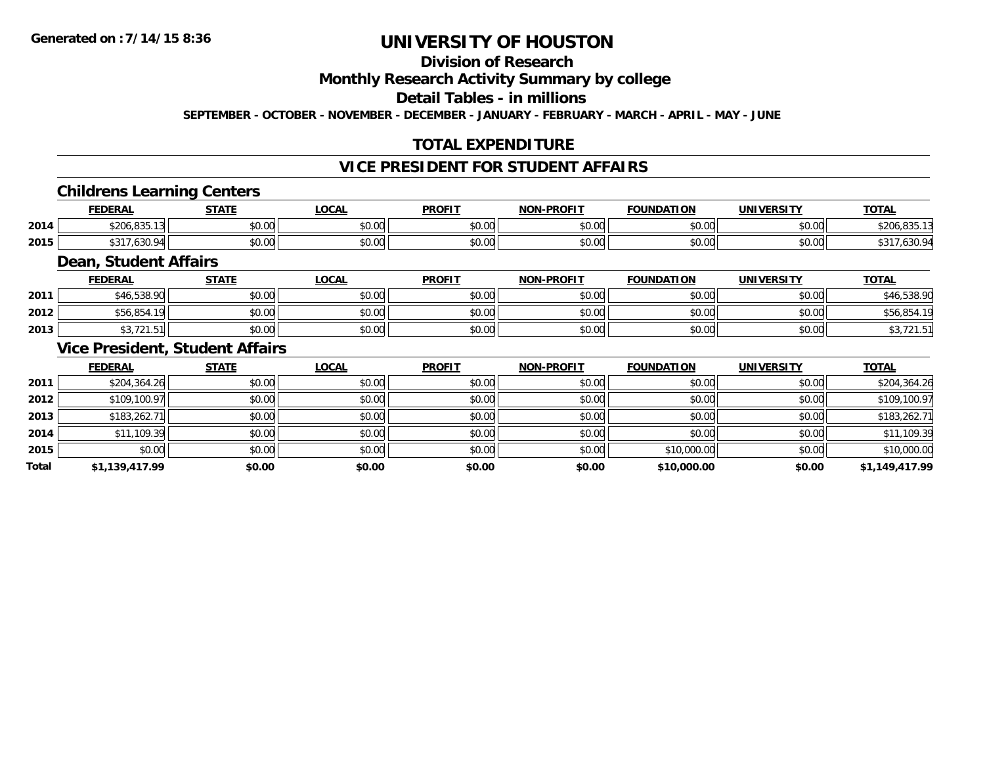# **Division of Research**

### **Monthly Research Activity Summary by college**

## **Detail Tables - in millions**

**SEPTEMBER - OCTOBER - NOVEMBER - DECEMBER - JANUARY - FEBRUARY - MARCH - APRIL - MAY - JUNE**

## **TOTAL EXPENDITURE**

### **VICE PRESIDENT FOR STUDENT AFFAIRS**

### **Childrens Learning Centers**

|      | <b>FEDERAL</b>               | <b>CTATE</b>  | <b>OCAL</b>   | <b>PROFI</b>  | <b>NON-PROFIT</b> | <b>FOUNDATION</b> | <b>UNIVERSITY</b> | <b>TOTAL</b>         |
|------|------------------------------|---------------|---------------|---------------|-------------------|-------------------|-------------------|----------------------|
| 2014 | 93F<br>0.001<br>\$200.833.13 | 0000<br>JU.UU | 0000<br>PO.OO | 0000<br>vv.vv | 0000<br>PO.OO     | 0000<br>ง∪.∪บ     | \$0.00            | $\sim$<br>ມ∠ບບ,ບວດ.∍ |
| 2015 | よつイコ<br>7.630.9<br>ັບ        | 0000<br>PO.OO | 0000<br>JU.UU | JU.UU         | 0000<br>PO.OO     | \$0.00            | \$0.00            | .                    |

### **Dean, Student Affairs**

|      | <b>FEDERAL</b>                  | <b>STATE</b> | LOCAL                   | <b>PROFIT</b> | <b>NON-PROFIT</b> | <b>FOUNDATION</b> | UNIVERSITY<br>-кэг | <b>TOTAL</b> |
|------|---------------------------------|--------------|-------------------------|---------------|-------------------|-------------------|--------------------|--------------|
| 2011 | <b>E38 OU</b><br>~40.030.50.    | \$0.00       | $\mathbb{R}^n$<br>JU.UU | \$0.00        | \$0.00            | \$0.00            | \$0.00             | 538.90       |
| 2012 | 456.85 ن                        | \$0.00       | 0.000<br>JU.UU          | \$0.00        | \$0.00            | \$0.00            | \$0.00             | \$56,854     |
| 2013 | $\sim$ $\sim$ $\sim$<br>ان. ا ک | \$0.00       | \$0.00                  | \$0.00        | \$0.00            | \$0.00            | \$0.00             | . ت          |

### **Vice President, Student Affairs**

|       | <b>FEDERAL</b> | <b>STATE</b> | <u>LOCAL</u> | <b>PROFIT</b> | <b>NON-PROFIT</b> | <b>FOUNDATION</b> | <b>UNIVERSITY</b> | <b>TOTAL</b>   |
|-------|----------------|--------------|--------------|---------------|-------------------|-------------------|-------------------|----------------|
| 2011  | \$204,364.26   | \$0.00       | \$0.00       | \$0.00        | \$0.00            | \$0.00            | \$0.00            | \$204,364.26   |
| 2012  | \$109,100.97   | \$0.00       | \$0.00       | \$0.00        | \$0.00            | \$0.00            | \$0.00            | \$109,100.97   |
| 2013  | \$183,262.71   | \$0.00       | \$0.00       | \$0.00        | \$0.00            | \$0.00            | \$0.00            | \$183,262.71   |
| 2014  | \$11,109.39    | \$0.00       | \$0.00       | \$0.00        | \$0.00            | \$0.00            | \$0.00            | \$11,109.39    |
| 2015  | \$0.00         | \$0.00       | \$0.00       | \$0.00        | \$0.00            | \$10,000.00       | \$0.00            | \$10,000.00    |
| Total | \$1,139,417.99 | \$0.00       | \$0.00       | \$0.00        | \$0.00            | \$10,000.00       | \$0.00            | \$1,149,417.99 |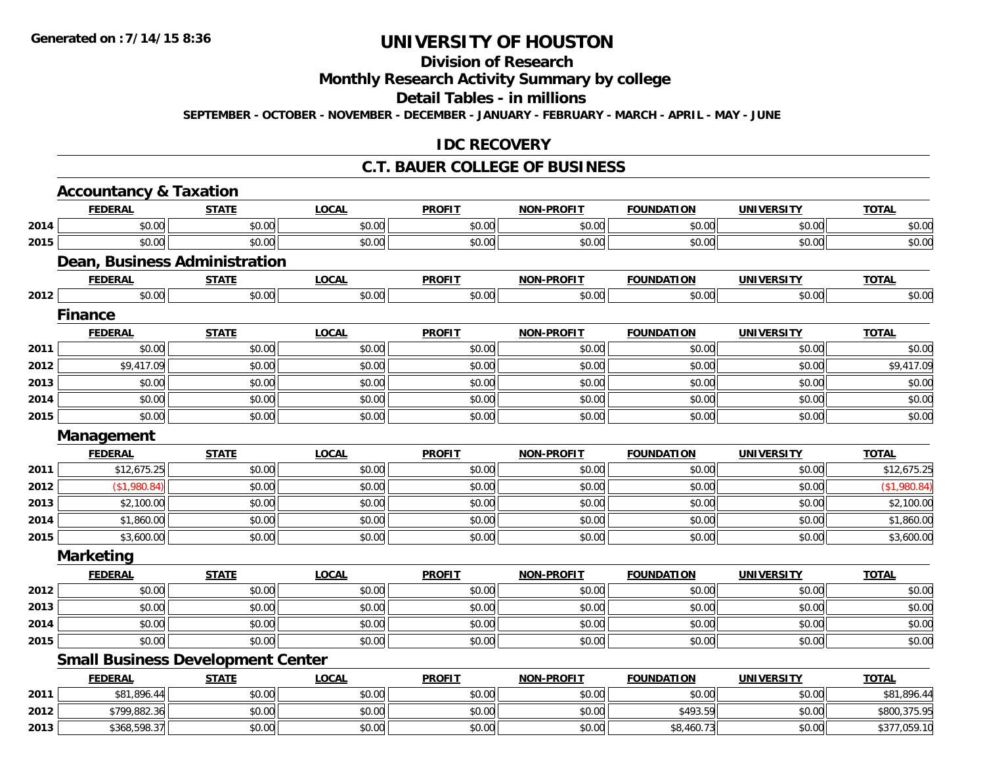# **Division of Research**

# **Monthly Research Activity Summary by college**

#### **Detail Tables - in millions**

**SEPTEMBER - OCTOBER - NOVEMBER - DECEMBER - JANUARY - FEBRUARY - MARCH - APRIL - MAY - JUNE**

### **IDC RECOVERY**

#### **C.T. BAUER COLLEGE OF BUSINESS**

|      | <b>Accountancy &amp; Taxation</b>        |              |              |               |                   |                   |                   |              |
|------|------------------------------------------|--------------|--------------|---------------|-------------------|-------------------|-------------------|--------------|
|      | <b>FEDERAL</b>                           | <b>STATE</b> | <b>LOCAL</b> | <b>PROFIT</b> | <b>NON-PROFIT</b> | <b>FOUNDATION</b> | <b>UNIVERSITY</b> | <b>TOTAL</b> |
| 2014 | \$0.00                                   | \$0.00       | \$0.00       | \$0.00        | \$0.00            | \$0.00            | \$0.00            | \$0.00       |
| 2015 | \$0.00                                   | \$0.00       | \$0.00       | \$0.00        | \$0.00            | \$0.00            | \$0.00            | \$0.00       |
|      | <b>Dean, Business Administration</b>     |              |              |               |                   |                   |                   |              |
|      | <b>FEDERAL</b>                           | <b>STATE</b> | <b>LOCAL</b> | <b>PROFIT</b> | <b>NON-PROFIT</b> | <b>FOUNDATION</b> | <b>UNIVERSITY</b> | <b>TOTAL</b> |
| 2012 | \$0.00                                   | \$0.00       | \$0.00       | \$0.00        | \$0.00            | \$0.00            | \$0.00            | \$0.00       |
|      | <b>Finance</b>                           |              |              |               |                   |                   |                   |              |
|      | <b>FEDERAL</b>                           | <b>STATE</b> | <b>LOCAL</b> | <b>PROFIT</b> | <b>NON-PROFIT</b> | <b>FOUNDATION</b> | <b>UNIVERSITY</b> | <b>TOTAL</b> |
| 2011 | \$0.00                                   | \$0.00       | \$0.00       | \$0.00        | \$0.00            | \$0.00            | \$0.00            | \$0.00       |
| 2012 | \$9,417.09                               | \$0.00       | \$0.00       | \$0.00        | \$0.00            | \$0.00            | \$0.00            | \$9,417.09   |
| 2013 | \$0.00                                   | \$0.00       | \$0.00       | \$0.00        | \$0.00            | \$0.00            | \$0.00            | \$0.00       |
| 2014 | \$0.00                                   | \$0.00       | \$0.00       | \$0.00        | \$0.00            | \$0.00            | \$0.00            | \$0.00       |
| 2015 | \$0.00                                   | \$0.00       | \$0.00       | \$0.00        | \$0.00            | \$0.00            | \$0.00            | \$0.00       |
|      | Management                               |              |              |               |                   |                   |                   |              |
|      | <b>FEDERAL</b>                           | <b>STATE</b> | <b>LOCAL</b> | <b>PROFIT</b> | <b>NON-PROFIT</b> | <b>FOUNDATION</b> | <b>UNIVERSITY</b> | <b>TOTAL</b> |
| 2011 | \$12,675.25                              | \$0.00       | \$0.00       | \$0.00        | \$0.00            | \$0.00            | \$0.00            | \$12,675.25  |
| 2012 | (\$1,980.84)                             | \$0.00       | \$0.00       | \$0.00        | \$0.00            | \$0.00            | \$0.00            | (\$1,980.84) |
| 2013 | \$2,100.00                               | \$0.00       | \$0.00       | \$0.00        | \$0.00            | \$0.00            | \$0.00            | \$2,100.00   |
| 2014 | \$1,860.00                               | \$0.00       | \$0.00       | \$0.00        | \$0.00            | \$0.00            | \$0.00            | \$1,860.00   |
| 2015 | \$3,600.00                               | \$0.00       | \$0.00       | \$0.00        | \$0.00            | \$0.00            | \$0.00            | \$3,600.00   |
|      | <b>Marketing</b>                         |              |              |               |                   |                   |                   |              |
|      | <b>FEDERAL</b>                           | <b>STATE</b> | <b>LOCAL</b> | <b>PROFIT</b> | <b>NON-PROFIT</b> | <b>FOUNDATION</b> | <b>UNIVERSITY</b> | <b>TOTAL</b> |
| 2012 | \$0.00                                   | \$0.00       | \$0.00       | \$0.00        | \$0.00            | \$0.00            | \$0.00            | \$0.00       |
| 2013 | \$0.00                                   | \$0.00       | \$0.00       | \$0.00        | \$0.00            | \$0.00            | \$0.00            | \$0.00       |
| 2014 | \$0.00                                   | \$0.00       | \$0.00       | \$0.00        | \$0.00            | \$0.00            | \$0.00            | \$0.00       |
| 2015 | \$0.00                                   | \$0.00       | \$0.00       | \$0.00        | \$0.00            | \$0.00            | \$0.00            | \$0.00       |
|      | <b>Small Business Development Center</b> |              |              |               |                   |                   |                   |              |
|      | <b>FEDERAL</b>                           | <b>STATE</b> | <b>LOCAL</b> | <b>PROFIT</b> | <b>NON-PROFIT</b> | <b>FOUNDATION</b> | <b>UNIVERSITY</b> | <b>TOTAL</b> |
| 2011 | \$81,896.44                              | \$0.00       | \$0.00       | \$0.00        | \$0.00            | \$0.00            | \$0.00            | \$81,896.44  |
| 2012 | \$799,882.36                             | \$0.00       | \$0.00       | \$0.00        | \$0.00            | \$493.59          | \$0.00            | \$800,375.95 |
| 2013 | \$368,598.37                             | \$0.00       | \$0.00       | \$0.00        | \$0.00            | \$8,460.73        | \$0.00            | \$377,059.10 |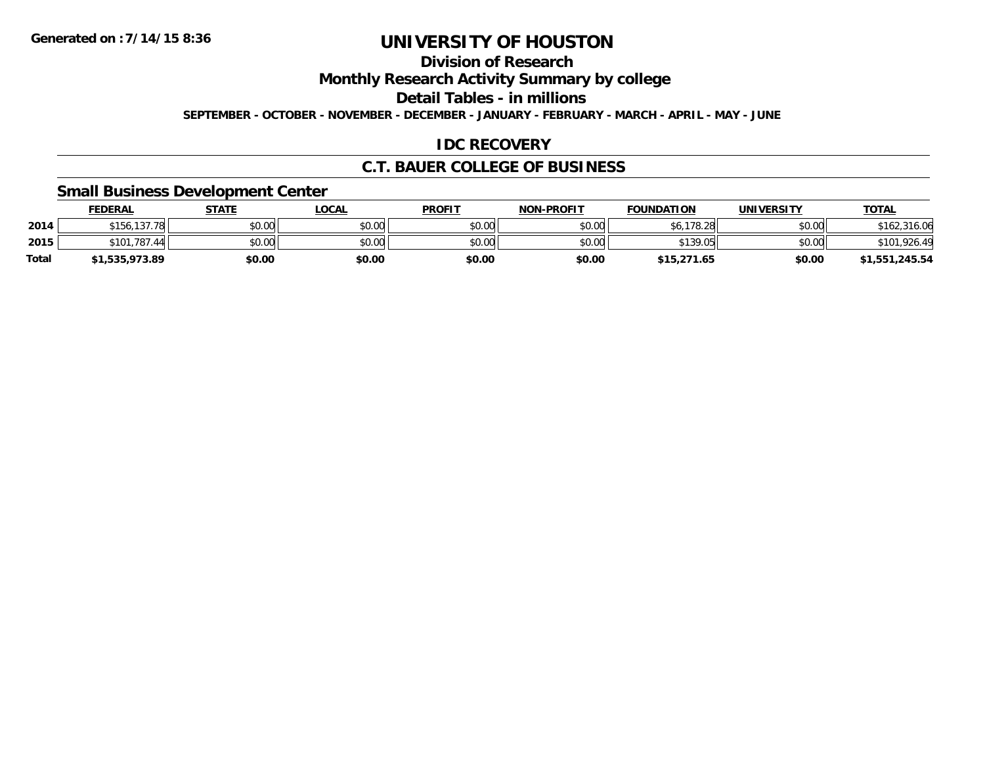# **Division of Research**

**Monthly Research Activity Summary by college**

**Detail Tables - in millions**

**SEPTEMBER - OCTOBER - NOVEMBER - DECEMBER - JANUARY - FEBRUARY - MARCH - APRIL - MAY - JUNE**

## **IDC RECOVERY**

### **C.T. BAUER COLLEGE OF BUSINESS**

### **Small Business Development Center**

|              | <b>FEDERAL</b> | <b>STATE</b> | LOCAL  | <b>PROFIT</b> | <b>NON-PROFIT</b> | <b>FOUNDATION</b> | <b>UNIVERSITY</b> | <u>TOTAL</u>     |
|--------------|----------------|--------------|--------|---------------|-------------------|-------------------|-------------------|------------------|
| 2014         | \$156,137.78   | \$0.00       | \$0.00 | \$0.00        | \$0.00            | \$6,178.28        | \$0.00            | 316.06<br>\$162. |
| 2015         | \$101.787.44   | \$0.00       | \$0.00 | \$0.00        | \$0.00            | \$139.05          | \$0.00            | .926.49<br>\$10  |
| <b>Total</b> | \$1,535,973.89 | \$0.00       | \$0.00 | \$0.00        | \$0.00            | \$15,271.65       | \$0.00            | \$1,551,245.54   |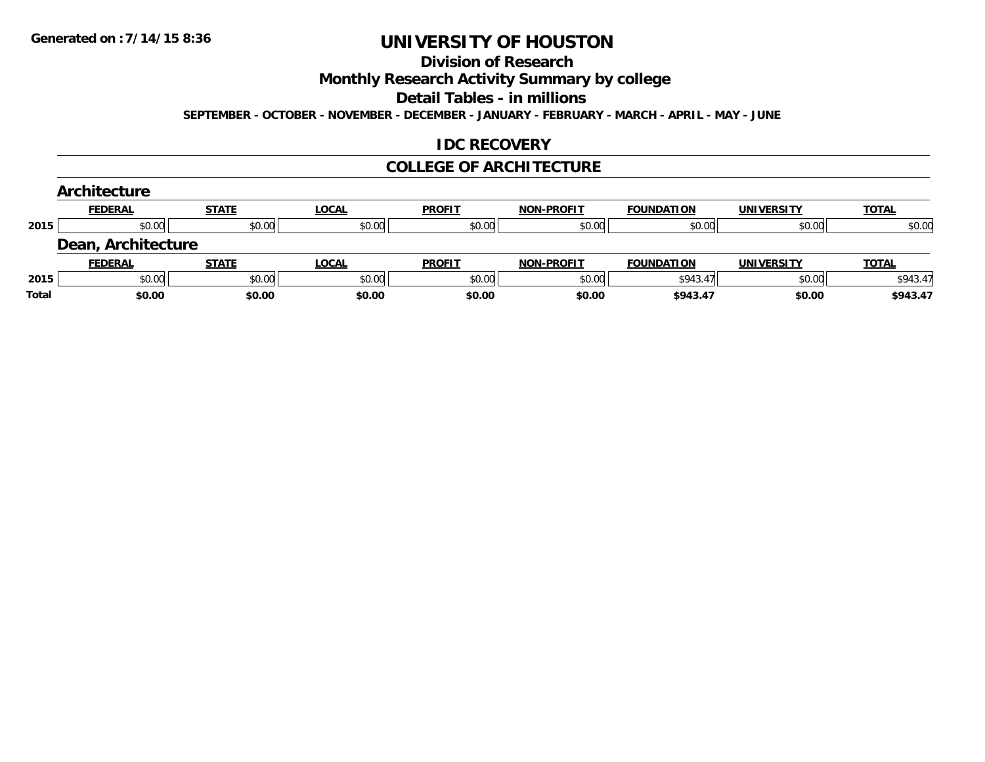#### **Division of Research**

**Monthly Research Activity Summary by college**

**Detail Tables - in millions**

**SEPTEMBER - OCTOBER - NOVEMBER - DECEMBER - JANUARY - FEBRUARY - MARCH - APRIL - MAY - JUNE**

### **IDC RECOVERY**

#### **COLLEGE OF ARCHITECTURE**

|       | Architecture       |              |              |               |                   |                   |                   |              |
|-------|--------------------|--------------|--------------|---------------|-------------------|-------------------|-------------------|--------------|
|       | <b>FEDERAL</b>     | <b>STATE</b> | <b>LOCAL</b> | <b>PROFIT</b> | <b>NON-PROFIT</b> | <b>FOUNDATION</b> | <b>UNIVERSITY</b> | <b>TOTAL</b> |
| 2015  | \$0.00             | \$0.00       | \$0.00       | \$0.00        | \$0.00            | \$0.00            | \$0.00            | \$0.00       |
|       | Dean, Architecture |              |              |               |                   |                   |                   |              |
|       | <b>FEDERAL</b>     | <b>STATE</b> | <b>LOCAL</b> | <b>PROFIT</b> | <b>NON-PROFIT</b> | <b>FOUNDATION</b> | <b>UNIVERSITY</b> | <b>TOTAL</b> |
| 2015  | \$0.00             | \$0.00       | \$0.00       | \$0.00        | \$0.00            | \$943.47          | \$0.00            | \$943.47     |
| Total | \$0.00             | \$0.00       | \$0.00       | \$0.00        | \$0.00            | \$943.47          | \$0.00            | \$943.47     |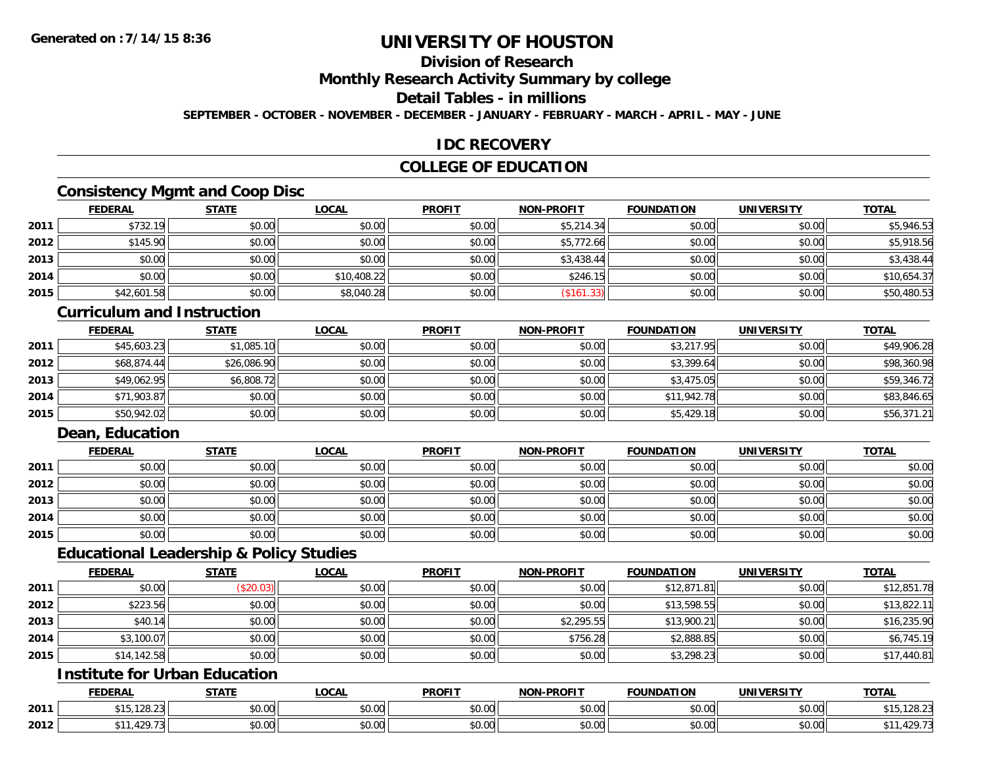# **Division of Research**

**Monthly Research Activity Summary by college**

#### **Detail Tables - in millions**

**SEPTEMBER - OCTOBER - NOVEMBER - DECEMBER - JANUARY - FEBRUARY - MARCH - APRIL - MAY - JUNE**

### **IDC RECOVERY**

### **COLLEGE OF EDUCATION**

# **Consistency Mgmt and Coop Disc**

|      | <b>FEDERAL</b> | <b>STATE</b> | <b>LOCAL</b> | <b>PROFIT</b> | NON-PROFIT | <b>FOUNDATION</b> | <b>UNIVERSITY</b> | <b>TOTAL</b> |
|------|----------------|--------------|--------------|---------------|------------|-------------------|-------------------|--------------|
| 2011 | \$732.19       | \$0.00       | \$0.00       | \$0.00        | \$5,214.34 | \$0.00            | \$0.00            | \$5,946.53   |
| 2012 | \$145.90       | \$0.00       | \$0.00       | \$0.00        | \$5,772.66 | \$0.00            | \$0.00            | \$5,918.56   |
| 2013 | \$0.00         | \$0.00       | \$0.00       | \$0.00        | \$3,438.44 | \$0.00            | \$0.00            | \$3,438.44   |
| 2014 | \$0.00         | \$0.00       | \$10,408.22  | \$0.00        | \$246.15   | \$0.00            | \$0.00            | \$10,654.37  |
| 2015 | \$42,601.58    | \$0.00       | \$8,040.28   | \$0.00        | (\$161.33) | \$0.00            | \$0.00            | \$50,480.53  |

#### **Curriculum and Instruction**

|      | <u>FEDERAL</u> | <b>STATE</b> | <b>LOCAL</b> | <b>PROFIT</b> | <b>NON-PROFIT</b> | <b>FOUNDATION</b> | <b>UNIVERSITY</b> | <b>TOTAL</b> |
|------|----------------|--------------|--------------|---------------|-------------------|-------------------|-------------------|--------------|
| 2011 | \$45,603.23    | \$1,085.10   | \$0.00       | \$0.00        | \$0.00            | \$3,217.95        | \$0.00            | \$49,906.28  |
| 2012 | \$68,874.44    | \$26,086.90  | \$0.00       | \$0.00        | \$0.00            | \$3,399.64        | \$0.00            | \$98,360.98  |
| 2013 | \$49,062.95    | \$6,808.72   | \$0.00       | \$0.00        | \$0.00            | \$3,475.05        | \$0.00            | \$59,346.72  |
| 2014 | \$71,903.87    | \$0.00       | \$0.00       | \$0.00        | \$0.00            | \$11,942.78       | \$0.00            | \$83,846.65  |
| 2015 | \$50,942.02    | \$0.00       | \$0.00       | \$0.00        | \$0.00            | \$5,429.18        | \$0.00            | \$56,371.21  |

# **Dean, Education**

|      | <b>FEDERAL</b> | <b>STATE</b> | <b>LOCAL</b> | <b>PROFIT</b> | <b>NON-PROFIT</b> | <b>FOUNDATION</b> | <b>UNIVERSITY</b> | <b>TOTAL</b> |
|------|----------------|--------------|--------------|---------------|-------------------|-------------------|-------------------|--------------|
| 2011 | \$0.00         | \$0.00       | \$0.00       | \$0.00        | \$0.00            | \$0.00            | \$0.00            | \$0.00       |
| 2012 | \$0.00         | \$0.00       | \$0.00       | \$0.00        | \$0.00            | \$0.00            | \$0.00            | \$0.00       |
| 2013 | \$0.00         | \$0.00       | \$0.00       | \$0.00        | \$0.00            | \$0.00            | \$0.00            | \$0.00       |
| 2014 | \$0.00         | \$0.00       | \$0.00       | \$0.00        | \$0.00            | \$0.00            | \$0.00            | \$0.00       |
| 2015 | \$0.00         | \$0.00       | \$0.00       | \$0.00        | \$0.00            | \$0.00            | \$0.00            | \$0.00       |

#### **Educational Leadership & Policy Studies**

|      | <b>FEDERAL</b> | <b>STATE</b> | <u>LOCAL</u> | <b>PROFIT</b> | <b>NON-PROFIT</b> | <b>FOUNDATION</b> | <b>UNIVERSITY</b> | <b>TOTAL</b> |
|------|----------------|--------------|--------------|---------------|-------------------|-------------------|-------------------|--------------|
| 2011 | \$0.00         | (\$20.03)    | \$0.00       | \$0.00        | \$0.00            | \$12,871.81       | \$0.00            | \$12,851.78  |
| 2012 | \$223.56       | \$0.00       | \$0.00       | \$0.00        | \$0.00            | \$13,598.55       | \$0.00            | \$13,822.11  |
| 2013 | \$40.14        | \$0.00       | \$0.00       | \$0.00        | \$2,295.55        | \$13,900.21       | \$0.00            | \$16,235.90  |
| 2014 | \$3,100.07     | \$0.00       | \$0.00       | \$0.00        | \$756.28          | \$2,888.85        | \$0.00            | \$6,745.19   |
| 2015 | \$14,142.58    | \$0.00       | \$0.00       | \$0.00        | \$0.00            | \$3,298.23        | \$0.00            | \$17,440.81  |

# **Institute for Urban Education**

|      | <b>FEDERAL</b>                 | <b>CTATE</b>  | <b>LOCAL</b>          | <b>PROFIT</b>              | <b>J-PROFIT</b><br><b>MANI</b> | <b>FOUNDATION</b> | <b>UNIVERSITY</b>             | <b>TOTAL</b> |
|------|--------------------------------|---------------|-----------------------|----------------------------|--------------------------------|-------------------|-------------------------------|--------------|
| 2011 | $\sim$<br>8 4 F<br>,,,,,,,,,,, | 0000<br>DU.UU | $\sim$<br>0 t<br>שט.⊽ | $\sim$ 00<br>DU.UU         | 0.00<br>JU.UU                  | \$0.00            | 0000<br><b>JU.UU</b>          | 120.Z3       |
| 2012 | 10 <sup>o</sup><br>.427        | 0000<br>,u.uu | $\sim$ 00<br>vv.vv    | $*$ $\cap$ $\cap$<br>DU.UU | 0.00<br>JU.UU                  | \$0.00            | $\sim$ $\sim$<br><b>JU.UU</b> | 11.79<br>، ے |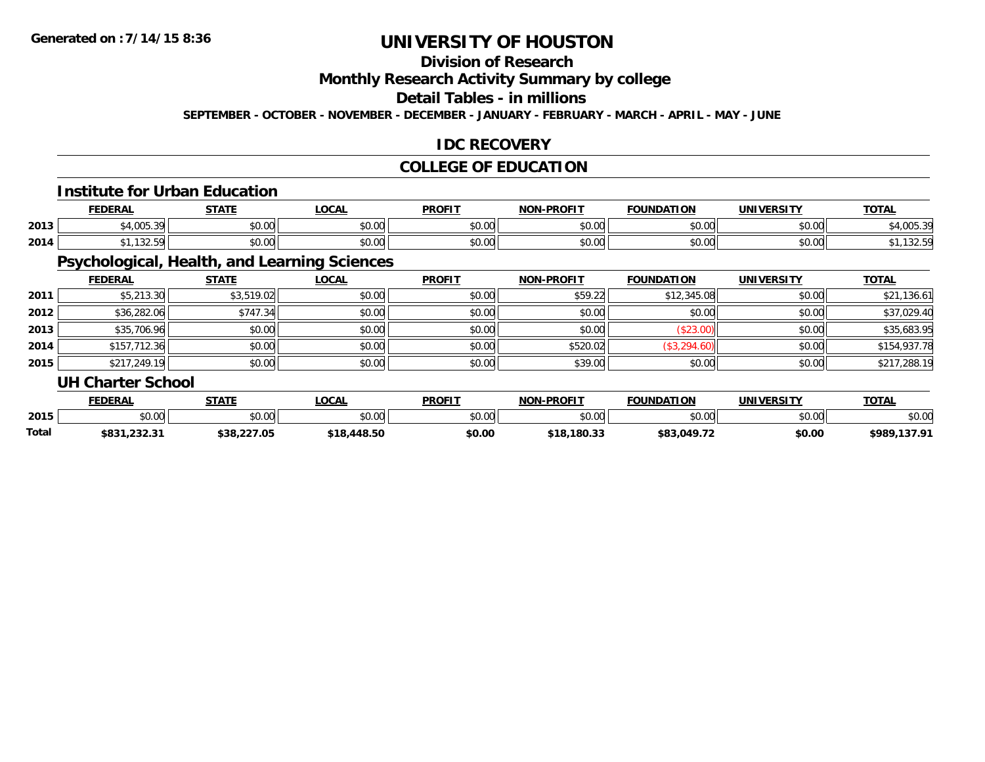# **Division of Research**

### **Monthly Research Activity Summary by college**

#### **Detail Tables - in millions**

**SEPTEMBER - OCTOBER - NOVEMBER - DECEMBER - JANUARY - FEBRUARY - MARCH - APRIL - MAY - JUNE**

### **IDC RECOVERY**

### **COLLEGE OF EDUCATION**

#### **Institute for Urban Education**

|      | <b>DERA!</b>           | $- - - - -$        | <b>OCAL</b>   | <b>PROFIT</b>           | <b>-PROFIT</b><br>חחו | TION<br>DА             | <b>IINIVEDSIT</b>  | <b>TOTA</b> |
|------|------------------------|--------------------|---------------|-------------------------|-----------------------|------------------------|--------------------|-------------|
| 2013 | $+4.005.22$<br>$\cdot$ | ሶስ ስስ<br>PU.UU     | 0000<br>vv.vv | 0000<br>vu.u            | nn nn<br>vv.vv        | $\sim$ $\sim$<br>vv.vv | 0000<br>J∪.∪∪      |             |
| 2014 | ۱۵۷.۶                  | $\sim$ 00<br>JU.UU | 0000<br>JU.UU | 0 <sub>0</sub><br>JU.UU | $\sim$ 00<br>JU.UU    | $\sim$ 00<br>JU.UU     | $\sim$ 00<br>JU.UU | 1.52.5      |

# **Psychological, Health, and Learning Sciences**

|      | <b>FEDERAL</b>           | <b>STATE</b> | <u>LOCAL</u> | <b>PROFIT</b> | <b>NON-PROFIT</b> | <b>FOUNDATION</b> | <b>UNIVERSITY</b> | <b>TOTAL</b> |
|------|--------------------------|--------------|--------------|---------------|-------------------|-------------------|-------------------|--------------|
| 2011 | \$5,213.30               | \$3,519.02   | \$0.00       | \$0.00        | \$59.22           | \$12,345.08       | \$0.00            | \$21,136.61  |
| 2012 | \$36,282.06              | \$747.34     | \$0.00       | \$0.00        | \$0.00            | \$0.00            | \$0.00            | \$37,029.40  |
| 2013 | \$35,706.96              | \$0.00       | \$0.00       | \$0.00        | \$0.00            | (\$23.00)         | \$0.00            | \$35,683.95  |
| 2014 | \$157,712.36             | \$0.00       | \$0.00       | \$0.00        | \$520.02          | (\$3,294.60)      | \$0.00            | \$154,937.78 |
| 2015 | \$217,249.19             | \$0.00       | \$0.00       | \$0.00        | \$39.00           | \$0.00            | \$0.00            | \$217,288.19 |
|      | <b>UH Charter School</b> |              |              |               |                   |                   |                   |              |

|              | <b>FEDERAL</b>      | <b>STATE</b> | <b>OCAL</b>    | <b>PROFIT</b> | -PROFIT<br>NON | <b>FOUNDATION</b> | <b>UNIVERSITY</b> | <b>TOTAL</b>    |
|--------------|---------------------|--------------|----------------|---------------|----------------|-------------------|-------------------|-----------------|
| 2015         | ተስ ስስ<br>JU.UU      | \$0.00       | ტი იი<br>J∪.∪u | \$0.00        | \$0.00         | nn nn<br>JU.UU    | \$0.00            | \$0.00          |
| <b>Total</b> | ののつく<br>303 I.ZJZ.J | \$38,227.05  | \$18,448.50    | \$0.00        | \$18,180.33    | \$83,049.72       | \$0.00            | \$989<br>.12707 |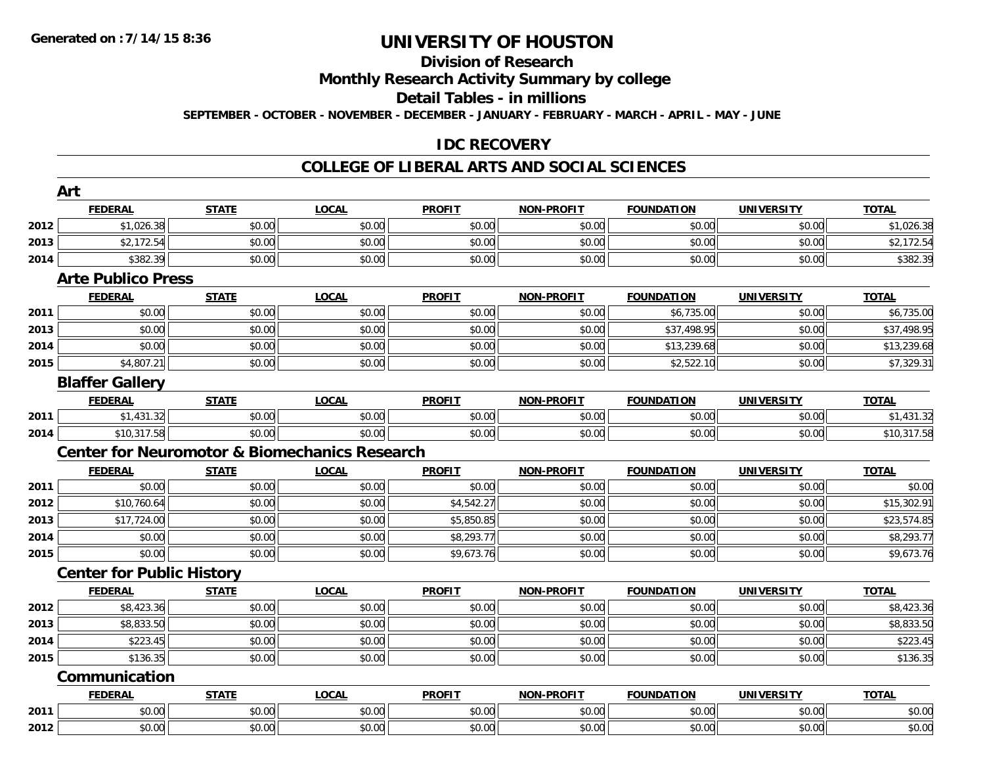#### **Division of Research**

**Monthly Research Activity Summary by college**

**Detail Tables - in millions**

**SEPTEMBER - OCTOBER - NOVEMBER - DECEMBER - JANUARY - FEBRUARY - MARCH - APRIL - MAY - JUNE**

#### **IDC RECOVERY**

|                                      | Art                                                      |              |              |               |                   |                   |                   |                        |
|--------------------------------------|----------------------------------------------------------|--------------|--------------|---------------|-------------------|-------------------|-------------------|------------------------|
|                                      | <b>FEDERAL</b>                                           | <b>STATE</b> | <b>LOCAL</b> | <b>PROFIT</b> | <b>NON-PROFIT</b> | <b>FOUNDATION</b> | <b>UNIVERSITY</b> | <b>TOTAL</b>           |
| 2012                                 | \$1,026.38                                               | \$0.00       | \$0.00       | \$0.00        | \$0.00            | \$0.00            | \$0.00            | \$1,026.38             |
| 2013                                 | \$2,172.54                                               | \$0.00       | \$0.00       | \$0.00        | \$0.00            | \$0.00            | \$0.00            | \$2,172.54             |
| 2014                                 | \$382.39                                                 | \$0.00       | \$0.00       | \$0.00        | \$0.00            | \$0.00            | \$0.00            | \$382.39               |
|                                      | <b>Arte Publico Press</b>                                |              |              |               |                   |                   |                   |                        |
|                                      | <b>FEDERAL</b>                                           | <b>STATE</b> | <b>LOCAL</b> | <b>PROFIT</b> | <b>NON-PROFIT</b> | <b>FOUNDATION</b> | <b>UNIVERSITY</b> | <b>TOTAL</b>           |
| 2011                                 | \$0.00                                                   | \$0.00       | \$0.00       | \$0.00        | \$0.00            | \$6,735.00        | \$0.00            | \$6,735.00             |
| 2013                                 | \$0.00                                                   | \$0.00       | \$0.00       | \$0.00        | \$0.00            | \$37,498.95       | \$0.00            | \$37,498.95            |
| 2014                                 | \$0.00                                                   | \$0.00       | \$0.00       | \$0.00        | \$0.00            | \$13,239.68       | \$0.00            | \$13,239.68            |
| 2015                                 | \$4,807.21                                               | \$0.00       | \$0.00       | \$0.00        | \$0.00            | \$2,522.10        | \$0.00            | \$7,329.31             |
|                                      | <b>Blaffer Gallery</b>                                   |              |              |               |                   |                   |                   |                        |
|                                      | <b>FEDERAL</b>                                           | <b>STATE</b> | <b>LOCAL</b> | <b>PROFIT</b> | <b>NON-PROFIT</b> | <b>FOUNDATION</b> | <b>UNIVERSITY</b> | <b>TOTAL</b>           |
| 2011                                 | \$1,431.32                                               | \$0.00       | \$0.00       | \$0.00        | \$0.00            | \$0.00            | \$0.00            | \$1,431.32             |
| 2014                                 | \$10,317.58                                              | \$0.00       | \$0.00       | \$0.00        | \$0.00            | \$0.00            | \$0.00            | \$10,317.58            |
|                                      | <b>Center for Neuromotor &amp; Biomechanics Research</b> |              |              |               |                   |                   |                   |                        |
|                                      | <b>FEDERAL</b>                                           | <b>STATE</b> | <u>LOCAL</u> | <b>PROFIT</b> | <b>NON-PROFIT</b> | <b>FOUNDATION</b> | <b>UNIVERSITY</b> | <b>TOTAL</b>           |
| 2011                                 | \$0.00                                                   | \$0.00       | \$0.00       | \$0.00        | \$0.00            | \$0.00            | \$0.00            | \$0.00                 |
| 2012                                 | \$10,760.64                                              |              | \$0.00       |               |                   |                   |                   |                        |
|                                      |                                                          | \$0.00       |              | \$4,542.27    | \$0.00            | \$0.00            | \$0.00            | \$15,302.91            |
| 2013                                 | \$17,724.00                                              | \$0.00       | \$0.00       | \$5,850.85    | \$0.00            | \$0.00            | \$0.00            | \$23,574.85            |
| 2014                                 | \$0.00                                                   | \$0.00       | \$0.00       | \$8,293.77    | \$0.00            | \$0.00            | \$0.00            | \$8,293.77             |
|                                      | \$0.00                                                   | \$0.00       | \$0.00       | \$9,673.76    | \$0.00            | \$0.00            | \$0.00            | \$9,673.76             |
|                                      | <b>Center for Public History</b>                         |              |              |               |                   |                   |                   |                        |
|                                      | <b>FEDERAL</b>                                           | <b>STATE</b> | <b>LOCAL</b> | <b>PROFIT</b> | <b>NON-PROFIT</b> | <b>FOUNDATION</b> | <b>UNIVERSITY</b> | <b>TOTAL</b>           |
|                                      | \$8,423.36                                               | \$0.00       | \$0.00       | \$0.00        | \$0.00            | \$0.00            | \$0.00            | $\overline{$8,423.36}$ |
|                                      | \$8,833.50                                               | \$0.00       | \$0.00       | \$0.00        | \$0.00            | \$0.00            | \$0.00            | \$8,833.50             |
|                                      | \$223.45                                                 | \$0.00       | \$0.00       | \$0.00        | \$0.00            | \$0.00            | \$0.00            | \$223.45               |
| 2015<br>2012<br>2013<br>2014<br>2015 | \$136.35                                                 | \$0.00       | \$0.00       | \$0.00        | \$0.00            | \$0.00            | \$0.00            | \$136.35               |
|                                      | Communication                                            |              |              |               |                   |                   |                   |                        |
|                                      | <b>FEDERAL</b>                                           | <b>STATE</b> | <b>LOCAL</b> | <b>PROFIT</b> | <b>NON-PROFIT</b> | <b>FOUNDATION</b> | <b>UNIVERSITY</b> | <b>TOTAL</b>           |
| 2011                                 | \$0.00                                                   | \$0.00       | \$0.00       | \$0.00        | \$0.00            | \$0.00            | \$0.00            | \$0.00                 |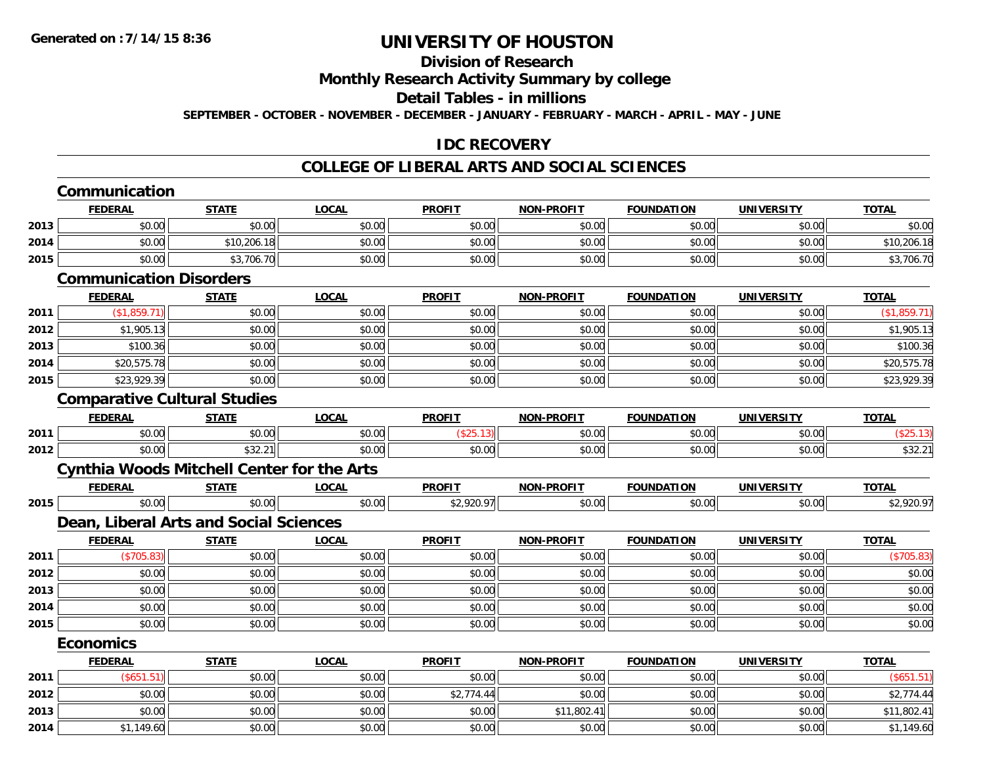# **Division of Research**

#### **Monthly Research Activity Summary by college**

#### **Detail Tables - in millions**

**SEPTEMBER - OCTOBER - NOVEMBER - DECEMBER - JANUARY - FEBRUARY - MARCH - APRIL - MAY - JUNE**

### **IDC RECOVERY**

|      | Communication                                     |              |              |               |                   |                   |                   |              |
|------|---------------------------------------------------|--------------|--------------|---------------|-------------------|-------------------|-------------------|--------------|
|      | <b>FEDERAL</b>                                    | <b>STATE</b> | <b>LOCAL</b> | <b>PROFIT</b> | <b>NON-PROFIT</b> | <b>FOUNDATION</b> | <b>UNIVERSITY</b> | <b>TOTAL</b> |
| 2013 | \$0.00                                            | \$0.00       | \$0.00       | \$0.00        | \$0.00            | \$0.00            | \$0.00            | \$0.00       |
| 2014 | \$0.00                                            | \$10,206.18  | \$0.00       | \$0.00        | \$0.00            | \$0.00            | \$0.00            | \$10,206.18  |
| 2015 | \$0.00                                            | \$3,706.70   | \$0.00       | \$0.00        | \$0.00            | \$0.00            | \$0.00            | \$3,706.70   |
|      | <b>Communication Disorders</b>                    |              |              |               |                   |                   |                   |              |
|      | <b>FEDERAL</b>                                    | <b>STATE</b> | <b>LOCAL</b> | <b>PROFIT</b> | <b>NON-PROFIT</b> | <b>FOUNDATION</b> | <b>UNIVERSITY</b> | <b>TOTAL</b> |
| 2011 | (\$1,859.71)                                      | \$0.00       | \$0.00       | \$0.00        | \$0.00            | \$0.00            | \$0.00            | (\$1,859.71) |
| 2012 | \$1,905.13                                        | \$0.00       | \$0.00       | \$0.00        | \$0.00            | \$0.00            | \$0.00            | \$1,905.13   |
| 2013 | \$100.36                                          | \$0.00       | \$0.00       | \$0.00        | \$0.00            | \$0.00            | \$0.00            | \$100.36     |
| 2014 | \$20,575.78                                       | \$0.00       | \$0.00       | \$0.00        | \$0.00            | \$0.00            | \$0.00            | \$20,575.78  |
| 2015 | \$23,929.39                                       | \$0.00       | \$0.00       | \$0.00        | \$0.00            | \$0.00            | \$0.00            | \$23,929.39  |
|      | <b>Comparative Cultural Studies</b>               |              |              |               |                   |                   |                   |              |
|      | <b>FEDERAL</b>                                    | <b>STATE</b> | <b>LOCAL</b> | <b>PROFIT</b> | <b>NON-PROFIT</b> | <b>FOUNDATION</b> | <b>UNIVERSITY</b> | <b>TOTAL</b> |
| 2011 | \$0.00                                            | \$0.00       | \$0.00       | (\$25.13)     | \$0.00            | \$0.00            | \$0.00            | (\$25.13)    |
| 2012 | \$0.00                                            | \$32.21      | \$0.00       | \$0.00        | \$0.00            | \$0.00            | \$0.00            | \$32.21      |
|      | <b>Cynthia Woods Mitchell Center for the Arts</b> |              |              |               |                   |                   |                   |              |
|      | <b>FEDERAL</b>                                    | <b>STATE</b> | <b>LOCAL</b> | <b>PROFIT</b> | <b>NON-PROFIT</b> | <b>FOUNDATION</b> | <b>UNIVERSITY</b> | <b>TOTAL</b> |
| 2015 | \$0.00                                            | \$0.00       | \$0.00       | \$2,920.97    | \$0.00            | \$0.00            | \$0.00            | \$2,920.97   |
|      | Dean, Liberal Arts and Social Sciences            |              |              |               |                   |                   |                   |              |
|      | <b>FEDERAL</b>                                    | <b>STATE</b> | <b>LOCAL</b> | <b>PROFIT</b> | <b>NON-PROFIT</b> | <b>FOUNDATION</b> | <b>UNIVERSITY</b> | <b>TOTAL</b> |
| 2011 | (\$705.83)                                        | \$0.00       | \$0.00       | \$0.00        | \$0.00            | \$0.00            | \$0.00            | (\$705.83)   |
| 2012 | \$0.00                                            | \$0.00       | \$0.00       | \$0.00        | \$0.00            | \$0.00            | \$0.00            | \$0.00       |
| 2013 | \$0.00                                            | \$0.00       | \$0.00       | \$0.00        | \$0.00            | \$0.00            | \$0.00            | \$0.00       |
| 2014 | \$0.00                                            | \$0.00       | \$0.00       | \$0.00        | \$0.00            | \$0.00            | \$0.00            | \$0.00       |
| 2015 | \$0.00                                            | \$0.00       | \$0.00       | \$0.00        | \$0.00            | \$0.00            | \$0.00            | \$0.00       |
|      | <b>Economics</b>                                  |              |              |               |                   |                   |                   |              |
|      | <b>FEDERAL</b>                                    | <b>STATE</b> | <b>LOCAL</b> | <b>PROFIT</b> | <b>NON-PROFIT</b> | <b>FOUNDATION</b> | <b>UNIVERSITY</b> | <b>TOTAL</b> |
| 2011 | (\$651.51)                                        | \$0.00       | \$0.00       | \$0.00        | \$0.00            | \$0.00            | \$0.00            | (\$651.51)   |
| 2012 | \$0.00                                            | \$0.00       | \$0.00       | \$2,774.44    | \$0.00            | \$0.00            | \$0.00            | \$2,774.44   |
| 2013 | \$0.00                                            | \$0.00       | \$0.00       | \$0.00        | \$11,802.41       | \$0.00            | \$0.00            | \$11,802.41  |
| 2014 | \$1,149.60                                        | \$0.00       | \$0.00       | \$0.00        | \$0.00            | \$0.00            | \$0.00            | \$1,149.60   |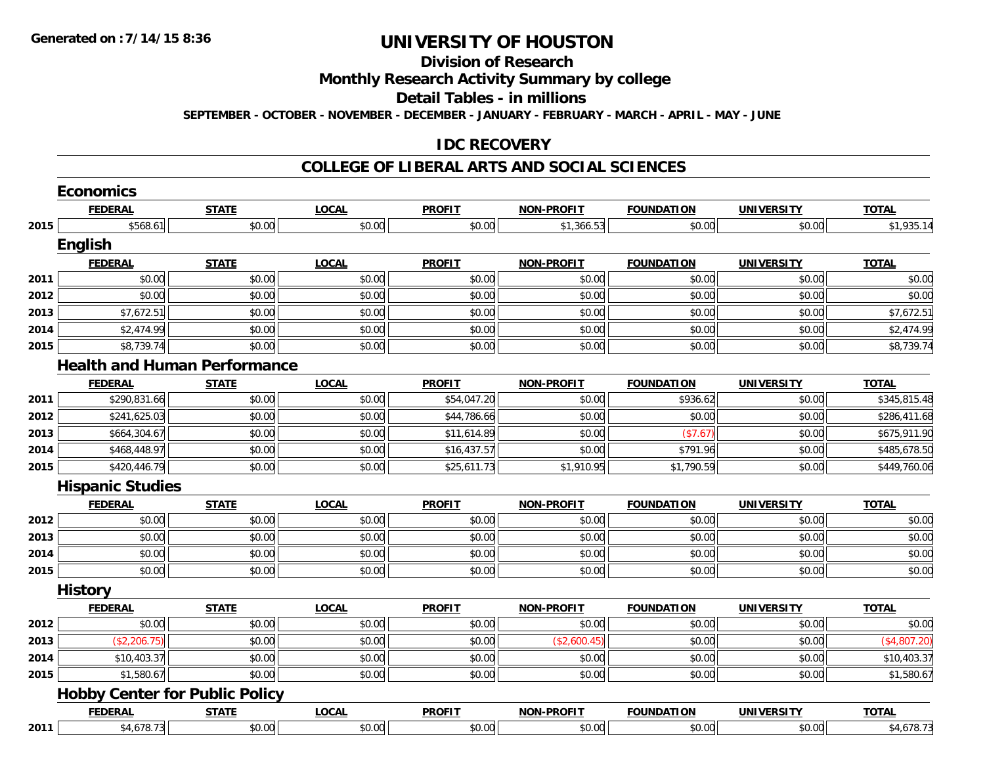#### **Division of Research**

**Monthly Research Activity Summary by college**

**Detail Tables - in millions**

**SEPTEMBER - OCTOBER - NOVEMBER - DECEMBER - JANUARY - FEBRUARY - MARCH - APRIL - MAY - JUNE**

#### **IDC RECOVERY**

|      | <b>Economics</b>                      |              |              |               |                   |                   |                   |              |
|------|---------------------------------------|--------------|--------------|---------------|-------------------|-------------------|-------------------|--------------|
|      | <b>FEDERAL</b>                        | <b>STATE</b> | <b>LOCAL</b> | <b>PROFIT</b> | <b>NON-PROFIT</b> | <b>FOUNDATION</b> | <b>UNIVERSITY</b> | <b>TOTAL</b> |
| 2015 | \$568.61                              | \$0.00       | \$0.00       | \$0.00        | \$1,366.53        | \$0.00            | \$0.00            | \$1,935.14   |
|      | English                               |              |              |               |                   |                   |                   |              |
|      | <b>FEDERAL</b>                        | <b>STATE</b> | <b>LOCAL</b> | <b>PROFIT</b> | <b>NON-PROFIT</b> | <b>FOUNDATION</b> | <b>UNIVERSITY</b> | <b>TOTAL</b> |
| 2011 | \$0.00                                | \$0.00       | \$0.00       | \$0.00        | \$0.00            | \$0.00            | \$0.00            | \$0.00       |
| 2012 | \$0.00                                | \$0.00       | \$0.00       | \$0.00        | \$0.00            | \$0.00            | \$0.00            | \$0.00       |
| 2013 | \$7,672.51                            | \$0.00       | \$0.00       | \$0.00        | \$0.00            | \$0.00            | \$0.00            | \$7,672.51   |
| 2014 | \$2,474.99                            | \$0.00       | \$0.00       | \$0.00        | \$0.00            | \$0.00            | \$0.00            | \$2,474.99   |
| 2015 | \$8,739.74                            | \$0.00       | \$0.00       | \$0.00        | \$0.00            | \$0.00            | \$0.00            | \$8,739.74   |
|      | <b>Health and Human Performance</b>   |              |              |               |                   |                   |                   |              |
|      | <b>FEDERAL</b>                        | <b>STATE</b> | <b>LOCAL</b> | <b>PROFIT</b> | <b>NON-PROFIT</b> | <b>FOUNDATION</b> | <b>UNIVERSITY</b> | <b>TOTAL</b> |
| 2011 | \$290,831.66                          | \$0.00       | \$0.00       | \$54,047.20   | \$0.00            | \$936.62          | \$0.00            | \$345,815.48 |
| 2012 | \$241,625.03                          | \$0.00       | \$0.00       | \$44,786.66   | \$0.00            | \$0.00            | \$0.00            | \$286,411.68 |
| 2013 | \$664,304.67                          | \$0.00       | \$0.00       | \$11,614.89   | \$0.00            | (\$7.67)          | \$0.00            | \$675,911.90 |
| 2014 | \$468,448.97                          | \$0.00       | \$0.00       | \$16,437.57   | \$0.00            | \$791.96          | \$0.00            | \$485,678.50 |
| 2015 | \$420,446.79                          | \$0.00       | \$0.00       | \$25,611.73   | \$1,910.95        | \$1,790.59        | \$0.00            | \$449,760.06 |
|      | <b>Hispanic Studies</b>               |              |              |               |                   |                   |                   |              |
|      | <b>FEDERAL</b>                        | <b>STATE</b> | <b>LOCAL</b> | <b>PROFIT</b> | <b>NON-PROFIT</b> | <b>FOUNDATION</b> | <b>UNIVERSITY</b> | <b>TOTAL</b> |
| 2012 | \$0.00                                | \$0.00       | \$0.00       | \$0.00        | \$0.00            | \$0.00            | \$0.00            | \$0.00       |
| 2013 | \$0.00                                | \$0.00       | \$0.00       | \$0.00        | \$0.00            | \$0.00            | \$0.00            | \$0.00       |
| 2014 | \$0.00                                | \$0.00       | \$0.00       | \$0.00        | \$0.00            | \$0.00            | \$0.00            | \$0.00       |
| 2015 | \$0.00                                | \$0.00       | \$0.00       | \$0.00        | \$0.00            | \$0.00            | \$0.00            | \$0.00       |
|      | <b>History</b>                        |              |              |               |                   |                   |                   |              |
|      | <b>FEDERAL</b>                        | <b>STATE</b> | <b>LOCAL</b> | <b>PROFIT</b> | <b>NON-PROFIT</b> | <b>FOUNDATION</b> | <b>UNIVERSITY</b> | <b>TOTAL</b> |
| 2012 | \$0.00                                | \$0.00       | \$0.00       | \$0.00        | \$0.00            | \$0.00            | \$0.00            | \$0.00       |
| 2013 | (\$2,206.75)                          | \$0.00       | \$0.00       | \$0.00        | (\$2,600.45)      | \$0.00            | \$0.00            | (\$4,807.20) |
| 2014 | \$10,403.37                           | \$0.00       | \$0.00       | \$0.00        | \$0.00            | \$0.00            | \$0.00            | \$10,403.37  |
| 2015 | \$1,580.67                            | \$0.00       | \$0.00       | \$0.00        | \$0.00            | \$0.00            | \$0.00            | \$1,580.67   |
|      | <b>Hobby Center for Public Policy</b> |              |              |               |                   |                   |                   |              |
|      | <b>FEDERAL</b>                        | <b>STATE</b> | <b>LOCAL</b> | <b>PROFIT</b> | <b>NON-PROFIT</b> | <b>FOUNDATION</b> | <b>UNIVERSITY</b> | <b>TOTAL</b> |
| 2011 | \$4,678.73                            | \$0.00       | \$0.00       | \$0.00        | \$0.00            | \$0.00            | \$0.00            | \$4,678.73   |
|      |                                       |              |              |               |                   |                   |                   |              |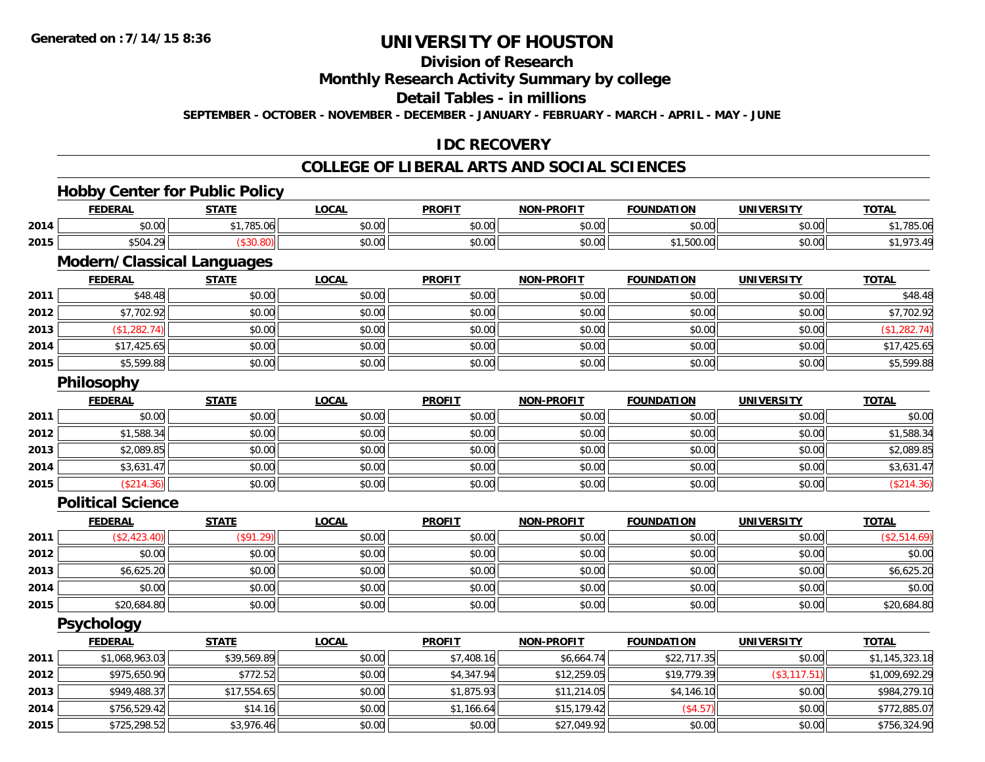**2015**

# **UNIVERSITY OF HOUSTON**

## **Division of Research**

#### **Monthly Research Activity Summary by college**

#### **Detail Tables - in millions**

**SEPTEMBER - OCTOBER - NOVEMBER - DECEMBER - JANUARY - FEBRUARY - MARCH - APRIL - MAY - JUNE**

### **IDC RECOVERY**

### **COLLEGE OF LIBERAL ARTS AND SOCIAL SCIENCES**

# **Hobby Center for Public Policy**

|      | <b>FEDERAL</b>                    | <b>STATE</b> | <b>LOCAL</b> | <b>PROFIT</b> | <b>NON-PROFIT</b> | <b>FOUNDATION</b> | <b>UNIVERSITY</b> | <b>TOTAL</b>   |
|------|-----------------------------------|--------------|--------------|---------------|-------------------|-------------------|-------------------|----------------|
| 2014 | \$0.00                            | \$1,785.06   | \$0.00       | \$0.00        | \$0.00            | \$0.00            | \$0.00            | \$1,785.06     |
| 2015 | \$504.29                          | (\$30.80)    | \$0.00       | \$0.00        | \$0.00            | \$1,500.00        | \$0.00            | \$1,973.49     |
|      | <b>Modern/Classical Languages</b> |              |              |               |                   |                   |                   |                |
|      | <b>FEDERAL</b>                    | <b>STATE</b> | <b>LOCAL</b> | <b>PROFIT</b> | <b>NON-PROFIT</b> | <b>FOUNDATION</b> | <b>UNIVERSITY</b> | <b>TOTAL</b>   |
| 2011 | \$48.48                           | \$0.00       | \$0.00       | \$0.00        | \$0.00            | \$0.00            | \$0.00            | \$48.48        |
| 2012 | \$7,702.92                        | \$0.00       | \$0.00       | \$0.00        | \$0.00            | \$0.00            | \$0.00            | \$7,702.92     |
| 2013 | (\$1,282.74)                      | \$0.00       | \$0.00       | \$0.00        | \$0.00            | \$0.00            | \$0.00            | (\$1,282.74)   |
| 2014 | \$17,425.65                       | \$0.00       | \$0.00       | \$0.00        | \$0.00            | \$0.00            | \$0.00            | \$17,425.65    |
| 2015 | \$5,599.88                        | \$0.00       | \$0.00       | \$0.00        | \$0.00            | \$0.00            | \$0.00            | \$5,599.88     |
|      | <b>Philosophy</b>                 |              |              |               |                   |                   |                   |                |
|      | <b>FEDERAL</b>                    | <b>STATE</b> | <b>LOCAL</b> | <b>PROFIT</b> | <b>NON-PROFIT</b> | <b>FOUNDATION</b> | <b>UNIVERSITY</b> | <b>TOTAL</b>   |
| 2011 | \$0.00                            | \$0.00       | \$0.00       | \$0.00        | \$0.00            | \$0.00            | \$0.00            | \$0.00         |
| 2012 | \$1,588.34                        | \$0.00       | \$0.00       | \$0.00        | \$0.00            | \$0.00            | \$0.00            | \$1,588.34     |
| 2013 | \$2,089.85                        | \$0.00       | \$0.00       | \$0.00        | \$0.00            | \$0.00            | \$0.00            | \$2,089.85     |
| 2014 | \$3,631.47                        | \$0.00       | \$0.00       | \$0.00        | \$0.00            | \$0.00            | \$0.00            | \$3,631.47     |
| 2015 | (\$214.36)                        | \$0.00       | \$0.00       | \$0.00        | \$0.00            | \$0.00            | \$0.00            | (\$214.36)     |
|      | <b>Political Science</b>          |              |              |               |                   |                   |                   |                |
|      | <b>FEDERAL</b>                    | <b>STATE</b> | <b>LOCAL</b> | <b>PROFIT</b> | <b>NON-PROFIT</b> | <b>FOUNDATION</b> | <b>UNIVERSITY</b> | <b>TOTAL</b>   |
| 2011 | (\$2,423.40)                      | (\$91.29)    | \$0.00       | \$0.00        | \$0.00            | \$0.00            | \$0.00            | (\$2,514.69)   |
| 2012 | \$0.00                            | \$0.00       | \$0.00       | \$0.00        | \$0.00            | \$0.00            | \$0.00            | \$0.00         |
| 2013 | \$6,625.20                        | \$0.00       | \$0.00       | \$0.00        | \$0.00            | \$0.00            | \$0.00            | \$6,625.20     |
| 2014 | \$0.00                            | \$0.00       | \$0.00       | \$0.00        | \$0.00            | \$0.00            | \$0.00            | \$0.00         |
| 2015 | \$20,684.80                       | \$0.00       | \$0.00       | \$0.00        | \$0.00            | \$0.00            | \$0.00            | \$20,684.80    |
|      | <b>Psychology</b>                 |              |              |               |                   |                   |                   |                |
|      | <b>FEDERAL</b>                    | <b>STATE</b> | <b>LOCAL</b> | <b>PROFIT</b> | <b>NON-PROFIT</b> | <b>FOUNDATION</b> | <b>UNIVERSITY</b> | <b>TOTAL</b>   |
| 2011 | \$1,068,963.03                    | \$39,569.89  | \$0.00       | \$7,408.16    | \$6,664.74        | \$22,717.35       | \$0.00            | \$1,145,323.18 |
| 2012 | \$975,650.90                      | \$772.52     | \$0.00       | \$4,347.94    | \$12,259.05       | \$19,779.39       | (\$3,117.51)      | \$1,009,692.29 |
| 2013 | \$949,488.37                      | \$17,554.65  | \$0.00       | \$1,875.93    | \$11,214.05       | \$4,146.10        | \$0.00            | \$984,279.10   |
| 2014 | \$756,529.42                      | \$14.16      | \$0.00       | \$1,166.64    | \$15, 179.42      | (\$4.57)          | \$0.00            | \$772,885.07   |

\$725,298.52 \$3,976.46 \$0.00 \$0.00 \$27,049.92 \$0.00 \$0.00 \$756,324.90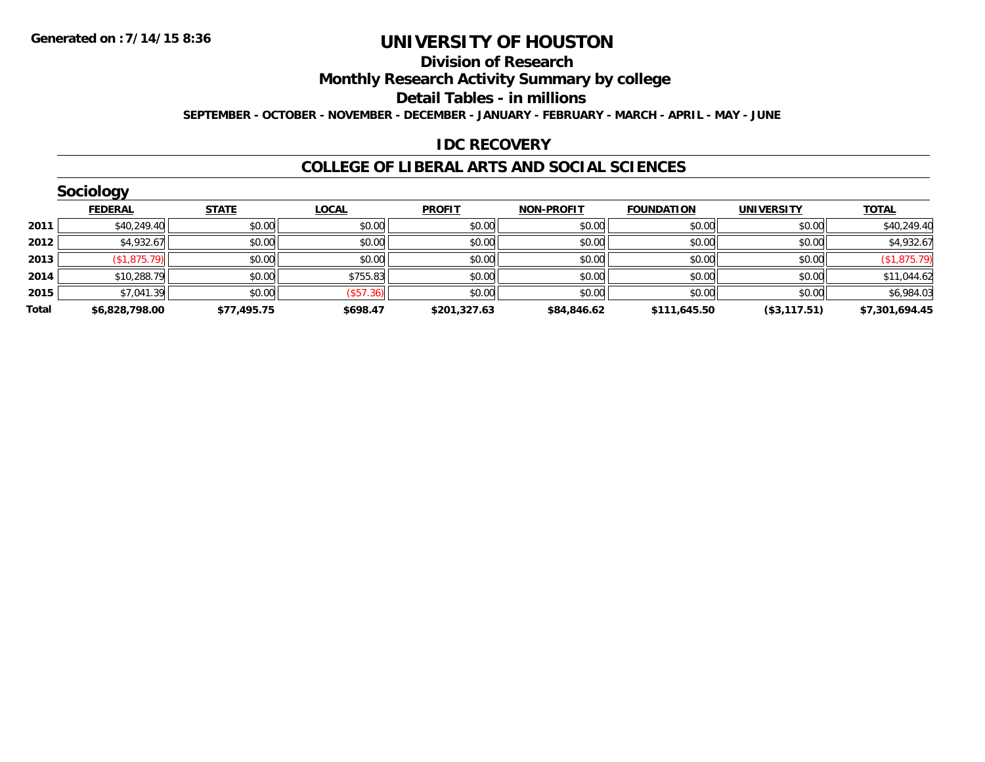#### **Division of Research**

**Monthly Research Activity Summary by college**

**Detail Tables - in millions**

**SEPTEMBER - OCTOBER - NOVEMBER - DECEMBER - JANUARY - FEBRUARY - MARCH - APRIL - MAY - JUNE**

#### **IDC RECOVERY**

|       | <b>Sociology</b> |              |                  |               |                   |                   |                   |                |  |  |  |
|-------|------------------|--------------|------------------|---------------|-------------------|-------------------|-------------------|----------------|--|--|--|
|       | <b>FEDERAL</b>   | <b>STATE</b> | <b>LOCAL</b>     | <b>PROFIT</b> | <b>NON-PROFIT</b> | <b>FOUNDATION</b> | <b>UNIVERSITY</b> | <b>TOTAL</b>   |  |  |  |
| 2011  | \$40,249.40      | \$0.00       | \$0.00           | \$0.00        | \$0.00            | \$0.00            | \$0.00            | \$40,249.40    |  |  |  |
| 2012  | \$4,932.67       | \$0.00       | \$0.00           | \$0.00        | \$0.00            | \$0.00            | \$0.00            | \$4,932.67     |  |  |  |
| 2013  | (\$1,875.79)     | \$0.00       | \$0.00           | \$0.00        | \$0.00            | \$0.00            | \$0.00            | (\$1,875.79)   |  |  |  |
| 2014  | \$10,288.79      | \$0.00       | \$755.83         | \$0.00        | \$0.00            | \$0.00            | \$0.00            | \$11,044.62    |  |  |  |
| 2015  | \$7,041.39       | \$0.00       | $($ \$57.36) $ $ | \$0.00        | \$0.00            | \$0.00            | \$0.00            | \$6,984.03     |  |  |  |
| Total | \$6,828,798.00   | \$77,495.75  | \$698.47         | \$201,327.63  | \$84,846.62       | \$111,645.50      | (\$3,117.51)      | \$7,301,694.45 |  |  |  |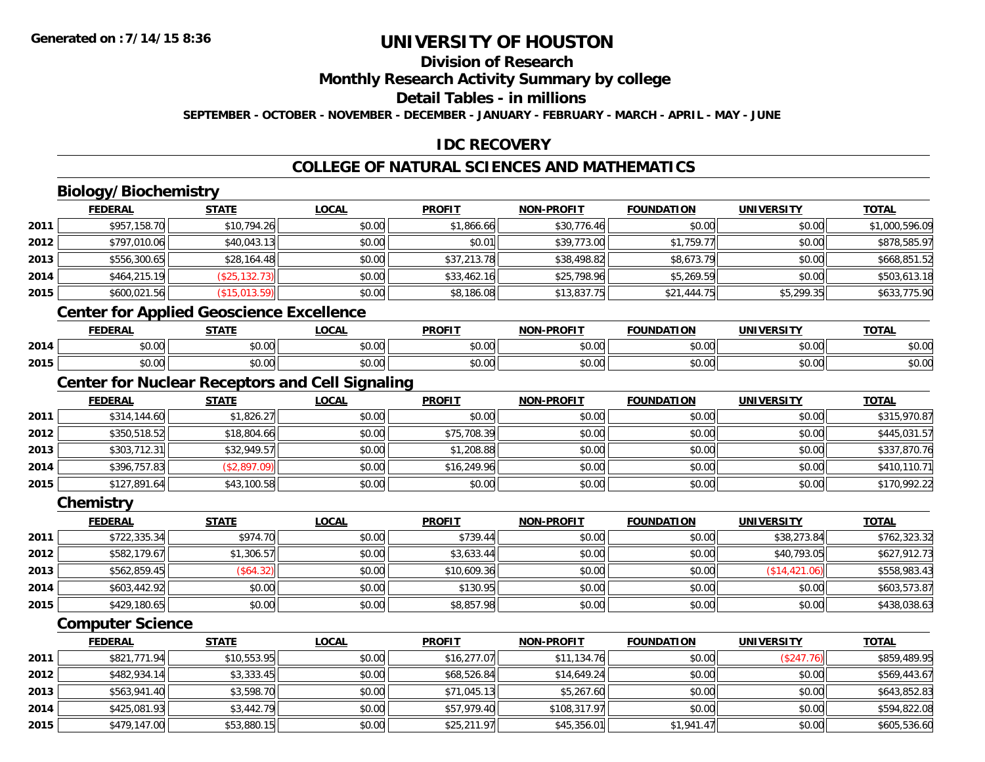### **Division of Research**

**Monthly Research Activity Summary by college**

**Detail Tables - in millions**

**SEPTEMBER - OCTOBER - NOVEMBER - DECEMBER - JANUARY - FEBRUARY - MARCH - APRIL - MAY - JUNE**

### **IDC RECOVERY**

### **COLLEGE OF NATURAL SCIENCES AND MATHEMATICS**

# **Biology/Biochemistry**

|                                                        | <b>FEDERAL</b>                                  | <b>STATE</b>   | <b>LOCAL</b> | <b>PROFIT</b> | <b>NON-PROFIT</b> | <b>FOUNDATION</b> | <b>UNIVERSITY</b> | <b>TOTAL</b>   |
|--------------------------------------------------------|-------------------------------------------------|----------------|--------------|---------------|-------------------|-------------------|-------------------|----------------|
| 2011                                                   | \$957,158.70                                    | \$10,794.26    | \$0.00       | \$1,866.66    | \$30,776.46       | \$0.00            | \$0.00            | \$1,000,596.09 |
| 2012                                                   | \$797,010.06                                    | \$40,043.13    | \$0.00       | \$0.01        | \$39,773.00       | \$1,759.77        | \$0.00            | \$878,585.97   |
| 2013                                                   | \$556,300.65                                    | \$28,164.48    | \$0.00       | \$37,213.78   | \$38,498.82       | \$8,673.79        | \$0.00            | \$668,851.52   |
| 2014                                                   | \$464,215.19                                    | (\$25, 132.73) | \$0.00       | \$33,462.16   | \$25,798.96       | \$5,269.59        | \$0.00            | \$503,613.18   |
| 2015                                                   | \$600,021.56                                    | (\$15,013.59)  | \$0.00       | \$8,186.08    | \$13,837.75       | \$21,444.75       | \$5,299.35        | \$633,775.90   |
|                                                        | <b>Center for Applied Geoscience Excellence</b> |                |              |               |                   |                   |                   |                |
|                                                        | <b>FEDERAL</b>                                  | <b>STATE</b>   | <b>LOCAL</b> | <b>PROFIT</b> | <b>NON-PROFIT</b> | <b>FOUNDATION</b> | <b>UNIVERSITY</b> | <b>TOTAL</b>   |
| 2014                                                   | \$0.00                                          | \$0.00         | \$0.00       | \$0.00        | \$0.00            | \$0.00            | \$0.00            | \$0.00         |
| 2015                                                   | \$0.00                                          | \$0.00         | \$0.00       | \$0.00        | \$0.00            | \$0.00            | \$0.00            | \$0.00         |
| <b>Center for Nuclear Receptors and Cell Signaling</b> |                                                 |                |              |               |                   |                   |                   |                |
|                                                        | <b>FEDERAL</b>                                  | <b>STATE</b>   | <b>LOCAL</b> | <b>PROFIT</b> | <b>NON-PROFIT</b> | <b>FOUNDATION</b> | <b>UNIVERSITY</b> | <b>TOTAL</b>   |
| 2011                                                   | \$314,144.60                                    | \$1,826.27     | \$0.00       | \$0.00        | \$0.00            | \$0.00            | \$0.00            | \$315,970.87   |
| 2012                                                   | \$350,518.52                                    | \$18,804.66    | \$0.00       | \$75,708.39   | \$0.00            | \$0.00            | \$0.00            | \$445,031.57   |
| 2013                                                   | \$303,712.31                                    | \$32,949.57    | \$0.00       | \$1,208.88    | \$0.00            | \$0.00            | \$0.00            | \$337,870.76   |
| 2014                                                   | \$396,757.83                                    | (\$2,897.09)   | \$0.00       | \$16,249.96   | \$0.00            | \$0.00            | \$0.00            | \$410,110.71   |
| 2015                                                   | \$127,891.64                                    | \$43,100.58    | \$0.00       | \$0.00        | \$0.00            | \$0.00            | \$0.00            | \$170,992.22   |
|                                                        | Chemistry                                       |                |              |               |                   |                   |                   |                |
|                                                        | <b>FEDERAL</b>                                  | <b>STATE</b>   | <b>LOCAL</b> | <b>PROFIT</b> | <b>NON-PROFIT</b> | <b>FOUNDATION</b> | <b>UNIVERSITY</b> | <b>TOTAL</b>   |
| 2011                                                   | \$722,335.34                                    | \$974.70       | \$0.00       | \$739.44      | \$0.00            | \$0.00            | \$38,273.84       | \$762,323.32   |
| 2012                                                   | \$582,179.67                                    | \$1,306.57     | \$0.00       | \$3,633.44    | \$0.00            | \$0.00            | \$40,793.05       | \$627,912.73   |
| 2013                                                   | \$562,859.45                                    | (\$64.32)      | \$0.00       | \$10,609.36   | \$0.00            | \$0.00            | (\$14,421.06)     | \$558,983.43   |
| 2014                                                   | \$603,442.92                                    | \$0.00         | \$0.00       | \$130.95      | \$0.00            | \$0.00            | \$0.00            | \$603,573.87   |

#### **Computer Science**

**2015**

|      | <b>FEDERAL</b> | <b>STATE</b> | <u>LOCAL</u> | <b>PROFIT</b> | <b>NON-PROFIT</b> | <b>FOUNDATION</b> | <b>UNIVERSITY</b> | <b>TOTAL</b> |
|------|----------------|--------------|--------------|---------------|-------------------|-------------------|-------------------|--------------|
| 2011 | \$821,771.94   | \$10,553.95  | \$0.00       | \$16,277.07   | \$11,134.76       | \$0.00            | (\$247.76)        | \$859,489.95 |
| 2012 | \$482,934.14   | \$3,333.45   | \$0.00       | \$68,526.84   | \$14,649.24       | \$0.00            | \$0.00            | \$569,443.67 |
| 2013 | \$563,941.40   | \$3,598.70   | \$0.00       | \$71,045.13   | \$5,267.60        | \$0.00            | \$0.00            | \$643,852.83 |
| 2014 | \$425,081.93   | \$3,442.79   | \$0.00       | \$57,979.40   | \$108,317.97      | \$0.00            | \$0.00            | \$594,822.08 |
| 2015 | \$479,147.00   | \$53,880.15  | \$0.00       | \$25,211.97   | \$45,356.01       | \$1,941.47        | \$0.00            | \$605,536.60 |

\$429,180.65 \$0.00 \$0.00 \$8,857.98 \$0.00 \$0.00 \$0.00 \$438,038.63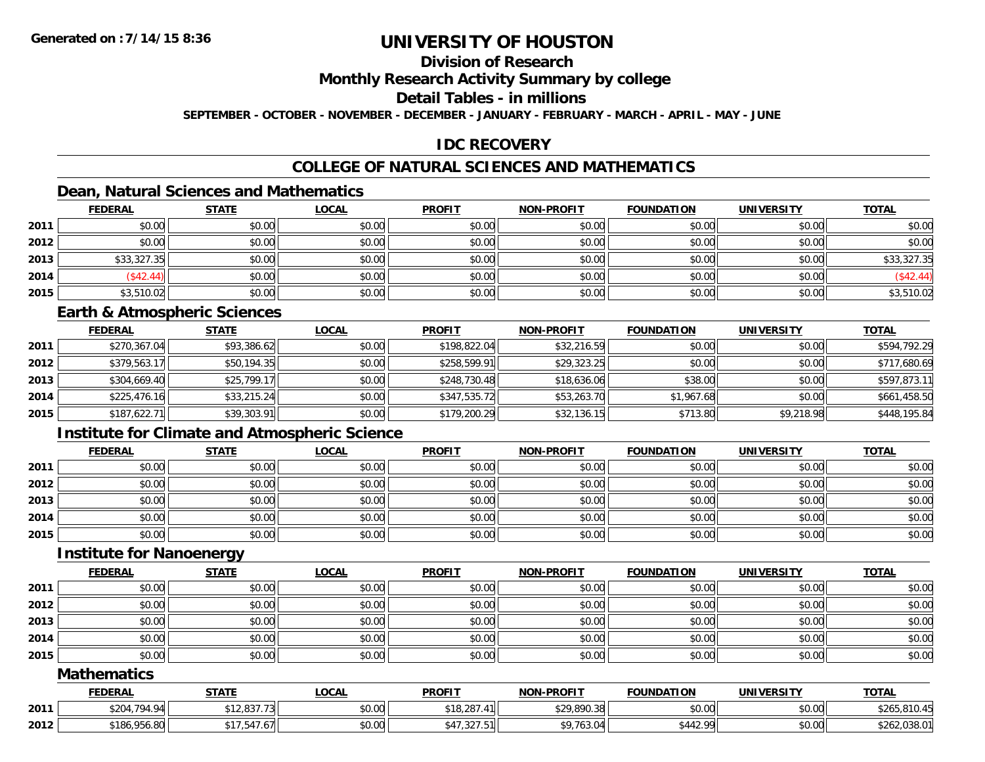## **Division of Research**

#### **Monthly Research Activity Summary by college**

#### **Detail Tables - in millions**

**SEPTEMBER - OCTOBER - NOVEMBER - DECEMBER - JANUARY - FEBRUARY - MARCH - APRIL - MAY - JUNE**

### **IDC RECOVERY**

### **COLLEGE OF NATURAL SCIENCES AND MATHEMATICS**

### **Dean, Natural Sciences and Mathematics**

|      | <b>FEDERAL</b> | <b>STATE</b> | <u>LOCAL</u> | <b>PROFIT</b> | <b>NON-PROFIT</b> | <b>FOUNDATION</b> | <b>UNIVERSITY</b> | <b>TOTAL</b> |
|------|----------------|--------------|--------------|---------------|-------------------|-------------------|-------------------|--------------|
| 2011 | \$0.00         | \$0.00       | \$0.00       | \$0.00        | \$0.00            | \$0.00            | \$0.00            | \$0.00       |
| 2012 | \$0.00         | \$0.00       | \$0.00       | \$0.00        | \$0.00            | \$0.00            | \$0.00            | \$0.00       |
| 2013 | \$33,327.35    | \$0.00       | \$0.00       | \$0.00        | \$0.00            | \$0.00            | \$0.00            | \$33,327.35  |
| 2014 | \$42.44]       | \$0.00       | \$0.00       | \$0.00        | \$0.00            | \$0.00            | \$0.00            | (\$42.44)    |
| 2015 | \$3,510.02     | \$0.00       | \$0.00       | \$0.00        | \$0.00            | \$0.00            | \$0.00            | \$3,510.02   |

#### **Earth & Atmospheric Sciences**

|      | <b>FEDERAL</b> | <u>STATE</u> | <u>LOCAL</u> | <b>PROFIT</b> | <b>NON-PROFIT</b> | <b>FOUNDATION</b> | <b>UNIVERSITY</b> | <b>TOTAL</b> |
|------|----------------|--------------|--------------|---------------|-------------------|-------------------|-------------------|--------------|
| 2011 | \$270,367.04   | \$93,386.62  | \$0.00       | \$198,822.04  | \$32,216.59       | \$0.00            | \$0.00            | \$594,792.29 |
| 2012 | \$379,563.17   | \$50,194.35  | \$0.00       | \$258,599.91  | \$29,323.25       | \$0.00            | \$0.00            | \$717,680.69 |
| 2013 | \$304,669.40   | \$25,799.17  | \$0.00       | \$248,730.48  | \$18,636.06       | \$38.00           | \$0.00            | \$597,873.11 |
| 2014 | \$225,476.16   | \$33,215.24  | \$0.00       | \$347,535.72  | \$53,263.70       | \$1,967.68        | \$0.00            | \$661,458.50 |
| 2015 | \$187,622.71   | \$39,303.91  | \$0.00       | \$179,200.29  | \$32,136.15       | \$713.80          | \$9,218.98        | \$448,195.84 |

### **Institute for Climate and Atmospheric Science**

|      | <b>FEDERAL</b> | <b>STATE</b> | <b>LOCAL</b> | <b>PROFIT</b> | <b>NON-PROFIT</b> | <b>FOUNDATION</b> | <b>UNIVERSITY</b> | <b>TOTAL</b> |
|------|----------------|--------------|--------------|---------------|-------------------|-------------------|-------------------|--------------|
| 2011 | \$0.00         | \$0.00       | \$0.00       | \$0.00        | \$0.00            | \$0.00            | \$0.00            | \$0.00       |
| 2012 | \$0.00         | \$0.00       | \$0.00       | \$0.00        | \$0.00            | \$0.00            | \$0.00            | \$0.00       |
| 2013 | \$0.00         | \$0.00       | \$0.00       | \$0.00        | \$0.00            | \$0.00            | \$0.00            | \$0.00       |
| 2014 | \$0.00         | \$0.00       | \$0.00       | \$0.00        | \$0.00            | \$0.00            | \$0.00            | \$0.00       |
| 2015 | \$0.00         | \$0.00       | \$0.00       | \$0.00        | \$0.00            | \$0.00            | \$0.00            | \$0.00       |

#### **Institute for Nanoenergy**

|      | <b>FEDERAL</b> | <b>STATE</b> | <b>LOCAL</b> | <b>PROFIT</b> | <b>NON-PROFIT</b> | <b>FOUNDATION</b> | <b>UNIVERSITY</b> | <b>TOTAL</b> |
|------|----------------|--------------|--------------|---------------|-------------------|-------------------|-------------------|--------------|
| 2011 | \$0.00         | \$0.00       | \$0.00       | \$0.00        | \$0.00            | \$0.00            | \$0.00            | \$0.00       |
| 2012 | \$0.00         | \$0.00       | \$0.00       | \$0.00        | \$0.00            | \$0.00            | \$0.00            | \$0.00       |
| 2013 | \$0.00         | \$0.00       | \$0.00       | \$0.00        | \$0.00            | \$0.00            | \$0.00            | \$0.00       |
| 2014 | \$0.00         | \$0.00       | \$0.00       | \$0.00        | \$0.00            | \$0.00            | \$0.00            | \$0.00       |
| 2015 | \$0.00         | \$0.00       | \$0.00       | \$0.00        | \$0.00            | \$0.00            | \$0.00            | \$0.00       |

#### **Mathematics**

|      | <b>FEDERAL</b> | <b>STATE</b>                            | <b>OCAL</b>        | <b>PROFIT</b>         | <b>NON-PROFIT</b> | <b>FOUNDATION</b> | <b>UNIVERSITY</b> | <b>TOTAL</b>                       |
|------|----------------|-----------------------------------------|--------------------|-----------------------|-------------------|-------------------|-------------------|------------------------------------|
| 2011 | \$204,794.94   | 0277<br>، دن, ۱۷<br>.                   | $\sim$ 00<br>PU.UU | \$18,287              | \$29,890.38       | t∩ ∩∩<br>vu.vu    | \$0.00            | <b>ሰገ</b> ረ!<br><b>AF</b><br>10.40 |
| 2012 | \$186,956.80   | $ -$<br>$.6$ / $\blacksquare$<br>- 34 . | nn nn<br>JU.UU     | $\cdots$<br>ا ے د ، ا | \$9,763.04        | \$442.99          | \$0.00            | \$262.038.0 <sup>-</sup><br>0.001  |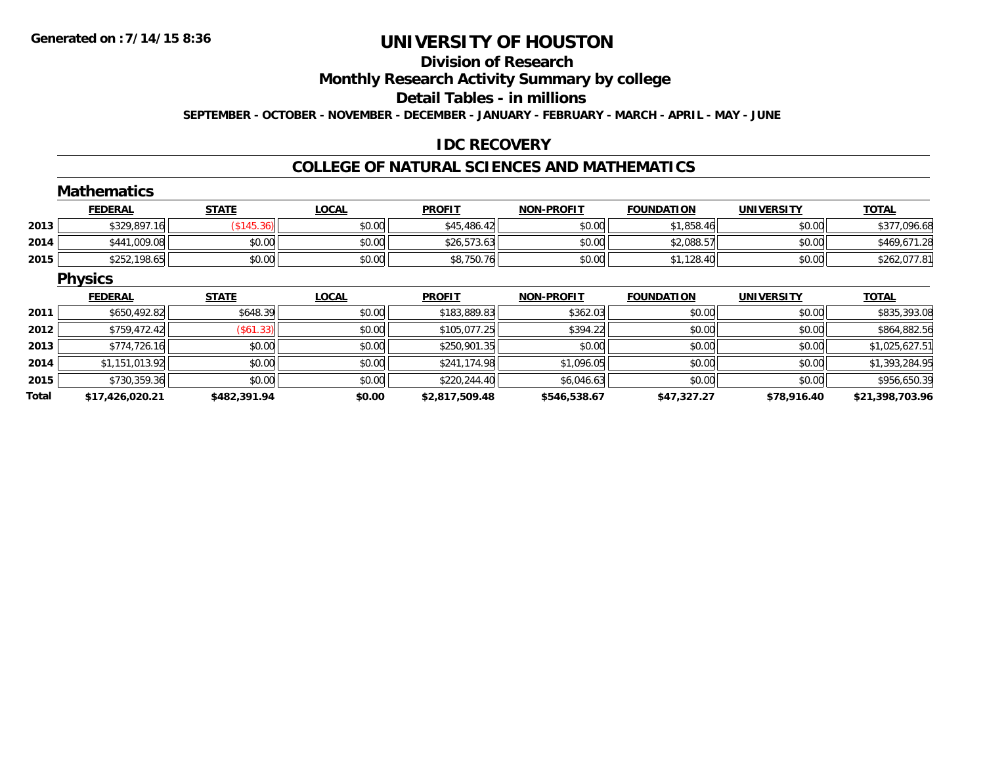## **Division of Research**

**Monthly Research Activity Summary by college**

#### **Detail Tables - in millions**

**SEPTEMBER - OCTOBER - NOVEMBER - DECEMBER - JANUARY - FEBRUARY - MARCH - APRIL - MAY - JUNE**

### **IDC RECOVERY**

## **COLLEGE OF NATURAL SCIENCES AND MATHEMATICS**

|       | <b>Mathematics</b> |              |              |                |                   |                   |                   |                 |
|-------|--------------------|--------------|--------------|----------------|-------------------|-------------------|-------------------|-----------------|
|       | <b>FEDERAL</b>     | <b>STATE</b> | <b>LOCAL</b> | <b>PROFIT</b>  | <b>NON-PROFIT</b> | <b>FOUNDATION</b> | <b>UNIVERSITY</b> | <b>TOTAL</b>    |
| 2013  | \$329,897.16       | (\$145.36)   | \$0.00       | \$45,486.42    | \$0.00            | \$1,858.46        | \$0.00            | \$377,096.68    |
| 2014  | \$441,009.08       | \$0.00       | \$0.00       | \$26,573.63    | \$0.00            | \$2,088.57        | \$0.00            | \$469,671.28    |
| 2015  | \$252,198.65       | \$0.00       | \$0.00       | \$8,750.76     | \$0.00            | \$1,128.40        | \$0.00            | \$262,077.81    |
|       | <b>Physics</b>     |              |              |                |                   |                   |                   |                 |
|       | <b>FEDERAL</b>     | <b>STATE</b> | <b>LOCAL</b> | <b>PROFIT</b>  | <b>NON-PROFIT</b> | <b>FOUNDATION</b> | <b>UNIVERSITY</b> | <b>TOTAL</b>    |
| 2011  | \$650,492.82       | \$648.39     | \$0.00       | \$183,889.83   | \$362.03          | \$0.00            | \$0.00            | \$835,393.08    |
| 2012  | \$759,472.42       | (\$61.33)    | \$0.00       | \$105,077.25   | \$394.22          | \$0.00            | \$0.00            | \$864,882.56    |
| 2013  | \$774,726.16       | \$0.00       | \$0.00       | \$250,901.35   | \$0.00            | \$0.00            | \$0.00            | \$1,025,627.51  |
| 2014  | \$1,151,013.92     | \$0.00       | \$0.00       | \$241,174.98   | \$1,096.05        | \$0.00            | \$0.00            | \$1,393,284.95  |
| 2015  | \$730,359.36       | \$0.00       | \$0.00       | \$220,244.40   | \$6,046.63        | \$0.00            | \$0.00            | \$956,650.39    |
| Total | \$17,426,020.21    | \$482,391.94 | \$0.00       | \$2,817,509.48 | \$546,538.67      | \$47,327.27       | \$78,916.40       | \$21,398,703.96 |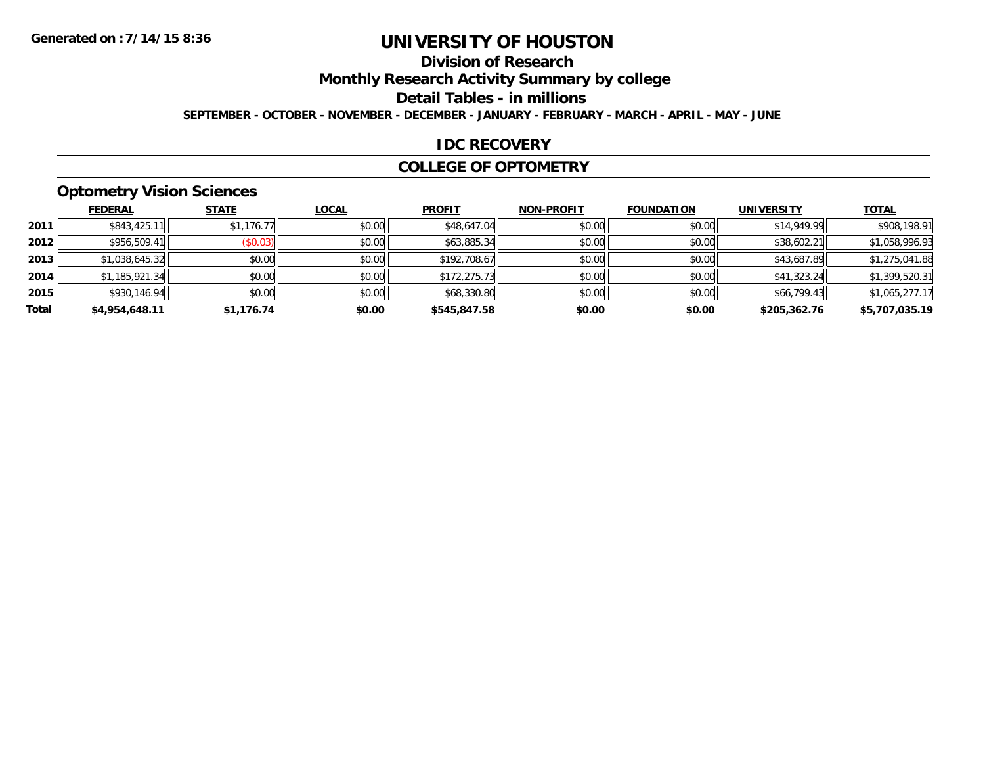## **Division of Research**

**Monthly Research Activity Summary by college**

**Detail Tables - in millions**

**SEPTEMBER - OCTOBER - NOVEMBER - DECEMBER - JANUARY - FEBRUARY - MARCH - APRIL - MAY - JUNE**

#### **IDC RECOVERY**

#### **COLLEGE OF OPTOMETRY**

### **Optometry Vision Sciences**

|       | <b>FEDERAL</b> | <b>STATE</b>            | <b>LOCAL</b> | <b>PROFIT</b> | <b>NON-PROFIT</b> | <b>FOUNDATION</b> | <b>UNIVERSITY</b> | <u>TOTAL</u>   |
|-------|----------------|-------------------------|--------------|---------------|-------------------|-------------------|-------------------|----------------|
| 2011  | \$843,425.11   | \$1,176.77              | \$0.00       | \$48,647.04   | \$0.00            | \$0.00            | \$14,949.99       | \$908,198.91   |
| 2012  | \$956,509.41   | $($ \$0.03) $\parallel$ | \$0.00       | \$63,885.34   | \$0.00            | \$0.00            | \$38,602.21       | \$1,058,996.93 |
| 2013  | \$1,038,645.32 | \$0.00                  | \$0.00       | \$192,708.67  | \$0.00            | \$0.00            | \$43,687.89       | \$1,275,041.88 |
| 2014  | \$1,185,921.34 | \$0.00                  | \$0.00       | \$172,275.73  | \$0.00            | \$0.00            | \$41,323.24       | \$1,399,520.31 |
| 2015  | \$930.146.94   | \$0.00                  | \$0.00       | \$68,330.80   | \$0.00            | \$0.00            | \$66,799.43       | \$1,065,277.17 |
| Total | \$4,954,648.11 | \$1,176.74              | \$0.00       | \$545,847.58  | \$0.00            | \$0.00            | \$205,362.76      | \$5,707,035.19 |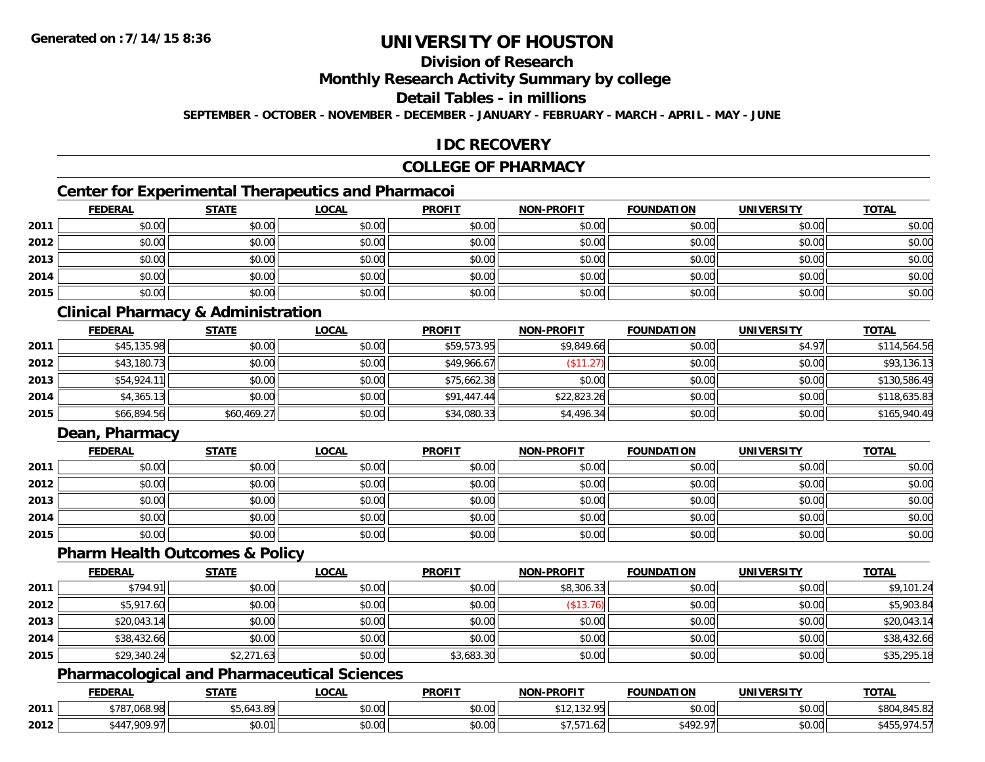# **Division of Research**

#### **Monthly Research Activity Summary by college**

#### **Detail Tables - in millions**

**SEPTEMBER - OCTOBER - NOVEMBER - DECEMBER - JANUARY - FEBRUARY - MARCH - APRIL - MAY - JUNE**

### **IDC RECOVERY**

#### **COLLEGE OF PHARMACY**

### **Center for Experimental Therapeutics and Pharmacoi**

|      | <b>FEDERAL</b> | <b>STATE</b> | <b>LOCAL</b> | <b>PROFIT</b> | <b>NON-PROFIT</b> | <b>FOUNDATION</b> | <b>UNIVERSITY</b> | <b>TOTAL</b> |
|------|----------------|--------------|--------------|---------------|-------------------|-------------------|-------------------|--------------|
| 2011 | \$0.00         | \$0.00       | \$0.00       | \$0.00        | \$0.00            | \$0.00            | \$0.00            | \$0.00       |
| 2012 | \$0.00         | \$0.00       | \$0.00       | \$0.00        | \$0.00            | \$0.00            | \$0.00            | \$0.00       |
| 2013 | \$0.00         | \$0.00       | \$0.00       | \$0.00        | \$0.00            | \$0.00            | \$0.00            | \$0.00       |
| 2014 | \$0.00         | \$0.00       | \$0.00       | \$0.00        | \$0.00            | \$0.00            | \$0.00            | \$0.00       |
| 2015 | \$0.00         | \$0.00       | \$0.00       | \$0.00        | \$0.00            | \$0.00            | \$0.00            | \$0.00       |

### **Clinical Pharmacy & Administration**

|      | <b>FEDERAL</b> | <b>STATE</b> | <b>LOCAL</b> | <b>PROFIT</b> | <b>NON-PROFIT</b> | <b>FOUNDATION</b> | <b>UNIVERSITY</b> | <b>TOTAL</b> |
|------|----------------|--------------|--------------|---------------|-------------------|-------------------|-------------------|--------------|
| 2011 | \$45,135.98    | \$0.00       | \$0.00       | \$59,573.95   | \$9,849.66        | \$0.00            | \$4.97            | \$114,564.56 |
| 2012 | \$43,180.73    | \$0.00       | \$0.00       | \$49,966.67   | $($ \$11.27)      | \$0.00            | \$0.00            | \$93,136.13  |
| 2013 | \$54,924.11    | \$0.00       | \$0.00       | \$75,662.38   | \$0.00            | \$0.00            | \$0.00            | \$130,586.49 |
| 2014 | \$4,365.13     | \$0.00       | \$0.00       | \$91,447.44   | \$22,823.26       | \$0.00            | \$0.00            | \$118,635.83 |
| 2015 | \$66,894.56    | \$60,469.27  | \$0.00       | \$34,080.33   | \$4,496.34        | \$0.00            | \$0.00            | \$165,940.49 |

### **Dean, Pharmacy**

|      | <b>FEDERAL</b> | <b>STATE</b> | <u>LOCAL</u> | <b>PROFIT</b> | <b>NON-PROFIT</b> | <b>FOUNDATION</b> | <b>UNIVERSITY</b> | <b>TOTAL</b> |
|------|----------------|--------------|--------------|---------------|-------------------|-------------------|-------------------|--------------|
| 2011 | \$0.00         | \$0.00       | \$0.00       | \$0.00        | \$0.00            | \$0.00            | \$0.00            | \$0.00       |
| 2012 | \$0.00         | \$0.00       | \$0.00       | \$0.00        | \$0.00            | \$0.00            | \$0.00            | \$0.00       |
| 2013 | \$0.00         | \$0.00       | \$0.00       | \$0.00        | \$0.00            | \$0.00            | \$0.00            | \$0.00       |
| 2014 | \$0.00         | \$0.00       | \$0.00       | \$0.00        | \$0.00            | \$0.00            | \$0.00            | \$0.00       |
| 2015 | \$0.00         | \$0.00       | \$0.00       | \$0.00        | \$0.00            | \$0.00            | \$0.00            | \$0.00       |

#### **Pharm Health Outcomes & Policy**

|      | <b>FEDERAL</b> | <b>STATE</b> | <b>LOCAL</b> | <b>PROFIT</b> | <b>NON-PROFIT</b> | <b>FOUNDATION</b> | <b>UNIVERSITY</b> | <b>TOTAL</b> |
|------|----------------|--------------|--------------|---------------|-------------------|-------------------|-------------------|--------------|
| 2011 | \$794.91       | \$0.00       | \$0.00       | \$0.00        | \$8,306.33        | \$0.00            | \$0.00            | \$9,101.24   |
| 2012 | \$5,917.60     | \$0.00       | \$0.00       | \$0.00        | (\$13.76)         | \$0.00            | \$0.00            | \$5,903.84   |
| 2013 | \$20,043.14    | \$0.00       | \$0.00       | \$0.00        | \$0.00            | \$0.00            | \$0.00            | \$20,043.14  |
| 2014 | \$38,432.66    | \$0.00       | \$0.00       | \$0.00        | \$0.00            | \$0.00            | \$0.00            | \$38,432.66  |
| 2015 | \$29,340.24    | \$2,271.63   | \$0.00       | \$3,683.30    | \$0.00            | \$0.00            | \$0.00            | \$35,295.18  |

### **Pharmacological and Pharmaceutical Sciences**

|      | <b>FEDERAL</b> | <b>CTATE</b><br>- 31 A | <b>OCAL</b>        | <b>PROFIT</b> | -PROFIT<br><b>NIONI</b>            | <b>FOUNDATION</b> | UNIVERSITY           | <b>TOTAL</b>                     |
|------|----------------|------------------------|--------------------|---------------|------------------------------------|-------------------|----------------------|----------------------------------|
| 2011 | \$787.068.98   | ,043.89                | $\sim$ 00<br>40.00 | 0000<br>DU.UG | $\overline{a}$<br>192.79<br>91 L I | \$0.00            | 0000<br><b>DU.UG</b> | ¢00<br>$\overline{a}$<br>040.04. |
| 2012 | 0.000          | 00001<br>JU.U          | ሖ ∩<br>PU.UU       | 0000<br>DU.UG | $\sim$ $  -$                       | \$492C<br>77Z.    | 0000<br><b>DU.UU</b> | −.∪<br>◡つ                        |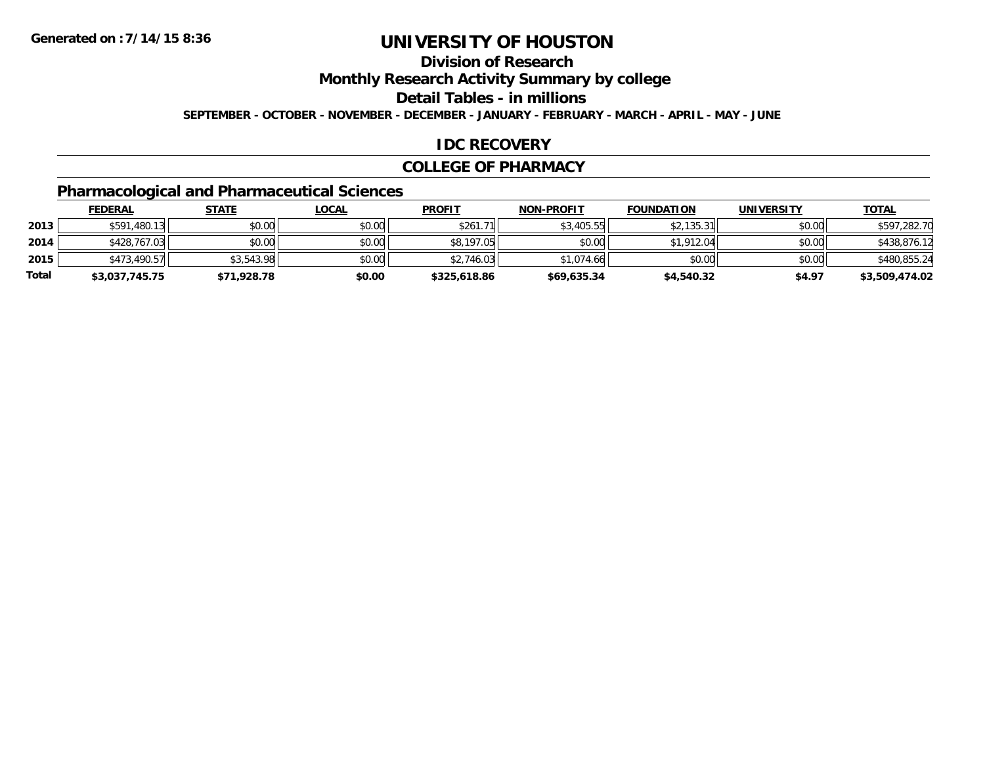## **Division of Research**

**Monthly Research Activity Summary by college**

**Detail Tables - in millions**

**SEPTEMBER - OCTOBER - NOVEMBER - DECEMBER - JANUARY - FEBRUARY - MARCH - APRIL - MAY - JUNE**

### **IDC RECOVERY**

#### **COLLEGE OF PHARMACY**

## **Pharmacological and Pharmaceutical Sciences**

|       | <b>FEDERAL</b> | <u>STATE</u> | <u>LOCAL</u> | <b>PROFIT</b> | <b>NON-PROFIT</b> | <b>FOUNDATION</b> | <b>UNIVERSITY</b> | <b>TOTAL</b>   |
|-------|----------------|--------------|--------------|---------------|-------------------|-------------------|-------------------|----------------|
| 2013  | \$591,480.13   | \$0.00       | \$0.00       | \$261.71      | \$3,405.55        | \$2,135.31        | \$0.00            | \$597,282.70   |
| 2014  | \$428,767.03   | \$0.00       | \$0.00       | \$8,197.05    | \$0.00            | \$1,912.04        | \$0.00            | \$438,876.12   |
| 2015  | \$473,490.57   | \$3,543.98   | \$0.00       | \$2.746.03    | \$1,074.66        | \$0.00            | \$0.00            | \$480,855.24   |
| Total | \$3,037,745.75 | \$71,928.78  | \$0.00       | \$325,618.86  | \$69,635.34       | \$4,540.32        | \$4.97            | \$3,509,474.02 |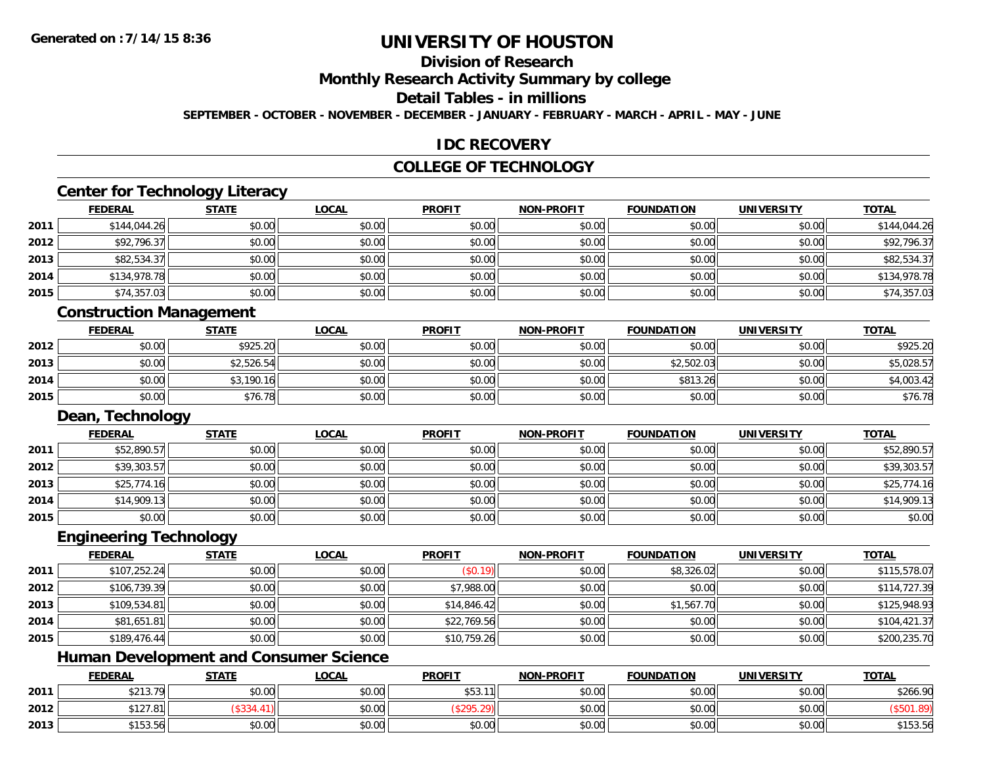# **Division of Research**

**Monthly Research Activity Summary by college**

### **Detail Tables - in millions**

**SEPTEMBER - OCTOBER - NOVEMBER - DECEMBER - JANUARY - FEBRUARY - MARCH - APRIL - MAY - JUNE**

#### **IDC RECOVERY**

### **COLLEGE OF TECHNOLOGY**

# **Center for Technology Literacy**

|      | <b>FEDERAL</b> | <b>STATE</b> | <b>LOCAL</b> | <b>PROFIT</b> | <b>NON-PROFIT</b> | <b>FOUNDATION</b> | <b>UNIVERSITY</b> | <b>TOTAL</b> |
|------|----------------|--------------|--------------|---------------|-------------------|-------------------|-------------------|--------------|
| 2011 | \$144,044.26   | \$0.00       | \$0.00       | \$0.00        | \$0.00            | \$0.00            | \$0.00            | \$144,044.26 |
| 2012 | \$92,796.37    | \$0.00       | \$0.00       | \$0.00        | \$0.00            | \$0.00            | \$0.00            | \$92,796.37  |
| 2013 | \$82,534.37    | \$0.00       | \$0.00       | \$0.00        | \$0.00            | \$0.00            | \$0.00            | \$82,534.37  |
| 2014 | \$134,978.78   | \$0.00       | \$0.00       | \$0.00        | \$0.00            | \$0.00            | \$0.00            | \$134,978.78 |
| 2015 | \$74,357.03    | \$0.00       | \$0.00       | \$0.00        | \$0.00            | \$0.00            | \$0.00            | \$74,357.03  |

#### **Construction Management**

|      | <u>FEDERAL</u> | <b>STATE</b> | <u>LOCAL</u> | <b>PROFIT</b> | <b>NON-PROFIT</b> | <b>FOUNDATION</b> | <b>UNIVERSITY</b> | <b>TOTAL</b> |
|------|----------------|--------------|--------------|---------------|-------------------|-------------------|-------------------|--------------|
| 2012 | \$0.00         | \$925.20     | \$0.00       | \$0.00        | \$0.00            | \$0.00            | \$0.00            | \$925.20     |
| 2013 | \$0.00         | \$2,526.54   | \$0.00       | \$0.00        | \$0.00            | \$2,502.03        | \$0.00            | \$5,028.57   |
| 2014 | \$0.00         | \$3,190.16   | \$0.00       | \$0.00        | \$0.00            | \$813.26          | \$0.00            | \$4,003.42   |
| 2015 | \$0.00         | \$76.78      | \$0.00       | \$0.00        | \$0.00            | \$0.00            | \$0.00            | \$76.78      |

#### **Dean, Technology**

|      | <u>FEDERAL</u> | <b>STATE</b> | <u>LOCAL</u> | <b>PROFIT</b> | <b>NON-PROFIT</b> | <b>FOUNDATION</b> | <b>UNIVERSITY</b> | <b>TOTAL</b> |
|------|----------------|--------------|--------------|---------------|-------------------|-------------------|-------------------|--------------|
| 2011 | \$52,890.57    | \$0.00       | \$0.00       | \$0.00        | \$0.00            | \$0.00            | \$0.00            | \$52,890.57  |
| 2012 | \$39,303.57    | \$0.00       | \$0.00       | \$0.00        | \$0.00            | \$0.00            | \$0.00            | \$39,303.57  |
| 2013 | \$25,774.16    | \$0.00       | \$0.00       | \$0.00        | \$0.00            | \$0.00            | \$0.00            | \$25,774.16  |
| 2014 | \$14,909.13    | \$0.00       | \$0.00       | \$0.00        | \$0.00            | \$0.00            | \$0.00            | \$14,909.13  |
| 2015 | \$0.00         | \$0.00       | \$0.00       | \$0.00        | \$0.00            | \$0.00            | \$0.00            | \$0.00       |

#### **Engineering Technology**

|      | <b>FEDERAL</b> | <b>STATE</b> | <u>LOCAL</u> | <b>PROFIT</b> | <b>NON-PROFIT</b> | <b>FOUNDATION</b> | <b>UNIVERSITY</b> | <b>TOTAL</b> |
|------|----------------|--------------|--------------|---------------|-------------------|-------------------|-------------------|--------------|
| 2011 | \$107,252.24   | \$0.00       | \$0.00       | (\$0.19)      | \$0.00            | \$8,326.02        | \$0.00            | \$115,578.07 |
| 2012 | \$106,739.39   | \$0.00       | \$0.00       | \$7,988.00    | \$0.00            | \$0.00            | \$0.00            | \$114,727.39 |
| 2013 | \$109,534.81   | \$0.00       | \$0.00       | \$14,846.42   | \$0.00            | \$1,567.70        | \$0.00            | \$125,948.93 |
| 2014 | \$81,651.81    | \$0.00       | \$0.00       | \$22,769.56   | \$0.00            | \$0.00            | \$0.00            | \$104,421.37 |
| 2015 | \$189,476.44   | \$0.00       | \$0.00       | \$10,759.26   | \$0.00            | \$0.00            | \$0.00            | \$200,235.70 |

### **Human Development and Consumer Science**

|      | <b>FEDERAL</b>           | <b>STATE</b> | <u>LOCAL</u> | <b>PROFIT</b>            | <b>NON-PROFIT</b> | <b>FOUNDATION</b> | <b>UNIVERSITY</b> | <b>TOTAL</b> |
|------|--------------------------|--------------|--------------|--------------------------|-------------------|-------------------|-------------------|--------------|
| 2011 | ሐ ኅ ኅ ኅ<br>70<br>92 I J. | \$0.00       | \$0.00       | <b>¢52</b><br>11<br>ن رب | \$0.00            | \$0.00            | \$0.00            | \$266.90     |
| 2012 | \$127.81                 |              | \$0.00       | - 70.4                   | \$0.00            | \$0.00            | \$0.00            |              |
| 2013 | $A + C$<br>199.90        | \$0.00       | \$0.00       | \$0.00                   | \$0.00            | \$0.00            | \$0.00            | \$153.56     |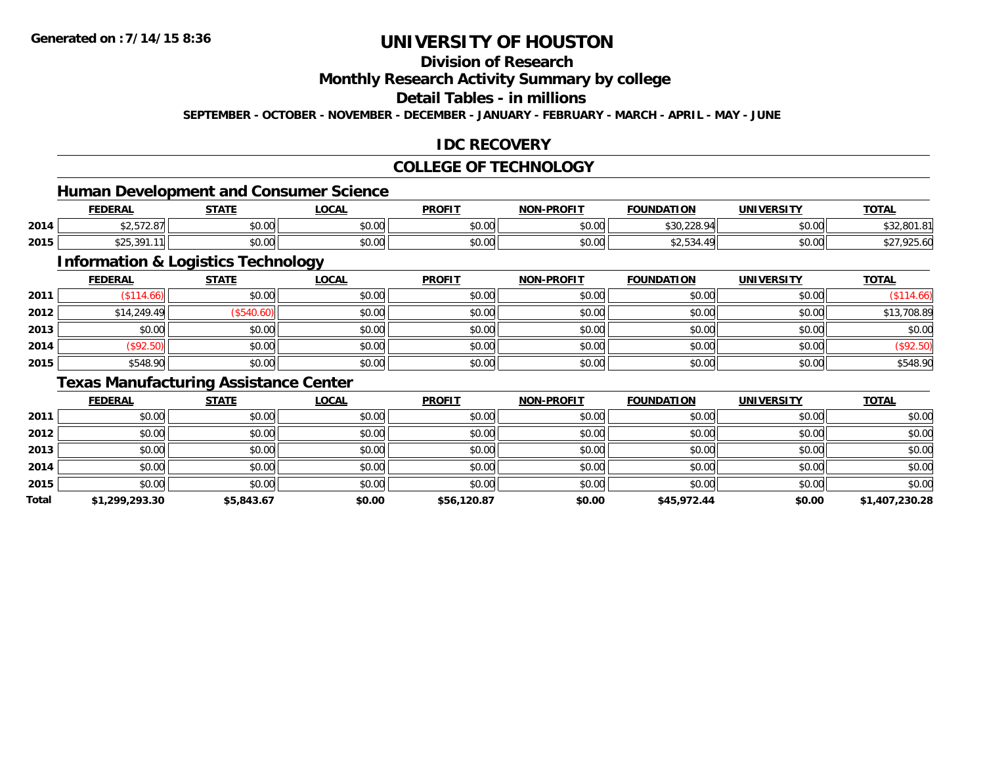## **Division of Research**

**Monthly Research Activity Summary by college**

### **Detail Tables - in millions**

**SEPTEMBER - OCTOBER - NOVEMBER - DECEMBER - JANUARY - FEBRUARY - MARCH - APRIL - MAY - JUNE**

### **IDC RECOVERY**

### **COLLEGE OF TECHNOLOGY**

<u> 1989 - Johann Stein, fransk politik (d. 1989)</u>

### **Human Development and Consumer Science**

|      | <b>FEDERAL</b>                   | <b>STATE</b><br>,,,,, | <b>LOCAL</b>         | <b>PROFIT</b> | <b>NON-PROFIT</b> | <b>FOUNDATION</b>        | <b>UNIVERSITY</b> | <b>TOTAL</b> |
|------|----------------------------------|-----------------------|----------------------|---------------|-------------------|--------------------------|-------------------|--------------|
| 2014 | $\cdots$<br>ا ا 1 ∆ ، ∠ ، ب _پ — | 0000<br>DU.UG         | 0.00<br><b>JU.UU</b> | 0000<br>vv.vv | 40.00<br>JU.UU    | \$20, 220, 04<br>⊅JU,∠∠O | \$0.00            | \$32,801     |
| 2015 | \$25,391.<br>.11                 | \$0.00                | 0.00<br><b>DU.UU</b> | 0000<br>JU.UU | 40.00<br>PO.OO    | <b>JZ.JJ4.</b>           | \$0.00            | DO.CSK, 132  |

## **Information & Logistics Technology**

|      | <u>FEDERAL</u> | <b>STATE</b> | <b>LOCAL</b> | <b>PROFIT</b> | <b>NON-PROFIT</b> | <b>FOUNDATION</b> | <b>UNIVERSITY</b> | <b>TOTAL</b> |
|------|----------------|--------------|--------------|---------------|-------------------|-------------------|-------------------|--------------|
| 2011 | \$114.66       | \$0.00       | \$0.00       | \$0.00        | \$0.00            | \$0.00            | \$0.00            | \$114.66     |
| 2012 | \$14,249.49    | \$540.60     | \$0.00       | \$0.00        | \$0.00            | \$0.00            | \$0.00            | \$13,708.89  |
| 2013 | \$0.00         | \$0.00       | \$0.00       | \$0.00        | \$0.00            | \$0.00            | \$0.00            | \$0.00       |
| 2014 | \$92.50        | \$0.00       | \$0.00       | \$0.00        | \$0.00            | \$0.00            | \$0.00            | $(\$92.50)$  |
| 2015 | \$548.90       | \$0.00       | \$0.00       | \$0.00        | \$0.00            | \$0.00            | \$0.00            | \$548.90     |

#### **Texas Manufacturing Assistance Center**

|       | <b>FEDERAL</b> | <b>STATE</b> | <b>LOCAL</b> | <b>PROFIT</b> | <b>NON-PROFIT</b> | <b>FOUNDATION</b> | <b>UNIVERSITY</b> | <b>TOTAL</b>   |
|-------|----------------|--------------|--------------|---------------|-------------------|-------------------|-------------------|----------------|
| 2011  | \$0.00         | \$0.00       | \$0.00       | \$0.00        | \$0.00            | \$0.00            | \$0.00            | \$0.00         |
| 2012  | \$0.00         | \$0.00       | \$0.00       | \$0.00        | \$0.00            | \$0.00            | \$0.00            | \$0.00         |
| 2013  | \$0.00         | \$0.00       | \$0.00       | \$0.00        | \$0.00            | \$0.00            | \$0.00            | \$0.00         |
| 2014  | \$0.00         | \$0.00       | \$0.00       | \$0.00        | \$0.00            | \$0.00            | \$0.00            | \$0.00         |
| 2015  | \$0.00         | \$0.00       | \$0.00       | \$0.00        | \$0.00            | \$0.00            | \$0.00            | \$0.00         |
| Total | \$1,299,293.30 | \$5,843.67   | \$0.00       | \$56,120.87   | \$0.00            | \$45,972.44       | \$0.00            | \$1,407,230.28 |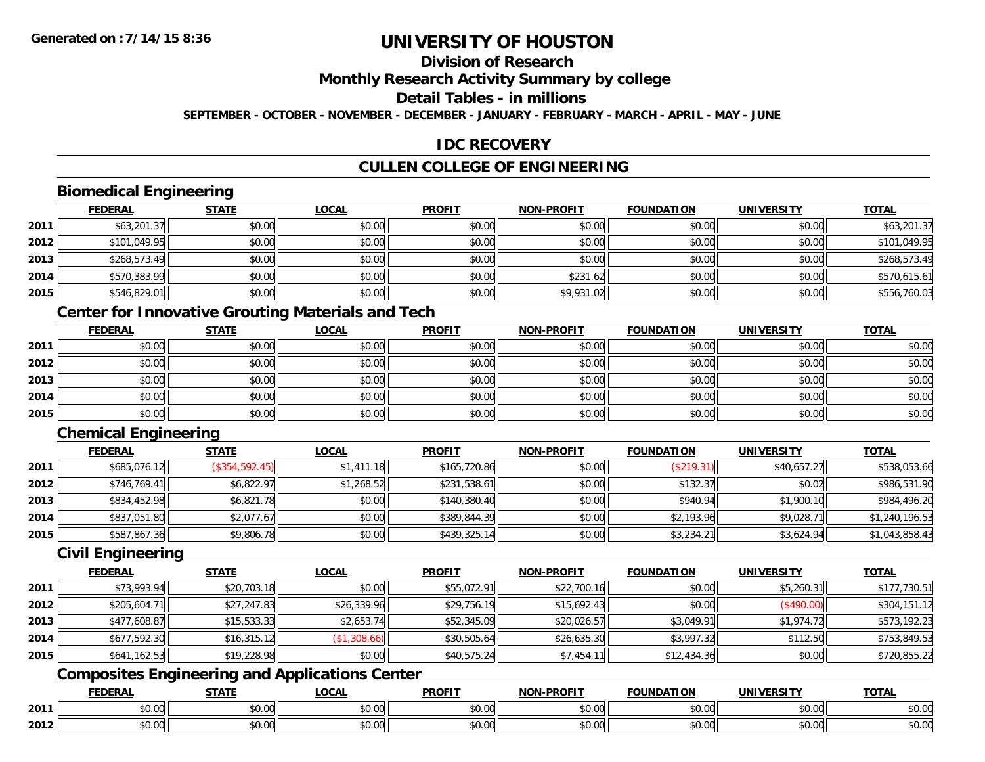# **Division of Research**

#### **Monthly Research Activity Summary by college**

### **Detail Tables - in millions**

**SEPTEMBER - OCTOBER - NOVEMBER - DECEMBER - JANUARY - FEBRUARY - MARCH - APRIL - MAY - JUNE**

#### **IDC RECOVERY**

### **CULLEN COLLEGE OF ENGINEERING**

### **Biomedical Engineering**

|      | <b>FEDERAL</b> | <b>STATE</b> | <u>LOCAL</u> | <b>PROFIT</b> | <b>NON-PROFIT</b> | <b>FOUNDATION</b> | <b>UNIVERSITY</b> | <b>TOTAL</b> |
|------|----------------|--------------|--------------|---------------|-------------------|-------------------|-------------------|--------------|
| 2011 | \$63,201.37    | \$0.00       | \$0.00       | \$0.00        | \$0.00            | \$0.00            | \$0.00            | \$63,201.37  |
| 2012 | \$101,049.95   | \$0.00       | \$0.00       | \$0.00        | \$0.00            | \$0.00            | \$0.00            | \$101,049.95 |
| 2013 | \$268,573.49   | \$0.00       | \$0.00       | \$0.00        | \$0.00            | \$0.00            | \$0.00            | \$268,573.49 |
| 2014 | \$570,383.99   | \$0.00       | \$0.00       | \$0.00        | \$231.62          | \$0.00            | \$0.00            | \$570,615.61 |
| 2015 | \$546,829.01   | \$0.00       | \$0.00       | \$0.00        | \$9,931.02        | \$0.00            | \$0.00            | \$556,760.03 |

### **Center for Innovative Grouting Materials and Tech**

|      | <u>FEDERAL</u> | <u>STATE</u> | <u>LOCAL</u> | <b>PROFIT</b> | <b>NON-PROFIT</b> | <b>FOUNDATION</b> | <b>UNIVERSITY</b> | <b>TOTAL</b> |
|------|----------------|--------------|--------------|---------------|-------------------|-------------------|-------------------|--------------|
| 2011 | \$0.00         | \$0.00       | \$0.00       | \$0.00        | \$0.00            | \$0.00            | \$0.00            | \$0.00       |
| 2012 | \$0.00         | \$0.00       | \$0.00       | \$0.00        | \$0.00            | \$0.00            | \$0.00            | \$0.00       |
| 2013 | \$0.00         | \$0.00       | \$0.00       | \$0.00        | \$0.00            | \$0.00            | \$0.00            | \$0.00       |
| 2014 | \$0.00         | \$0.00       | \$0.00       | \$0.00        | \$0.00            | \$0.00            | \$0.00            | \$0.00       |
| 2015 | \$0.00         | \$0.00       | \$0.00       | \$0.00        | \$0.00            | \$0.00            | \$0.00            | \$0.00       |

### **Chemical Engineering**

|      | <b>FEDERAL</b> | <b>STATE</b>   | <u>LOCAL</u> | <b>PROFIT</b> | <b>NON-PROFIT</b> | <b>FOUNDATION</b> | <b>UNIVERSITY</b> | <b>TOTAL</b>   |
|------|----------------|----------------|--------------|---------------|-------------------|-------------------|-------------------|----------------|
| 2011 | \$685,076.12   | (\$354,592.45) | \$1,411.18   | \$165,720.86  | \$0.00            | (\$219.31)        | \$40,657.27       | \$538,053.66   |
| 2012 | \$746,769.41   | \$6,822.97     | \$1,268.52   | \$231,538.61  | \$0.00            | \$132.37          | \$0.02            | \$986,531.90   |
| 2013 | \$834,452.98   | \$6,821.78     | \$0.00       | \$140,380.40  | \$0.00            | \$940.94          | \$1,900.10        | \$984,496.20   |
| 2014 | \$837,051.80   | \$2,077.67     | \$0.00       | \$389,844.39  | \$0.00            | \$2,193.96        | \$9,028.71        | \$1,240,196.53 |
| 2015 | \$587,867.36   | \$9,806.78     | \$0.00       | \$439,325.14  | \$0.00            | \$3,234.21        | \$3,624.94        | \$1,043,858.43 |

#### **Civil Engineering**

|      | <b>FEDERAL</b> | <b>STATE</b> | <b>LOCAL</b> | <b>PROFIT</b> | <b>NON-PROFIT</b> | <b>FOUNDATION</b> | <b>UNIVERSITY</b> | <b>TOTAL</b> |
|------|----------------|--------------|--------------|---------------|-------------------|-------------------|-------------------|--------------|
| 2011 | \$73,993.94    | \$20,703.18  | \$0.00       | \$55,072.91   | \$22,700.16       | \$0.00            | \$5,260.31        | \$177,730.51 |
| 2012 | \$205,604.71   | \$27,247.83  | \$26,339.96  | \$29,756.19   | \$15,692.43       | \$0.00            | (\$490.00)        | \$304,151.12 |
| 2013 | \$477,608.87   | \$15,533.33  | \$2,653.74   | \$52,345.09   | \$20,026.57       | \$3,049.91        | \$1,974.72        | \$573,192.23 |
| 2014 | \$677,592.30   | \$16,315.12  | (\$1,308.66) | \$30,505.64   | \$26,635.30       | \$3,997.32        | \$112.50          | \$753,849.53 |
| 2015 | \$641,162.53   | \$19,228.98  | \$0.00       | \$40,575.24   | \$7,454.11        | \$12,434.36       | \$0.00            | \$720,855.22 |

### **Composites Engineering and Applications Center**

|      | <b>DERAL</b>                     | <b>CTATI</b>          | .OCAI                  | <b>PROFIT</b>         | <b>DDAEIT</b><br><b>NION</b> | .<br>ב נוחו<br>пом | - R.J.         | <b>TOTAL</b>                   |
|------|----------------------------------|-----------------------|------------------------|-----------------------|------------------------------|--------------------|----------------|--------------------------------|
| 2011 | $\sim$<br>. uu u                 | $\overline{ }$<br>ט.ט | $\sim$ 00<br>pu.uu     | $\sim$ 00<br>ູ∞ບ.ບບ   | 0.00<br>PO.OO                | vv.vv              | 0.001<br>vv.vv | 0000<br>\$U.UU                 |
| 2012 | $\sim$ $\sim$<br>$\sim$<br>,u.uu | しいい                   | $\sim$ $\sim$<br>vu.uu | $\sim$ 00<br>ັ້ນບ.ບເ∞ | 0.00<br>PO.OO                | JU.UU              | 0.00<br>PO.OO  | 0 <sup>0</sup><br><b>JU.UU</b> |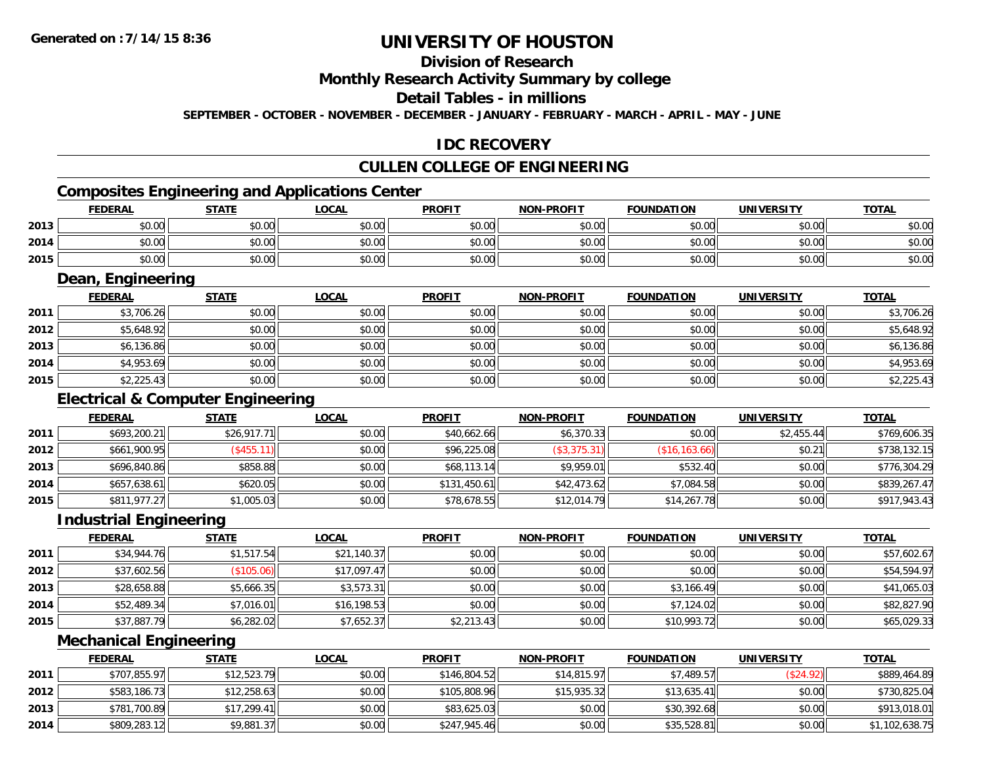# **Division of Research**

#### **Monthly Research Activity Summary by college**

#### **Detail Tables - in millions**

**SEPTEMBER - OCTOBER - NOVEMBER - DECEMBER - JANUARY - FEBRUARY - MARCH - APRIL - MAY - JUNE**

### **IDC RECOVERY**

### **CULLEN COLLEGE OF ENGINEERING**

# **Composites Engineering and Applications Center**

|      | <b>FEDERAL</b> | <b>STATE</b> | LOCAL  | <b>PROFIT</b> | <b>NON-PROFIT</b> | <b>FOUNDATION</b> | <b>UNIVERSITY</b> | <b>TOTAL</b> |
|------|----------------|--------------|--------|---------------|-------------------|-------------------|-------------------|--------------|
| 2013 | \$0.00         | \$0.00       | \$0.00 | \$0.00        | \$0.00            | \$0.00            | \$0.00            | \$0.00       |
| 2014 | \$0.00         | \$0.00       | \$0.00 | \$0.00        | \$0.00            | \$0.00            | \$0.00            | \$0.00       |
| 2015 | \$0.00         | \$0.00       | \$0.00 | \$0.00        | \$0.00            | \$0.00            | \$0.00            | \$0.00       |

<u> 1989 - Johann Stoff, deutscher Stoffen und der Stoffen und der Stoffen und der Stoffen und der Stoffen und der</u>

#### **Dean, Engineering**

|      | <b>FEDERAL</b> | <b>STATE</b> | <b>LOCAL</b> | <b>PROFIT</b> | <b>NON-PROFIT</b> | <b>FOUNDATION</b> | <b>UNIVERSITY</b> | <b>TOTAL</b> |
|------|----------------|--------------|--------------|---------------|-------------------|-------------------|-------------------|--------------|
| 2011 | \$3,706.26     | \$0.00       | \$0.00       | \$0.00        | \$0.00            | \$0.00            | \$0.00            | \$3,706.26   |
| 2012 | \$5,648.92     | \$0.00       | \$0.00       | \$0.00        | \$0.00            | \$0.00            | \$0.00            | \$5,648.92   |
| 2013 | \$6,136.86     | \$0.00       | \$0.00       | \$0.00        | \$0.00            | \$0.00            | \$0.00            | \$6,136.86   |
| 2014 | \$4,953.69     | \$0.00       | \$0.00       | \$0.00        | \$0.00            | \$0.00            | \$0.00            | \$4,953.69   |
| 2015 | \$2,225.43     | \$0.00       | \$0.00       | \$0.00        | \$0.00            | \$0.00            | \$0.00            | \$2,225.43   |

### **Electrical & Computer Engineering**

|      | <b>FEDERAL</b> | <b>STATE</b>              | <b>LOCAL</b> | <b>PROFIT</b> | <b>NON-PROFIT</b> | <b>FOUNDATION</b> | UNIVERSITY | <b>TOTAL</b> |
|------|----------------|---------------------------|--------------|---------------|-------------------|-------------------|------------|--------------|
| 2011 | \$693,200.21   | \$26,917.71               | \$0.00       | \$40,662.66   | \$6,370.33        | \$0.00            | \$2,455.44 | \$769,606.35 |
| 2012 | \$661,900.95   | $($ \$455.11) $\parallel$ | \$0.00       | \$96,225.08   | (\$3,375.31)      | (\$16, 163.66)    | \$0.21     | \$738,132.15 |
| 2013 | \$696,840.86   | \$858.88                  | \$0.00       | \$68,113.14   | \$9.959.01        | \$532.40          | \$0.00     | \$776,304.29 |
| 2014 | \$657,638.61   | \$620.05                  | \$0.00       | \$131,450.61  | \$42,473.62       | \$7,084.58        | \$0.00     | \$839,267.47 |
| 2015 | \$811,977.27   | \$1,005.03                | \$0.00       | \$78,678.55   | \$12,014.79       | \$14,267.78       | \$0.00     | \$917,943.43 |

<u> 1980 - Johann Barn, mars ann an t-Amhain Aonaich an t-Aonaich an t-Aonaich an t-Aonaich an t-Aonaich an t-Aon</u>

#### **Industrial Engineering**

|      | <b>FEDERAL</b> | <b>STATE</b> | <u>LOCAL</u> | <b>PROFIT</b> | <b>NON-PROFIT</b> | <b>FOUNDATION</b> | <b>UNIVERSITY</b> | <b>TOTAL</b> |
|------|----------------|--------------|--------------|---------------|-------------------|-------------------|-------------------|--------------|
| 2011 | \$34,944.76    | \$1,517.54   | \$21,140.37  | \$0.00        | \$0.00            | \$0.00            | \$0.00            | \$57,602.67  |
| 2012 | \$37,602.56    | (\$105.06)   | \$17,097.47  | \$0.00        | \$0.00            | \$0.00            | \$0.00            | \$54,594.97  |
| 2013 | \$28,658.88    | \$5,666.35   | \$3,573.31   | \$0.00        | \$0.00            | \$3,166.49        | \$0.00            | \$41,065.03  |
| 2014 | \$52,489.34    | \$7,016.01   | \$16,198.53  | \$0.00        | \$0.00            | \$7,124.02        | \$0.00            | \$82,827.90  |
| 2015 | \$37,887.79    | \$6,282.02   | \$7,652.37   | \$2,213.43    | \$0.00            | \$10,993.72       | \$0.00            | \$65,029.33  |

#### **Mechanical Engineering**

|      | <b>FEDERAL</b> | <u>STATE</u> | <u>LOCAL</u> | <b>PROFIT</b> | <b>NON-PROFIT</b> | <b>FOUNDATION</b> | <b>UNIVERSITY</b> | <b>TOTAL</b>   |
|------|----------------|--------------|--------------|---------------|-------------------|-------------------|-------------------|----------------|
| 2011 | \$707,855.97   | \$12,523.79  | \$0.00       | \$146,804.52  | \$14,815.97       | \$7,489.57        | (\$24.92)         | \$889,464.89   |
| 2012 | \$583,186.73   | \$12,258.63  | \$0.00       | \$105,808.96  | \$15,935.32       | \$13,635.41       | \$0.00            | \$730,825.04   |
| 2013 | \$781,700.89   | \$17.299.41  | \$0.00       | \$83,625.03   | \$0.00            | \$30,392.68       | \$0.00            | \$913,018.01   |
| 2014 | \$809,283.12   | \$9,881.37   | \$0.00       | \$247,945.46  | \$0.00            | \$35,528.81       | \$0.00            | \$1,102,638.75 |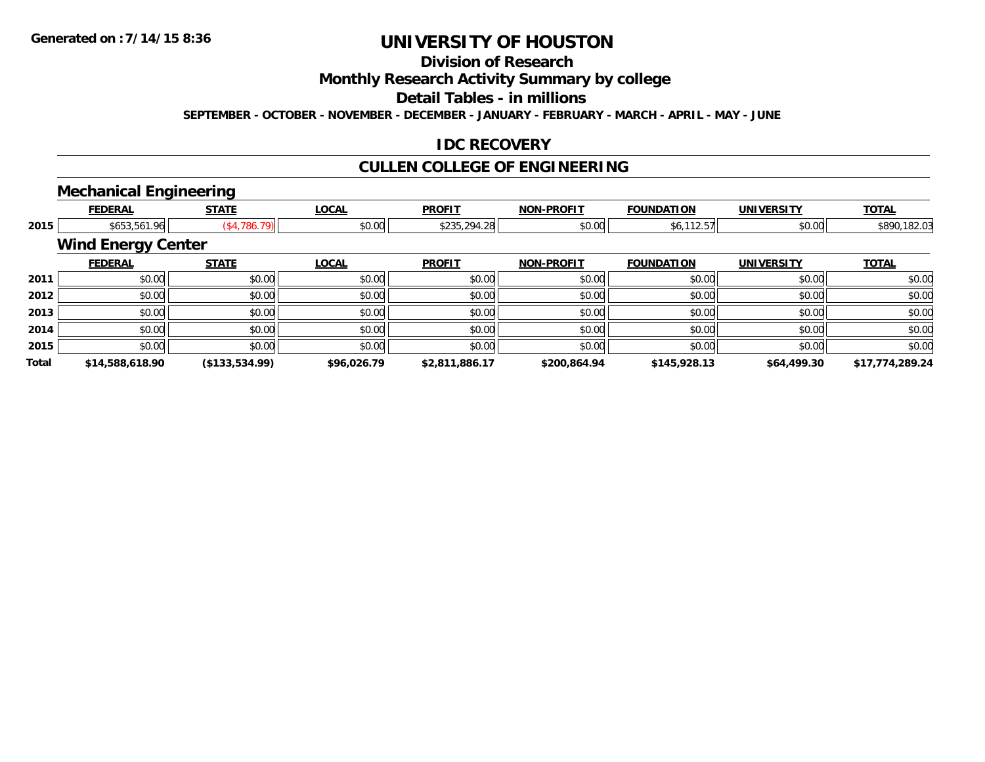# **Division of Research**

**Monthly Research Activity Summary by college**

**Detail Tables - in millions**

**SEPTEMBER - OCTOBER - NOVEMBER - DECEMBER - JANUARY - FEBRUARY - MARCH - APRIL - MAY - JUNE**

### **IDC RECOVERY**

# **CULLEN COLLEGE OF ENGINEERING**

### **Mechanical Engineering**

|              | <b>FEDERAL</b>            | <b>STATE</b>     | <b>LOCAL</b> | <b>PROFIT</b>  | <b>NON-PROFIT</b> | <b>FOUNDATION</b> | <b>UNIVERSITY</b> | <b>TOTAL</b>    |
|--------------|---------------------------|------------------|--------------|----------------|-------------------|-------------------|-------------------|-----------------|
| 2015         | \$653,561.96              | $($ \$4,786.79)  | \$0.00       | \$235,294.28   | \$0.00            | \$6,112.57        | \$0.00            | \$890,182.03    |
|              | <b>Wind Energy Center</b> |                  |              |                |                   |                   |                   |                 |
|              | <b>FEDERAL</b>            | <b>STATE</b>     | <b>LOCAL</b> | <b>PROFIT</b>  | <b>NON-PROFIT</b> | <b>FOUNDATION</b> | <b>UNIVERSITY</b> | <b>TOTAL</b>    |
| 2011         | \$0.00                    | \$0.00           | \$0.00       | \$0.00         | \$0.00            | \$0.00            | \$0.00            | \$0.00          |
| 2012         | \$0.00                    | \$0.00           | \$0.00       | \$0.00         | \$0.00            | \$0.00            | \$0.00            | \$0.00          |
| 2013         | \$0.00                    | \$0.00           | \$0.00       | \$0.00         | \$0.00            | \$0.00            | \$0.00            | \$0.00          |
| 2014         | \$0.00                    | \$0.00           | \$0.00       | \$0.00         | \$0.00            | \$0.00            | \$0.00            | \$0.00          |
| 2015         | \$0.00                    | \$0.00           | \$0.00       | \$0.00         | \$0.00            | \$0.00            | \$0.00            | \$0.00          |
| <b>Total</b> | \$14,588,618.90           | ( \$133, 534.99) | \$96,026.79  | \$2,811,886.17 | \$200,864.94      | \$145,928.13      | \$64,499.30       | \$17,774,289.24 |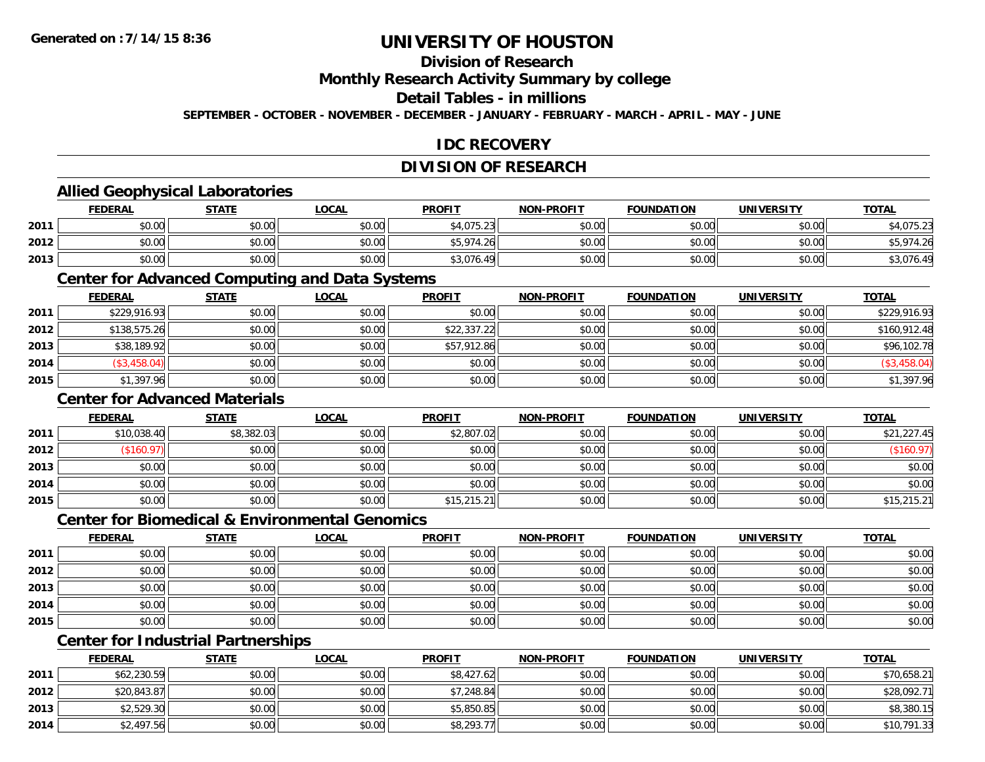# **Division of Research**

**Monthly Research Activity Summary by college**

#### **Detail Tables - in millions**

**SEPTEMBER - OCTOBER - NOVEMBER - DECEMBER - JANUARY - FEBRUARY - MARCH - APRIL - MAY - JUNE**

### **IDC RECOVERY**

### **DIVISION OF RESEARCH**

#### **Allied Geophysical Laboratories**

|      | <b>FEDERAL</b> | <b>STATE</b>   | <u>LOCAL</u> | <b>PROFIT</b> | <b>NON-PROFIT</b> | <b>FOUNDATION</b> | <b>UNIVERSITY</b> | <b>TOTAL</b>         |
|------|----------------|----------------|--------------|---------------|-------------------|-------------------|-------------------|----------------------|
| 2011 | \$0.00         | 40.00<br>JU.UU | \$0.00       | \$4,075.23    | \$0.00            | \$0.00            | \$0.00            | 275.22<br>\$4,073.ZJ |
| 2012 | \$0.00         | \$0.00         | \$0.00       | \$5,974.26    | \$0.00            | \$0.00            | \$0.00            | \$5,974.26           |
| 2013 | \$0.00         | \$0.00         | \$0.00       | \$3,076.49    | \$0.00            | \$0.00            | \$0.00            | \$3,076.49           |

#### **Center for Advanced Computing and Data Systems**

|      | <b>FEDERAL</b> | <b>STATE</b> | <u>LOCAL</u> | <b>PROFIT</b> | <b>NON-PROFIT</b> | <b>FOUNDATION</b> | <b>UNIVERSITY</b> | <b>TOTAL</b>   |
|------|----------------|--------------|--------------|---------------|-------------------|-------------------|-------------------|----------------|
| 2011 | \$229,916.93   | \$0.00       | \$0.00       | \$0.00        | \$0.00            | \$0.00            | \$0.00            | \$229,916.93   |
| 2012 | \$138,575.26   | \$0.00       | \$0.00       | \$22,337.22   | \$0.00            | \$0.00            | \$0.00            | \$160,912.48   |
| 2013 | \$38,189.92    | \$0.00       | \$0.00       | \$57,912.86   | \$0.00            | \$0.00            | \$0.00            | \$96,102.78    |
| 2014 | (\$3,458.04)   | \$0.00       | \$0.00       | \$0.00        | \$0.00            | \$0.00            | \$0.00            | $(\$3,458.04]$ |
| 2015 | \$1,397.96     | \$0.00       | \$0.00       | \$0.00        | \$0.00            | \$0.00            | \$0.00            | \$1,397.96     |

#### **Center for Advanced Materials**

|      | <b>FEDERAL</b> | <b>STATE</b> | <u>LOCAL</u> | <b>PROFIT</b> | <b>NON-PROFIT</b> | <b>FOUNDATION</b> | <b>UNIVERSITY</b> | <b>TOTAL</b> |
|------|----------------|--------------|--------------|---------------|-------------------|-------------------|-------------------|--------------|
| 2011 | \$10,038.40    | \$8,382.03   | \$0.00       | \$2,807.02    | \$0.00            | \$0.00            | \$0.00            | \$21,227.45  |
| 2012 | \$160.97       | \$0.00       | \$0.00       | \$0.00        | \$0.00            | \$0.00            | \$0.00            | (\$160.97)   |
| 2013 | \$0.00         | \$0.00       | \$0.00       | \$0.00        | \$0.00            | \$0.00            | \$0.00            | \$0.00       |
| 2014 | \$0.00         | \$0.00       | \$0.00       | \$0.00        | \$0.00            | \$0.00            | \$0.00            | \$0.00       |
| 2015 | \$0.00         | \$0.00       | \$0.00       | \$15,215.21   | \$0.00            | \$0.00            | \$0.00            | \$15,215.21  |

#### **Center for Biomedical & Environmental Genomics**

|      | <u>FEDERAL</u> | <b>STATE</b> | <b>LOCAL</b> | <b>PROFIT</b> | NON-PROFIT | <b>FOUNDATION</b> | <b>UNIVERSITY</b> | <b>TOTAL</b> |
|------|----------------|--------------|--------------|---------------|------------|-------------------|-------------------|--------------|
| 2011 | \$0.00         | \$0.00       | \$0.00       | \$0.00        | \$0.00     | \$0.00            | \$0.00            | \$0.00       |
| 2012 | \$0.00         | \$0.00       | \$0.00       | \$0.00        | \$0.00     | \$0.00            | \$0.00            | \$0.00       |
| 2013 | \$0.00         | \$0.00       | \$0.00       | \$0.00        | \$0.00     | \$0.00            | \$0.00            | \$0.00       |
| 2014 | \$0.00         | \$0.00       | \$0.00       | \$0.00        | \$0.00     | \$0.00            | \$0.00            | \$0.00       |
| 2015 | \$0.00         | \$0.00       | \$0.00       | \$0.00        | \$0.00     | \$0.00            | \$0.00            | \$0.00       |

## **Center for Industrial Partnerships**

|      | <u>FEDERAL</u> | <b>STATE</b> | <b>LOCAL</b> | <b>PROFIT</b> | <b>NON-PROFIT</b> | <b>FOUNDATION</b> | <b>UNIVERSITY</b> | <b>TOTAL</b> |
|------|----------------|--------------|--------------|---------------|-------------------|-------------------|-------------------|--------------|
| 2011 | \$62,230.59    | \$0.00       | \$0.00       | \$8,427.62    | \$0.00            | \$0.00            | \$0.00            | \$70,658.21  |
| 2012 | \$20,843.87    | \$0.00       | \$0.00       | \$7,248.84    | \$0.00            | \$0.00            | \$0.00            | \$28,092.71  |
| 2013 | \$2,529.30     | \$0.00       | \$0.00       | \$5,850.85    | \$0.00            | \$0.00            | \$0.00            | \$8,380.15   |
| 2014 | \$2,497.56     | \$0.00       | \$0.00       | \$8,293.77    | \$0.00            | \$0.00            | \$0.00            | \$10,791.33  |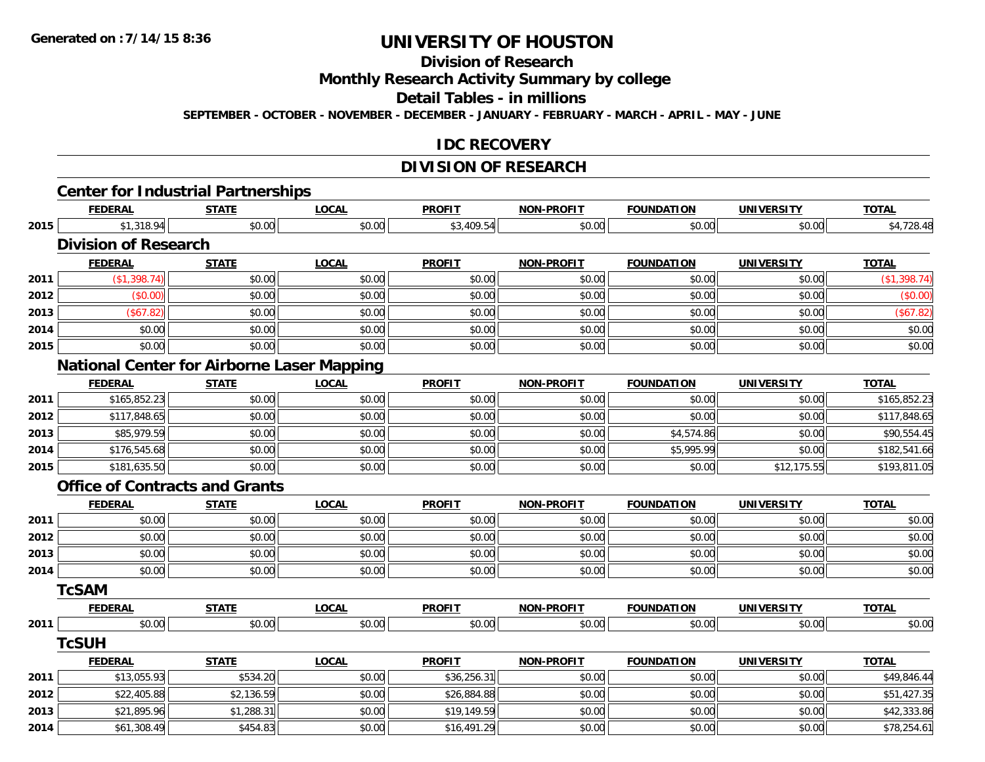# **Division of Research**

**Monthly Research Activity Summary by college**

**Detail Tables - in millions**

**SEPTEMBER - OCTOBER - NOVEMBER - DECEMBER - JANUARY - FEBRUARY - MARCH - APRIL - MAY - JUNE**

#### **IDC RECOVERY**

# **DIVISION OF RESEARCH**

|      |                                                   |              |              | <b>DIVISION OF RESEARUM</b> |                   |                   |                   |              |
|------|---------------------------------------------------|--------------|--------------|-----------------------------|-------------------|-------------------|-------------------|--------------|
|      | <b>Center for Industrial Partnerships</b>         |              |              |                             |                   |                   |                   |              |
|      | <b>FEDERAL</b>                                    | <b>STATE</b> | <b>LOCAL</b> | <b>PROFIT</b>               | <b>NON-PROFIT</b> | <b>FOUNDATION</b> | <b>UNIVERSITY</b> | <b>TOTAL</b> |
| 2015 | \$1,318.94                                        | \$0.00       | \$0.00       | \$3,409.54                  | \$0.00            | \$0.00            | \$0.00            | \$4,728.48   |
|      | <b>Division of Research</b>                       |              |              |                             |                   |                   |                   |              |
|      | <b>FEDERAL</b>                                    | <b>STATE</b> | <b>LOCAL</b> | <b>PROFIT</b>               | <b>NON-PROFIT</b> | <b>FOUNDATION</b> | <b>UNIVERSITY</b> | <b>TOTAL</b> |
| 2011 | (\$1,398.74)                                      | \$0.00       | \$0.00       | \$0.00                      | \$0.00            | \$0.00            | \$0.00            | (\$1,398.74) |
| 2012 | (\$0.00)                                          | \$0.00       | \$0.00       | \$0.00                      | \$0.00            | \$0.00            | \$0.00            | (\$0.00)     |
| 2013 | (\$67.82)                                         | \$0.00       | \$0.00       | \$0.00                      | \$0.00            | \$0.00            | \$0.00            | (\$67.82)    |
| 2014 | \$0.00                                            | \$0.00       | \$0.00       | \$0.00                      | \$0.00            | \$0.00            | \$0.00            | \$0.00       |
| 2015 | \$0.00                                            | \$0.00       | \$0.00       | \$0.00                      | \$0.00            | \$0.00            | \$0.00            | \$0.00       |
|      | <b>National Center for Airborne Laser Mapping</b> |              |              |                             |                   |                   |                   |              |
|      | <b>FEDERAL</b>                                    | <b>STATE</b> | <b>LOCAL</b> | <b>PROFIT</b>               | <b>NON-PROFIT</b> | <b>FOUNDATION</b> | <b>UNIVERSITY</b> | <b>TOTAL</b> |
| 2011 | \$165,852.23                                      | \$0.00       | \$0.00       | \$0.00                      | \$0.00            | \$0.00            | \$0.00            | \$165,852.23 |
| 2012 | \$117,848.65                                      | \$0.00       | \$0.00       | \$0.00                      | \$0.00            | \$0.00            | \$0.00            | \$117,848.65 |
| 2013 | \$85,979.59                                       | \$0.00       | \$0.00       | \$0.00                      | \$0.00            | \$4,574.86        | \$0.00            | \$90,554.45  |
| 2014 | \$176,545.68                                      | \$0.00       | \$0.00       | \$0.00                      | \$0.00            | \$5,995.99        | \$0.00            | \$182,541.66 |
| 2015 | \$181,635.50                                      | \$0.00       | \$0.00       | \$0.00                      | \$0.00            | \$0.00            | \$12,175.55       | \$193,811.05 |
|      | <b>Office of Contracts and Grants</b>             |              |              |                             |                   |                   |                   |              |
|      | <b>FEDERAL</b>                                    | <b>STATE</b> | <b>LOCAL</b> | <b>PROFIT</b>               | <b>NON-PROFIT</b> | <b>FOUNDATION</b> | <b>UNIVERSITY</b> | <b>TOTAL</b> |
| 2011 | \$0.00                                            | \$0.00       | \$0.00       | \$0.00                      | \$0.00            | \$0.00            | \$0.00            | \$0.00       |
| 2012 | \$0.00                                            | \$0.00       | \$0.00       | \$0.00                      | \$0.00            | \$0.00            | \$0.00            | \$0.00       |
| 2013 | \$0.00                                            | \$0.00       | \$0.00       | \$0.00                      | \$0.00            | \$0.00            | \$0.00            | \$0.00       |
| 2014 | \$0.00                                            | \$0.00       | \$0.00       | \$0.00                      | \$0.00            | \$0.00            | \$0.00            | \$0.00       |
|      | <b>TcSAM</b>                                      |              |              |                             |                   |                   |                   |              |
|      | <b>FEDERAL</b>                                    | <b>STATE</b> | <b>LOCAL</b> | <b>PROFIT</b>               | <b>NON-PROFIT</b> | <b>FOUNDATION</b> | <b>UNIVERSITY</b> | <b>TOTAL</b> |
| 2011 | \$0.00                                            | \$0.00       | \$0.00       | \$0.00                      | \$0.00            | \$0.00            | \$0.00            | \$0.00       |
|      | <b>TcSUH</b>                                      |              |              |                             |                   |                   |                   |              |
|      | <b>FEDERAL</b>                                    | <b>STATE</b> | <b>LOCAL</b> | <b>PROFIT</b>               | <b>NON-PROFIT</b> | <b>FOUNDATION</b> | <b>UNIVERSITY</b> | <b>TOTAL</b> |
| 2011 | \$13,055.93                                       | \$534.20     | \$0.00       | \$36,256.31                 | \$0.00            | \$0.00            | \$0.00            | \$49,846.44  |
| 2012 | \$22,405.88                                       | \$2,136.59   | \$0.00       | \$26,884.88                 | \$0.00            | \$0.00            | \$0.00            | \$51,427.35  |
| 2013 | \$21,895.96                                       | \$1,288.31   | \$0.00       | \$19,149.59                 | \$0.00            | \$0.00            | \$0.00            | \$42,333.86  |
| 2014 | \$61,308.49                                       | \$454.83     | \$0.00       | \$16,491.29                 | \$0.00            | \$0.00            | \$0.00            | \$78,254.61  |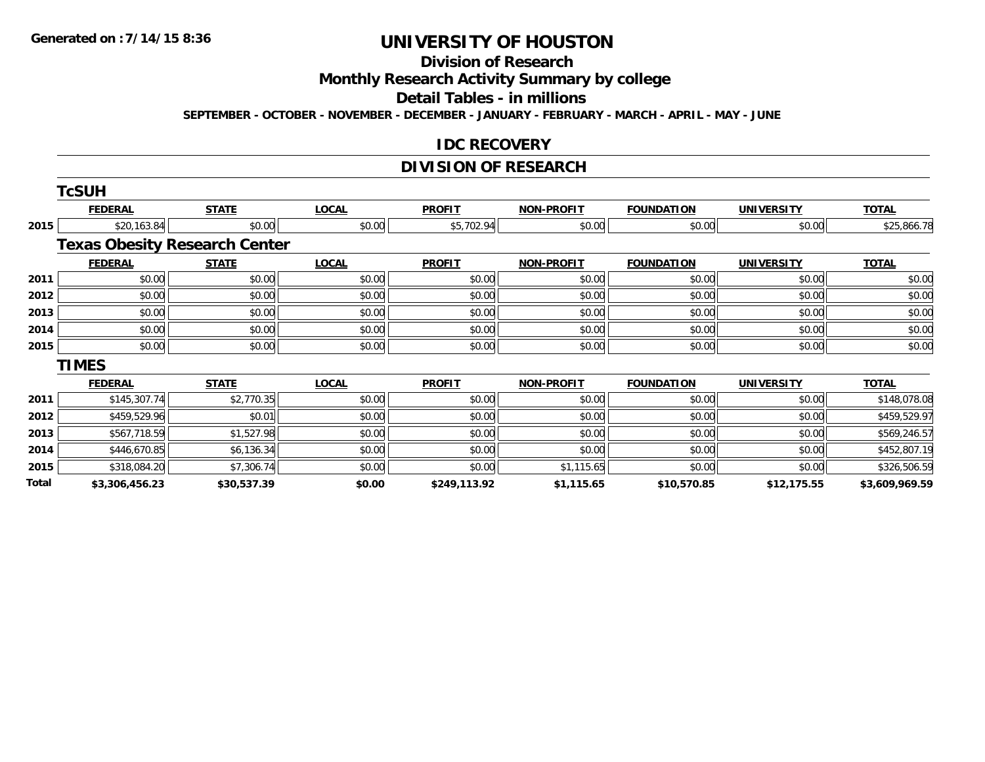# **Division of Research**

**Monthly Research Activity Summary by college**

**Detail Tables - in millions**

**SEPTEMBER - OCTOBER - NOVEMBER - DECEMBER - JANUARY - FEBRUARY - MARCH - APRIL - MAY - JUNE**

#### **IDC RECOVERY**

### **DIVISION OF RESEARCH**

|       | <b>TcSUH</b>                         |              |              |               |                   |                   |                   |                |
|-------|--------------------------------------|--------------|--------------|---------------|-------------------|-------------------|-------------------|----------------|
|       | <b>FEDERAL</b>                       | <b>STATE</b> | <b>LOCAL</b> | <b>PROFIT</b> | <b>NON-PROFIT</b> | <b>FOUNDATION</b> | <b>UNIVERSITY</b> | <b>TOTAL</b>   |
| 2015  | \$20,163.84                          | \$0.00       | \$0.00       | \$5,702.94    | \$0.00            | \$0.00            | \$0.00            | \$25,866.78    |
|       | <b>Texas Obesity Research Center</b> |              |              |               |                   |                   |                   |                |
|       | <b>FEDERAL</b>                       | <b>STATE</b> | <b>LOCAL</b> | <b>PROFIT</b> | <b>NON-PROFIT</b> | <b>FOUNDATION</b> | <b>UNIVERSITY</b> | <b>TOTAL</b>   |
| 2011  | \$0.00                               | \$0.00       | \$0.00       | \$0.00        | \$0.00            | \$0.00            | \$0.00            | \$0.00         |
| 2012  | \$0.00                               | \$0.00       | \$0.00       | \$0.00        | \$0.00            | \$0.00            | \$0.00            | \$0.00         |
| 2013  | \$0.00                               | \$0.00       | \$0.00       | \$0.00        | \$0.00            | \$0.00            | \$0.00            | \$0.00         |
| 2014  | \$0.00                               | \$0.00       | \$0.00       | \$0.00        | \$0.00            | \$0.00            | \$0.00            | \$0.00         |
| 2015  | \$0.00                               | \$0.00       | \$0.00       | \$0.00        | \$0.00            | \$0.00            | \$0.00            | \$0.00         |
|       | <b>TIMES</b>                         |              |              |               |                   |                   |                   |                |
|       | <b>FEDERAL</b>                       | <b>STATE</b> | <b>LOCAL</b> | <b>PROFIT</b> | <b>NON-PROFIT</b> | <b>FOUNDATION</b> | <b>UNIVERSITY</b> | <b>TOTAL</b>   |
| 2011  | \$145,307.74                         | \$2,770.35   | \$0.00       | \$0.00        | \$0.00            | \$0.00            | \$0.00            | \$148,078.08   |
| 2012  | \$459,529.96                         | \$0.01       | \$0.00       | \$0.00        | \$0.00            | \$0.00            | \$0.00            | \$459,529.97   |
| 2013  | \$567,718.59                         | \$1,527.98   | \$0.00       | \$0.00        | \$0.00            | \$0.00            | \$0.00            | \$569,246.57   |
| 2014  | \$446,670.85                         | \$6,136.34   | \$0.00       | \$0.00        | \$0.00            | \$0.00            | \$0.00            | \$452,807.19   |
| 2015  | \$318,084.20                         | \$7,306.74   | \$0.00       | \$0.00        | \$1,115.65        | \$0.00            | \$0.00            | \$326,506.59   |
| Total | \$3,306,456.23                       | \$30,537.39  | \$0.00       | \$249,113.92  | \$1,115.65        | \$10,570.85       | \$12,175.55       | \$3,609,969.59 |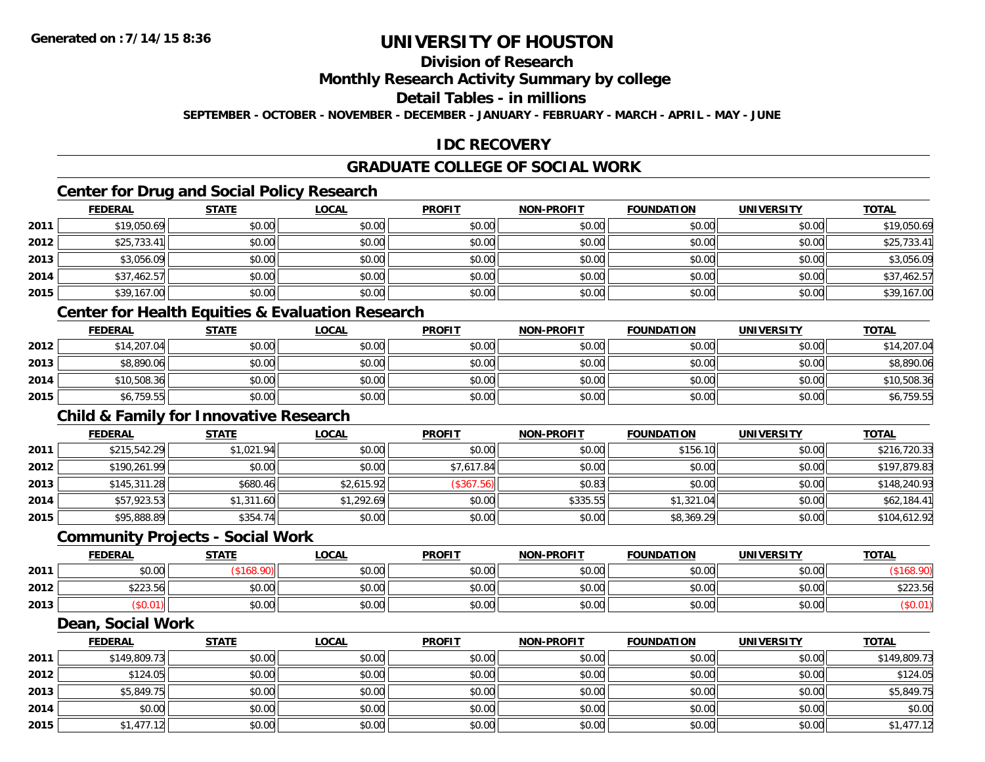## **Division of Research**

#### **Monthly Research Activity Summary by college**

#### **Detail Tables - in millions**

**SEPTEMBER - OCTOBER - NOVEMBER - DECEMBER - JANUARY - FEBRUARY - MARCH - APRIL - MAY - JUNE**

### **IDC RECOVERY**

### **GRADUATE COLLEGE OF SOCIAL WORK**

### **Center for Drug and Social Policy Research**

|      | <b>FEDERAL</b> | <b>STATE</b> | <b>LOCAL</b> | <b>PROFIT</b> | <b>NON-PROFIT</b> | <b>FOUNDATION</b> | <b>UNIVERSITY</b> | <b>TOTAL</b> |
|------|----------------|--------------|--------------|---------------|-------------------|-------------------|-------------------|--------------|
| 2011 | \$19,050.69    | \$0.00       | \$0.00       | \$0.00        | \$0.00            | \$0.00            | \$0.00            | \$19,050.69  |
| 2012 | \$25,733.41    | \$0.00       | \$0.00       | \$0.00        | \$0.00            | \$0.00            | \$0.00            | \$25,733.41  |
| 2013 | \$3,056.09     | \$0.00       | \$0.00       | \$0.00        | \$0.00            | \$0.00            | \$0.00            | \$3,056.09   |
| 2014 | \$37,462.57    | \$0.00       | \$0.00       | \$0.00        | \$0.00            | \$0.00            | \$0.00            | \$37,462.57  |
| 2015 | \$39,167.00    | \$0.00       | \$0.00       | \$0.00        | \$0.00            | \$0.00            | \$0.00            | \$39,167.00  |

#### **Center for Health Equities & Evaluation Research**

|      | <b>FEDERAL</b> | <b>STATE</b> | <u>LOCAL</u> | <b>PROFIT</b> | <b>NON-PROFIT</b> | <b>FOUNDATION</b> | <b>UNIVERSITY</b> | <b>TOTAL</b> |
|------|----------------|--------------|--------------|---------------|-------------------|-------------------|-------------------|--------------|
| 2012 | \$14,207.04    | \$0.00       | \$0.00       | \$0.00        | \$0.00            | \$0.00            | \$0.00            | \$14,207.04  |
| 2013 | \$8,890.06     | \$0.00       | \$0.00       | \$0.00        | \$0.00            | \$0.00            | \$0.00            | \$8,890.06   |
| 2014 | \$10,508.36    | \$0.00       | \$0.00       | \$0.00        | \$0.00            | \$0.00            | \$0.00            | \$10,508.36  |
| 2015 | \$6,759.55     | \$0.00       | \$0.00       | \$0.00        | \$0.00            | \$0.00            | \$0.00            | \$6,759.55   |

#### **Child & Family for Innovative Research**

|      | <b>FEDERAL</b> | <b>STATE</b> | <u>LOCAL</u> | <b>PROFIT</b> | <b>NON-PROFIT</b> | <b>FOUNDATION</b> | <b>UNIVERSITY</b> | <b>TOTAL</b> |
|------|----------------|--------------|--------------|---------------|-------------------|-------------------|-------------------|--------------|
| 2011 | \$215,542.29   | \$1,021.94   | \$0.00       | \$0.00        | \$0.00            | \$156.10          | \$0.00            | \$216,720.33 |
| 2012 | \$190,261.99   | \$0.00       | \$0.00       | \$7,617.84    | \$0.00            | \$0.00            | \$0.00            | \$197,879.83 |
| 2013 | \$145,311.28   | \$680.46     | \$2,615.92   | (\$367.56)    | \$0.83            | \$0.00            | \$0.00            | \$148,240.93 |
| 2014 | \$57,923.53    | \$1,311.60   | \$1,292.69   | \$0.00        | \$335.55          | \$1,321.04        | \$0.00            | \$62,184.41  |
| 2015 | \$95,888.89    | \$354.74     | \$0.00       | \$0.00        | \$0.00            | \$8,369.29        | \$0.00            | \$104,612.92 |

#### **Community Projects - Social Work**

|      | <b>FEDERAL</b>          | <b>STATE</b> | <u>LOCAL</u> | <b>PROFIT</b> | <b>NON-PROFIT</b> | <b>FOUNDATION</b> | <b>UNIVERSITY</b> | <u>TOTAL</u>                                                      |
|------|-------------------------|--------------|--------------|---------------|-------------------|-------------------|-------------------|-------------------------------------------------------------------|
| 2011 | ÷n.<br>$\cap$<br>DU.UU  |              | \$0.00       | \$0.00        | \$0.00            | \$0.00            | \$0.00            |                                                                   |
| 2012 | <b>COOO</b><br>\$223.56 | \$0.00       | \$0.00       | \$0.00        | \$0.00            | \$0.00            | \$0.00            | $\uparrow$ $\uparrow$ $\uparrow$ $\uparrow$ $\uparrow$<br>\$223.5 |
| 2013 | 0.01°،                  | \$0.00       | \$0.00       | \$0.00        | \$0.00            | \$0.00            | \$0.00            |                                                                   |

#### **Dean, Social Work**

|      | <b>FEDERAL</b> | <b>STATE</b> | <b>LOCAL</b> | <b>PROFIT</b> | <b>NON-PROFIT</b> | <b>FOUNDATION</b> | <b>UNIVERSITY</b> | <b>TOTAL</b> |
|------|----------------|--------------|--------------|---------------|-------------------|-------------------|-------------------|--------------|
| 2011 | \$149,809.73   | \$0.00       | \$0.00       | \$0.00        | \$0.00            | \$0.00            | \$0.00            | \$149,809.73 |
| 2012 | \$124.05       | \$0.00       | \$0.00       | \$0.00        | \$0.00            | \$0.00            | \$0.00            | \$124.05     |
| 2013 | \$5,849.75     | \$0.00       | \$0.00       | \$0.00        | \$0.00            | \$0.00            | \$0.00            | \$5,849.75   |
| 2014 | \$0.00         | \$0.00       | \$0.00       | \$0.00        | \$0.00            | \$0.00            | \$0.00            | \$0.00       |
| 2015 | \$1,477.12     | \$0.00       | \$0.00       | \$0.00        | \$0.00            | \$0.00            | \$0.00            | \$1,477.12   |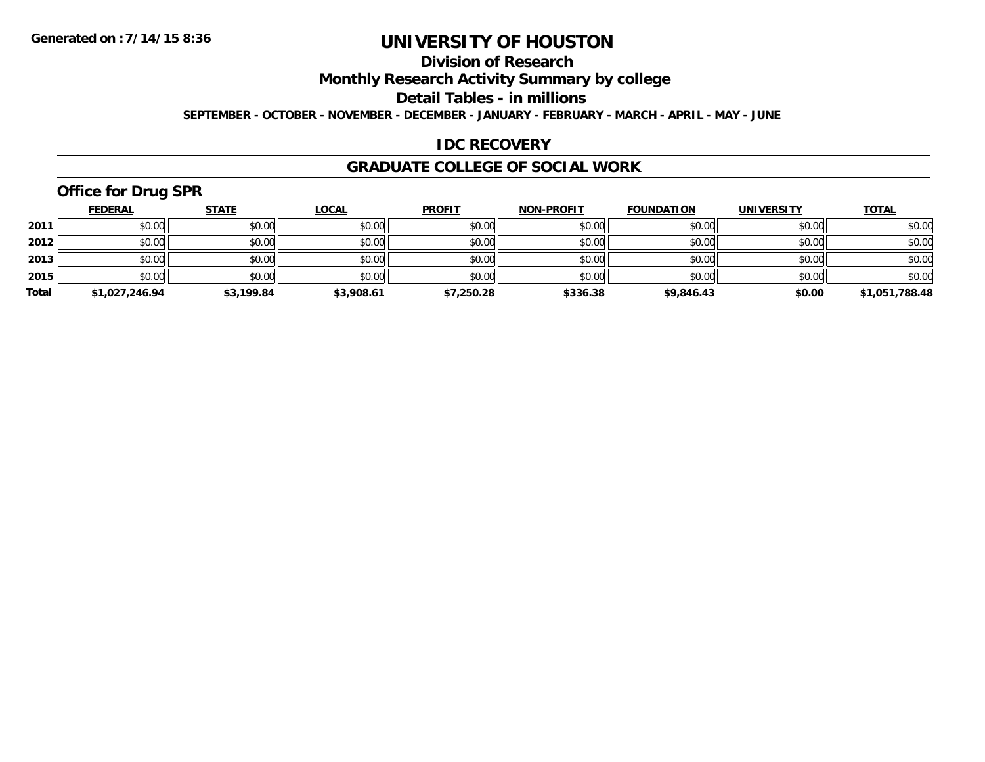## **Division of Research**

**Monthly Research Activity Summary by college**

**Detail Tables - in millions**

**SEPTEMBER - OCTOBER - NOVEMBER - DECEMBER - JANUARY - FEBRUARY - MARCH - APRIL - MAY - JUNE**

### **IDC RECOVERY**

#### **GRADUATE COLLEGE OF SOCIAL WORK**

# **Office for Drug SPR**

|       | <b>FEDERAL</b> | <u>STATE</u> | <b>LOCAL</b> | <b>PROFIT</b> | <b>NON-PROFIT</b> | <b>FOUNDATION</b> | <b>UNIVERSITY</b> | <b>TOTAL</b>   |
|-------|----------------|--------------|--------------|---------------|-------------------|-------------------|-------------------|----------------|
| 2011  | \$0.00         | \$0.00       | \$0.00       | \$0.00        | \$0.00            | \$0.00            | \$0.00            | \$0.00         |
| 2012  | \$0.00         | \$0.00       | \$0.00       | \$0.00        | \$0.00            | \$0.00            | \$0.00            | \$0.00         |
| 2013  | \$0.00         | \$0.00       | \$0.00       | \$0.00        | \$0.00            | \$0.00            | \$0.00            | \$0.00         |
| 2015  | \$0.00         | \$0.00       | \$0.00       | \$0.00        | \$0.00            | \$0.00            | \$0.00            | \$0.00         |
| Total | \$1,027,246.94 | \$3,199.84   | \$3,908.61   | \$7,250.28    | \$336.38          | \$9,846.43        | \$0.00            | \$1,051,788.48 |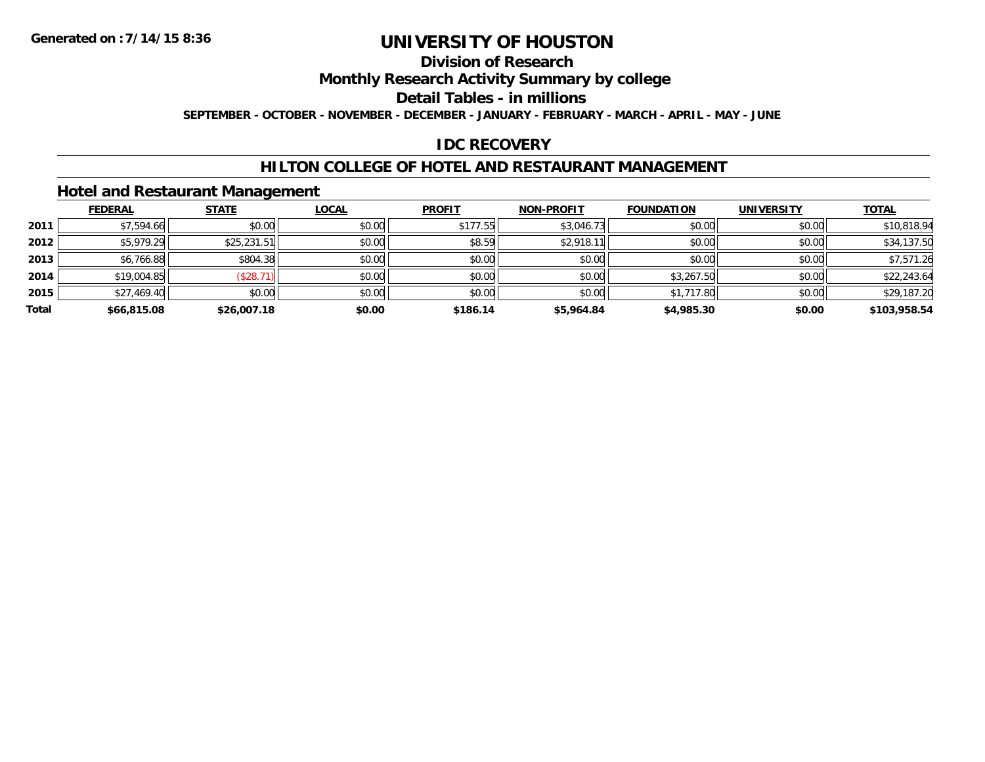## **Division of Research**

**Monthly Research Activity Summary by college**

**Detail Tables - in millions**

**SEPTEMBER - OCTOBER - NOVEMBER - DECEMBER - JANUARY - FEBRUARY - MARCH - APRIL - MAY - JUNE**

### **IDC RECOVERY**

#### **HILTON COLLEGE OF HOTEL AND RESTAURANT MANAGEMENT**

#### **Hotel and Restaurant Management**

|       | <b>FEDERAL</b> | <b>STATE</b> | <u>LOCAL</u> | <b>PROFIT</b> | <b>NON-PROFIT</b> | <b>FOUNDATION</b> | <b>UNIVERSITY</b> | <b>TOTAL</b> |
|-------|----------------|--------------|--------------|---------------|-------------------|-------------------|-------------------|--------------|
| 2011  | \$7,594.66     | \$0.00       | \$0.00       | \$177.55      | \$3,046.73        | \$0.00            | \$0.00            | \$10,818.94  |
| 2012  | \$5,979.29     | \$25,231.51  | \$0.00       | \$8.59        | \$2,918.11        | \$0.00            | \$0.00            | \$34,137.50  |
| 2013  | \$6,766.88     | \$804.38     | \$0.00       | \$0.00        | \$0.00            | \$0.00            | \$0.00            | \$7,571.26   |
| 2014  | \$19,004.85    | (\$28.7)     | \$0.00       | \$0.00        | \$0.00            | \$3,267.50        | \$0.00            | \$22,243.64  |
| 2015  | \$27,469.40    | \$0.00       | \$0.00       | \$0.00        | \$0.00            | \$1,717.80        | \$0.00            | \$29,187.20  |
| Total | \$66,815.08    | \$26,007.18  | \$0.00       | \$186.14      | \$5,964.84        | \$4,985.30        | \$0.00            | \$103,958.54 |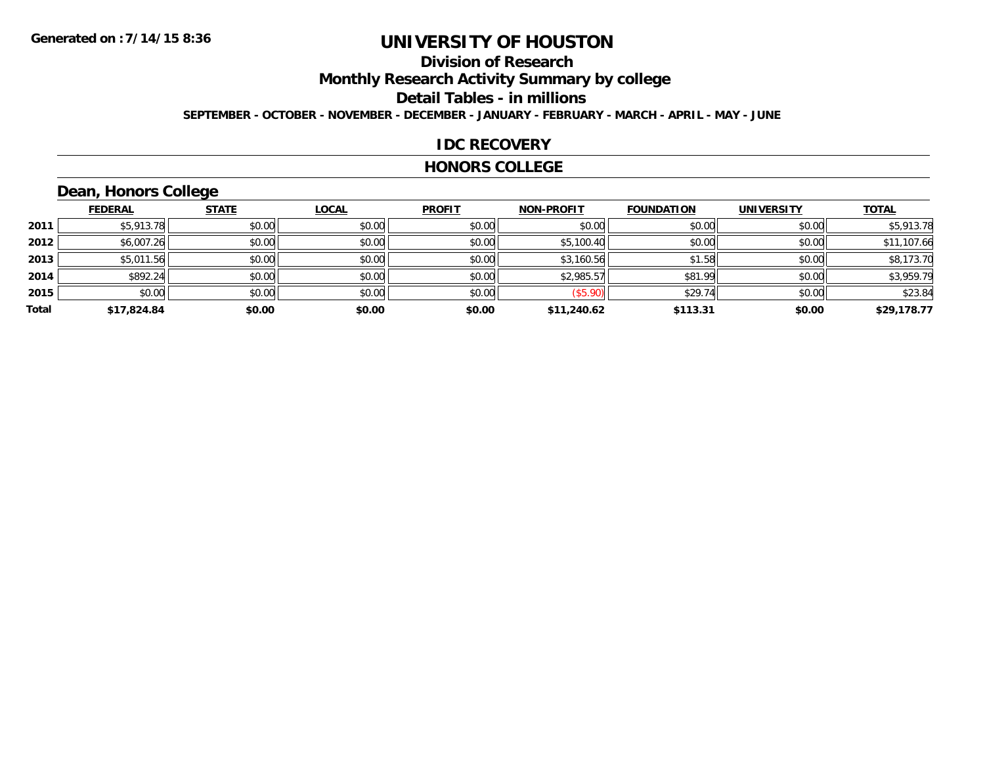## **Division of Research**

**Monthly Research Activity Summary by college**

**Detail Tables - in millions**

**SEPTEMBER - OCTOBER - NOVEMBER - DECEMBER - JANUARY - FEBRUARY - MARCH - APRIL - MAY - JUNE**

#### **IDC RECOVERY**

#### **HONORS COLLEGE**

# **Dean, Honors College**

|       | <b>FEDERAL</b> | <b>STATE</b> | <b>LOCAL</b> | <b>PROFIT</b> | <b>NON-PROFIT</b> | <b>FOUNDATION</b> | <b>UNIVERSITY</b> | <b>TOTAL</b> |
|-------|----------------|--------------|--------------|---------------|-------------------|-------------------|-------------------|--------------|
| 2011  | \$5,913.78     | \$0.00       | \$0.00       | \$0.00        | \$0.00            | \$0.00            | \$0.00            | \$5,913.78   |
| 2012  | \$6,007.26     | \$0.00       | \$0.00       | \$0.00        | \$5,100.40        | \$0.00            | \$0.00            | \$11,107.66  |
| 2013  | \$5,011.56     | \$0.00       | \$0.00       | \$0.00        | \$3,160.56        | \$1.58            | \$0.00            | \$8,173.70   |
| 2014  | \$892.24       | \$0.00       | \$0.00       | \$0.00        | \$2,985.57        | \$81.99           | \$0.00            | \$3,959.79   |
| 2015  | \$0.00         | \$0.00       | \$0.00       | \$0.00        | (\$5.90)          | \$29.74           | \$0.00            | \$23.84      |
| Total | \$17,824.84    | \$0.00       | \$0.00       | \$0.00        | \$11,240.62       | \$113.31          | \$0.00            | \$29,178.77  |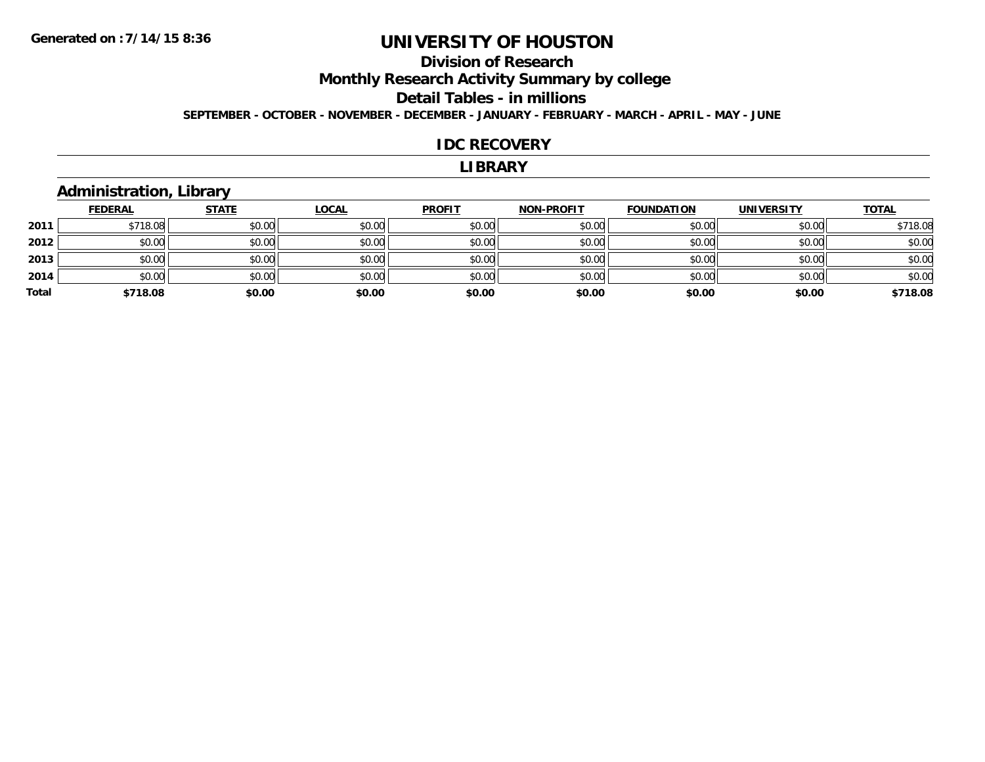# **Division of Research**

**Monthly Research Activity Summary by college**

#### **Detail Tables - in millions**

**SEPTEMBER - OCTOBER - NOVEMBER - DECEMBER - JANUARY - FEBRUARY - MARCH - APRIL - MAY - JUNE**

#### **IDC RECOVERY**

#### **LIBRARY**

#### **Administration, Library**

|       | <b>FEDERAL</b> | <b>STATE</b> | <u>LOCAL</u> | <b>PROFIT</b> | <b>NON-PROFIT</b> | <b>FOUNDATION</b> | <b>UNIVERSITY</b> | <b>TOTAL</b> |
|-------|----------------|--------------|--------------|---------------|-------------------|-------------------|-------------------|--------------|
| 2011  | \$718.08       | \$0.00       | \$0.00       | \$0.00        | \$0.00            | \$0.00            | \$0.00            | \$718.08     |
| 2012  | \$0.00         | \$0.00       | \$0.00       | \$0.00        | \$0.00            | \$0.00            | \$0.00            | \$0.00       |
| 2013  | \$0.00         | \$0.00       | \$0.00       | \$0.00        | \$0.00            | \$0.00            | \$0.00            | \$0.00       |
| 2014  | \$0.00         | \$0.00       | \$0.00       | \$0.00        | \$0.00            | \$0.00            | \$0.00            | \$0.00       |
| Total | \$718.08       | \$0.00       | \$0.00       | \$0.00        | \$0.00            | \$0.00            | \$0.00            | \$718.08     |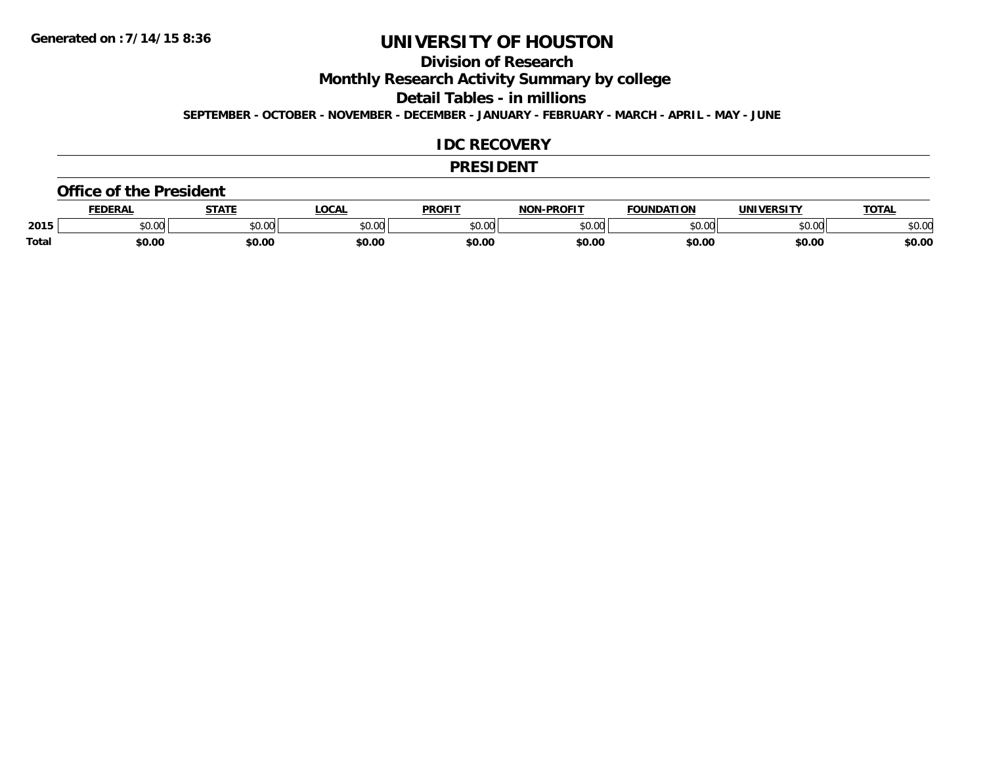### **Division of Research**

**Monthly Research Activity Summary by college**

**Detail Tables - in millions**

**SEPTEMBER - OCTOBER - NOVEMBER - DECEMBER - JANUARY - FEBRUARY - MARCH - APRIL - MAY - JUNE**

#### **IDC RECOVERY**

#### **PRESIDENT**

#### **Office of the President**

|       | <b>EDERAI</b> | <b>STATE</b>           | <b>OCAL</b> | <b>PROFIT</b> | -PROFIT<br>וחרות | <b>FOUNDATION</b> | UNIVERSITY | <b>TOTAL</b> |
|-------|---------------|------------------------|-------------|---------------|------------------|-------------------|------------|--------------|
| 2015  | 0000<br>JU.UU | $\sim$ $\sim$<br>vu.vu | \$0.00      | 0000<br>JU.UU | 40.00<br>∕∪.∪∪   | \$0.00            | \$0.00     | \$0.00       |
| Total | \$0.00        | \$0.00                 | \$0.00      | \$0.00        | \$0.00           | \$0.00            | \$0.00     | \$0.00       |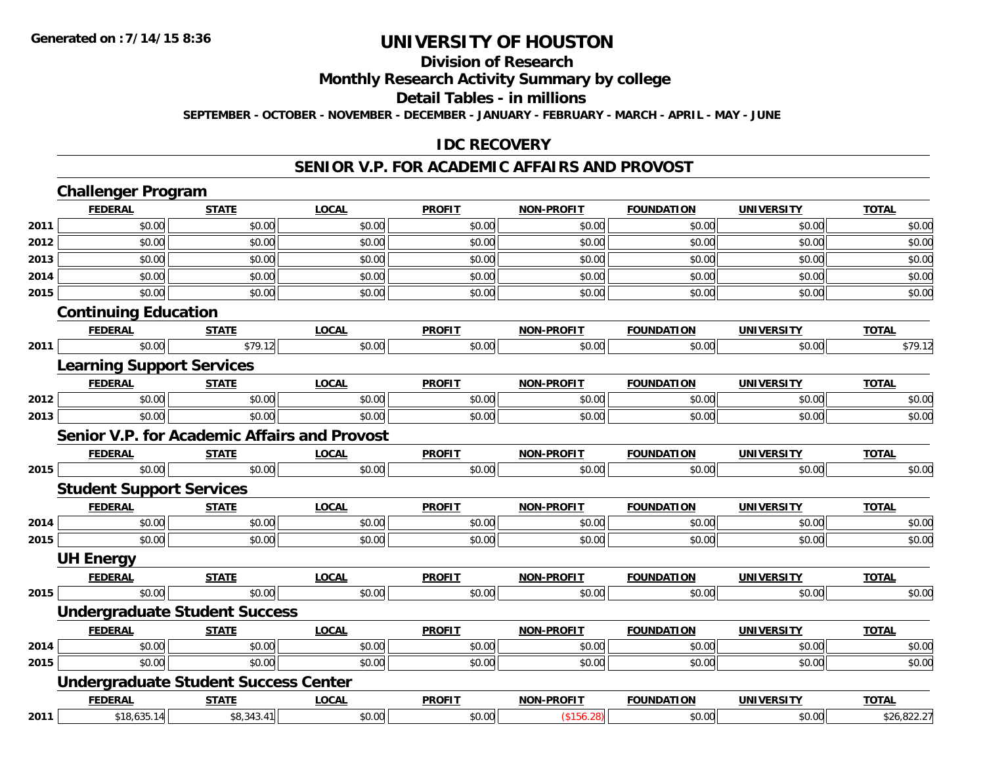#### **Division of Research**

**Monthly Research Activity Summary by college**

**Detail Tables - in millions**

**SEPTEMBER - OCTOBER - NOVEMBER - DECEMBER - JANUARY - FEBRUARY - MARCH - APRIL - MAY - JUNE**

#### **IDC RECOVERY**

#### **SENIOR V.P. FOR ACADEMIC AFFAIRS AND PROVOST**

|      | <b>Challenger Program</b>                           |              |              |               |                   |                   |                   |              |  |  |
|------|-----------------------------------------------------|--------------|--------------|---------------|-------------------|-------------------|-------------------|--------------|--|--|
|      | <b>FEDERAL</b>                                      | <b>STATE</b> | <b>LOCAL</b> | <b>PROFIT</b> | <b>NON-PROFIT</b> | <b>FOUNDATION</b> | <b>UNIVERSITY</b> | <b>TOTAL</b> |  |  |
| 2011 | \$0.00                                              | \$0.00       | \$0.00       | \$0.00        | \$0.00            | \$0.00            | \$0.00            | \$0.00       |  |  |
| 2012 | \$0.00                                              | \$0.00       | \$0.00       | \$0.00        | \$0.00            | \$0.00            | \$0.00            | \$0.00       |  |  |
| 2013 | \$0.00                                              | \$0.00       | \$0.00       | \$0.00        | \$0.00            | \$0.00            | \$0.00            | \$0.00       |  |  |
| 2014 | \$0.00                                              | \$0.00       | \$0.00       | \$0.00        | \$0.00            | \$0.00            | \$0.00            | \$0.00       |  |  |
| 2015 | \$0.00                                              | \$0.00       | \$0.00       | \$0.00        | \$0.00            | \$0.00            | \$0.00            | \$0.00       |  |  |
|      | <b>Continuing Education</b>                         |              |              |               |                   |                   |                   |              |  |  |
|      | <b>FEDERAL</b>                                      | <b>STATE</b> | <b>LOCAL</b> | <b>PROFIT</b> | <b>NON-PROFIT</b> | <b>FOUNDATION</b> | <b>UNIVERSITY</b> | <b>TOTAL</b> |  |  |
| 2011 | \$0.00                                              | \$79.12      | \$0.00       | \$0.00        | \$0.00            | \$0.00            | \$0.00            | \$79.12      |  |  |
|      | <b>Learning Support Services</b>                    |              |              |               |                   |                   |                   |              |  |  |
|      | <b>FEDERAL</b>                                      | <b>STATE</b> | <b>LOCAL</b> | <b>PROFIT</b> | <b>NON-PROFIT</b> | <b>FOUNDATION</b> | <b>UNIVERSITY</b> | <b>TOTAL</b> |  |  |
| 2012 | \$0.00                                              | \$0.00       | \$0.00       | \$0.00        | \$0.00            | \$0.00            | \$0.00            | \$0.00       |  |  |
| 2013 | \$0.00                                              | \$0.00       | \$0.00       | \$0.00        | \$0.00            | \$0.00            | \$0.00            | \$0.00       |  |  |
|      | <b>Senior V.P. for Academic Affairs and Provost</b> |              |              |               |                   |                   |                   |              |  |  |
|      | <b>FEDERAL</b>                                      | <b>STATE</b> | <b>LOCAL</b> | <b>PROFIT</b> | <b>NON-PROFIT</b> | <b>FOUNDATION</b> | <b>UNIVERSITY</b> | <b>TOTAL</b> |  |  |
| 2015 | \$0.00                                              | \$0.00       | \$0.00       | \$0.00        | \$0.00            | \$0.00            | \$0.00            | \$0.00       |  |  |
|      | <b>Student Support Services</b>                     |              |              |               |                   |                   |                   |              |  |  |
|      | <b>FEDERAL</b>                                      | <b>STATE</b> | <b>LOCAL</b> | <b>PROFIT</b> | <b>NON-PROFIT</b> | <b>FOUNDATION</b> | <b>UNIVERSITY</b> | <b>TOTAL</b> |  |  |
| 2014 | \$0.00                                              | \$0.00       | \$0.00       | \$0.00        | \$0.00            | \$0.00            | \$0.00            | \$0.00       |  |  |
| 2015 | \$0.00                                              | \$0.00       | \$0.00       | \$0.00        | \$0.00            | \$0.00            | \$0.00            | \$0.00       |  |  |
|      | <b>UH Energy</b>                                    |              |              |               |                   |                   |                   |              |  |  |
|      | <b>FEDERAL</b>                                      | <b>STATE</b> | <b>LOCAL</b> | <b>PROFIT</b> | <b>NON-PROFIT</b> | <b>FOUNDATION</b> | <b>UNIVERSITY</b> | <b>TOTAL</b> |  |  |
| 2015 | \$0.00                                              | \$0.00       | \$0.00       | \$0.00        | \$0.00            | \$0.00            | \$0.00            | \$0.00       |  |  |
|      | <b>Undergraduate Student Success</b>                |              |              |               |                   |                   |                   |              |  |  |
|      | <b>FEDERAL</b>                                      | <b>STATE</b> | <b>LOCAL</b> | <b>PROFIT</b> | <b>NON-PROFIT</b> | <b>FOUNDATION</b> | <b>UNIVERSITY</b> | <b>TOTAL</b> |  |  |
| 2014 | \$0.00                                              | \$0.00       | \$0.00       | \$0.00        | \$0.00            | \$0.00            | \$0.00            | \$0.00       |  |  |
| 2015 | \$0.00                                              | \$0.00       | \$0.00       | \$0.00        | \$0.00            | \$0.00            | \$0.00            | \$0.00       |  |  |
|      | <b>Undergraduate Student Success Center</b>         |              |              |               |                   |                   |                   |              |  |  |
|      | <b>FEDERAL</b>                                      | <b>STATE</b> | <b>LOCAL</b> | <b>PROFIT</b> | <b>NON-PROFIT</b> | <b>FOUNDATION</b> | <b>UNIVERSITY</b> | <b>TOTAL</b> |  |  |
| 2011 | \$18,635.14                                         | \$8,343.41   | \$0.00       | \$0.00        | (\$156.28)        | \$0.00            | \$0.00            | \$26,822.27  |  |  |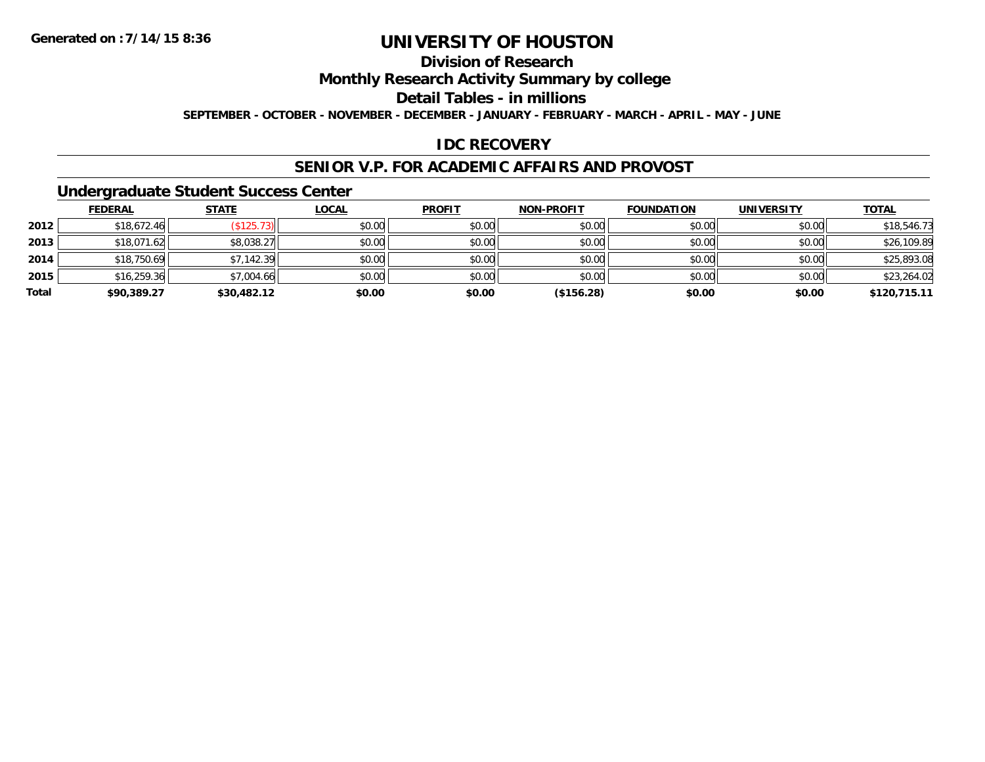## **Division of Research**

**Monthly Research Activity Summary by college**

**Detail Tables - in millions**

**SEPTEMBER - OCTOBER - NOVEMBER - DECEMBER - JANUARY - FEBRUARY - MARCH - APRIL - MAY - JUNE**

### **IDC RECOVERY**

#### **SENIOR V.P. FOR ACADEMIC AFFAIRS AND PROVOST**

#### **Undergraduate Student Success Center**

|       | <b>FEDERAL</b> | <u>STATE</u> | <u>LOCAL</u> | <b>PROFIT</b> | <b>NON-PROFIT</b> | <b>FOUNDATION</b> | <b>UNIVERSITY</b> | <b>TOTAL</b> |
|-------|----------------|--------------|--------------|---------------|-------------------|-------------------|-------------------|--------------|
| 2012  | \$18,672.46    | \$125.73     | \$0.00       | \$0.00        | \$0.00            | \$0.00            | \$0.00            | \$18,546.73  |
| 2013  | \$18,071.62    | \$8,038.27   | \$0.00       | \$0.00        | \$0.00            | \$0.00            | \$0.00            | \$26,109.89  |
| 2014  | \$18,750.69    | \$7,142.39   | \$0.00       | \$0.00        | \$0.00            | \$0.00            | \$0.00            | \$25,893.08  |
| 2015  | \$16,259.36    | \$7,004.66   | \$0.00       | \$0.00        | \$0.00            | \$0.00            | \$0.00            | \$23,264.02  |
| Total | \$90,389.27    | \$30,482.12  | \$0.00       | \$0.00        | (\$156.28)        | \$0.00            | \$0.00            | \$120,715.11 |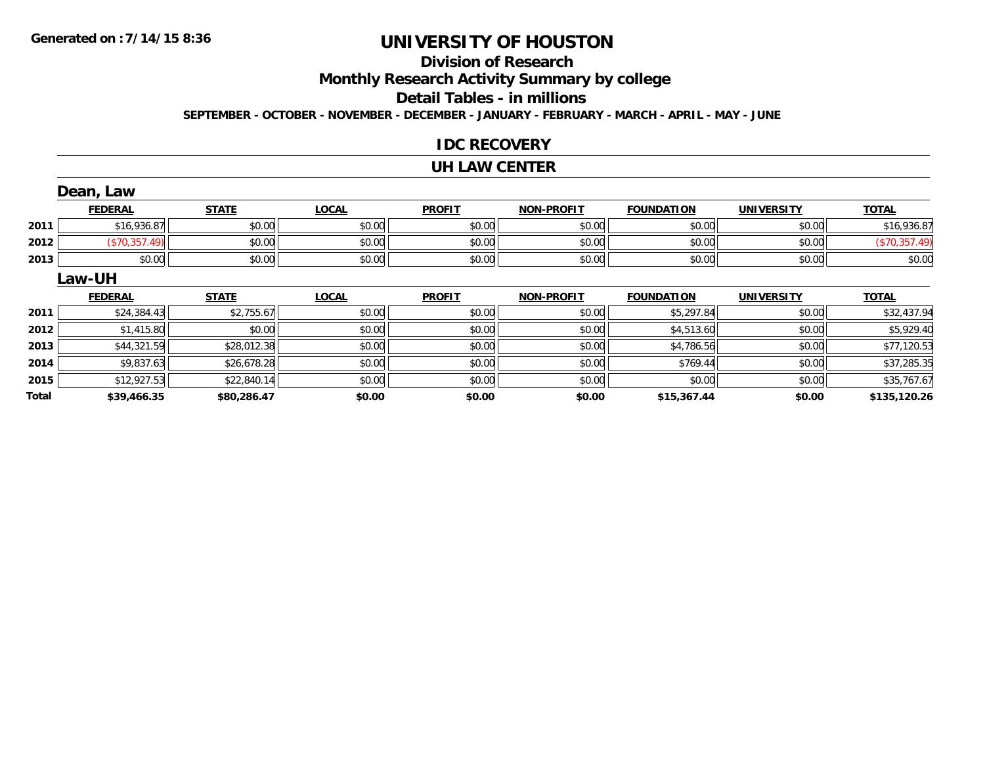# **Division of Research**

**Monthly Research Activity Summary by college**

#### **Detail Tables - in millions**

**SEPTEMBER - OCTOBER - NOVEMBER - DECEMBER - JANUARY - FEBRUARY - MARCH - APRIL - MAY - JUNE**

#### **IDC RECOVERY**

#### **UH LAW CENTER**

|       | Dean, Law      |              |              |               |                   |                   |                   |               |
|-------|----------------|--------------|--------------|---------------|-------------------|-------------------|-------------------|---------------|
|       | <b>FEDERAL</b> | <b>STATE</b> | <b>LOCAL</b> | <b>PROFIT</b> | <b>NON-PROFIT</b> | <b>FOUNDATION</b> | <b>UNIVERSITY</b> | <b>TOTAL</b>  |
| 2011  | \$16,936.87    | \$0.00       | \$0.00       | \$0.00        | \$0.00            | \$0.00            | \$0.00            | \$16,936.87   |
| 2012  | (\$70,357.49)  | \$0.00       | \$0.00       | \$0.00        | \$0.00            | \$0.00            | \$0.00            | (\$70,357.49) |
| 2013  | \$0.00         | \$0.00       | \$0.00       | \$0.00        | \$0.00            | \$0.00            | \$0.00            | \$0.00        |
|       | Law-UH         |              |              |               |                   |                   |                   |               |
|       | <b>FEDERAL</b> | <b>STATE</b> | <b>LOCAL</b> | <b>PROFIT</b> | <b>NON-PROFIT</b> | <b>FOUNDATION</b> | <b>UNIVERSITY</b> | <b>TOTAL</b>  |
| 2011  | \$24,384.43    | \$2,755.67   | \$0.00       | \$0.00        | \$0.00            | \$5,297.84        | \$0.00            | \$32,437.94   |
| 2012  | \$1,415.80     | \$0.00       | \$0.00       | \$0.00        | \$0.00            | \$4,513.60        | \$0.00            | \$5,929.40    |
| 2013  | \$44,321.59    | \$28,012.38  | \$0.00       | \$0.00        | \$0.00            | \$4,786.56        | \$0.00            | \$77,120.53   |
| 2014  | \$9,837.63     | \$26,678.28  | \$0.00       | \$0.00        | \$0.00            | \$769.44          | \$0.00            | \$37,285.35   |
| 2015  | \$12,927.53    | \$22,840.14  | \$0.00       | \$0.00        | \$0.00            | \$0.00            | \$0.00            | \$35,767.67   |
| Total | \$39,466.35    | \$80,286.47  | \$0.00       | \$0.00        | \$0.00            | \$15,367.44       | \$0.00            | \$135,120.26  |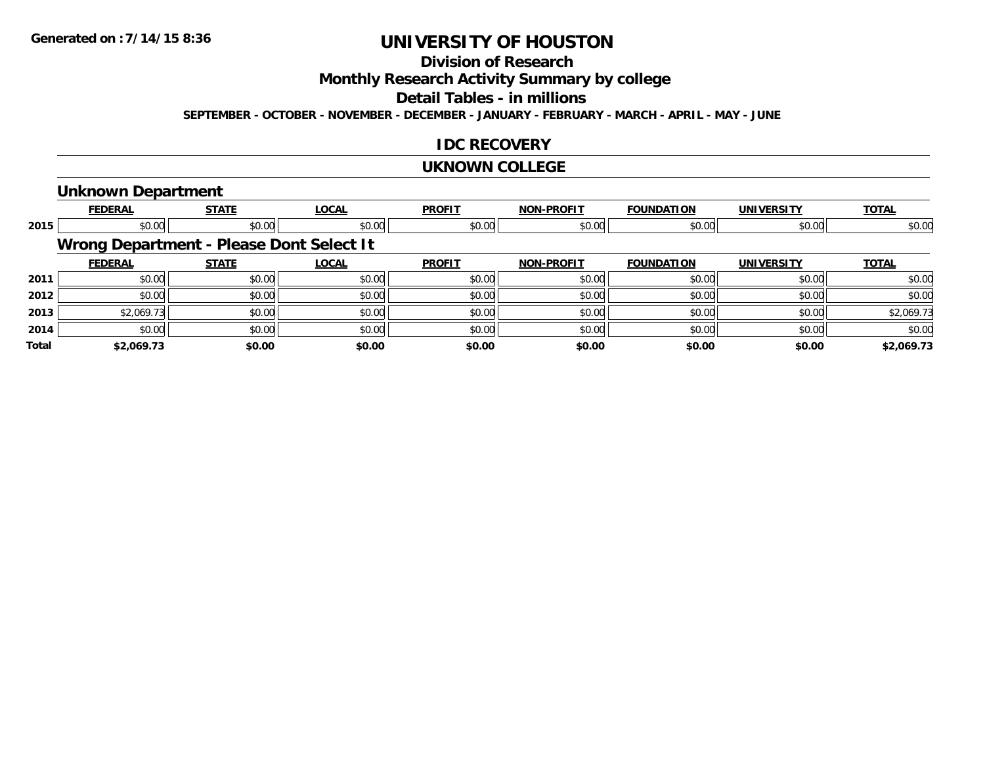# **Division of Research**

**Monthly Research Activity Summary by college**

#### **Detail Tables - in millions**

**SEPTEMBER - OCTOBER - NOVEMBER - DECEMBER - JANUARY - FEBRUARY - MARCH - APRIL - MAY - JUNE**

#### **IDC RECOVERY**

#### **UKNOWN COLLEGE**

#### **Unknown Department**

|              | <b>FEDERAL</b>                           | <b>STATE</b> | <b>LOCAL</b> | <b>PROFIT</b> | <b>NON-PROFIT</b> | <b>FOUNDATION</b> | <b>UNIVERSITY</b> | <b>TOTAL</b> |
|--------------|------------------------------------------|--------------|--------------|---------------|-------------------|-------------------|-------------------|--------------|
| 2015         | \$0.00                                   | \$0.00       | \$0.00       | \$0.00        | \$0.00            | \$0.00            | \$0.00            | \$0.00       |
|              | Wrong Department - Please Dont Select It |              |              |               |                   |                   |                   |              |
|              | <b>FEDERAL</b>                           | <b>STATE</b> | <b>LOCAL</b> | <b>PROFIT</b> | <b>NON-PROFIT</b> | <b>FOUNDATION</b> | <b>UNIVERSITY</b> | <b>TOTAL</b> |
| 2011         | \$0.00                                   | \$0.00       | \$0.00       | \$0.00        | \$0.00            | \$0.00            | \$0.00            | \$0.00       |
| 2012         | \$0.00                                   | \$0.00       | \$0.00       | \$0.00        | \$0.00            | \$0.00            | \$0.00            | \$0.00       |
| 2013         | \$2,069.73                               | \$0.00       | \$0.00       | \$0.00        | \$0.00            | \$0.00            | \$0.00            | \$2,069.73   |
| 2014         | \$0.00                                   | \$0.00       | \$0.00       | \$0.00        | \$0.00            | \$0.00            | \$0.00            | \$0.00       |
| <b>Total</b> | \$2,069.73                               | \$0.00       | \$0.00       | \$0.00        | \$0.00            | \$0.00            | \$0.00            | \$2,069.73   |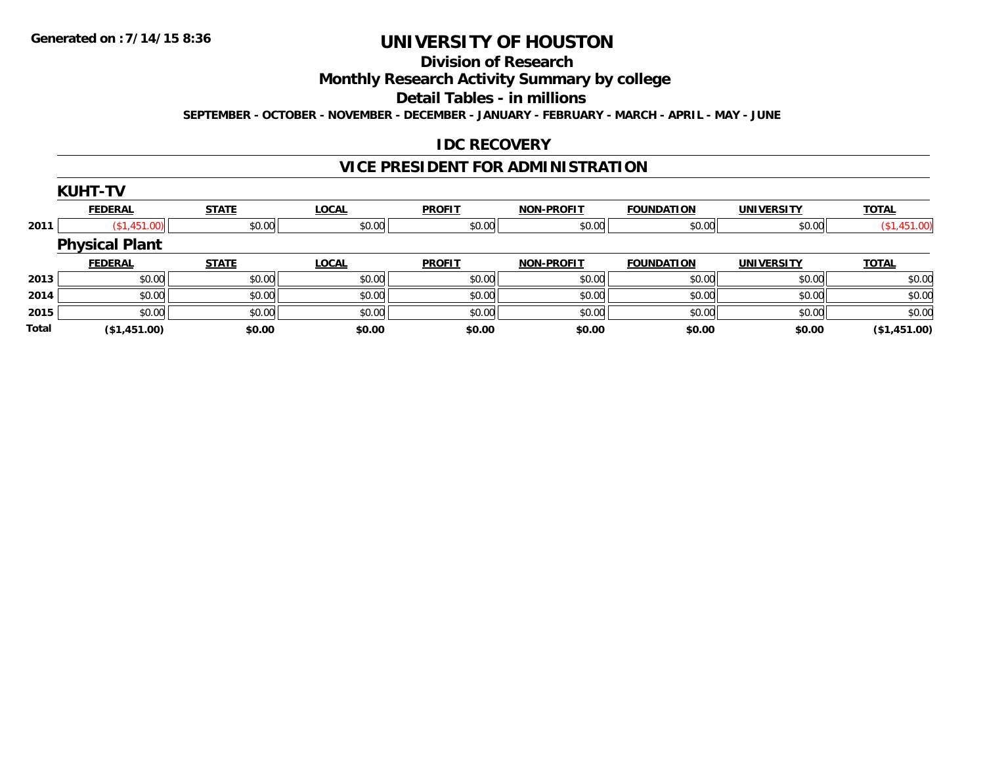#### **Division of Research**

**Monthly Research Activity Summary by college**

**Detail Tables - in millions**

**SEPTEMBER - OCTOBER - NOVEMBER - DECEMBER - JANUARY - FEBRUARY - MARCH - APRIL - MAY - JUNE**

### **IDC RECOVERY**

# **VICE PRESIDENT FOR ADMINISTRATION**

|              | <b>KUHT-TV</b>        |              |              |               |                   |                   |                   |              |
|--------------|-----------------------|--------------|--------------|---------------|-------------------|-------------------|-------------------|--------------|
|              | <b>FEDERAL</b>        | <b>STATE</b> | <b>LOCAL</b> | <b>PROFIT</b> | <b>NON-PROFIT</b> | <b>FOUNDATION</b> | <b>UNIVERSITY</b> | <b>TOTAL</b> |
| 2011         | (\$1,451.00)          | \$0.00       | \$0.00       | \$0.00        | \$0.00            | \$0.00            | \$0.00            | (\$1,451.00) |
|              | <b>Physical Plant</b> |              |              |               |                   |                   |                   |              |
|              | <b>FEDERAL</b>        | <b>STATE</b> | <b>LOCAL</b> | <b>PROFIT</b> | <b>NON-PROFIT</b> | <b>FOUNDATION</b> | <b>UNIVERSITY</b> | <b>TOTAL</b> |
| 2013         | \$0.00                | \$0.00       | \$0.00       | \$0.00        | \$0.00            | \$0.00            | \$0.00            | \$0.00       |
| 2014         | \$0.00                | \$0.00       | \$0.00       | \$0.00        | \$0.00            | \$0.00            | \$0.00            | \$0.00       |
| 2015         | \$0.00                | \$0.00       | \$0.00       | \$0.00        | \$0.00            | \$0.00            | \$0.00            | \$0.00       |
| <b>Total</b> | (\$1,451.00)          | \$0.00       | \$0.00       | \$0.00        | \$0.00            | \$0.00            | \$0.00            | (\$1,451.00) |